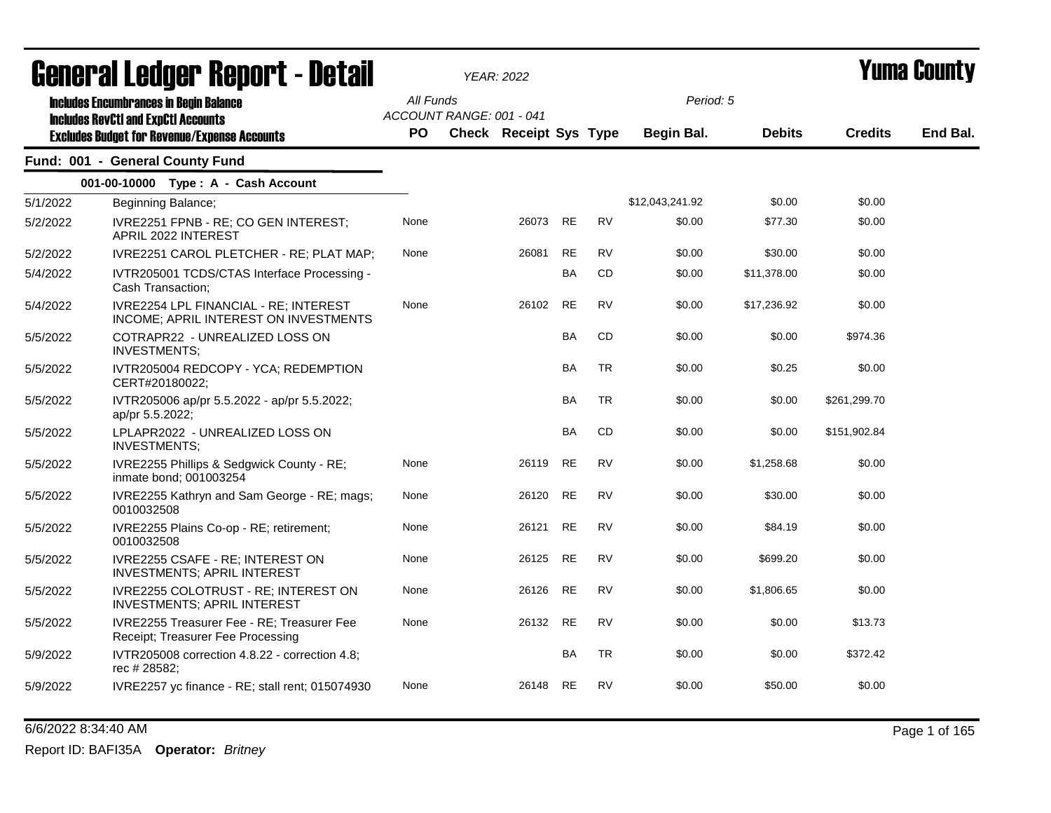|          | <b>General Ledger Report - Detail</b>                                                       |           | <b>YEAR: 2022</b>             |       |           |           |                 |               |                | Yuma Countv |
|----------|---------------------------------------------------------------------------------------------|-----------|-------------------------------|-------|-----------|-----------|-----------------|---------------|----------------|-------------|
|          | <b>Includes Encumbrances in Begin Balance</b><br><b>Includes RevCtI and ExpCtI Accounts</b> | All Funds | ACCOUNT RANGE: 001 - 041      |       |           |           | Period: 5       |               |                |             |
|          | <b>Excludes Budget for Revenue/Expense Accounts</b>                                         | <b>PO</b> | <b>Check Receipt Sys Type</b> |       |           |           | Begin Bal.      | <b>Debits</b> | <b>Credits</b> | End Bal.    |
|          | Fund: 001 - General County Fund                                                             |           |                               |       |           |           |                 |               |                |             |
|          | 001-00-10000 Type: A - Cash Account                                                         |           |                               |       |           |           |                 |               |                |             |
| 5/1/2022 | Beginning Balance;                                                                          |           |                               |       |           |           | \$12,043,241.92 | \$0.00        | \$0.00         |             |
| 5/2/2022 | IVRE2251 FPNB - RE; CO GEN INTEREST;<br>APRIL 2022 INTEREST                                 | None      |                               | 26073 | <b>RE</b> | <b>RV</b> | \$0.00          | \$77.30       | \$0.00         |             |
| 5/2/2022 | IVRE2251 CAROL PLETCHER - RE; PLAT MAP;                                                     | None      |                               | 26081 | <b>RE</b> | <b>RV</b> | \$0.00          | \$30.00       | \$0.00         |             |
| 5/4/2022 | IVTR205001 TCDS/CTAS Interface Processing -<br>Cash Transaction;                            |           |                               |       | <b>BA</b> | <b>CD</b> | \$0.00          | \$11,378.00   | \$0.00         |             |
| 5/4/2022 | <b>IVRE2254 LPL FINANCIAL - RE: INTEREST</b><br>INCOME; APRIL INTEREST ON INVESTMENTS       | None      |                               | 26102 | <b>RE</b> | <b>RV</b> | \$0.00          | \$17,236.92   | \$0.00         |             |
| 5/5/2022 | COTRAPR22 - UNREALIZED LOSS ON<br><b>INVESTMENTS;</b>                                       |           |                               |       | <b>BA</b> | CD        | \$0.00          | \$0.00        | \$974.36       |             |
| 5/5/2022 | IVTR205004 REDCOPY - YCA; REDEMPTION<br>CERT#20180022;                                      |           |                               |       | BA        | <b>TR</b> | \$0.00          | \$0.25        | \$0.00         |             |
| 5/5/2022 | IVTR205006 ap/pr 5.5.2022 - ap/pr 5.5.2022;<br>ap/pr 5.5.2022;                              |           |                               |       | <b>BA</b> | <b>TR</b> | \$0.00          | \$0.00        | \$261,299.70   |             |
| 5/5/2022 | LPLAPR2022 - UNREALIZED LOSS ON<br><b>INVESTMENTS:</b>                                      |           |                               |       | <b>BA</b> | CD        | \$0.00          | \$0.00        | \$151,902.84   |             |
| 5/5/2022 | IVRE2255 Phillips & Sedgwick County - RE;<br>inmate bond; 001003254                         | None      |                               | 26119 | RE        | <b>RV</b> | \$0.00          | \$1,258.68    | \$0.00         |             |
| 5/5/2022 | IVRE2255 Kathryn and Sam George - RE; mags;<br>0010032508                                   | None      |                               | 26120 | RE        | <b>RV</b> | \$0.00          | \$30.00       | \$0.00         |             |
| 5/5/2022 | IVRE2255 Plains Co-op - RE; retirement;<br>0010032508                                       | None      |                               | 26121 | <b>RE</b> | <b>RV</b> | \$0.00          | \$84.19       | \$0.00         |             |
| 5/5/2022 | IVRE2255 CSAFE - RE; INTEREST ON<br><b>INVESTMENTS; APRIL INTEREST</b>                      | None      |                               | 26125 | RE        | <b>RV</b> | \$0.00          | \$699.20      | \$0.00         |             |
| 5/5/2022 | IVRE2255 COLOTRUST - RE; INTEREST ON<br><b>INVESTMENTS; APRIL INTEREST</b>                  | None      |                               | 26126 | <b>RE</b> | <b>RV</b> | \$0.00          | \$1,806.65    | \$0.00         |             |
| 5/5/2022 | IVRE2255 Treasurer Fee - RE; Treasurer Fee<br>Receipt; Treasurer Fee Processing             | None      |                               | 26132 | <b>RE</b> | <b>RV</b> | \$0.00          | \$0.00        | \$13.73        |             |
| 5/9/2022 | IVTR205008 correction 4.8.22 - correction 4.8;<br>rec # 28582;                              |           |                               |       | <b>BA</b> | <b>TR</b> | \$0.00          | \$0.00        | \$372.42       |             |
| 5/9/2022 | IVRE2257 yc finance - RE; stall rent; 015074930                                             | None      |                               | 26148 | RE        | <b>RV</b> | \$0.00          | \$50.00       | \$0.00         |             |

## 6/6/2022 8:34:40 AM Page 1 of 165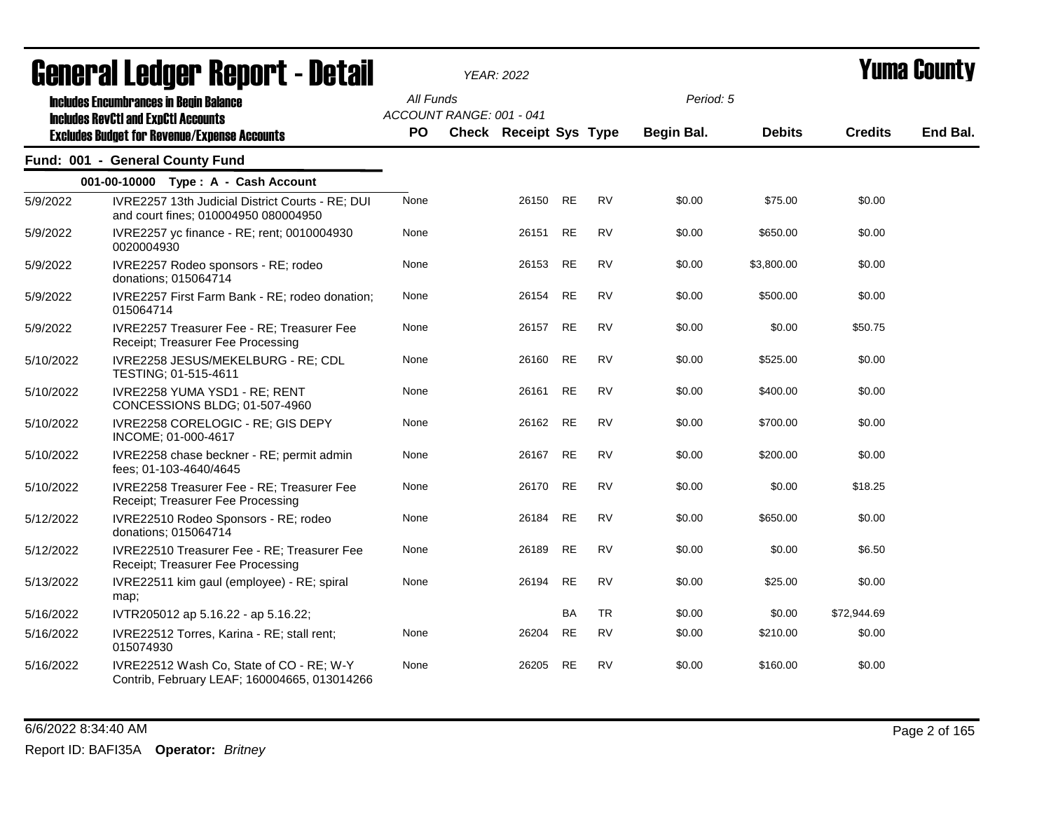|           | ugligi ai lguygi "ligpul l" Dglail                                                                                                                 |                        |                          | YEAR: 2022                    |           |           |                         |               |                | I UMU VVUN LY |
|-----------|----------------------------------------------------------------------------------------------------------------------------------------------------|------------------------|--------------------------|-------------------------------|-----------|-----------|-------------------------|---------------|----------------|---------------|
|           | <b>Includes Encumbrances in Begin Balance</b><br><b>Includes RevCtI and ExpCtI Accounts</b><br><b>Excludes Budget for Revenue/Expense Accounts</b> | All Funds<br><b>PO</b> | ACCOUNT RANGE: 001 - 041 | <b>Check Receipt Sys Type</b> |           |           | Period: 5<br>Begin Bal. | <b>Debits</b> | <b>Credits</b> | End Bal.      |
|           |                                                                                                                                                    |                        |                          |                               |           |           |                         |               |                |               |
|           | Fund: 001 - General County Fund                                                                                                                    |                        |                          |                               |           |           |                         |               |                |               |
|           | 001-00-10000 Type: A - Cash Account                                                                                                                |                        |                          |                               |           |           |                         |               |                |               |
| 5/9/2022  | IVRE2257 13th Judicial District Courts - RE; DUI<br>and court fines; 010004950 080004950                                                           | None                   |                          | 26150 RE                      |           | <b>RV</b> | \$0.00                  | \$75.00       | \$0.00         |               |
| 5/9/2022  | IVRE2257 yc finance - RE; rent; 0010004930<br>0020004930                                                                                           | None                   |                          | 26151                         | RE        | <b>RV</b> | \$0.00                  | \$650.00      | \$0.00         |               |
| 5/9/2022  | IVRE2257 Rodeo sponsors - RE; rodeo<br>donations; 015064714                                                                                        | None                   |                          | 26153                         | RE        | <b>RV</b> | \$0.00                  | \$3,800.00    | \$0.00         |               |
| 5/9/2022  | IVRE2257 First Farm Bank - RE; rodeo donation;<br>015064714                                                                                        | None                   |                          | 26154                         | <b>RE</b> | <b>RV</b> | \$0.00                  | \$500.00      | \$0.00         |               |
| 5/9/2022  | IVRE2257 Treasurer Fee - RE; Treasurer Fee<br>Receipt; Treasurer Fee Processing                                                                    | None                   |                          | 26157                         | <b>RE</b> | <b>RV</b> | \$0.00                  | \$0.00        | \$50.75        |               |
| 5/10/2022 | IVRE2258 JESUS/MEKELBURG - RE; CDL<br>TESTING; 01-515-4611                                                                                         | None                   |                          | 26160                         | <b>RE</b> | <b>RV</b> | \$0.00                  | \$525.00      | \$0.00         |               |
| 5/10/2022 | IVRE2258 YUMA YSD1 - RE; RENT<br>CONCESSIONS BLDG; 01-507-4960                                                                                     | None                   |                          | 26161                         | <b>RE</b> | <b>RV</b> | \$0.00                  | \$400.00      | \$0.00         |               |
| 5/10/2022 | IVRE2258 CORELOGIC - RE; GIS DEPY<br>INCOME; 01-000-4617                                                                                           | None                   |                          | 26162                         | RE        | <b>RV</b> | \$0.00                  | \$700.00      | \$0.00         |               |
| 5/10/2022 | IVRE2258 chase beckner - RE; permit admin<br>fees: 01-103-4640/4645                                                                                | None                   |                          | 26167                         | <b>RE</b> | <b>RV</b> | \$0.00                  | \$200.00      | \$0.00         |               |
| 5/10/2022 | IVRE2258 Treasurer Fee - RE; Treasurer Fee<br>Receipt; Treasurer Fee Processing                                                                    | None                   |                          | 26170                         | <b>RE</b> | <b>RV</b> | \$0.00                  | \$0.00        | \$18.25        |               |
| 5/12/2022 | IVRE22510 Rodeo Sponsors - RE; rodeo<br>donations; 015064714                                                                                       | None                   |                          | 26184                         | RE        | <b>RV</b> | \$0.00                  | \$650.00      | \$0.00         |               |
| 5/12/2022 | <b>IVRE22510 Treasurer Fee - RE: Treasurer Fee</b><br>Receipt; Treasurer Fee Processing                                                            | None                   |                          | 26189                         | RE        | <b>RV</b> | \$0.00                  | \$0.00        | \$6.50         |               |
| 5/13/2022 | IVRE22511 kim gaul (employee) - RE; spiral<br>map;                                                                                                 | None                   |                          | 26194                         | <b>RE</b> | RV        | \$0.00                  | \$25.00       | \$0.00         |               |
| 5/16/2022 | IVTR205012 ap 5.16.22 - ap 5.16.22;                                                                                                                |                        |                          |                               | <b>BA</b> | TR        | \$0.00                  | \$0.00        | \$72,944.69    |               |
| 5/16/2022 | IVRE22512 Torres, Karina - RE; stall rent;<br>015074930                                                                                            | None                   |                          | 26204                         | RE        | RV        | \$0.00                  | \$210.00      | \$0.00         |               |
| 5/16/2022 | IVRE22512 Wash Co, State of CO - RE; W-Y<br>Contrib, February LEAF; 160004665, 013014266                                                           | None                   |                          | 26205                         | RE        | RV        | \$0.00                  | \$160.00      | \$0.00         |               |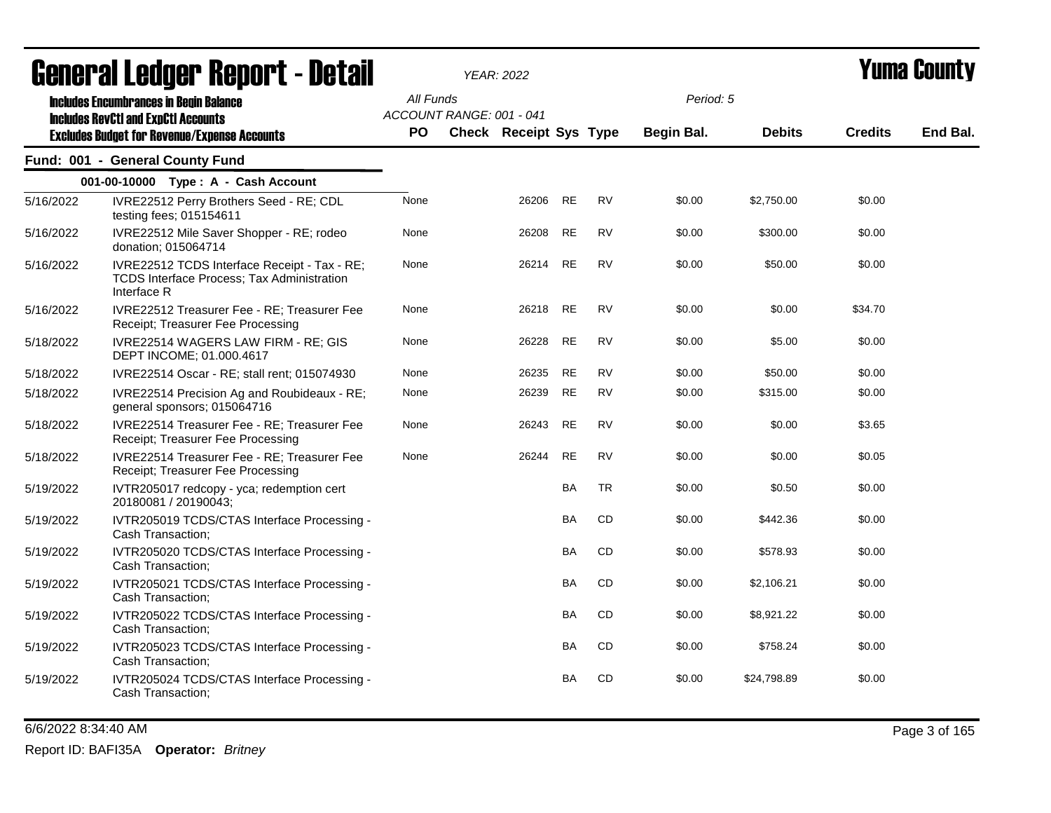|           | agnerai fantar vehni r - nefan                                                                            |           |                          | YEAR: 2022             |           |           |                   |               |                | I UIIIU VUUIIL J |
|-----------|-----------------------------------------------------------------------------------------------------------|-----------|--------------------------|------------------------|-----------|-----------|-------------------|---------------|----------------|------------------|
|           | <b>Includes Encumbrances in Begin Balance</b><br><b>Includes RevCtI and ExpCtI Accounts</b>               | All Funds | ACCOUNT RANGE: 001 - 041 |                        |           |           | Period: 5         |               |                |                  |
|           | <b>Excludes Budget for Revenue/Expense Accounts</b>                                                       | <b>PO</b> |                          | Check Receipt Sys Type |           |           | <b>Begin Bal.</b> | <b>Debits</b> | <b>Credits</b> | End Bal.         |
|           | Fund: 001 - General County Fund                                                                           |           |                          |                        |           |           |                   |               |                |                  |
|           | 001-00-10000 Type: A - Cash Account                                                                       |           |                          |                        |           |           |                   |               |                |                  |
| 5/16/2022 | IVRE22512 Perry Brothers Seed - RE; CDL<br>testing fees; 015154611                                        | None      |                          | 26206                  | RE        | <b>RV</b> | \$0.00            | \$2,750.00    | \$0.00         |                  |
| 5/16/2022 | IVRE22512 Mile Saver Shopper - RE; rodeo<br>donation; 015064714                                           | None      |                          | 26208                  | RE        | <b>RV</b> | \$0.00            | \$300.00      | \$0.00         |                  |
| 5/16/2022 | IVRE22512 TCDS Interface Receipt - Tax - RE;<br>TCDS Interface Process; Tax Administration<br>Interface R | None      |                          | 26214                  | <b>RE</b> | <b>RV</b> | \$0.00            | \$50.00       | \$0.00         |                  |
| 5/16/2022 | IVRE22512 Treasurer Fee - RE; Treasurer Fee<br>Receipt; Treasurer Fee Processing                          | None      |                          | 26218                  | <b>RE</b> | <b>RV</b> | \$0.00            | \$0.00        | \$34.70        |                  |
| 5/18/2022 | IVRE22514 WAGERS LAW FIRM - RE; GIS<br>DEPT INCOME; 01.000.4617                                           | None      |                          | 26228                  | <b>RE</b> | <b>RV</b> | \$0.00            | \$5.00        | \$0.00         |                  |
| 5/18/2022 | IVRE22514 Oscar - RE; stall rent; 015074930                                                               | None      |                          | 26235                  | <b>RE</b> | <b>RV</b> | \$0.00            | \$50.00       | \$0.00         |                  |
| 5/18/2022 | IVRE22514 Precision Ag and Roubideaux - RE;<br>general sponsors; 015064716                                | None      |                          | 26239                  | <b>RE</b> | RV        | \$0.00            | \$315.00      | \$0.00         |                  |
| 5/18/2022 | IVRE22514 Treasurer Fee - RE; Treasurer Fee<br>Receipt; Treasurer Fee Processing                          | None      |                          | 26243                  | <b>RE</b> | <b>RV</b> | \$0.00            | \$0.00        | \$3.65         |                  |
| 5/18/2022 | IVRE22514 Treasurer Fee - RE; Treasurer Fee<br>Receipt; Treasurer Fee Processing                          | None      |                          | 26244                  | <b>RE</b> | <b>RV</b> | \$0.00            | \$0.00        | \$0.05         |                  |
| 5/19/2022 | IVTR205017 redcopy - yca; redemption cert<br>20180081 / 20190043;                                         |           |                          |                        | BA        | <b>TR</b> | \$0.00            | \$0.50        | \$0.00         |                  |
| 5/19/2022 | IVTR205019 TCDS/CTAS Interface Processing -<br>Cash Transaction;                                          |           |                          |                        | BA        | CD        | \$0.00            | \$442.36      | \$0.00         |                  |
| 5/19/2022 | IVTR205020 TCDS/CTAS Interface Processing -<br>Cash Transaction;                                          |           |                          |                        | <b>BA</b> | CD        | \$0.00            | \$578.93      | \$0.00         |                  |
| 5/19/2022 | IVTR205021 TCDS/CTAS Interface Processing -<br>Cash Transaction:                                          |           |                          |                        | BA        | CD        | \$0.00            | \$2,106.21    | \$0.00         |                  |
| 5/19/2022 | IVTR205022 TCDS/CTAS Interface Processing -<br>Cash Transaction;                                          |           |                          |                        | <b>BA</b> | CD        | \$0.00            | \$8,921.22    | \$0.00         |                  |
| 5/19/2022 | IVTR205023 TCDS/CTAS Interface Processing -<br>Cash Transaction;                                          |           |                          |                        | BA        | CD        | \$0.00            | \$758.24      | \$0.00         |                  |
| 5/19/2022 | IVTR205024 TCDS/CTAS Interface Processing -<br>Cash Transaction;                                          |           |                          |                        | <b>BA</b> | CD        | \$0.00            | \$24,798.89   | \$0.00         |                  |

6/6/2022 8:34:40 AM Page 3 of 165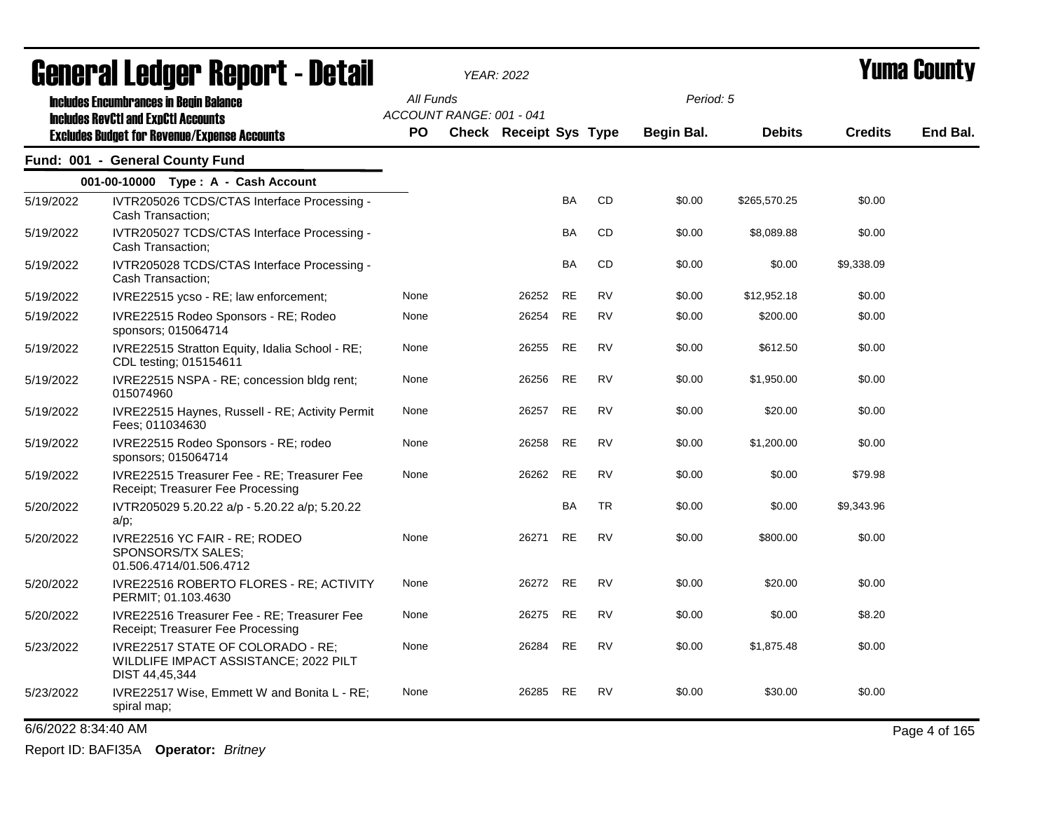|                     | <b>General Ledger Report - Detail</b>                                                        |                          | <b>YEAR: 2022</b>             |           |           |                   |               |                | <b>Yuma County</b> |
|---------------------|----------------------------------------------------------------------------------------------|--------------------------|-------------------------------|-----------|-----------|-------------------|---------------|----------------|--------------------|
|                     | <b>Includes Encumbrances in Begin Balance</b>                                                | All Funds                |                               |           |           | Period: 5         |               |                |                    |
|                     | <b>Includes RevCtI and ExpCtI Accounts</b>                                                   | ACCOUNT RANGE: 001 - 041 |                               |           |           |                   |               |                |                    |
|                     | <b>Excludes Budget for Revenue/Expense Accounts</b>                                          | <b>PO</b>                | <b>Check Receipt Sys Type</b> |           |           | <b>Begin Bal.</b> | <b>Debits</b> | <b>Credits</b> | End Bal.           |
|                     | Fund: 001 - General County Fund                                                              |                          |                               |           |           |                   |               |                |                    |
|                     | 001-00-10000 Type: A - Cash Account                                                          |                          |                               |           |           |                   |               |                |                    |
| 5/19/2022           | IVTR205026 TCDS/CTAS Interface Processing -<br>Cash Transaction;                             |                          |                               | BA        | CD        | \$0.00            | \$265,570.25  | \$0.00         |                    |
| 5/19/2022           | IVTR205027 TCDS/CTAS Interface Processing -<br>Cash Transaction;                             |                          |                               | BA        | CD        | \$0.00            | \$8,089.88    | \$0.00         |                    |
| 5/19/2022           | IVTR205028 TCDS/CTAS Interface Processing -<br>Cash Transaction;                             |                          |                               | BA        | CD        | \$0.00            | \$0.00        | \$9,338.09     |                    |
| 5/19/2022           | IVRE22515 ycso - RE; law enforcement;                                                        | None                     | 26252                         | <b>RE</b> | <b>RV</b> | \$0.00            | \$12,952.18   | \$0.00         |                    |
| 5/19/2022           | IVRE22515 Rodeo Sponsors - RE; Rodeo<br>sponsors; 015064714                                  | None                     | 26254                         | <b>RE</b> | <b>RV</b> | \$0.00            | \$200.00      | \$0.00         |                    |
| 5/19/2022           | IVRE22515 Stratton Equity, Idalia School - RE;<br>CDL testing; 015154611                     | None                     | 26255                         | <b>RE</b> | <b>RV</b> | \$0.00            | \$612.50      | \$0.00         |                    |
| 5/19/2022           | IVRE22515 NSPA - RE; concession bldg rent;<br>015074960                                      | None                     | 26256                         | <b>RE</b> | <b>RV</b> | \$0.00            | \$1,950.00    | \$0.00         |                    |
| 5/19/2022           | IVRE22515 Haynes, Russell - RE; Activity Permit<br>Fees; 011034630                           | None                     | 26257                         | <b>RE</b> | <b>RV</b> | \$0.00            | \$20.00       | \$0.00         |                    |
| 5/19/2022           | IVRE22515 Rodeo Sponsors - RE; rodeo<br>sponsors; 015064714                                  | None                     | 26258                         | <b>RE</b> | <b>RV</b> | \$0.00            | \$1,200.00    | \$0.00         |                    |
| 5/19/2022           | IVRE22515 Treasurer Fee - RE; Treasurer Fee<br>Receipt; Treasurer Fee Processing             | None                     | 26262                         | <b>RE</b> | <b>RV</b> | \$0.00            | \$0.00        | \$79.98        |                    |
| 5/20/2022           | IVTR205029 5.20.22 a/p - 5.20.22 a/p; 5.20.22<br>a/p;                                        |                          |                               | BA        | <b>TR</b> | \$0.00            | \$0.00        | \$9,343.96     |                    |
| 5/20/2022           | IVRE22516 YC FAIR - RE; RODEO<br>SPONSORS/TX SALES;<br>01.506.4714/01.506.4712               | None                     | 26271                         | RE        | RV        | \$0.00            | \$800.00      | \$0.00         |                    |
| 5/20/2022           | IVRE22516 ROBERTO FLORES - RE; ACTIVITY<br>PERMIT; 01.103.4630                               | None                     | 26272                         | <b>RE</b> | <b>RV</b> | \$0.00            | \$20.00       | \$0.00         |                    |
| 5/20/2022           | IVRE22516 Treasurer Fee - RE; Treasurer Fee<br>Receipt; Treasurer Fee Processing             | None                     | 26275                         | RE        | <b>RV</b> | \$0.00            | \$0.00        | \$8.20         |                    |
| 5/23/2022           | IVRE22517 STATE OF COLORADO - RE;<br>WILDLIFE IMPACT ASSISTANCE; 2022 PILT<br>DIST 44,45,344 | None                     | 26284                         | RE        | <b>RV</b> | \$0.00            | \$1,875.48    | \$0.00         |                    |
| 5/23/2022           | IVRE22517 Wise, Emmett W and Bonita L - RE;<br>spiral map;                                   | None                     | 26285                         | RE        | <b>RV</b> | \$0.00            | \$30.00       | \$0.00         |                    |
| 6/6/2022 8:34:40 AM |                                                                                              |                          |                               |           |           |                   |               |                | Page 4 of 165      |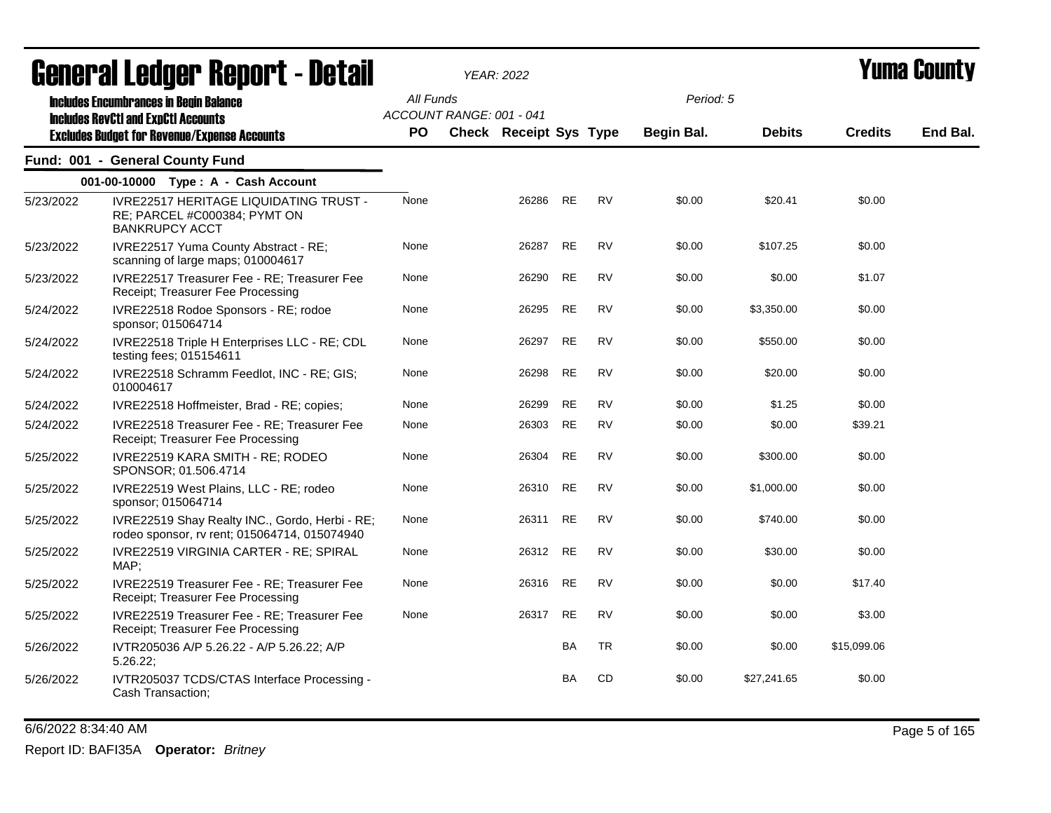|           | General Ledger Report - Detail                                                                         |           |                          | <b>YEAR: 2022</b>             |           |           |            |               |                | Yuma Countv |
|-----------|--------------------------------------------------------------------------------------------------------|-----------|--------------------------|-------------------------------|-----------|-----------|------------|---------------|----------------|-------------|
|           | <b>Includes Encumbrances in Begin Balance</b><br><b>Includes RevCtI and ExpCtI Accounts</b>            | All Funds | ACCOUNT RANGE: 001 - 041 |                               |           |           | Period: 5  |               |                |             |
|           | <b>Excludes Budget for Revenue/Expense Accounts</b>                                                    | <b>PO</b> |                          | <b>Check Receipt Sys Type</b> |           |           | Begin Bal. | <b>Debits</b> | <b>Credits</b> | End Bal.    |
|           | Fund: 001 - General County Fund                                                                        |           |                          |                               |           |           |            |               |                |             |
|           | 001-00-10000 Type: A - Cash Account                                                                    |           |                          |                               |           |           |            |               |                |             |
| 5/23/2022 | <b>IVRE22517 HERITAGE LIQUIDATING TRUST -</b><br>RE; PARCEL #C000384; PYMT ON<br><b>BANKRUPCY ACCT</b> | None      |                          | 26286                         | <b>RE</b> | <b>RV</b> | \$0.00     | \$20.41       | \$0.00         |             |
| 5/23/2022 | IVRE22517 Yuma County Abstract - RE;<br>scanning of large maps; 010004617                              | None      |                          | 26287                         | <b>RE</b> | <b>RV</b> | \$0.00     | \$107.25      | \$0.00         |             |
| 5/23/2022 | IVRE22517 Treasurer Fee - RE; Treasurer Fee<br>Receipt; Treasurer Fee Processing                       | None      |                          | 26290                         | <b>RE</b> | <b>RV</b> | \$0.00     | \$0.00        | \$1.07         |             |
| 5/24/2022 | IVRE22518 Rodoe Sponsors - RE; rodoe<br>sponsor; 015064714                                             | None      |                          | 26295                         | RE        | <b>RV</b> | \$0.00     | \$3,350.00    | \$0.00         |             |
| 5/24/2022 | IVRE22518 Triple H Enterprises LLC - RE; CDL<br>testing fees; 015154611                                | None      |                          | 26297                         | <b>RE</b> | <b>RV</b> | \$0.00     | \$550.00      | \$0.00         |             |
| 5/24/2022 | IVRE22518 Schramm Feedlot, INC - RE; GIS;<br>010004617                                                 | None      |                          | 26298                         | <b>RE</b> | <b>RV</b> | \$0.00     | \$20.00       | \$0.00         |             |
| 5/24/2022 | IVRE22518 Hoffmeister, Brad - RE; copies;                                                              | None      |                          | 26299                         | RE        | <b>RV</b> | \$0.00     | \$1.25        | \$0.00         |             |
| 5/24/2022 | IVRE22518 Treasurer Fee - RE; Treasurer Fee<br>Receipt; Treasurer Fee Processing                       | None      |                          | 26303                         | <b>RE</b> | <b>RV</b> | \$0.00     | \$0.00        | \$39.21        |             |
| 5/25/2022 | IVRE22519 KARA SMITH - RE; RODEO<br>SPONSOR; 01.506.4714                                               | None      |                          | 26304                         | RE        | <b>RV</b> | \$0.00     | \$300.00      | \$0.00         |             |
| 5/25/2022 | IVRE22519 West Plains, LLC - RE; rodeo<br>sponsor; 015064714                                           | None      |                          | 26310                         | <b>RE</b> | <b>RV</b> | \$0.00     | \$1,000.00    | \$0.00         |             |
| 5/25/2022 | IVRE22519 Shay Realty INC., Gordo, Herbi - RE;<br>rodeo sponsor, rv rent; 015064714, 015074940         | None      |                          | 26311                         | RE        | RV        | \$0.00     | \$740.00      | \$0.00         |             |
| 5/25/2022 | IVRE22519 VIRGINIA CARTER - RE; SPIRAL<br>MAP;                                                         | None      |                          | 26312                         | <b>RE</b> | <b>RV</b> | \$0.00     | \$30.00       | \$0.00         |             |
| 5/25/2022 | IVRE22519 Treasurer Fee - RE; Treasurer Fee<br>Receipt; Treasurer Fee Processing                       | None      |                          | 26316                         | <b>RE</b> | <b>RV</b> | \$0.00     | \$0.00        | \$17.40        |             |
| 5/25/2022 | IVRE22519 Treasurer Fee - RE; Treasurer Fee<br>Receipt; Treasurer Fee Processing                       | None      |                          | 26317                         | <b>RE</b> | <b>RV</b> | \$0.00     | \$0.00        | \$3.00         |             |
| 5/26/2022 | IVTR205036 A/P 5.26.22 - A/P 5.26.22; A/P<br>$5.26.22$ ;                                               |           |                          |                               | <b>BA</b> | <b>TR</b> | \$0.00     | \$0.00        | \$15,099.06    |             |
| 5/26/2022 | IVTR205037 TCDS/CTAS Interface Processing -<br>Cash Transaction;                                       |           |                          |                               | BA        | CD        | \$0.00     | \$27,241.65   | \$0.00         |             |

6/6/2022 8:34:40 AM Page 5 of 165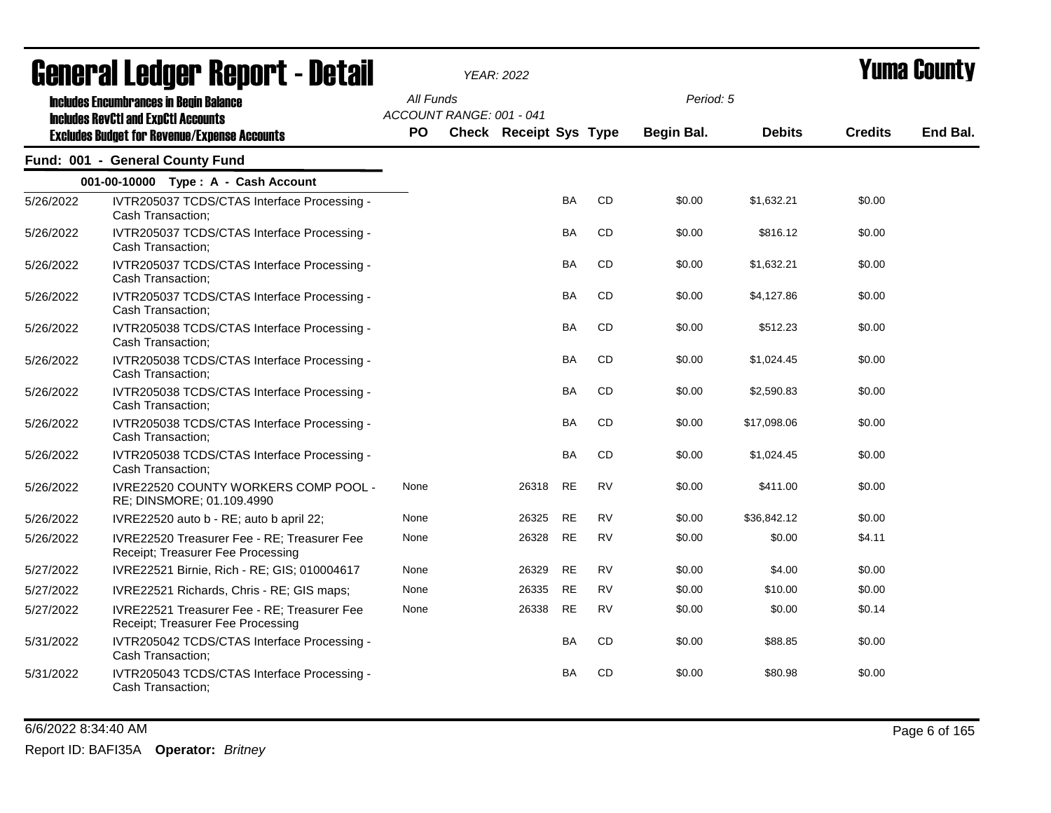|           | ugligi ai lguygi ngpulil - Dglail                                                           |           |                          | YEAR: 2022                    |           |           |            |               |                | I UIIIU VUUIILY |
|-----------|---------------------------------------------------------------------------------------------|-----------|--------------------------|-------------------------------|-----------|-----------|------------|---------------|----------------|-----------------|
|           | <b>Includes Encumbrances in Begin Balance</b><br><b>Includes RevCtI and ExpCtI Accounts</b> | All Funds | ACCOUNT RANGE: 001 - 041 |                               |           |           | Period: 5  |               |                |                 |
|           | <b>Excludes Budget for Revenue/Expense Accounts</b>                                         | PO.       |                          | <b>Check Receipt Sys Type</b> |           |           | Begin Bal. | <b>Debits</b> | <b>Credits</b> | End Bal.        |
|           | Fund: 001 - General County Fund                                                             |           |                          |                               |           |           |            |               |                |                 |
|           | 001-00-10000 Type: A - Cash Account                                                         |           |                          |                               |           |           |            |               |                |                 |
| 5/26/2022 | IVTR205037 TCDS/CTAS Interface Processing -<br>Cash Transaction;                            |           |                          |                               | BA        | CD        | \$0.00     | \$1,632.21    | \$0.00         |                 |
| 5/26/2022 | IVTR205037 TCDS/CTAS Interface Processing -<br>Cash Transaction;                            |           |                          |                               | <b>BA</b> | <b>CD</b> | \$0.00     | \$816.12      | \$0.00         |                 |
| 5/26/2022 | IVTR205037 TCDS/CTAS Interface Processing -<br>Cash Transaction;                            |           |                          |                               | BA        | CD        | \$0.00     | \$1,632.21    | \$0.00         |                 |
| 5/26/2022 | IVTR205037 TCDS/CTAS Interface Processing -<br>Cash Transaction;                            |           |                          |                               | BA        | CD        | \$0.00     | \$4,127.86    | \$0.00         |                 |
| 5/26/2022 | IVTR205038 TCDS/CTAS Interface Processing -<br>Cash Transaction;                            |           |                          |                               | <b>BA</b> | CD        | \$0.00     | \$512.23      | \$0.00         |                 |
| 5/26/2022 | IVTR205038 TCDS/CTAS Interface Processing -<br>Cash Transaction;                            |           |                          |                               | <b>BA</b> | <b>CD</b> | \$0.00     | \$1,024.45    | \$0.00         |                 |
| 5/26/2022 | IVTR205038 TCDS/CTAS Interface Processing -<br>Cash Transaction;                            |           |                          |                               | BA        | CD        | \$0.00     | \$2,590.83    | \$0.00         |                 |
| 5/26/2022 | IVTR205038 TCDS/CTAS Interface Processing -<br>Cash Transaction;                            |           |                          |                               | BA        | CD        | \$0.00     | \$17,098.06   | \$0.00         |                 |
| 5/26/2022 | IVTR205038 TCDS/CTAS Interface Processing -<br>Cash Transaction;                            |           |                          |                               | <b>BA</b> | CD        | \$0.00     | \$1,024.45    | \$0.00         |                 |
| 5/26/2022 | IVRE22520 COUNTY WORKERS COMP POOL -<br>RE; DINSMORE; 01.109.4990                           | None      |                          | 26318                         | <b>RE</b> | <b>RV</b> | \$0.00     | \$411.00      | \$0.00         |                 |
| 5/26/2022 | IVRE22520 auto b - RE; auto b april 22;                                                     | None      |                          | 26325                         | <b>RE</b> | <b>RV</b> | \$0.00     | \$36,842.12   | \$0.00         |                 |
| 5/26/2022 | IVRE22520 Treasurer Fee - RE; Treasurer Fee<br>Receipt; Treasurer Fee Processing            | None      |                          | 26328                         | <b>RE</b> | <b>RV</b> | \$0.00     | \$0.00        | \$4.11         |                 |
| 5/27/2022 | IVRE22521 Birnie, Rich - RE; GIS; 010004617                                                 | None      |                          | 26329                         | <b>RE</b> | <b>RV</b> | \$0.00     | \$4.00        | \$0.00         |                 |
| 5/27/2022 | IVRE22521 Richards, Chris - RE; GIS maps;                                                   | None      |                          | 26335                         | <b>RE</b> | <b>RV</b> | \$0.00     | \$10.00       | \$0.00         |                 |
| 5/27/2022 | IVRE22521 Treasurer Fee - RE; Treasurer Fee<br>Receipt; Treasurer Fee Processing            | None      |                          | 26338                         | <b>RE</b> | <b>RV</b> | \$0.00     | \$0.00        | \$0.14         |                 |
| 5/31/2022 | IVTR205042 TCDS/CTAS Interface Processing -<br>Cash Transaction;                            |           |                          |                               | BA        | CD        | \$0.00     | \$88.85       | \$0.00         |                 |
| 5/31/2022 | IVTR205043 TCDS/CTAS Interface Processing -<br>Cash Transaction;                            |           |                          |                               | BA        | CD        | \$0.00     | \$80.98       | \$0.00         |                 |

6/6/2022 8:34:40 AM Page 6 of 165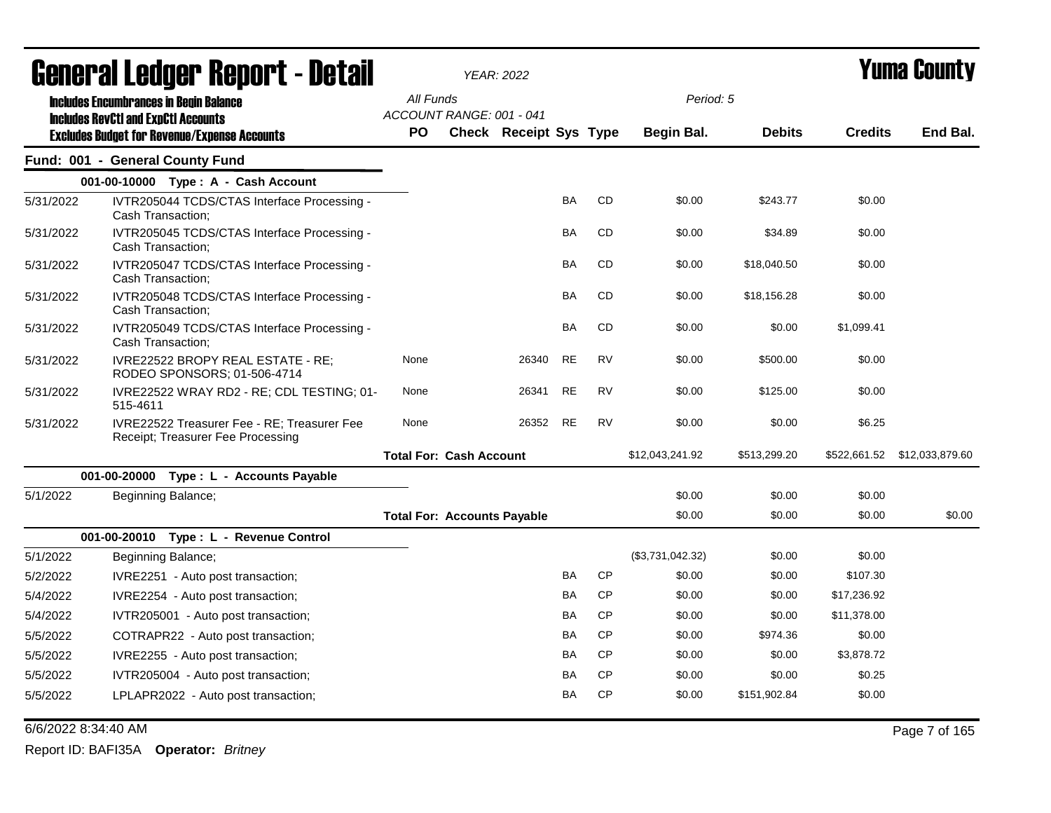|           | General Ledger Report - Detail                                                   |                                    | YEAR: 2022 |                        |           |           |                  |               |                | <b>Yuma County</b> |
|-----------|----------------------------------------------------------------------------------|------------------------------------|------------|------------------------|-----------|-----------|------------------|---------------|----------------|--------------------|
|           | <b>Includes Encumbrances in Begin Balance</b>                                    | All Funds                          |            |                        |           |           | Period: 5        |               |                |                    |
|           | <b>Includes RevCtI and ExpCtI Accounts</b>                                       | ACCOUNT RANGE: 001 - 041           |            |                        |           |           |                  |               |                | End Bal.           |
|           | <b>Excludes Budget for Revenue/Expense Accounts</b>                              | <b>PO</b>                          |            | Check Receipt Sys Type |           |           | Begin Bal.       | <b>Debits</b> | <b>Credits</b> |                    |
|           | Fund: 001 - General County Fund                                                  |                                    |            |                        |           |           |                  |               |                |                    |
|           | 001-00-10000 Type: A - Cash Account                                              |                                    |            |                        |           |           |                  |               |                |                    |
| 5/31/2022 | IVTR205044 TCDS/CTAS Interface Processing -<br>Cash Transaction;                 |                                    |            |                        | <b>BA</b> | CD        | \$0.00           | \$243.77      | \$0.00         |                    |
| 5/31/2022 | IVTR205045 TCDS/CTAS Interface Processing -<br>Cash Transaction;                 |                                    |            |                        | <b>BA</b> | CD        | \$0.00           | \$34.89       | \$0.00         |                    |
| 5/31/2022 | IVTR205047 TCDS/CTAS Interface Processing -<br>Cash Transaction;                 |                                    |            |                        | <b>BA</b> | CD        | \$0.00           | \$18,040.50   | \$0.00         |                    |
| 5/31/2022 | IVTR205048 TCDS/CTAS Interface Processing -<br>Cash Transaction;                 |                                    |            |                        | BA        | CD        | \$0.00           | \$18,156.28   | \$0.00         |                    |
| 5/31/2022 | IVTR205049 TCDS/CTAS Interface Processing -<br>Cash Transaction;                 |                                    |            |                        | <b>BA</b> | <b>CD</b> | \$0.00           | \$0.00        | \$1,099.41     |                    |
| 5/31/2022 | IVRE22522 BROPY REAL ESTATE - RE;<br>RODEO SPONSORS; 01-506-4714                 | None                               |            | 26340                  | <b>RE</b> | <b>RV</b> | \$0.00           | \$500.00      | \$0.00         |                    |
| 5/31/2022 | IVRE22522 WRAY RD2 - RE; CDL TESTING; 01-<br>515-4611                            | None                               |            | 26341                  | <b>RE</b> | <b>RV</b> | \$0.00           | \$125.00      | \$0.00         |                    |
| 5/31/2022 | IVRE22522 Treasurer Fee - RE; Treasurer Fee<br>Receipt: Treasurer Fee Processing | None                               |            | 26352                  | <b>RE</b> | <b>RV</b> | \$0.00           | \$0.00        | \$6.25         |                    |
|           |                                                                                  | <b>Total For: Cash Account</b>     |            |                        |           |           | \$12,043,241.92  | \$513,299.20  |                |                    |
|           | 001-00-20000 Type: L - Accounts Payable                                          |                                    |            |                        |           |           |                  |               |                |                    |
| 5/1/2022  | Beginning Balance;                                                               |                                    |            |                        |           |           | \$0.00           | \$0.00        | \$0.00         |                    |
|           |                                                                                  | <b>Total For: Accounts Payable</b> |            |                        |           |           | \$0.00           | \$0.00        | \$0.00         | \$0.00             |
|           | 001-00-20010 Type: L - Revenue Control                                           |                                    |            |                        |           |           |                  |               |                |                    |
| 5/1/2022  | Beginning Balance;                                                               |                                    |            |                        |           |           | (\$3,731,042.32) | \$0.00        | \$0.00         |                    |
| 5/2/2022  | IVRE2251 - Auto post transaction;                                                |                                    |            |                        | <b>BA</b> | <b>CP</b> | \$0.00           | \$0.00        | \$107.30       |                    |
| 5/4/2022  | IVRE2254 - Auto post transaction;                                                |                                    |            |                        | BA        | <b>CP</b> | \$0.00           | \$0.00        | \$17,236.92    |                    |
| 5/4/2022  | IVTR205001 - Auto post transaction;                                              |                                    |            |                        | <b>BA</b> | CP        | \$0.00           | \$0.00        | \$11,378.00    |                    |
| 5/5/2022  | COTRAPR22 - Auto post transaction;                                               |                                    |            |                        | BA        | <b>CP</b> | \$0.00           | \$974.36      | \$0.00         |                    |
| 5/5/2022  | IVRE2255 - Auto post transaction;                                                |                                    |            |                        | <b>BA</b> | <b>CP</b> | \$0.00           | \$0.00        | \$3,878.72     |                    |
| 5/5/2022  | IVTR205004 - Auto post transaction;                                              |                                    |            |                        | <b>BA</b> | <b>CP</b> | \$0.00           | \$0.00        | \$0.25         |                    |
| 5/5/2022  | LPLAPR2022 - Auto post transaction;                                              |                                    |            |                        | <b>BA</b> | CP        | \$0.00           | \$151,902.84  | \$0.00         |                    |

6/6/2022 8:34:40 AM Page 7 of 165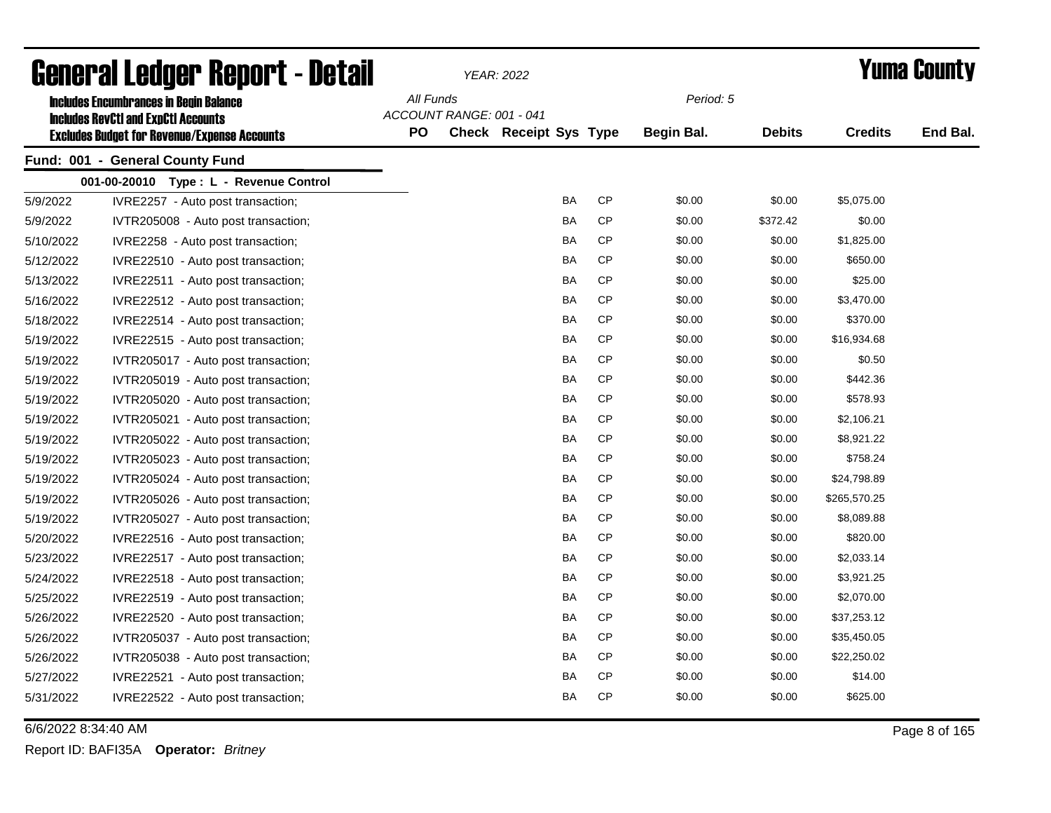|           | General Ledger Report - Detail                                                              |           |                          | YEAR: 2022             |           |                   |               |                | <b>Yuma County</b> |
|-----------|---------------------------------------------------------------------------------------------|-----------|--------------------------|------------------------|-----------|-------------------|---------------|----------------|--------------------|
|           | <b>Includes Encumbrances in Begin Balance</b><br><b>Includes RevCtI and ExpCtI Accounts</b> | All Funds | ACCOUNT RANGE: 001 - 041 |                        |           | Period: 5         |               |                |                    |
|           | <b>Excludes Budget for Revenue/Expense Accounts</b>                                         | <b>PO</b> |                          | Check Receipt Sys Type |           | <b>Begin Bal.</b> | <b>Debits</b> | <b>Credits</b> | End Bal.           |
|           | Fund: 001 - General County Fund                                                             |           |                          |                        |           |                   |               |                |                    |
|           | 001-00-20010 Type: L - Revenue Control                                                      |           |                          |                        |           |                   |               |                |                    |
| 5/9/2022  | IVRE2257 - Auto post transaction;                                                           |           |                          | BA                     | <b>CP</b> | \$0.00            | \$0.00        | \$5,075.00     |                    |
| 5/9/2022  | IVTR205008 - Auto post transaction;                                                         |           |                          | <b>BA</b>              | <b>CP</b> | \$0.00            | \$372.42      | \$0.00         |                    |
| 5/10/2022 | IVRE2258 - Auto post transaction;                                                           |           |                          | BA                     | СP        | \$0.00            | \$0.00        | \$1,825.00     |                    |
| 5/12/2022 | IVRE22510 - Auto post transaction;                                                          |           |                          | <b>BA</b>              | <b>CP</b> | \$0.00            | \$0.00        | \$650.00       |                    |
| 5/13/2022 | IVRE22511 - Auto post transaction;                                                          |           |                          | BA                     | <b>CP</b> | \$0.00            | \$0.00        | \$25.00        |                    |
| 5/16/2022 | IVRE22512 - Auto post transaction;                                                          |           |                          | BA                     | <b>CP</b> | \$0.00            | \$0.00        | \$3,470.00     |                    |
| 5/18/2022 | IVRE22514 - Auto post transaction;                                                          |           |                          | BA                     | <b>CP</b> | \$0.00            | \$0.00        | \$370.00       |                    |
| 5/19/2022 | IVRE22515 - Auto post transaction;                                                          |           |                          | BA                     | CP        | \$0.00            | \$0.00        | \$16,934.68    |                    |
| 5/19/2022 | IVTR205017 - Auto post transaction;                                                         |           |                          | <b>BA</b>              | <b>CP</b> | \$0.00            | \$0.00        | \$0.50         |                    |
| 5/19/2022 | IVTR205019 - Auto post transaction;                                                         |           |                          | BA                     | <b>CP</b> | \$0.00            | \$0.00        | \$442.36       |                    |
| 5/19/2022 | IVTR205020 - Auto post transaction;                                                         |           |                          | BA                     | <b>CP</b> | \$0.00            | \$0.00        | \$578.93       |                    |
| 5/19/2022 | IVTR205021 - Auto post transaction;                                                         |           |                          | BA                     | <b>CP</b> | \$0.00            | \$0.00        | \$2,106.21     |                    |
| 5/19/2022 | IVTR205022 - Auto post transaction;                                                         |           |                          | BA                     | <b>CP</b> | \$0.00            | \$0.00        | \$8,921.22     |                    |
| 5/19/2022 | IVTR205023 - Auto post transaction;                                                         |           |                          | BA                     | <b>CP</b> | \$0.00            | \$0.00        | \$758.24       |                    |
| 5/19/2022 | IVTR205024 - Auto post transaction;                                                         |           |                          | BA                     | <b>CP</b> | \$0.00            | \$0.00        | \$24,798.89    |                    |
| 5/19/2022 | IVTR205026 - Auto post transaction;                                                         |           |                          | BA                     | <b>CP</b> | \$0.00            | \$0.00        | \$265,570.25   |                    |
| 5/19/2022 | IVTR205027 - Auto post transaction;                                                         |           |                          | BA                     | <b>CP</b> | \$0.00            | \$0.00        | \$8,089.88     |                    |
| 5/20/2022 | IVRE22516 - Auto post transaction;                                                          |           |                          | BA                     | <b>CP</b> | \$0.00            | \$0.00        | \$820.00       |                    |
| 5/23/2022 | IVRE22517 - Auto post transaction;                                                          |           |                          | BA                     | <b>CP</b> | \$0.00            | \$0.00        | \$2,033.14     |                    |
| 5/24/2022 | IVRE22518 - Auto post transaction;                                                          |           |                          | BA                     | CP        | \$0.00            | \$0.00        | \$3,921.25     |                    |
| 5/25/2022 | IVRE22519 - Auto post transaction;                                                          |           |                          | BA                     | <b>CP</b> | \$0.00            | \$0.00        | \$2,070.00     |                    |
| 5/26/2022 | IVRE22520 - Auto post transaction;                                                          |           |                          | BA                     | <b>CP</b> | \$0.00            | \$0.00        | \$37,253.12    |                    |
| 5/26/2022 | IVTR205037 - Auto post transaction;                                                         |           |                          | BA                     | CP        | \$0.00            | \$0.00        | \$35,450.05    |                    |
| 5/26/2022 | IVTR205038 - Auto post transaction;                                                         |           |                          | BA                     | CP        | \$0.00            | \$0.00        | \$22,250.02    |                    |
| 5/27/2022 | IVRE22521 - Auto post transaction;                                                          |           |                          | BA                     | CP        | \$0.00            | \$0.00        | \$14.00        |                    |
| 5/31/2022 | IVRE22522 - Auto post transaction;                                                          |           |                          | <b>BA</b>              | <b>CP</b> | \$0.00            | \$0.00        | \$625.00       |                    |

6/6/2022 8:34:40 AM Page 8 of 165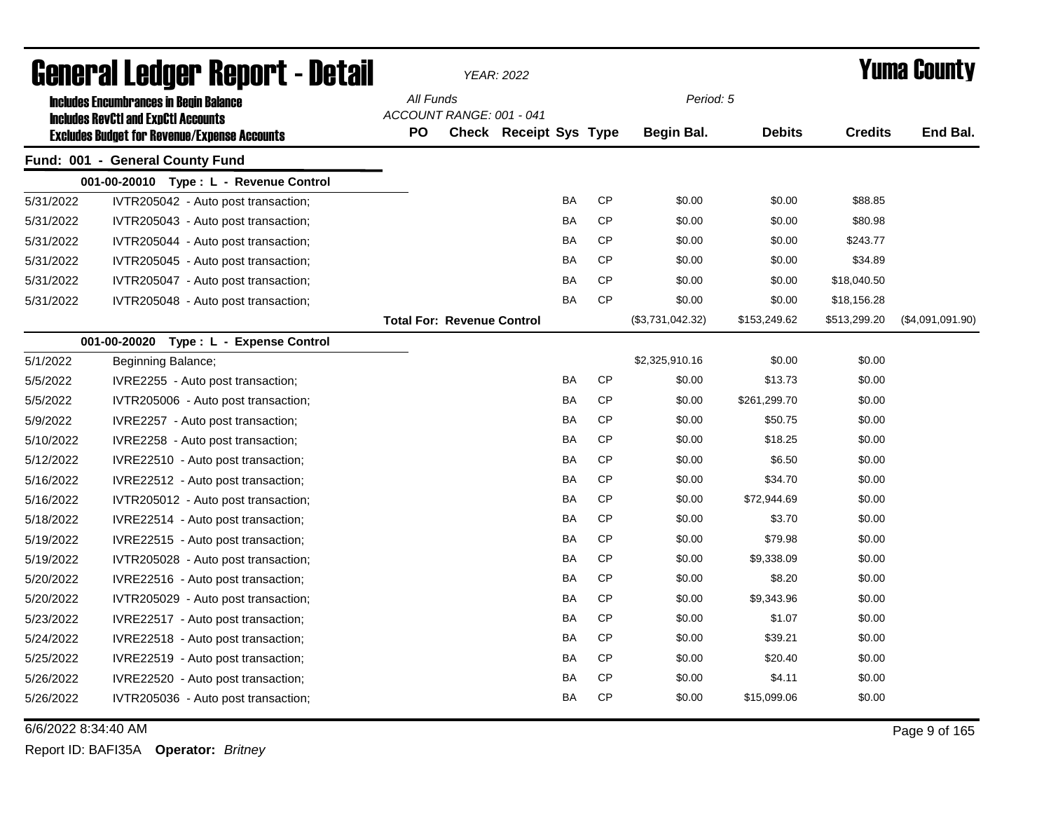|           | <b>General Ledger Report - Detail</b>                                                             |           |                                   | <b>YEAR: 2022</b>      |           |           |                   |               |                | <b>Yuma County</b> |
|-----------|---------------------------------------------------------------------------------------------------|-----------|-----------------------------------|------------------------|-----------|-----------|-------------------|---------------|----------------|--------------------|
|           | <b>Includes Encumbrances in Begin Balance</b>                                                     | All Funds |                                   |                        |           |           | Period: 5         |               |                |                    |
|           | <b>Includes RevCtI and ExpCtI Accounts</b><br><b>Excludes Budget for Revenue/Expense Accounts</b> | PO        | ACCOUNT RANGE: 001 - 041          | Check Receipt Sys Type |           |           | <b>Begin Bal.</b> | <b>Debits</b> | <b>Credits</b> | End Bal.           |
|           | Fund: 001 - General County Fund                                                                   |           |                                   |                        |           |           |                   |               |                |                    |
|           | 001-00-20010 Type: L - Revenue Control                                                            |           |                                   |                        |           |           |                   |               |                |                    |
| 5/31/2022 | IVTR205042 - Auto post transaction;                                                               |           |                                   |                        | <b>BA</b> | <b>CP</b> | \$0.00            | \$0.00        | \$88.85        |                    |
| 5/31/2022 | IVTR205043 - Auto post transaction;                                                               |           |                                   |                        | <b>BA</b> | <b>CP</b> | \$0.00            | \$0.00        | \$80.98        |                    |
| 5/31/2022 | IVTR205044 - Auto post transaction;                                                               |           |                                   |                        | <b>BA</b> | <b>CP</b> | \$0.00            | \$0.00        | \$243.77       |                    |
| 5/31/2022 | IVTR205045 - Auto post transaction;                                                               |           |                                   |                        | BA        | <b>CP</b> | \$0.00            | \$0.00        | \$34.89        |                    |
| 5/31/2022 | IVTR205047 - Auto post transaction;                                                               |           |                                   |                        | BA        | <b>CP</b> | \$0.00            | \$0.00        | \$18,040.50    |                    |
| 5/31/2022 | IVTR205048 - Auto post transaction;                                                               |           |                                   |                        | BA        | <b>CP</b> | \$0.00            | \$0.00        | \$18,156.28    |                    |
|           |                                                                                                   |           | <b>Total For: Revenue Control</b> |                        |           |           | (\$3,731,042.32)  | \$153,249.62  | \$513,299.20   | (\$4,091,091.90)   |
|           | 001-00-20020 Type: L - Expense Control                                                            |           |                                   |                        |           |           |                   |               |                |                    |
| 5/1/2022  | Beginning Balance;                                                                                |           |                                   |                        |           |           | \$2,325,910.16    | \$0.00        | \$0.00         |                    |
| 5/5/2022  | IVRE2255 - Auto post transaction;                                                                 |           |                                   |                        | <b>BA</b> | <b>CP</b> | \$0.00            | \$13.73       | \$0.00         |                    |
| 5/5/2022  | IVTR205006 - Auto post transaction;                                                               |           |                                   |                        | BA        | CP        | \$0.00            | \$261,299.70  | \$0.00         |                    |
| 5/9/2022  | IVRE2257 - Auto post transaction;                                                                 |           |                                   |                        | <b>BA</b> | CP        | \$0.00            | \$50.75       | \$0.00         |                    |
| 5/10/2022 | IVRE2258 - Auto post transaction;                                                                 |           |                                   |                        | BA        | <b>CP</b> | \$0.00            | \$18.25       | \$0.00         |                    |
| 5/12/2022 | IVRE22510 - Auto post transaction;                                                                |           |                                   |                        | BA        | <b>CP</b> | \$0.00            | \$6.50        | \$0.00         |                    |
| 5/16/2022 | IVRE22512 - Auto post transaction;                                                                |           |                                   |                        | BA        | <b>CP</b> | \$0.00            | \$34.70       | \$0.00         |                    |
| 5/16/2022 | IVTR205012 - Auto post transaction;                                                               |           |                                   |                        | BA        | <b>CP</b> | \$0.00            | \$72,944.69   | \$0.00         |                    |
| 5/18/2022 | IVRE22514 - Auto post transaction;                                                                |           |                                   |                        | BA        | <b>CP</b> | \$0.00            | \$3.70        | \$0.00         |                    |
| 5/19/2022 | IVRE22515 - Auto post transaction;                                                                |           |                                   |                        | BA        | <b>CP</b> | \$0.00            | \$79.98       | \$0.00         |                    |
| 5/19/2022 | IVTR205028 - Auto post transaction;                                                               |           |                                   |                        | BA        | <b>CP</b> | \$0.00            | \$9,338.09    | \$0.00         |                    |
| 5/20/2022 | IVRE22516 - Auto post transaction;                                                                |           |                                   |                        | BA        | <b>CP</b> | \$0.00            | \$8.20        | \$0.00         |                    |
| 5/20/2022 | IVTR205029 - Auto post transaction;                                                               |           |                                   |                        | BA        | <b>CP</b> | \$0.00            | \$9,343.96    | \$0.00         |                    |
| 5/23/2022 | IVRE22517 - Auto post transaction;                                                                |           |                                   |                        | BA        | <b>CP</b> | \$0.00            | \$1.07        | \$0.00         |                    |
| 5/24/2022 | IVRE22518 - Auto post transaction;                                                                |           |                                   |                        | BA        | <b>CP</b> | \$0.00            | \$39.21       | \$0.00         |                    |
| 5/25/2022 | IVRE22519 - Auto post transaction;                                                                |           |                                   |                        | <b>BA</b> | <b>CP</b> | \$0.00            | \$20.40       | \$0.00         |                    |
| 5/26/2022 | IVRE22520 - Auto post transaction;                                                                |           |                                   |                        | BA        | <b>CP</b> | \$0.00            | \$4.11        | \$0.00         |                    |
| 5/26/2022 | IVTR205036 - Auto post transaction;                                                               |           |                                   |                        | BA        | <b>CP</b> | \$0.00            | \$15,099.06   | \$0.00         |                    |

6/6/2022 8:34:40 AM Page 9 of 165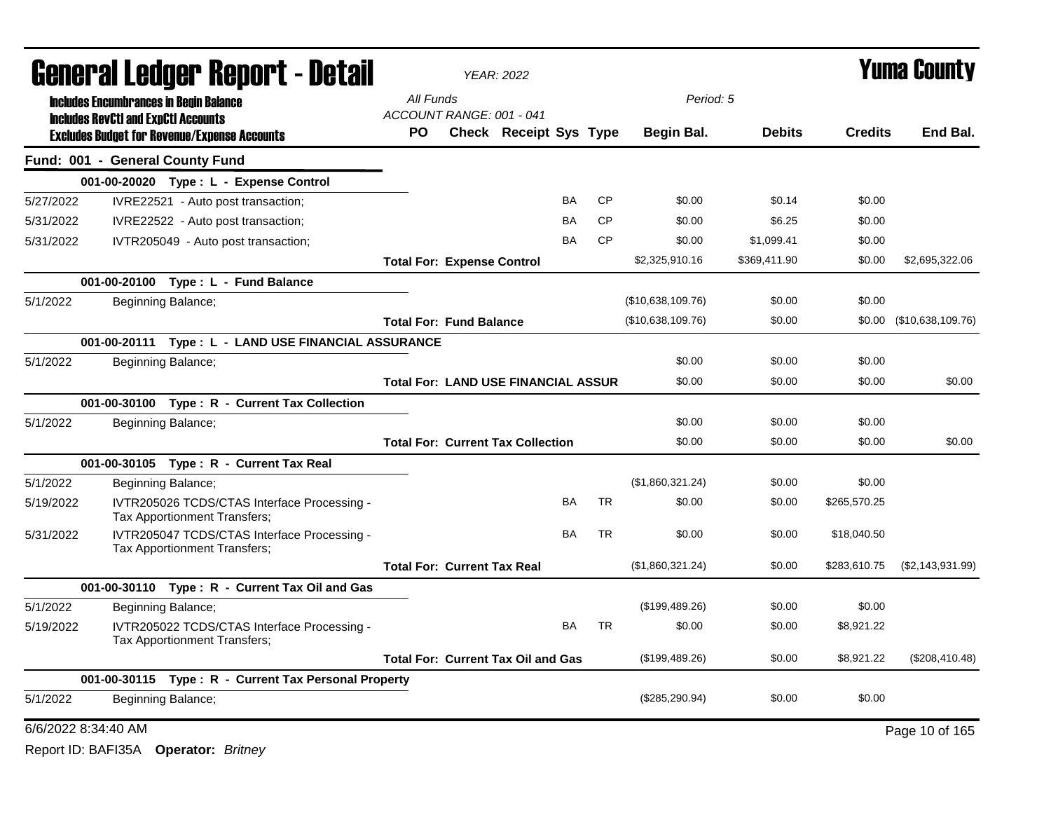|                     | General Ledger Report - Detail                                                              |                                            | <b>YEAR: 2022</b>      |           |           |                   |               |                | Yuma County              |
|---------------------|---------------------------------------------------------------------------------------------|--------------------------------------------|------------------------|-----------|-----------|-------------------|---------------|----------------|--------------------------|
|                     | <b>Includes Encumbrances in Begin Balance</b><br><b>Includes RevCtI and ExpCtI Accounts</b> | All Funds<br>ACCOUNT RANGE: 001 - 041      |                        |           |           | Period: 5         |               |                |                          |
|                     | <b>Excludes Budget for Revenue/Expense Accounts</b>                                         | <b>PO</b>                                  | Check Receipt Sys Type |           |           | Begin Bal.        | <b>Debits</b> | <b>Credits</b> | End Bal.                 |
|                     | Fund: 001 - General County Fund                                                             |                                            |                        |           |           |                   |               |                |                          |
|                     | 001-00-20020 Type: L - Expense Control                                                      |                                            |                        |           |           |                   |               |                |                          |
| 5/27/2022           | IVRE22521 - Auto post transaction;                                                          |                                            |                        | <b>BA</b> | CP        | \$0.00            | \$0.14        | \$0.00         |                          |
| 5/31/2022           | IVRE22522 - Auto post transaction;                                                          |                                            |                        | BA        | <b>CP</b> | \$0.00            | \$6.25        | \$0.00         |                          |
| 5/31/2022           | IVTR205049 - Auto post transaction;                                                         |                                            |                        | BA        | <b>CP</b> | \$0.00            | \$1,099.41    | \$0.00         |                          |
|                     |                                                                                             | <b>Total For: Expense Control</b>          |                        |           |           | \$2,325,910.16    | \$369,411.90  | \$0.00         | \$2,695,322.06           |
|                     | 001-00-20100 Type: L - Fund Balance                                                         |                                            |                        |           |           |                   |               |                |                          |
| 5/1/2022            | Beginning Balance;                                                                          |                                            |                        |           |           | (\$10,638,109.76) | \$0.00        | \$0.00         |                          |
|                     |                                                                                             | <b>Total For: Fund Balance</b>             |                        |           |           | (\$10,638,109.76) | \$0.00        |                | \$0.00 (\$10,638,109.76) |
|                     | 001-00-20111 Type: L - LAND USE FINANCIAL ASSURANCE                                         |                                            |                        |           |           |                   |               |                |                          |
| 5/1/2022            | Beginning Balance;                                                                          |                                            |                        |           |           | \$0.00            | \$0.00        | \$0.00         |                          |
|                     |                                                                                             | <b>Total For: LAND USE FINANCIAL ASSUR</b> |                        |           |           | \$0.00            | \$0.00        | \$0.00         | \$0.00                   |
|                     | 001-00-30100 Type: R - Current Tax Collection                                               |                                            |                        |           |           |                   |               |                |                          |
| 5/1/2022            | Beginning Balance;                                                                          |                                            |                        |           |           | \$0.00            | \$0.00        | \$0.00         |                          |
|                     |                                                                                             | <b>Total For: Current Tax Collection</b>   |                        |           |           | \$0.00            | \$0.00        | \$0.00         | \$0.00                   |
|                     | 001-00-30105 Type: R - Current Tax Real                                                     |                                            |                        |           |           |                   |               |                |                          |
| 5/1/2022            | Beginning Balance;                                                                          |                                            |                        |           |           | (\$1,860,321.24)  | \$0.00        | \$0.00         |                          |
| 5/19/2022           | IVTR205026 TCDS/CTAS Interface Processing -<br>Tax Apportionment Transfers;                 |                                            |                        | BA        | <b>TR</b> | \$0.00            | \$0.00        | \$265,570.25   |                          |
| 5/31/2022           | IVTR205047 TCDS/CTAS Interface Processing -<br>Tax Apportionment Transfers;                 |                                            |                        | BA        | <b>TR</b> | \$0.00            | \$0.00        | \$18,040.50    |                          |
|                     |                                                                                             | <b>Total For: Current Tax Real</b>         |                        |           |           | (\$1,860,321.24)  | \$0.00        | \$283,610.75   | (S2, 143, 931.99)        |
|                     | 001-00-30110 Type: R - Current Tax Oil and Gas                                              |                                            |                        |           |           |                   |               |                |                          |
| 5/1/2022            | Beginning Balance;                                                                          |                                            |                        |           |           | (\$199,489.26)    | \$0.00        | \$0.00         |                          |
| 5/19/2022           | IVTR205022 TCDS/CTAS Interface Processing -<br>Tax Apportionment Transfers;                 |                                            |                        | <b>BA</b> | <b>TR</b> | \$0.00            | \$0.00        | \$8,921.22     |                          |
|                     |                                                                                             | <b>Total For: Current Tax Oil and Gas</b>  |                        |           |           | (\$199,489.26)    | \$0.00        | \$8,921.22     | (\$208,410.48)           |
|                     | 001-00-30115 Type: R - Current Tax Personal Property                                        |                                            |                        |           |           |                   |               |                |                          |
| 5/1/2022            | Beginning Balance;                                                                          |                                            |                        |           |           | (\$285,290.94)    | \$0.00        | \$0.00         |                          |
| 6/6/2022 8:34:40 AM |                                                                                             |                                            |                        |           |           |                   |               |                | Page 10 of 165           |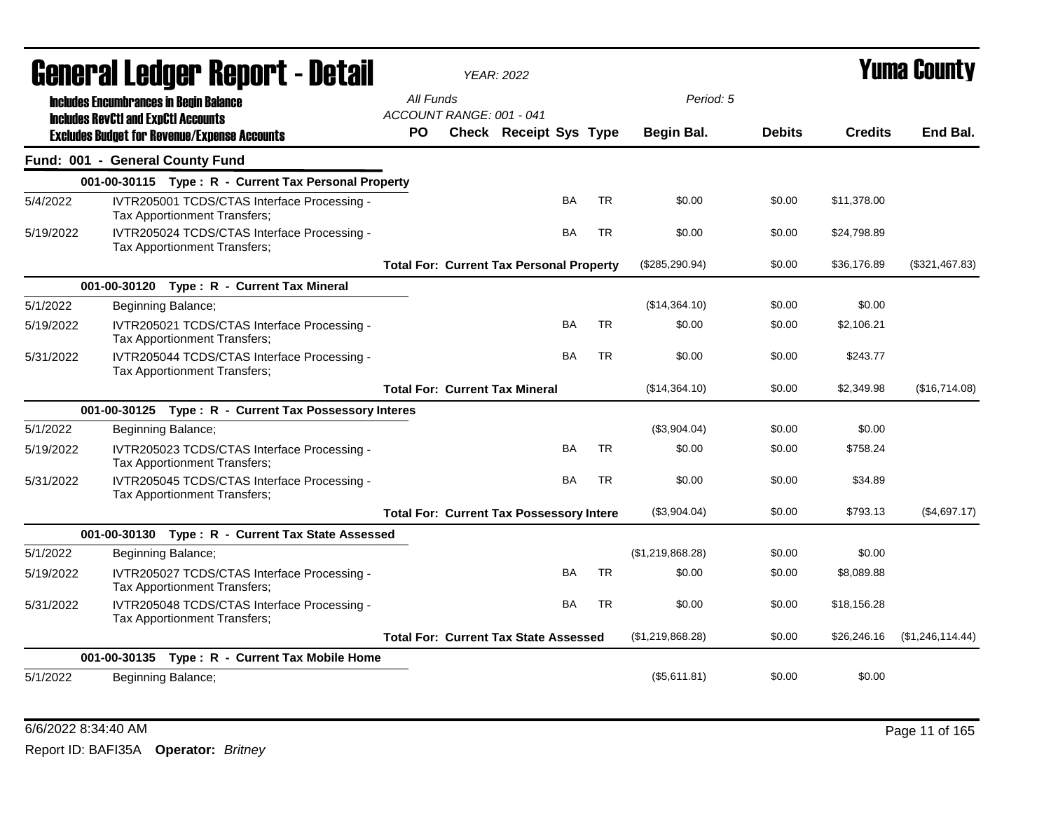|           | Generai Leuger Keport - Detail                                                              |                                       | <b>YEAR: 2022</b>                               |           |           |                   |               |                | Y UIII'd GUUIILY |
|-----------|---------------------------------------------------------------------------------------------|---------------------------------------|-------------------------------------------------|-----------|-----------|-------------------|---------------|----------------|------------------|
|           | <b>Includes Encumbrances in Begin Balance</b><br><b>Includes RevCtI and ExpCtI Accounts</b> | All Funds<br>ACCOUNT RANGE: 001 - 041 |                                                 |           |           | Period: 5         |               |                |                  |
|           | <b>Excludes Budget for Revenue/Expense Accounts</b>                                         | <b>PO</b>                             | <b>Check Receipt Sys Type</b>                   |           |           | <b>Begin Bal.</b> | <b>Debits</b> | <b>Credits</b> | End Bal.         |
|           | Fund: 001 - General County Fund                                                             |                                       |                                                 |           |           |                   |               |                |                  |
|           | 001-00-30115 Type: R - Current Tax Personal Property                                        |                                       |                                                 |           |           |                   |               |                |                  |
| 5/4/2022  | IVTR205001 TCDS/CTAS Interface Processing -<br>Tax Apportionment Transfers;                 |                                       |                                                 | <b>BA</b> | <b>TR</b> | \$0.00            | \$0.00        | \$11,378.00    |                  |
| 5/19/2022 | IVTR205024 TCDS/CTAS Interface Processing -<br>Tax Apportionment Transfers;                 |                                       |                                                 | <b>BA</b> | <b>TR</b> | \$0.00            | \$0.00        | \$24,798.89    |                  |
|           |                                                                                             |                                       | <b>Total For: Current Tax Personal Property</b> |           |           | (\$285,290.94)    | \$0.00        | \$36,176.89    | (\$321,467.83)   |
|           | 001-00-30120 Type: R - Current Tax Mineral                                                  |                                       |                                                 |           |           |                   |               |                |                  |
| 5/1/2022  | Beginning Balance;                                                                          |                                       |                                                 |           |           | (\$14,364.10)     | \$0.00        | \$0.00         |                  |
| 5/19/2022 | IVTR205021 TCDS/CTAS Interface Processing -<br>Tax Apportionment Transfers;                 |                                       |                                                 | <b>BA</b> | <b>TR</b> | \$0.00            | \$0.00        | \$2,106.21     |                  |
| 5/31/2022 | IVTR205044 TCDS/CTAS Interface Processing -<br>Tax Apportionment Transfers;                 |                                       |                                                 | <b>BA</b> | <b>TR</b> | \$0.00            | \$0.00        | \$243.77       |                  |
|           |                                                                                             |                                       | <b>Total For: Current Tax Mineral</b>           |           |           | (\$14,364.10)     | \$0.00        | \$2,349.98     | (\$16,714.08)    |
|           | 001-00-30125 Type: R - Current Tax Possessory Interes                                       |                                       |                                                 |           |           |                   |               |                |                  |
| 5/1/2022  | Beginning Balance;                                                                          |                                       |                                                 |           |           | (\$3,904.04)      | \$0.00        | \$0.00         |                  |
| 5/19/2022 | IVTR205023 TCDS/CTAS Interface Processing -<br>Tax Apportionment Transfers;                 |                                       |                                                 | <b>BA</b> | <b>TR</b> | \$0.00            | \$0.00        | \$758.24       |                  |
| 5/31/2022 | IVTR205045 TCDS/CTAS Interface Processing -<br>Tax Apportionment Transfers;                 |                                       |                                                 | <b>BA</b> | <b>TR</b> | \$0.00            | \$0.00        | \$34.89        |                  |
|           |                                                                                             |                                       | <b>Total For: Current Tax Possessory Intere</b> |           |           | (\$3,904.04)      | \$0.00        | \$793.13       | (\$4,697.17)     |
|           | 001-00-30130 Type: R - Current Tax State Assessed                                           |                                       |                                                 |           |           |                   |               |                |                  |
| 5/1/2022  | Beginning Balance;                                                                          |                                       |                                                 |           |           | (\$1,219,868.28)  | \$0.00        | \$0.00         |                  |
| 5/19/2022 | IVTR205027 TCDS/CTAS Interface Processing -<br>Tax Apportionment Transfers;                 |                                       |                                                 | BA        | <b>TR</b> | \$0.00            | \$0.00        | \$8,089.88     |                  |
| 5/31/2022 | IVTR205048 TCDS/CTAS Interface Processing -<br>Tax Apportionment Transfers;                 |                                       |                                                 | BA        | <b>TR</b> | \$0.00            | \$0.00        | \$18,156.28    |                  |
|           |                                                                                             |                                       | <b>Total For: Current Tax State Assessed</b>    |           |           | (\$1,219,868.28)  | \$0.00        | \$26,246.16    | (\$1,246,114.44) |
|           | 001-00-30135 Type: R - Current Tax Mobile Home                                              |                                       |                                                 |           |           |                   |               |                |                  |
| 5/1/2022  | Beginning Balance;                                                                          |                                       |                                                 |           |           | (\$5,611.81)      | \$0.00        | \$0.00         |                  |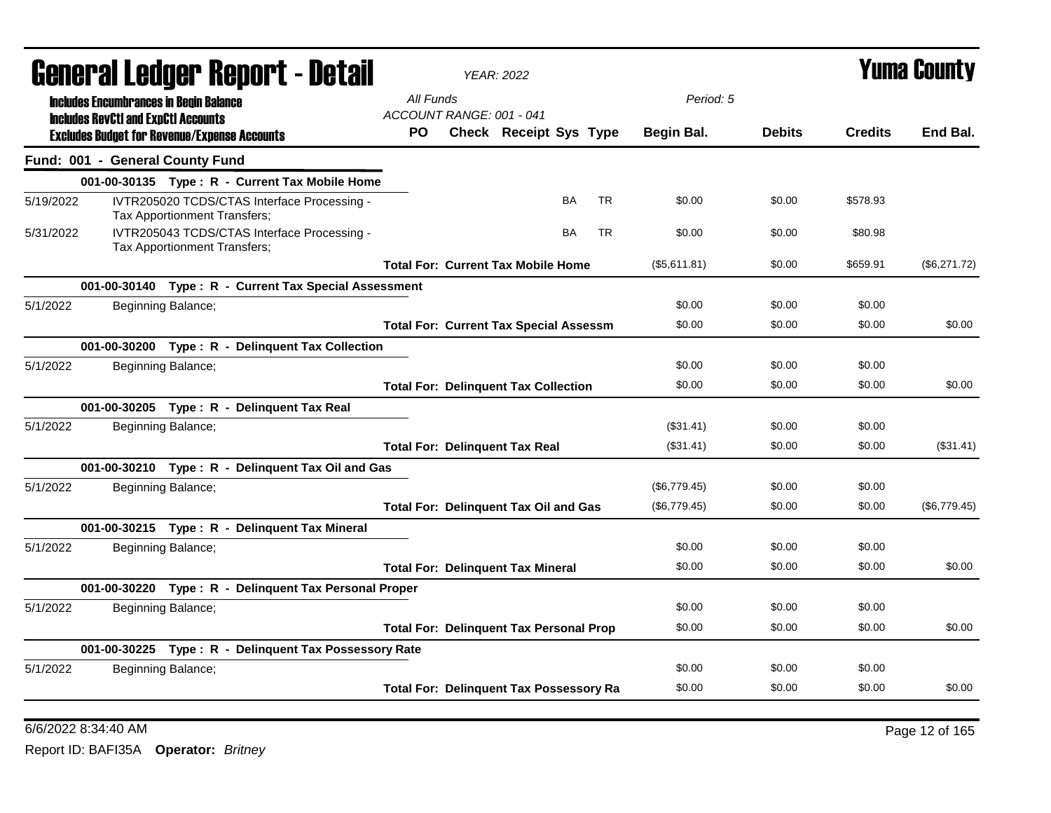|           |                                               | General Ledger Report - Detail                                              |                                       | <b>YEAR: 2022</b>                              |           |           |              |               |                | <b>Yuma County</b> |
|-----------|-----------------------------------------------|-----------------------------------------------------------------------------|---------------------------------------|------------------------------------------------|-----------|-----------|--------------|---------------|----------------|--------------------|
|           | <b>Includes Encumbrances in Begin Balance</b> |                                                                             | All Funds<br>ACCOUNT RANGE: 001 - 041 |                                                |           |           | Period: 5    |               |                |                    |
|           | <b>Includes RevCtI and ExpCtI Accounts</b>    | <b>Excludes Budget for Revenue/Expense Accounts</b>                         | PO.                                   | Check Receipt Sys Type                         |           |           | Begin Bal.   | <b>Debits</b> | <b>Credits</b> | End Bal.           |
|           | Fund: 001 - General County Fund               |                                                                             |                                       |                                                |           |           |              |               |                |                    |
|           |                                               | 001-00-30135 Type: R - Current Tax Mobile Home                              |                                       |                                                |           |           |              |               |                |                    |
| 5/19/2022 |                                               | IVTR205020 TCDS/CTAS Interface Processing -<br>Tax Apportionment Transfers; |                                       |                                                | <b>BA</b> | <b>TR</b> | \$0.00       | \$0.00        | \$578.93       |                    |
| 5/31/2022 |                                               | IVTR205043 TCDS/CTAS Interface Processing -<br>Tax Apportionment Transfers; |                                       |                                                | <b>BA</b> | <b>TR</b> | \$0.00       | \$0.00        | \$80.98        |                    |
|           |                                               |                                                                             |                                       | <b>Total For: Current Tax Mobile Home</b>      |           |           | (\$5,611.81) | \$0.00        | \$659.91       | (\$6,271.72)       |
|           |                                               | 001-00-30140 Type: R - Current Tax Special Assessment                       |                                       |                                                |           |           |              |               |                |                    |
| 5/1/2022  |                                               | Beginning Balance;                                                          |                                       |                                                |           |           | \$0.00       | \$0.00        | \$0.00         |                    |
|           |                                               |                                                                             |                                       | <b>Total For: Current Tax Special Assessm</b>  |           |           | \$0.00       | \$0.00        | \$0.00         | \$0.00             |
|           |                                               | 001-00-30200 Type: R - Delinquent Tax Collection                            |                                       |                                                |           |           |              |               |                |                    |
| 5/1/2022  |                                               | Beginning Balance;                                                          |                                       |                                                |           |           | \$0.00       | \$0.00        | \$0.00         |                    |
|           |                                               |                                                                             |                                       | <b>Total For: Delinquent Tax Collection</b>    |           |           | \$0.00       | \$0.00        | \$0.00         | \$0.00             |
|           |                                               | 001-00-30205 Type: R - Delinquent Tax Real                                  |                                       |                                                |           |           |              |               |                |                    |
| 5/1/2022  |                                               | Beginning Balance;                                                          |                                       |                                                |           |           | (\$31.41)    | \$0.00        | \$0.00         |                    |
|           |                                               |                                                                             |                                       | <b>Total For: Delinquent Tax Real</b>          |           |           | (\$31.41)    | \$0.00        | \$0.00         | (\$31.41)          |
|           |                                               | 001-00-30210 Type: R - Delinquent Tax Oil and Gas                           |                                       |                                                |           |           |              |               |                |                    |
| 5/1/2022  |                                               | Beginning Balance;                                                          |                                       |                                                |           |           | (\$6,779.45) | \$0.00        | \$0.00         |                    |
|           |                                               |                                                                             |                                       | <b>Total For: Delinquent Tax Oil and Gas</b>   |           |           | (\$6,779.45) | \$0.00        | \$0.00         | (\$6,779.45)       |
|           |                                               | 001-00-30215 Type: R - Delinquent Tax Mineral                               |                                       |                                                |           |           |              |               |                |                    |
| 5/1/2022  |                                               | Beginning Balance;                                                          |                                       |                                                |           |           | \$0.00       | \$0.00        | \$0.00         |                    |
|           |                                               |                                                                             |                                       | <b>Total For: Delinquent Tax Mineral</b>       |           |           | \$0.00       | \$0.00        | \$0.00         | \$0.00             |
|           |                                               | 001-00-30220 Type: R - Delinquent Tax Personal Proper                       |                                       |                                                |           |           |              |               |                |                    |
| 5/1/2022  |                                               | Beginning Balance;                                                          |                                       |                                                |           |           | \$0.00       | \$0.00        | \$0.00         |                    |
|           |                                               |                                                                             |                                       | <b>Total For: Delinquent Tax Personal Prop</b> |           |           | \$0.00       | \$0.00        | \$0.00         | \$0.00             |
|           |                                               | 001-00-30225 Type: R - Delinquent Tax Possessory Rate                       |                                       |                                                |           |           |              |               |                |                    |
| 5/1/2022  |                                               | Beginning Balance;                                                          |                                       |                                                |           |           | \$0.00       | \$0.00        | \$0.00         |                    |
|           |                                               |                                                                             |                                       | <b>Total For: Delinquent Tax Possessory Ra</b> |           |           | \$0.00       | \$0.00        | \$0.00         | \$0.00             |
|           |                                               |                                                                             |                                       |                                                |           |           |              |               |                |                    |

6/6/2022 8:34:40 AM Page 12 of 165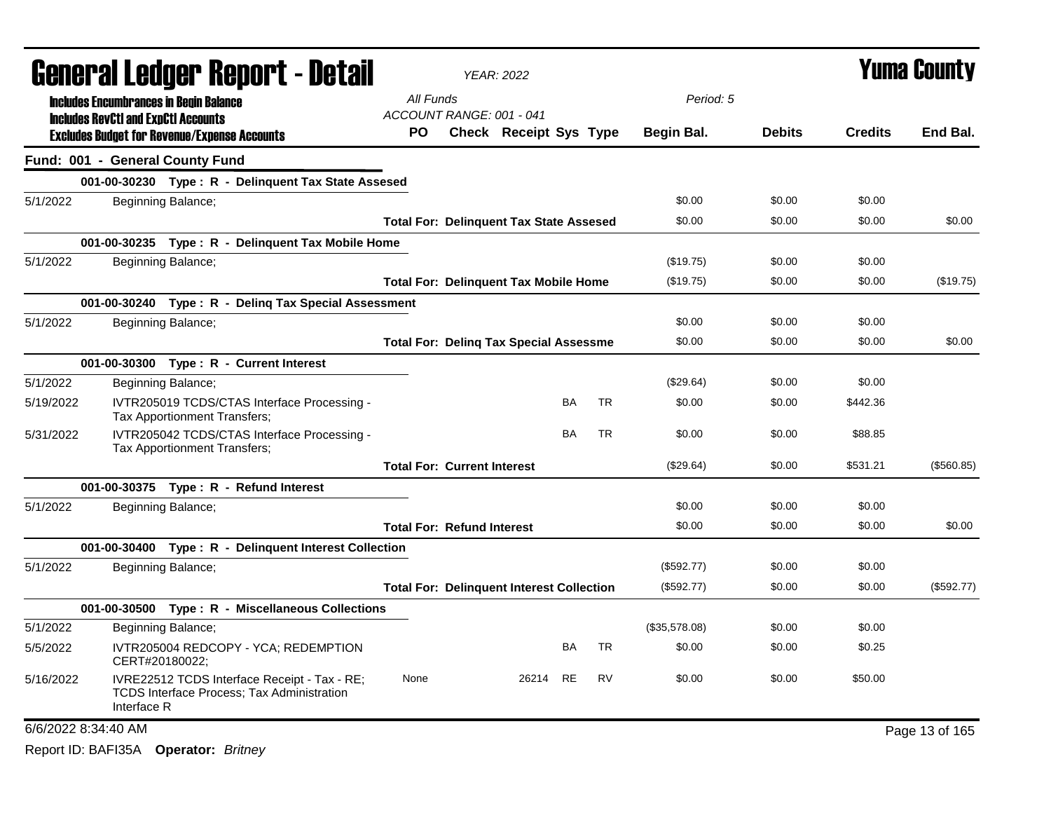|                     | <b>General Ledger Report - Detail</b>                                                                            |           |                                    | <b>YEAR: 2022</b>                                |           |           |                   |               |                | <b>Yuma County</b> |
|---------------------|------------------------------------------------------------------------------------------------------------------|-----------|------------------------------------|--------------------------------------------------|-----------|-----------|-------------------|---------------|----------------|--------------------|
|                     | <b>Includes Encumbrances in Begin Balance</b>                                                                    | All Funds |                                    |                                                  |           |           | Period: 5         |               |                |                    |
|                     | <b>Includes RevCtI and ExpCtI Accounts</b>                                                                       |           |                                    | ACCOUNT RANGE: 001 - 041                         |           |           |                   |               |                |                    |
|                     | <b>Excludes Budget for Revenue/Expense Accounts</b>                                                              | <b>PO</b> |                                    | <b>Check Receipt Sys Type</b>                    |           |           | <b>Begin Bal.</b> | <b>Debits</b> | <b>Credits</b> | End Bal.           |
|                     | Fund: 001 - General County Fund                                                                                  |           |                                    |                                                  |           |           |                   |               |                |                    |
|                     | 001-00-30230 Type: R - Delinquent Tax State Assesed                                                              |           |                                    |                                                  |           |           |                   |               |                |                    |
| 5/1/2022            | Beginning Balance;                                                                                               |           |                                    |                                                  |           |           | \$0.00            | \$0.00        | \$0.00         |                    |
|                     |                                                                                                                  |           |                                    | <b>Total For: Delinquent Tax State Assesed</b>   |           |           | \$0.00            | \$0.00        | \$0.00         | \$0.00             |
|                     | 001-00-30235 Type: R - Delinquent Tax Mobile Home                                                                |           |                                    |                                                  |           |           |                   |               |                |                    |
| 5/1/2022            | Beginning Balance;                                                                                               |           |                                    |                                                  |           |           | (\$19.75)         | \$0.00        | \$0.00         |                    |
|                     |                                                                                                                  |           |                                    | <b>Total For: Delinquent Tax Mobile Home</b>     |           |           | (\$19.75)         | \$0.00        | \$0.00         | (\$19.75)          |
|                     | 001-00-30240 Type: R - Deling Tax Special Assessment                                                             |           |                                    |                                                  |           |           |                   |               |                |                    |
| 5/1/2022            | Beginning Balance;                                                                                               |           |                                    |                                                  |           |           | \$0.00            | \$0.00        | \$0.00         |                    |
|                     |                                                                                                                  |           |                                    | <b>Total For: Deling Tax Special Assessme</b>    |           |           | \$0.00            | \$0.00        | \$0.00         | \$0.00             |
|                     | 001-00-30300 Type: R - Current Interest                                                                          |           |                                    |                                                  |           |           |                   |               |                |                    |
| 5/1/2022            | Beginning Balance;                                                                                               |           |                                    |                                                  |           |           | (\$29.64)         | \$0.00        | \$0.00         |                    |
| 5/19/2022           | IVTR205019 TCDS/CTAS Interface Processing -<br>Tax Apportionment Transfers;                                      |           |                                    |                                                  | <b>BA</b> | <b>TR</b> | \$0.00            | \$0.00        | \$442.36       |                    |
| 5/31/2022           | IVTR205042 TCDS/CTAS Interface Processing -<br>Tax Apportionment Transfers;                                      |           |                                    |                                                  | <b>BA</b> | <b>TR</b> | \$0.00            | \$0.00        | \$88.85        |                    |
|                     |                                                                                                                  |           | <b>Total For: Current Interest</b> |                                                  |           |           | (\$29.64)         | \$0.00        | \$531.21       | (\$560.85)         |
|                     | 001-00-30375 Type: R - Refund Interest                                                                           |           |                                    |                                                  |           |           |                   |               |                |                    |
| 5/1/2022            | Beginning Balance;                                                                                               |           |                                    |                                                  |           |           | \$0.00            | \$0.00        | \$0.00         |                    |
|                     |                                                                                                                  |           | <b>Total For: Refund Interest</b>  |                                                  |           |           | \$0.00            | \$0.00        | \$0.00         | \$0.00             |
|                     | 001-00-30400 Type: R - Delinquent Interest Collection                                                            |           |                                    |                                                  |           |           |                   |               |                |                    |
| 5/1/2022            | Beginning Balance;                                                                                               |           |                                    |                                                  |           |           | (\$592.77)        | \$0.00        | \$0.00         |                    |
|                     |                                                                                                                  |           |                                    | <b>Total For: Delinguent Interest Collection</b> |           |           | $(\$592.77)$      | \$0.00        | \$0.00         | (\$592.77)         |
|                     | 001-00-30500 Type: R - Miscellaneous Collections                                                                 |           |                                    |                                                  |           |           |                   |               |                |                    |
| 5/1/2022            | Beginning Balance;                                                                                               |           |                                    |                                                  |           |           | (\$35,578.08)     | \$0.00        | \$0.00         |                    |
| 5/5/2022            | IVTR205004 REDCOPY - YCA; REDEMPTION<br>CERT#20180022;                                                           |           |                                    |                                                  | BA        | <b>TR</b> | \$0.00            | \$0.00        | \$0.25         |                    |
| 5/16/2022           | IVRE22512 TCDS Interface Receipt - Tax - RE;<br><b>TCDS Interface Process: Tax Administration</b><br>Interface R | None      |                                    | 26214                                            | <b>RE</b> | <b>RV</b> | \$0.00            | \$0.00        | \$50.00        |                    |
| 6/6/2022 8:34:40 AM |                                                                                                                  |           |                                    |                                                  |           |           |                   |               |                | Page 13 of 165     |
|                     |                                                                                                                  |           |                                    |                                                  |           |           |                   |               |                |                    |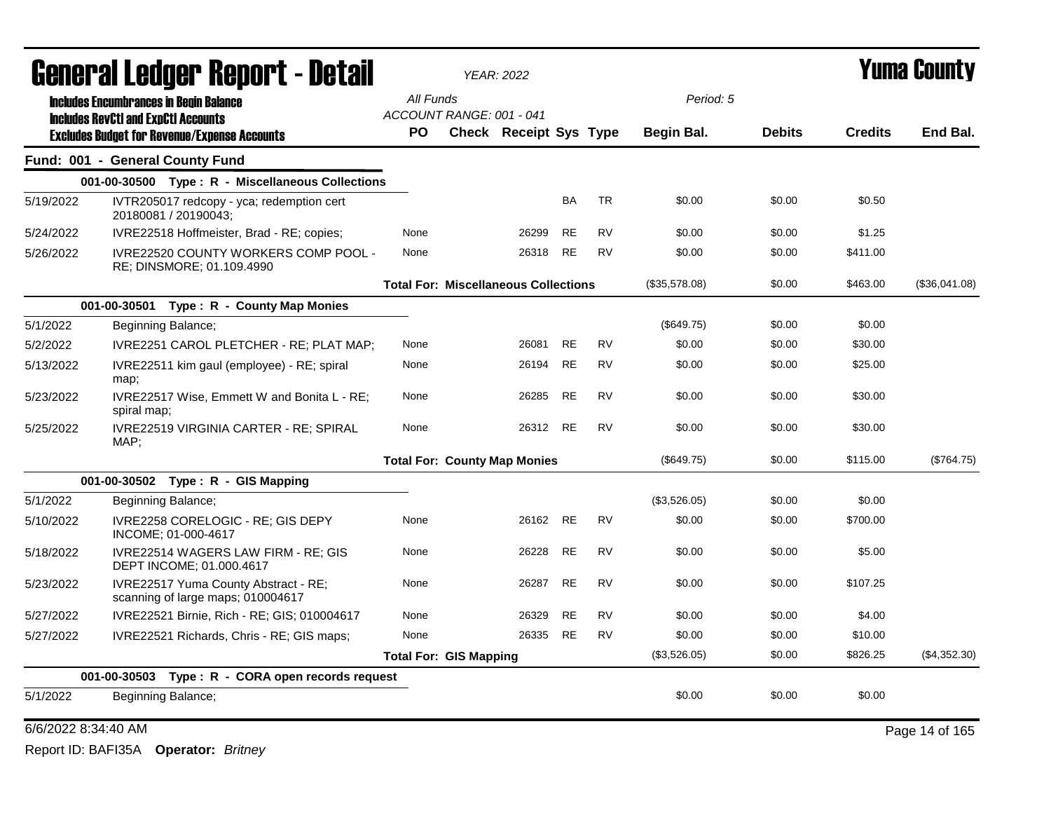|                     | <b>General Ledger Report - Detail</b>                                     |                               | <b>YEAR: 2022</b>                           |           |           |               |               |                | Yuma Countv    |
|---------------------|---------------------------------------------------------------------------|-------------------------------|---------------------------------------------|-----------|-----------|---------------|---------------|----------------|----------------|
|                     | <b>Includes Encumbrances in Begin Balance</b>                             | All Funds                     |                                             |           |           | Period: 5     |               |                |                |
|                     | <b>Includes RevCtI and ExpCtI Accounts</b>                                | ACCOUNT RANGE: 001 - 041      |                                             |           |           |               |               |                |                |
|                     | <b>Excludes Budget for Revenue/Expense Accounts</b>                       | <b>PO</b>                     | <b>Check Receipt Sys Type</b>               |           |           | Begin Bal.    | <b>Debits</b> | <b>Credits</b> | End Bal.       |
|                     | Fund: 001 - General County Fund                                           |                               |                                             |           |           |               |               |                |                |
|                     | 001-00-30500 Type: R - Miscellaneous Collections                          |                               |                                             |           |           |               |               |                |                |
| 5/19/2022           | IVTR205017 redcopy - yca; redemption cert<br>20180081 / 20190043;         |                               |                                             | <b>BA</b> | <b>TR</b> | \$0.00        | \$0.00        | \$0.50         |                |
| 5/24/2022           | IVRE22518 Hoffmeister, Brad - RE; copies;                                 | None                          | 26299                                       | <b>RE</b> | <b>RV</b> | \$0.00        | \$0.00        | \$1.25         |                |
| 5/26/2022           | IVRE22520 COUNTY WORKERS COMP POOL -<br>RE; DINSMORE; 01.109.4990         | None                          | 26318                                       | <b>RE</b> | <b>RV</b> | \$0.00        | \$0.00        | \$411.00       |                |
|                     |                                                                           |                               | <b>Total For: Miscellaneous Collections</b> |           |           | (\$35,578.08) | \$0.00        | \$463.00       | (\$36,041.08)  |
|                     | 001-00-30501 Type: R - County Map Monies                                  |                               |                                             |           |           |               |               |                |                |
| 5/1/2022            | Beginning Balance;                                                        |                               |                                             |           |           | (\$649.75)    | \$0.00        | \$0.00         |                |
| 5/2/2022            | IVRE2251 CAROL PLETCHER - RE; PLAT MAP;                                   | None                          | 26081                                       | <b>RE</b> | <b>RV</b> | \$0.00        | \$0.00        | \$30.00        |                |
| 5/13/2022           | IVRE22511 kim gaul (employee) - RE; spiral<br>map;                        | None                          | 26194                                       | <b>RE</b> | <b>RV</b> | \$0.00        | \$0.00        | \$25.00        |                |
| 5/23/2022           | IVRE22517 Wise, Emmett W and Bonita L - RE;<br>spiral map;                | None                          | 26285                                       | RE        | <b>RV</b> | \$0.00        | \$0.00        | \$30.00        |                |
| 5/25/2022           | IVRE22519 VIRGINIA CARTER - RE; SPIRAL<br>MAP;                            | None                          | 26312                                       | RE        | <b>RV</b> | \$0.00        | \$0.00        | \$30.00        |                |
|                     |                                                                           |                               | <b>Total For: County Map Monies</b>         |           |           | (\$649.75)    | \$0.00        | \$115.00       | (\$764.75)     |
|                     | 001-00-30502 Type: R - GIS Mapping                                        |                               |                                             |           |           |               |               |                |                |
| 5/1/2022            | Beginning Balance;                                                        |                               |                                             |           |           | (\$3,526.05)  | \$0.00        | \$0.00         |                |
| 5/10/2022           | IVRE2258 CORELOGIC - RE; GIS DEPY<br>INCOME; 01-000-4617                  | None                          | 26162                                       | <b>RE</b> | <b>RV</b> | \$0.00        | \$0.00        | \$700.00       |                |
| 5/18/2022           | IVRE22514 WAGERS LAW FIRM - RE; GIS<br>DEPT INCOME; 01.000.4617           | None                          | 26228                                       | <b>RE</b> | <b>RV</b> | \$0.00        | \$0.00        | \$5.00         |                |
| 5/23/2022           | IVRE22517 Yuma County Abstract - RE;<br>scanning of large maps; 010004617 | None                          | 26287                                       | RE        | RV        | \$0.00        | \$0.00        | \$107.25       |                |
| 5/27/2022           | IVRE22521 Birnie, Rich - RE; GIS; 010004617                               | None                          | 26329                                       | <b>RE</b> | <b>RV</b> | \$0.00        | \$0.00        | \$4.00         |                |
| 5/27/2022           | IVRE22521 Richards, Chris - RE; GIS maps;                                 | None                          | 26335                                       | <b>RE</b> | <b>RV</b> | \$0.00        | \$0.00        | \$10.00        |                |
|                     |                                                                           | <b>Total For: GIS Mapping</b> |                                             |           |           | (\$3,526.05)  | \$0.00        | \$826.25       | (\$4,352.30)   |
|                     | Type: R - CORA open records request<br>001-00-30503                       |                               |                                             |           |           |               |               |                |                |
| 5/1/2022            | Beginning Balance;                                                        |                               |                                             |           |           | \$0.00        | \$0.00        | \$0.00         |                |
| 6/6/2022 8:34:40 AM |                                                                           |                               |                                             |           |           |               |               |                | Page 14 of 165 |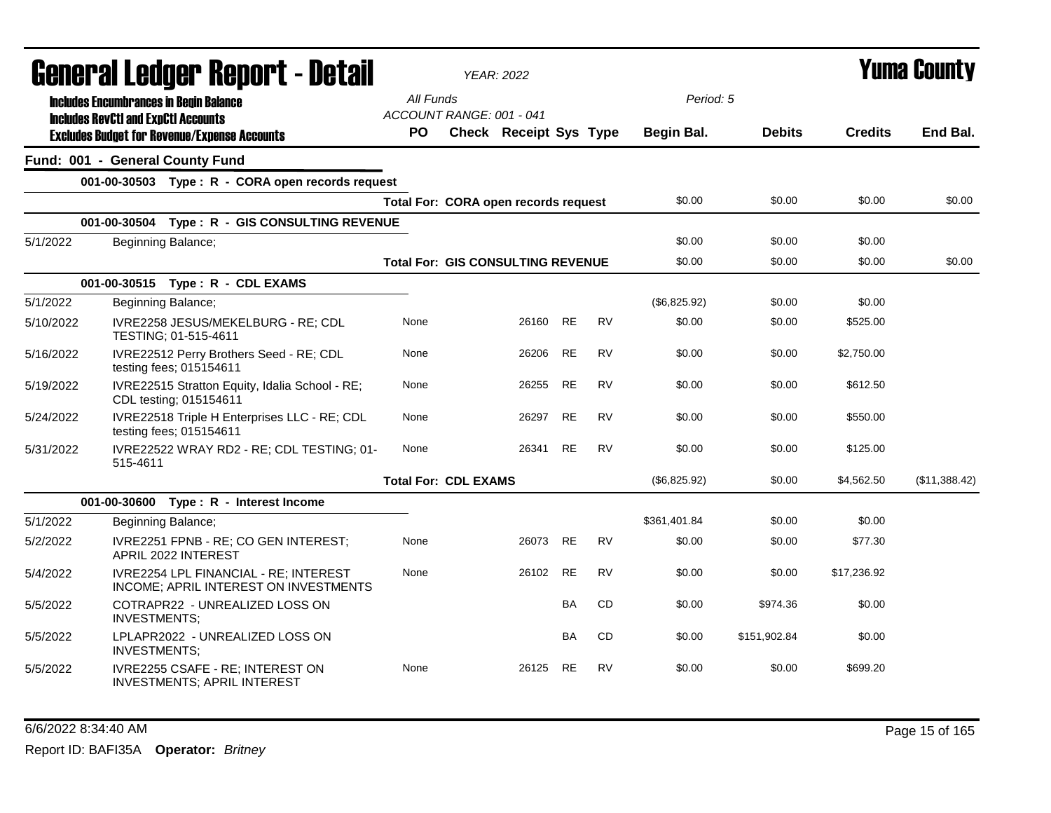|           | General Ledger Report - Detail                                                              |           | <b>YEAR: 2022</b>                        |           |           |                   |               |                | <b>Yuma County</b> |  |
|-----------|---------------------------------------------------------------------------------------------|-----------|------------------------------------------|-----------|-----------|-------------------|---------------|----------------|--------------------|--|
|           | <b>Includes Encumbrances in Begin Balance</b><br><b>Includes RevCtI and ExpCtI Accounts</b> | All Funds | ACCOUNT RANGE: 001 - 041                 |           |           | Period: 5         |               |                |                    |  |
|           | <b>Excludes Budget for Revenue/Expense Accounts</b>                                         | PO        | Check Receipt Sys Type                   |           |           | <b>Begin Bal.</b> | <b>Debits</b> | <b>Credits</b> | End Bal.           |  |
|           | Fund: 001 - General County Fund                                                             |           |                                          |           |           |                   |               |                |                    |  |
|           | 001-00-30503 Type: R - CORA open records request                                            |           |                                          |           |           |                   |               |                |                    |  |
|           |                                                                                             |           | Total For: CORA open records request     |           |           | \$0.00            | \$0.00        | \$0.00         | \$0.00             |  |
|           | 001-00-30504 Type: R - GIS CONSULTING REVENUE                                               |           |                                          |           |           |                   |               |                |                    |  |
| 5/1/2022  | Beginning Balance;                                                                          |           |                                          |           |           | \$0.00            | \$0.00        | \$0.00         |                    |  |
|           |                                                                                             |           | <b>Total For: GIS CONSULTING REVENUE</b> |           |           | \$0.00            | \$0.00        | \$0.00         | \$0.00             |  |
|           | 001-00-30515 Type: R - CDL EXAMS                                                            |           |                                          |           |           |                   |               |                |                    |  |
| 5/1/2022  | Beginning Balance;                                                                          |           |                                          |           |           | (\$6,825.92)      | \$0.00        | \$0.00         |                    |  |
| 5/10/2022 | IVRE2258 JESUS/MEKELBURG - RE; CDL<br>TESTING; 01-515-4611                                  | None      | 26160                                    | RE        | <b>RV</b> | \$0.00            | \$0.00        | \$525.00       |                    |  |
| 5/16/2022 | IVRE22512 Perry Brothers Seed - RE; CDL<br>testing fees; 015154611                          | None      | 26206                                    | <b>RE</b> | <b>RV</b> | \$0.00            | \$0.00        | \$2,750.00     |                    |  |
| 5/19/2022 | IVRE22515 Stratton Equity, Idalia School - RE;<br>CDL testing; 015154611                    | None      | 26255                                    | <b>RE</b> | <b>RV</b> | \$0.00            | \$0.00        | \$612.50       |                    |  |
| 5/24/2022 | IVRE22518 Triple H Enterprises LLC - RE; CDL<br>testing fees; 015154611                     | None      | 26297                                    | <b>RE</b> | RV        | \$0.00            | \$0.00        | \$550.00       |                    |  |
| 5/31/2022 | IVRE22522 WRAY RD2 - RE; CDL TESTING; 01-<br>515-4611                                       | None      | 26341                                    | <b>RE</b> | <b>RV</b> | \$0.00            | \$0.00        | \$125.00       |                    |  |
|           |                                                                                             |           | <b>Total For: CDL EXAMS</b>              |           |           | (\$6,825.92)      | \$0.00        | \$4,562.50     | (\$11,388.42)      |  |
|           | 001-00-30600 Type: R - Interest Income                                                      |           |                                          |           |           |                   |               |                |                    |  |
| 5/1/2022  | Beginning Balance;                                                                          |           |                                          |           |           | \$361,401.84      | \$0.00        | \$0.00         |                    |  |
| 5/2/2022  | IVRE2251 FPNB - RE; CO GEN INTEREST;<br>APRIL 2022 INTEREST                                 | None      | 26073                                    | <b>RE</b> | <b>RV</b> | \$0.00            | \$0.00        | \$77.30        |                    |  |
| 5/4/2022  | IVRE2254 LPL FINANCIAL - RE; INTEREST<br>INCOME; APRIL INTEREST ON INVESTMENTS              | None      | 26102                                    | <b>RE</b> | <b>RV</b> | \$0.00            | \$0.00        | \$17,236.92    |                    |  |
| 5/5/2022  | COTRAPR22 - UNREALIZED LOSS ON<br>INVESTMENTS;                                              |           |                                          | BA        | CD        | \$0.00            | \$974.36      | \$0.00         |                    |  |
| 5/5/2022  | LPLAPR2022 - UNREALIZED LOSS ON<br><b>INVESTMENTS;</b>                                      |           |                                          | <b>BA</b> | <b>CD</b> | \$0.00            | \$151,902.84  | \$0.00         |                    |  |
| 5/5/2022  | IVRE2255 CSAFE - RE; INTEREST ON<br>INVESTMENTS; APRIL INTEREST                             | None      | 26125                                    | <b>RE</b> | <b>RV</b> | \$0.00            | \$0.00        | \$699.20       |                    |  |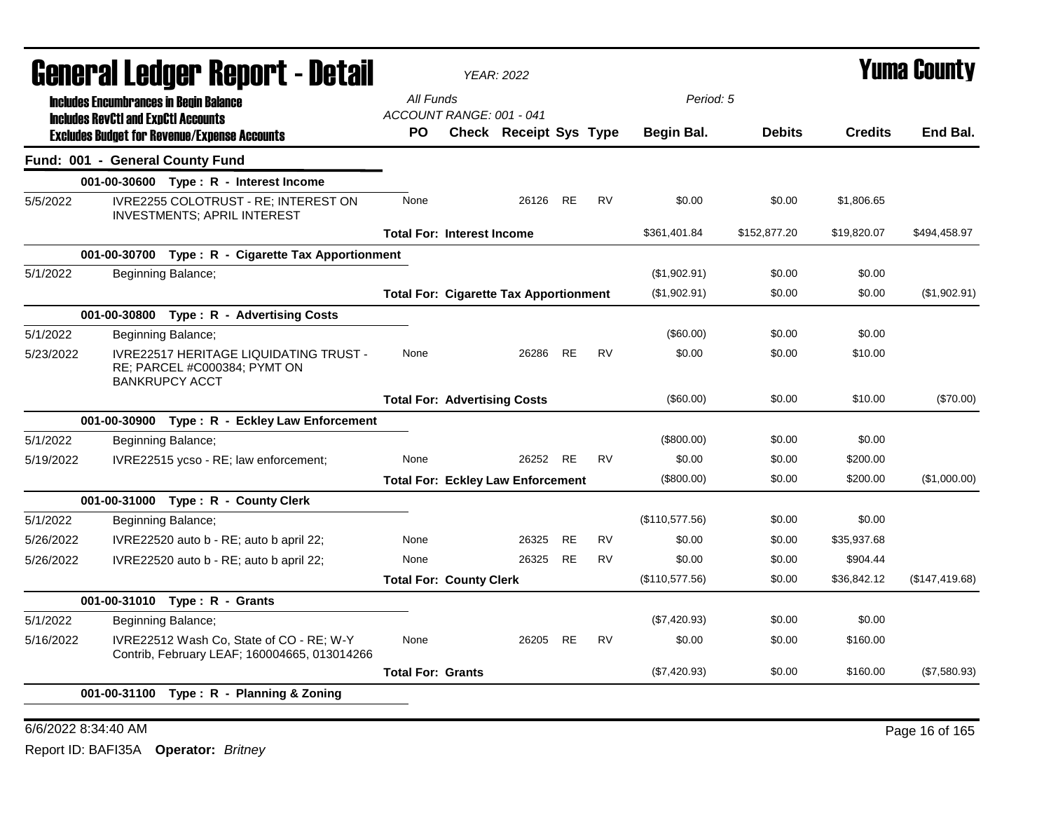|           | General Ledger Report - Detail                                                                         |                                               | <b>YEAR: 2022</b> |                               |           |           |                   |               |                | <b>Yuma County</b> |
|-----------|--------------------------------------------------------------------------------------------------------|-----------------------------------------------|-------------------|-------------------------------|-----------|-----------|-------------------|---------------|----------------|--------------------|
|           | <b>Includes Encumbrances in Begin Balance</b>                                                          | All Funds                                     |                   |                               |           |           | Period: 5         |               |                |                    |
|           | <b>Includes RevCtI and ExpCtI Accounts</b>                                                             | ACCOUNT RANGE: 001 - 041                      |                   |                               |           |           |                   |               |                |                    |
|           | <b>Excludes Budget for Revenue/Expense Accounts</b>                                                    | PΟ                                            |                   | <b>Check Receipt Sys Type</b> |           |           | <b>Begin Bal.</b> | <b>Debits</b> | <b>Credits</b> | End Bal.           |
|           | Fund: 001 - General County Fund                                                                        |                                               |                   |                               |           |           |                   |               |                |                    |
|           | 001-00-30600 Type: R - Interest Income                                                                 |                                               |                   |                               |           |           |                   |               |                |                    |
| 5/5/2022  | IVRE2255 COLOTRUST - RE; INTEREST ON<br><b>INVESTMENTS; APRIL INTEREST</b>                             | None                                          |                   | 26126                         | RE        | <b>RV</b> | \$0.00            | \$0.00        | \$1,806.65     |                    |
|           |                                                                                                        | <b>Total For: Interest Income</b>             |                   |                               |           |           | \$361,401.84      | \$152,877.20  | \$19,820.07    | \$494,458.97       |
|           | 001-00-30700 Type: R - Cigarette Tax Apportionment                                                     |                                               |                   |                               |           |           |                   |               |                |                    |
| 5/1/2022  | Beginning Balance;                                                                                     |                                               |                   |                               |           |           | (\$1,902.91)      | \$0.00        | \$0.00         |                    |
|           |                                                                                                        | <b>Total For: Cigarette Tax Apportionment</b> |                   |                               |           |           | (\$1,902.91)      | \$0.00        | \$0.00         | (\$1,902.91)       |
|           | 001-00-30800 Type: R - Advertising Costs                                                               |                                               |                   |                               |           |           |                   |               |                |                    |
| 5/1/2022  | Beginning Balance;                                                                                     |                                               |                   |                               |           |           | (\$60.00)         | \$0.00        | \$0.00         |                    |
| 5/23/2022 | <b>IVRE22517 HERITAGE LIQUIDATING TRUST -</b><br>RE; PARCEL #C000384; PYMT ON<br><b>BANKRUPCY ACCT</b> | None                                          |                   | 26286                         | <b>RE</b> | <b>RV</b> | \$0.00            | \$0.00        | \$10.00        |                    |
|           |                                                                                                        | <b>Total For: Advertising Costs</b>           |                   |                               |           |           | $(\$60.00)$       | \$0.00        | \$10.00        | (\$70.00)          |
|           | 001-00-30900 Type: R - Eckley Law Enforcement                                                          |                                               |                   |                               |           |           |                   |               |                |                    |
| 5/1/2022  | Beginning Balance;                                                                                     |                                               |                   |                               |           |           | $(\$800.00)$      | \$0.00        | \$0.00         |                    |
| 5/19/2022 | IVRE22515 ycso - RE; law enforcement;                                                                  | None                                          |                   | 26252                         | <b>RE</b> | <b>RV</b> | \$0.00            | \$0.00        | \$200.00       |                    |
|           |                                                                                                        | <b>Total For: Eckley Law Enforcement</b>      |                   |                               |           |           | $(\$800.00)$      | \$0.00        | \$200.00       | (\$1,000.00)       |
|           | 001-00-31000 Type: R - County Clerk                                                                    |                                               |                   |                               |           |           |                   |               |                |                    |
| 5/1/2022  | Beginning Balance;                                                                                     |                                               |                   |                               |           |           | (\$110,577.56)    | \$0.00        | \$0.00         |                    |
| 5/26/2022 | IVRE22520 auto b - RE; auto b april 22;                                                                | None                                          |                   | 26325                         | <b>RE</b> | <b>RV</b> | \$0.00            | \$0.00        | \$35,937.68    |                    |
| 5/26/2022 | IVRE22520 auto b - RE; auto b april 22;                                                                | None                                          |                   | 26325                         | <b>RE</b> | <b>RV</b> | \$0.00            | \$0.00        | \$904.44       |                    |
|           |                                                                                                        | <b>Total For: County Clerk</b>                |                   |                               |           |           | (\$110,577.56)    | \$0.00        | \$36,842.12    | (\$147,419.68)     |
|           | 001-00-31010 Type: R - Grants                                                                          |                                               |                   |                               |           |           |                   |               |                |                    |
| 5/1/2022  | Beginning Balance;                                                                                     |                                               |                   |                               |           |           | (\$7,420.93)      | \$0.00        | \$0.00         |                    |
| 5/16/2022 | IVRE22512 Wash Co, State of CO - RE; W-Y<br>Contrib, February LEAF; 160004665, 013014266               | None                                          |                   | 26205                         | <b>RE</b> | <b>RV</b> | \$0.00            | \$0.00        | \$160.00       |                    |
|           |                                                                                                        | <b>Total For: Grants</b>                      |                   |                               |           |           | (\$7,420.93)      | \$0.00        | \$160.00       | (\$7,580.93)       |
|           | 001-00-31100 Type: R - Planning & Zoning                                                               |                                               |                   |                               |           |           |                   |               |                |                    |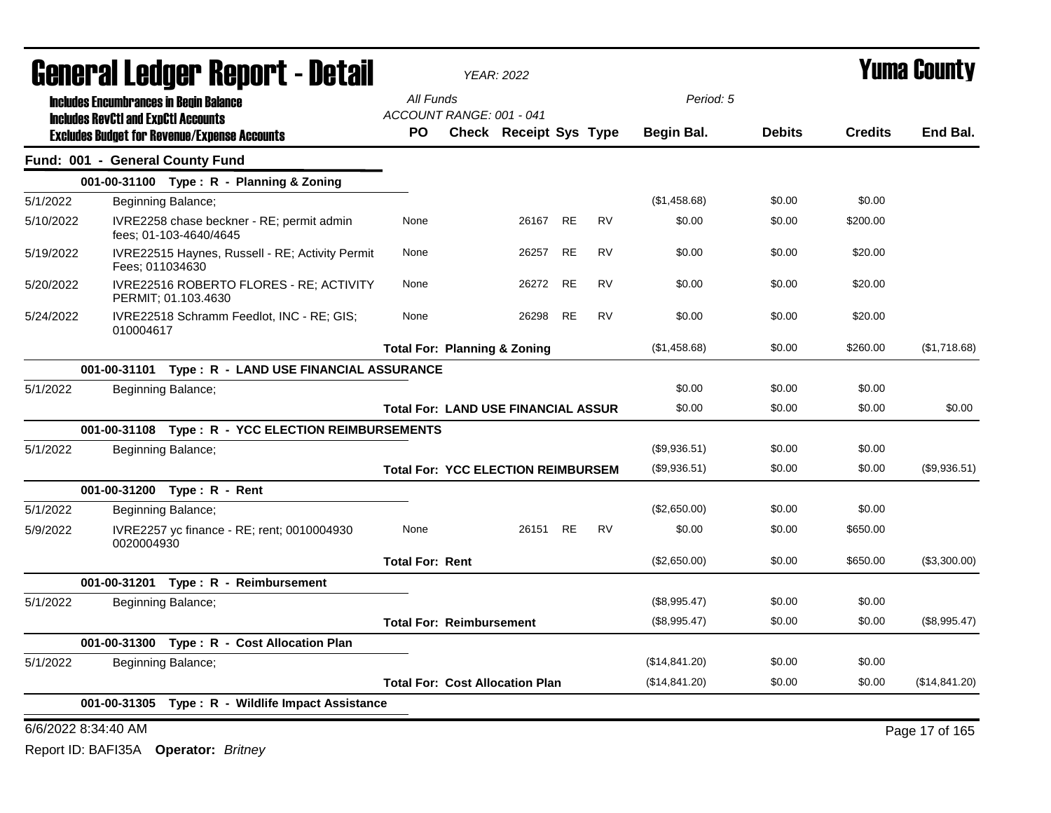| <b>General Ledger Report - Detail</b>                                            |                                            | <b>YEAR: 2022</b>             |           |           |               |               |                | Yuma County    |
|----------------------------------------------------------------------------------|--------------------------------------------|-------------------------------|-----------|-----------|---------------|---------------|----------------|----------------|
| <b>Includes Encumbrances in Begin Balance</b>                                    | All Funds                                  |                               |           |           | Period: 5     |               |                |                |
| <b>Includes RevCtI and ExpCtI Accounts</b>                                       | ACCOUNT RANGE: 001 - 041                   |                               |           |           |               |               |                |                |
| <b>Excludes Budget for Revenue/Expense Accounts</b>                              | <b>PO</b>                                  | <b>Check Receipt Sys Type</b> |           |           | Begin Bal.    | <b>Debits</b> | <b>Credits</b> | End Bal.       |
| Fund: 001 - General County Fund                                                  |                                            |                               |           |           |               |               |                |                |
| 001-00-31100 Type: R - Planning & Zoning                                         |                                            |                               |           |           |               |               |                |                |
| 5/1/2022<br>Beginning Balance;                                                   |                                            |                               |           |           | (\$1,458.68)  | \$0.00        | \$0.00         |                |
| 5/10/2022<br>IVRE2258 chase beckner - RE; permit admin<br>fees: 01-103-4640/4645 | None                                       | 26167                         | RE        | <b>RV</b> | \$0.00        | \$0.00        | \$200.00       |                |
| 5/19/2022<br>IVRE22515 Haynes, Russell - RE; Activity Permit<br>Fees: 011034630  | None                                       | 26257                         | <b>RE</b> | <b>RV</b> | \$0.00        | \$0.00        | \$20.00        |                |
| IVRE22516 ROBERTO FLORES - RE; ACTIVITY<br>5/20/2022<br>PERMIT; 01.103.4630      | None                                       | 26272                         | <b>RE</b> | <b>RV</b> | \$0.00        | \$0.00        | \$20.00        |                |
| 5/24/2022<br>IVRE22518 Schramm Feedlot, INC - RE; GIS;<br>010004617              | None                                       | 26298                         | <b>RE</b> | <b>RV</b> | \$0.00        | \$0.00        | \$20.00        |                |
|                                                                                  | <b>Total For: Planning &amp; Zoning</b>    |                               |           |           | (\$1,458.68)  | \$0.00        | \$260.00       | (\$1,718.68)   |
| 001-00-31101 Type: R - LAND USE FINANCIAL ASSURANCE                              |                                            |                               |           |           |               |               |                |                |
| 5/1/2022<br>Beginning Balance;                                                   |                                            |                               |           |           | \$0.00        | \$0.00        | \$0.00         |                |
|                                                                                  | <b>Total For: LAND USE FINANCIAL ASSUR</b> |                               |           |           | \$0.00        | \$0.00        | \$0.00         | \$0.00         |
| 001-00-31108 Type: R - YCC ELECTION REIMBURSEMENTS                               |                                            |                               |           |           |               |               |                |                |
| 5/1/2022<br>Beginning Balance;                                                   |                                            |                               |           |           | (\$9,936.51)  | \$0.00        | \$0.00         |                |
|                                                                                  | <b>Total For: YCC ELECTION REIMBURSEM</b>  |                               |           |           | (\$9,936.51)  | \$0.00        | \$0.00         | (\$9,936.51)   |
| 001-00-31200 Type: R - Rent                                                      |                                            |                               |           |           |               |               |                |                |
| 5/1/2022<br>Beginning Balance;                                                   |                                            |                               |           |           | (\$2,650.00)  | \$0.00        | \$0.00         |                |
| 5/9/2022<br>IVRE2257 yc finance - RE; rent; 0010004930<br>0020004930             | None                                       | 26151                         | <b>RE</b> | RV        | \$0.00        | \$0.00        | \$650.00       |                |
|                                                                                  | <b>Total For: Rent</b>                     |                               |           |           | (\$2,650.00)  | \$0.00        | \$650.00       | (\$3,300.00)   |
| 001-00-31201 Type: R - Reimbursement                                             |                                            |                               |           |           |               |               |                |                |
| 5/1/2022<br>Beginning Balance;                                                   |                                            |                               |           |           | (\$8,995.47)  | \$0.00        | \$0.00         |                |
|                                                                                  | <b>Total For: Reimbursement</b>            |                               |           |           | (\$8,995.47)  | \$0.00        | \$0.00         | (\$8,995.47)   |
| 001-00-31300 Type: R - Cost Allocation Plan                                      |                                            |                               |           |           |               |               |                |                |
| 5/1/2022<br>Beginning Balance;                                                   |                                            |                               |           |           | (\$14,841.20) | \$0.00        | \$0.00         |                |
|                                                                                  | <b>Total For: Cost Allocation Plan</b>     |                               |           |           | (\$14,841.20) | \$0.00        | \$0.00         | (\$14,841.20)  |
| 001-00-31305 Type: R - Wildlife Impact Assistance                                |                                            |                               |           |           |               |               |                |                |
| 6/6/2022 8:34:40 AM                                                              |                                            |                               |           |           |               |               |                | Page 17 of 165 |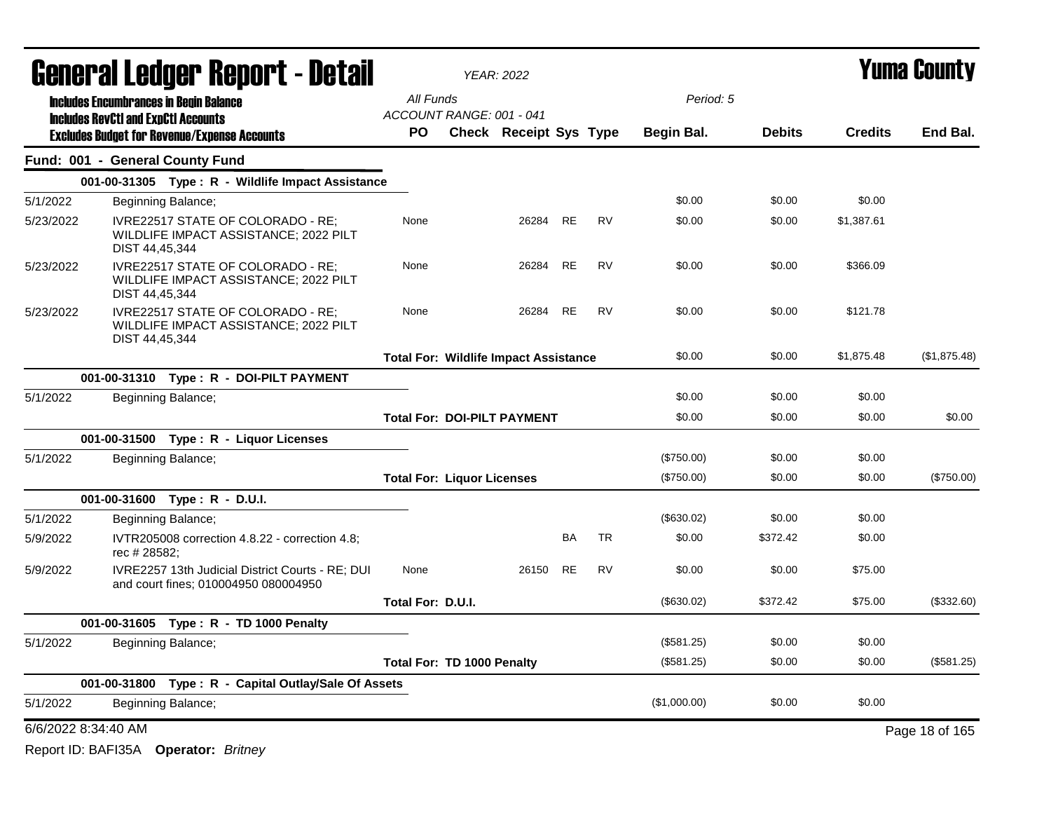|           |                                               | <b>General Ledger Report - Detail</b>                                                    |                                              | <b>YEAR: 2022</b>      |           |           |              |               |                | Yuma County    |
|-----------|-----------------------------------------------|------------------------------------------------------------------------------------------|----------------------------------------------|------------------------|-----------|-----------|--------------|---------------|----------------|----------------|
|           | <b>Includes Encumbrances in Begin Balance</b> |                                                                                          | All Funds                                    |                        |           |           | Period: 5    |               |                |                |
|           | <b>Includes RevCtI and ExpCtI Accounts</b>    |                                                                                          | ACCOUNT RANGE: 001 - 041                     |                        |           |           |              |               |                |                |
|           |                                               | <b>Excludes Budget for Revenue/Expense Accounts</b>                                      | PO.                                          | Check Receipt Sys Type |           |           | Begin Bal.   | <b>Debits</b> | <b>Credits</b> | End Bal.       |
|           |                                               | Fund: 001 - General County Fund                                                          |                                              |                        |           |           |              |               |                |                |
|           |                                               | 001-00-31305 Type: R - Wildlife Impact Assistance                                        |                                              |                        |           |           |              |               |                |                |
| 5/1/2022  |                                               | Beginning Balance;                                                                       |                                              |                        |           |           | \$0.00       | \$0.00        | \$0.00         |                |
| 5/23/2022 | DIST 44,45,344                                | IVRE22517 STATE OF COLORADO - RE:<br>WILDLIFE IMPACT ASSISTANCE; 2022 PILT               | None                                         | 26284                  | <b>RE</b> | <b>RV</b> | \$0.00       | \$0.00        | \$1,387.61     |                |
| 5/23/2022 | DIST 44,45,344                                | IVRE22517 STATE OF COLORADO - RE;<br>WILDLIFE IMPACT ASSISTANCE; 2022 PILT               | None                                         | 26284                  | <b>RE</b> | <b>RV</b> | \$0.00       | \$0.00        | \$366.09       |                |
| 5/23/2022 | DIST 44,45,344                                | IVRE22517 STATE OF COLORADO - RE:<br>WILDLIFE IMPACT ASSISTANCE; 2022 PILT               | None                                         | 26284                  | RE        | <b>RV</b> | \$0.00       | \$0.00        | \$121.78       |                |
|           |                                               |                                                                                          | <b>Total For: Wildlife Impact Assistance</b> |                        |           |           | \$0.00       | \$0.00        | \$1,875.48     | (\$1,875.48)   |
|           |                                               | 001-00-31310 Type: R - DOI-PILT PAYMENT                                                  |                                              |                        |           |           |              |               |                |                |
| 5/1/2022  |                                               | Beginning Balance;                                                                       |                                              |                        |           |           | \$0.00       | \$0.00        | \$0.00         |                |
|           |                                               |                                                                                          | <b>Total For: DOI-PILT PAYMENT</b>           |                        |           |           | \$0.00       | \$0.00        | \$0.00         | \$0.00         |
|           |                                               | 001-00-31500 Type: R - Liquor Licenses                                                   |                                              |                        |           |           |              |               |                |                |
| 5/1/2022  |                                               | Beginning Balance;                                                                       |                                              |                        |           |           | (\$750.00)   | \$0.00        | \$0.00         |                |
|           |                                               |                                                                                          | <b>Total For: Liquor Licenses</b>            |                        |           |           | (\$750.00)   | \$0.00        | \$0.00         | (\$750.00)     |
|           |                                               | 001-00-31600 Type: R - D.U.I.                                                            |                                              |                        |           |           |              |               |                |                |
| 5/1/2022  |                                               | Beginning Balance;                                                                       |                                              |                        |           |           | (\$630.02)   | \$0.00        | \$0.00         |                |
| 5/9/2022  | rec # 28582;                                  | IVTR205008 correction 4.8.22 - correction 4.8;                                           |                                              |                        | BA        | TR        | \$0.00       | \$372.42      | \$0.00         |                |
| 5/9/2022  |                                               | IVRE2257 13th Judicial District Courts - RE; DUI<br>and court fines; 010004950 080004950 | None                                         | 26150                  | RE        | <b>RV</b> | \$0.00       | \$0.00        | \$75.00        |                |
|           |                                               |                                                                                          | Total For: D.U.I.                            |                        |           |           | (\$630.02)   | \$372.42      | \$75.00        | (\$332.60)     |
|           |                                               | 001-00-31605 Type: R - TD 1000 Penalty                                                   |                                              |                        |           |           |              |               |                |                |
| 5/1/2022  |                                               | Beginning Balance;                                                                       |                                              |                        |           |           | (\$581.25)   | \$0.00        | \$0.00         |                |
|           |                                               |                                                                                          | Total For: TD 1000 Penalty                   |                        |           |           | (\$581.25)   | \$0.00        | \$0.00         | (\$581.25)     |
|           |                                               | 001-00-31800 Type: R - Capital Outlay/Sale Of Assets                                     |                                              |                        |           |           |              |               |                |                |
| 5/1/2022  |                                               | Beginning Balance;                                                                       |                                              |                        |           |           | (\$1,000.00) | \$0.00        | \$0.00         |                |
|           | 6/6/2022 8:34:40 AM                           |                                                                                          |                                              |                        |           |           |              |               |                | Page 18 of 165 |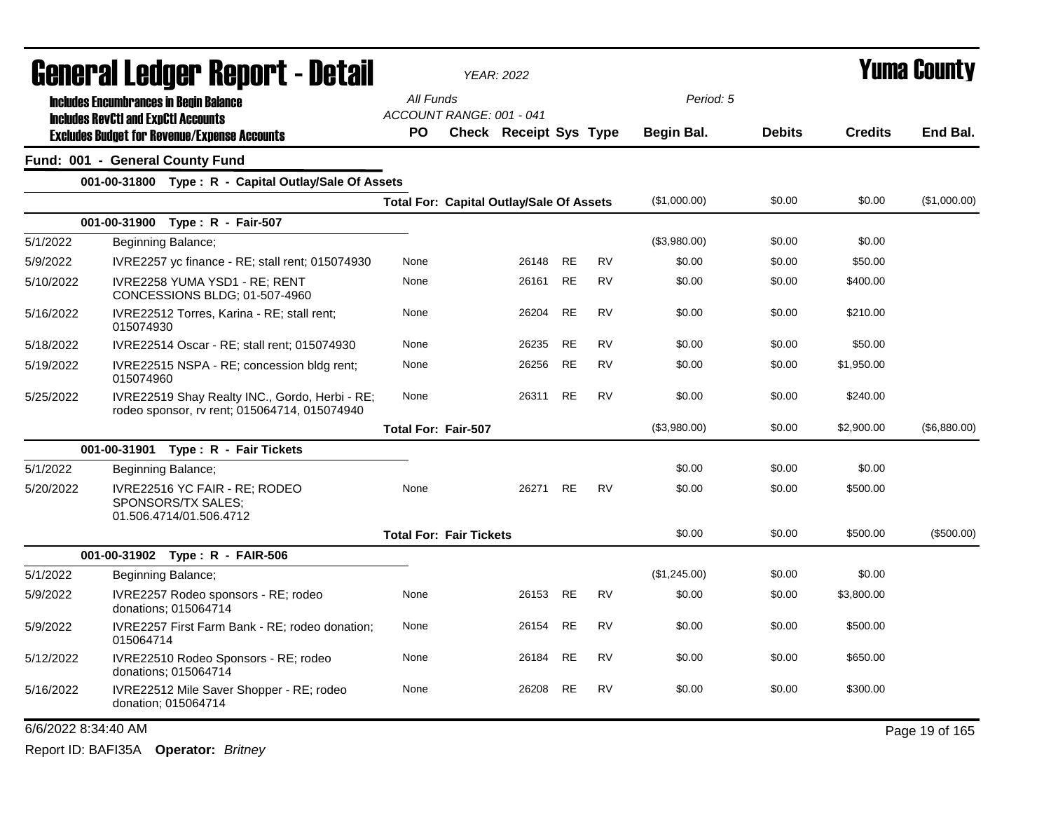|                     |                                            | General Ledger Report - Detail                                                                 |                                                 | <b>YEAR: 2022</b>      |           |           |                   |               |                | <b>Yuma County</b> |
|---------------------|--------------------------------------------|------------------------------------------------------------------------------------------------|-------------------------------------------------|------------------------|-----------|-----------|-------------------|---------------|----------------|--------------------|
|                     |                                            | <b>Includes Encumbrances in Begin Balance</b>                                                  | All Funds                                       |                        |           |           | Period: 5         |               |                |                    |
|                     | <b>Includes RevCtI and ExpCtI Accounts</b> |                                                                                                | ACCOUNT RANGE: 001 - 041                        |                        |           |           |                   |               |                |                    |
|                     |                                            | <b>Excludes Budget for Revenue/Expense Accounts</b>                                            | PO                                              | Check Receipt Sys Type |           |           | <b>Begin Bal.</b> | <b>Debits</b> | <b>Credits</b> | End Bal.           |
|                     |                                            | Fund: 001 - General County Fund                                                                |                                                 |                        |           |           |                   |               |                |                    |
|                     |                                            | 001-00-31800 Type: R - Capital Outlay/Sale Of Assets                                           |                                                 |                        |           |           |                   |               |                |                    |
|                     |                                            |                                                                                                | <b>Total For: Capital Outlay/Sale Of Assets</b> |                        |           |           | (\$1,000.00)      | \$0.00        | \$0.00         | (\$1,000.00)       |
|                     | 001-00-31900                               | Type: R - Fair-507                                                                             |                                                 |                        |           |           |                   |               |                |                    |
| 5/1/2022            |                                            | Beginning Balance;                                                                             |                                                 |                        |           |           | (\$3,980.00)      | \$0.00        | \$0.00         |                    |
| 5/9/2022            |                                            | IVRE2257 yc finance - RE; stall rent; 015074930                                                | None                                            | 26148                  | <b>RE</b> | <b>RV</b> | \$0.00            | \$0.00        | \$50.00        |                    |
| 5/10/2022           |                                            | IVRE2258 YUMA YSD1 - RE; RENT<br>CONCESSIONS BLDG: 01-507-4960                                 | None                                            | 26161                  | <b>RE</b> | <b>RV</b> | \$0.00            | \$0.00        | \$400.00       |                    |
| 5/16/2022           | 015074930                                  | IVRE22512 Torres, Karina - RE; stall rent;                                                     | None                                            | 26204                  | RE        | RV        | \$0.00            | \$0.00        | \$210.00       |                    |
| 5/18/2022           |                                            | IVRE22514 Oscar - RE; stall rent; 015074930                                                    | None                                            | 26235                  | <b>RE</b> | <b>RV</b> | \$0.00            | \$0.00        | \$50.00        |                    |
| 5/19/2022           | 015074960                                  | IVRE22515 NSPA - RE; concession bldg rent;                                                     | None                                            | 26256                  | <b>RE</b> | <b>RV</b> | \$0.00            | \$0.00        | \$1,950.00     |                    |
| 5/25/2022           |                                            | IVRE22519 Shay Realty INC., Gordo, Herbi - RE;<br>rodeo sponsor, rv rent; 015064714, 015074940 | None                                            | 26311                  | <b>RE</b> | <b>RV</b> | \$0.00            | \$0.00        | \$240.00       |                    |
|                     |                                            |                                                                                                | <b>Total For: Fair-507</b>                      |                        |           |           | (\$3,980.00)      | \$0.00        | \$2,900.00     | (\$6,880.00)       |
|                     |                                            | 001-00-31901 Type: R - Fair Tickets                                                            |                                                 |                        |           |           |                   |               |                |                    |
| 5/1/2022            |                                            | Beginning Balance;                                                                             |                                                 |                        |           |           | \$0.00            | \$0.00        | \$0.00         |                    |
| 5/20/2022           |                                            | IVRE22516 YC FAIR - RE; RODEO<br>SPONSORS/TX SALES:<br>01.506.4714/01.506.4712                 | None                                            | 26271                  | <b>RE</b> | <b>RV</b> | \$0.00            | \$0.00        | \$500.00       |                    |
|                     |                                            |                                                                                                | <b>Total For: Fair Tickets</b>                  |                        |           |           | \$0.00            | \$0.00        | \$500.00       | (\$500.00)         |
|                     |                                            | 001-00-31902 Type: R - FAIR-506                                                                |                                                 |                        |           |           |                   |               |                |                    |
| 5/1/2022            |                                            | Beginning Balance;                                                                             |                                                 |                        |           |           | (\$1,245.00)      | \$0.00        | \$0.00         |                    |
| 5/9/2022            |                                            | IVRE2257 Rodeo sponsors - RE; rodeo<br>donations; 015064714                                    | None                                            | 26153                  | RE        | <b>RV</b> | \$0.00            | \$0.00        | \$3,800.00     |                    |
| 5/9/2022            | 015064714                                  | IVRE2257 First Farm Bank - RE; rodeo donation;                                                 | None                                            | 26154                  | <b>RE</b> | <b>RV</b> | \$0.00            | \$0.00        | \$500.00       |                    |
| 5/12/2022           |                                            | IVRE22510 Rodeo Sponsors - RE; rodeo<br>donations; 015064714                                   | None                                            | 26184                  | <b>RE</b> | <b>RV</b> | \$0.00            | \$0.00        | \$650.00       |                    |
| 5/16/2022           |                                            | IVRE22512 Mile Saver Shopper - RE; rodeo<br>donation; 015064714                                | None                                            | 26208                  | <b>RE</b> | <b>RV</b> | \$0.00            | \$0.00        | \$300.00       |                    |
| 6/6/2022 8:34:40 AM |                                            |                                                                                                |                                                 |                        |           |           |                   |               |                | Page 19 of 165     |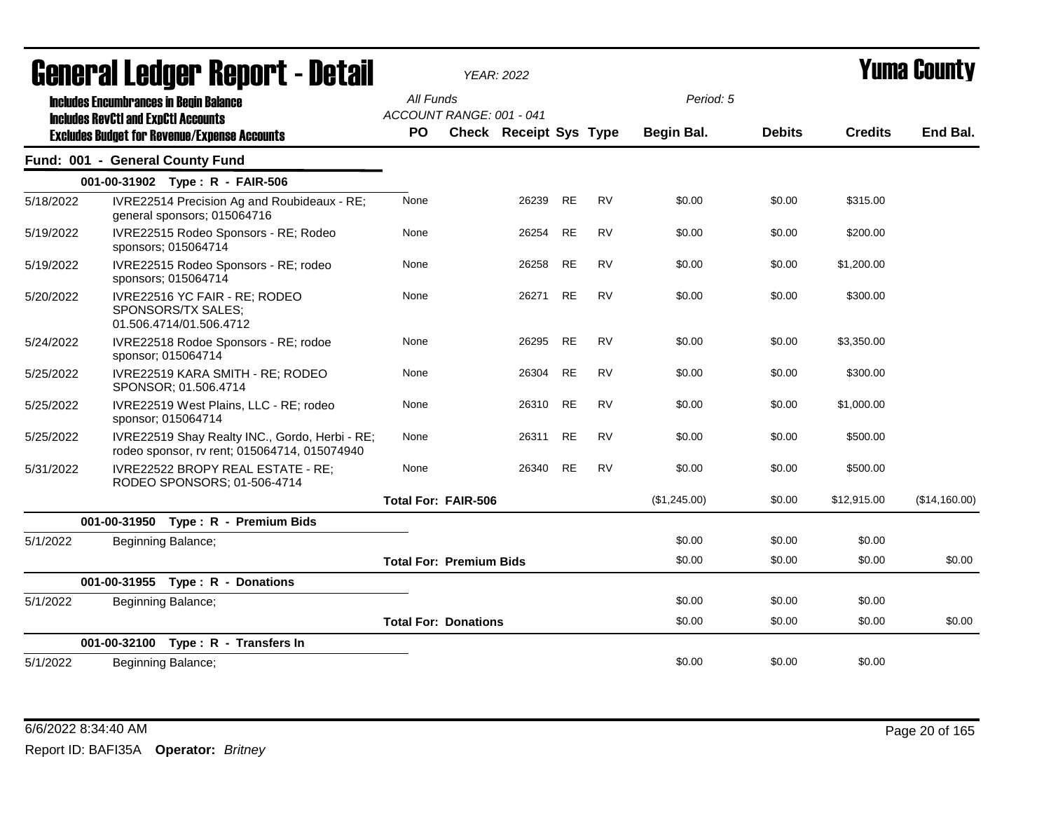|           | <b>General Ledger Report - Detail</b>                                                                                                              |                        | <b>YEAR: 2022</b>              |                               |           |           |                         |               |                | <b>Yuma County</b> |
|-----------|----------------------------------------------------------------------------------------------------------------------------------------------------|------------------------|--------------------------------|-------------------------------|-----------|-----------|-------------------------|---------------|----------------|--------------------|
|           | <b>Includes Encumbrances in Begin Balance</b><br><b>Includes RevCtI and ExpCtI Accounts</b><br><b>Excludes Budget for Revenue/Expense Accounts</b> | All Funds<br><b>PO</b> | ACCOUNT RANGE: 001 - 041       | <b>Check Receipt Sys Type</b> |           |           | Period: 5<br>Begin Bal. | <b>Debits</b> | <b>Credits</b> | End Bal.           |
|           | Fund: 001 - General County Fund                                                                                                                    |                        |                                |                               |           |           |                         |               |                |                    |
|           | 001-00-31902 Type: R - FAIR-506                                                                                                                    |                        |                                |                               |           |           |                         |               |                |                    |
| 5/18/2022 | IVRE22514 Precision Ag and Roubideaux - RE;<br>general sponsors; 015064716                                                                         | None                   |                                | 26239                         | <b>RE</b> | <b>RV</b> | \$0.00                  | \$0.00        | \$315.00       |                    |
| 5/19/2022 | IVRE22515 Rodeo Sponsors - RE; Rodeo<br>sponsors; 015064714                                                                                        | None                   |                                | 26254                         | RE        | <b>RV</b> | \$0.00                  | \$0.00        | \$200.00       |                    |
| 5/19/2022 | IVRE22515 Rodeo Sponsors - RE; rodeo<br>sponsors; 015064714                                                                                        | None                   |                                | 26258                         | RE        | <b>RV</b> | \$0.00                  | \$0.00        | \$1,200.00     |                    |
| 5/20/2022 | IVRE22516 YC FAIR - RE; RODEO<br>SPONSORS/TX SALES;<br>01.506.4714/01.506.4712                                                                     | None                   |                                | 26271                         | <b>RE</b> | <b>RV</b> | \$0.00                  | \$0.00        | \$300.00       |                    |
| 5/24/2022 | IVRE22518 Rodoe Sponsors - RE; rodoe<br>sponsor; 015064714                                                                                         | None                   |                                | 26295                         | <b>RE</b> | <b>RV</b> | \$0.00                  | \$0.00        | \$3,350.00     |                    |
| 5/25/2022 | IVRE22519 KARA SMITH - RE; RODEO<br>SPONSOR; 01.506.4714                                                                                           | None                   |                                | 26304                         | RE        | <b>RV</b> | \$0.00                  | \$0.00        | \$300.00       |                    |
| 5/25/2022 | IVRE22519 West Plains, LLC - RE; rodeo<br>sponsor; 015064714                                                                                       | None                   |                                | 26310                         | <b>RE</b> | <b>RV</b> | \$0.00                  | \$0.00        | \$1,000.00     |                    |
| 5/25/2022 | IVRE22519 Shay Realty INC., Gordo, Herbi - RE;<br>rodeo sponsor, rv rent; 015064714, 015074940                                                     | None                   |                                | 26311                         | <b>RE</b> | <b>RV</b> | \$0.00                  | \$0.00        | \$500.00       |                    |
| 5/31/2022 | IVRE22522 BROPY REAL ESTATE - RE:<br>RODEO SPONSORS; 01-506-4714                                                                                   | None                   |                                | 26340                         | RE        | <b>RV</b> | \$0.00                  | \$0.00        | \$500.00       |                    |
|           |                                                                                                                                                    |                        | <b>Total For: FAIR-506</b>     |                               |           |           | (\$1,245.00)            | \$0.00        | \$12,915.00    | (\$14,160.00)      |
|           | 001-00-31950<br>Type: R - Premium Bids                                                                                                             |                        |                                |                               |           |           |                         |               |                |                    |
| 5/1/2022  | Beginning Balance;                                                                                                                                 |                        |                                |                               |           |           | \$0.00                  | \$0.00        | \$0.00         |                    |
|           |                                                                                                                                                    |                        | <b>Total For: Premium Bids</b> |                               |           |           | \$0.00                  | \$0.00        | \$0.00         | \$0.00             |
|           | 001-00-31955 Type: R - Donations                                                                                                                   |                        |                                |                               |           |           |                         |               |                |                    |
| 5/1/2022  | Beginning Balance;                                                                                                                                 |                        |                                |                               |           |           | \$0.00                  | \$0.00        | \$0.00         |                    |
|           |                                                                                                                                                    |                        | <b>Total For: Donations</b>    |                               |           |           | \$0.00                  | \$0.00        | \$0.00         | \$0.00             |
|           | 001-00-32100 Type: R - Transfers In                                                                                                                |                        |                                |                               |           |           |                         |               |                |                    |
| 5/1/2022  | Beginning Balance;                                                                                                                                 |                        |                                |                               |           |           | \$0.00                  | \$0.00        | \$0.00         |                    |

## 6/6/2022 8:34:40 AM Page 20 of 165 Report ID: BAFI35A **Operator:** *Britney*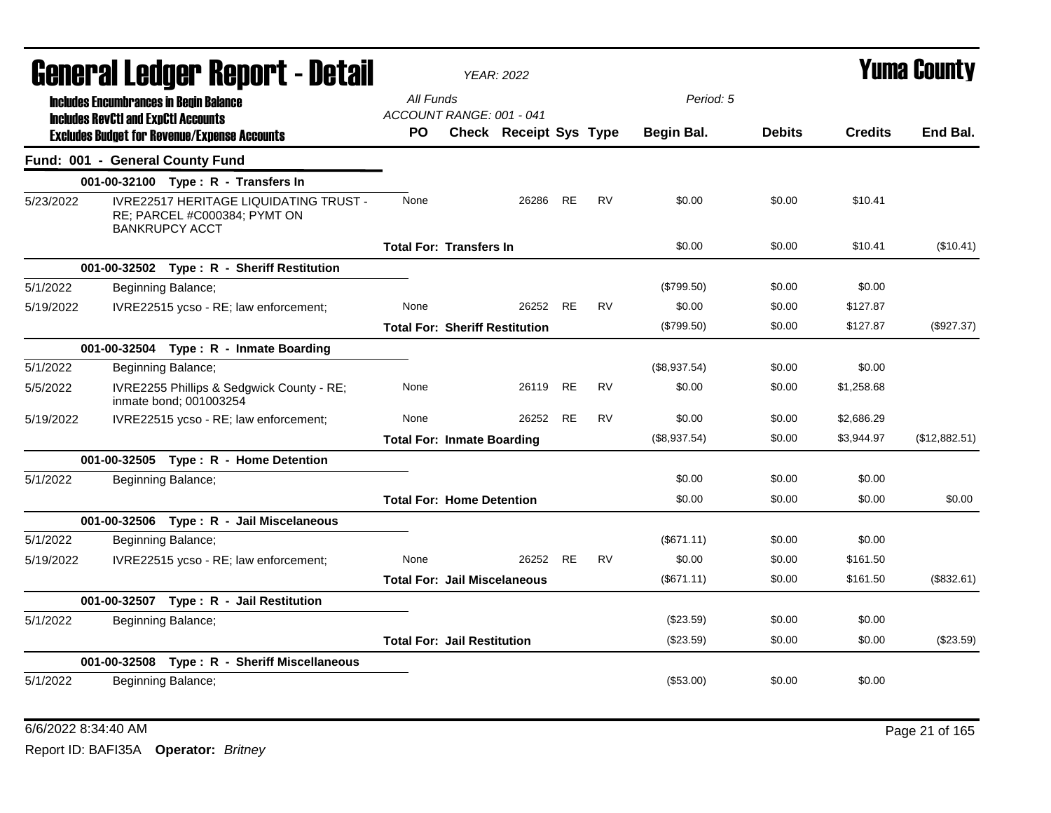|           | General Ledger Report - Detail                                                                         |                                       | <b>YEAR: 2022</b>                     |           |           |              |               |                | <b>Yuma County</b> |
|-----------|--------------------------------------------------------------------------------------------------------|---------------------------------------|---------------------------------------|-----------|-----------|--------------|---------------|----------------|--------------------|
|           | <b>Includes Encumbrances in Begin Balance</b>                                                          | All Funds                             |                                       |           |           | Period: 5    |               |                |                    |
|           | <b>Includes RevCtI and ExpCtI Accounts</b><br><b>Excludes Budget for Revenue/Expense Accounts</b>      | ACCOUNT RANGE: 001 - 041<br><b>PO</b> | Check Receipt Sys Type                |           |           | Begin Bal.   | <b>Debits</b> | <b>Credits</b> | End Bal.           |
|           | Fund: 001 - General County Fund                                                                        |                                       |                                       |           |           |              |               |                |                    |
|           | 001-00-32100 Type: R - Transfers In                                                                    |                                       |                                       |           |           |              |               |                |                    |
| 5/23/2022 | <b>IVRE22517 HERITAGE LIQUIDATING TRUST -</b><br>RE; PARCEL #C000384; PYMT ON<br><b>BANKRUPCY ACCT</b> | None                                  | 26286                                 | RE        | <b>RV</b> | \$0.00       | \$0.00        | \$10.41        |                    |
|           |                                                                                                        | <b>Total For: Transfers In</b>        |                                       |           |           | \$0.00       | \$0.00        | \$10.41        | (\$10.41)          |
|           | 001-00-32502 Type: R - Sheriff Restitution                                                             |                                       |                                       |           |           |              |               |                |                    |
| 5/1/2022  | Beginning Balance;                                                                                     |                                       |                                       |           |           | (\$799.50)   | \$0.00        | \$0.00         |                    |
| 5/19/2022 | IVRE22515 ycso - RE; law enforcement;                                                                  | None                                  | 26252                                 | <b>RE</b> | <b>RV</b> | \$0.00       | \$0.00        | \$127.87       |                    |
|           |                                                                                                        |                                       | <b>Total For: Sheriff Restitution</b> |           |           | $(\$799.50)$ | \$0.00        | \$127.87       | (\$927.37)         |
|           | 001-00-32504 Type: R - Inmate Boarding                                                                 |                                       |                                       |           |           |              |               |                |                    |
| 5/1/2022  | Beginning Balance;                                                                                     |                                       |                                       |           |           | (\$8,937.54) | \$0.00        | \$0.00         |                    |
| 5/5/2022  | IVRE2255 Phillips & Sedgwick County - RE;<br>inmate bond; 001003254                                    | None                                  | 26119                                 | <b>RE</b> | <b>RV</b> | \$0.00       | \$0.00        | \$1,258.68     |                    |
| 5/19/2022 | IVRE22515 ycso - RE; law enforcement;                                                                  | None                                  | 26252                                 | <b>RE</b> | <b>RV</b> | \$0.00       | \$0.00        | \$2,686.29     |                    |
|           |                                                                                                        | <b>Total For: Inmate Boarding</b>     |                                       |           |           | (\$8,937.54) | \$0.00        | \$3,944.97     | (\$12,882.51)      |
|           | 001-00-32505    Type: R - Home Detention                                                               |                                       |                                       |           |           |              |               |                |                    |
| 5/1/2022  | Beginning Balance;                                                                                     |                                       |                                       |           |           | \$0.00       | \$0.00        | \$0.00         |                    |
|           |                                                                                                        | <b>Total For: Home Detention</b>      |                                       |           |           | \$0.00       | \$0.00        | \$0.00         | \$0.00             |
|           | 001-00-32506 Type: R - Jail Miscelaneous                                                               |                                       |                                       |           |           |              |               |                |                    |
| 5/1/2022  | Beginning Balance;                                                                                     |                                       |                                       |           |           | (\$671.11)   | \$0.00        | \$0.00         |                    |
| 5/19/2022 | IVRE22515 ycso - RE; law enforcement;                                                                  | None                                  | 26252                                 | <b>RE</b> | <b>RV</b> | \$0.00       | \$0.00        | \$161.50       |                    |
|           |                                                                                                        | <b>Total For: Jail Miscelaneous</b>   |                                       |           |           | (\$671.11)   | \$0.00        | \$161.50       | (\$832.61)         |
|           | 001-00-32507 Type: R - Jail Restitution                                                                |                                       |                                       |           |           |              |               |                |                    |
| 5/1/2022  | Beginning Balance;                                                                                     |                                       |                                       |           |           | (\$23.59)    | \$0.00        | \$0.00         |                    |
|           |                                                                                                        | <b>Total For: Jail Restitution</b>    |                                       |           |           | (\$23.59)    | \$0.00        | \$0.00         | (\$23.59)          |
|           | 001-00-32508 Type: R - Sheriff Miscellaneous                                                           |                                       |                                       |           |           |              |               |                |                    |
| 5/1/2022  | Beginning Balance;                                                                                     |                                       |                                       |           |           | $(\$53.00)$  | \$0.00        | \$0.00         |                    |

## 6/6/2022 8:34:40 AM Page 21 of 165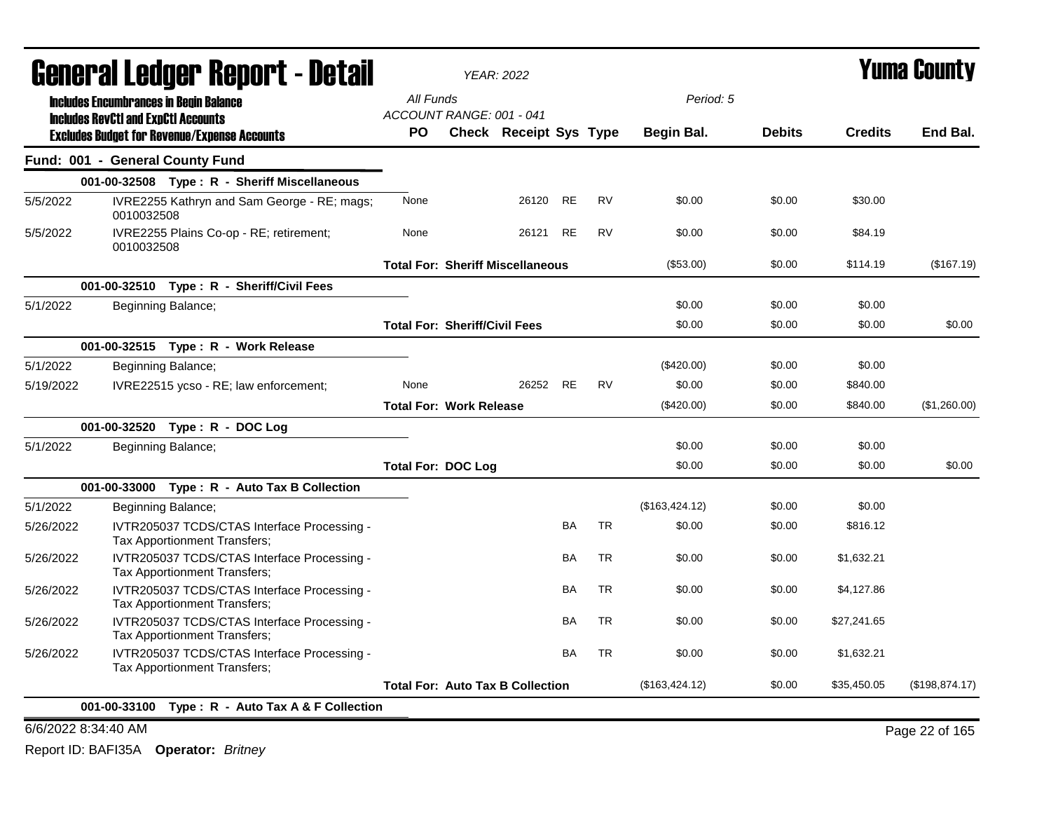|           |            | General Ledger Report - Detail                                                                    |                                      | <b>YEAR: 2022</b>                       |           |           |                |               |                | <b>Yuma County</b> |
|-----------|------------|---------------------------------------------------------------------------------------------------|--------------------------------------|-----------------------------------------|-----------|-----------|----------------|---------------|----------------|--------------------|
|           |            | <b>Includes Encumbrances in Begin Balance</b>                                                     | All Funds                            |                                         |           |           | Period: 5      |               |                |                    |
|           |            | <b>Includes RevCtI and ExpCtI Accounts</b><br><b>Excludes Budget for Revenue/Expense Accounts</b> | ACCOUNT RANGE: 001 - 041<br>PO.      | Check Receipt Sys Type                  |           |           | Begin Bal.     | <b>Debits</b> | <b>Credits</b> | End Bal.           |
|           |            | Fund: 001 - General County Fund                                                                   |                                      |                                         |           |           |                |               |                |                    |
|           |            | 001-00-32508 Type: R - Sheriff Miscellaneous                                                      |                                      |                                         |           |           |                |               |                |                    |
| 5/5/2022  | 0010032508 | IVRE2255 Kathryn and Sam George - RE; mags;                                                       | None                                 | 26120                                   | RE        | <b>RV</b> | \$0.00         | \$0.00        | \$30.00        |                    |
| 5/5/2022  | 0010032508 | IVRE2255 Plains Co-op - RE; retirement;                                                           | None                                 | 26121                                   | <b>RE</b> | <b>RV</b> | \$0.00         | \$0.00        | \$84.19        |                    |
|           |            |                                                                                                   |                                      | <b>Total For: Sheriff Miscellaneous</b> |           |           | (\$53.00)      | \$0.00        | \$114.19       | (\$167.19)         |
|           |            | 001-00-32510 Type: R - Sheriff/Civil Fees                                                         |                                      |                                         |           |           |                |               |                |                    |
| 5/1/2022  |            | Beginning Balance;                                                                                |                                      |                                         |           |           | \$0.00         | \$0.00        | \$0.00         |                    |
|           |            |                                                                                                   | <b>Total For: Sheriff/Civil Fees</b> |                                         |           |           | \$0.00         | \$0.00        | \$0.00         | \$0.00             |
|           |            | 001-00-32515 Type: R - Work Release                                                               |                                      |                                         |           |           |                |               |                |                    |
| 5/1/2022  |            | Beginning Balance;                                                                                |                                      |                                         |           |           | $(\$420.00)$   | \$0.00        | \$0.00         |                    |
| 5/19/2022 |            | IVRE22515 ycso - RE; law enforcement;                                                             | None                                 | 26252                                   | <b>RE</b> | <b>RV</b> | \$0.00         | \$0.00        | \$840.00       |                    |
|           |            |                                                                                                   | <b>Total For: Work Release</b>       |                                         |           |           | $(\$420.00)$   | \$0.00        | \$840.00       | (\$1,260.00)       |
|           |            | 001-00-32520 Type: R - DOC Log                                                                    |                                      |                                         |           |           |                |               |                |                    |
| 5/1/2022  |            | Beginning Balance;                                                                                |                                      |                                         |           |           | \$0.00         | \$0.00        | \$0.00         |                    |
|           |            |                                                                                                   | <b>Total For: DOC Log</b>            |                                         |           |           | \$0.00         | \$0.00        | \$0.00         | \$0.00             |
|           |            | 001-00-33000 Type: R - Auto Tax B Collection                                                      |                                      |                                         |           |           |                |               |                |                    |
| 5/1/2022  |            | Beginning Balance;                                                                                |                                      |                                         |           |           | (\$163,424.12) | \$0.00        | \$0.00         |                    |
| 5/26/2022 |            | IVTR205037 TCDS/CTAS Interface Processing -<br>Tax Apportionment Transfers;                       |                                      |                                         | BA        | <b>TR</b> | \$0.00         | \$0.00        | \$816.12       |                    |
| 5/26/2022 |            | IVTR205037 TCDS/CTAS Interface Processing -<br>Tax Apportionment Transfers;                       |                                      |                                         | <b>BA</b> | <b>TR</b> | \$0.00         | \$0.00        | \$1,632.21     |                    |
| 5/26/2022 |            | IVTR205037 TCDS/CTAS Interface Processing -<br>Tax Apportionment Transfers;                       |                                      |                                         | BA        | <b>TR</b> | \$0.00         | \$0.00        | \$4,127.86     |                    |
| 5/26/2022 |            | IVTR205037 TCDS/CTAS Interface Processing -<br>Tax Apportionment Transfers;                       |                                      |                                         | BA        | <b>TR</b> | \$0.00         | \$0.00        | \$27,241.65    |                    |
| 5/26/2022 |            | IVTR205037 TCDS/CTAS Interface Processing -<br>Tax Apportionment Transfers;                       |                                      |                                         | <b>BA</b> | <b>TR</b> | \$0.00         | \$0.00        | \$1,632.21     |                    |
|           |            |                                                                                                   |                                      | <b>Total For: Auto Tax B Collection</b> |           |           | (\$163,424.12) | \$0.00        | \$35,450.05    | (\$198,874.17)     |
|           |            | 001-00-33100 Type: R - Auto Tax A & F Collection                                                  |                                      |                                         |           |           |                |               |                |                    |

6/6/2022 8:34:40 AM Page 22 of 165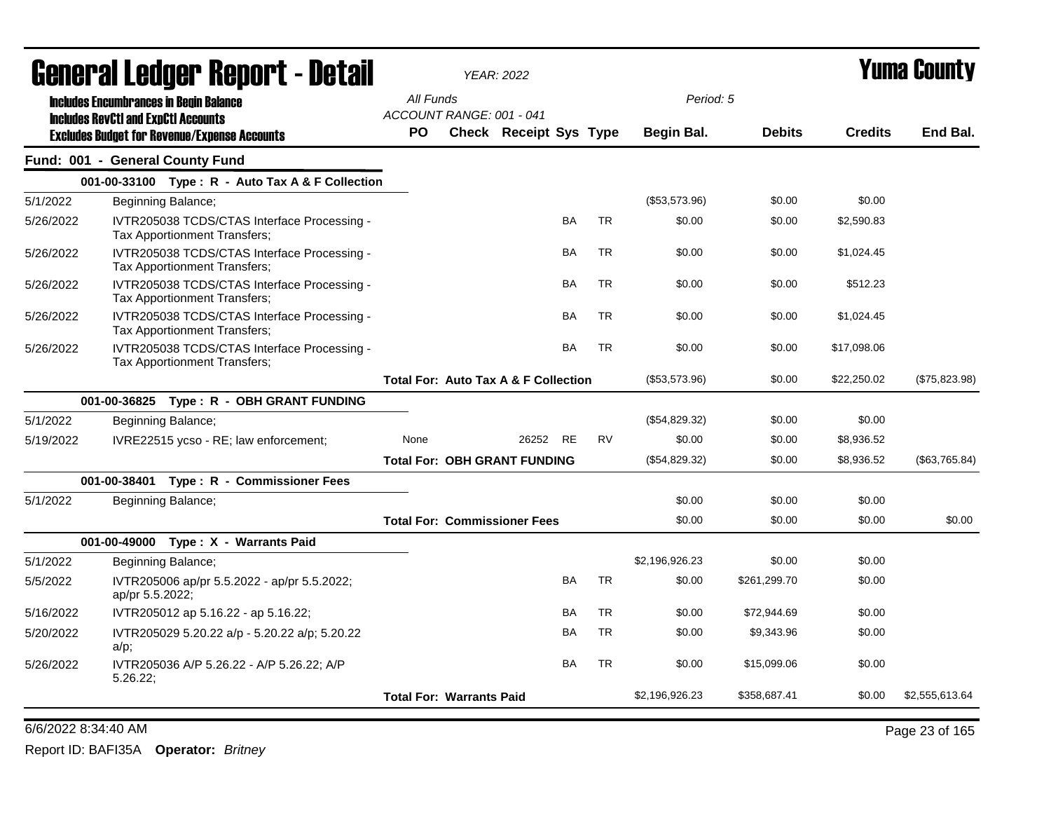|           | General Ledger Report - Detail                                              |                                                 | <b>YEAR: 2022</b>      |           |           |                |               |                | <b>Yuma County</b> |
|-----------|-----------------------------------------------------------------------------|-------------------------------------------------|------------------------|-----------|-----------|----------------|---------------|----------------|--------------------|
|           | <b>Includes Encumbrances in Begin Balance</b>                               | All Funds                                       |                        |           |           | Period: 5      |               |                |                    |
|           | <b>Includes RevCtI and ExpCtI Accounts</b>                                  | ACCOUNT RANGE: 001 - 041                        |                        |           |           |                |               |                |                    |
|           | <b>Excludes Budget for Revenue/Expense Accounts</b>                         | <b>PO</b>                                       | Check Receipt Sys Type |           |           | Begin Bal.     | <b>Debits</b> | <b>Credits</b> | End Bal.           |
|           | Fund: 001 - General County Fund                                             |                                                 |                        |           |           |                |               |                |                    |
|           | 001-00-33100 Type: R - Auto Tax A & F Collection                            |                                                 |                        |           |           |                |               |                |                    |
| 5/1/2022  | Beginning Balance;                                                          |                                                 |                        |           |           | (\$53,573.96)  | \$0.00        | \$0.00         |                    |
| 5/26/2022 | IVTR205038 TCDS/CTAS Interface Processing -<br>Tax Apportionment Transfers; |                                                 |                        | BA        | <b>TR</b> | \$0.00         | \$0.00        | \$2,590.83     |                    |
| 5/26/2022 | IVTR205038 TCDS/CTAS Interface Processing -<br>Tax Apportionment Transfers; |                                                 |                        | BA        | <b>TR</b> | \$0.00         | \$0.00        | \$1,024.45     |                    |
| 5/26/2022 | IVTR205038 TCDS/CTAS Interface Processing -<br>Tax Apportionment Transfers; |                                                 |                        | <b>BA</b> | <b>TR</b> | \$0.00         | \$0.00        | \$512.23       |                    |
| 5/26/2022 | IVTR205038 TCDS/CTAS Interface Processing -<br>Tax Apportionment Transfers; |                                                 |                        | <b>BA</b> | <b>TR</b> | \$0.00         | \$0.00        | \$1,024.45     |                    |
| 5/26/2022 | IVTR205038 TCDS/CTAS Interface Processing -<br>Tax Apportionment Transfers; |                                                 |                        | BA        | <b>TR</b> | \$0.00         | \$0.00        | \$17,098.06    |                    |
|           |                                                                             | <b>Total For: Auto Tax A &amp; F Collection</b> |                        |           |           | (\$53,573.96)  | \$0.00        | \$22,250.02    | (\$75,823.98)      |
|           | 001-00-36825 Type: R - OBH GRANT FUNDING                                    |                                                 |                        |           |           |                |               |                |                    |
| 5/1/2022  | Beginning Balance;                                                          |                                                 |                        |           |           | (\$54,829.32)  | \$0.00        | \$0.00         |                    |
| 5/19/2022 | IVRE22515 ycso - RE; law enforcement;                                       | None                                            | 26252 RE               |           | <b>RV</b> | \$0.00         | \$0.00        | \$8,936.52     |                    |
|           |                                                                             | <b>Total For: OBH GRANT FUNDING</b>             |                        |           |           | (\$54,829.32)  | \$0.00        | \$8,936.52     | (\$63,765.84)      |
|           | 001-00-38401<br>Type: R - Commissioner Fees                                 |                                                 |                        |           |           |                |               |                |                    |
| 5/1/2022  | Beginning Balance;                                                          |                                                 |                        |           |           | \$0.00         | \$0.00        | \$0.00         |                    |
|           |                                                                             | <b>Total For: Commissioner Fees</b>             |                        |           |           | \$0.00         | \$0.00        | \$0.00         | \$0.00             |
|           | 001-00-49000 Type: X - Warrants Paid                                        |                                                 |                        |           |           |                |               |                |                    |
| 5/1/2022  | Beginning Balance;                                                          |                                                 |                        |           |           | \$2,196,926.23 | \$0.00        | \$0.00         |                    |
| 5/5/2022  | IVTR205006 ap/pr 5.5.2022 - ap/pr 5.5.2022;<br>ap/pr 5.5.2022;              |                                                 |                        | BA        | <b>TR</b> | \$0.00         | \$261,299.70  | \$0.00         |                    |
| 5/16/2022 | IVTR205012 ap 5.16.22 - ap 5.16.22;                                         |                                                 |                        | BA        | <b>TR</b> | \$0.00         | \$72,944.69   | \$0.00         |                    |
| 5/20/2022 | IVTR205029 5.20.22 a/p - 5.20.22 a/p; 5.20.22<br>$a/p$ ;                    |                                                 |                        | BA        | <b>TR</b> | \$0.00         | \$9,343.96    | \$0.00         |                    |
| 5/26/2022 | IVTR205036 A/P 5.26.22 - A/P 5.26.22; A/P<br>5.26.22;                       |                                                 |                        | <b>BA</b> | <b>TR</b> | \$0.00         | \$15,099.06   | \$0.00         |                    |
|           |                                                                             | <b>Total For: Warrants Paid</b>                 |                        |           |           | \$2,196,926.23 | \$358,687.41  | \$0.00         | \$2,555,613.64     |

6/6/2022 8:34:40 AM Page 23 of 165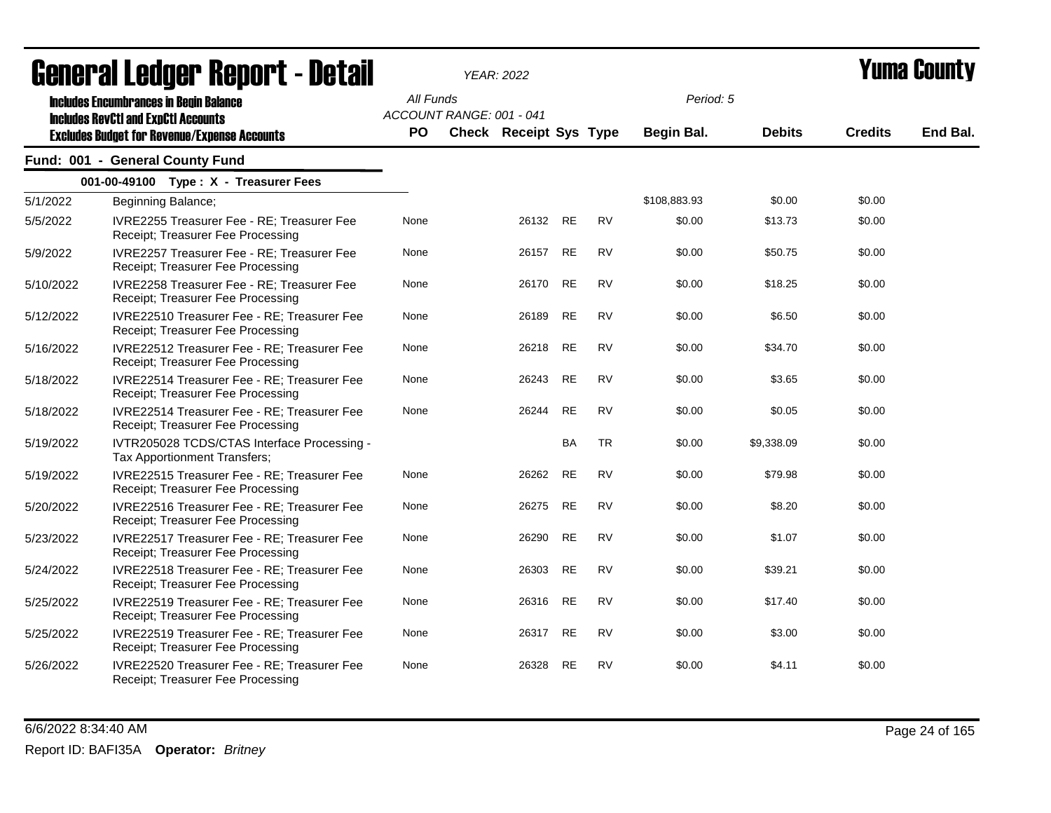|           | <b>General Ledger Report - Detail</b>                                                       |           | <b>YEAR: 2022</b>        |          |           |           |              |               |                | Yuma Countv |  |
|-----------|---------------------------------------------------------------------------------------------|-----------|--------------------------|----------|-----------|-----------|--------------|---------------|----------------|-------------|--|
|           | <b>Includes Encumbrances in Begin Balance</b><br><b>Includes RevCtI and ExpCtI Accounts</b> | All Funds | ACCOUNT RANGE: 001 - 041 |          |           |           | Period: 5    |               |                |             |  |
|           | <b>Excludes Budget for Revenue/Expense Accounts</b>                                         | <b>PO</b> | Check Receipt Sys Type   |          |           |           | Begin Bal.   | <b>Debits</b> | <b>Credits</b> | End Bal.    |  |
|           | Fund: 001 - General County Fund                                                             |           |                          |          |           |           |              |               |                |             |  |
|           | 001-00-49100 Type: X - Treasurer Fees                                                       |           |                          |          |           |           |              |               |                |             |  |
| 5/1/2022  | Beginning Balance;                                                                          |           |                          |          |           |           | \$108,883.93 | \$0.00        | \$0.00         |             |  |
| 5/5/2022  | IVRE2255 Treasurer Fee - RE; Treasurer Fee<br>Receipt; Treasurer Fee Processing             | None      |                          | 26132 RE |           | <b>RV</b> | \$0.00       | \$13.73       | \$0.00         |             |  |
| 5/9/2022  | IVRE2257 Treasurer Fee - RE; Treasurer Fee<br>Receipt; Treasurer Fee Processing             | None      |                          | 26157    | <b>RE</b> | <b>RV</b> | \$0.00       | \$50.75       | \$0.00         |             |  |
| 5/10/2022 | IVRE2258 Treasurer Fee - RE; Treasurer Fee<br>Receipt; Treasurer Fee Processing             | None      |                          | 26170    | RE        | <b>RV</b> | \$0.00       | \$18.25       | \$0.00         |             |  |
| 5/12/2022 | IVRE22510 Treasurer Fee - RE; Treasurer Fee<br>Receipt; Treasurer Fee Processing            | None      |                          | 26189    | <b>RE</b> | <b>RV</b> | \$0.00       | \$6.50        | \$0.00         |             |  |
| 5/16/2022 | IVRE22512 Treasurer Fee - RE; Treasurer Fee<br>Receipt; Treasurer Fee Processing            | None      |                          | 26218    | <b>RE</b> | <b>RV</b> | \$0.00       | \$34.70       | \$0.00         |             |  |
| 5/18/2022 | IVRE22514 Treasurer Fee - RE; Treasurer Fee<br>Receipt; Treasurer Fee Processing            | None      |                          | 26243    | <b>RE</b> | <b>RV</b> | \$0.00       | \$3.65        | \$0.00         |             |  |
| 5/18/2022 | IVRE22514 Treasurer Fee - RE; Treasurer Fee<br>Receipt; Treasurer Fee Processing            | None      |                          | 26244    | <b>RE</b> | <b>RV</b> | \$0.00       | \$0.05        | \$0.00         |             |  |
| 5/19/2022 | IVTR205028 TCDS/CTAS Interface Processing -<br>Tax Apportionment Transfers;                 |           |                          |          | BA        | TR        | \$0.00       | \$9,338.09    | \$0.00         |             |  |
| 5/19/2022 | IVRE22515 Treasurer Fee - RE; Treasurer Fee<br>Receipt; Treasurer Fee Processing            | None      |                          | 26262    | <b>RE</b> | <b>RV</b> | \$0.00       | \$79.98       | \$0.00         |             |  |
| 5/20/2022 | IVRE22516 Treasurer Fee - RE; Treasurer Fee<br>Receipt; Treasurer Fee Processing            | None      |                          | 26275    | <b>RE</b> | <b>RV</b> | \$0.00       | \$8.20        | \$0.00         |             |  |
| 5/23/2022 | IVRE22517 Treasurer Fee - RE; Treasurer Fee<br>Receipt; Treasurer Fee Processing            | None      |                          | 26290    | <b>RE</b> | <b>RV</b> | \$0.00       | \$1.07        | \$0.00         |             |  |
| 5/24/2022 | IVRE22518 Treasurer Fee - RE; Treasurer Fee<br>Receipt; Treasurer Fee Processing            | None      |                          | 26303    | RE        | <b>RV</b> | \$0.00       | \$39.21       | \$0.00         |             |  |
| 5/25/2022 | IVRE22519 Treasurer Fee - RE; Treasurer Fee<br>Receipt; Treasurer Fee Processing            | None      |                          | 26316    | <b>RE</b> | <b>RV</b> | \$0.00       | \$17.40       | \$0.00         |             |  |
| 5/25/2022 | IVRE22519 Treasurer Fee - RE; Treasurer Fee<br>Receipt; Treasurer Fee Processing            | None      |                          | 26317    | <b>RE</b> | <b>RV</b> | \$0.00       | \$3.00        | \$0.00         |             |  |
| 5/26/2022 | IVRE22520 Treasurer Fee - RE; Treasurer Fee<br>Receipt; Treasurer Fee Processing            | None      |                          | 26328    | <b>RE</b> | <b>RV</b> | \$0.00       | \$4.11        | \$0.00         |             |  |

6/6/2022 8:34:40 AM Page 24 of 165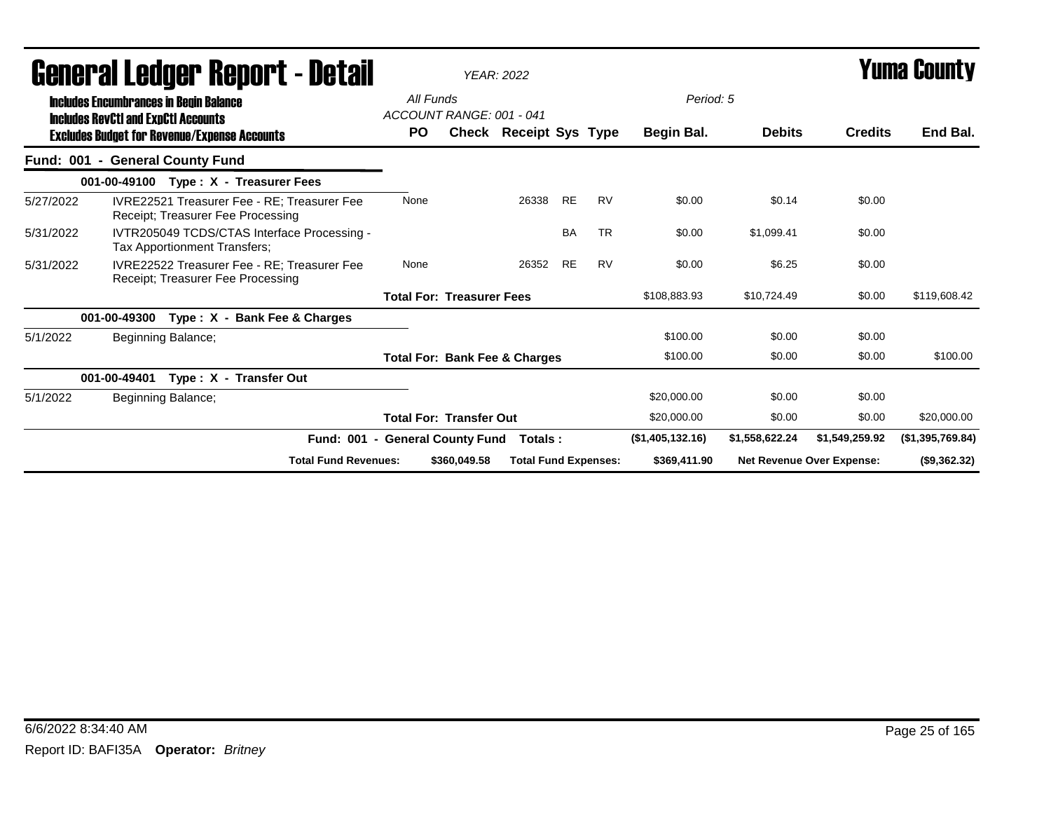|                                 |                                               |  |                                                     | <b>General Ledger Report - Detail</b>              | <b>YEAR: 2022</b><br>All Funds<br>ACCOUNT RANGE: 001 - 041 |     |                                  |                                          |           |           | Period: 5        | <b>Yuma County</b> |                           |                  |
|---------------------------------|-----------------------------------------------|--|-----------------------------------------------------|----------------------------------------------------|------------------------------------------------------------|-----|----------------------------------|------------------------------------------|-----------|-----------|------------------|--------------------|---------------------------|------------------|
|                                 | <b>Includes Encumbrances in Begin Balance</b> |  |                                                     |                                                    |                                                            |     |                                  |                                          |           |           |                  |                    |                           |                  |
|                                 | <b>Includes RevCtI and ExpCtI Accounts</b>    |  | <b>Excludes Budget for Revenue/Expense Accounts</b> |                                                    |                                                            | PO. |                                  | Check Receipt Sys Type                   |           |           | Begin Bal.       | <b>Debits</b>      | <b>Credits</b>            | End Bal.         |
| Fund: 001 - General County Fund |                                               |  |                                                     |                                                    |                                                            |     |                                  |                                          |           |           |                  |                    |                           |                  |
|                                 |                                               |  | 001-00-49100 Type: X - Treasurer Fees               |                                                    |                                                            |     |                                  |                                          |           |           |                  |                    |                           |                  |
| 5/27/2022                       |                                               |  | Receipt; Treasurer Fee Processing                   | <b>IVRE22521 Treasurer Fee - RE: Treasurer Fee</b> | None                                                       |     |                                  | 26338                                    | <b>RE</b> | <b>RV</b> | \$0.00           | \$0.14             | \$0.00                    |                  |
| 5/31/2022                       | Tax Apportionment Transfers;                  |  |                                                     | IVTR205049 TCDS/CTAS Interface Processing -        |                                                            |     |                                  |                                          | <b>BA</b> | <b>TR</b> | \$0.00           | \$1.099.41         | \$0.00                    |                  |
| 5/31/2022                       |                                               |  | Receipt; Treasurer Fee Processing                   | <b>IVRE22522 Treasurer Fee - RE: Treasurer Fee</b> | None                                                       |     |                                  | 26352                                    | <b>RE</b> | <b>RV</b> | \$0.00           | \$6.25             | \$0.00                    |                  |
|                                 |                                               |  |                                                     |                                                    |                                                            |     | <b>Total For: Treasurer Fees</b> |                                          |           |           | \$108,883.93     | \$10,724.49        | \$0.00                    | \$119,608.42     |
|                                 | 001-00-49300                                  |  | Type: X - Bank Fee & Charges                        |                                                    |                                                            |     |                                  |                                          |           |           |                  |                    |                           |                  |
| 5/1/2022                        | Beginning Balance;                            |  |                                                     |                                                    |                                                            |     |                                  |                                          |           |           | \$100.00         | \$0.00             | \$0.00                    |                  |
|                                 |                                               |  |                                                     |                                                    |                                                            |     |                                  | <b>Total For: Bank Fee &amp; Charges</b> |           |           | \$100.00         | \$0.00             | \$0.00                    | \$100.00         |
|                                 | 001-00-49401                                  |  | Type: X - Transfer Out                              |                                                    |                                                            |     |                                  |                                          |           |           |                  |                    |                           |                  |
| 5/1/2022                        | Beginning Balance;                            |  |                                                     |                                                    |                                                            |     |                                  |                                          |           |           | \$20,000.00      | \$0.00             | \$0.00                    |                  |
|                                 |                                               |  |                                                     |                                                    |                                                            |     | <b>Total For: Transfer Out</b>   |                                          |           |           | \$20,000.00      | \$0.00             | \$0.00                    | \$20,000.00      |
|                                 |                                               |  |                                                     | Fund: 001 - General County Fund                    |                                                            |     |                                  | Totals:                                  |           |           | (\$1,405,132.16) | \$1,558,622.24     | \$1,549,259.92            | (\$1,395,769.84) |
|                                 |                                               |  |                                                     | <b>Total Fund Revenues:</b>                        |                                                            |     | \$360,049.58                     | <b>Total Fund Expenses:</b>              |           |           | \$369,411.90     |                    | Net Revenue Over Expense: | (\$9,362.32)     |

## 6/6/2022 8:34:40 AM Page 25 of 165 Report ID: BAFI35A **Operator:** *Britney*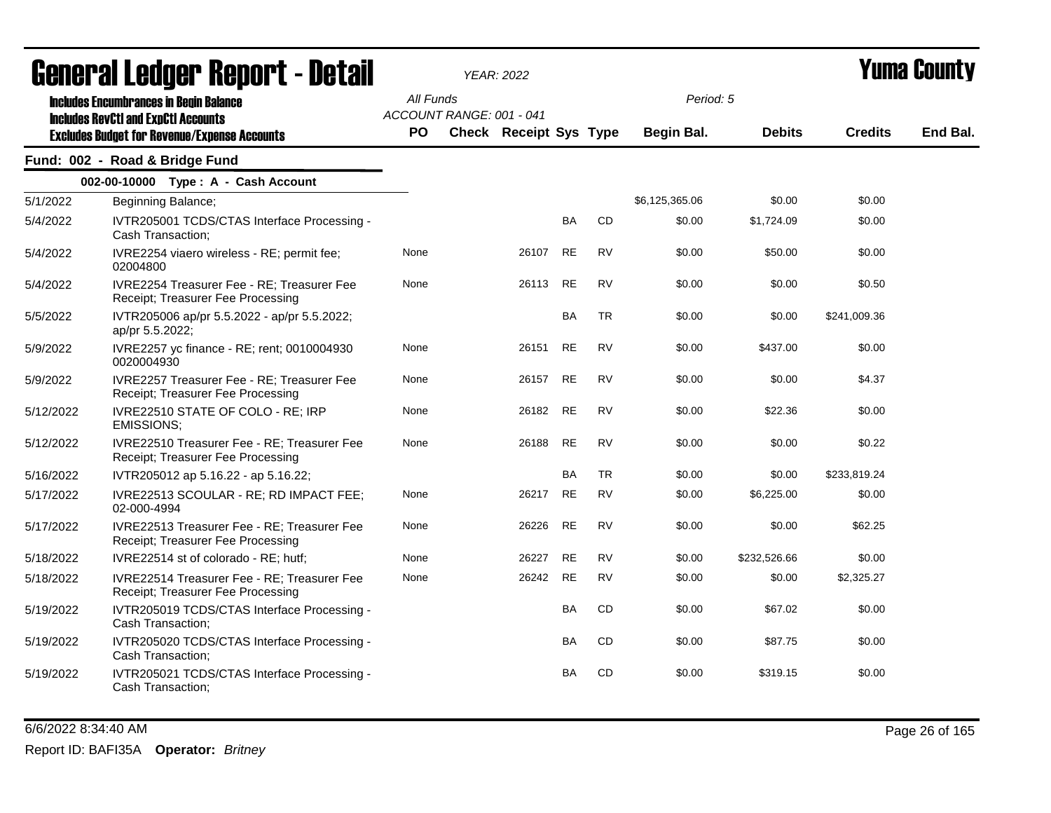|           | <u>Ganglai Frañal, Kanol (* detail</u>                                                                                                             |                        |                          | <b>YEAR: 2022</b>      |           |           |                         |               |                | Tunia Gounty |
|-----------|----------------------------------------------------------------------------------------------------------------------------------------------------|------------------------|--------------------------|------------------------|-----------|-----------|-------------------------|---------------|----------------|--------------|
|           | <b>Includes Encumbrances in Begin Balance</b><br><b>Includes RevCtI and ExpCtI Accounts</b><br><b>Excludes Budget for Revenue/Expense Accounts</b> | All Funds<br><b>PO</b> | ACCOUNT RANGE: 001 - 041 | Check Receipt Sys Type |           |           | Period: 5<br>Begin Bal. | <b>Debits</b> | <b>Credits</b> | End Bal.     |
|           | Fund: 002 - Road & Bridge Fund                                                                                                                     |                        |                          |                        |           |           |                         |               |                |              |
|           | 002-00-10000 Type: A - Cash Account                                                                                                                |                        |                          |                        |           |           |                         |               |                |              |
| 5/1/2022  | Beginning Balance;                                                                                                                                 |                        |                          |                        |           |           | \$6,125,365.06          | \$0.00        | \$0.00         |              |
| 5/4/2022  | IVTR205001 TCDS/CTAS Interface Processing -<br>Cash Transaction;                                                                                   |                        |                          |                        | BA        | CD        | \$0.00                  | \$1,724.09    | \$0.00         |              |
| 5/4/2022  | IVRE2254 viaero wireless - RE; permit fee;<br>02004800                                                                                             | None                   |                          | 26107                  | <b>RE</b> | <b>RV</b> | \$0.00                  | \$50.00       | \$0.00         |              |
| 5/4/2022  | IVRE2254 Treasurer Fee - RE; Treasurer Fee<br>Receipt; Treasurer Fee Processing                                                                    | None                   |                          | 26113                  | <b>RE</b> | <b>RV</b> | \$0.00                  | \$0.00        | \$0.50         |              |
| 5/5/2022  | IVTR205006 ap/pr 5.5.2022 - ap/pr 5.5.2022;<br>ap/pr 5.5.2022;                                                                                     |                        |                          |                        | BA        | TR        | \$0.00                  | \$0.00        | \$241,009.36   |              |
| 5/9/2022  | IVRE2257 yc finance - RE; rent; 0010004930<br>0020004930                                                                                           | None                   |                          | 26151                  | <b>RE</b> | <b>RV</b> | \$0.00                  | \$437.00      | \$0.00         |              |
| 5/9/2022  | IVRE2257 Treasurer Fee - RE; Treasurer Fee<br>Receipt; Treasurer Fee Processing                                                                    | None                   |                          | 26157                  | <b>RE</b> | <b>RV</b> | \$0.00                  | \$0.00        | \$4.37         |              |
| 5/12/2022 | IVRE22510 STATE OF COLO - RE; IRP<br><b>EMISSIONS;</b>                                                                                             | None                   |                          | 26182                  | <b>RE</b> | <b>RV</b> | \$0.00                  | \$22.36       | \$0.00         |              |
| 5/12/2022 | IVRE22510 Treasurer Fee - RE; Treasurer Fee<br>Receipt; Treasurer Fee Processing                                                                   | None                   |                          | 26188                  | <b>RE</b> | <b>RV</b> | \$0.00                  | \$0.00        | \$0.22         |              |
| 5/16/2022 | IVTR205012 ap 5.16.22 - ap 5.16.22;                                                                                                                |                        |                          |                        | <b>BA</b> | <b>TR</b> | \$0.00                  | \$0.00        | \$233,819.24   |              |
| 5/17/2022 | IVRE22513 SCOULAR - RE; RD IMPACT FEE;<br>02-000-4994                                                                                              | None                   |                          | 26217                  | <b>RE</b> | <b>RV</b> | \$0.00                  | \$6,225.00    | \$0.00         |              |
| 5/17/2022 | IVRE22513 Treasurer Fee - RE; Treasurer Fee<br>Receipt; Treasurer Fee Processing                                                                   | None                   |                          | 26226                  | <b>RE</b> | <b>RV</b> | \$0.00                  | \$0.00        | \$62.25        |              |
| 5/18/2022 | IVRE22514 st of colorado - RE; hutf;                                                                                                               | None                   |                          | 26227                  | <b>RE</b> | RV        | \$0.00                  | \$232,526.66  | \$0.00         |              |
| 5/18/2022 | IVRE22514 Treasurer Fee - RE; Treasurer Fee<br>Receipt; Treasurer Fee Processing                                                                   | None                   |                          | 26242                  | <b>RE</b> | RV        | \$0.00                  | \$0.00        | \$2,325.27     |              |
| 5/19/2022 | IVTR205019 TCDS/CTAS Interface Processing -<br>Cash Transaction;                                                                                   |                        |                          |                        | BA        | CD        | \$0.00                  | \$67.02       | \$0.00         |              |
| 5/19/2022 | IVTR205020 TCDS/CTAS Interface Processing -<br>Cash Transaction;                                                                                   |                        |                          |                        | <b>BA</b> | CD        | \$0.00                  | \$87.75       | \$0.00         |              |
| 5/19/2022 | IVTR205021 TCDS/CTAS Interface Processing -<br>Cash Transaction;                                                                                   |                        |                          |                        | BA        | CD        | \$0.00                  | \$319.15      | \$0.00         |              |

6/6/2022 8:34:40 AM Page 26 of 165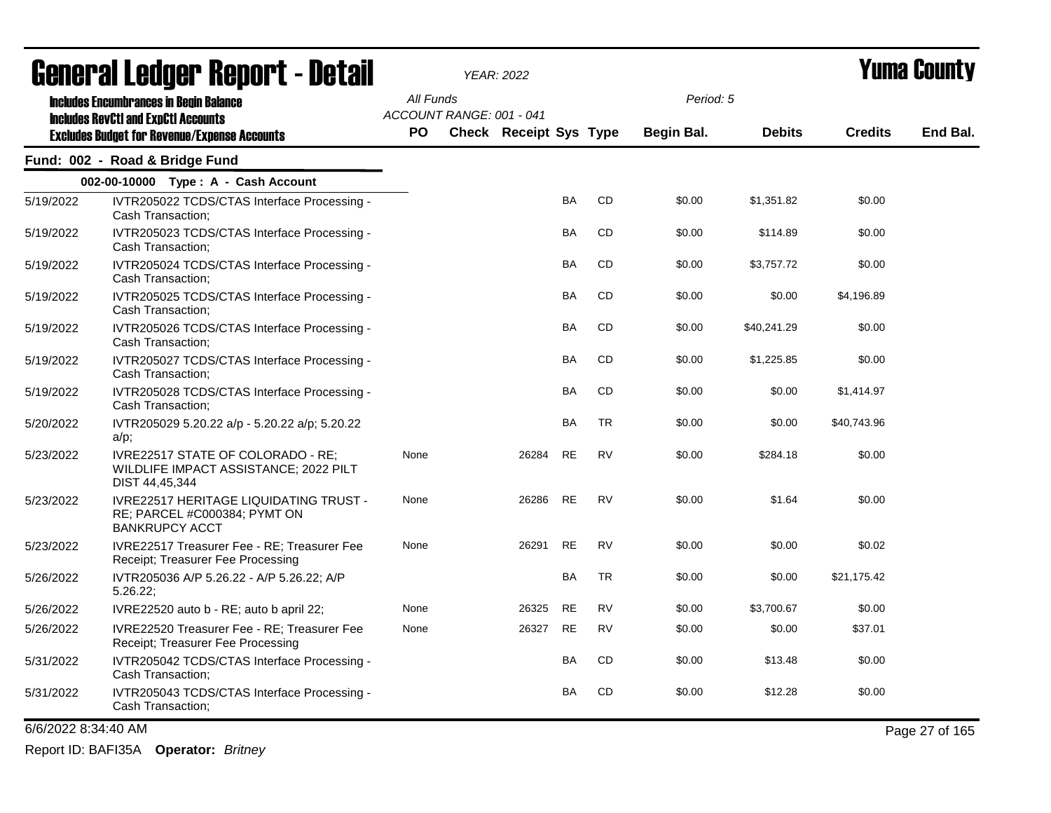|                     | agual.gi fanñal. Urini. ( - nafsii                                                                                                                 |      |                                       | YEAR: 2022             |           |           |            |               |                | i uma vvunty   |
|---------------------|----------------------------------------------------------------------------------------------------------------------------------------------------|------|---------------------------------------|------------------------|-----------|-----------|------------|---------------|----------------|----------------|
|                     | <b>Includes Encumbrances in Begin Balance</b><br><b>Includes RevCtI and ExpCtI Accounts</b><br><b>Excludes Budget for Revenue/Expense Accounts</b> |      | All Funds<br>ACCOUNT RANGE: 001 - 041 |                        |           |           | Period: 5  |               |                |                |
|                     |                                                                                                                                                    | PO.  |                                       | Check Receipt Sys Type |           |           | Begin Bal. | <b>Debits</b> | <b>Credits</b> | End Bal.       |
|                     | Fund: 002 - Road & Bridge Fund                                                                                                                     |      |                                       |                        |           |           |            |               |                |                |
|                     | 002-00-10000 Type: A - Cash Account                                                                                                                |      |                                       |                        |           |           |            |               |                |                |
| 5/19/2022           | IVTR205022 TCDS/CTAS Interface Processing -<br>Cash Transaction;                                                                                   |      |                                       |                        | BA        | <b>CD</b> | \$0.00     | \$1,351.82    | \$0.00         |                |
| 5/19/2022           | IVTR205023 TCDS/CTAS Interface Processing -<br>Cash Transaction;                                                                                   |      |                                       |                        | BA        | CD        | \$0.00     | \$114.89      | \$0.00         |                |
| 5/19/2022           | IVTR205024 TCDS/CTAS Interface Processing -<br>Cash Transaction;                                                                                   |      |                                       |                        | <b>BA</b> | <b>CD</b> | \$0.00     | \$3,757.72    | \$0.00         |                |
| 5/19/2022           | IVTR205025 TCDS/CTAS Interface Processing -<br>Cash Transaction;                                                                                   |      |                                       |                        | <b>BA</b> | <b>CD</b> | \$0.00     | \$0.00        | \$4,196.89     |                |
| 5/19/2022           | IVTR205026 TCDS/CTAS Interface Processing -<br>Cash Transaction:                                                                                   |      |                                       |                        | BA        | CD        | \$0.00     | \$40,241.29   | \$0.00         |                |
| 5/19/2022           | IVTR205027 TCDS/CTAS Interface Processing -<br>Cash Transaction;                                                                                   |      |                                       |                        | BA        | CD        | \$0.00     | \$1,225.85    | \$0.00         |                |
| 5/19/2022           | IVTR205028 TCDS/CTAS Interface Processing -<br>Cash Transaction;                                                                                   |      |                                       |                        | <b>BA</b> | <b>CD</b> | \$0.00     | \$0.00        | \$1,414.97     |                |
| 5/20/2022           | IVTR205029 5.20.22 a/p - 5.20.22 a/p; 5.20.22<br>$a/p$ ;                                                                                           |      |                                       |                        | BA        | <b>TR</b> | \$0.00     | \$0.00        | \$40,743.96    |                |
| 5/23/2022           | IVRE22517 STATE OF COLORADO - RE:<br>WILDLIFE IMPACT ASSISTANCE; 2022 PILT<br>DIST 44,45,344                                                       | None |                                       | 26284                  | RE        | <b>RV</b> | \$0.00     | \$284.18      | \$0.00         |                |
| 5/23/2022           | <b>IVRE22517 HERITAGE LIQUIDATING TRUST -</b><br>RE; PARCEL #C000384; PYMT ON<br><b>BANKRUPCY ACCT</b>                                             | None |                                       | 26286                  | <b>RE</b> | <b>RV</b> | \$0.00     | \$1.64        | \$0.00         |                |
| 5/23/2022           | IVRE22517 Treasurer Fee - RE; Treasurer Fee<br>Receipt; Treasurer Fee Processing                                                                   | None |                                       | 26291                  | <b>RE</b> | <b>RV</b> | \$0.00     | \$0.00        | \$0.02         |                |
| 5/26/2022           | IVTR205036 A/P 5.26.22 - A/P 5.26.22; A/P<br>$5.26.22$ ;                                                                                           |      |                                       |                        | <b>BA</b> | <b>TR</b> | \$0.00     | \$0.00        | \$21,175.42    |                |
| 5/26/2022           | IVRE22520 auto b - RE; auto b april 22;                                                                                                            | None |                                       | 26325                  | <b>RE</b> | <b>RV</b> | \$0.00     | \$3,700.67    | \$0.00         |                |
| 5/26/2022           | IVRE22520 Treasurer Fee - RE; Treasurer Fee<br>Receipt; Treasurer Fee Processing                                                                   | None |                                       | 26327                  | RE        | <b>RV</b> | \$0.00     | \$0.00        | \$37.01        |                |
| 5/31/2022           | IVTR205042 TCDS/CTAS Interface Processing -<br>Cash Transaction:                                                                                   |      |                                       |                        | BA        | CD        | \$0.00     | \$13.48       | \$0.00         |                |
| 5/31/2022           | IVTR205043 TCDS/CTAS Interface Processing -<br>Cash Transaction;                                                                                   |      |                                       |                        | BA        | CD        | \$0.00     | \$12.28       | \$0.00         |                |
| 6/6/2022 8:34:40 AM |                                                                                                                                                    |      |                                       |                        |           |           |            |               |                | Page 27 of 165 |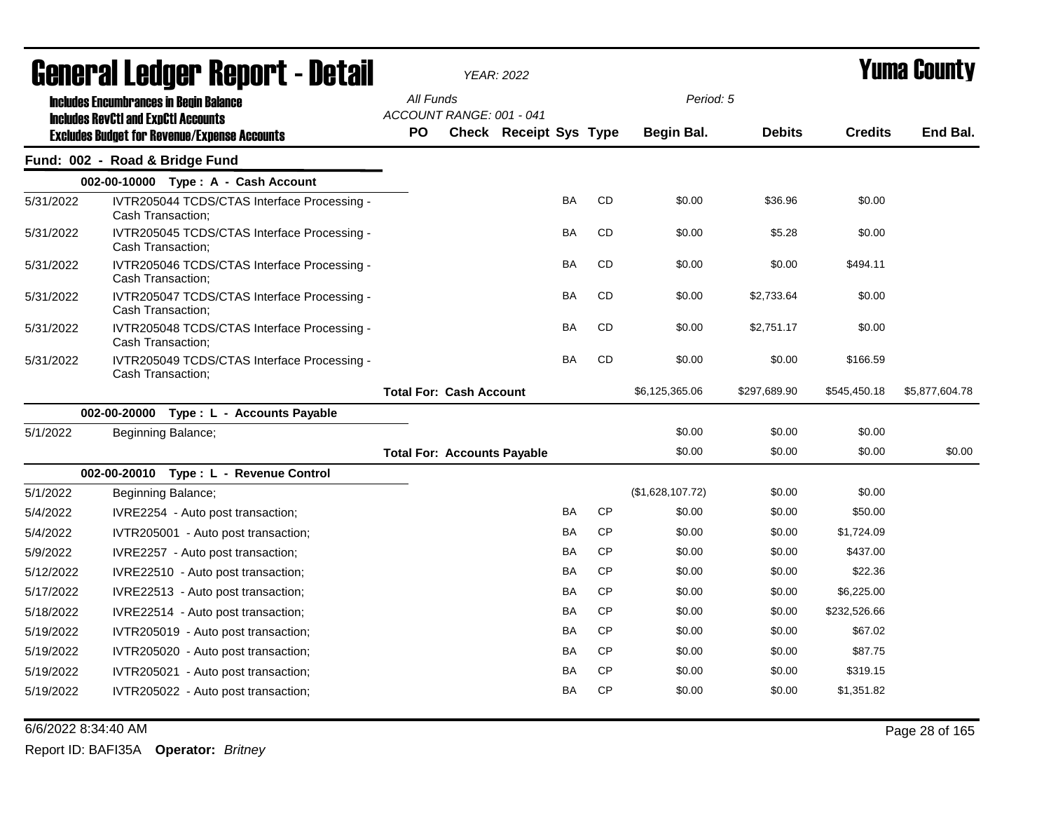|           | General Ledger Report - Detail                                                              |                                       | <b>YEAR: 2022</b>      |           |           |                  |               |                | <b>Yuma County</b> |  |
|-----------|---------------------------------------------------------------------------------------------|---------------------------------------|------------------------|-----------|-----------|------------------|---------------|----------------|--------------------|--|
|           | <b>Includes Encumbrances in Begin Balance</b><br><b>Includes RevCtI and ExpCtI Accounts</b> | All Funds<br>ACCOUNT RANGE: 001 - 041 |                        |           |           | Period: 5        |               |                |                    |  |
|           | <b>Excludes Budget for Revenue/Expense Accounts</b>                                         | <b>PO</b>                             | Check Receipt Sys Type |           |           | Begin Bal.       | <b>Debits</b> | <b>Credits</b> | End Bal.           |  |
|           | Fund: 002 - Road & Bridge Fund                                                              |                                       |                        |           |           |                  |               |                |                    |  |
|           | 002-00-10000 Type: A - Cash Account                                                         |                                       |                        |           |           |                  |               |                |                    |  |
| 5/31/2022 | IVTR205044 TCDS/CTAS Interface Processing -<br>Cash Transaction;                            |                                       |                        | <b>BA</b> | <b>CD</b> | \$0.00           | \$36.96       | \$0.00         |                    |  |
| 5/31/2022 | IVTR205045 TCDS/CTAS Interface Processing -<br>Cash Transaction;                            |                                       |                        | BA        | <b>CD</b> | \$0.00           | \$5.28        | \$0.00         |                    |  |
| 5/31/2022 | IVTR205046 TCDS/CTAS Interface Processing -<br>Cash Transaction;                            |                                       |                        | <b>BA</b> | <b>CD</b> | \$0.00           | \$0.00        | \$494.11       |                    |  |
| 5/31/2022 | IVTR205047 TCDS/CTAS Interface Processing -<br>Cash Transaction;                            |                                       |                        | BA        | <b>CD</b> | \$0.00           | \$2,733.64    | \$0.00         |                    |  |
| 5/31/2022 | IVTR205048 TCDS/CTAS Interface Processing -<br>Cash Transaction;                            |                                       |                        | <b>BA</b> | <b>CD</b> | \$0.00           | \$2,751.17    | \$0.00         |                    |  |
| 5/31/2022 | IVTR205049 TCDS/CTAS Interface Processing -<br>Cash Transaction;                            |                                       |                        | <b>BA</b> | <b>CD</b> | \$0.00           | \$0.00        | \$166.59       |                    |  |
|           |                                                                                             | <b>Total For: Cash Account</b>        |                        |           |           | \$6,125,365.06   | \$297,689.90  | \$545,450.18   | \$5,877,604.78     |  |
|           | 002-00-20000 Type: L - Accounts Payable                                                     |                                       |                        |           |           |                  |               |                |                    |  |
| 5/1/2022  | Beginning Balance;                                                                          |                                       |                        |           |           | \$0.00           | \$0.00        | \$0.00         |                    |  |
|           |                                                                                             | <b>Total For: Accounts Payable</b>    |                        |           |           | \$0.00           | \$0.00        | \$0.00         | \$0.00             |  |
|           | 002-00-20010 Type: L - Revenue Control                                                      |                                       |                        |           |           |                  |               |                |                    |  |
| 5/1/2022  | Beginning Balance;                                                                          |                                       |                        |           |           | (\$1,628,107.72) | \$0.00        | \$0.00         |                    |  |
| 5/4/2022  | IVRE2254 - Auto post transaction;                                                           |                                       |                        | BA        | <b>CP</b> | \$0.00           | \$0.00        | \$50.00        |                    |  |
| 5/4/2022  | IVTR205001 - Auto post transaction;                                                         |                                       |                        | BA        | <b>CP</b> | \$0.00           | \$0.00        | \$1,724.09     |                    |  |
| 5/9/2022  | IVRE2257 - Auto post transaction;                                                           |                                       |                        | BA        | <b>CP</b> | \$0.00           | \$0.00        | \$437.00       |                    |  |
| 5/12/2022 | IVRE22510 - Auto post transaction;                                                          |                                       |                        | BA        | <b>CP</b> | \$0.00           | \$0.00        | \$22.36        |                    |  |
| 5/17/2022 | IVRE22513 - Auto post transaction;                                                          |                                       |                        | BA        | <b>CP</b> | \$0.00           | \$0.00        | \$6,225.00     |                    |  |
| 5/18/2022 | IVRE22514 - Auto post transaction;                                                          |                                       |                        | BA        | <b>CP</b> | \$0.00           | \$0.00        | \$232,526.66   |                    |  |
| 5/19/2022 | IVTR205019 - Auto post transaction;                                                         |                                       |                        | BA        | <b>CP</b> | \$0.00           | \$0.00        | \$67.02        |                    |  |
| 5/19/2022 | IVTR205020 - Auto post transaction;                                                         |                                       |                        | <b>BA</b> | <b>CP</b> | \$0.00           | \$0.00        | \$87.75        |                    |  |
| 5/19/2022 | IVTR205021 - Auto post transaction;                                                         |                                       |                        | <b>BA</b> | <b>CP</b> | \$0.00           | \$0.00        | \$319.15       |                    |  |
| 5/19/2022 | IVTR205022 - Auto post transaction;                                                         |                                       |                        | BA        | <b>CP</b> | \$0.00           | \$0.00        | \$1,351.82     |                    |  |

6/6/2022 8:34:40 AM Page 28 of 165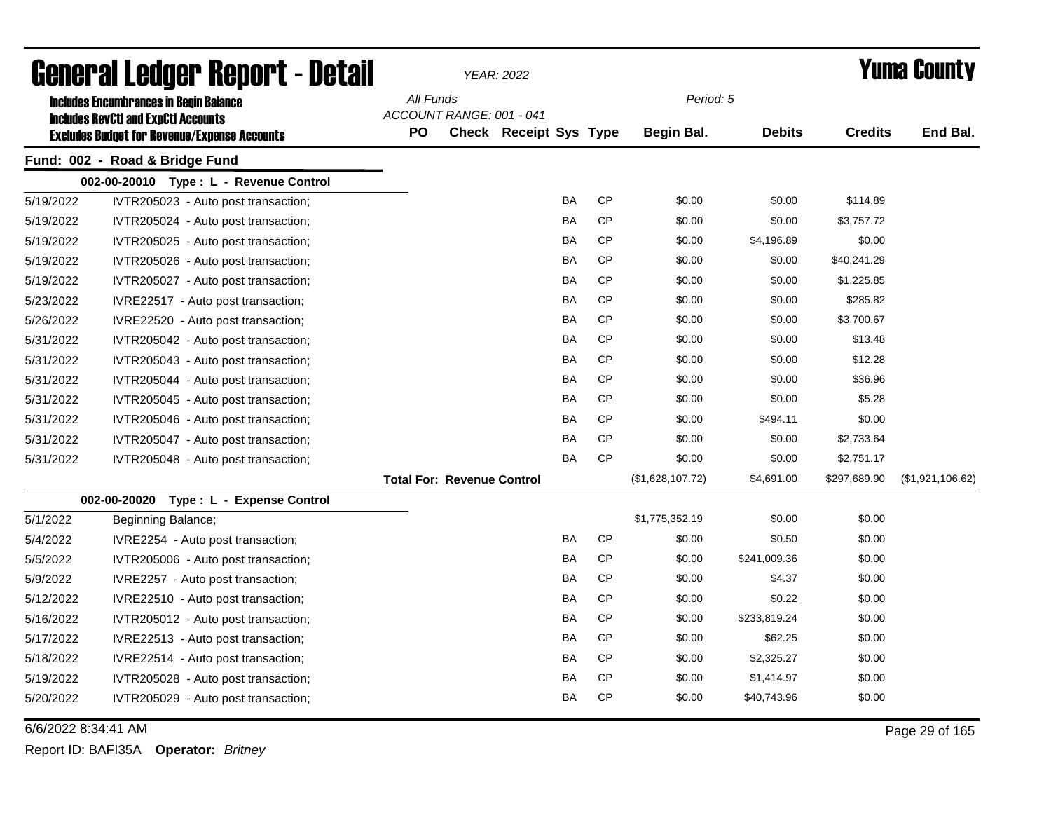| General Ledger Report - Detail<br><b>Includes Encumbrances in Begin Balance</b>                   |                                           |           |                                   | <b>YEAR: 2022</b>             |           |           |                   |               |                | Yuma Countv      |
|---------------------------------------------------------------------------------------------------|-------------------------------------------|-----------|-----------------------------------|-------------------------------|-----------|-----------|-------------------|---------------|----------------|------------------|
| <b>Includes RevCtI and ExpCtI Accounts</b><br><b>Excludes Budget for Revenue/Expense Accounts</b> |                                           | All Funds |                                   |                               |           |           | Period: 5         |               |                |                  |
|                                                                                                   |                                           |           | ACCOUNT RANGE: 001 - 041          |                               |           |           |                   |               |                |                  |
|                                                                                                   |                                           | <b>PO</b> |                                   | <b>Check Receipt Sys Type</b> |           |           | <b>Begin Bal.</b> | <b>Debits</b> | <b>Credits</b> | End Bal.         |
|                                                                                                   | Fund: 002 - Road & Bridge Fund            |           |                                   |                               |           |           |                   |               |                |                  |
|                                                                                                   | 002-00-20010 Type: L - Revenue Control    |           |                                   |                               |           |           |                   |               |                |                  |
| 5/19/2022                                                                                         | IVTR205023 - Auto post transaction;       |           |                                   |                               | <b>BA</b> | <b>CP</b> | \$0.00            | \$0.00        | \$114.89       |                  |
| 5/19/2022                                                                                         | IVTR205024 - Auto post transaction;       |           |                                   |                               | <b>BA</b> | <b>CP</b> | \$0.00            | \$0.00        | \$3,757.72     |                  |
| 5/19/2022                                                                                         | IVTR205025 - Auto post transaction;       |           |                                   |                               | BA        | CP        | \$0.00            | \$4,196.89    | \$0.00         |                  |
| 5/19/2022                                                                                         | IVTR205026 - Auto post transaction;       |           |                                   |                               | <b>BA</b> | CP        | \$0.00            | \$0.00        | \$40,241.29    |                  |
| 5/19/2022                                                                                         | IVTR205027 - Auto post transaction;       |           |                                   |                               | <b>BA</b> | <b>CP</b> | \$0.00            | \$0.00        | \$1,225.85     |                  |
| 5/23/2022                                                                                         | IVRE22517 - Auto post transaction;        |           |                                   |                               | BA        | CP        | \$0.00            | \$0.00        | \$285.82       |                  |
| 5/26/2022                                                                                         | IVRE22520 - Auto post transaction;        |           |                                   |                               | BA        | CP        | \$0.00            | \$0.00        | \$3,700.67     |                  |
| 5/31/2022                                                                                         | IVTR205042 - Auto post transaction;       |           |                                   |                               | BA        | СP        | \$0.00            | \$0.00        | \$13.48        |                  |
| 5/31/2022                                                                                         | IVTR205043 - Auto post transaction;       |           |                                   |                               | BA        | <b>CP</b> | \$0.00            | \$0.00        | \$12.28        |                  |
| 5/31/2022                                                                                         | IVTR205044 - Auto post transaction;       |           |                                   |                               | BA        | CP        | \$0.00            | \$0.00        | \$36.96        |                  |
| 5/31/2022                                                                                         | IVTR205045 - Auto post transaction;       |           |                                   |                               | BA        | CP        | \$0.00            | \$0.00        | \$5.28         |                  |
| 5/31/2022                                                                                         | IVTR205046 - Auto post transaction;       |           |                                   |                               | <b>BA</b> | CP        | \$0.00            | \$494.11      | \$0.00         |                  |
| 5/31/2022                                                                                         | IVTR205047 - Auto post transaction;       |           |                                   |                               | <b>BA</b> | <b>CP</b> | \$0.00            | \$0.00        | \$2,733.64     |                  |
| 5/31/2022                                                                                         | IVTR205048 - Auto post transaction;       |           |                                   |                               | <b>BA</b> | <b>CP</b> | \$0.00            | \$0.00        | \$2,751.17     |                  |
|                                                                                                   |                                           |           | <b>Total For: Revenue Control</b> |                               |           |           | (\$1,628,107.72)  | \$4,691.00    | \$297,689.90   | (\$1,921,106.62) |
|                                                                                                   | 002-00-20020<br>Type: L - Expense Control |           |                                   |                               |           |           |                   |               |                |                  |
| 5/1/2022                                                                                          | Beginning Balance;                        |           |                                   |                               |           |           | \$1,775,352.19    | \$0.00        | \$0.00         |                  |
| 5/4/2022                                                                                          | IVRE2254 - Auto post transaction;         |           |                                   |                               | <b>BA</b> | <b>CP</b> | \$0.00            | \$0.50        | \$0.00         |                  |
| 5/5/2022                                                                                          | IVTR205006 - Auto post transaction;       |           |                                   |                               | <b>BA</b> | <b>CP</b> | \$0.00            | \$241,009.36  | \$0.00         |                  |
| 5/9/2022                                                                                          | IVRE2257 - Auto post transaction;         |           |                                   |                               | <b>BA</b> | <b>CP</b> | \$0.00            | \$4.37        | \$0.00         |                  |
| 5/12/2022                                                                                         | IVRE22510 - Auto post transaction;        |           |                                   |                               | <b>BA</b> | CP        | \$0.00            | \$0.22        | \$0.00         |                  |
| 5/16/2022                                                                                         | IVTR205012 - Auto post transaction;       |           |                                   |                               | <b>BA</b> | <b>CP</b> | \$0.00            | \$233,819.24  | \$0.00         |                  |
| 5/17/2022                                                                                         | IVRE22513 - Auto post transaction;        |           |                                   |                               | <b>BA</b> | <b>CP</b> | \$0.00            | \$62.25       | \$0.00         |                  |
| 5/18/2022                                                                                         | IVRE22514 - Auto post transaction;        |           |                                   |                               | <b>BA</b> | <b>CP</b> | \$0.00            | \$2,325.27    | \$0.00         |                  |
| 5/19/2022                                                                                         | IVTR205028 - Auto post transaction;       |           |                                   |                               | BA        | <b>CP</b> | \$0.00            | \$1,414.97    | \$0.00         |                  |
| 5/20/2022                                                                                         | IVTR205029 - Auto post transaction;       |           |                                   |                               | BA        | <b>CP</b> | \$0.00            | \$40,743.96   | \$0.00         |                  |

6/6/2022 8:34:41 AM Page 29 of 165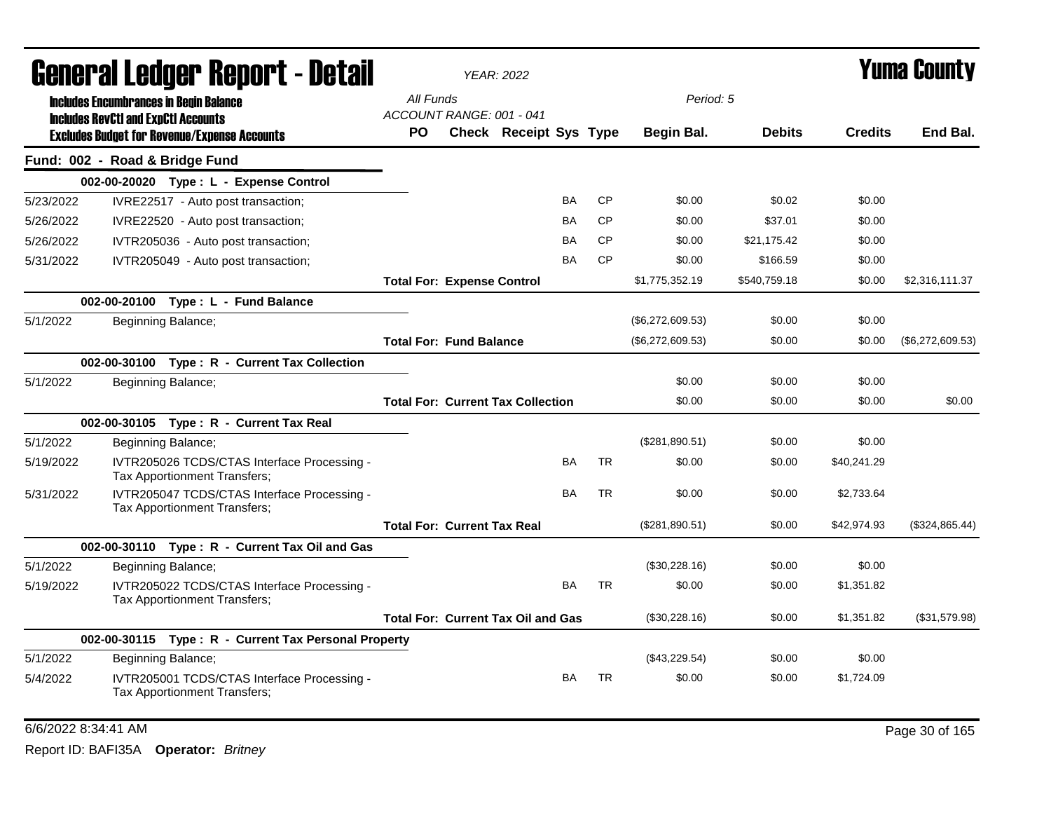|           | General Ledger Report - Detail                                                                    |                                       | <b>YEAR: 2022</b>                         |           |           |                  |               |                | Yuma County      |
|-----------|---------------------------------------------------------------------------------------------------|---------------------------------------|-------------------------------------------|-----------|-----------|------------------|---------------|----------------|------------------|
|           | <b>Includes Encumbrances in Begin Balance</b>                                                     | All Funds<br>ACCOUNT RANGE: 001 - 041 |                                           |           |           | Period: 5        |               |                |                  |
|           | <b>Includes RevCtI and ExpCtI Accounts</b><br><b>Excludes Budget for Revenue/Expense Accounts</b> | <b>PO</b>                             | Check Receipt Sys Type                    |           |           | Begin Bal.       | <b>Debits</b> | <b>Credits</b> | End Bal.         |
|           | Fund: 002 - Road & Bridge Fund                                                                    |                                       |                                           |           |           |                  |               |                |                  |
|           | 002-00-20020 Type: L - Expense Control                                                            |                                       |                                           |           |           |                  |               |                |                  |
| 5/23/2022 | IVRE22517 - Auto post transaction;                                                                |                                       |                                           | BA        | <b>CP</b> | \$0.00           | \$0.02        | \$0.00         |                  |
| 5/26/2022 | IVRE22520 - Auto post transaction;                                                                |                                       |                                           | <b>BA</b> | <b>CP</b> | \$0.00           | \$37.01       | \$0.00         |                  |
| 5/26/2022 | IVTR205036 - Auto post transaction;                                                               |                                       |                                           | BA        | <b>CP</b> | \$0.00           | \$21,175.42   | \$0.00         |                  |
| 5/31/2022 | IVTR205049 - Auto post transaction;                                                               |                                       |                                           | BA        | <b>CP</b> | \$0.00           | \$166.59      | \$0.00         |                  |
|           |                                                                                                   | <b>Total For: Expense Control</b>     |                                           |           |           | \$1,775,352.19   | \$540,759.18  | \$0.00         | \$2,316,111.37   |
|           | 002-00-20100 Type: L - Fund Balance                                                               |                                       |                                           |           |           |                  |               |                |                  |
| 5/1/2022  | Beginning Balance;                                                                                |                                       |                                           |           |           | (\$6,272,609.53) | \$0.00        | \$0.00         |                  |
|           |                                                                                                   | <b>Total For: Fund Balance</b>        |                                           |           |           | (\$6,272,609.53) | \$0.00        | \$0.00         | (\$6,272,609.53) |
|           | 002-00-30100 Type: R - Current Tax Collection                                                     |                                       |                                           |           |           |                  |               |                |                  |
| 5/1/2022  | Beginning Balance;                                                                                |                                       |                                           |           |           | \$0.00           | \$0.00        | \$0.00         |                  |
|           |                                                                                                   |                                       | <b>Total For: Current Tax Collection</b>  |           |           | \$0.00           | \$0.00        | \$0.00         | \$0.00           |
|           | 002-00-30105 Type: R - Current Tax Real                                                           |                                       |                                           |           |           |                  |               |                |                  |
| 5/1/2022  | Beginning Balance;                                                                                |                                       |                                           |           |           | (\$281,890.51)   | \$0.00        | \$0.00         |                  |
| 5/19/2022 | IVTR205026 TCDS/CTAS Interface Processing -<br>Tax Apportionment Transfers;                       |                                       |                                           | BA        | <b>TR</b> | \$0.00           | \$0.00        | \$40,241.29    |                  |
| 5/31/2022 | IVTR205047 TCDS/CTAS Interface Processing -<br>Tax Apportionment Transfers;                       |                                       |                                           | <b>BA</b> | <b>TR</b> | \$0.00           | \$0.00        | \$2,733.64     |                  |
|           |                                                                                                   | <b>Total For: Current Tax Real</b>    |                                           |           |           | (\$281,890.51)   | \$0.00        | \$42,974.93    | (\$324,865.44)   |
|           | 002-00-30110 Type: R - Current Tax Oil and Gas                                                    |                                       |                                           |           |           |                  |               |                |                  |
| 5/1/2022  | Beginning Balance;                                                                                |                                       |                                           |           |           | (\$30,228.16)    | \$0.00        | \$0.00         |                  |
| 5/19/2022 | IVTR205022 TCDS/CTAS Interface Processing -<br>Tax Apportionment Transfers;                       |                                       |                                           | <b>BA</b> | <b>TR</b> | \$0.00           | \$0.00        | \$1,351.82     |                  |
|           |                                                                                                   |                                       | <b>Total For: Current Tax Oil and Gas</b> |           |           | (\$30,228.16)    | \$0.00        | \$1,351.82     | (\$31,579.98)    |
|           | 002-00-30115 Type: R - Current Tax Personal Property                                              |                                       |                                           |           |           |                  |               |                |                  |
| 5/1/2022  | Beginning Balance;                                                                                |                                       |                                           |           |           | (\$43,229.54)    | \$0.00        | \$0.00         |                  |
| 5/4/2022  | IVTR205001 TCDS/CTAS Interface Processing -<br><b>Tax Apportionment Transfers:</b>                |                                       |                                           | <b>BA</b> | <b>TR</b> | \$0.00           | \$0.00        | \$1,724.09     |                  |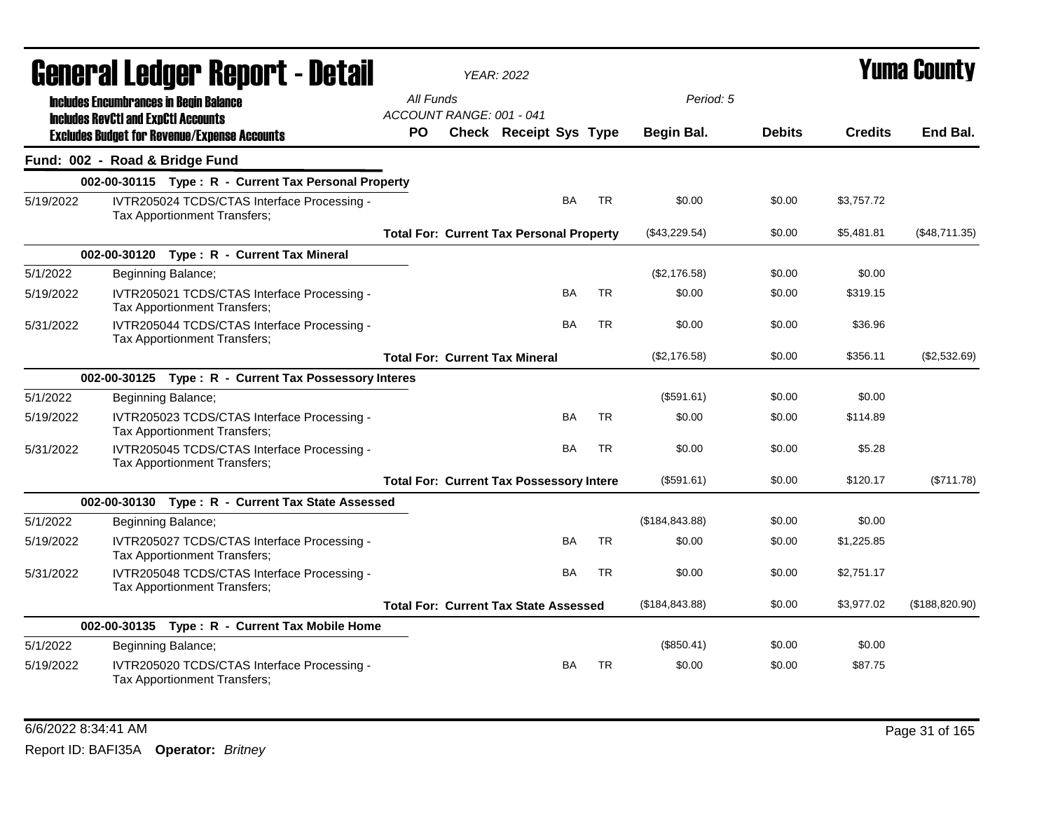|           | General Ledger Report - Detail<br><b>Includes Encumbrances in Begin Balance</b><br><b>Includes RevCtI and ExpCtI Accounts</b> |           |                          | <b>YEAR: 2022</b>                               |           |                   |               | <b>Yuma County</b> |                 |
|-----------|-------------------------------------------------------------------------------------------------------------------------------|-----------|--------------------------|-------------------------------------------------|-----------|-------------------|---------------|--------------------|-----------------|
|           |                                                                                                                               | All Funds | ACCOUNT RANGE: 001 - 041 |                                                 |           | Period: 5         |               |                    |                 |
|           | <b>Excludes Budget for Revenue/Expense Accounts</b>                                                                           | PO        |                          | Check Receipt Sys Type                          |           | <b>Begin Bal.</b> | <b>Debits</b> | <b>Credits</b>     | End Bal.        |
|           | Fund: 002 - Road & Bridge Fund                                                                                                |           |                          |                                                 |           |                   |               |                    |                 |
|           | 002-00-30115 Type: R - Current Tax Personal Property                                                                          |           |                          |                                                 |           |                   |               |                    |                 |
| 5/19/2022 | IVTR205024 TCDS/CTAS Interface Processing -<br>Tax Apportionment Transfers;                                                   |           |                          | <b>BA</b>                                       | <b>TR</b> | \$0.00            | \$0.00        | \$3,757.72         |                 |
|           |                                                                                                                               |           |                          | <b>Total For: Current Tax Personal Property</b> |           | (\$43,229.54)     | \$0.00        | \$5,481.81         | (\$48,711.35)   |
|           | 002-00-30120 Type: R - Current Tax Mineral                                                                                    |           |                          |                                                 |           |                   |               |                    |                 |
| 5/1/2022  | Beginning Balance;                                                                                                            |           |                          |                                                 |           | (\$2,176.58)      | \$0.00        | \$0.00             |                 |
| 5/19/2022 | IVTR205021 TCDS/CTAS Interface Processing -<br>Tax Apportionment Transfers;                                                   |           |                          | BA                                              | <b>TR</b> | \$0.00            | \$0.00        | \$319.15           |                 |
| 5/31/2022 | IVTR205044 TCDS/CTAS Interface Processing -<br>Tax Apportionment Transfers;                                                   |           |                          | BA                                              | <b>TR</b> | \$0.00            | \$0.00        | \$36.96            |                 |
|           |                                                                                                                               |           |                          | <b>Total For: Current Tax Mineral</b>           |           | (\$2,176.58)      | \$0.00        | \$356.11           | (\$2,532.69)    |
|           | 002-00-30125 Type: R - Current Tax Possessory Interes                                                                         |           |                          |                                                 |           |                   |               |                    |                 |
| 5/1/2022  | Beginning Balance;                                                                                                            |           |                          |                                                 |           | (\$591.61)        | \$0.00        | \$0.00             |                 |
| 5/19/2022 | IVTR205023 TCDS/CTAS Interface Processing -<br>Tax Apportionment Transfers;                                                   |           |                          | BA                                              | TR        | \$0.00            | \$0.00        | \$114.89           |                 |
| 5/31/2022 | IVTR205045 TCDS/CTAS Interface Processing -<br>Tax Apportionment Transfers;                                                   |           |                          | BA                                              | <b>TR</b> | \$0.00            | \$0.00        | \$5.28             |                 |
|           |                                                                                                                               |           |                          | <b>Total For: Current Tax Possessory Intere</b> |           | (\$591.61)        | \$0.00        | \$120.17           | (\$711.78)      |
|           | 002-00-30130 Type: R - Current Tax State Assessed                                                                             |           |                          |                                                 |           |                   |               |                    |                 |
| 5/1/2022  | Beginning Balance;                                                                                                            |           |                          |                                                 |           | (\$184, 843.88)   | \$0.00        | \$0.00             |                 |
| 5/19/2022 | IVTR205027 TCDS/CTAS Interface Processing -<br>Tax Apportionment Transfers;                                                   |           |                          | <b>BA</b>                                       | <b>TR</b> | \$0.00            | \$0.00        | \$1,225.85         |                 |
| 5/31/2022 | IVTR205048 TCDS/CTAS Interface Processing -<br>Tax Apportionment Transfers;                                                   |           |                          | <b>BA</b>                                       | <b>TR</b> | \$0.00            | \$0.00        | \$2,751.17         |                 |
|           |                                                                                                                               |           |                          | <b>Total For: Current Tax State Assessed</b>    |           | (\$184, 843.88)   | \$0.00        | \$3,977.02         | (\$188, 820.90) |
|           | 002-00-30135 Type: R - Current Tax Mobile Home                                                                                |           |                          |                                                 |           |                   |               |                    |                 |
| 5/1/2022  | Beginning Balance;                                                                                                            |           |                          |                                                 |           | (\$850.41)        | \$0.00        | \$0.00             |                 |
| 5/19/2022 | IVTR205020 TCDS/CTAS Interface Processing -<br>Tax Apportionment Transfers;                                                   |           |                          | BA                                              | <b>TR</b> | \$0.00            | \$0.00        | \$87.75            |                 |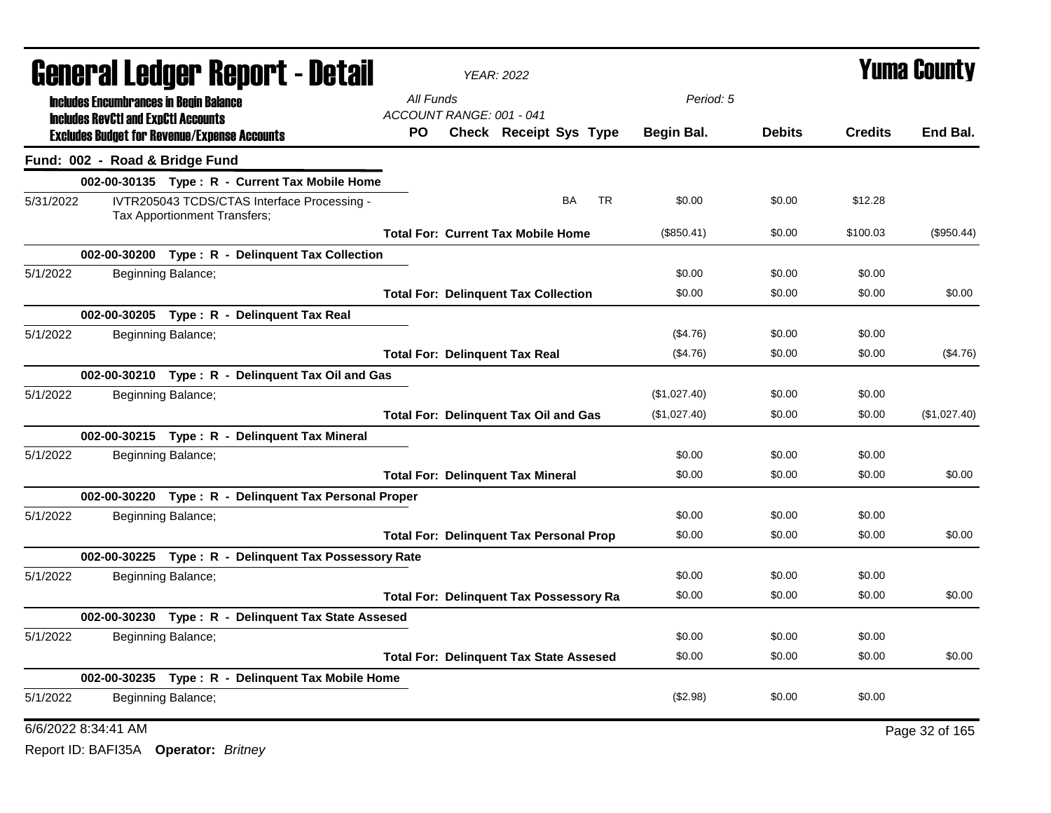|           |                                               | <b>General Ledger Report - Detail</b>                                       |                                 | <b>YEAR: 2022</b>                              |           |           |              |               |                | <b>Yuma County</b> |
|-----------|-----------------------------------------------|-----------------------------------------------------------------------------|---------------------------------|------------------------------------------------|-----------|-----------|--------------|---------------|----------------|--------------------|
|           | <b>Includes Encumbrances in Begin Balance</b> |                                                                             | All Funds                       |                                                |           |           | Period: 5    |               |                |                    |
|           | <b>Includes RevCtI and ExpCtI Accounts</b>    | <b>Excludes Budget for Revenue/Expense Accounts</b>                         | ACCOUNT RANGE: 001 - 041<br>PO. | <b>Check Receipt Sys Type</b>                  |           |           | Begin Bal.   | <b>Debits</b> | <b>Credits</b> | End Bal.           |
|           | Fund: 002 - Road & Bridge Fund                |                                                                             |                                 |                                                |           |           |              |               |                |                    |
|           |                                               | 002-00-30135 Type: R - Current Tax Mobile Home                              |                                 |                                                |           |           |              |               |                |                    |
| 5/31/2022 |                                               | IVTR205043 TCDS/CTAS Interface Processing -<br>Tax Apportionment Transfers; |                                 |                                                | <b>BA</b> | <b>TR</b> | \$0.00       | \$0.00        | \$12.28        |                    |
|           |                                               |                                                                             |                                 | <b>Total For: Current Tax Mobile Home</b>      |           |           | (\$850.41)   | \$0.00        | \$100.03       | (\$950.44)         |
|           |                                               | 002-00-30200 Type: R - Delinquent Tax Collection                            |                                 |                                                |           |           |              |               |                |                    |
| 5/1/2022  |                                               | Beginning Balance;                                                          |                                 |                                                |           |           | \$0.00       | \$0.00        | \$0.00         |                    |
|           |                                               |                                                                             |                                 | <b>Total For: Delinquent Tax Collection</b>    |           |           | \$0.00       | \$0.00        | \$0.00         | \$0.00             |
|           |                                               | 002-00-30205 Type: R - Delinquent Tax Real                                  |                                 |                                                |           |           |              |               |                |                    |
| 5/1/2022  |                                               | Beginning Balance;                                                          |                                 |                                                |           |           | (\$4.76)     | \$0.00        | \$0.00         |                    |
|           |                                               |                                                                             |                                 | <b>Total For: Delinquent Tax Real</b>          |           |           | (\$4.76)     | \$0.00        | \$0.00         | (\$4.76)           |
|           |                                               | 002-00-30210 Type: R - Delinquent Tax Oil and Gas                           |                                 |                                                |           |           |              |               |                |                    |
| 5/1/2022  |                                               | Beginning Balance;                                                          |                                 |                                                |           |           | (\$1,027.40) | \$0.00        | \$0.00         |                    |
|           |                                               |                                                                             |                                 | <b>Total For: Delinquent Tax Oil and Gas</b>   |           |           | (\$1,027.40) | \$0.00        | \$0.00         | (\$1,027.40)       |
|           |                                               | 002-00-30215 Type: R - Delinquent Tax Mineral                               |                                 |                                                |           |           |              |               |                |                    |
| 5/1/2022  |                                               | Beginning Balance;                                                          |                                 |                                                |           |           | \$0.00       | \$0.00        | \$0.00         |                    |
|           |                                               |                                                                             |                                 | <b>Total For: Delinquent Tax Mineral</b>       |           |           | \$0.00       | \$0.00        | \$0.00         | \$0.00             |
|           |                                               | 002-00-30220 Type: R - Delinquent Tax Personal Proper                       |                                 |                                                |           |           |              |               |                |                    |
| 5/1/2022  |                                               | Beginning Balance;                                                          |                                 |                                                |           |           | \$0.00       | \$0.00        | \$0.00         |                    |
|           |                                               |                                                                             |                                 | <b>Total For: Delinquent Tax Personal Prop</b> |           |           | \$0.00       | \$0.00        | \$0.00         | \$0.00             |
|           |                                               | 002-00-30225 Type: R - Delinquent Tax Possessory Rate                       |                                 |                                                |           |           |              |               |                |                    |
| 5/1/2022  |                                               | Beginning Balance;                                                          |                                 |                                                |           |           | \$0.00       | \$0.00        | \$0.00         |                    |
|           |                                               |                                                                             |                                 | <b>Total For: Delinquent Tax Possessory Ra</b> |           |           | \$0.00       | \$0.00        | \$0.00         | \$0.00             |
|           |                                               | 002-00-30230 Type: R - Delinquent Tax State Assesed                         |                                 |                                                |           |           |              |               |                |                    |
| 5/1/2022  |                                               | Beginning Balance;                                                          |                                 |                                                |           |           | \$0.00       | \$0.00        | \$0.00         |                    |
|           |                                               |                                                                             |                                 | <b>Total For: Delinquent Tax State Assesed</b> |           |           | \$0.00       | \$0.00        | \$0.00         | \$0.00             |
|           |                                               | 002-00-30235 Type: R - Delinquent Tax Mobile Home                           |                                 |                                                |           |           |              |               |                |                    |
| 5/1/2022  |                                               | Beginning Balance;                                                          |                                 |                                                |           |           | (\$2.98)     | \$0.00        | \$0.00         |                    |
|           | 6/6/2022 8:34:41 AM                           |                                                                             |                                 |                                                |           |           |              |               |                | Page 32 of 165     |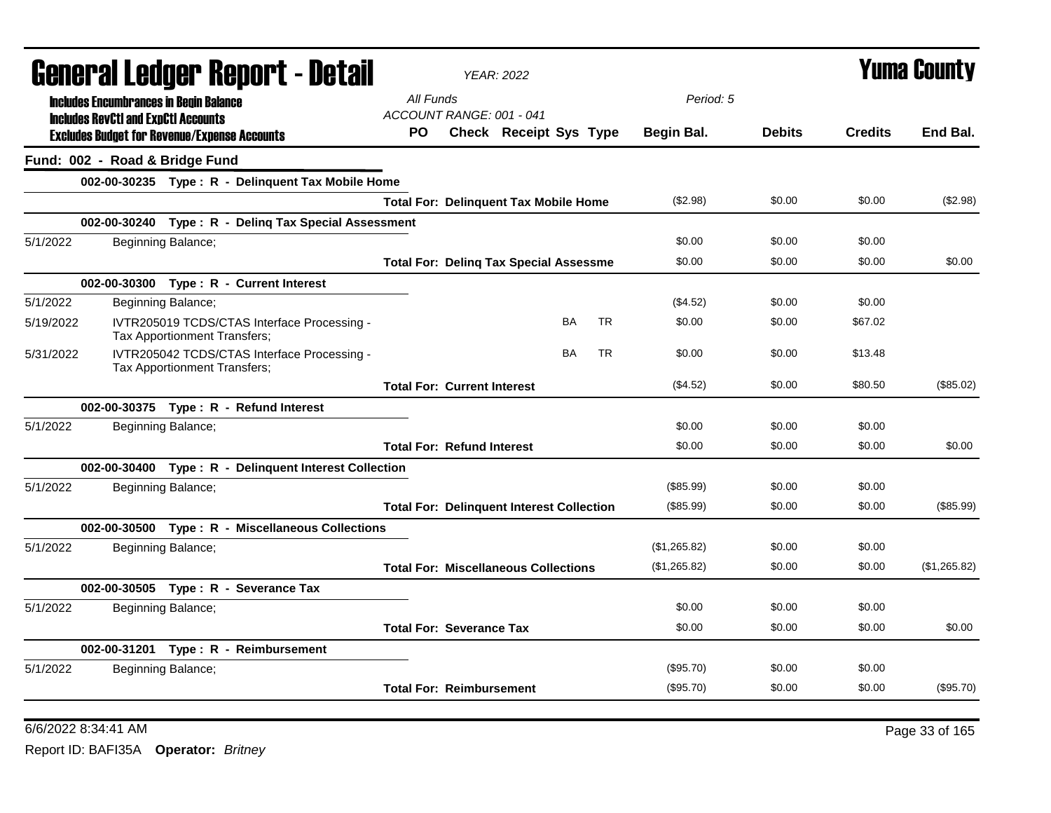|           |                                            | General Ledger Report - Detail                                              | <b>YEAR: 2022</b>                                                       |               | <b>Yuma County</b> |              |
|-----------|--------------------------------------------|-----------------------------------------------------------------------------|-------------------------------------------------------------------------|---------------|--------------------|--------------|
|           |                                            | <b>Includes Encumbrances in Begin Balance</b>                               | All Funds<br>Period: 5                                                  |               |                    |              |
|           | <b>Includes RevCtI and ExpCtI Accounts</b> | <b>Excludes Budget for Revenue/Expense Accounts</b>                         | ACCOUNT RANGE: 001 - 041<br>Check Receipt Sys Type<br>PO.<br>Begin Bal. | <b>Debits</b> | <b>Credits</b>     | End Bal.     |
|           | Fund: 002 - Road & Bridge Fund             |                                                                             |                                                                         |               |                    |              |
|           |                                            | 002-00-30235 Type: R - Delinquent Tax Mobile Home                           |                                                                         |               |                    |              |
|           |                                            |                                                                             | (\$2.98)<br><b>Total For: Delinquent Tax Mobile Home</b>                | \$0.00        | \$0.00             | (\$2.98)     |
|           |                                            | 002-00-30240 Type: R - Deling Tax Special Assessment                        |                                                                         |               |                    |              |
| 5/1/2022  |                                            | Beginning Balance;                                                          | \$0.00                                                                  | \$0.00        | \$0.00             |              |
|           |                                            |                                                                             | \$0.00<br><b>Total For: Deling Tax Special Assessme</b>                 | \$0.00        | \$0.00             | \$0.00       |
|           |                                            | 002-00-30300 Type: R - Current Interest                                     |                                                                         |               |                    |              |
| 5/1/2022  |                                            | Beginning Balance;                                                          | (\$4.52)                                                                | \$0.00        | \$0.00             |              |
| 5/19/2022 |                                            | IVTR205019 TCDS/CTAS Interface Processing -<br>Tax Apportionment Transfers; | <b>TR</b><br>BA<br>\$0.00                                               | \$0.00        | \$67.02            |              |
| 5/31/2022 |                                            | IVTR205042 TCDS/CTAS Interface Processing -<br>Tax Apportionment Transfers; | <b>TR</b><br><b>BA</b><br>\$0.00                                        | \$0.00        | \$13.48            |              |
|           |                                            |                                                                             | <b>Total For: Current Interest</b><br>(\$4.52)                          | \$0.00        | \$80.50            | (\$85.02)    |
|           |                                            | 002-00-30375 Type: R - Refund Interest                                      |                                                                         |               |                    |              |
| 5/1/2022  |                                            | Beginning Balance;                                                          | \$0.00                                                                  | \$0.00        | \$0.00             |              |
|           |                                            |                                                                             | \$0.00<br><b>Total For: Refund Interest</b>                             | \$0.00        | \$0.00             | \$0.00       |
|           |                                            | 002-00-30400 Type: R - Delinquent Interest Collection                       |                                                                         |               |                    |              |
| 5/1/2022  |                                            | Beginning Balance;                                                          | (\$85.99)                                                               | \$0.00        | \$0.00             |              |
|           |                                            |                                                                             | (\$85.99)<br><b>Total For: Delinquent Interest Collection</b>           | \$0.00        | \$0.00             | (\$85.99)    |
|           |                                            | 002-00-30500 Type: R - Miscellaneous Collections                            |                                                                         |               |                    |              |
| 5/1/2022  |                                            | Beginning Balance;                                                          | (\$1,265.82)                                                            | \$0.00        | \$0.00             |              |
|           |                                            |                                                                             | (\$1,265.82)<br><b>Total For: Miscellaneous Collections</b>             | \$0.00        | \$0.00             | (\$1,265.82) |
|           |                                            | 002-00-30505 Type: R - Severance Tax                                        |                                                                         |               |                    |              |
| 5/1/2022  |                                            | Beginning Balance;                                                          | \$0.00                                                                  | \$0.00        | \$0.00             |              |
|           |                                            |                                                                             | <b>Total For: Severance Tax</b><br>\$0.00                               | \$0.00        | \$0.00             | \$0.00       |
|           |                                            | 002-00-31201 Type: R - Reimbursement                                        |                                                                         |               |                    |              |
| 5/1/2022  |                                            | Beginning Balance;                                                          | (S95.70)                                                                | \$0.00        | \$0.00             |              |
|           |                                            |                                                                             | <b>Total For: Reimbursement</b><br>(\$95.70)                            | \$0.00        | \$0.00             | (\$95.70)    |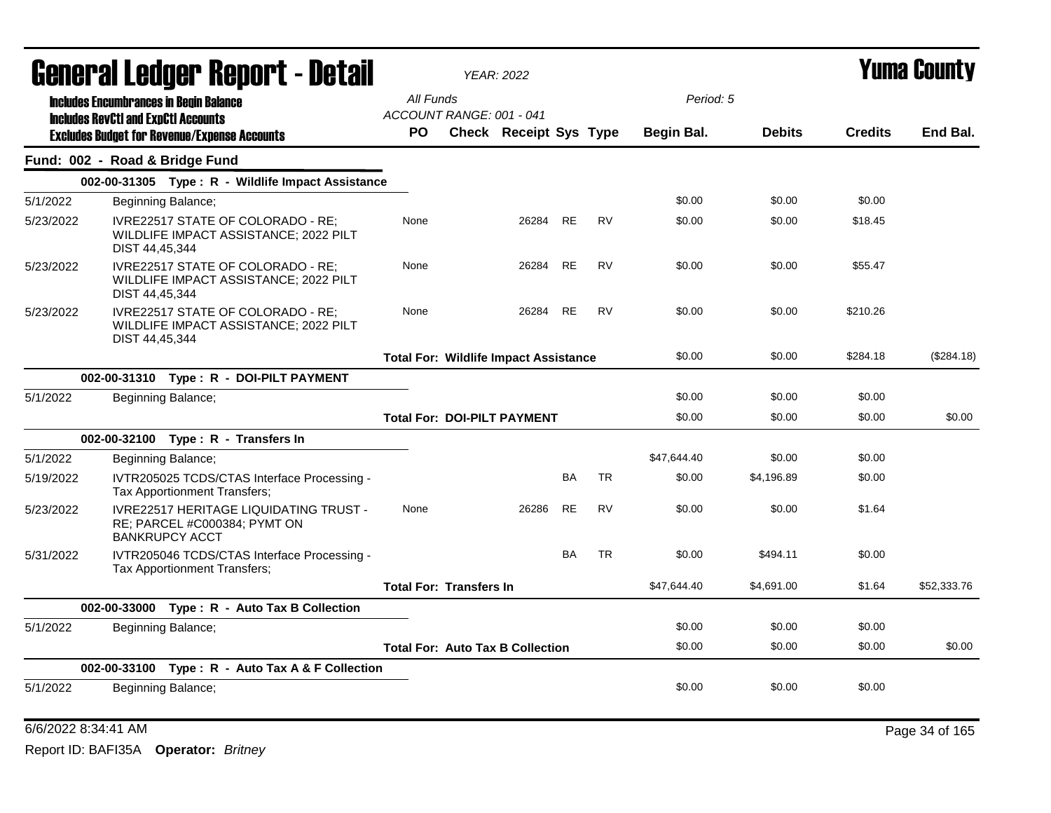|           | General Ledger Report - Detail                                                                         |                                              | <b>YEAR: 2022</b>      |           |           |             |               | <b>Yuma County</b> |             |
|-----------|--------------------------------------------------------------------------------------------------------|----------------------------------------------|------------------------|-----------|-----------|-------------|---------------|--------------------|-------------|
|           | <b>Includes Encumbrances in Begin Balance</b>                                                          | All Funds                                    |                        |           |           | Period: 5   |               |                    |             |
|           | <b>Includes RevCtI and ExpCtI Accounts</b>                                                             | ACCOUNT RANGE: 001 - 041                     |                        |           |           |             |               |                    |             |
|           | <b>Excludes Budget for Revenue/Expense Accounts</b>                                                    | PO.                                          | Check Receipt Sys Type |           |           | Begin Bal.  | <b>Debits</b> | <b>Credits</b>     | End Bal.    |
|           | Fund: 002 - Road & Bridge Fund                                                                         |                                              |                        |           |           |             |               |                    |             |
|           | 002-00-31305 Type: R - Wildlife Impact Assistance                                                      |                                              |                        |           |           |             |               |                    |             |
| 5/1/2022  | Beginning Balance;                                                                                     |                                              |                        |           |           | \$0.00      | \$0.00        | \$0.00             |             |
| 5/23/2022 | IVRE22517 STATE OF COLORADO - RE;<br>WILDLIFE IMPACT ASSISTANCE; 2022 PILT<br>DIST 44,45,344           | None                                         | 26284                  | <b>RE</b> | <b>RV</b> | \$0.00      | \$0.00        | \$18.45            |             |
| 5/23/2022 | IVRE22517 STATE OF COLORADO - RE:<br>WILDLIFE IMPACT ASSISTANCE; 2022 PILT<br>DIST 44,45,344           | None                                         | 26284                  | <b>RE</b> | <b>RV</b> | \$0.00      | \$0.00        | \$55.47            |             |
| 5/23/2022 | IVRE22517 STATE OF COLORADO - RE:<br>WILDLIFE IMPACT ASSISTANCE; 2022 PILT<br>DIST 44,45,344           | None                                         | 26284                  | <b>RE</b> | <b>RV</b> | \$0.00      | \$0.00        | \$210.26           |             |
|           |                                                                                                        | <b>Total For: Wildlife Impact Assistance</b> |                        |           |           | \$0.00      | \$0.00        | \$284.18           | (\$284.18)  |
|           | 002-00-31310 Type: R - DOI-PILT PAYMENT                                                                |                                              |                        |           |           |             |               |                    |             |
| 5/1/2022  | Beginning Balance;                                                                                     |                                              |                        |           |           | \$0.00      | \$0.00        | \$0.00             |             |
|           |                                                                                                        | <b>Total For: DOI-PILT PAYMENT</b>           |                        |           |           | \$0.00      | \$0.00        | \$0.00             | \$0.00      |
|           | 002-00-32100 Type: R - Transfers In                                                                    |                                              |                        |           |           |             |               |                    |             |
| 5/1/2022  | Beginning Balance;                                                                                     |                                              |                        |           |           | \$47,644.40 | \$0.00        | \$0.00             |             |
| 5/19/2022 | IVTR205025 TCDS/CTAS Interface Processing -<br>Tax Apportionment Transfers;                            |                                              |                        | <b>BA</b> | TR        | \$0.00      | \$4,196.89    | \$0.00             |             |
| 5/23/2022 | <b>IVRE22517 HERITAGE LIQUIDATING TRUST -</b><br>RE; PARCEL #C000384; PYMT ON<br><b>BANKRUPCY ACCT</b> | None                                         | 26286                  | <b>RE</b> | <b>RV</b> | \$0.00      | \$0.00        | \$1.64             |             |
| 5/31/2022 | IVTR205046 TCDS/CTAS Interface Processing -<br>Tax Apportionment Transfers;                            |                                              |                        | <b>BA</b> | <b>TR</b> | \$0.00      | \$494.11      | \$0.00             |             |
|           |                                                                                                        | <b>Total For: Transfers In</b>               |                        |           |           | \$47,644.40 | \$4,691.00    | \$1.64             | \$52,333.76 |
|           | 002-00-33000 Type: R - Auto Tax B Collection                                                           |                                              |                        |           |           |             |               |                    |             |
| 5/1/2022  | Beginning Balance;                                                                                     |                                              |                        |           |           | \$0.00      | \$0.00        | \$0.00             |             |
|           |                                                                                                        | <b>Total For: Auto Tax B Collection</b>      |                        |           |           | \$0.00      | \$0.00        | \$0.00             | \$0.00      |
|           | 002-00-33100 Type: R - Auto Tax A & F Collection                                                       |                                              |                        |           |           |             |               |                    |             |
| 5/1/2022  | <b>Beginning Balance;</b>                                                                              |                                              |                        |           |           | \$0.00      | \$0.00        | \$0.00             |             |
|           |                                                                                                        |                                              |                        |           |           |             |               |                    |             |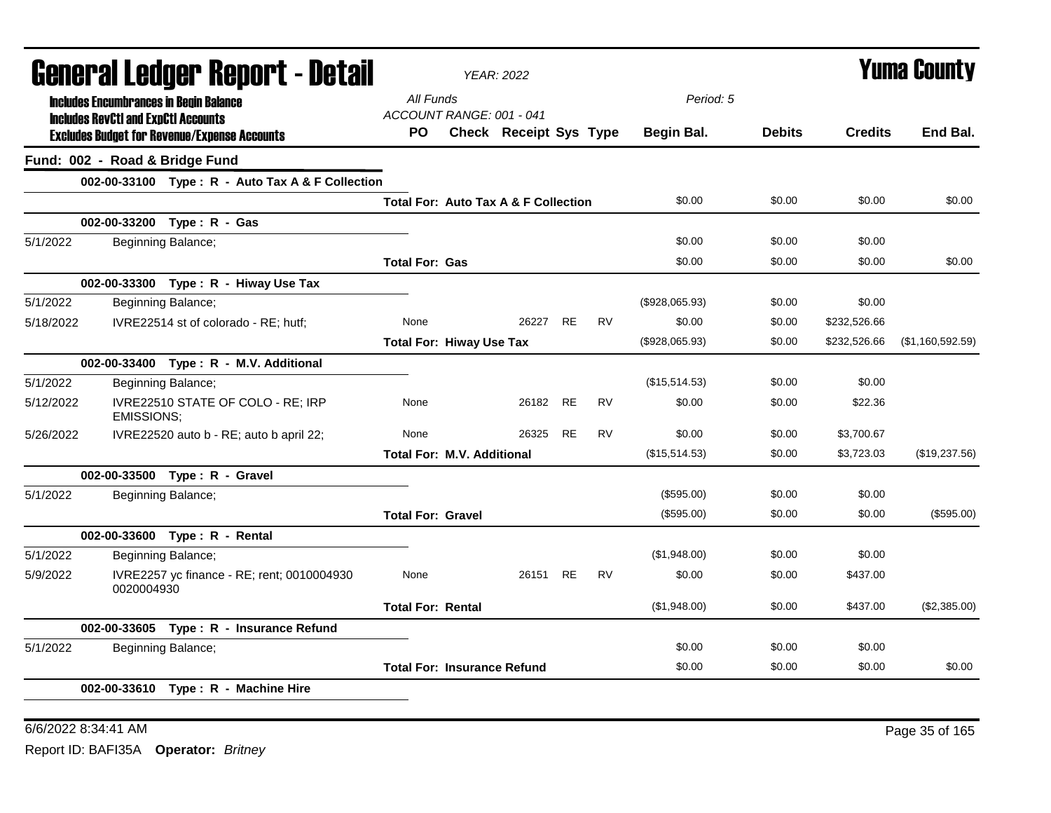|           |                                                                                             | General Ledger Report - Detail                      |                                    | <b>YEAR: 2022</b>                               |           |           |                |               |                | <b>Yuma County</b> |
|-----------|---------------------------------------------------------------------------------------------|-----------------------------------------------------|------------------------------------|-------------------------------------------------|-----------|-----------|----------------|---------------|----------------|--------------------|
|           | <b>Includes Encumbrances in Begin Balance</b><br><b>Includes RevCtI and ExpCtI Accounts</b> | All Funds<br>ACCOUNT RANGE: 001 - 041               |                                    |                                                 |           | Period: 5 |                |               |                |                    |
|           |                                                                                             | <b>Excludes Budget for Revenue/Expense Accounts</b> | <b>PO</b>                          | <b>Check Receipt Sys Type</b>                   |           |           | Begin Bal.     | <b>Debits</b> | <b>Credits</b> | End Bal.           |
|           | Fund: 002 - Road & Bridge Fund                                                              |                                                     |                                    |                                                 |           |           |                |               |                |                    |
|           |                                                                                             | 002-00-33100 Type: R - Auto Tax A & F Collection    |                                    |                                                 |           |           |                |               |                |                    |
|           |                                                                                             |                                                     |                                    | <b>Total For: Auto Tax A &amp; F Collection</b> |           |           | \$0.00         | \$0.00        | \$0.00         | \$0.00             |
|           |                                                                                             | 002-00-33200 Type: R - Gas                          |                                    |                                                 |           |           |                |               |                |                    |
| 5/1/2022  |                                                                                             | Beginning Balance;                                  |                                    |                                                 |           |           | \$0.00         | \$0.00        | \$0.00         |                    |
|           |                                                                                             |                                                     | <b>Total For: Gas</b>              |                                                 |           |           | \$0.00         | \$0.00        | \$0.00         | \$0.00             |
|           |                                                                                             | 002-00-33300 Type: R - Hiway Use Tax                |                                    |                                                 |           |           |                |               |                |                    |
| 5/1/2022  |                                                                                             | Beginning Balance;                                  |                                    |                                                 |           |           | (\$928,065.93) | \$0.00        | \$0.00         |                    |
| 5/18/2022 |                                                                                             | IVRE22514 st of colorado - RE; hutf;                | None                               | 26227                                           | <b>RE</b> | RV        | \$0.00         | \$0.00        | \$232,526.66   |                    |
|           |                                                                                             |                                                     | <b>Total For: Hiway Use Tax</b>    |                                                 |           |           | (\$928,065.93) | \$0.00        | \$232,526.66   | (\$1,160,592.59)   |
|           |                                                                                             | 002-00-33400 Type: R - M.V. Additional              |                                    |                                                 |           |           |                |               |                |                    |
| 5/1/2022  |                                                                                             | Beginning Balance;                                  |                                    |                                                 |           |           | (\$15,514.53)  | \$0.00        | \$0.00         |                    |
| 5/12/2022 | <b>EMISSIONS:</b>                                                                           | IVRE22510 STATE OF COLO - RE; IRP                   | None                               | 26182 RE                                        |           | <b>RV</b> | \$0.00         | \$0.00        | \$22.36        |                    |
| 5/26/2022 |                                                                                             | IVRE22520 auto b - RE; auto b april 22;             | None                               | 26325                                           | RE        | <b>RV</b> | \$0.00         | \$0.00        | \$3,700.67     |                    |
|           |                                                                                             |                                                     | <b>Total For: M.V. Additional</b>  |                                                 |           |           | (\$15,514.53)  | \$0.00        | \$3,723.03     | (\$19,237.56)      |
|           |                                                                                             | 002-00-33500 Type: R - Gravel                       |                                    |                                                 |           |           |                |               |                |                    |
| 5/1/2022  |                                                                                             | Beginning Balance;                                  |                                    |                                                 |           |           | (\$595.00)     | \$0.00        | \$0.00         |                    |
|           |                                                                                             |                                                     | <b>Total For: Gravel</b>           |                                                 |           |           | (\$595.00)     | \$0.00        | \$0.00         | (\$595.00)         |
|           |                                                                                             | 002-00-33600 Type: R - Rental                       |                                    |                                                 |           |           |                |               |                |                    |
| 5/1/2022  |                                                                                             | Beginning Balance;                                  |                                    |                                                 |           |           | (\$1,948.00)   | \$0.00        | \$0.00         |                    |
| 5/9/2022  | 0020004930                                                                                  | IVRE2257 yc finance - RE; rent; 0010004930          | None                               | 26151 RE                                        |           | <b>RV</b> | \$0.00         | \$0.00        | \$437.00       |                    |
|           |                                                                                             |                                                     | <b>Total For: Rental</b>           |                                                 |           |           | (\$1,948.00)   | \$0.00        | \$437.00       | (\$2,385.00)       |
|           |                                                                                             | 002-00-33605 Type: R - Insurance Refund             |                                    |                                                 |           |           |                |               |                |                    |
| 5/1/2022  |                                                                                             | Beginning Balance;                                  |                                    |                                                 |           |           | \$0.00         | \$0.00        | \$0.00         |                    |
|           |                                                                                             |                                                     | <b>Total For: Insurance Refund</b> |                                                 |           |           | \$0.00         | \$0.00        | \$0.00         | \$0.00             |
|           |                                                                                             | 002-00-33610 Type: R - Machine Hire                 |                                    |                                                 |           |           |                |               |                |                    |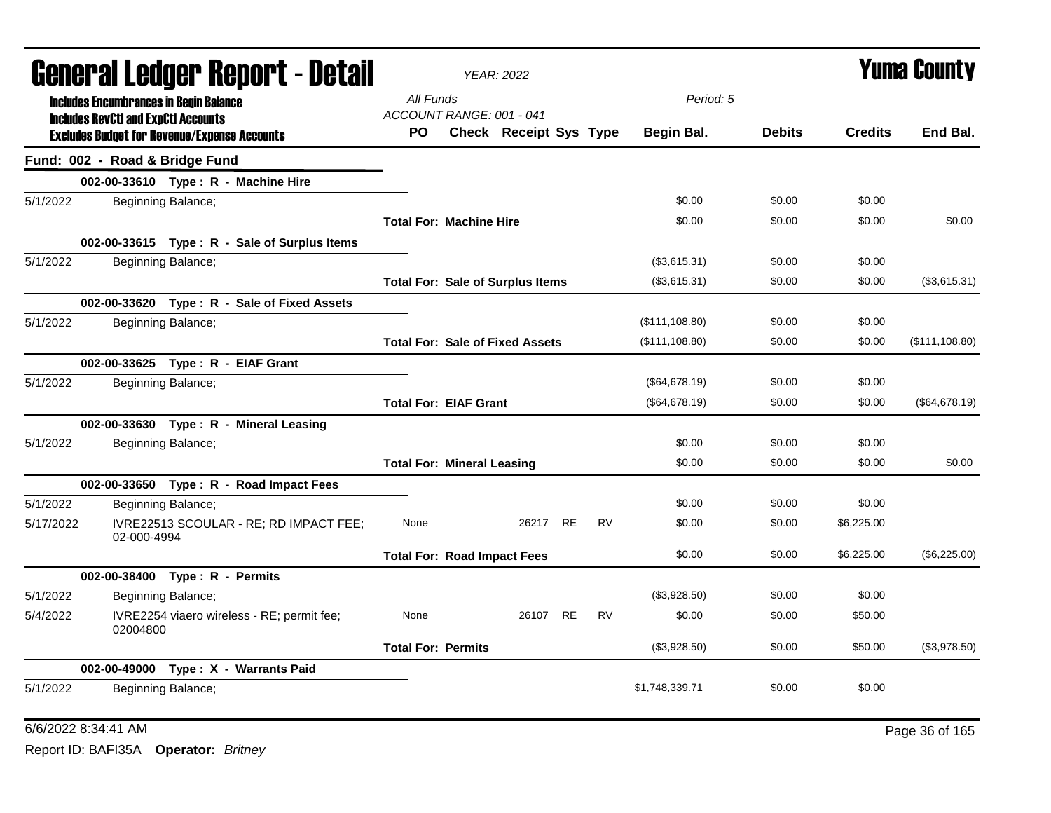|           |                                                                                             | General Ledger Report - Detail                      |                                       | <b>YEAR: 2022</b>                       |           |                |               |                | <b>Yuma County</b> |
|-----------|---------------------------------------------------------------------------------------------|-----------------------------------------------------|---------------------------------------|-----------------------------------------|-----------|----------------|---------------|----------------|--------------------|
|           | <b>Includes Encumbrances in Begin Balance</b><br><b>Includes RevCtI and ExpCtI Accounts</b> |                                                     | All Funds<br>ACCOUNT RANGE: 001 - 041 |                                         |           | Period: 5      |               |                |                    |
|           |                                                                                             | <b>Excludes Budget for Revenue/Expense Accounts</b> | PO.                                   | Check Receipt Sys Type                  |           | Begin Bal.     | <b>Debits</b> | <b>Credits</b> | End Bal.           |
|           | Fund: 002 - Road & Bridge Fund                                                              |                                                     |                                       |                                         |           |                |               |                |                    |
|           |                                                                                             | 002-00-33610 Type: R - Machine Hire                 |                                       |                                         |           |                |               |                |                    |
| 5/1/2022  |                                                                                             | Beginning Balance;                                  |                                       |                                         |           | \$0.00         | \$0.00        | \$0.00         |                    |
|           |                                                                                             |                                                     | <b>Total For: Machine Hire</b>        |                                         |           | \$0.00         | \$0.00        | \$0.00         | \$0.00             |
|           |                                                                                             | 002-00-33615 Type: R - Sale of Surplus Items        |                                       |                                         |           |                |               |                |                    |
| 5/1/2022  |                                                                                             | Beginning Balance;                                  |                                       |                                         |           | (\$3,615.31)   | \$0.00        | \$0.00         |                    |
|           |                                                                                             |                                                     |                                       | <b>Total For: Sale of Surplus Items</b> |           | (\$3,615.31)   | \$0.00        | \$0.00         | (\$3,615.31)       |
|           |                                                                                             | 002-00-33620 Type: R - Sale of Fixed Assets         |                                       |                                         |           |                |               |                |                    |
| 5/1/2022  |                                                                                             | Beginning Balance;                                  |                                       |                                         |           | (\$111,108.80) | \$0.00        | \$0.00         |                    |
|           |                                                                                             |                                                     |                                       | <b>Total For: Sale of Fixed Assets</b>  |           | (\$111,108.80) | \$0.00        | \$0.00         | (\$111, 108.80)    |
|           |                                                                                             | 002-00-33625 Type: R - EIAF Grant                   |                                       |                                         |           |                |               |                |                    |
| 5/1/2022  |                                                                                             | Beginning Balance;                                  |                                       |                                         |           | (\$64,678.19)  | \$0.00        | \$0.00         |                    |
|           |                                                                                             |                                                     | <b>Total For: EIAF Grant</b>          |                                         |           | (\$64,678.19)  | \$0.00        | \$0.00         | (\$64,678.19)      |
|           |                                                                                             | 002-00-33630 Type: R - Mineral Leasing              |                                       |                                         |           |                |               |                |                    |
| 5/1/2022  |                                                                                             | Beginning Balance;                                  |                                       |                                         |           | \$0.00         | \$0.00        | \$0.00         |                    |
|           |                                                                                             |                                                     | <b>Total For: Mineral Leasing</b>     |                                         |           | \$0.00         | \$0.00        | \$0.00         | \$0.00             |
|           |                                                                                             | 002-00-33650 Type: R - Road Impact Fees             |                                       |                                         |           |                |               |                |                    |
| 5/1/2022  |                                                                                             | Beginning Balance;                                  |                                       |                                         |           | \$0.00         | \$0.00        | \$0.00         |                    |
| 5/17/2022 | 02-000-4994                                                                                 | IVRE22513 SCOULAR - RE; RD IMPACT FEE;              | None                                  | 26217 RE                                | <b>RV</b> | \$0.00         | \$0.00        | \$6,225.00     |                    |
|           |                                                                                             |                                                     | <b>Total For: Road Impact Fees</b>    |                                         |           | \$0.00         | \$0.00        | \$6,225.00     | (\$6,225.00)       |
|           |                                                                                             | 002-00-38400 Type: R - Permits                      |                                       |                                         |           |                |               |                |                    |
| 5/1/2022  |                                                                                             | Beginning Balance;                                  |                                       |                                         |           | (\$3,928.50)   | \$0.00        | \$0.00         |                    |
| 5/4/2022  | 02004800                                                                                    | IVRE2254 viaero wireless - RE; permit fee;          | None                                  | 26107 RE                                | <b>RV</b> | \$0.00         | \$0.00        | \$50.00        |                    |
|           |                                                                                             |                                                     | <b>Total For: Permits</b>             |                                         |           | (\$3,928.50)   | \$0.00        | \$50.00        | (\$3,978.50)       |
|           |                                                                                             | 002-00-49000 Type: X - Warrants Paid                |                                       |                                         |           |                |               |                |                    |
| 5/1/2022  |                                                                                             | Beginning Balance;                                  |                                       |                                         |           | \$1,748,339.71 | \$0.00        | \$0.00         |                    |

6/6/2022 8:34:41 AM Page 36 of 165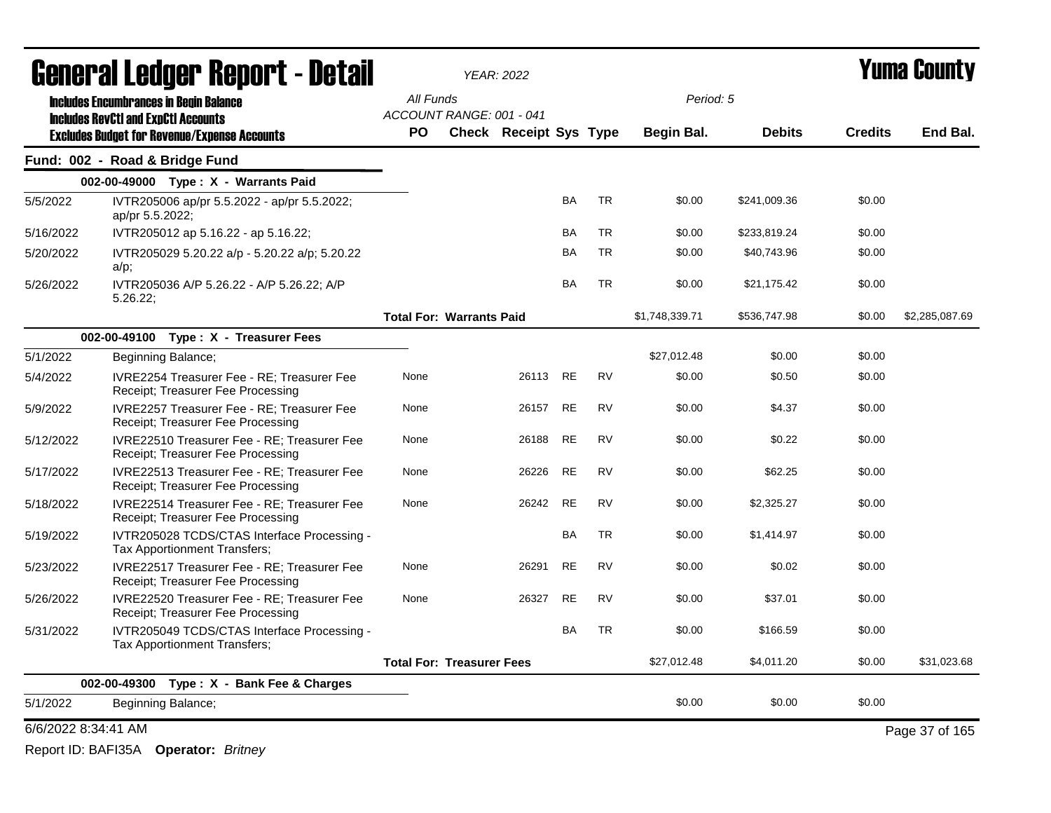| <b>General Ledger Report - Detail</b> |                                                                                                   |                                       | <b>YEAR: 2022</b>             |           |           |                |               | Yuma County    |                |
|---------------------------------------|---------------------------------------------------------------------------------------------------|---------------------------------------|-------------------------------|-----------|-----------|----------------|---------------|----------------|----------------|
|                                       | <b>Includes Encumbrances in Begin Balance</b>                                                     | All Funds                             |                               |           |           | Period: 5      |               |                |                |
|                                       | <b>Includes RevCtI and ExpCtI Accounts</b><br><b>Excludes Budget for Revenue/Expense Accounts</b> | ACCOUNT RANGE: 001 - 041<br><b>PO</b> | <b>Check Receipt Sys Type</b> |           |           | Begin Bal.     | <b>Debits</b> | <b>Credits</b> | End Bal.       |
|                                       | Fund: 002 - Road & Bridge Fund                                                                    |                                       |                               |           |           |                |               |                |                |
|                                       | 002-00-49000 Type: X - Warrants Paid                                                              |                                       |                               |           |           |                |               |                |                |
| 5/5/2022                              | IVTR205006 ap/pr 5.5.2022 - ap/pr 5.5.2022;<br>ap/pr 5.5.2022;                                    |                                       |                               | <b>BA</b> | <b>TR</b> | \$0.00         | \$241,009.36  | \$0.00         |                |
| 5/16/2022                             | IVTR205012 ap 5.16.22 - ap 5.16.22;                                                               |                                       |                               | <b>BA</b> | <b>TR</b> | \$0.00         | \$233,819.24  | \$0.00         |                |
| 5/20/2022                             | IVTR205029 5.20.22 a/p - 5.20.22 a/p; 5.20.22<br>$a/p$ ;                                          |                                       |                               | <b>BA</b> | <b>TR</b> | \$0.00         | \$40,743.96   | \$0.00         |                |
| 5/26/2022                             | IVTR205036 A/P 5.26.22 - A/P 5.26.22; A/P<br>5.26.22                                              |                                       |                               | <b>BA</b> | <b>TR</b> | \$0.00         | \$21,175.42   | \$0.00         |                |
|                                       |                                                                                                   | <b>Total For: Warrants Paid</b>       |                               |           |           | \$1,748,339.71 | \$536,747.98  | \$0.00         | \$2,285,087.69 |
|                                       | 002-00-49100 Type: X - Treasurer Fees                                                             |                                       |                               |           |           |                |               |                |                |
| 5/1/2022                              | Beginning Balance;                                                                                |                                       |                               |           |           | \$27,012.48    | \$0.00        | \$0.00         |                |
| 5/4/2022                              | IVRE2254 Treasurer Fee - RE; Treasurer Fee<br>Receipt; Treasurer Fee Processing                   | None                                  | 26113 RE                      |           | <b>RV</b> | \$0.00         | \$0.50        | \$0.00         |                |
| 5/9/2022                              | IVRE2257 Treasurer Fee - RE; Treasurer Fee<br>Receipt; Treasurer Fee Processing                   | None                                  | 26157                         | <b>RE</b> | <b>RV</b> | \$0.00         | \$4.37        | \$0.00         |                |
| 5/12/2022                             | IVRE22510 Treasurer Fee - RE; Treasurer Fee<br>Receipt; Treasurer Fee Processing                  | None                                  | 26188                         | <b>RE</b> | <b>RV</b> | \$0.00         | \$0.22        | \$0.00         |                |
| 5/17/2022                             | IVRE22513 Treasurer Fee - RE; Treasurer Fee<br>Receipt; Treasurer Fee Processing                  | None                                  | 26226                         | <b>RE</b> | <b>RV</b> | \$0.00         | \$62.25       | \$0.00         |                |
| 5/18/2022                             | IVRE22514 Treasurer Fee - RE; Treasurer Fee<br>Receipt; Treasurer Fee Processing                  | None                                  | 26242                         | <b>RE</b> | <b>RV</b> | \$0.00         | \$2,325.27    | \$0.00         |                |
| 5/19/2022                             | IVTR205028 TCDS/CTAS Interface Processing -<br>Tax Apportionment Transfers;                       |                                       |                               | BA        | <b>TR</b> | \$0.00         | \$1,414.97    | \$0.00         |                |
| 5/23/2022                             | IVRE22517 Treasurer Fee - RE; Treasurer Fee<br>Receipt; Treasurer Fee Processing                  | None                                  | 26291                         | <b>RE</b> | <b>RV</b> | \$0.00         | \$0.02        | \$0.00         |                |
| 5/26/2022                             | IVRE22520 Treasurer Fee - RE; Treasurer Fee<br>Receipt; Treasurer Fee Processing                  | None                                  | 26327                         | <b>RE</b> | <b>RV</b> | \$0.00         | \$37.01       | \$0.00         |                |
| 5/31/2022                             | IVTR205049 TCDS/CTAS Interface Processing -<br>Tax Apportionment Transfers;                       |                                       |                               | <b>BA</b> | <b>TR</b> | \$0.00         | \$166.59      | \$0.00         |                |
|                                       |                                                                                                   | <b>Total For: Treasurer Fees</b>      |                               |           |           | \$27.012.48    | \$4,011.20    | \$0.00         | \$31.023.68    |
|                                       | 002-00-49300 Type: X - Bank Fee & Charges                                                         |                                       |                               |           |           |                |               |                |                |
| 5/1/2022                              | Beginning Balance;                                                                                |                                       |                               |           |           | \$0.00         | \$0.00        | \$0.00         |                |
| 6/6/2022 8:34:41 AM                   |                                                                                                   |                                       |                               |           |           |                |               |                | Page 37 of 165 |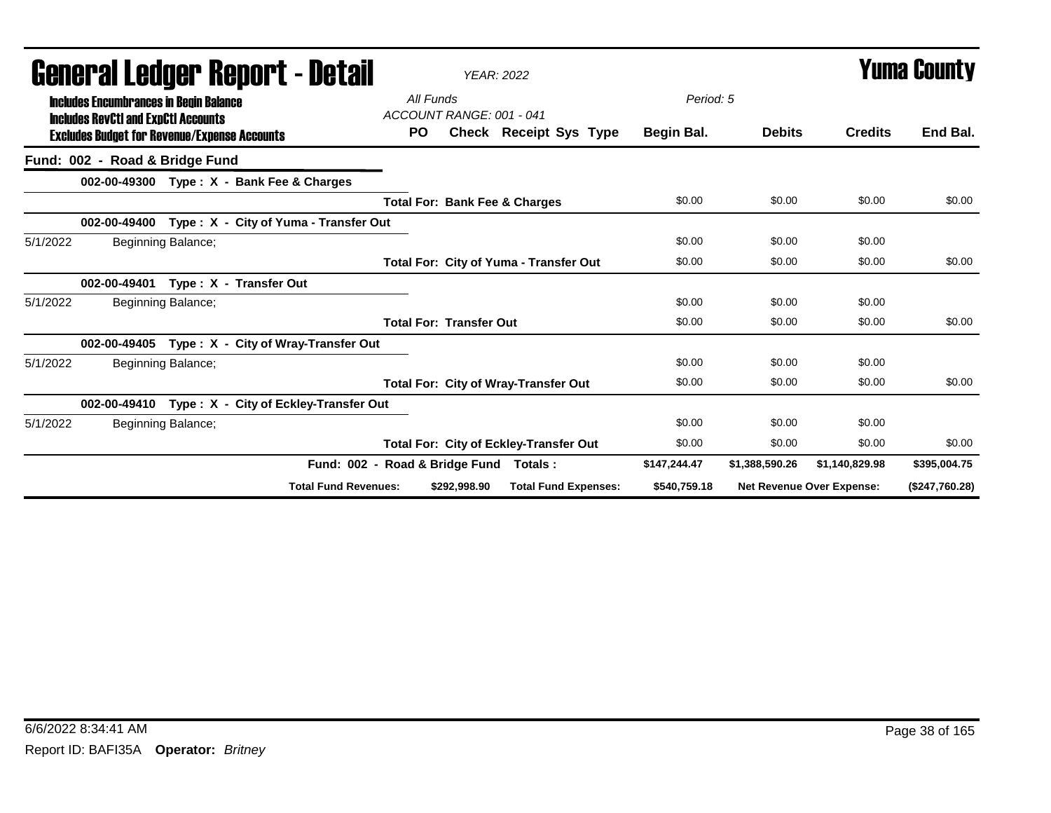| Generai Leuger Keport - Detail                                                              | <b>YEAR: 2022</b>                             |              |                |                                  | Y UIII'd GUUIILY |  |
|---------------------------------------------------------------------------------------------|-----------------------------------------------|--------------|----------------|----------------------------------|------------------|--|
| <b>Includes Encumbrances in Begin Balance</b><br><b>Includes RevCtI and ExpCtI Accounts</b> | All Funds<br>ACCOUNT RANGE: 001 - 041         | Period: 5    |                |                                  |                  |  |
| <b>Excludes Budget for Revenue/Expense Accounts</b>                                         | <b>PO</b><br>Check Receipt Sys Type           | Begin Bal.   | <b>Debits</b>  | <b>Credits</b>                   | End Bal.         |  |
| Fund: 002 - Road & Bridge Fund                                                              |                                               |              |                |                                  |                  |  |
| 002-00-49300 Type: X - Bank Fee & Charges                                                   |                                               |              |                |                                  |                  |  |
|                                                                                             | <b>Total For: Bank Fee &amp; Charges</b>      | \$0.00       | \$0.00         | \$0.00                           | \$0.00           |  |
| 002-00-49400<br>Type: X - City of Yuma - Transfer Out                                       |                                               |              |                |                                  |                  |  |
| Beginning Balance;<br>5/1/2022                                                              |                                               | \$0.00       | \$0.00         | \$0.00                           |                  |  |
|                                                                                             | <b>Total For: City of Yuma - Transfer Out</b> | \$0.00       | \$0.00         | \$0.00                           | \$0.00           |  |
| Type: X - Transfer Out<br>002-00-49401                                                      |                                               |              |                |                                  |                  |  |
| 5/1/2022<br>Beginning Balance;                                                              |                                               | \$0.00       | \$0.00         | \$0.00                           |                  |  |
|                                                                                             | <b>Total For: Transfer Out</b>                | \$0.00       | \$0.00         | \$0.00                           | \$0.00           |  |
| Type: X - City of Wray-Transfer Out<br>002-00-49405                                         |                                               |              |                |                                  |                  |  |
| Beginning Balance;<br>5/1/2022                                                              |                                               | \$0.00       | \$0.00         | \$0.00                           |                  |  |
|                                                                                             | <b>Total For: City of Wray-Transfer Out</b>   | \$0.00       | \$0.00         | \$0.00                           | \$0.00           |  |
| Type: X - City of Eckley-Transfer Out<br>002-00-49410                                       |                                               |              |                |                                  |                  |  |
| 5/1/2022<br>Beginning Balance;                                                              |                                               | \$0.00       | \$0.00         | \$0.00                           |                  |  |
|                                                                                             | Total For: City of Eckley-Transfer Out        | \$0.00       | \$0.00         | \$0.00                           | \$0.00           |  |
| Fund: 002 -                                                                                 | Road & Bridge Fund<br>Totals:                 | \$147,244.47 | \$1,388,590.26 | \$1,140,829.98                   | \$395,004.75     |  |
| <b>Total Fund Revenues:</b>                                                                 | <b>Total Fund Expenses:</b><br>\$292,998.90   | \$540,759.18 |                | <b>Net Revenue Over Expense:</b> | (\$247,760.28)   |  |

## General Ledger Report - Detail *YEAR: 2022* Yuma County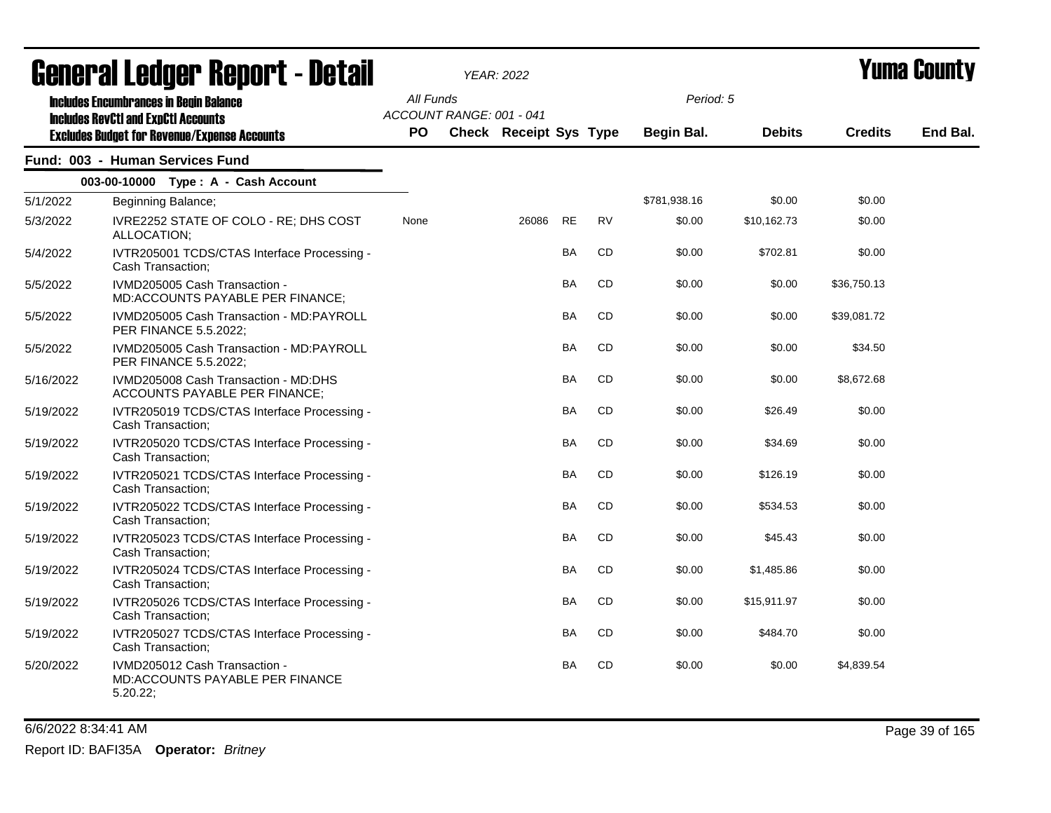|           | <b>agiigi.gi fanñai. ughni. ( - natsii</b>                                                                                                         |                  |                          | <b>YEAR: 2022</b>             |           |           |                         |               |                | T UNIJA GUUNLY |
|-----------|----------------------------------------------------------------------------------------------------------------------------------------------------|------------------|--------------------------|-------------------------------|-----------|-----------|-------------------------|---------------|----------------|----------------|
|           | <b>Includes Encumbrances in Begin Balance</b><br><b>Includes RevCtI and ExpCtI Accounts</b><br><b>Excludes Budget for Revenue/Expense Accounts</b> | All Funds<br>PO. | ACCOUNT RANGE: 001 - 041 | <b>Check Receipt Sys Type</b> |           |           | Period: 5<br>Begin Bal. | <b>Debits</b> | <b>Credits</b> | End Bal.       |
|           | Fund: 003 - Human Services Fund                                                                                                                    |                  |                          |                               |           |           |                         |               |                |                |
|           | 003-00-10000 Type: A - Cash Account                                                                                                                |                  |                          |                               |           |           |                         |               |                |                |
| 5/1/2022  | Beginning Balance;                                                                                                                                 |                  |                          |                               |           |           | \$781,938.16            | \$0.00        | \$0.00         |                |
| 5/3/2022  | IVRE2252 STATE OF COLO - RE; DHS COST<br>ALLOCATION;                                                                                               | None             |                          | 26086                         | <b>RE</b> | <b>RV</b> | \$0.00                  | \$10,162.73   | \$0.00         |                |
| 5/4/2022  | IVTR205001 TCDS/CTAS Interface Processing -<br>Cash Transaction;                                                                                   |                  |                          |                               | <b>BA</b> | <b>CD</b> | \$0.00                  | \$702.81      | \$0.00         |                |
| 5/5/2022  | IVMD205005 Cash Transaction -<br>MD:ACCOUNTS PAYABLE PER FINANCE;                                                                                  |                  |                          |                               | BA        | <b>CD</b> | \$0.00                  | \$0.00        | \$36,750.13    |                |
| 5/5/2022  | IVMD205005 Cash Transaction - MD:PAYROLL<br>PER FINANCE 5.5.2022;                                                                                  |                  |                          |                               | <b>BA</b> | <b>CD</b> | \$0.00                  | \$0.00        | \$39,081.72    |                |
| 5/5/2022  | IVMD205005 Cash Transaction - MD:PAYROLL<br>PER FINANCE 5.5.2022;                                                                                  |                  |                          |                               | BA        | CD        | \$0.00                  | \$0.00        | \$34.50        |                |
| 5/16/2022 | IVMD205008 Cash Transaction - MD:DHS<br>ACCOUNTS PAYABLE PER FINANCE;                                                                              |                  |                          |                               | <b>BA</b> | <b>CD</b> | \$0.00                  | \$0.00        | \$8,672.68     |                |
| 5/19/2022 | IVTR205019 TCDS/CTAS Interface Processing -<br>Cash Transaction;                                                                                   |                  |                          |                               | BA        | CD        | \$0.00                  | \$26.49       | \$0.00         |                |
| 5/19/2022 | IVTR205020 TCDS/CTAS Interface Processing -<br>Cash Transaction;                                                                                   |                  |                          |                               | <b>BA</b> | <b>CD</b> | \$0.00                  | \$34.69       | \$0.00         |                |
| 5/19/2022 | IVTR205021 TCDS/CTAS Interface Processing -<br>Cash Transaction;                                                                                   |                  |                          |                               | BA        | CD        | \$0.00                  | \$126.19      | \$0.00         |                |
| 5/19/2022 | IVTR205022 TCDS/CTAS Interface Processing -<br>Cash Transaction;                                                                                   |                  |                          |                               | <b>BA</b> | <b>CD</b> | \$0.00                  | \$534.53      | \$0.00         |                |
| 5/19/2022 | IVTR205023 TCDS/CTAS Interface Processing -<br>Cash Transaction;                                                                                   |                  |                          |                               | <b>BA</b> | <b>CD</b> | \$0.00                  | \$45.43       | \$0.00         |                |
| 5/19/2022 | IVTR205024 TCDS/CTAS Interface Processing -<br>Cash Transaction;                                                                                   |                  |                          |                               | <b>BA</b> | <b>CD</b> | \$0.00                  | \$1,485.86    | \$0.00         |                |
| 5/19/2022 | IVTR205026 TCDS/CTAS Interface Processing -<br>Cash Transaction;                                                                                   |                  |                          |                               | <b>BA</b> | CD        | \$0.00                  | \$15,911.97   | \$0.00         |                |
| 5/19/2022 | IVTR205027 TCDS/CTAS Interface Processing -<br>Cash Transaction;                                                                                   |                  |                          |                               | <b>BA</b> | <b>CD</b> | \$0.00                  | \$484.70      | \$0.00         |                |
| 5/20/2022 | IVMD205012 Cash Transaction -<br><b>MD:ACCOUNTS PAYABLE PER FINANCE</b><br>5.20.22;                                                                |                  |                          |                               | <b>BA</b> | <b>CD</b> | \$0.00                  | \$0.00        | \$4,839.54     |                |

## General Ledger Report - Detail *YEAR: 2022* Yuma County

6/6/2022 8:34:41 AM Page 39 of 165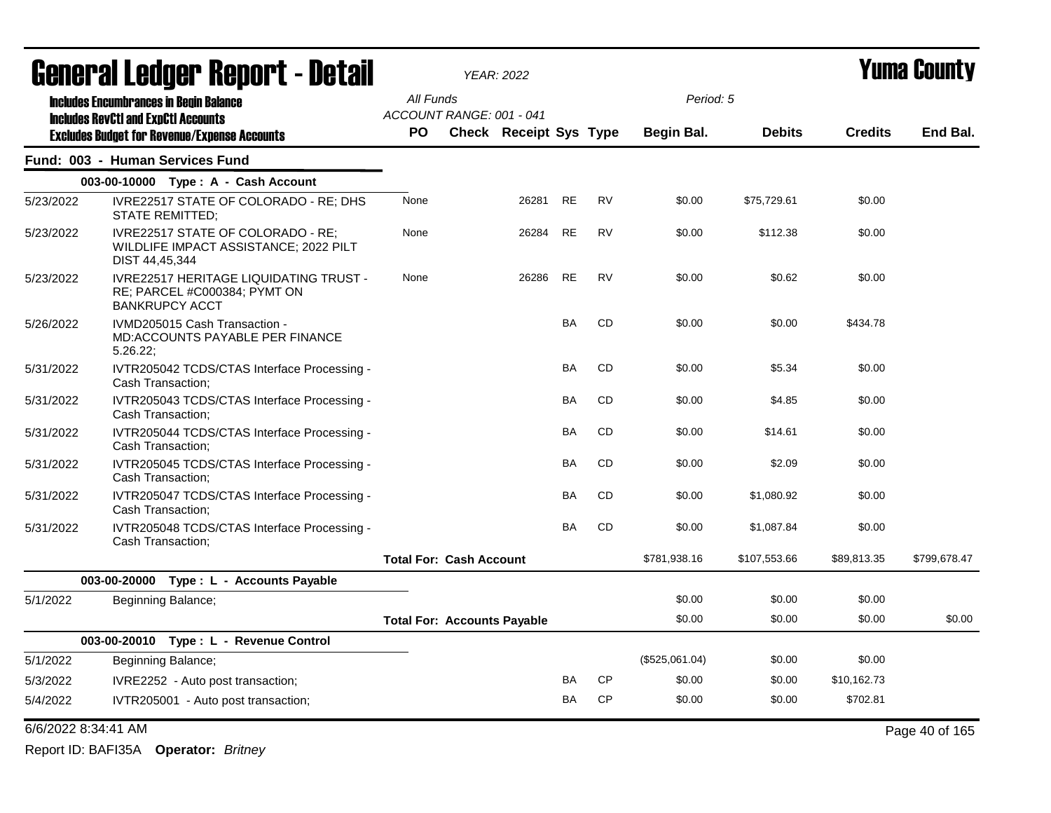|           | <b>General Ledger Report - Detail</b>                                                                  |           |                                    | <b>YEAR: 2022</b>             |           |           |                   |               | Yuma Countv    |                |
|-----------|--------------------------------------------------------------------------------------------------------|-----------|------------------------------------|-------------------------------|-----------|-----------|-------------------|---------------|----------------|----------------|
|           | <b>Includes Encumbrances in Begin Balance</b>                                                          | All Funds |                                    |                               |           |           | Period: 5         |               |                |                |
|           | <b>Includes RevCtI and ExpCtI Accounts</b><br><b>Excludes Budget for Revenue/Expense Accounts</b>      | <b>PO</b> | ACCOUNT RANGE: 001 - 041           | <b>Check Receipt Sys Type</b> |           |           | <b>Begin Bal.</b> | <b>Debits</b> | <b>Credits</b> | End Bal.       |
|           | Fund: 003 - Human Services Fund                                                                        |           |                                    |                               |           |           |                   |               |                |                |
|           | 003-00-10000 Type: A - Cash Account                                                                    |           |                                    |                               |           |           |                   |               |                |                |
| 5/23/2022 | IVRE22517 STATE OF COLORADO - RE; DHS<br>STATE REMITTED;                                               | None      |                                    | 26281                         | <b>RE</b> | <b>RV</b> | \$0.00            | \$75,729.61   | \$0.00         |                |
| 5/23/2022 | IVRE22517 STATE OF COLORADO - RE:<br>WILDLIFE IMPACT ASSISTANCE; 2022 PILT<br>DIST 44,45,344           | None      |                                    | 26284                         | RE        | <b>RV</b> | \$0.00            | \$112.38      | \$0.00         |                |
| 5/23/2022 | <b>IVRE22517 HERITAGE LIQUIDATING TRUST -</b><br>RE; PARCEL #C000384; PYMT ON<br><b>BANKRUPCY ACCT</b> | None      |                                    | 26286                         | RE        | <b>RV</b> | \$0.00            | \$0.62        | \$0.00         |                |
| 5/26/2022 | IVMD205015 Cash Transaction -<br><b>MD:ACCOUNTS PAYABLE PER FINANCE</b><br>5.26.22;                    |           |                                    |                               | BA        | <b>CD</b> | \$0.00            | \$0.00        | \$434.78       |                |
| 5/31/2022 | IVTR205042 TCDS/CTAS Interface Processing -<br>Cash Transaction;                                       |           |                                    |                               | BA        | <b>CD</b> | \$0.00            | \$5.34        | \$0.00         |                |
| 5/31/2022 | IVTR205043 TCDS/CTAS Interface Processing -<br>Cash Transaction;                                       |           |                                    |                               | BA        | <b>CD</b> | \$0.00            | \$4.85        | \$0.00         |                |
| 5/31/2022 | IVTR205044 TCDS/CTAS Interface Processing -<br>Cash Transaction;                                       |           |                                    |                               | BA        | <b>CD</b> | \$0.00            | \$14.61       | \$0.00         |                |
| 5/31/2022 | IVTR205045 TCDS/CTAS Interface Processing -<br>Cash Transaction;                                       |           |                                    |                               | <b>BA</b> | <b>CD</b> | \$0.00            | \$2.09        | \$0.00         |                |
| 5/31/2022 | IVTR205047 TCDS/CTAS Interface Processing -<br>Cash Transaction;                                       |           |                                    |                               | BA        | CD        | \$0.00            | \$1,080.92    | \$0.00         |                |
| 5/31/2022 | IVTR205048 TCDS/CTAS Interface Processing -<br>Cash Transaction;                                       |           |                                    |                               | BA        | CD        | \$0.00            | \$1,087.84    | \$0.00         |                |
|           |                                                                                                        |           | <b>Total For: Cash Account</b>     |                               |           |           | \$781,938.16      | \$107,553.66  | \$89,813.35    | \$799,678.47   |
|           | 003-00-20000 Type: L - Accounts Payable                                                                |           |                                    |                               |           |           |                   |               |                |                |
| 5/1/2022  | Beginning Balance;                                                                                     |           |                                    |                               |           |           | \$0.00            | \$0.00        | \$0.00         |                |
|           |                                                                                                        |           | <b>Total For: Accounts Payable</b> |                               |           |           | \$0.00            | \$0.00        | \$0.00         | \$0.00         |
|           | 003-00-20010 Type: L - Revenue Control                                                                 |           |                                    |                               |           |           |                   |               |                |                |
| 5/1/2022  | Beginning Balance;                                                                                     |           |                                    |                               |           |           | (\$525,061.04)    | \$0.00        | \$0.00         |                |
| 5/3/2022  | IVRE2252 - Auto post transaction;                                                                      |           |                                    |                               | BA        | <b>CP</b> | \$0.00            | \$0.00        | \$10,162.73    |                |
| 5/4/2022  | IVTR205001 - Auto post transaction;                                                                    |           |                                    |                               | BA        | <b>CP</b> | \$0.00            | \$0.00        | \$702.81       |                |
|           | 6/6/2022 8:34:41 AM                                                                                    |           |                                    |                               |           |           |                   |               |                | Page 40 of 165 |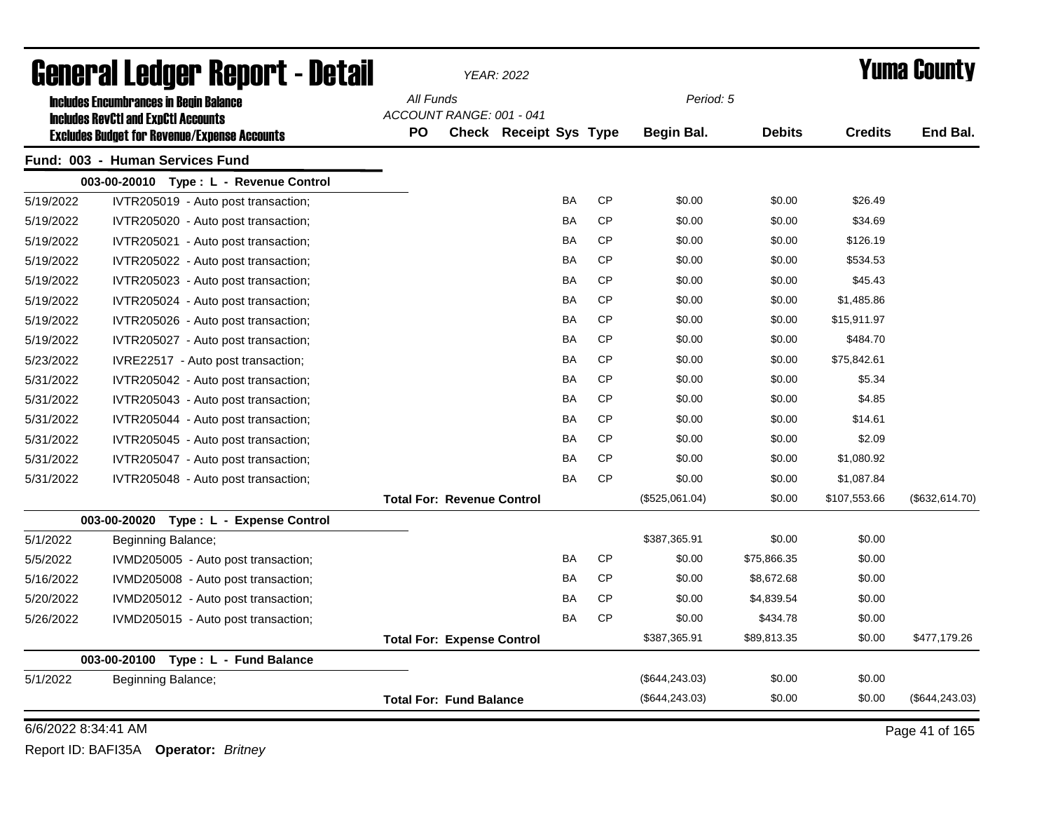| <b>General Ledger Report - Detail</b> |                                                     |           |                                   | <b>YEAR: 2022</b>      |           |           |                 |               | <b>Yuma County</b> |                 |
|---------------------------------------|-----------------------------------------------------|-----------|-----------------------------------|------------------------|-----------|-----------|-----------------|---------------|--------------------|-----------------|
|                                       | <b>Includes Encumbrances in Begin Balance</b>       | All Funds |                                   |                        |           |           | Period: 5       |               |                    |                 |
|                                       | <b>Includes RevCtI and ExpCtI Accounts</b>          |           | ACCOUNT RANGE: 001 - 041          |                        |           |           |                 |               |                    |                 |
|                                       | <b>Excludes Budget for Revenue/Expense Accounts</b> | <b>PO</b> |                                   | Check Receipt Sys Type |           |           | Begin Bal.      | <b>Debits</b> | <b>Credits</b>     | End Bal.        |
|                                       | Fund: 003 - Human Services Fund                     |           |                                   |                        |           |           |                 |               |                    |                 |
|                                       | 003-00-20010 Type: L - Revenue Control              |           |                                   |                        |           |           |                 |               |                    |                 |
| 5/19/2022                             | IVTR205019 - Auto post transaction;                 |           |                                   |                        | <b>BA</b> | <b>CP</b> | \$0.00          | \$0.00        | \$26.49            |                 |
| 5/19/2022                             | IVTR205020 - Auto post transaction;                 |           |                                   |                        | BA        | <b>CP</b> | \$0.00          | \$0.00        | \$34.69            |                 |
| 5/19/2022                             | IVTR205021 - Auto post transaction;                 |           |                                   |                        | BA        | <b>CP</b> | \$0.00          | \$0.00        | \$126.19           |                 |
| 5/19/2022                             | IVTR205022 - Auto post transaction;                 |           |                                   |                        | <b>BA</b> | <b>CP</b> | \$0.00          | \$0.00        | \$534.53           |                 |
| 5/19/2022                             | IVTR205023 - Auto post transaction;                 |           |                                   |                        | <b>BA</b> | <b>CP</b> | \$0.00          | \$0.00        | \$45.43            |                 |
| 5/19/2022                             | IVTR205024 - Auto post transaction;                 |           |                                   |                        | <b>BA</b> | <b>CP</b> | \$0.00          | \$0.00        | \$1,485.86         |                 |
| 5/19/2022                             | IVTR205026 - Auto post transaction;                 |           |                                   |                        | <b>BA</b> | <b>CP</b> | \$0.00          | \$0.00        | \$15,911.97        |                 |
| 5/19/2022                             | IVTR205027 - Auto post transaction;                 |           |                                   |                        | <b>BA</b> | <b>CP</b> | \$0.00          | \$0.00        | \$484.70           |                 |
| 5/23/2022                             | IVRE22517 - Auto post transaction;                  |           |                                   |                        | BA        | <b>CP</b> | \$0.00          | \$0.00        | \$75,842.61        |                 |
| 5/31/2022                             | IVTR205042 - Auto post transaction;                 |           |                                   |                        | BA        | <b>CP</b> | \$0.00          | \$0.00        | \$5.34             |                 |
| 5/31/2022                             | IVTR205043 - Auto post transaction;                 |           |                                   |                        | <b>BA</b> | <b>CP</b> | \$0.00          | \$0.00        | \$4.85             |                 |
| 5/31/2022                             | IVTR205044 - Auto post transaction;                 |           |                                   |                        | <b>BA</b> | <b>CP</b> | \$0.00          | \$0.00        | \$14.61            |                 |
| 5/31/2022                             | IVTR205045 - Auto post transaction;                 |           |                                   |                        | <b>BA</b> | <b>CP</b> | \$0.00          | \$0.00        | \$2.09             |                 |
| 5/31/2022                             | IVTR205047 - Auto post transaction;                 |           |                                   |                        | BA        | <b>CP</b> | \$0.00          | \$0.00        | \$1,080.92         |                 |
| 5/31/2022                             | IVTR205048 - Auto post transaction;                 |           |                                   |                        | BA        | <b>CP</b> | \$0.00          | \$0.00        | \$1,087.84         |                 |
|                                       |                                                     |           | <b>Total For: Revenue Control</b> |                        |           |           | (\$525,061.04)  | \$0.00        | \$107,553.66       | (\$632, 614.70) |
|                                       | 003-00-20020 Type: L - Expense Control              |           |                                   |                        |           |           |                 |               |                    |                 |
| 5/1/2022                              | Beginning Balance;                                  |           |                                   |                        |           |           | \$387,365.91    | \$0.00        | \$0.00             |                 |
| 5/5/2022                              | IVMD205005 - Auto post transaction;                 |           |                                   |                        | <b>BA</b> | <b>CP</b> | \$0.00          | \$75,866.35   | \$0.00             |                 |
| 5/16/2022                             | IVMD205008 - Auto post transaction;                 |           |                                   |                        | BA        | <b>CP</b> | \$0.00          | \$8,672.68    | \$0.00             |                 |
| 5/20/2022                             | IVMD205012 - Auto post transaction;                 |           |                                   |                        | BA        | <b>CP</b> | \$0.00          | \$4,839.54    | \$0.00             |                 |
| 5/26/2022                             | IVMD205015 - Auto post transaction;                 |           |                                   |                        | <b>BA</b> | <b>CP</b> | \$0.00          | \$434.78      | \$0.00             |                 |
|                                       |                                                     |           | <b>Total For: Expense Control</b> |                        |           |           | \$387,365.91    | \$89,813.35   | \$0.00             | \$477,179.26    |
|                                       | 003-00-20100<br>Type: L - Fund Balance              |           |                                   |                        |           |           |                 |               |                    |                 |
| 5/1/2022                              | Beginning Balance;                                  |           |                                   |                        |           |           | (\$644, 243.03) | \$0.00        | \$0.00             |                 |
|                                       |                                                     |           | <b>Total For: Fund Balance</b>    |                        |           |           | (\$644, 243.03) | \$0.00        | \$0.00             | (\$644, 243.03) |
| 6/6/2022 8:34:41 AM                   |                                                     |           |                                   |                        |           |           |                 |               |                    | Page 41 of 165  |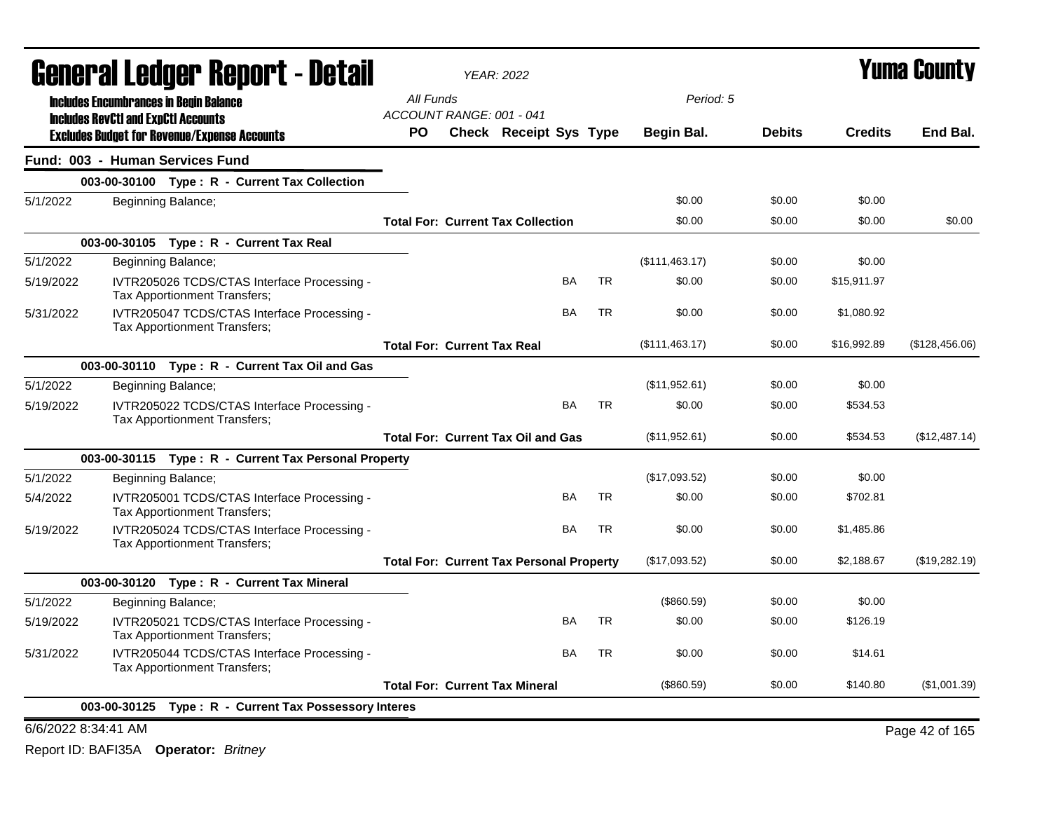|           | <b>General Ledger Report - Detail</b>      |                                                                                    |           |                                                 | <b>YEAR: 2022</b>             |           |           |                | Yuma Countv   |                |                |
|-----------|--------------------------------------------|------------------------------------------------------------------------------------|-----------|-------------------------------------------------|-------------------------------|-----------|-----------|----------------|---------------|----------------|----------------|
|           | <b>Includes RevCtI and ExpCtI Accounts</b> | <b>Includes Encumbrances in Begin Balance</b>                                      |           | All Funds<br>ACCOUNT RANGE: 001 - 041           |                               |           |           | Period: 5      |               |                |                |
|           |                                            | <b>Excludes Budget for Revenue/Expense Accounts</b>                                | <b>PO</b> |                                                 | <b>Check Receipt Sys Type</b> |           |           | Begin Bal.     | <b>Debits</b> | <b>Credits</b> | End Bal.       |
|           |                                            | Fund: 003 - Human Services Fund                                                    |           |                                                 |                               |           |           |                |               |                |                |
|           |                                            | 003-00-30100 Type: R - Current Tax Collection                                      |           |                                                 |                               |           |           |                |               |                |                |
| 5/1/2022  |                                            | Beginning Balance;                                                                 |           |                                                 |                               |           |           | \$0.00         | \$0.00        | \$0.00         |                |
|           |                                            |                                                                                    |           | <b>Total For: Current Tax Collection</b>        |                               |           |           | \$0.00         | \$0.00        | \$0.00         | \$0.00         |
|           |                                            | 003-00-30105 Type: R - Current Tax Real                                            |           |                                                 |                               |           |           |                |               |                |                |
| 5/1/2022  |                                            | Beginning Balance;                                                                 |           |                                                 |                               |           |           | (\$111,463.17) | \$0.00        | \$0.00         |                |
| 5/19/2022 |                                            | IVTR205026 TCDS/CTAS Interface Processing -<br><b>Tax Apportionment Transfers:</b> |           |                                                 |                               | BA        | <b>TR</b> | \$0.00         | \$0.00        | \$15,911.97    |                |
| 5/31/2022 |                                            | IVTR205047 TCDS/CTAS Interface Processing -<br>Tax Apportionment Transfers;        |           |                                                 |                               | BA        | <b>TR</b> | \$0.00         | \$0.00        | \$1,080.92     |                |
|           |                                            |                                                                                    |           | <b>Total For: Current Tax Real</b>              |                               |           |           | (\$111,463.17) | \$0.00        | \$16,992.89    | (\$128,456.06) |
|           |                                            | 003-00-30110 Type: R - Current Tax Oil and Gas                                     |           |                                                 |                               |           |           |                |               |                |                |
| 5/1/2022  |                                            | Beginning Balance;                                                                 |           |                                                 |                               |           |           | (\$11,952.61)  | \$0.00        | \$0.00         |                |
| 5/19/2022 |                                            | IVTR205022 TCDS/CTAS Interface Processing -<br>Tax Apportionment Transfers;        |           |                                                 |                               | <b>BA</b> | <b>TR</b> | \$0.00         | \$0.00        | \$534.53       |                |
|           |                                            |                                                                                    |           | <b>Total For: Current Tax Oil and Gas</b>       |                               |           |           | (\$11,952.61)  | \$0.00        | \$534.53       | (\$12,487.14)  |
|           |                                            | 003-00-30115 Type: R - Current Tax Personal Property                               |           |                                                 |                               |           |           |                |               |                |                |
| 5/1/2022  |                                            | Beginning Balance;                                                                 |           |                                                 |                               |           |           | (\$17,093.52)  | \$0.00        | \$0.00         |                |
| 5/4/2022  |                                            | IVTR205001 TCDS/CTAS Interface Processing -<br>Tax Apportionment Transfers;        |           |                                                 |                               | <b>BA</b> | <b>TR</b> | \$0.00         | \$0.00        | \$702.81       |                |
| 5/19/2022 |                                            | IVTR205024 TCDS/CTAS Interface Processing -<br>Tax Apportionment Transfers;        |           |                                                 |                               | <b>BA</b> | <b>TR</b> | \$0.00         | \$0.00        | \$1,485.86     |                |
|           |                                            |                                                                                    |           | <b>Total For: Current Tax Personal Property</b> |                               |           |           | (\$17,093.52)  | \$0.00        | \$2,188.67     | (\$19,282.19)  |
|           |                                            | 003-00-30120 Type: R - Current Tax Mineral                                         |           |                                                 |                               |           |           |                |               |                |                |
| 5/1/2022  |                                            | Beginning Balance;                                                                 |           |                                                 |                               |           |           | (\$860.59)     | \$0.00        | \$0.00         |                |
| 5/19/2022 |                                            | IVTR205021 TCDS/CTAS Interface Processing -<br>Tax Apportionment Transfers;        |           |                                                 |                               | BA        | TR        | \$0.00         | \$0.00        | \$126.19       |                |
| 5/31/2022 |                                            | IVTR205044 TCDS/CTAS Interface Processing -<br>Tax Apportionment Transfers;        |           |                                                 |                               | BA        | <b>TR</b> | \$0.00         | \$0.00        | \$14.61        |                |
|           |                                            |                                                                                    |           | <b>Total For: Current Tax Mineral</b>           |                               |           |           | (\$860.59)     | \$0.00        | \$140.80       | (\$1,001.39)   |
|           | 003-00-30125                               | Type: R - Current Tax Possessory Interes                                           |           |                                                 |                               |           |           |                |               |                |                |
|           | 6/6/2022 8:34:41 AM                        |                                                                                    |           |                                                 |                               |           |           |                |               |                | Page 42 of 165 |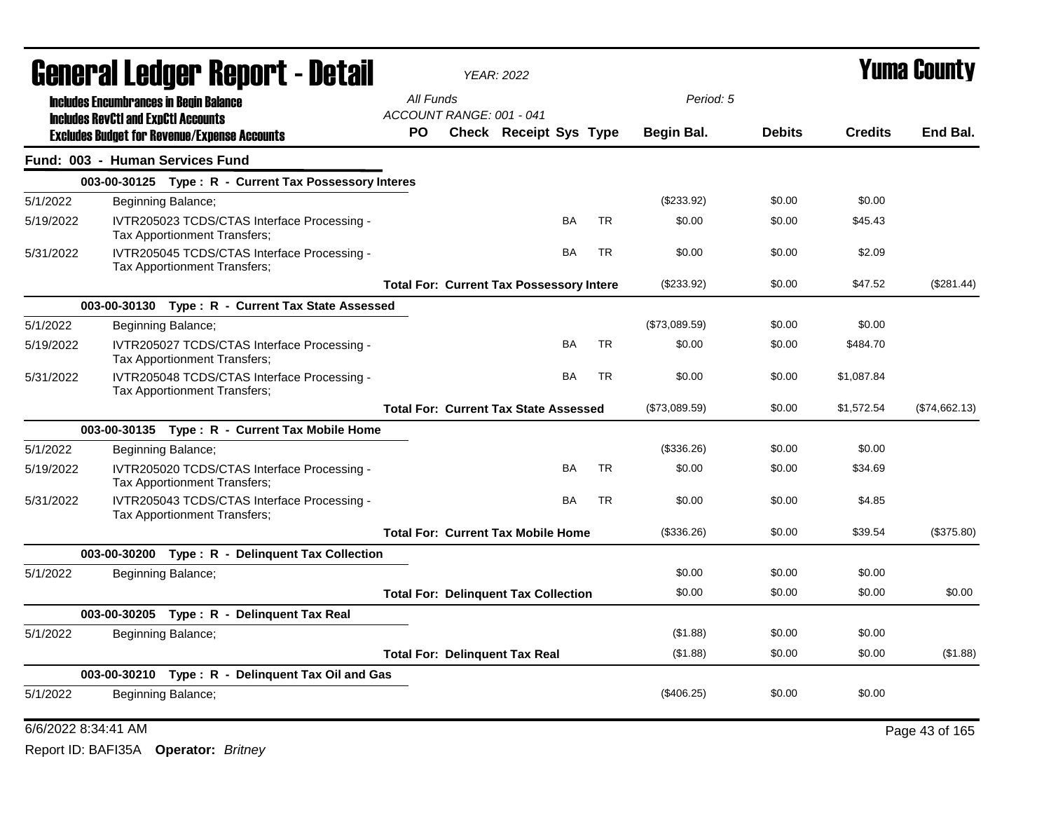| <b>General Ledger Report - Detail</b> |                                            |                                                                             |                                                 | <b>YEAR: 2022</b>             |           |           |               | Yuma Countv   |                |                |  |
|---------------------------------------|--------------------------------------------|-----------------------------------------------------------------------------|-------------------------------------------------|-------------------------------|-----------|-----------|---------------|---------------|----------------|----------------|--|
|                                       |                                            | <b>Includes Encumbrances in Begin Balance</b>                               | All Funds                                       |                               |           |           | Period: 5     |               |                |                |  |
|                                       | <b>Includes RevCtI and ExpCtI Accounts</b> | <b>Excludes Budget for Revenue/Expense Accounts</b>                         | ACCOUNT RANGE: 001 - 041<br>PO.                 | <b>Check Receipt Sys Type</b> |           |           | Begin Bal.    | <b>Debits</b> | <b>Credits</b> | End Bal.       |  |
|                                       |                                            | Fund: 003 - Human Services Fund                                             |                                                 |                               |           |           |               |               |                |                |  |
|                                       |                                            | 003-00-30125 Type: R - Current Tax Possessory Interes                       |                                                 |                               |           |           |               |               |                |                |  |
| 5/1/2022                              |                                            | Beginning Balance;                                                          |                                                 |                               |           |           | (\$233.92)    | \$0.00        | \$0.00         |                |  |
| 5/19/2022                             |                                            | IVTR205023 TCDS/CTAS Interface Processing -<br>Tax Apportionment Transfers; |                                                 |                               | BA        | <b>TR</b> | \$0.00        | \$0.00        | \$45.43        |                |  |
| 5/31/2022                             |                                            | IVTR205045 TCDS/CTAS Interface Processing -<br>Tax Apportionment Transfers; |                                                 |                               | <b>BA</b> | <b>TR</b> | \$0.00        | \$0.00        | \$2.09         |                |  |
|                                       |                                            |                                                                             | <b>Total For: Current Tax Possessory Intere</b> |                               |           |           | $(\$233.92)$  | \$0.00        | \$47.52        | (\$281.44)     |  |
|                                       |                                            | 003-00-30130 Type: R - Current Tax State Assessed                           |                                                 |                               |           |           |               |               |                |                |  |
| 5/1/2022                              |                                            | Beginning Balance;                                                          |                                                 |                               |           |           | (\$73,089.59) | \$0.00        | \$0.00         |                |  |
| 5/19/2022                             |                                            | IVTR205027 TCDS/CTAS Interface Processing -<br>Tax Apportionment Transfers; |                                                 |                               | <b>BA</b> | <b>TR</b> | \$0.00        | \$0.00        | \$484.70       |                |  |
| 5/31/2022                             |                                            | IVTR205048 TCDS/CTAS Interface Processing -<br>Tax Apportionment Transfers; |                                                 |                               | BA        | <b>TR</b> | \$0.00        | \$0.00        | \$1,087.84     |                |  |
|                                       |                                            |                                                                             | <b>Total For: Current Tax State Assessed</b>    |                               |           |           | (\$73,089.59) | \$0.00        | \$1,572.54     | (\$74,662.13)  |  |
|                                       |                                            | 003-00-30135 Type: R - Current Tax Mobile Home                              |                                                 |                               |           |           |               |               |                |                |  |
| 5/1/2022                              |                                            | Beginning Balance;                                                          |                                                 |                               |           |           | (\$336.26)    | \$0.00        | \$0.00         |                |  |
| 5/19/2022                             |                                            | IVTR205020 TCDS/CTAS Interface Processing -<br>Tax Apportionment Transfers; |                                                 |                               | BA        | <b>TR</b> | \$0.00        | \$0.00        | \$34.69        |                |  |
| 5/31/2022                             |                                            | IVTR205043 TCDS/CTAS Interface Processing -<br>Tax Apportionment Transfers; |                                                 |                               | <b>BA</b> | <b>TR</b> | \$0.00        | \$0.00        | \$4.85         |                |  |
|                                       |                                            |                                                                             | <b>Total For: Current Tax Mobile Home</b>       |                               |           |           | (\$336.26)    | \$0.00        | \$39.54        | (\$375.80)     |  |
|                                       |                                            | 003-00-30200 Type: R - Delinquent Tax Collection                            |                                                 |                               |           |           |               |               |                |                |  |
| 5/1/2022                              |                                            | Beginning Balance;                                                          |                                                 |                               |           |           | \$0.00        | \$0.00        | \$0.00         |                |  |
|                                       |                                            |                                                                             | <b>Total For: Delinquent Tax Collection</b>     |                               |           |           | \$0.00        | \$0.00        | \$0.00         | \$0.00         |  |
|                                       |                                            | 003-00-30205 Type: R - Delinquent Tax Real                                  |                                                 |                               |           |           |               |               |                |                |  |
| 5/1/2022                              |                                            | Beginning Balance;                                                          |                                                 |                               |           |           | (\$1.88)      | \$0.00        | \$0.00         |                |  |
|                                       |                                            |                                                                             | <b>Total For: Delinquent Tax Real</b>           |                               |           |           | (\$1.88)      | \$0.00        | \$0.00         | (\$1.88)       |  |
|                                       |                                            | 003-00-30210 Type: R - Delinquent Tax Oil and Gas                           |                                                 |                               |           |           |               |               |                |                |  |
| 5/1/2022                              |                                            | Beginning Balance;                                                          |                                                 |                               |           |           | $(\$406.25)$  | \$0.00        | \$0.00         |                |  |
|                                       | 6/6/2022 8:34:41 AM                        |                                                                             |                                                 |                               |           |           |               |               |                | Page 43 of 165 |  |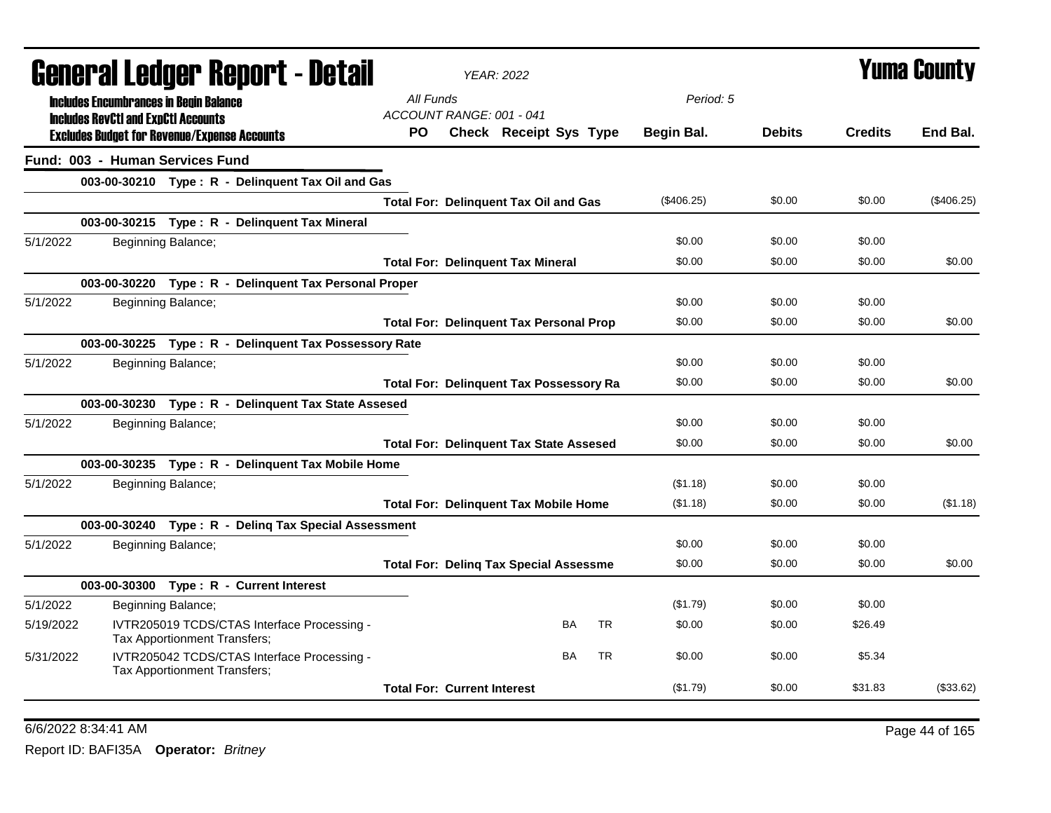|           | General Ledger Report - Detail             |                                                                             |           | <b>YEAR: 2022</b>                  |                                                |           |            |               | Yuma County    |              |
|-----------|--------------------------------------------|-----------------------------------------------------------------------------|-----------|------------------------------------|------------------------------------------------|-----------|------------|---------------|----------------|--------------|
|           |                                            | <b>Includes Encumbrances in Begin Balance</b>                               | All Funds |                                    |                                                |           | Period: 5  |               |                |              |
|           | <b>Includes RevCtI and ExpCtI Accounts</b> |                                                                             |           | ACCOUNT RANGE: 001 - 041           |                                                |           |            |               |                |              |
|           |                                            | <b>Excludes Budget for Revenue/Expense Accounts</b>                         | PO.       |                                    | Check Receipt Sys Type                         |           | Begin Bal. | <b>Debits</b> | <b>Credits</b> | End Bal.     |
|           |                                            | Fund: 003 - Human Services Fund                                             |           |                                    |                                                |           |            |               |                |              |
|           |                                            | 003-00-30210 Type: R - Delinquent Tax Oil and Gas                           |           |                                    |                                                |           |            |               |                |              |
|           |                                            |                                                                             |           |                                    | <b>Total For: Delinquent Tax Oil and Gas</b>   |           | (\$406.25) | \$0.00        | \$0.00         | $(\$406.25)$ |
|           |                                            | 003-00-30215 Type: R - Delinquent Tax Mineral                               |           |                                    |                                                |           |            |               |                |              |
| 5/1/2022  |                                            | Beginning Balance;                                                          |           |                                    |                                                |           | \$0.00     | \$0.00        | \$0.00         |              |
|           |                                            |                                                                             |           |                                    | <b>Total For: Delinquent Tax Mineral</b>       |           | \$0.00     | \$0.00        | \$0.00         | \$0.00       |
|           |                                            | 003-00-30220 Type: R - Delinquent Tax Personal Proper                       |           |                                    |                                                |           |            |               |                |              |
| 5/1/2022  |                                            | Beginning Balance;                                                          |           |                                    |                                                |           | \$0.00     | \$0.00        | \$0.00         |              |
|           |                                            |                                                                             |           |                                    | <b>Total For: Delinquent Tax Personal Prop</b> |           | \$0.00     | \$0.00        | \$0.00         | \$0.00       |
|           |                                            | 003-00-30225 Type: R - Delinquent Tax Possessory Rate                       |           |                                    |                                                |           |            |               |                |              |
| 5/1/2022  |                                            | Beginning Balance;                                                          |           |                                    |                                                |           | \$0.00     | \$0.00        | \$0.00         |              |
|           |                                            |                                                                             |           |                                    | <b>Total For: Delinquent Tax Possessory Ra</b> |           | \$0.00     | \$0.00        | \$0.00         | \$0.00       |
|           |                                            | 003-00-30230 Type: R - Delinquent Tax State Assesed                         |           |                                    |                                                |           |            |               |                |              |
| 5/1/2022  |                                            | Beginning Balance;                                                          |           |                                    |                                                |           | \$0.00     | \$0.00        | \$0.00         |              |
|           |                                            |                                                                             |           |                                    | <b>Total For: Delinguent Tax State Assesed</b> |           | \$0.00     | \$0.00        | \$0.00         | \$0.00       |
|           |                                            | 003-00-30235 Type: R - Delinguent Tax Mobile Home                           |           |                                    |                                                |           |            |               |                |              |
| 5/1/2022  |                                            | Beginning Balance;                                                          |           |                                    |                                                |           | (\$1.18)   | \$0.00        | \$0.00         |              |
|           |                                            |                                                                             |           |                                    | <b>Total For: Delinquent Tax Mobile Home</b>   |           | (\$1.18)   | \$0.00        | \$0.00         | (\$1.18)     |
|           |                                            | 003-00-30240 Type: R - Deling Tax Special Assessment                        |           |                                    |                                                |           |            |               |                |              |
| 5/1/2022  |                                            | Beginning Balance;                                                          |           |                                    |                                                |           | \$0.00     | \$0.00        | \$0.00         |              |
|           |                                            |                                                                             |           |                                    | <b>Total For: Deling Tax Special Assessme</b>  |           | \$0.00     | \$0.00        | \$0.00         | \$0.00       |
|           |                                            | 003-00-30300 Type: R - Current Interest                                     |           |                                    |                                                |           |            |               |                |              |
| 5/1/2022  |                                            | Beginning Balance;                                                          |           |                                    |                                                |           | (\$1.79)   | \$0.00        | \$0.00         |              |
| 5/19/2022 |                                            | IVTR205019 TCDS/CTAS Interface Processing -<br>Tax Apportionment Transfers; |           |                                    | <b>BA</b>                                      | <b>TR</b> | \$0.00     | \$0.00        | \$26.49        |              |
| 5/31/2022 |                                            | IVTR205042 TCDS/CTAS Interface Processing -<br>Tax Apportionment Transfers; |           |                                    | <b>BA</b>                                      | <b>TR</b> | \$0.00     | \$0.00        | \$5.34         |              |
|           |                                            |                                                                             |           | <b>Total For: Current Interest</b> |                                                |           | (\$1.79)   | \$0.00        | \$31.83        | (\$33.62)    |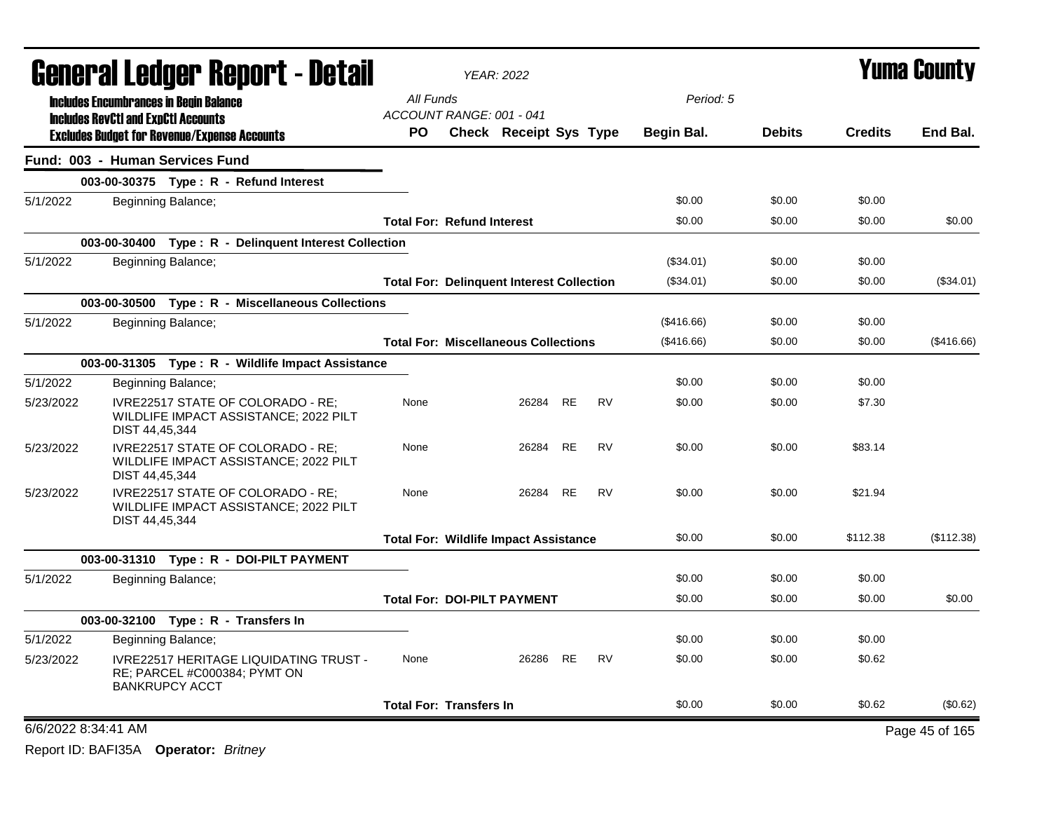| <b>General Ledger Report - Detail</b> |                                               |                                                                                                        |                                   | <b>YEAR: 2022</b>                                |           |           |              | <b>Yuma County</b> |                |                |
|---------------------------------------|-----------------------------------------------|--------------------------------------------------------------------------------------------------------|-----------------------------------|--------------------------------------------------|-----------|-----------|--------------|--------------------|----------------|----------------|
|                                       | <b>Includes Encumbrances in Begin Balance</b> |                                                                                                        | All Funds                         |                                                  |           |           | Period: 5    |                    |                |                |
|                                       | <b>Includes RevCtI and ExpCtI Accounts</b>    |                                                                                                        | ACCOUNT RANGE: 001 - 041          |                                                  |           |           |              |                    |                |                |
|                                       |                                               | <b>Excludes Budget for Revenue/Expense Accounts</b>                                                    | <b>PO</b>                         | <b>Check Receipt Sys Type</b>                    |           |           | Begin Bal.   | <b>Debits</b>      | <b>Credits</b> | End Bal.       |
|                                       |                                               | Fund: 003 - Human Services Fund                                                                        |                                   |                                                  |           |           |              |                    |                |                |
|                                       |                                               | 003-00-30375 Type: R - Refund Interest                                                                 |                                   |                                                  |           |           |              |                    |                |                |
| 5/1/2022                              |                                               | Beginning Balance;                                                                                     |                                   |                                                  |           |           | \$0.00       | \$0.00             | \$0.00         |                |
|                                       |                                               |                                                                                                        | <b>Total For: Refund Interest</b> |                                                  |           |           | \$0.00       | \$0.00             | \$0.00         | \$0.00         |
|                                       |                                               | 003-00-30400 Type: R - Delinquent Interest Collection                                                  |                                   |                                                  |           |           |              |                    |                |                |
| 5/1/2022                              |                                               | Beginning Balance;                                                                                     |                                   |                                                  |           |           | (\$34.01)    | \$0.00             | \$0.00         |                |
|                                       |                                               |                                                                                                        |                                   | <b>Total For: Delinguent Interest Collection</b> |           |           | (\$34.01)    | \$0.00             | \$0.00         | (\$34.01)      |
|                                       |                                               | 003-00-30500 Type: R - Miscellaneous Collections                                                       |                                   |                                                  |           |           |              |                    |                |                |
| 5/1/2022                              |                                               | Beginning Balance;                                                                                     |                                   |                                                  |           |           | $(\$416.66)$ | \$0.00             | \$0.00         |                |
|                                       |                                               |                                                                                                        |                                   | <b>Total For: Miscellaneous Collections</b>      |           |           | (\$416.66)   | \$0.00             | \$0.00         | (\$416.66)     |
|                                       |                                               | 003-00-31305 Type: R - Wildlife Impact Assistance                                                      |                                   |                                                  |           |           |              |                    |                |                |
| 5/1/2022                              |                                               | Beginning Balance;                                                                                     |                                   |                                                  |           |           | \$0.00       | \$0.00             | \$0.00         |                |
| 5/23/2022                             | DIST 44,45,344                                | IVRE22517 STATE OF COLORADO - RE:<br>WILDLIFE IMPACT ASSISTANCE; 2022 PILT                             | None                              | 26284                                            | <b>RE</b> | <b>RV</b> | \$0.00       | \$0.00             | \$7.30         |                |
| 5/23/2022                             | DIST 44,45,344                                | IVRE22517 STATE OF COLORADO - RE:<br>WILDLIFE IMPACT ASSISTANCE; 2022 PILT                             | None                              | 26284                                            | <b>RE</b> | <b>RV</b> | \$0.00       | \$0.00             | \$83.14        |                |
| 5/23/2022                             | DIST 44,45,344                                | IVRE22517 STATE OF COLORADO - RE;<br>WILDLIFE IMPACT ASSISTANCE; 2022 PILT                             | None                              | 26284                                            | <b>RE</b> | <b>RV</b> | \$0.00       | \$0.00             | \$21.94        |                |
|                                       |                                               |                                                                                                        |                                   | <b>Total For: Wildlife Impact Assistance</b>     |           |           | \$0.00       | \$0.00             | \$112.38       | (\$112.38)     |
|                                       |                                               | 003-00-31310 Type: R - DOI-PILT PAYMENT                                                                |                                   |                                                  |           |           |              |                    |                |                |
| 5/1/2022                              |                                               | Beginning Balance;                                                                                     |                                   |                                                  |           |           | \$0.00       | \$0.00             | \$0.00         |                |
|                                       |                                               |                                                                                                        |                                   | <b>Total For: DOI-PILT PAYMENT</b>               |           |           | \$0.00       | \$0.00             | \$0.00         | \$0.00         |
|                                       |                                               | 003-00-32100 Type: R - Transfers In                                                                    |                                   |                                                  |           |           |              |                    |                |                |
| 5/1/2022                              |                                               | Beginning Balance;                                                                                     |                                   |                                                  |           |           | \$0.00       | \$0.00             | \$0.00         |                |
| 5/23/2022                             |                                               | <b>IVRE22517 HERITAGE LIQUIDATING TRUST -</b><br>RE; PARCEL #C000384; PYMT ON<br><b>BANKRUPCY ACCT</b> | None                              | 26286 RE                                         |           | <b>RV</b> | \$0.00       | \$0.00             | \$0.62         |                |
|                                       |                                               |                                                                                                        | <b>Total For: Transfers In</b>    |                                                  |           |           | \$0.00       | \$0.00             | \$0.62         | (\$0.62)       |
|                                       | 6/6/2022 8:34:41 AM                           |                                                                                                        |                                   |                                                  |           |           |              |                    |                | Page 45 of 165 |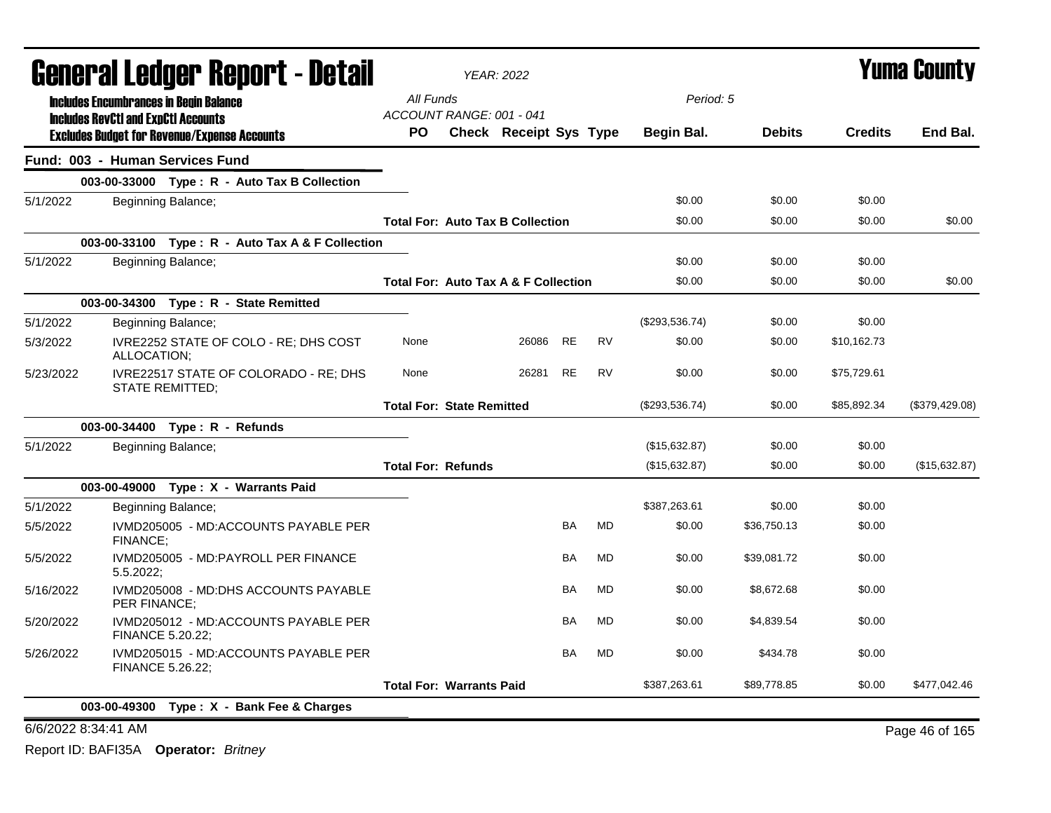| General Ledger Report - Detail |                                                                                             | <b>YEAR: 2022</b>                     |                                         |           |           |                | <b>Yuma County</b> |                |                |
|--------------------------------|---------------------------------------------------------------------------------------------|---------------------------------------|-----------------------------------------|-----------|-----------|----------------|--------------------|----------------|----------------|
|                                | <b>Includes Encumbrances in Begin Balance</b><br><b>Includes RevCtI and ExpCtI Accounts</b> | All Funds<br>ACCOUNT RANGE: 001 - 041 |                                         |           |           | Period: 5      |                    |                |                |
|                                | <b>Excludes Budget for Revenue/Expense Accounts</b>                                         | PO.                                   | Check Receipt Sys Type                  |           |           | Begin Bal.     | <b>Debits</b>      | <b>Credits</b> | End Bal.       |
|                                | Fund: 003 - Human Services Fund                                                             |                                       |                                         |           |           |                |                    |                |                |
|                                | 003-00-33000 Type: R - Auto Tax B Collection                                                |                                       |                                         |           |           |                |                    |                |                |
| 5/1/2022                       | Beginning Balance;                                                                          |                                       |                                         |           |           | \$0.00         | \$0.00             | \$0.00         |                |
|                                |                                                                                             |                                       | <b>Total For: Auto Tax B Collection</b> |           |           | \$0.00         | \$0.00             | \$0.00         | \$0.00         |
|                                | 003-00-33100 Type: R - Auto Tax A & F Collection                                            |                                       |                                         |           |           |                |                    |                |                |
| 5/1/2022                       | Beginning Balance;                                                                          |                                       |                                         |           |           | \$0.00         | \$0.00             | \$0.00         |                |
|                                |                                                                                             |                                       | Total For: Auto Tax A & F Collection    |           |           | \$0.00         | \$0.00             | \$0.00         | \$0.00         |
|                                | 003-00-34300 Type: R - State Remitted                                                       |                                       |                                         |           |           |                |                    |                |                |
| 5/1/2022                       | Beginning Balance;                                                                          |                                       |                                         |           |           | (\$293,536.74) | \$0.00             | \$0.00         |                |
| 5/3/2022                       | IVRE2252 STATE OF COLO - RE; DHS COST<br>ALLOCATION;                                        | None                                  | 26086                                   | RE        | RV        | \$0.00         | \$0.00             | \$10,162.73    |                |
| 5/23/2022                      | IVRE22517 STATE OF COLORADO - RE; DHS<br><b>STATE REMITTED:</b>                             | None                                  | 26281                                   | <b>RE</b> | <b>RV</b> | \$0.00         | \$0.00             | \$75,729.61    |                |
|                                |                                                                                             | <b>Total For: State Remitted</b>      |                                         |           |           | (\$293,536.74) | \$0.00             | \$85,892.34    | (\$379,429.08) |
|                                | 003-00-34400 Type: R - Refunds                                                              |                                       |                                         |           |           |                |                    |                |                |
| 5/1/2022                       | Beginning Balance;                                                                          |                                       |                                         |           |           | (\$15,632.87)  | \$0.00             | \$0.00         |                |
|                                |                                                                                             | <b>Total For: Refunds</b>             |                                         |           |           | (\$15,632.87)  | \$0.00             | \$0.00         | (\$15,632.87)  |
|                                | 003-00-49000 Type: X - Warrants Paid                                                        |                                       |                                         |           |           |                |                    |                |                |
| 5/1/2022                       | Beginning Balance;                                                                          |                                       |                                         |           |           | \$387,263.61   | \$0.00             | \$0.00         |                |
| 5/5/2022                       | IVMD205005 - MD:ACCOUNTS PAYABLE PER<br>FINANCE:                                            |                                       |                                         | BA        | <b>MD</b> | \$0.00         | \$36,750.13        | \$0.00         |                |
| 5/5/2022                       | IVMD205005 - MD:PAYROLL PER FINANCE<br>5.5.2022                                             |                                       |                                         | BA        | <b>MD</b> | \$0.00         | \$39,081.72        | \$0.00         |                |
| 5/16/2022                      | IVMD205008 - MD:DHS ACCOUNTS PAYABLE<br>PER FINANCE;                                        |                                       |                                         | BA        | MD        | \$0.00         | \$8,672.68         | \$0.00         |                |
| 5/20/2022                      | IVMD205012 - MD:ACCOUNTS PAYABLE PER<br><b>FINANCE 5.20.22:</b>                             |                                       |                                         | <b>BA</b> | <b>MD</b> | \$0.00         | \$4,839.54         | \$0.00         |                |
| 5/26/2022                      | IVMD205015 - MD:ACCOUNTS PAYABLE PER<br><b>FINANCE 5.26.22;</b>                             |                                       |                                         | BA        | MD        | \$0.00         | \$434.78           | \$0.00         |                |
|                                |                                                                                             | <b>Total For: Warrants Paid</b>       |                                         |           |           | \$387,263.61   | \$89,778.85        | \$0.00         | \$477,042.46   |
|                                | 003-00-49300 Type: X - Bank Fee & Charges                                                   |                                       |                                         |           |           |                |                    |                |                |

6/6/2022 8:34:41 AM Page 46 of 165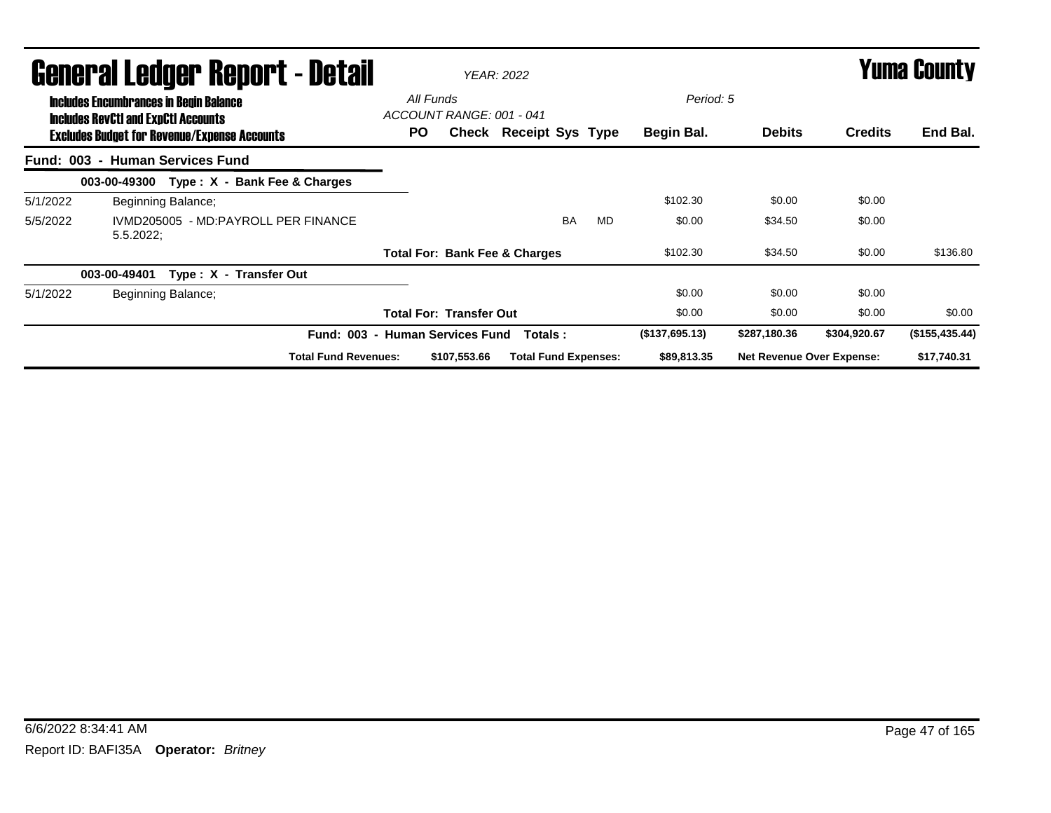|          | <b>General Ledger Report - Detail</b>                                                       |     |                                          | <b>YEAR: 2022</b>           |    |           |                |                                  | <b>Yuma County</b> |                |
|----------|---------------------------------------------------------------------------------------------|-----|------------------------------------------|-----------------------------|----|-----------|----------------|----------------------------------|--------------------|----------------|
|          | <b>Includes Encumbrances in Begin Balance</b><br><b>Includes RevCtI and ExpCtI Accounts</b> |     | All Funds<br>ACCOUNT RANGE: 001 - 041    |                             |    |           | Period: 5      |                                  |                    |                |
|          | <b>Excludes Budget for Revenue/Expense Accounts</b>                                         | PO. |                                          | Check Receipt Sys Type      |    |           | Begin Bal.     | <b>Debits</b>                    | <b>Credits</b>     | End Bal.       |
|          | Fund: 003 - Human Services Fund                                                             |     |                                          |                             |    |           |                |                                  |                    |                |
|          | Type: X - Bank Fee & Charges<br>003-00-49300                                                |     |                                          |                             |    |           |                |                                  |                    |                |
| 5/1/2022 | Beginning Balance;                                                                          |     |                                          |                             |    |           | \$102.30       | \$0.00                           | \$0.00             |                |
| 5/5/2022 | IVMD205005 - MD:PAYROLL PER FINANCE<br>$5.5.2022$ ;                                         |     |                                          |                             | BA | <b>MD</b> | \$0.00         | \$34.50                          | \$0.00             |                |
|          |                                                                                             |     | <b>Total For: Bank Fee &amp; Charges</b> |                             |    |           | \$102.30       | \$34.50                          | \$0.00             | \$136.80       |
|          | Type: X - Transfer Out<br>003-00-49401                                                      |     |                                          |                             |    |           |                |                                  |                    |                |
| 5/1/2022 | Beginning Balance;                                                                          |     |                                          |                             |    |           | \$0.00         | \$0.00                           | \$0.00             |                |
|          |                                                                                             |     | <b>Total For: Transfer Out</b>           |                             |    |           | \$0.00         | \$0.00                           | \$0.00             | \$0.00         |
|          |                                                                                             |     | Fund: 003 - Human Services Fund          | Totals :                    |    |           | (\$137,695.13) | \$287,180.36                     | \$304,920.67       | (\$155,435.44) |
|          | <b>Total Fund Revenues:</b>                                                                 |     | \$107,553,66                             | <b>Total Fund Expenses:</b> |    |           | \$89,813.35    | <b>Net Revenue Over Expense:</b> |                    | \$17,740.31    |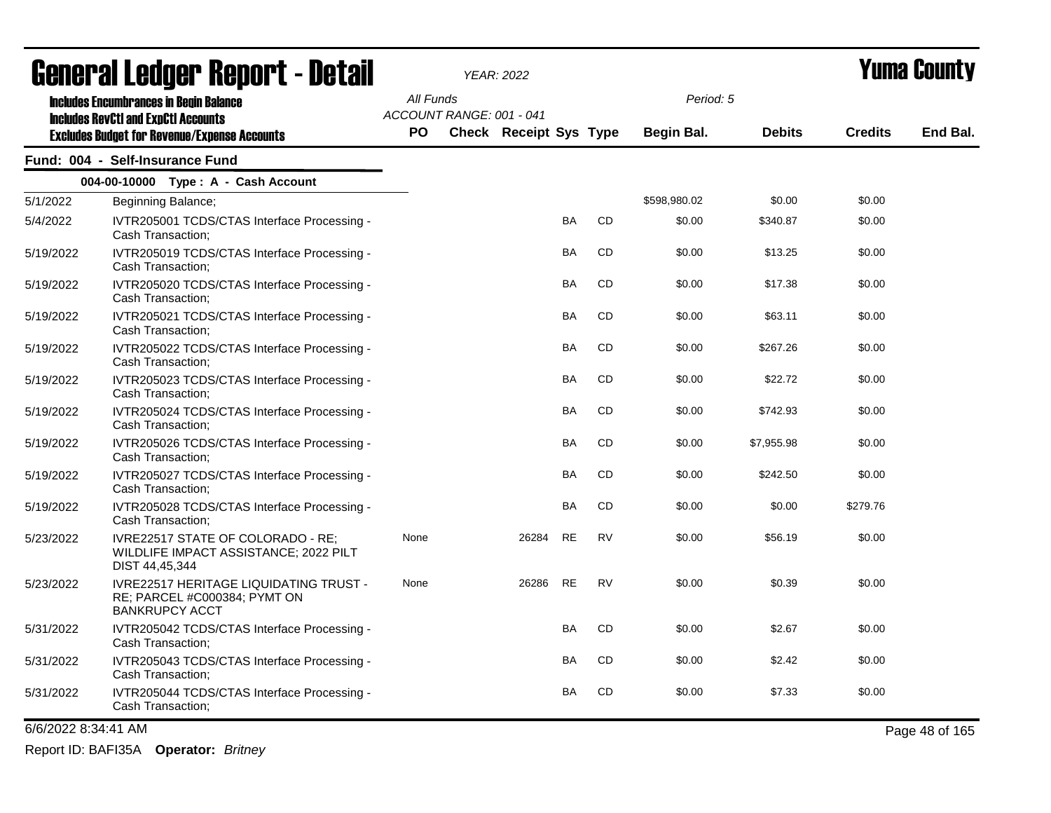| General Ledger Report - Detail |                                                                                                        |           |                          | <b>YEAR: 2022</b>      |           |           |              |               | Yuma Countv    |          |
|--------------------------------|--------------------------------------------------------------------------------------------------------|-----------|--------------------------|------------------------|-----------|-----------|--------------|---------------|----------------|----------|
|                                | <b>Includes Encumbrances in Begin Balance</b>                                                          | All Funds | ACCOUNT RANGE: 001 - 041 |                        |           |           | Period: 5    |               |                |          |
|                                | <b>Includes RevCtI and ExpCtI Accounts</b><br><b>Excludes Budget for Revenue/Expense Accounts</b>      | PO        |                          | Check Receipt Sys Type |           |           | Begin Bal.   | <b>Debits</b> | <b>Credits</b> | End Bal. |
|                                | Fund: 004 - Self-Insurance Fund                                                                        |           |                          |                        |           |           |              |               |                |          |
|                                | 004-00-10000 Type: A - Cash Account                                                                    |           |                          |                        |           |           |              |               |                |          |
| 5/1/2022                       | Beginning Balance;                                                                                     |           |                          |                        |           |           | \$598,980.02 | \$0.00        | \$0.00         |          |
| 5/4/2022                       | IVTR205001 TCDS/CTAS Interface Processing -<br>Cash Transaction;                                       |           |                          |                        | <b>BA</b> | CD        | \$0.00       | \$340.87      | \$0.00         |          |
| 5/19/2022                      | IVTR205019 TCDS/CTAS Interface Processing -<br>Cash Transaction;                                       |           |                          |                        | BA        | CD        | \$0.00       | \$13.25       | \$0.00         |          |
| 5/19/2022                      | IVTR205020 TCDS/CTAS Interface Processing -<br>Cash Transaction;                                       |           |                          |                        | BA        | CD        | \$0.00       | \$17.38       | \$0.00         |          |
| 5/19/2022                      | IVTR205021 TCDS/CTAS Interface Processing -<br>Cash Transaction;                                       |           |                          |                        | BA        | CD.       | \$0.00       | \$63.11       | \$0.00         |          |
| 5/19/2022                      | IVTR205022 TCDS/CTAS Interface Processing -<br>Cash Transaction;                                       |           |                          |                        | BA        | CD        | \$0.00       | \$267.26      | \$0.00         |          |
| 5/19/2022                      | IVTR205023 TCDS/CTAS Interface Processing -<br>Cash Transaction;                                       |           |                          |                        | BA        | CD        | \$0.00       | \$22.72       | \$0.00         |          |
| 5/19/2022                      | IVTR205024 TCDS/CTAS Interface Processing -<br>Cash Transaction;                                       |           |                          |                        | BA        | CD        | \$0.00       | \$742.93      | \$0.00         |          |
| 5/19/2022                      | IVTR205026 TCDS/CTAS Interface Processing -<br>Cash Transaction:                                       |           |                          |                        | BA        | CD        | \$0.00       | \$7,955.98    | \$0.00         |          |
| 5/19/2022                      | IVTR205027 TCDS/CTAS Interface Processing -<br>Cash Transaction;                                       |           |                          |                        | BA        | CD        | \$0.00       | \$242.50      | \$0.00         |          |
| 5/19/2022                      | IVTR205028 TCDS/CTAS Interface Processing -<br>Cash Transaction;                                       |           |                          |                        | <b>BA</b> | CD        | \$0.00       | \$0.00        | \$279.76       |          |
| 5/23/2022                      | IVRE22517 STATE OF COLORADO - RE;<br>WILDLIFE IMPACT ASSISTANCE; 2022 PILT<br>DIST 44,45,344           | None      |                          | 26284                  | <b>RE</b> | <b>RV</b> | \$0.00       | \$56.19       | \$0.00         |          |
| 5/23/2022                      | <b>IVRE22517 HERITAGE LIQUIDATING TRUST -</b><br>RE; PARCEL #C000384; PYMT ON<br><b>BANKRUPCY ACCT</b> | None      |                          | 26286                  | <b>RE</b> | <b>RV</b> | \$0.00       | \$0.39        | \$0.00         |          |
| 5/31/2022                      | IVTR205042 TCDS/CTAS Interface Processing -<br>Cash Transaction;                                       |           |                          |                        | <b>BA</b> | CD        | \$0.00       | \$2.67        | \$0.00         |          |
| 5/31/2022                      | IVTR205043 TCDS/CTAS Interface Processing -<br>Cash Transaction;                                       |           |                          |                        | BA        | CD        | \$0.00       | \$2.42        | \$0.00         |          |
| 5/31/2022                      | IVTR205044 TCDS/CTAS Interface Processing -<br>Cash Transaction:                                       |           |                          |                        | BA        | CD        | \$0.00       | \$7.33        | \$0.00         |          |

6/6/2022 8:34:41 AM Page 48 of 165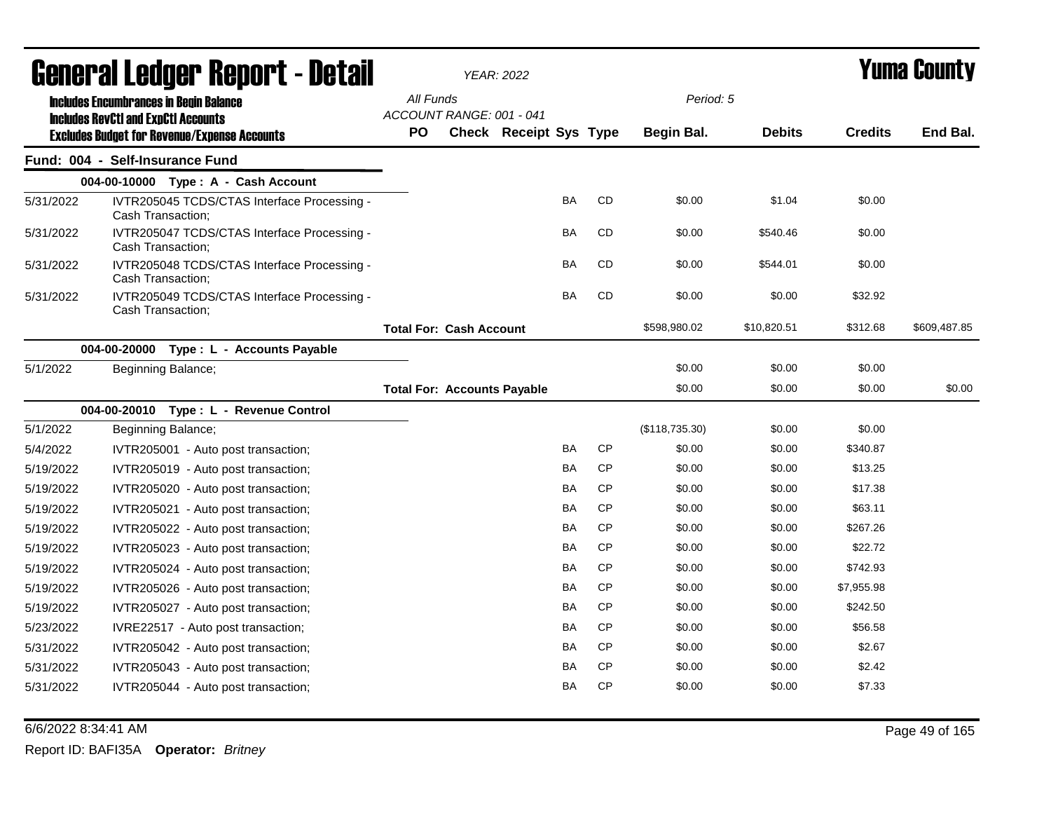|           | <b>General Ledger Report - Detail</b>                                                             |                                       |                                | <b>YEAR: 2022</b>      |           |           |                | <b>Yuma County</b> |                |              |  |
|-----------|---------------------------------------------------------------------------------------------------|---------------------------------------|--------------------------------|------------------------|-----------|-----------|----------------|--------------------|----------------|--------------|--|
|           | <b>Includes Encumbrances in Begin Balance</b>                                                     | All Funds                             |                                |                        |           |           | Period: 5      |                    |                |              |  |
|           | <b>Includes RevCtI and ExpCtI Accounts</b><br><b>Excludes Budget for Revenue/Expense Accounts</b> | ACCOUNT RANGE: 001 - 041<br><b>PO</b> |                                | Check Receipt Sys Type |           |           | Begin Bal.     | <b>Debits</b>      | <b>Credits</b> | End Bal.     |  |
|           | Fund: 004 - Self-Insurance Fund                                                                   |                                       |                                |                        |           |           |                |                    |                |              |  |
|           | 004-00-10000 Type: A - Cash Account                                                               |                                       |                                |                        |           |           |                |                    |                |              |  |
| 5/31/2022 | IVTR205045 TCDS/CTAS Interface Processing -<br>Cash Transaction;                                  |                                       |                                |                        | BA        | CD        | \$0.00         | \$1.04             | \$0.00         |              |  |
| 5/31/2022 | IVTR205047 TCDS/CTAS Interface Processing -<br>Cash Transaction;                                  |                                       |                                |                        | BA        | CD        | \$0.00         | \$540.46           | \$0.00         |              |  |
| 5/31/2022 | IVTR205048 TCDS/CTAS Interface Processing -<br>Cash Transaction;                                  |                                       |                                |                        | BA        | CD        | \$0.00         | \$544.01           | \$0.00         |              |  |
| 5/31/2022 | IVTR205049 TCDS/CTAS Interface Processing -<br>Cash Transaction;                                  |                                       |                                |                        | BA        | CD        | \$0.00         | \$0.00             | \$32.92        |              |  |
|           |                                                                                                   |                                       | <b>Total For: Cash Account</b> |                        |           |           | \$598,980.02   | \$10,820.51        | \$312.68       | \$609,487.85 |  |
|           | 004-00-20000<br>Type : L - Accounts Payable                                                       |                                       |                                |                        |           |           |                |                    |                |              |  |
| 5/1/2022  | Beginning Balance;                                                                                |                                       |                                |                        |           |           | \$0.00         | \$0.00             | \$0.00         |              |  |
|           |                                                                                                   | <b>Total For: Accounts Payable</b>    |                                |                        |           |           | \$0.00         | \$0.00             | \$0.00         | \$0.00       |  |
|           | 004-00-20010 Type: L - Revenue Control                                                            |                                       |                                |                        |           |           |                |                    |                |              |  |
| 5/1/2022  | Beginning Balance;                                                                                |                                       |                                |                        |           |           | (\$118,735.30) | \$0.00             | \$0.00         |              |  |
| 5/4/2022  | IVTR205001 - Auto post transaction;                                                               |                                       |                                |                        | BA        | CP        | \$0.00         | \$0.00             | \$340.87       |              |  |
| 5/19/2022 | IVTR205019 - Auto post transaction;                                                               |                                       |                                |                        | BA        | CP        | \$0.00         | \$0.00             | \$13.25        |              |  |
| 5/19/2022 | IVTR205020 - Auto post transaction;                                                               |                                       |                                |                        | BA        | CP        | \$0.00         | \$0.00             | \$17.38        |              |  |
| 5/19/2022 | IVTR205021 - Auto post transaction;                                                               |                                       |                                |                        | BA        | <b>CP</b> | \$0.00         | \$0.00             | \$63.11        |              |  |
| 5/19/2022 | IVTR205022 - Auto post transaction;                                                               |                                       |                                |                        | BA        | <b>CP</b> | \$0.00         | \$0.00             | \$267.26       |              |  |
| 5/19/2022 | IVTR205023 - Auto post transaction;                                                               |                                       |                                |                        | BA        | CP        | \$0.00         | \$0.00             | \$22.72        |              |  |
| 5/19/2022 | IVTR205024 - Auto post transaction;                                                               |                                       |                                |                        | BA        | <b>CP</b> | \$0.00         | \$0.00             | \$742.93       |              |  |
| 5/19/2022 | IVTR205026 - Auto post transaction;                                                               |                                       |                                |                        | BA        | <b>CP</b> | \$0.00         | \$0.00             | \$7,955.98     |              |  |
| 5/19/2022 | IVTR205027 - Auto post transaction;                                                               |                                       |                                |                        | BA        | CP        | \$0.00         | \$0.00             | \$242.50       |              |  |
| 5/23/2022 | IVRE22517 - Auto post transaction;                                                                |                                       |                                |                        | <b>BA</b> | CP        | \$0.00         | \$0.00             | \$56.58        |              |  |
| 5/31/2022 | IVTR205042 - Auto post transaction;                                                               |                                       |                                |                        | <b>BA</b> | CP        | \$0.00         | \$0.00             | \$2.67         |              |  |
| 5/31/2022 | IVTR205043 - Auto post transaction;                                                               |                                       |                                |                        | BA        | <b>CP</b> | \$0.00         | \$0.00             | \$2.42         |              |  |
| 5/31/2022 | IVTR205044 - Auto post transaction;                                                               |                                       |                                |                        | BA        | CP        | \$0.00         | \$0.00             | \$7.33         |              |  |

6/6/2022 8:34:41 AM Page 49 of 165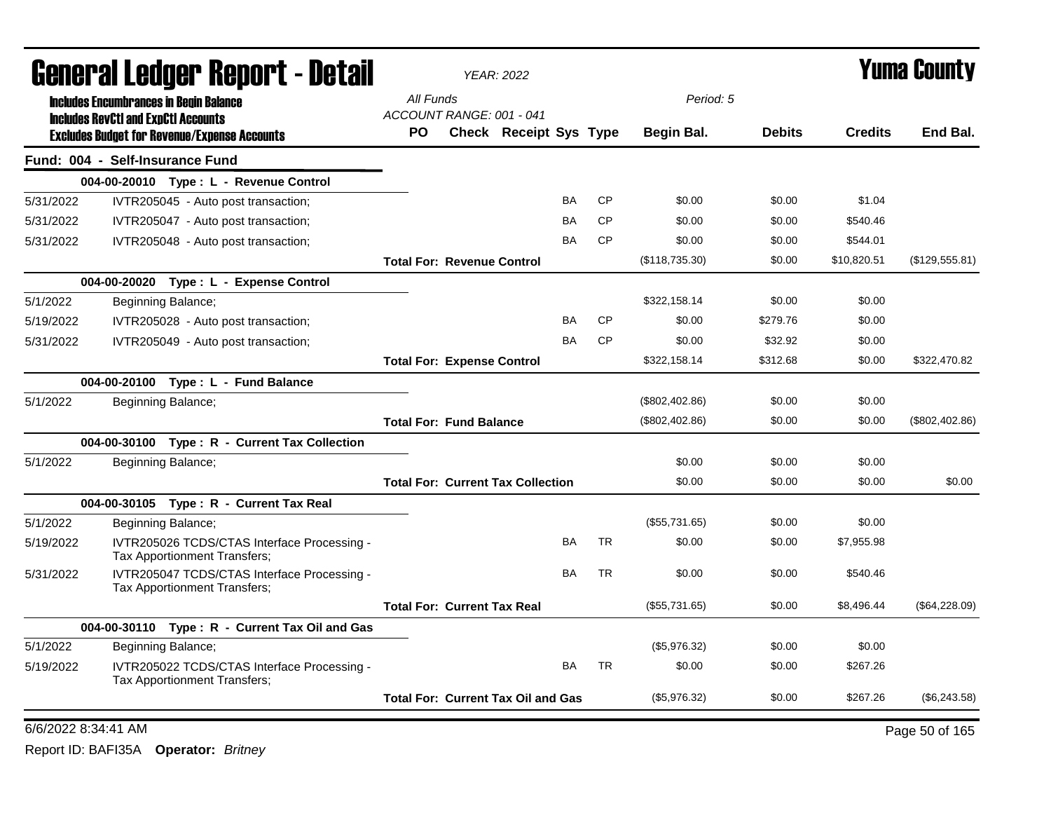|           | General Ledger Report - Detail                                                              |                                           | <b>YEAR: 2022</b>      |           |           | Yuma Countv      |               |                |                |
|-----------|---------------------------------------------------------------------------------------------|-------------------------------------------|------------------------|-----------|-----------|------------------|---------------|----------------|----------------|
|           | <b>Includes Encumbrances in Begin Balance</b><br><b>Includes RevCtI and ExpCtI Accounts</b> | All Funds<br>ACCOUNT RANGE: 001 - 041     |                        |           |           | Period: 5        |               |                |                |
|           | <b>Excludes Budget for Revenue/Expense Accounts</b>                                         | PO.                                       | Check Receipt Sys Type |           |           | Begin Bal.       | <b>Debits</b> | <b>Credits</b> | End Bal.       |
|           | Fund: 004 - Self-Insurance Fund                                                             |                                           |                        |           |           |                  |               |                |                |
|           | 004-00-20010 Type: L - Revenue Control                                                      |                                           |                        |           |           |                  |               |                |                |
| 5/31/2022 | IVTR205045 - Auto post transaction;                                                         |                                           |                        | BA        | <b>CP</b> | \$0.00           | \$0.00        | \$1.04         |                |
| 5/31/2022 | IVTR205047 - Auto post transaction;                                                         |                                           |                        | BA        | <b>CP</b> | \$0.00           | \$0.00        | \$540.46       |                |
| 5/31/2022 | IVTR205048 - Auto post transaction;                                                         |                                           |                        | BA        | <b>CP</b> | \$0.00           | \$0.00        | \$544.01       |                |
|           |                                                                                             | <b>Total For: Revenue Control</b>         |                        |           |           | (\$118,735.30)   | \$0.00        | \$10,820.51    | (\$129,555.81) |
|           | 004-00-20020 Type: L - Expense Control                                                      |                                           |                        |           |           |                  |               |                |                |
| 5/1/2022  | Beginning Balance;                                                                          |                                           |                        |           |           | \$322,158.14     | \$0.00        | \$0.00         |                |
| 5/19/2022 | IVTR205028 - Auto post transaction;                                                         |                                           |                        | BA        | <b>CP</b> | \$0.00           | \$279.76      | \$0.00         |                |
| 5/31/2022 | IVTR205049 - Auto post transaction;                                                         |                                           |                        | BA        | <b>CP</b> | \$0.00           | \$32.92       | \$0.00         |                |
|           |                                                                                             | <b>Total For: Expense Control</b>         |                        |           |           | \$322,158.14     | \$312.68      | \$0.00         | \$322,470.82   |
|           | 004-00-20100 Type: L - Fund Balance                                                         |                                           |                        |           |           |                  |               |                |                |
| 5/1/2022  | Beginning Balance;                                                                          |                                           |                        |           |           | $(\$802,402.86)$ | \$0.00        | \$0.00         |                |
|           |                                                                                             | <b>Total For: Fund Balance</b>            |                        |           |           | (\$802,402.86)   | \$0.00        | \$0.00         | (\$802,402.86) |
|           | 004-00-30100 Type: R - Current Tax Collection                                               |                                           |                        |           |           |                  |               |                |                |
| 5/1/2022  | Beginning Balance;                                                                          |                                           |                        |           |           | \$0.00           | \$0.00        | \$0.00         |                |
|           |                                                                                             | <b>Total For: Current Tax Collection</b>  |                        |           |           | \$0.00           | \$0.00        | \$0.00         | \$0.00         |
|           | 004-00-30105 Type: R - Current Tax Real                                                     |                                           |                        |           |           |                  |               |                |                |
| 5/1/2022  | Beginning Balance;                                                                          |                                           |                        |           |           | (\$55,731.65)    | \$0.00        | \$0.00         |                |
| 5/19/2022 | IVTR205026 TCDS/CTAS Interface Processing -<br>Tax Apportionment Transfers;                 |                                           |                        | BA        | <b>TR</b> | \$0.00           | \$0.00        | \$7,955.98     |                |
| 5/31/2022 | IVTR205047 TCDS/CTAS Interface Processing -<br>Tax Apportionment Transfers;                 |                                           |                        | <b>BA</b> | <b>TR</b> | \$0.00           | \$0.00        | \$540.46       |                |
|           |                                                                                             | <b>Total For: Current Tax Real</b>        |                        |           |           | (\$55,731.65)    | \$0.00        | \$8,496.44     | (\$64,228.09)  |
|           | 004-00-30110 Type: R - Current Tax Oil and Gas                                              |                                           |                        |           |           |                  |               |                |                |
| 5/1/2022  | Beginning Balance;                                                                          |                                           |                        |           |           | (\$5,976.32)     | \$0.00        | \$0.00         |                |
| 5/19/2022 | IVTR205022 TCDS/CTAS Interface Processing -<br>Tax Apportionment Transfers;                 |                                           |                        | <b>BA</b> | <b>TR</b> | \$0.00           | \$0.00        | \$267.26       |                |
|           |                                                                                             | <b>Total For: Current Tax Oil and Gas</b> |                        |           |           | (\$5,976.32)     | \$0.00        | \$267.26       | (\$6,243.58)   |
|           | 6/6/2022 8:34:41 AM                                                                         |                                           |                        |           |           |                  |               |                | Page 50 of 165 |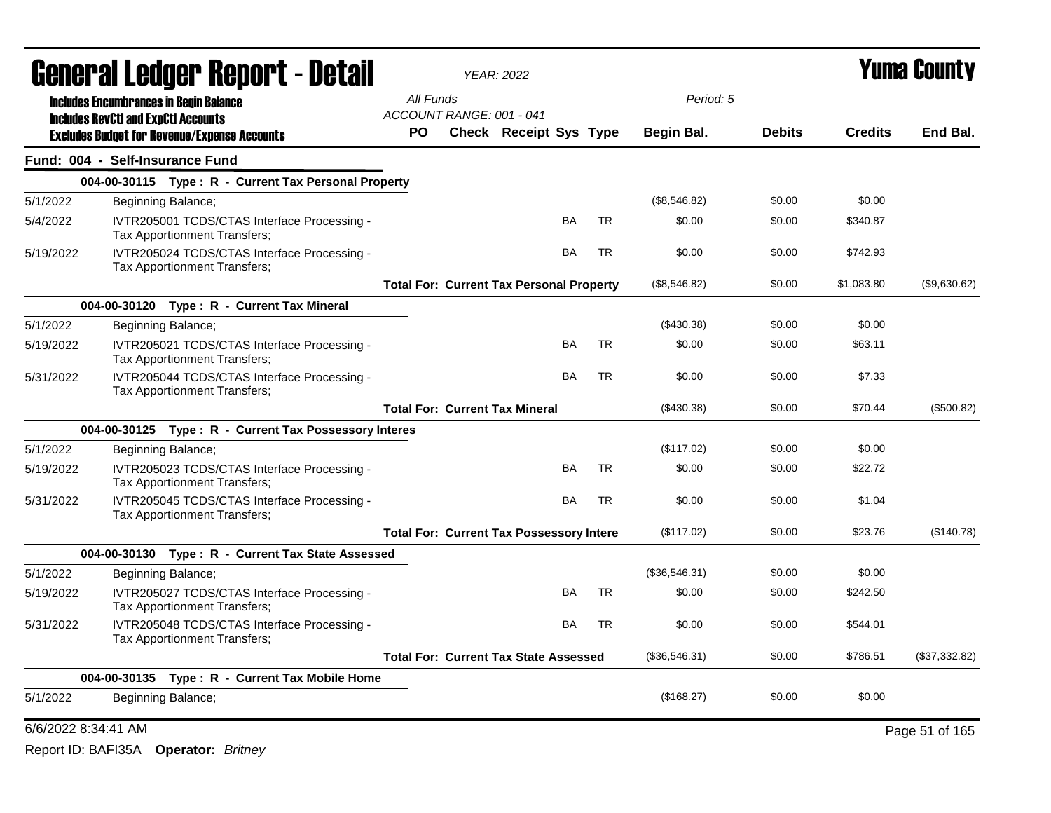|                     | <b>General Ledger Report - Detail</b>                                              |                                                 | <b>YEAR: 2022</b>      |           |           |               | Yuma Countv   |                |                |  |
|---------------------|------------------------------------------------------------------------------------|-------------------------------------------------|------------------------|-----------|-----------|---------------|---------------|----------------|----------------|--|
|                     | <b>Includes Encumbrances in Begin Balance</b>                                      | All Funds                                       |                        |           |           | Period: 5     |               |                |                |  |
|                     | <b>Includes RevCtI and ExpCtI Accounts</b>                                         | ACCOUNT RANGE: 001 - 041                        |                        |           |           |               |               |                |                |  |
|                     | <b>Excludes Budget for Revenue/Expense Accounts</b>                                | PO.                                             | Check Receipt Sys Type |           |           | Begin Bal.    | <b>Debits</b> | <b>Credits</b> | End Bal.       |  |
|                     | Fund: 004 - Self-Insurance Fund                                                    |                                                 |                        |           |           |               |               |                |                |  |
|                     | 004-00-30115 Type: R - Current Tax Personal Property                               |                                                 |                        |           |           |               |               |                |                |  |
| 5/1/2022            | Beginning Balance;                                                                 |                                                 |                        |           |           | (\$8,546.82)  | \$0.00        | \$0.00         |                |  |
| 5/4/2022            | IVTR205001 TCDS/CTAS Interface Processing -<br>Tax Apportionment Transfers;        |                                                 |                        | BA        | <b>TR</b> | \$0.00        | \$0.00        | \$340.87       |                |  |
| 5/19/2022           | IVTR205024 TCDS/CTAS Interface Processing -<br>Tax Apportionment Transfers;        |                                                 |                        | <b>BA</b> | <b>TR</b> | \$0.00        | \$0.00        | \$742.93       |                |  |
|                     |                                                                                    | <b>Total For: Current Tax Personal Property</b> |                        |           |           | (\$8,546.82)  | \$0.00        | \$1,083.80     | (\$9,630.62)   |  |
|                     | 004-00-30120 Type: R - Current Tax Mineral                                         |                                                 |                        |           |           |               |               |                |                |  |
| 5/1/2022            | Beginning Balance;                                                                 |                                                 |                        |           |           | (\$430.38)    | \$0.00        | \$0.00         |                |  |
| 5/19/2022           | IVTR205021 TCDS/CTAS Interface Processing -<br><b>Tax Apportionment Transfers:</b> |                                                 |                        | <b>BA</b> | <b>TR</b> | \$0.00        | \$0.00        | \$63.11        |                |  |
| 5/31/2022           | IVTR205044 TCDS/CTAS Interface Processing -<br>Tax Apportionment Transfers;        |                                                 |                        | BA        | <b>TR</b> | \$0.00        | \$0.00        | \$7.33         |                |  |
|                     |                                                                                    | <b>Total For: Current Tax Mineral</b>           |                        |           |           | (\$430.38)    | \$0.00        | \$70.44        | (\$500.82)     |  |
|                     | 004-00-30125 Type: R - Current Tax Possessory Interes                              |                                                 |                        |           |           |               |               |                |                |  |
| 5/1/2022            | Beginning Balance;                                                                 |                                                 |                        |           |           | (\$117.02)    | \$0.00        | \$0.00         |                |  |
| 5/19/2022           | IVTR205023 TCDS/CTAS Interface Processing -<br>Tax Apportionment Transfers;        |                                                 |                        | BA        | <b>TR</b> | \$0.00        | \$0.00        | \$22.72        |                |  |
| 5/31/2022           | IVTR205045 TCDS/CTAS Interface Processing -<br>Tax Apportionment Transfers;        |                                                 |                        | <b>BA</b> | <b>TR</b> | \$0.00        | \$0.00        | \$1.04         |                |  |
|                     |                                                                                    | <b>Total For: Current Tax Possessory Intere</b> |                        |           |           | (\$117.02)    | \$0.00        | \$23.76        | (\$140.78)     |  |
|                     | 004-00-30130 Type: R - Current Tax State Assessed                                  |                                                 |                        |           |           |               |               |                |                |  |
| 5/1/2022            | Beginning Balance;                                                                 |                                                 |                        |           |           | (\$36,546.31) | \$0.00        | \$0.00         |                |  |
| 5/19/2022           | IVTR205027 TCDS/CTAS Interface Processing -<br>Tax Apportionment Transfers;        |                                                 |                        | <b>BA</b> | TR        | \$0.00        | \$0.00        | \$242.50       |                |  |
| 5/31/2022           | IVTR205048 TCDS/CTAS Interface Processing -<br>Tax Apportionment Transfers;        |                                                 |                        | <b>BA</b> | <b>TR</b> | \$0.00        | \$0.00        | \$544.01       |                |  |
|                     |                                                                                    | <b>Total For: Current Tax State Assessed</b>    |                        |           |           | (\$36,546.31) | \$0.00        | \$786.51       | (\$37,332.82)  |  |
|                     | 004-00-30135 Type: R - Current Tax Mobile Home                                     |                                                 |                        |           |           |               |               |                |                |  |
| 5/1/2022            | Beginning Balance;                                                                 |                                                 |                        |           |           | (\$168.27)    | \$0.00        | \$0.00         |                |  |
| 6/6/2022 8:34:41 AM |                                                                                    |                                                 |                        |           |           |               |               |                | Page 51 of 165 |  |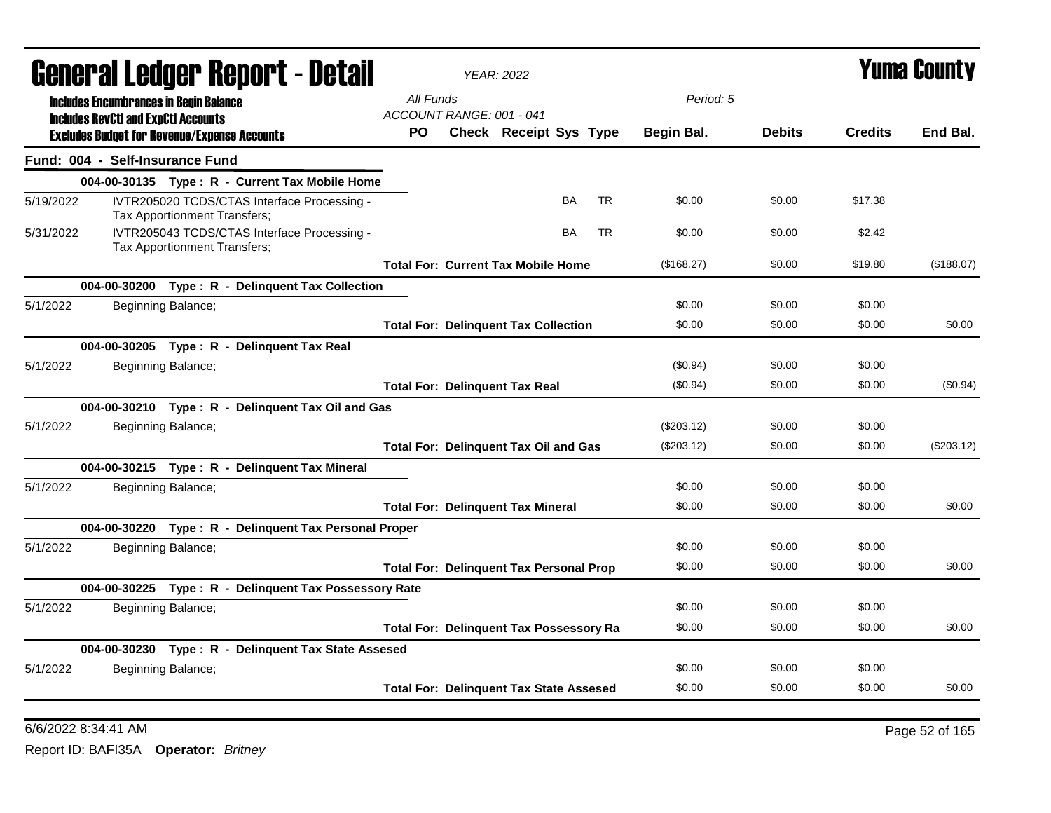| Generai Leuger Keport - Detail |                                                                                             |                              |                                                       | <b>YEAR: 2022</b> |                                                |                        | Y UIII'A GUUIILY |           |            |               |                |              |
|--------------------------------|---------------------------------------------------------------------------------------------|------------------------------|-------------------------------------------------------|-------------------|------------------------------------------------|------------------------|------------------|-----------|------------|---------------|----------------|--------------|
|                                | <b>Includes Encumbrances in Begin Balance</b><br><b>Includes RevCtI and ExpCtI Accounts</b> |                              |                                                       | All Funds         | ACCOUNT RANGE: 001 - 041                       |                        |                  |           | Period: 5  |               |                |              |
|                                | <b>Excludes Budget for Revenue/Expense Accounts</b>                                         |                              |                                                       | <b>PO</b>         |                                                | Check Receipt Sys Type |                  |           | Begin Bal. | <b>Debits</b> | <b>Credits</b> | End Bal.     |
|                                | Fund: 004 - Self-Insurance Fund                                                             |                              |                                                       |                   |                                                |                        |                  |           |            |               |                |              |
|                                |                                                                                             |                              | 004-00-30135 Type: R - Current Tax Mobile Home        |                   |                                                |                        |                  |           |            |               |                |              |
| 5/19/2022                      |                                                                                             | Tax Apportionment Transfers; | IVTR205020 TCDS/CTAS Interface Processing -           |                   |                                                |                        | <b>BA</b>        | <b>TR</b> | \$0.00     | \$0.00        | \$17.38        |              |
| 5/31/2022                      |                                                                                             | Tax Apportionment Transfers; | IVTR205043 TCDS/CTAS Interface Processing -           |                   |                                                |                        | <b>BA</b>        | <b>TR</b> | \$0.00     | \$0.00        | \$2.42         |              |
|                                |                                                                                             |                              |                                                       |                   | <b>Total For: Current Tax Mobile Home</b>      |                        |                  |           | (\$168.27) | \$0.00        | \$19.80        | (\$188.07)   |
|                                |                                                                                             |                              | 004-00-30200 Type: R - Delinquent Tax Collection      |                   |                                                |                        |                  |           |            |               |                |              |
| 5/1/2022                       |                                                                                             | Beginning Balance;           |                                                       |                   |                                                |                        |                  |           | \$0.00     | \$0.00        | \$0.00         |              |
|                                |                                                                                             |                              |                                                       |                   | <b>Total For: Delinquent Tax Collection</b>    |                        |                  |           | \$0.00     | \$0.00        | \$0.00         | \$0.00       |
|                                |                                                                                             |                              | 004-00-30205 Type: R - Delinguent Tax Real            |                   |                                                |                        |                  |           |            |               |                |              |
| 5/1/2022                       |                                                                                             | Beginning Balance;           |                                                       |                   |                                                |                        |                  |           | (\$0.94)   | \$0.00        | \$0.00         |              |
|                                |                                                                                             |                              |                                                       |                   | <b>Total For: Delinquent Tax Real</b>          |                        |                  |           | $(\$0.94)$ | \$0.00        | \$0.00         | (\$0.94)     |
|                                |                                                                                             |                              | 004-00-30210 Type: R - Delinquent Tax Oil and Gas     |                   |                                                |                        |                  |           |            |               |                |              |
| 5/1/2022                       |                                                                                             | Beginning Balance;           |                                                       |                   |                                                |                        |                  |           | (\$203.12) | \$0.00        | \$0.00         |              |
|                                |                                                                                             |                              |                                                       |                   | <b>Total For: Delinquent Tax Oil and Gas</b>   |                        |                  |           | (\$203.12) | \$0.00        | \$0.00         | $(\$203.12)$ |
|                                |                                                                                             |                              | 004-00-30215 Type: R - Delinguent Tax Mineral         |                   |                                                |                        |                  |           |            |               |                |              |
| 5/1/2022                       |                                                                                             | Beginning Balance;           |                                                       |                   |                                                |                        |                  |           | \$0.00     | \$0.00        | \$0.00         |              |
|                                |                                                                                             |                              |                                                       |                   | <b>Total For: Delinquent Tax Mineral</b>       |                        |                  |           | \$0.00     | \$0.00        | \$0.00         | \$0.00       |
|                                |                                                                                             |                              | 004-00-30220 Type: R - Delinguent Tax Personal Proper |                   |                                                |                        |                  |           |            |               |                |              |
| 5/1/2022                       |                                                                                             | Beginning Balance;           |                                                       |                   |                                                |                        |                  |           | \$0.00     | \$0.00        | \$0.00         |              |
|                                |                                                                                             |                              |                                                       |                   | <b>Total For: Delinquent Tax Personal Prop</b> |                        |                  |           | \$0.00     | \$0.00        | \$0.00         | \$0.00       |
|                                |                                                                                             |                              | 004-00-30225 Type: R - Delinquent Tax Possessory Rate |                   |                                                |                        |                  |           |            |               |                |              |
| 5/1/2022                       |                                                                                             | Beginning Balance;           |                                                       |                   |                                                |                        |                  |           | \$0.00     | \$0.00        | \$0.00         |              |
|                                |                                                                                             |                              |                                                       |                   | <b>Total For: Delinquent Tax Possessory Ra</b> |                        |                  |           | \$0.00     | \$0.00        | \$0.00         | \$0.00       |
|                                |                                                                                             |                              | 004-00-30230 Type: R - Delinquent Tax State Assesed   |                   |                                                |                        |                  |           |            |               |                |              |
| 5/1/2022                       |                                                                                             | Beginning Balance;           |                                                       |                   |                                                |                        |                  |           | \$0.00     | \$0.00        | \$0.00         |              |
|                                |                                                                                             |                              |                                                       |                   | <b>Total For: Delinquent Tax State Assesed</b> |                        |                  |           | \$0.00     | \$0.00        | \$0.00         | \$0.00       |

General Ledger Report - Detail *YEAR: 2022* Yuma County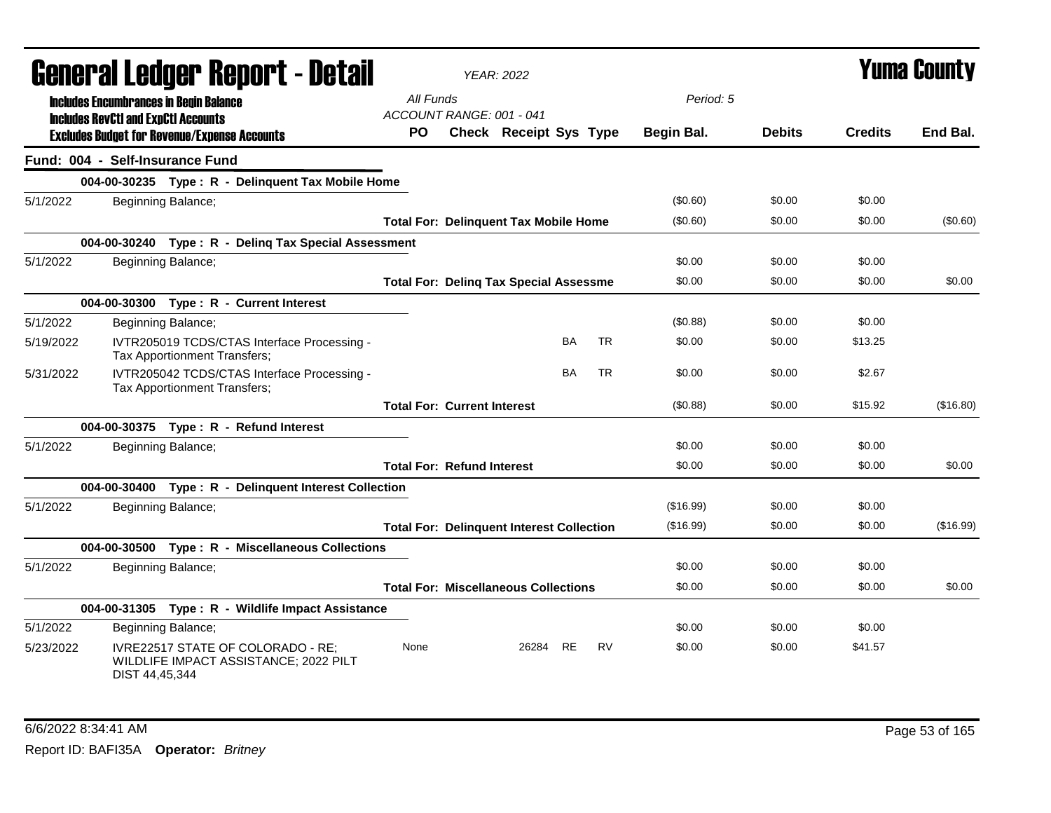| General Ledger Report - Detail |                                            |                                                                             |                                                  | <b>YEAR: 2022</b>             |           |           |            |               | Yuma County    |           |
|--------------------------------|--------------------------------------------|-----------------------------------------------------------------------------|--------------------------------------------------|-------------------------------|-----------|-----------|------------|---------------|----------------|-----------|
|                                | <b>Includes RevCtI and ExpCtI Accounts</b> | <b>Includes Encumbrances in Begin Balance</b>                               | All Funds<br>ACCOUNT RANGE: 001 - 041            |                               |           |           | Period: 5  |               |                |           |
|                                |                                            | <b>Excludes Budget for Revenue/Expense Accounts</b>                         | <b>PO</b>                                        | <b>Check Receipt Sys Type</b> |           |           | Begin Bal. | <b>Debits</b> | <b>Credits</b> | End Bal.  |
|                                |                                            | Fund: 004 - Self-Insurance Fund                                             |                                                  |                               |           |           |            |               |                |           |
|                                |                                            | 004-00-30235 Type: R - Delinquent Tax Mobile Home                           |                                                  |                               |           |           |            |               |                |           |
| 5/1/2022                       |                                            | Beginning Balance;                                                          |                                                  |                               |           |           | (\$0.60)   | \$0.00        | \$0.00         |           |
|                                |                                            |                                                                             | <b>Total For: Delinquent Tax Mobile Home</b>     |                               |           |           | (\$0.60)   | \$0.00        | \$0.00         | (\$0.60)  |
|                                |                                            | 004-00-30240 Type: R - Deling Tax Special Assessment                        |                                                  |                               |           |           |            |               |                |           |
| 5/1/2022                       |                                            | Beginning Balance;                                                          |                                                  |                               |           |           | \$0.00     | \$0.00        | \$0.00         |           |
|                                |                                            |                                                                             | <b>Total For: Deling Tax Special Assessme</b>    |                               |           |           | \$0.00     | \$0.00        | \$0.00         | \$0.00    |
|                                |                                            | 004-00-30300 Type: R - Current Interest                                     |                                                  |                               |           |           |            |               |                |           |
| 5/1/2022                       |                                            | Beginning Balance;                                                          |                                                  |                               |           |           | (S0.88)    | \$0.00        | \$0.00         |           |
| 5/19/2022                      |                                            | IVTR205019 TCDS/CTAS Interface Processing -<br>Tax Apportionment Transfers; |                                                  |                               | BA        | <b>TR</b> | \$0.00     | \$0.00        | \$13.25        |           |
| 5/31/2022                      |                                            | IVTR205042 TCDS/CTAS Interface Processing -<br>Tax Apportionment Transfers; |                                                  |                               | BA        | <b>TR</b> | \$0.00     | \$0.00        | \$2.67         |           |
|                                |                                            |                                                                             | <b>Total For: Current Interest</b>               |                               |           |           | (\$0.88)   | \$0.00        | \$15.92        | (\$16.80) |
|                                |                                            | 004-00-30375 Type: R - Refund Interest                                      |                                                  |                               |           |           |            |               |                |           |
| 5/1/2022                       |                                            | Beginning Balance;                                                          |                                                  |                               |           |           | \$0.00     | \$0.00        | \$0.00         |           |
|                                |                                            |                                                                             | <b>Total For: Refund Interest</b>                |                               |           |           | \$0.00     | \$0.00        | \$0.00         | \$0.00    |
|                                |                                            | 004-00-30400 Type: R - Delinquent Interest Collection                       |                                                  |                               |           |           |            |               |                |           |
| 5/1/2022                       |                                            | Beginning Balance;                                                          |                                                  |                               |           |           | (\$16.99)  | \$0.00        | \$0.00         |           |
|                                |                                            |                                                                             | <b>Total For: Delinquent Interest Collection</b> |                               |           |           | (\$16.99)  | \$0.00        | \$0.00         | (\$16.99) |
|                                |                                            | 004-00-30500 Type: R - Miscellaneous Collections                            |                                                  |                               |           |           |            |               |                |           |
| 5/1/2022                       |                                            | Beginning Balance;                                                          |                                                  |                               |           |           | \$0.00     | \$0.00        | \$0.00         |           |
|                                |                                            |                                                                             | <b>Total For: Miscellaneous Collections</b>      |                               |           |           | \$0.00     | \$0.00        | \$0.00         | \$0.00    |
|                                |                                            | 004-00-31305 Type: R - Wildlife Impact Assistance                           |                                                  |                               |           |           |            |               |                |           |
| 5/1/2022                       |                                            | Beginning Balance;                                                          |                                                  |                               |           |           | \$0.00     | \$0.00        | \$0.00         |           |
| 5/23/2022                      | DIST 44,45,344                             | IVRE22517 STATE OF COLORADO - RE;<br>WILDLIFE IMPACT ASSISTANCE; 2022 PILT  | None                                             | 26284                         | <b>RE</b> | <b>RV</b> | \$0.00     | \$0.00        | \$41.57        |           |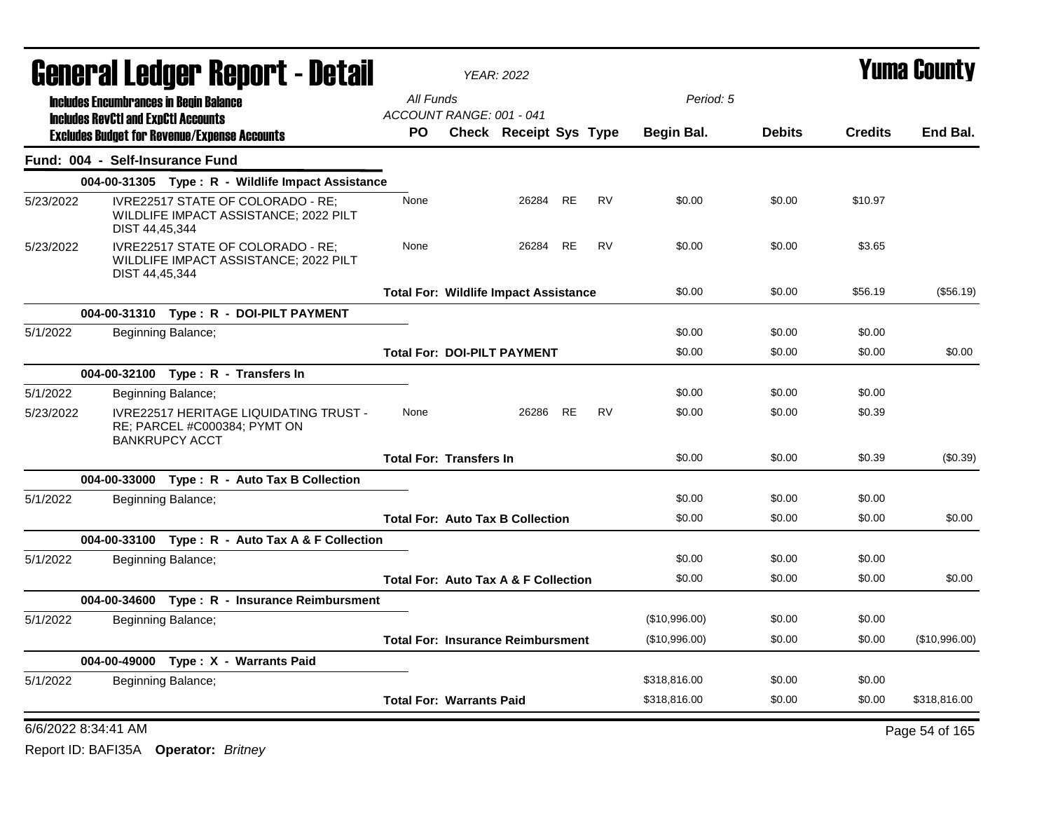|           | <b>General Ledger Report - Detail</b>      |                                                                                                        | <b>YEAR: 2022</b>                               |                               |           | <b>Yuma County</b> |               |               |                |                |
|-----------|--------------------------------------------|--------------------------------------------------------------------------------------------------------|-------------------------------------------------|-------------------------------|-----------|--------------------|---------------|---------------|----------------|----------------|
|           |                                            | <b>Includes Encumbrances in Begin Balance</b>                                                          | All Funds                                       |                               |           |                    | Period: 5     |               |                |                |
|           | <b>Includes RevCtI and ExpCtI Accounts</b> |                                                                                                        | ACCOUNT RANGE: 001 - 041                        |                               |           |                    |               |               |                |                |
|           |                                            | <b>Excludes Budget for Revenue/Expense Accounts</b>                                                    | PO.                                             | <b>Check Receipt Sys Type</b> |           |                    | Begin Bal.    | <b>Debits</b> | <b>Credits</b> | End Bal.       |
|           | Fund: 004 - Self-Insurance Fund            |                                                                                                        |                                                 |                               |           |                    |               |               |                |                |
|           |                                            | 004-00-31305 Type: R - Wildlife Impact Assistance                                                      |                                                 |                               |           |                    |               |               |                |                |
| 5/23/2022 | DIST 44,45,344                             | IVRE22517 STATE OF COLORADO - RE:<br>WILDLIFE IMPACT ASSISTANCE; 2022 PILT                             | None                                            | 26284 RE                      |           | <b>RV</b>          | \$0.00        | \$0.00        | \$10.97        |                |
| 5/23/2022 | DIST 44,45,344                             | IVRE22517 STATE OF COLORADO - RE;<br>WILDLIFE IMPACT ASSISTANCE; 2022 PILT                             | None                                            | 26284                         | <b>RE</b> | <b>RV</b>          | \$0.00        | \$0.00        | \$3.65         |                |
|           |                                            |                                                                                                        | <b>Total For: Wildlife Impact Assistance</b>    |                               |           |                    | \$0.00        | \$0.00        | \$56.19        | (\$56.19)      |
|           |                                            | 004-00-31310 Type: R - DOI-PILT PAYMENT                                                                |                                                 |                               |           |                    |               |               |                |                |
| 5/1/2022  |                                            | Beginning Balance;                                                                                     |                                                 |                               |           |                    | \$0.00        | \$0.00        | \$0.00         |                |
|           |                                            |                                                                                                        | <b>Total For: DOI-PILT PAYMENT</b>              |                               |           |                    | \$0.00        | \$0.00        | \$0.00         | \$0.00         |
|           |                                            | 004-00-32100 Type: R - Transfers In                                                                    |                                                 |                               |           |                    |               |               |                |                |
| 5/1/2022  |                                            | Beginning Balance;                                                                                     |                                                 |                               |           |                    | \$0.00        | \$0.00        | \$0.00         |                |
| 5/23/2022 |                                            | <b>IVRE22517 HERITAGE LIQUIDATING TRUST -</b><br>RE; PARCEL #C000384; PYMT ON<br><b>BANKRUPCY ACCT</b> | None                                            | 26286                         | RE        | <b>RV</b>          | \$0.00        | \$0.00        | \$0.39         |                |
|           |                                            |                                                                                                        | <b>Total For: Transfers In</b>                  |                               |           |                    | \$0.00        | \$0.00        | \$0.39         | $(\$0.39)$     |
|           |                                            | 004-00-33000 Type: R - Auto Tax B Collection                                                           |                                                 |                               |           |                    |               |               |                |                |
| 5/1/2022  |                                            | Beginning Balance;                                                                                     |                                                 |                               |           |                    | \$0.00        | \$0.00        | \$0.00         |                |
|           |                                            |                                                                                                        | <b>Total For: Auto Tax B Collection</b>         |                               |           |                    | \$0.00        | \$0.00        | \$0.00         | \$0.00         |
|           |                                            | 004-00-33100 Type: R - Auto Tax A & F Collection                                                       |                                                 |                               |           |                    |               |               |                |                |
| 5/1/2022  |                                            | Beginning Balance;                                                                                     |                                                 |                               |           |                    | \$0.00        | \$0.00        | \$0.00         |                |
|           |                                            |                                                                                                        | <b>Total For: Auto Tax A &amp; F Collection</b> |                               |           |                    | \$0.00        | \$0.00        | \$0.00         | \$0.00         |
|           |                                            | 004-00-34600 Type: R - Insurance Reimbursment                                                          |                                                 |                               |           |                    |               |               |                |                |
| 5/1/2022  |                                            | Beginning Balance;                                                                                     |                                                 |                               |           |                    | (\$10,996.00) | \$0.00        | \$0.00         |                |
|           |                                            |                                                                                                        | <b>Total For: Insurance Reimbursment</b>        |                               |           |                    | (\$10,996.00) | \$0.00        | \$0.00         | (\$10,996.00)  |
|           |                                            | 004-00-49000 Type: X - Warrants Paid                                                                   |                                                 |                               |           |                    |               |               |                |                |
| 5/1/2022  |                                            | Beginning Balance;                                                                                     |                                                 |                               |           |                    | \$318,816.00  | \$0.00        | \$0.00         |                |
|           |                                            |                                                                                                        | <b>Total For: Warrants Paid</b>                 |                               |           |                    | \$318,816.00  | \$0.00        | \$0.00         | \$318,816.00   |
|           | 6/6/2022 8:34:41 AM                        |                                                                                                        |                                                 |                               |           |                    |               |               |                | Page 54 of 165 |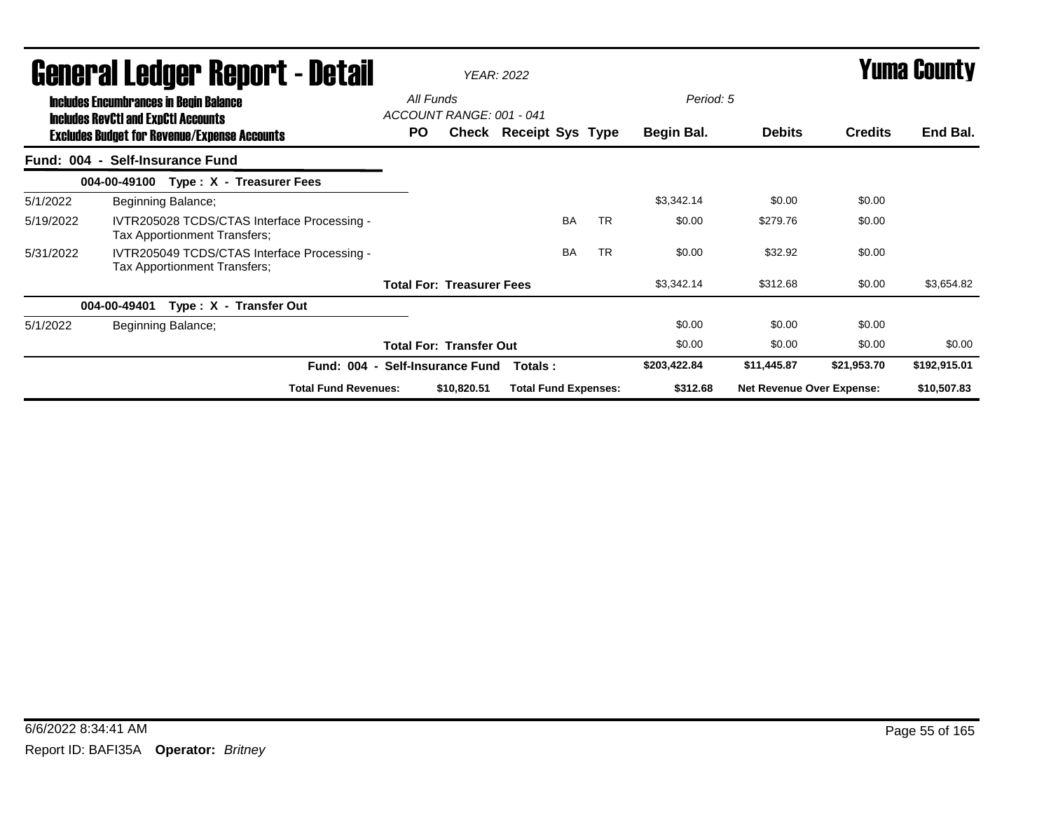|           | General Ledger Report - Detail<br><b>Includes Encumbrances in Begin Balance</b>                   | All Funds<br>ACCOUNT RANGE: 001 - 041 |                                             | <b>YEAR: 2022</b>                |             |                             | Period: 5 |           | <b>Yuma County</b> |                                  |                |              |
|-----------|---------------------------------------------------------------------------------------------------|---------------------------------------|---------------------------------------------|----------------------------------|-------------|-----------------------------|-----------|-----------|--------------------|----------------------------------|----------------|--------------|
|           | <b>Includes RevCtI and ExpCtI Accounts</b><br><b>Excludes Budget for Revenue/Expense Accounts</b> |                                       |                                             | <b>PO</b>                        |             | Check Receipt Sys Type      |           |           | Begin Bal.         | <b>Debits</b>                    | <b>Credits</b> | End Bal.     |
|           | Fund: 004 - Self-Insurance Fund                                                                   |                                       |                                             |                                  |             |                             |           |           |                    |                                  |                |              |
|           | 004-00-49100                                                                                      |                                       | Type: X - Treasurer Fees                    |                                  |             |                             |           |           |                    |                                  |                |              |
| 5/1/2022  |                                                                                                   | Beginning Balance;                    |                                             |                                  |             |                             |           |           | \$3,342.14         | \$0.00                           | \$0.00         |              |
| 5/19/2022 |                                                                                                   | Tax Apportionment Transfers;          | IVTR205028 TCDS/CTAS Interface Processing - |                                  |             |                             | <b>BA</b> | <b>TR</b> | \$0.00             | \$279.76                         | \$0.00         |              |
| 5/31/2022 |                                                                                                   | Tax Apportionment Transfers;          | IVTR205049 TCDS/CTAS Interface Processing - |                                  |             |                             | <b>BA</b> | <b>TR</b> | \$0.00             | \$32.92                          | \$0.00         |              |
|           |                                                                                                   |                                       |                                             | <b>Total For: Treasurer Fees</b> |             |                             |           |           | \$3,342.14         | \$312.68                         | \$0.00         | \$3,654.82   |
|           | 004-00-49401                                                                                      |                                       | Type: X - Transfer Out                      |                                  |             |                             |           |           |                    |                                  |                |              |
| 5/1/2022  |                                                                                                   | Beginning Balance;                    |                                             |                                  |             |                             |           |           | \$0.00             | \$0.00                           | \$0.00         |              |
|           |                                                                                                   |                                       |                                             | <b>Total For: Transfer Out</b>   |             |                             |           |           | \$0.00             | \$0.00                           | \$0.00         | \$0.00       |
|           |                                                                                                   |                                       | Fund: 004 - Self-Insurance Fund             |                                  |             | Totals :                    |           |           | \$203,422.84       | \$11,445.87                      | \$21,953.70    | \$192,915.01 |
|           |                                                                                                   |                                       | <b>Total Fund Revenues:</b>                 |                                  | \$10,820.51 | <b>Total Fund Expenses:</b> |           |           | \$312.68           | <b>Net Revenue Over Expense:</b> |                | \$10,507.83  |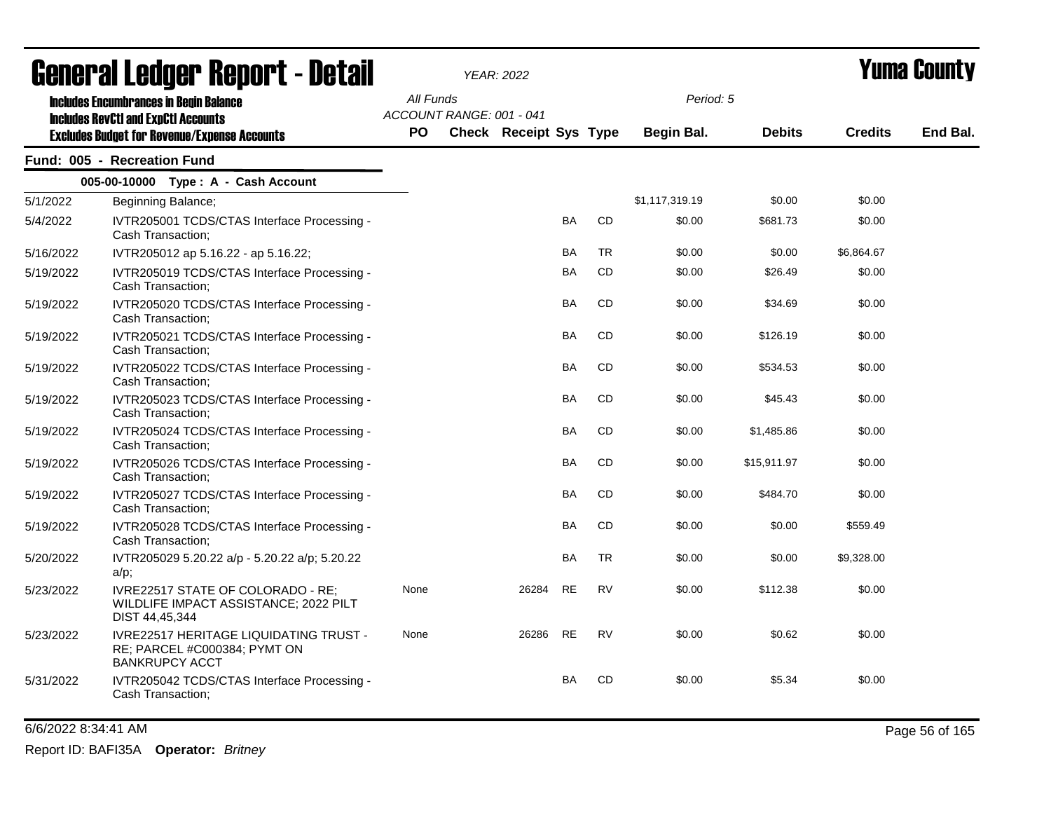| <b>General Ledger Report - Detail</b> |                                                                                                 |           | <b>YEAR: 2022</b>        |                               |           |           |                | Yuma County   |                |          |  |
|---------------------------------------|-------------------------------------------------------------------------------------------------|-----------|--------------------------|-------------------------------|-----------|-----------|----------------|---------------|----------------|----------|--|
|                                       | <b>Includes Encumbrances in Begin Balance</b><br><b>Includes RevCtI and ExpCtI Accounts</b>     | All Funds | ACCOUNT RANGE: 001 - 041 |                               |           |           | Period: 5      |               |                |          |  |
|                                       | <b>Excludes Budget for Revenue/Expense Accounts</b>                                             | <b>PO</b> |                          | <b>Check Receipt Sys Type</b> |           |           | Begin Bal.     | <b>Debits</b> | <b>Credits</b> | End Bal. |  |
|                                       | Fund: 005 - Recreation Fund                                                                     |           |                          |                               |           |           |                |               |                |          |  |
|                                       | 005-00-10000 Type: A - Cash Account                                                             |           |                          |                               |           |           |                |               |                |          |  |
| 5/1/2022                              | Beginning Balance;                                                                              |           |                          |                               |           |           | \$1,117,319.19 | \$0.00        | \$0.00         |          |  |
| 5/4/2022                              | IVTR205001 TCDS/CTAS Interface Processing -<br>Cash Transaction:                                |           |                          |                               | BA        | <b>CD</b> | \$0.00         | \$681.73      | \$0.00         |          |  |
| 5/16/2022                             | IVTR205012 ap 5.16.22 - ap 5.16.22;                                                             |           |                          |                               | <b>BA</b> | <b>TR</b> | \$0.00         | \$0.00        | \$6,864.67     |          |  |
| 5/19/2022                             | IVTR205019 TCDS/CTAS Interface Processing -<br>Cash Transaction:                                |           |                          |                               | BA        | <b>CD</b> | \$0.00         | \$26.49       | \$0.00         |          |  |
| 5/19/2022                             | IVTR205020 TCDS/CTAS Interface Processing -<br>Cash Transaction:                                |           |                          |                               | <b>BA</b> | <b>CD</b> | \$0.00         | \$34.69       | \$0.00         |          |  |
| 5/19/2022                             | IVTR205021 TCDS/CTAS Interface Processing -<br>Cash Transaction;                                |           |                          |                               | BA        | <b>CD</b> | \$0.00         | \$126.19      | \$0.00         |          |  |
| 5/19/2022                             | IVTR205022 TCDS/CTAS Interface Processing -<br>Cash Transaction;                                |           |                          |                               | <b>BA</b> | <b>CD</b> | \$0.00         | \$534.53      | \$0.00         |          |  |
| 5/19/2022                             | IVTR205023 TCDS/CTAS Interface Processing -<br>Cash Transaction;                                |           |                          |                               | <b>BA</b> | <b>CD</b> | \$0.00         | \$45.43       | \$0.00         |          |  |
| 5/19/2022                             | IVTR205024 TCDS/CTAS Interface Processing -<br>Cash Transaction:                                |           |                          |                               | BA        | <b>CD</b> | \$0.00         | \$1,485.86    | \$0.00         |          |  |
| 5/19/2022                             | IVTR205026 TCDS/CTAS Interface Processing -<br>Cash Transaction;                                |           |                          |                               | BA        | CD        | \$0.00         | \$15,911.97   | \$0.00         |          |  |
| 5/19/2022                             | IVTR205027 TCDS/CTAS Interface Processing -<br>Cash Transaction;                                |           |                          |                               | BA        | <b>CD</b> | \$0.00         | \$484.70      | \$0.00         |          |  |
| 5/19/2022                             | IVTR205028 TCDS/CTAS Interface Processing -<br>Cash Transaction;                                |           |                          |                               | <b>BA</b> | <b>CD</b> | \$0.00         | \$0.00        | \$559.49       |          |  |
| 5/20/2022                             | IVTR205029 5.20.22 a/p - 5.20.22 a/p; 5.20.22<br>$a/p$ ;                                        |           |                          |                               | <b>BA</b> | TR        | \$0.00         | \$0.00        | \$9,328.00     |          |  |
| 5/23/2022                             | IVRE22517 STATE OF COLORADO - RE;<br>WILDLIFE IMPACT ASSISTANCE; 2022 PILT<br>DIST 44,45,344    | None      |                          | 26284                         | <b>RE</b> | <b>RV</b> | \$0.00         | \$112.38      | \$0.00         |          |  |
| 5/23/2022                             | IVRE22517 HERITAGE LIQUIDATING TRUST -<br>RE; PARCEL #C000384; PYMT ON<br><b>BANKRUPCY ACCT</b> | None      |                          | 26286                         | RE        | <b>RV</b> | \$0.00         | \$0.62        | \$0.00         |          |  |
| 5/31/2022                             | IVTR205042 TCDS/CTAS Interface Processing -<br>Cash Transaction;                                |           |                          |                               | BA        | <b>CD</b> | \$0.00         | \$5.34        | \$0.00         |          |  |

6/6/2022 8:34:41 AM Page 56 of 165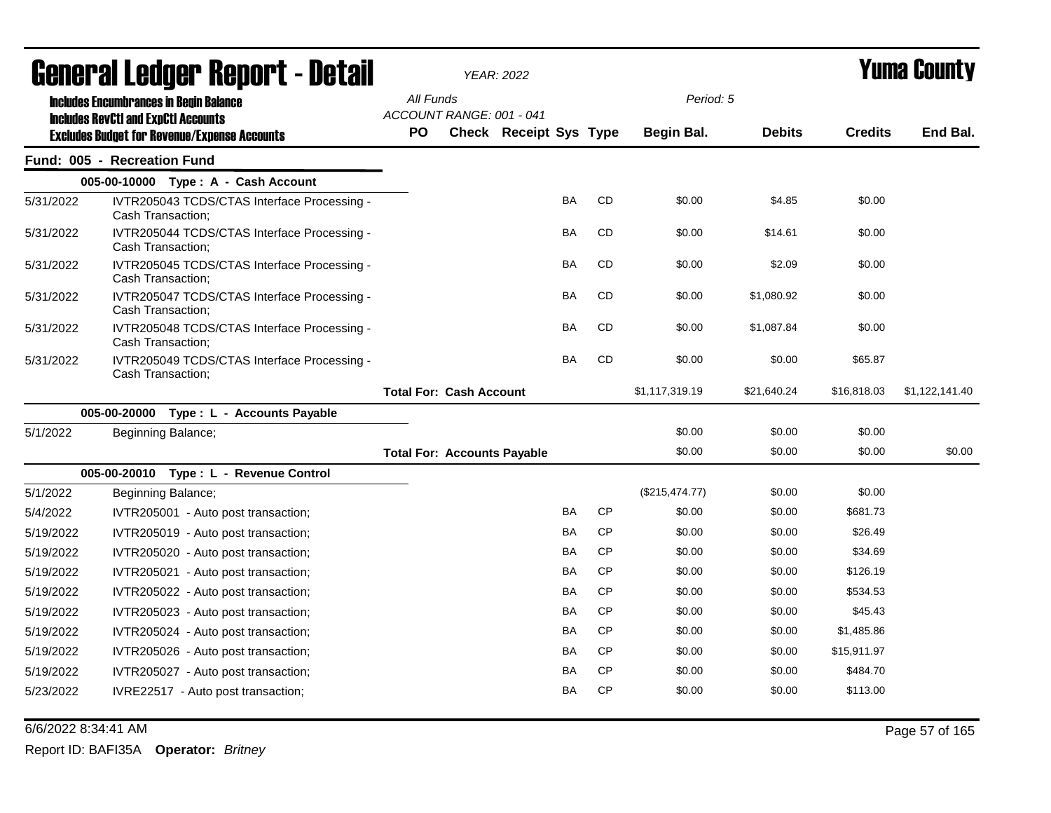|           | General Ledger Report - Detail                                                              | <b>YEAR: 2022</b>                     |  |                               |           |           |                | Yuma County   |                |                |
|-----------|---------------------------------------------------------------------------------------------|---------------------------------------|--|-------------------------------|-----------|-----------|----------------|---------------|----------------|----------------|
|           | <b>Includes Encumbrances in Begin Balance</b><br><b>Includes RevCtI and ExpCtI Accounts</b> | All Funds<br>ACCOUNT RANGE: 001 - 041 |  |                               |           |           | Period: 5      |               |                |                |
|           | <b>Excludes Budget for Revenue/Expense Accounts</b>                                         | <b>PO</b>                             |  | <b>Check Receipt Sys Type</b> |           |           | Begin Bal.     | <b>Debits</b> | <b>Credits</b> | End Bal.       |
|           | Fund: 005 - Recreation Fund                                                                 |                                       |  |                               |           |           |                |               |                |                |
|           | 005-00-10000 Type: A - Cash Account                                                         |                                       |  |                               |           |           |                |               |                |                |
| 5/31/2022 | IVTR205043 TCDS/CTAS Interface Processing -<br>Cash Transaction;                            |                                       |  |                               | <b>BA</b> | <b>CD</b> | \$0.00         | \$4.85        | \$0.00         |                |
| 5/31/2022 | IVTR205044 TCDS/CTAS Interface Processing -<br>Cash Transaction;                            |                                       |  |                               | BA        | <b>CD</b> | \$0.00         | \$14.61       | \$0.00         |                |
| 5/31/2022 | IVTR205045 TCDS/CTAS Interface Processing -<br>Cash Transaction;                            |                                       |  |                               | <b>BA</b> | <b>CD</b> | \$0.00         | \$2.09        | \$0.00         |                |
| 5/31/2022 | IVTR205047 TCDS/CTAS Interface Processing -<br>Cash Transaction;                            |                                       |  |                               | <b>BA</b> | <b>CD</b> | \$0.00         | \$1,080.92    | \$0.00         |                |
| 5/31/2022 | IVTR205048 TCDS/CTAS Interface Processing -<br>Cash Transaction;                            |                                       |  |                               | BA        | CD        | \$0.00         | \$1,087.84    | \$0.00         |                |
| 5/31/2022 | IVTR205049 TCDS/CTAS Interface Processing -<br>Cash Transaction:                            |                                       |  |                               | BA        | CD        | \$0.00         | \$0.00        | \$65.87        |                |
|           |                                                                                             | <b>Total For: Cash Account</b>        |  |                               |           |           | \$1,117,319.19 | \$21,640.24   | \$16,818.03    | \$1,122,141.40 |
|           | 005-00-20000 Type : L - Accounts Payable                                                    |                                       |  |                               |           |           |                |               |                |                |
| 5/1/2022  | Beginning Balance;                                                                          |                                       |  |                               |           |           | \$0.00         | \$0.00        | \$0.00         |                |
|           |                                                                                             | <b>Total For: Accounts Payable</b>    |  |                               |           |           | \$0.00         | \$0.00        | \$0.00         | \$0.00         |
|           | 005-00-20010 Type: L - Revenue Control                                                      |                                       |  |                               |           |           |                |               |                |                |
| 5/1/2022  | Beginning Balance;                                                                          |                                       |  |                               |           |           | (\$215,474.77) | \$0.00        | \$0.00         |                |
| 5/4/2022  | IVTR205001 - Auto post transaction;                                                         |                                       |  |                               | BA        | <b>CP</b> | \$0.00         | \$0.00        | \$681.73       |                |
| 5/19/2022 | IVTR205019 - Auto post transaction;                                                         |                                       |  |                               | BA        | <b>CP</b> | \$0.00         | \$0.00        | \$26.49        |                |
| 5/19/2022 | IVTR205020 - Auto post transaction;                                                         |                                       |  |                               | BA        | <b>CP</b> | \$0.00         | \$0.00        | \$34.69        |                |
| 5/19/2022 | IVTR205021 - Auto post transaction;                                                         |                                       |  |                               | BA        | <b>CP</b> | \$0.00         | \$0.00        | \$126.19       |                |
| 5/19/2022 | IVTR205022 - Auto post transaction;                                                         |                                       |  |                               | BA        | <b>CP</b> | \$0.00         | \$0.00        | \$534.53       |                |
| 5/19/2022 | IVTR205023 - Auto post transaction;                                                         |                                       |  |                               | BA        | <b>CP</b> | \$0.00         | \$0.00        | \$45.43        |                |
| 5/19/2022 | IVTR205024 - Auto post transaction;                                                         |                                       |  |                               | <b>BA</b> | <b>CP</b> | \$0.00         | \$0.00        | \$1,485.86     |                |
| 5/19/2022 | IVTR205026 - Auto post transaction;                                                         |                                       |  |                               | BA        | <b>CP</b> | \$0.00         | \$0.00        | \$15,911.97    |                |
| 5/19/2022 | IVTR205027 - Auto post transaction;                                                         |                                       |  |                               | BA        | <b>CP</b> | \$0.00         | \$0.00        | \$484.70       |                |
| 5/23/2022 | IVRE22517 - Auto post transaction;                                                          |                                       |  |                               | BA        | <b>CP</b> | \$0.00         | \$0.00        | \$113.00       |                |

6/6/2022 8:34:41 AM Page 57 of 165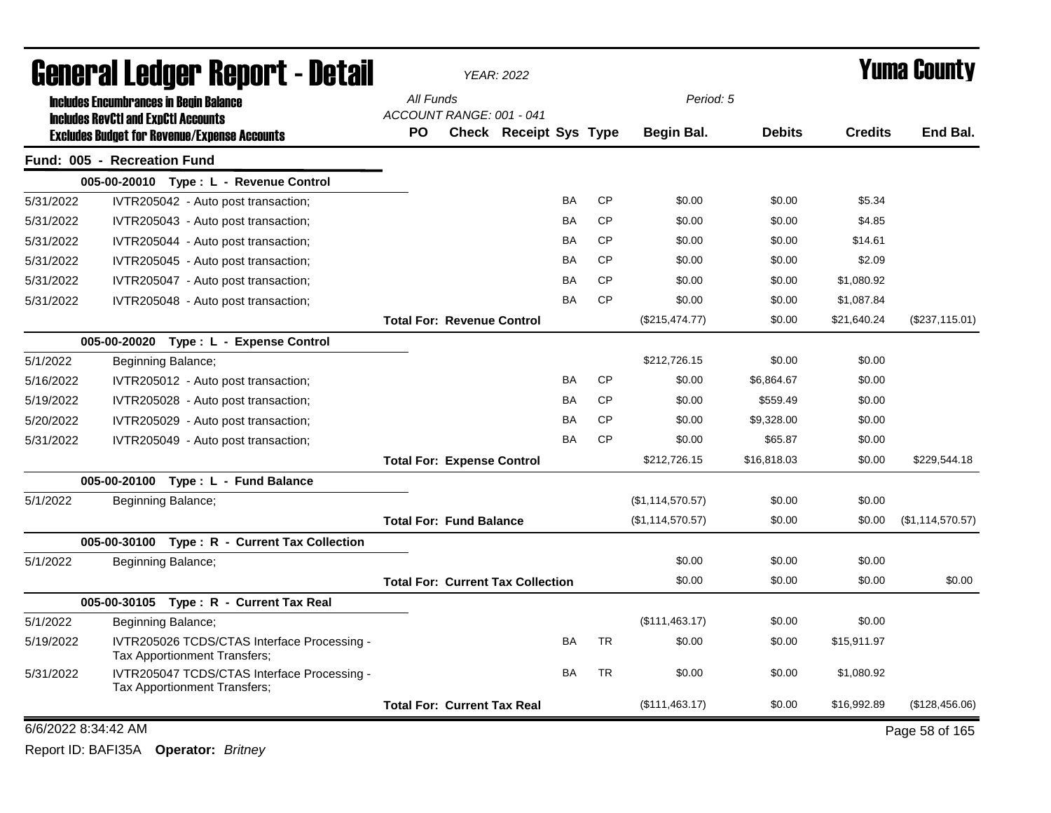|                     | General Ledger Report - Detail                                                                    |                                          | <b>YEAR: 2022</b>             |    |           |                  | <b>Yuma County</b> |                |                  |  |
|---------------------|---------------------------------------------------------------------------------------------------|------------------------------------------|-------------------------------|----|-----------|------------------|--------------------|----------------|------------------|--|
|                     | <b>Includes Encumbrances in Begin Balance</b>                                                     | All Funds<br>ACCOUNT RANGE: 001 - 041    |                               |    |           | Period: 5        |                    |                |                  |  |
|                     | <b>Includes RevCtI and ExpCtI Accounts</b><br><b>Excludes Budget for Revenue/Expense Accounts</b> | <b>PO</b>                                | <b>Check Receipt Sys Type</b> |    |           | Begin Bal.       | <b>Debits</b>      | <b>Credits</b> | End Bal.         |  |
|                     | Fund: 005 - Recreation Fund                                                                       |                                          |                               |    |           |                  |                    |                |                  |  |
|                     | 005-00-20010 Type: L - Revenue Control                                                            |                                          |                               |    |           |                  |                    |                |                  |  |
| 5/31/2022           | IVTR205042 - Auto post transaction;                                                               |                                          |                               | BA | <b>CP</b> | \$0.00           | \$0.00             | \$5.34         |                  |  |
| 5/31/2022           | IVTR205043 - Auto post transaction;                                                               |                                          |                               | BA | <b>CP</b> | \$0.00           | \$0.00             | \$4.85         |                  |  |
| 5/31/2022           | IVTR205044 - Auto post transaction;                                                               |                                          |                               | BA | <b>CP</b> | \$0.00           | \$0.00             | \$14.61        |                  |  |
| 5/31/2022           | IVTR205045 - Auto post transaction;                                                               |                                          |                               | BA | <b>CP</b> | \$0.00           | \$0.00             | \$2.09         |                  |  |
| 5/31/2022           | IVTR205047 - Auto post transaction;                                                               |                                          |                               | BA | <b>CP</b> | \$0.00           | \$0.00             | \$1,080.92     |                  |  |
| 5/31/2022           | IVTR205048 - Auto post transaction;                                                               |                                          |                               | BA | <b>CP</b> | \$0.00           | \$0.00             | \$1,087.84     |                  |  |
|                     |                                                                                                   | <b>Total For: Revenue Control</b>        |                               |    |           | (\$215,474.77)   | \$0.00             | \$21,640.24    | (\$237,115.01)   |  |
|                     | 005-00-20020 Type: L - Expense Control                                                            |                                          |                               |    |           |                  |                    |                |                  |  |
| 5/1/2022            | Beginning Balance;                                                                                |                                          |                               |    |           | \$212,726.15     | \$0.00             | \$0.00         |                  |  |
| 5/16/2022           | IVTR205012 - Auto post transaction;                                                               |                                          |                               | BA | <b>CP</b> | \$0.00           | \$6,864.67         | \$0.00         |                  |  |
| 5/19/2022           | IVTR205028 - Auto post transaction;                                                               |                                          |                               | BA | <b>CP</b> | \$0.00           | \$559.49           | \$0.00         |                  |  |
| 5/20/2022           | IVTR205029 - Auto post transaction;                                                               |                                          |                               | BA | <b>CP</b> | \$0.00           | \$9,328.00         | \$0.00         |                  |  |
| 5/31/2022           | IVTR205049 - Auto post transaction;                                                               |                                          |                               | ΒA | <b>CP</b> | \$0.00           | \$65.87            | \$0.00         |                  |  |
|                     |                                                                                                   | <b>Total For: Expense Control</b>        |                               |    |           | \$212,726.15     | \$16,818.03        | \$0.00         | \$229,544.18     |  |
|                     | 005-00-20100 Type: L - Fund Balance                                                               |                                          |                               |    |           |                  |                    |                |                  |  |
| 5/1/2022            | Beginning Balance;                                                                                |                                          |                               |    |           | (\$1,114,570.57) | \$0.00             | \$0.00         |                  |  |
|                     |                                                                                                   | <b>Total For: Fund Balance</b>           |                               |    |           | (\$1,114,570.57) | \$0.00             | \$0.00         | (\$1,114,570.57) |  |
|                     | 005-00-30100 Type: R - Current Tax Collection                                                     |                                          |                               |    |           |                  |                    |                |                  |  |
| 5/1/2022            | Beginning Balance;                                                                                |                                          |                               |    |           | \$0.00           | \$0.00             | \$0.00         |                  |  |
|                     |                                                                                                   | <b>Total For: Current Tax Collection</b> |                               |    |           | \$0.00           | \$0.00             | \$0.00         | \$0.00           |  |
|                     | 005-00-30105 Type: R - Current Tax Real                                                           |                                          |                               |    |           |                  |                    |                |                  |  |
| 5/1/2022            | Beginning Balance;                                                                                |                                          |                               |    |           | (\$111,463.17)   | \$0.00             | \$0.00         |                  |  |
| 5/19/2022           | IVTR205026 TCDS/CTAS Interface Processing -<br>Tax Apportionment Transfers;                       |                                          |                               | BA | <b>TR</b> | \$0.00           | \$0.00             | \$15,911.97    |                  |  |
| 5/31/2022           | IVTR205047 TCDS/CTAS Interface Processing -<br>Tax Apportionment Transfers;                       |                                          |                               | BA | <b>TR</b> | \$0.00           | \$0.00             | \$1,080.92     |                  |  |
|                     |                                                                                                   | <b>Total For: Current Tax Real</b>       |                               |    |           | (\$111,463.17)   | \$0.00             | \$16,992.89    | (\$128,456.06)   |  |
| 6/6/2022 8:34:42 AM |                                                                                                   |                                          |                               |    |           |                  |                    |                | Page 58 of 165   |  |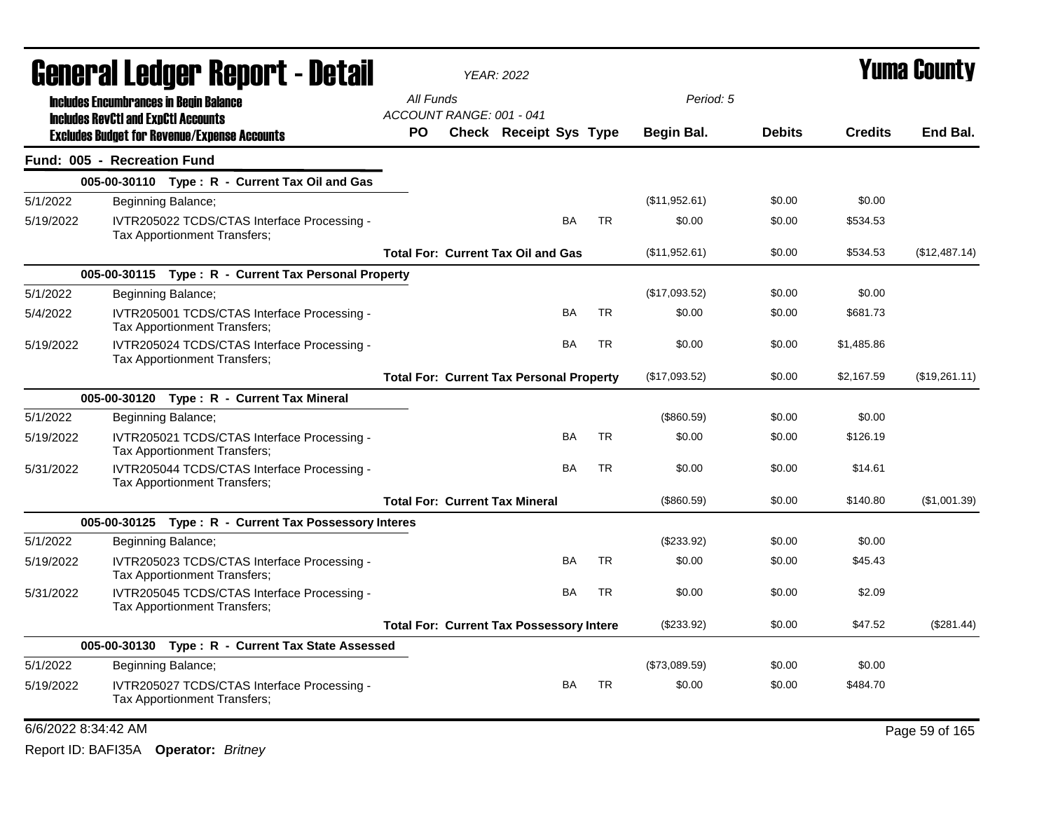|           | General Ledger Report - Detail                                                                    |                                 | <b>YEAR: 2022</b> | <b>Yuma County</b>                              |           |           |               |               |                |                |
|-----------|---------------------------------------------------------------------------------------------------|---------------------------------|-------------------|-------------------------------------------------|-----------|-----------|---------------|---------------|----------------|----------------|
|           | <b>Includes Encumbrances in Begin Balance</b>                                                     | All Funds                       |                   |                                                 |           |           | Period: 5     |               |                |                |
|           | <b>Includes RevCtI and ExpCtI Accounts</b><br><b>Excludes Budget for Revenue/Expense Accounts</b> | ACCOUNT RANGE: 001 - 041<br>PO. |                   | Check Receipt Sys Type                          |           |           | Begin Bal.    | <b>Debits</b> | <b>Credits</b> | End Bal.       |
|           | Fund: 005 - Recreation Fund                                                                       |                                 |                   |                                                 |           |           |               |               |                |                |
|           | 005-00-30110 Type: R - Current Tax Oil and Gas                                                    |                                 |                   |                                                 |           |           |               |               |                |                |
| 5/1/2022  | Beginning Balance;                                                                                |                                 |                   |                                                 |           |           | (\$11,952.61) | \$0.00        | \$0.00         |                |
| 5/19/2022 | IVTR205022 TCDS/CTAS Interface Processing -<br>Tax Apportionment Transfers;                       |                                 |                   |                                                 | <b>BA</b> | <b>TR</b> | \$0.00        | \$0.00        | \$534.53       |                |
|           |                                                                                                   |                                 |                   | <b>Total For: Current Tax Oil and Gas</b>       |           |           | (\$11,952.61) | \$0.00        | \$534.53       | (\$12,487.14)  |
|           | 005-00-30115 Type: R - Current Tax Personal Property                                              |                                 |                   |                                                 |           |           |               |               |                |                |
| 5/1/2022  | Beginning Balance;                                                                                |                                 |                   |                                                 |           |           | (\$17,093.52) | \$0.00        | \$0.00         |                |
| 5/4/2022  | IVTR205001 TCDS/CTAS Interface Processing -<br>Tax Apportionment Transfers;                       |                                 |                   |                                                 | BA        | <b>TR</b> | \$0.00        | \$0.00        | \$681.73       |                |
| 5/19/2022 | IVTR205024 TCDS/CTAS Interface Processing -<br>Tax Apportionment Transfers;                       |                                 |                   |                                                 | BA        | <b>TR</b> | \$0.00        | \$0.00        | \$1,485.86     |                |
|           |                                                                                                   |                                 |                   | <b>Total For: Current Tax Personal Property</b> |           |           | (\$17,093.52) | \$0.00        | \$2,167.59     | (\$19,261.11)  |
|           | 005-00-30120 Type: R - Current Tax Mineral                                                        |                                 |                   |                                                 |           |           |               |               |                |                |
| 5/1/2022  | Beginning Balance;                                                                                |                                 |                   |                                                 |           |           | (\$860.59)    | \$0.00        | \$0.00         |                |
| 5/19/2022 | IVTR205021 TCDS/CTAS Interface Processing -<br>Tax Apportionment Transfers;                       |                                 |                   |                                                 | BA        | <b>TR</b> | \$0.00        | \$0.00        | \$126.19       |                |
| 5/31/2022 | IVTR205044 TCDS/CTAS Interface Processing -<br>Tax Apportionment Transfers;                       |                                 |                   |                                                 | BA        | <b>TR</b> | \$0.00        | \$0.00        | \$14.61        |                |
|           |                                                                                                   |                                 |                   | <b>Total For: Current Tax Mineral</b>           |           |           | (\$860.59)    | \$0.00        | \$140.80       | (\$1,001.39)   |
|           | 005-00-30125 Type: R - Current Tax Possessory Interes                                             |                                 |                   |                                                 |           |           |               |               |                |                |
| 5/1/2022  | Beginning Balance;                                                                                |                                 |                   |                                                 |           |           | $(\$233.92)$  | \$0.00        | \$0.00         |                |
| 5/19/2022 | IVTR205023 TCDS/CTAS Interface Processing -<br>Tax Apportionment Transfers;                       |                                 |                   |                                                 | <b>BA</b> | <b>TR</b> | \$0.00        | \$0.00        | \$45.43        |                |
| 5/31/2022 | IVTR205045 TCDS/CTAS Interface Processing -<br>Tax Apportionment Transfers;                       |                                 |                   |                                                 | BA        | <b>TR</b> | \$0.00        | \$0.00        | \$2.09         |                |
|           |                                                                                                   |                                 |                   | <b>Total For: Current Tax Possessory Intere</b> |           |           | $(\$233.92)$  | \$0.00        | \$47.52        | (\$281.44)     |
|           | 005-00-30130 Type: R - Current Tax State Assessed                                                 |                                 |                   |                                                 |           |           |               |               |                |                |
| 5/1/2022  | Beginning Balance;                                                                                |                                 |                   |                                                 |           |           | (\$73,089.59) | \$0.00        | \$0.00         |                |
| 5/19/2022 | IVTR205027 TCDS/CTAS Interface Processing -<br>Tax Apportionment Transfers;                       |                                 |                   |                                                 | <b>BA</b> | <b>TR</b> | \$0.00        | \$0.00        | \$484.70       |                |
|           | 6/6/2022 8:34:42 AM                                                                               |                                 |                   |                                                 |           |           |               |               |                | Page 59 of 165 |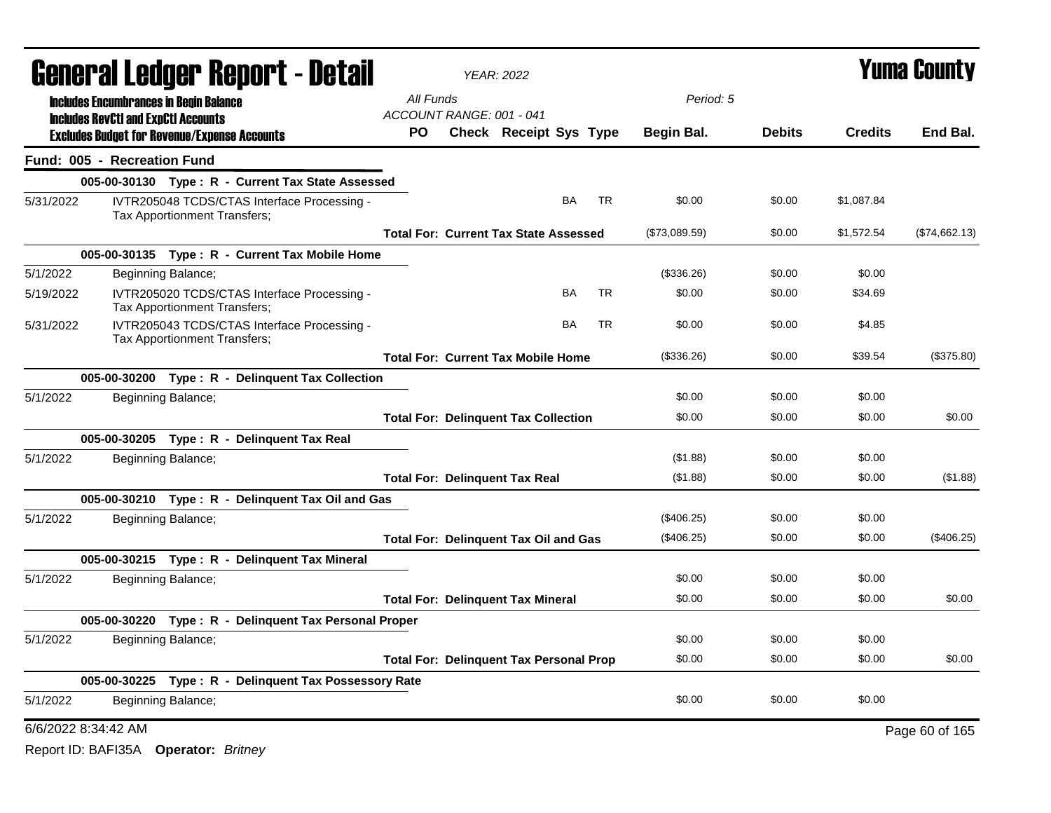| <b>General Ledger Report - Detail</b> |                                                                                                   |                              |                                                       |                                                | <b>YEAR: 2022</b>      | <b>Yuma County</b> |           |               |               |                |                |
|---------------------------------------|---------------------------------------------------------------------------------------------------|------------------------------|-------------------------------------------------------|------------------------------------------------|------------------------|--------------------|-----------|---------------|---------------|----------------|----------------|
|                                       | <b>Includes Encumbrances in Begin Balance</b>                                                     |                              |                                                       | All Funds<br>ACCOUNT RANGE: 001 - 041          |                        |                    |           | Period: 5     |               |                |                |
|                                       | <b>Includes RevCtI and ExpCtI Accounts</b><br><b>Excludes Budget for Revenue/Expense Accounts</b> |                              |                                                       | PO                                             | Check Receipt Sys Type |                    |           | Begin Bal.    | <b>Debits</b> | <b>Credits</b> | End Bal.       |
|                                       | Fund: 005 - Recreation Fund                                                                       |                              |                                                       |                                                |                        |                    |           |               |               |                |                |
|                                       |                                                                                                   |                              | 005-00-30130 Type: R - Current Tax State Assessed     |                                                |                        |                    |           |               |               |                |                |
| 5/31/2022                             |                                                                                                   | Tax Apportionment Transfers; | IVTR205048 TCDS/CTAS Interface Processing -           |                                                |                        | BA                 | TR        | \$0.00        | \$0.00        | \$1,087.84     |                |
|                                       |                                                                                                   |                              |                                                       | <b>Total For: Current Tax State Assessed</b>   |                        |                    |           | (\$73,089.59) | \$0.00        | \$1,572.54     | (\$74,662.13)  |
|                                       |                                                                                                   |                              | 005-00-30135 Type: R - Current Tax Mobile Home        |                                                |                        |                    |           |               |               |                |                |
| 5/1/2022                              |                                                                                                   | Beginning Balance;           |                                                       |                                                |                        |                    |           | (\$336.26)    | \$0.00        | \$0.00         |                |
| 5/19/2022                             |                                                                                                   | Tax Apportionment Transfers; | IVTR205020 TCDS/CTAS Interface Processing -           |                                                |                        | <b>BA</b>          | <b>TR</b> | \$0.00        | \$0.00        | \$34.69        |                |
| 5/31/2022                             |                                                                                                   | Tax Apportionment Transfers; | IVTR205043 TCDS/CTAS Interface Processing -           |                                                |                        | <b>BA</b>          | <b>TR</b> | \$0.00        | \$0.00        | \$4.85         |                |
|                                       |                                                                                                   |                              |                                                       | <b>Total For: Current Tax Mobile Home</b>      |                        |                    |           | (\$336.26)    | \$0.00        | \$39.54        | (\$375.80)     |
|                                       |                                                                                                   |                              | 005-00-30200 Type: R - Delinquent Tax Collection      |                                                |                        |                    |           |               |               |                |                |
| 5/1/2022                              |                                                                                                   | Beginning Balance;           |                                                       |                                                |                        |                    |           | \$0.00        | \$0.00        | \$0.00         |                |
|                                       |                                                                                                   |                              |                                                       | <b>Total For: Delinquent Tax Collection</b>    |                        |                    |           | \$0.00        | \$0.00        | \$0.00         | \$0.00         |
|                                       |                                                                                                   |                              | 005-00-30205 Type: R - Delinquent Tax Real            |                                                |                        |                    |           |               |               |                |                |
| 5/1/2022                              |                                                                                                   | Beginning Balance;           |                                                       |                                                |                        |                    |           | (\$1.88)      | \$0.00        | \$0.00         |                |
|                                       |                                                                                                   |                              |                                                       | <b>Total For: Delinquent Tax Real</b>          |                        |                    |           | (\$1.88)      | \$0.00        | \$0.00         | (\$1.88)       |
|                                       |                                                                                                   |                              | 005-00-30210 Type: R - Delinquent Tax Oil and Gas     |                                                |                        |                    |           |               |               |                |                |
| 5/1/2022                              |                                                                                                   | Beginning Balance;           |                                                       |                                                |                        |                    |           | (\$406.25)    | \$0.00        | \$0.00         |                |
|                                       |                                                                                                   |                              |                                                       | <b>Total For: Delinquent Tax Oil and Gas</b>   |                        |                    |           | (\$406.25)    | \$0.00        | \$0.00         | $(\$406.25)$   |
|                                       |                                                                                                   |                              | 005-00-30215 Type: R - Delinquent Tax Mineral         |                                                |                        |                    |           |               |               |                |                |
| 5/1/2022                              |                                                                                                   | Beginning Balance;           |                                                       |                                                |                        |                    |           | \$0.00        | \$0.00        | \$0.00         |                |
|                                       |                                                                                                   |                              |                                                       | <b>Total For: Delinquent Tax Mineral</b>       |                        |                    |           | \$0.00        | \$0.00        | \$0.00         | \$0.00         |
|                                       | 005-00-30220                                                                                      |                              | Type: R - Delinquent Tax Personal Proper              |                                                |                        |                    |           |               |               |                |                |
| 5/1/2022                              |                                                                                                   | Beginning Balance;           |                                                       |                                                |                        |                    |           | \$0.00        | \$0.00        | \$0.00         |                |
|                                       |                                                                                                   |                              |                                                       | <b>Total For: Delinquent Tax Personal Prop</b> |                        |                    |           | \$0.00        | \$0.00        | \$0.00         | \$0.00         |
|                                       |                                                                                                   |                              | 005-00-30225 Type: R - Delinquent Tax Possessory Rate |                                                |                        |                    |           |               |               |                |                |
| 5/1/2022                              |                                                                                                   | Beginning Balance;           |                                                       |                                                |                        |                    |           | \$0.00        | \$0.00        | \$0.00         |                |
|                                       | 6/6/2022 8:34:42 AM                                                                               |                              |                                                       |                                                |                        |                    |           |               |               |                | Page 60 of 165 |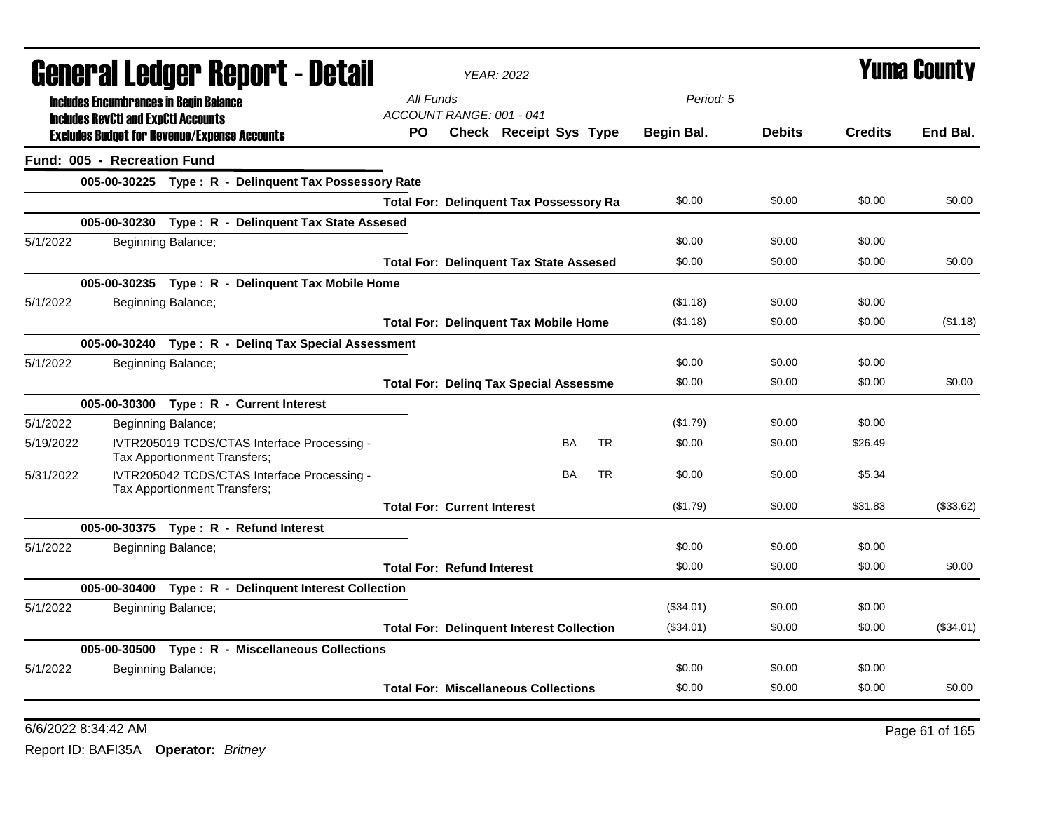|           | General Ledger Report - Detail                      |                              |                                                       |                                    | <b>YEAR: 2022</b>                                |           |            |               | Yuma Countv    |             |
|-----------|-----------------------------------------------------|------------------------------|-------------------------------------------------------|------------------------------------|--------------------------------------------------|-----------|------------|---------------|----------------|-------------|
|           | <b>Includes Encumbrances in Begin Balance</b>       |                              |                                                       | All Funds                          |                                                  |           | Period: 5  |               |                |             |
|           | <b>Includes RevCtI and ExpCtI Accounts</b>          |                              |                                                       | ACCOUNT RANGE: 001 - 041           |                                                  |           |            |               |                |             |
|           | <b>Excludes Budget for Revenue/Expense Accounts</b> |                              |                                                       | PO.                                | Check Receipt Sys Type                           |           | Begin Bal. | <b>Debits</b> | <b>Credits</b> | End Bal.    |
|           | Fund: 005 - Recreation Fund                         |                              |                                                       |                                    |                                                  |           |            |               |                |             |
|           |                                                     |                              | 005-00-30225 Type: R - Delinquent Tax Possessory Rate |                                    |                                                  |           |            |               |                |             |
|           |                                                     |                              |                                                       |                                    | <b>Total For: Delinquent Tax Possessory Ra</b>   |           | \$0.00     | \$0.00        | \$0.00         | \$0.00      |
|           |                                                     |                              | 005-00-30230 Type: R - Delinquent Tax State Assesed   |                                    |                                                  |           |            |               |                |             |
| 5/1/2022  |                                                     | Beginning Balance;           |                                                       |                                    |                                                  |           | \$0.00     | \$0.00        | \$0.00         |             |
|           |                                                     |                              |                                                       |                                    | <b>Total For: Delinquent Tax State Assesed</b>   |           | \$0.00     | \$0.00        | \$0.00         | \$0.00      |
|           |                                                     |                              | 005-00-30235 Type: R - Delinguent Tax Mobile Home     |                                    |                                                  |           |            |               |                |             |
| 5/1/2022  |                                                     | Beginning Balance;           |                                                       |                                    |                                                  |           | (\$1.18)   | \$0.00        | \$0.00         |             |
|           |                                                     |                              |                                                       |                                    | <b>Total For: Delinquent Tax Mobile Home</b>     |           | (\$1.18)   | \$0.00        | \$0.00         | (\$1.18)    |
|           |                                                     |                              | 005-00-30240 Type: R - Deling Tax Special Assessment  |                                    |                                                  |           |            |               |                |             |
| 5/1/2022  |                                                     | Beginning Balance;           |                                                       |                                    |                                                  |           | \$0.00     | \$0.00        | \$0.00         |             |
|           |                                                     |                              |                                                       |                                    | <b>Total For: Deling Tax Special Assessme</b>    |           | \$0.00     | \$0.00        | \$0.00         | \$0.00      |
|           |                                                     |                              | 005-00-30300 Type: R - Current Interest               |                                    |                                                  |           |            |               |                |             |
| 5/1/2022  |                                                     | Beginning Balance;           |                                                       |                                    |                                                  |           | (\$1.79)   | \$0.00        | \$0.00         |             |
| 5/19/2022 |                                                     | Tax Apportionment Transfers; | IVTR205019 TCDS/CTAS Interface Processing -           |                                    | BA                                               | <b>TR</b> | \$0.00     | \$0.00        | \$26.49        |             |
| 5/31/2022 |                                                     | Tax Apportionment Transfers; | IVTR205042 TCDS/CTAS Interface Processing -           |                                    | BA                                               | <b>TR</b> | \$0.00     | \$0.00        | \$5.34         |             |
|           |                                                     |                              |                                                       | <b>Total For: Current Interest</b> |                                                  |           | (\$1.79)   | \$0.00        | \$31.83        | (\$33.62)   |
|           |                                                     |                              | 005-00-30375 Type: R - Refund Interest                |                                    |                                                  |           |            |               |                |             |
| 5/1/2022  |                                                     | Beginning Balance;           |                                                       |                                    |                                                  |           | \$0.00     | \$0.00        | \$0.00         |             |
|           |                                                     |                              |                                                       | <b>Total For: Refund Interest</b>  |                                                  |           | \$0.00     | \$0.00        | \$0.00         | \$0.00      |
|           |                                                     |                              | 005-00-30400 Type: R - Delinquent Interest Collection |                                    |                                                  |           |            |               |                |             |
| 5/1/2022  |                                                     | Beginning Balance;           |                                                       |                                    |                                                  |           | (\$34.01)  | \$0.00        | \$0.00         |             |
|           |                                                     |                              |                                                       |                                    | <b>Total For: Delinquent Interest Collection</b> |           | (\$34.01)  | \$0.00        | \$0.00         | $(\$34.01)$ |
|           |                                                     |                              | 005-00-30500 Type: R - Miscellaneous Collections      |                                    |                                                  |           |            |               |                |             |
| 5/1/2022  |                                                     | Beginning Balance;           |                                                       |                                    |                                                  |           | \$0.00     | \$0.00        | \$0.00         |             |
|           |                                                     |                              |                                                       |                                    | <b>Total For: Miscellaneous Collections</b>      |           | \$0.00     | \$0.00        | \$0.00         | \$0.00      |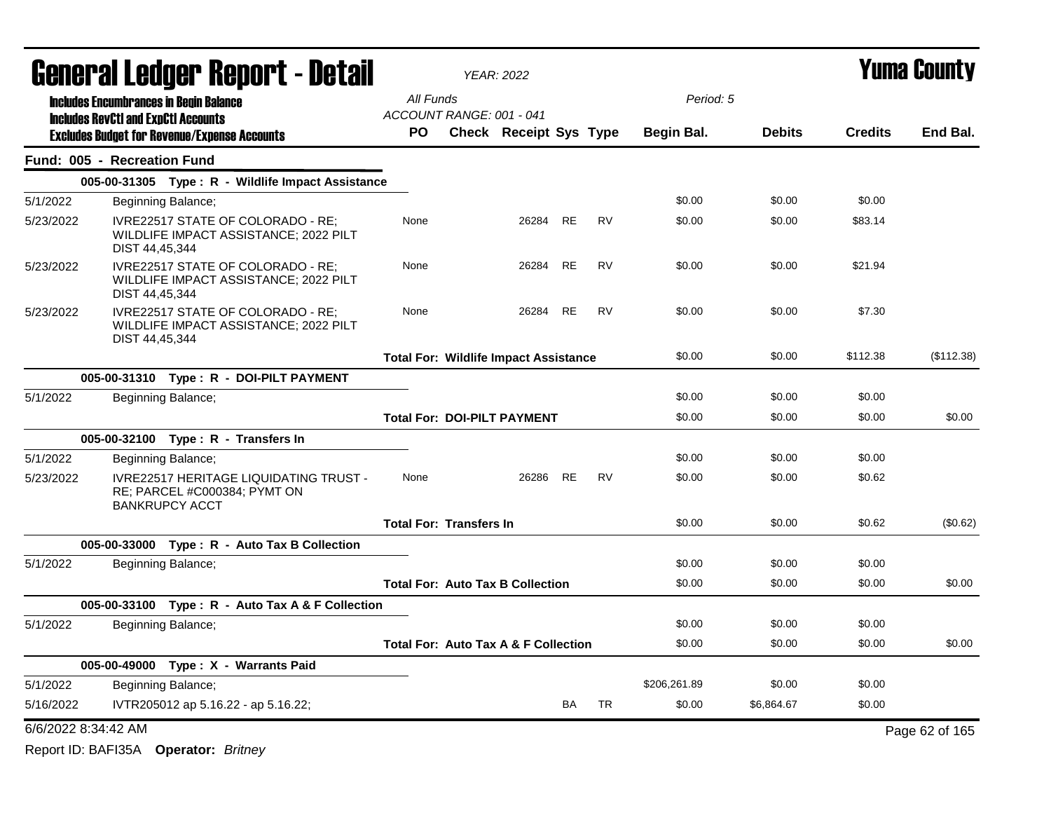|                     | <b>General Ledger Report - Detail</b>      |                                                                                                 |                                                 | <b>YEAR: 2022</b>             |           |           |              |               | <b>Yuma County</b> |                |
|---------------------|--------------------------------------------|-------------------------------------------------------------------------------------------------|-------------------------------------------------|-------------------------------|-----------|-----------|--------------|---------------|--------------------|----------------|
|                     |                                            | <b>Includes Encumbrances in Begin Balance</b>                                                   | All Funds                                       |                               |           |           | Period: 5    |               |                    |                |
|                     | <b>Includes RevCtI and ExpCtI Accounts</b> | <b>Excludes Budget for Revenue/Expense Accounts</b>                                             | ACCOUNT RANGE: 001 - 041<br><b>PO</b>           | <b>Check Receipt Sys Type</b> |           |           | Begin Bal.   | <b>Debits</b> | <b>Credits</b>     | End Bal.       |
|                     | Fund: 005 - Recreation Fund                |                                                                                                 |                                                 |                               |           |           |              |               |                    |                |
|                     |                                            | 005-00-31305 Type: R - Wildlife Impact Assistance                                               |                                                 |                               |           |           |              |               |                    |                |
| 5/1/2022            |                                            | Beginning Balance;                                                                              |                                                 |                               |           |           | \$0.00       | \$0.00        | \$0.00             |                |
| 5/23/2022           | DIST 44,45,344                             | IVRE22517 STATE OF COLORADO - RE;<br>WILDLIFE IMPACT ASSISTANCE; 2022 PILT                      | None                                            | 26284                         | RE        | <b>RV</b> | \$0.00       | \$0.00        | \$83.14            |                |
| 5/23/2022           | DIST 44,45,344                             | IVRE22517 STATE OF COLORADO - RE;<br>WILDLIFE IMPACT ASSISTANCE; 2022 PILT                      | None                                            | 26284                         | <b>RE</b> | <b>RV</b> | \$0.00       | \$0.00        | \$21.94            |                |
| 5/23/2022           | DIST 44,45,344                             | IVRE22517 STATE OF COLORADO - RE:<br>WILDLIFE IMPACT ASSISTANCE; 2022 PILT                      | None                                            | 26284                         | <b>RE</b> | <b>RV</b> | \$0.00       | \$0.00        | \$7.30             |                |
|                     |                                            |                                                                                                 | <b>Total For: Wildlife Impact Assistance</b>    |                               |           |           | \$0.00       | \$0.00        | \$112.38           | (\$112.38)     |
|                     |                                            | 005-00-31310 Type: R - DOI-PILT PAYMENT                                                         |                                                 |                               |           |           |              |               |                    |                |
| 5/1/2022            |                                            | Beginning Balance;                                                                              |                                                 |                               |           |           | \$0.00       | \$0.00        | \$0.00             |                |
|                     |                                            |                                                                                                 | <b>Total For: DOI-PILT PAYMENT</b>              |                               |           |           | \$0.00       | \$0.00        | \$0.00             | \$0.00         |
|                     |                                            | 005-00-32100 Type: R - Transfers In                                                             |                                                 |                               |           |           |              |               |                    |                |
| 5/1/2022            |                                            | Beginning Balance;                                                                              |                                                 |                               |           |           | \$0.00       | \$0.00        | \$0.00             |                |
| 5/23/2022           |                                            | IVRE22517 HERITAGE LIQUIDATING TRUST -<br>RE; PARCEL #C000384; PYMT ON<br><b>BANKRUPCY ACCT</b> | None                                            | 26286                         | RE        | <b>RV</b> | \$0.00       | \$0.00        | \$0.62             |                |
|                     |                                            |                                                                                                 | <b>Total For: Transfers In</b>                  |                               |           |           | \$0.00       | \$0.00        | \$0.62             | (\$0.62)       |
|                     |                                            | 005-00-33000 Type: R - Auto Tax B Collection                                                    |                                                 |                               |           |           |              |               |                    |                |
| 5/1/2022            |                                            | Beginning Balance;                                                                              |                                                 |                               |           |           | \$0.00       | \$0.00        | \$0.00             |                |
|                     |                                            |                                                                                                 | <b>Total For: Auto Tax B Collection</b>         |                               |           |           | \$0.00       | \$0.00        | \$0.00             | \$0.00         |
|                     |                                            | 005-00-33100 Type: R - Auto Tax A & F Collection                                                |                                                 |                               |           |           |              |               |                    |                |
| 5/1/2022            |                                            | Beginning Balance;                                                                              |                                                 |                               |           |           | \$0.00       | \$0.00        | \$0.00             |                |
|                     |                                            |                                                                                                 | <b>Total For: Auto Tax A &amp; F Collection</b> |                               |           |           | \$0.00       | \$0.00        | \$0.00             | \$0.00         |
|                     |                                            | 005-00-49000 Type: X - Warrants Paid                                                            |                                                 |                               |           |           |              |               |                    |                |
| 5/1/2022            |                                            | Beginning Balance;                                                                              |                                                 |                               |           |           | \$206,261.89 | \$0.00        | \$0.00             |                |
| 5/16/2022           |                                            | IVTR205012 ap 5.16.22 - ap 5.16.22;                                                             |                                                 |                               | <b>BA</b> | TR        | \$0.00       | \$6,864.67    | \$0.00             |                |
| 6/6/2022 8:34:42 AM |                                            |                                                                                                 |                                                 |                               |           |           |              |               |                    | Page 62 of 165 |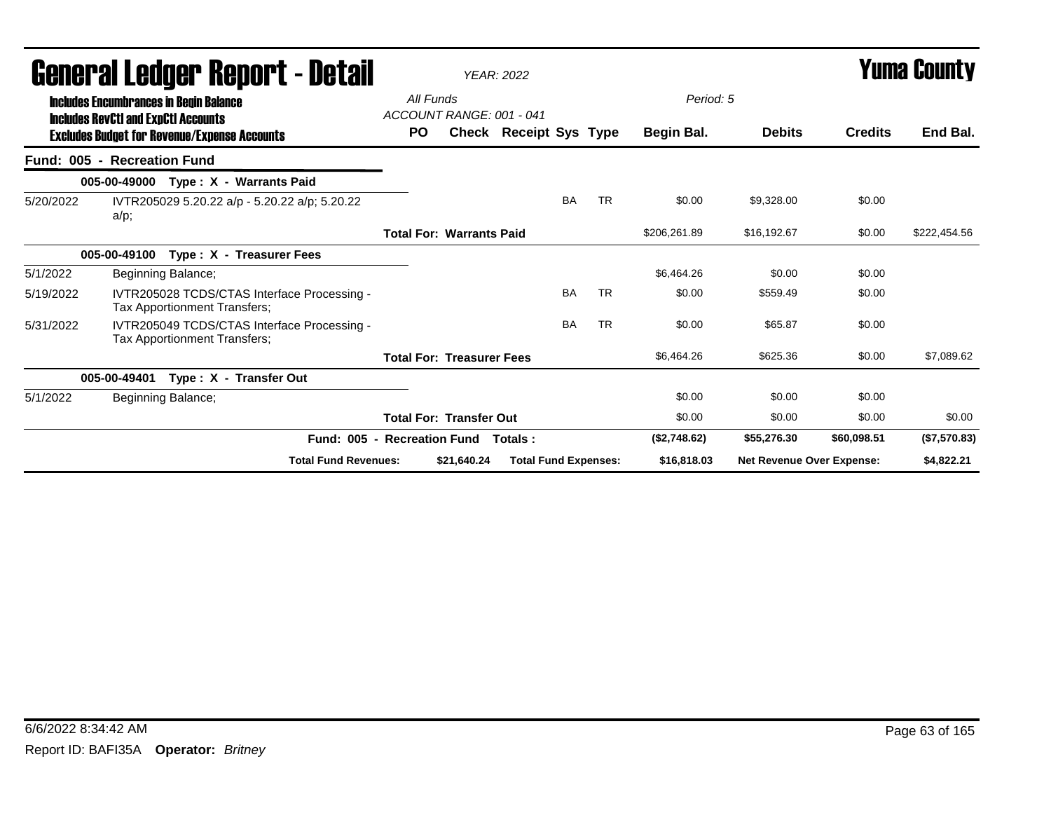| General Ledger Report - Detail |                                                                                             |                                       | <b>YEAR: 2022</b>                |                               |           |           |              | <b>Yuma County</b>               |                |              |
|--------------------------------|---------------------------------------------------------------------------------------------|---------------------------------------|----------------------------------|-------------------------------|-----------|-----------|--------------|----------------------------------|----------------|--------------|
|                                | <b>Includes Encumbrances in Begin Balance</b><br><b>Includes RevCtI and ExpCtI Accounts</b> | All Funds<br>ACCOUNT RANGE: 001 - 041 |                                  |                               |           |           | Period: 5    |                                  |                |              |
|                                | <b>Excludes Budget for Revenue/Expense Accounts</b>                                         | PO.                                   |                                  | <b>Check Receipt Sys Type</b> |           |           | Begin Bal.   | <b>Debits</b>                    | <b>Credits</b> | End Bal.     |
|                                | Fund: 005 - Recreation Fund                                                                 |                                       |                                  |                               |           |           |              |                                  |                |              |
|                                | 005-00-49000 Type: X - Warrants Paid                                                        |                                       |                                  |                               |           |           |              |                                  |                |              |
| 5/20/2022                      | IVTR205029 5.20.22 a/p - 5.20.22 a/p; 5.20.22<br>a/p;                                       |                                       |                                  |                               | <b>BA</b> | <b>TR</b> | \$0.00       | \$9,328.00                       | \$0.00         |              |
|                                |                                                                                             |                                       | <b>Total For: Warrants Paid</b>  |                               |           |           | \$206,261.89 | \$16,192.67                      | \$0.00         | \$222,454.56 |
|                                | 005-00-49100<br>Type: X - Treasurer Fees                                                    |                                       |                                  |                               |           |           |              |                                  |                |              |
| 5/1/2022                       | Beginning Balance;                                                                          |                                       |                                  |                               |           |           | \$6,464.26   | \$0.00                           | \$0.00         |              |
| 5/19/2022                      | IVTR205028 TCDS/CTAS Interface Processing -<br>Tax Apportionment Transfers;                 |                                       |                                  |                               | <b>BA</b> | <b>TR</b> | \$0.00       | \$559.49                         | \$0.00         |              |
| 5/31/2022                      | IVTR205049 TCDS/CTAS Interface Processing -<br>Tax Apportionment Transfers;                 |                                       |                                  |                               | <b>BA</b> | <b>TR</b> | \$0.00       | \$65.87                          | \$0.00         |              |
|                                |                                                                                             |                                       | <b>Total For: Treasurer Fees</b> |                               |           |           | \$6,464.26   | \$625.36                         | \$0.00         | \$7,089.62   |
|                                | 005-00-49401<br>Type: X - Transfer Out                                                      |                                       |                                  |                               |           |           |              |                                  |                |              |
| 5/1/2022                       | Beginning Balance;                                                                          |                                       |                                  |                               |           |           | \$0.00       | \$0.00                           | \$0.00         |              |
|                                |                                                                                             |                                       | <b>Total For: Transfer Out</b>   |                               |           |           | \$0.00       | \$0.00                           | \$0.00         | \$0.00       |
|                                | Fund: 005 - Recreation Fund                                                                 |                                       |                                  | Totals :                      |           |           | (\$2,748.62) | \$55,276.30                      | \$60,098.51    | (\$7,570.83) |
|                                | <b>Total Fund Revenues:</b>                                                                 |                                       | \$21,640.24                      | <b>Total Fund Expenses:</b>   |           |           | \$16,818.03  | <b>Net Revenue Over Expense:</b> |                | \$4,822.21   |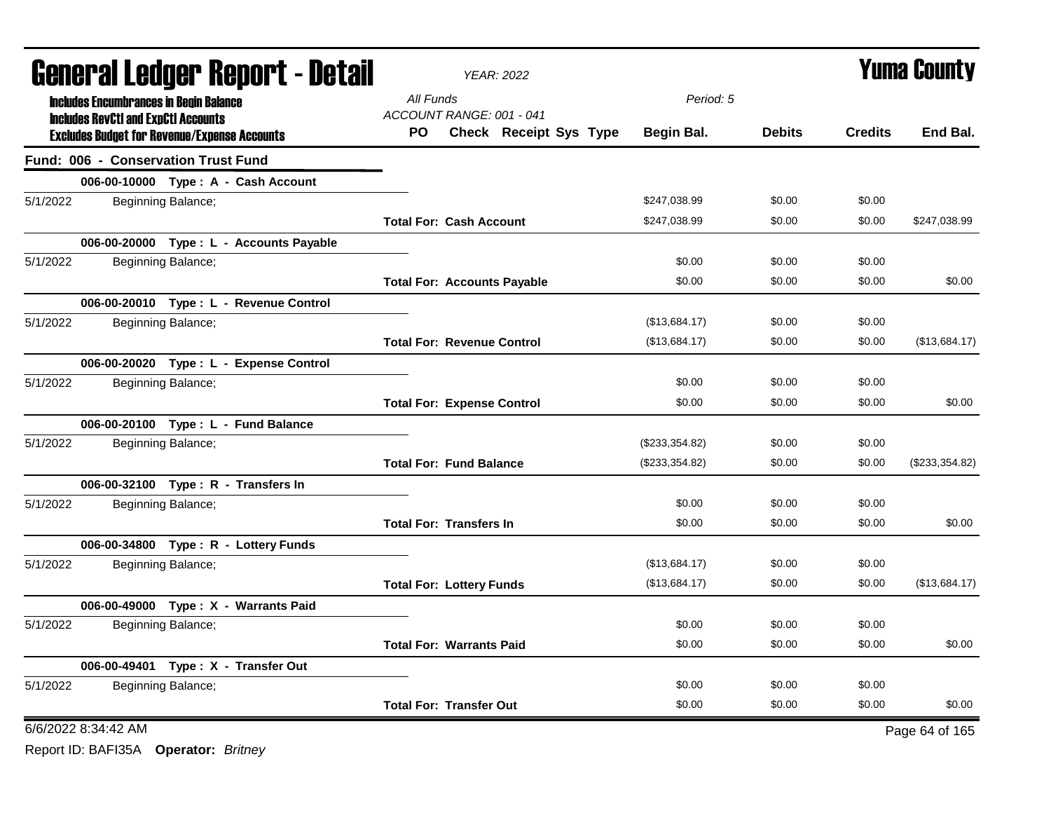| <b>General Ledger Report - Detail</b>                                                             | <b>YEAR: 2022</b>                                                |                | <b>Yuma County</b> |                |                |
|---------------------------------------------------------------------------------------------------|------------------------------------------------------------------|----------------|--------------------|----------------|----------------|
| <b>Includes Encumbrances in Begin Balance</b>                                                     | All Funds                                                        | Period: 5      |                    |                |                |
| <b>Includes RevCtI and ExpCtI Accounts</b><br><b>Excludes Budget for Revenue/Expense Accounts</b> | ACCOUNT RANGE: 001 - 041<br><b>Check Receipt Sys Type</b><br>PO. | Begin Bal.     | <b>Debits</b>      | <b>Credits</b> | End Bal.       |
| <b>Fund: 006 - Conservation Trust Fund</b>                                                        |                                                                  |                |                    |                |                |
| 006-00-10000 Type: A - Cash Account                                                               |                                                                  |                |                    |                |                |
| 5/1/2022<br>Beginning Balance;                                                                    |                                                                  | \$247,038.99   | \$0.00             | \$0.00         |                |
|                                                                                                   | <b>Total For: Cash Account</b>                                   | \$247,038.99   | \$0.00             | \$0.00         | \$247,038.99   |
| 006-00-20000 Type : L - Accounts Payable                                                          |                                                                  |                |                    |                |                |
| 5/1/2022<br>Beginning Balance;                                                                    |                                                                  | \$0.00         | \$0.00             | \$0.00         |                |
|                                                                                                   | <b>Total For: Accounts Payable</b>                               | \$0.00         | \$0.00             | \$0.00         | \$0.00         |
| 006-00-20010 Type: L - Revenue Control                                                            |                                                                  |                |                    |                |                |
| 5/1/2022<br>Beginning Balance;                                                                    |                                                                  | (\$13,684.17)  | \$0.00             | \$0.00         |                |
|                                                                                                   | <b>Total For: Revenue Control</b>                                | (\$13,684.17)  | \$0.00             | \$0.00         | (\$13,684.17)  |
| 006-00-20020 Type: L - Expense Control                                                            |                                                                  |                |                    |                |                |
| 5/1/2022<br>Beginning Balance;                                                                    |                                                                  | \$0.00         | \$0.00             | \$0.00         |                |
|                                                                                                   | <b>Total For: Expense Control</b>                                | \$0.00         | \$0.00             | \$0.00         | \$0.00         |
| 006-00-20100 Type: L - Fund Balance                                                               |                                                                  |                |                    |                |                |
| 5/1/2022<br>Beginning Balance;                                                                    |                                                                  | (\$233,354.82) | \$0.00             | \$0.00         |                |
|                                                                                                   | <b>Total For: Fund Balance</b>                                   | (\$233,354.82) | \$0.00             | \$0.00         | (\$233,354.82) |
| 006-00-32100 Type: R - Transfers In                                                               |                                                                  |                |                    |                |                |
| 5/1/2022<br>Beginning Balance;                                                                    |                                                                  | \$0.00         | \$0.00             | \$0.00         |                |
|                                                                                                   | <b>Total For: Transfers In</b>                                   | \$0.00         | \$0.00             | \$0.00         | \$0.00         |
| 006-00-34800 Type: R - Lottery Funds                                                              |                                                                  |                |                    |                |                |
| 5/1/2022<br>Beginning Balance;                                                                    |                                                                  | (\$13,684.17)  | \$0.00             | \$0.00         |                |
|                                                                                                   | <b>Total For: Lottery Funds</b>                                  | (\$13,684.17)  | \$0.00             | \$0.00         | (\$13,684.17)  |
| 006-00-49000 Type: X - Warrants Paid                                                              |                                                                  |                |                    |                |                |
| 5/1/2022<br>Beginning Balance;                                                                    |                                                                  | \$0.00         | \$0.00             | \$0.00         |                |
|                                                                                                   | <b>Total For: Warrants Paid</b>                                  | \$0.00         | \$0.00             | \$0.00         | \$0.00         |
| 006-00-49401 Type: X - Transfer Out                                                               |                                                                  |                |                    |                |                |
| 5/1/2022<br>Beginning Balance;                                                                    |                                                                  | \$0.00         | \$0.00             | \$0.00         |                |
|                                                                                                   | <b>Total For: Transfer Out</b>                                   | \$0.00         | \$0.00             | \$0.00         | \$0.00         |
| 6/6/2022 8:34:42 AM                                                                               |                                                                  |                |                    |                | Page 64 of 165 |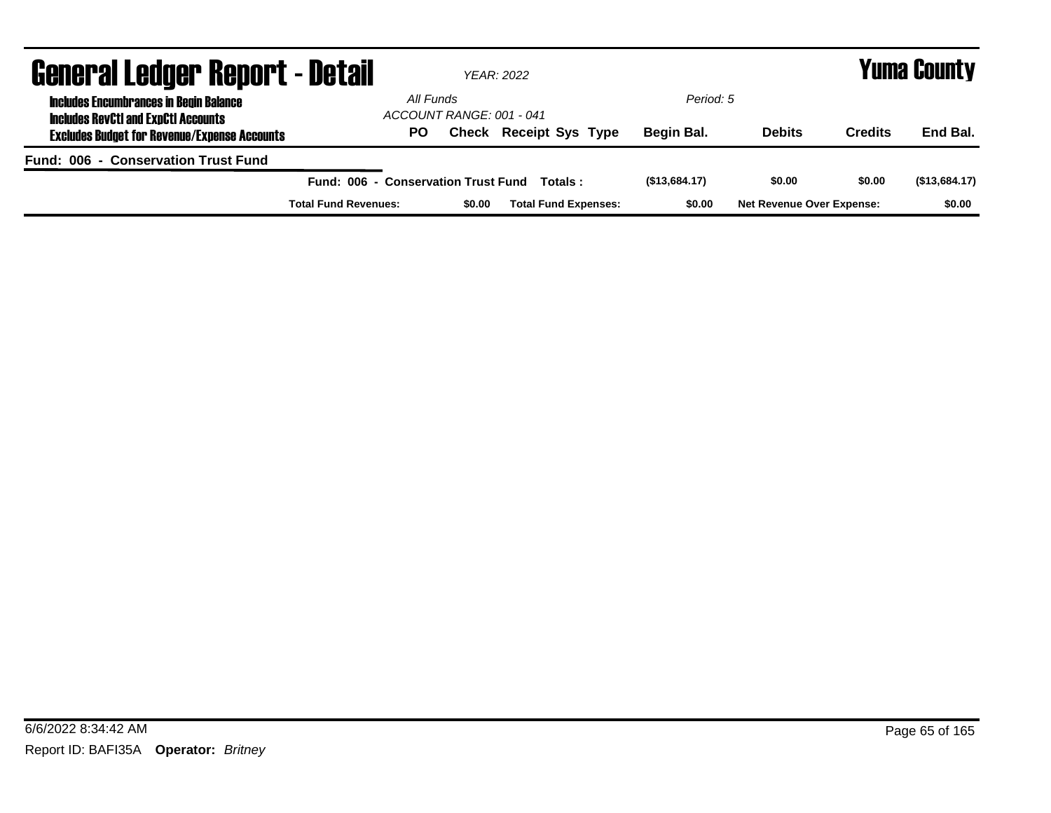| <b>General Ledger Report - Detail</b>                                                       |                                     |                          | YEAR: 2022                    |               | <b>Yuma County</b>               |                |               |
|---------------------------------------------------------------------------------------------|-------------------------------------|--------------------------|-------------------------------|---------------|----------------------------------|----------------|---------------|
| <b>Includes Encumbrances in Begin Balance</b><br><b>Includes RevCtI and ExpCtI Accounts</b> | All Funds                           | ACCOUNT RANGE: 001 - 041 |                               | Period: 5     |                                  |                |               |
| <b>Excludes Budget for Revenue/Expense Accounts</b>                                         | PO.                                 |                          | <b>Check Receipt Sys Type</b> | Begin Bal.    | <b>Debits</b>                    | <b>Credits</b> | End Bal.      |
| Fund: 006 - Conservation Trust Fund                                                         |                                     |                          |                               |               |                                  |                |               |
|                                                                                             | Fund: 006 - Conservation Trust Fund |                          | Totals :                      | (\$13,684.17) | \$0.00                           | \$0.00         | (\$13,684.17) |
|                                                                                             | <b>Total Fund Revenues:</b>         | \$0.00                   | <b>Total Fund Expenses:</b>   | \$0.00        | <b>Net Revenue Over Expense:</b> |                | \$0.00        |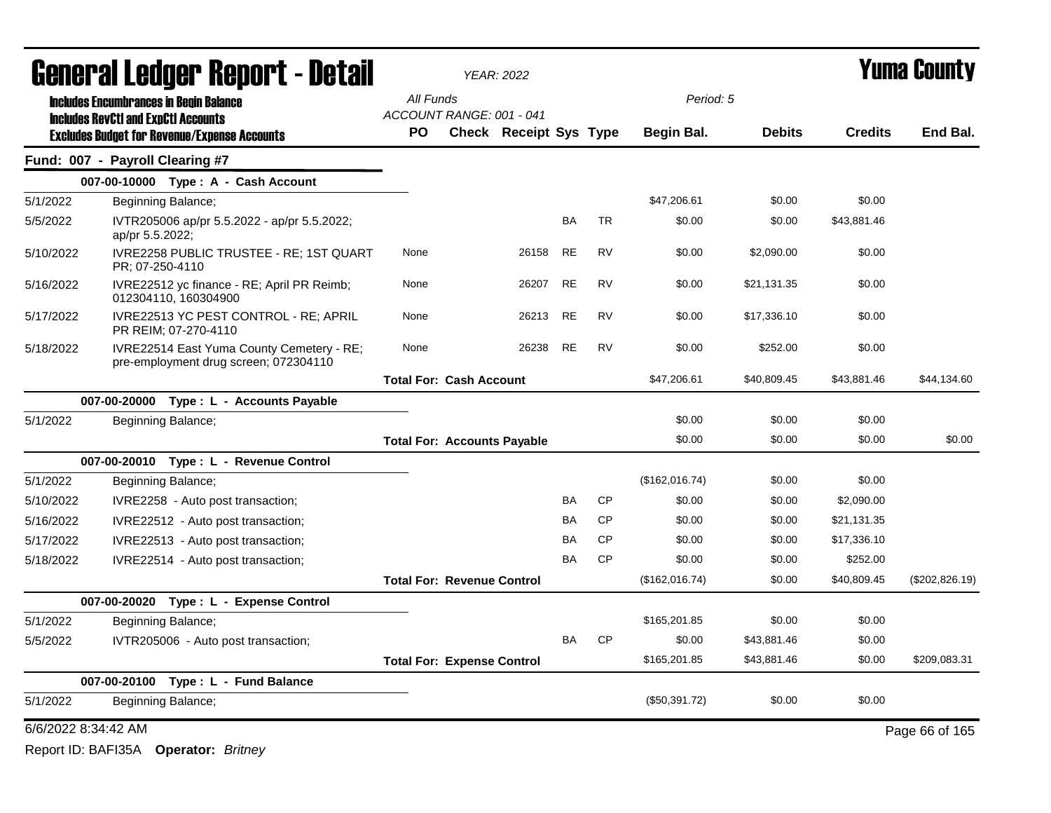|                     | General Ledger Report - Detail                |                                                                                    |                                       | <b>YEAR: 2022</b>             |           |           |                |               | <b>Yuma County</b> |                 |
|---------------------|-----------------------------------------------|------------------------------------------------------------------------------------|---------------------------------------|-------------------------------|-----------|-----------|----------------|---------------|--------------------|-----------------|
|                     | <b>Includes Encumbrances in Begin Balance</b> |                                                                                    | All Funds                             |                               |           |           | Period: 5      |               |                    |                 |
|                     | <b>Includes RevCtI and ExpCtI Accounts</b>    |                                                                                    | ACCOUNT RANGE: 001 - 041<br><b>PO</b> | <b>Check Receipt Sys Type</b> |           |           | Begin Bal.     | <b>Debits</b> | <b>Credits</b>     | End Bal.        |
|                     | Fund: 007 - Payroll Clearing #7               | <b>Excludes Budget for Revenue/Expense Accounts</b>                                |                                       |                               |           |           |                |               |                    |                 |
|                     |                                               | 007-00-10000 Type: A - Cash Account                                                |                                       |                               |           |           |                |               |                    |                 |
| 5/1/2022            | Beginning Balance;                            |                                                                                    |                                       |                               |           |           | \$47,206.61    | \$0.00        | \$0.00             |                 |
| 5/5/2022            | ap/pr 5.5.2022;                               | IVTR205006 ap/pr 5.5.2022 - ap/pr 5.5.2022;                                        |                                       |                               | BA        | <b>TR</b> | \$0.00         | \$0.00        | \$43,881.46        |                 |
| 5/10/2022           | PR: 07-250-4110                               | IVRE2258 PUBLIC TRUSTEE - RE; 1ST QUART                                            | None                                  | 26158                         | <b>RE</b> | <b>RV</b> | \$0.00         | \$2,090.00    | \$0.00             |                 |
| 5/16/2022           |                                               | IVRE22512 yc finance - RE; April PR Reimb;<br>012304110, 160304900                 | None                                  | 26207                         | <b>RE</b> | <b>RV</b> | \$0.00         | \$21,131.35   | \$0.00             |                 |
| 5/17/2022           |                                               | IVRE22513 YC PEST CONTROL - RE; APRIL<br>PR REIM; 07-270-4110                      | None                                  | 26213                         | <b>RE</b> | <b>RV</b> | \$0.00         | \$17,336.10   | \$0.00             |                 |
| 5/18/2022           |                                               | IVRE22514 East Yuma County Cemetery - RE;<br>pre-employment drug screen; 072304110 | None                                  | 26238                         | <b>RE</b> | <b>RV</b> | \$0.00         | \$252.00      | \$0.00             |                 |
|                     |                                               |                                                                                    | <b>Total For: Cash Account</b>        |                               |           |           | \$47,206.61    | \$40,809.45   | \$43.881.46        | \$44.134.60     |
|                     | 007-00-20000                                  | Type: L - Accounts Payable                                                         |                                       |                               |           |           |                |               |                    |                 |
| 5/1/2022            | Beginning Balance;                            |                                                                                    |                                       |                               |           |           | \$0.00         | \$0.00        | \$0.00             |                 |
|                     |                                               |                                                                                    | <b>Total For: Accounts Payable</b>    |                               |           |           | \$0.00         | \$0.00        | \$0.00             | \$0.00          |
|                     |                                               | 007-00-20010 Type: L - Revenue Control                                             |                                       |                               |           |           |                |               |                    |                 |
| 5/1/2022            | Beginning Balance;                            |                                                                                    |                                       |                               |           |           | (\$162,016.74) | \$0.00        | \$0.00             |                 |
| 5/10/2022           |                                               | IVRE2258 - Auto post transaction;                                                  |                                       |                               | <b>BA</b> | <b>CP</b> | \$0.00         | \$0.00        | \$2,090.00         |                 |
| 5/16/2022           |                                               | IVRE22512 - Auto post transaction;                                                 |                                       |                               | BA        | <b>CP</b> | \$0.00         | \$0.00        | \$21,131.35        |                 |
| 5/17/2022           |                                               | IVRE22513 - Auto post transaction;                                                 |                                       |                               | BA        | <b>CP</b> | \$0.00         | \$0.00        | \$17,336.10        |                 |
| 5/18/2022           |                                               | IVRE22514 - Auto post transaction;                                                 |                                       |                               | BA        | <b>CP</b> | \$0.00         | \$0.00        | \$252.00           |                 |
|                     |                                               |                                                                                    | <b>Total For: Revenue Control</b>     |                               |           |           | (\$162,016.74) | \$0.00        | \$40,809.45        | (\$202, 826.19) |
|                     | 007-00-20020                                  | Type: L - Expense Control                                                          |                                       |                               |           |           |                |               |                    |                 |
| 5/1/2022            | Beginning Balance;                            |                                                                                    |                                       |                               |           |           | \$165,201.85   | \$0.00        | \$0.00             |                 |
| 5/5/2022            |                                               | IVTR205006 - Auto post transaction;                                                |                                       |                               | BA        | <b>CP</b> | \$0.00         | \$43,881.46   | \$0.00             |                 |
|                     |                                               |                                                                                    | <b>Total For: Expense Control</b>     |                               |           |           | \$165,201.85   | \$43,881.46   | \$0.00             | \$209,083.31    |
|                     | 007-00-20100                                  | Type: L - Fund Balance                                                             |                                       |                               |           |           |                |               |                    |                 |
| 5/1/2022            | Beginning Balance;                            |                                                                                    |                                       |                               |           |           | (\$50,391.72)  | \$0.00        | \$0.00             |                 |
| 6/6/2022 8:34:42 AM |                                               |                                                                                    |                                       |                               |           |           |                |               |                    | Page 66 of 165  |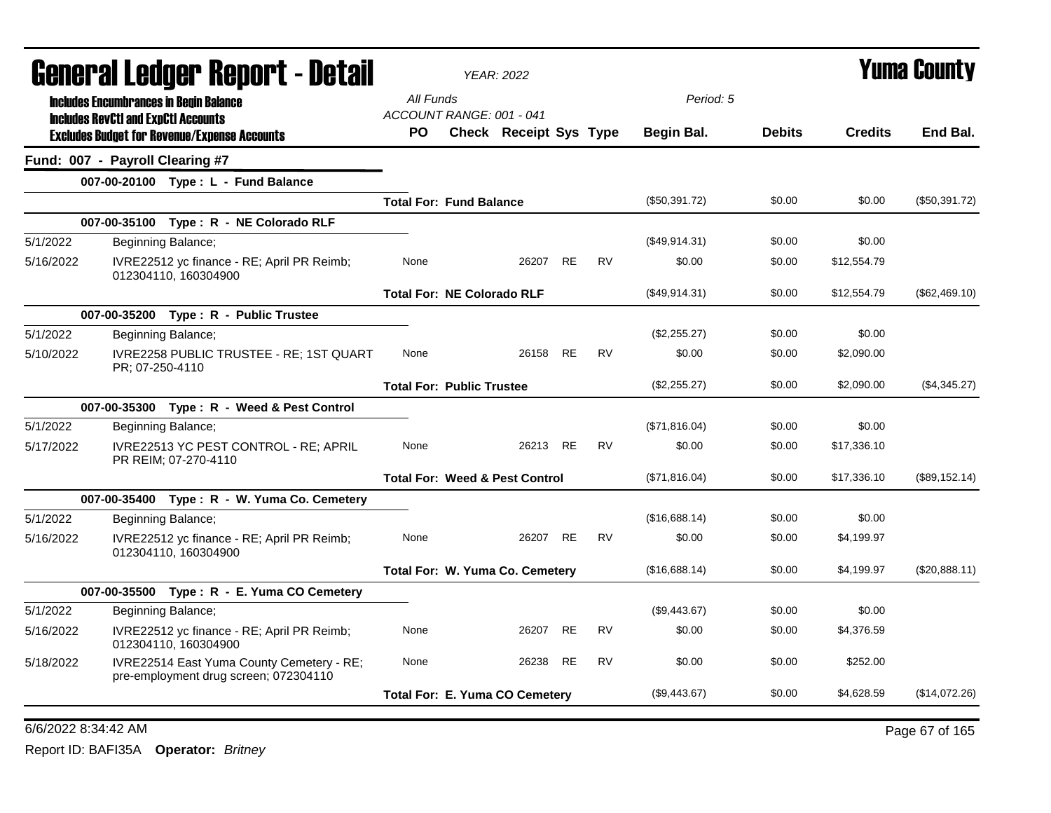|           | General Ledger Report - Detail                                                     |                                   | <b>YEAR: 2022</b>                         |           |           |               |               |                | Yuma County    |
|-----------|------------------------------------------------------------------------------------|-----------------------------------|-------------------------------------------|-----------|-----------|---------------|---------------|----------------|----------------|
|           | <b>Includes Encumbrances in Begin Balance</b>                                      | All Funds                         |                                           |           |           | Period: 5     |               |                |                |
|           | <b>Includes RevCtI and ExpCtI Accounts</b>                                         | ACCOUNT RANGE: 001 - 041          |                                           |           |           |               |               |                |                |
|           | <b>Excludes Budget for Revenue/Expense Accounts</b>                                | PO.                               | <b>Check Receipt Sys Type</b>             |           |           | Begin Bal.    | <b>Debits</b> | <b>Credits</b> | End Bal.       |
|           | Fund: 007 - Payroll Clearing #7                                                    |                                   |                                           |           |           |               |               |                |                |
|           | 007-00-20100 Type: L - Fund Balance                                                |                                   |                                           |           |           |               |               |                |                |
|           |                                                                                    | <b>Total For: Fund Balance</b>    |                                           |           |           | (\$50,391.72) | \$0.00        | \$0.00         | (\$50,391.72)  |
|           | 007-00-35100 Type: R - NE Colorado RLF                                             |                                   |                                           |           |           |               |               |                |                |
| 5/1/2022  | Beginning Balance;                                                                 |                                   |                                           |           |           | (\$49,914.31) | \$0.00        | \$0.00         |                |
| 5/16/2022 | IVRE22512 yc finance - RE; April PR Reimb;<br>012304110, 160304900                 | None                              | 26207                                     | <b>RE</b> | <b>RV</b> | \$0.00        | \$0.00        | \$12,554.79    |                |
|           |                                                                                    | <b>Total For: NE Colorado RLF</b> |                                           |           |           | (\$49,914.31) | \$0.00        | \$12,554.79    | (\$62,469.10)  |
|           | 007-00-35200 Type: R - Public Trustee                                              |                                   |                                           |           |           |               |               |                |                |
| 5/1/2022  | Beginning Balance;                                                                 |                                   |                                           |           |           | (\$2,255.27)  | \$0.00        | \$0.00         |                |
| 5/10/2022 | IVRE2258 PUBLIC TRUSTEE - RE; 1ST QUART<br>PR; 07-250-4110                         | None                              | 26158                                     | <b>RE</b> | <b>RV</b> | \$0.00        | \$0.00        | \$2,090.00     |                |
|           |                                                                                    | <b>Total For: Public Trustee</b>  |                                           |           |           | (\$2,255.27)  | \$0.00        | \$2,090.00     | (\$4,345.27)   |
|           | 007-00-35300 Type: R - Weed & Pest Control                                         |                                   |                                           |           |           |               |               |                |                |
| 5/1/2022  | Beginning Balance;                                                                 |                                   |                                           |           |           | (\$71,816.04) | \$0.00        | \$0.00         |                |
| 5/17/2022 | IVRE22513 YC PEST CONTROL - RE; APRIL<br>PR REIM; 07-270-4110                      | None                              | 26213 RE                                  |           | <b>RV</b> | \$0.00        | \$0.00        | \$17,336.10    |                |
|           |                                                                                    |                                   | <b>Total For: Weed &amp; Pest Control</b> |           |           | (\$71,816.04) | \$0.00        | \$17,336.10    | (\$89, 152.14) |
|           | 007-00-35400 Type: R - W. Yuma Co. Cemetery                                        |                                   |                                           |           |           |               |               |                |                |
| 5/1/2022  | Beginning Balance;                                                                 |                                   |                                           |           |           | (\$16,688.14) | \$0.00        | \$0.00         |                |
| 5/16/2022 | IVRE22512 yc finance - RE; April PR Reimb;<br>012304110, 160304900                 | None                              | 26207 RE                                  |           | <b>RV</b> | \$0.00        | \$0.00        | \$4,199.97     |                |
|           |                                                                                    |                                   | Total For: W. Yuma Co. Cemetery           |           |           | (\$16,688.14) | \$0.00        | \$4,199.97     | (\$20,888.11)  |
|           | 007-00-35500 Type: R - E. Yuma CO Cemetery                                         |                                   |                                           |           |           |               |               |                |                |
| 5/1/2022  | Beginning Balance;                                                                 |                                   |                                           |           |           | (\$9,443.67)  | \$0.00        | \$0.00         |                |
| 5/16/2022 | IVRE22512 yc finance - RE; April PR Reimb;<br>012304110, 160304900                 | None                              | 26207                                     | RE        | <b>RV</b> | \$0.00        | \$0.00        | \$4,376.59     |                |
| 5/18/2022 | IVRE22514 East Yuma County Cemetery - RE;<br>pre-employment drug screen; 072304110 | None                              | 26238                                     | <b>RE</b> | <b>RV</b> | \$0.00        | \$0.00        | \$252.00       |                |
|           |                                                                                    | Total For: E. Yuma CO Cemetery    |                                           |           |           | (\$9,443.67)  | \$0.00        | \$4,628.59     | (\$14,072.26)  |
|           |                                                                                    |                                   |                                           |           |           |               |               |                |                |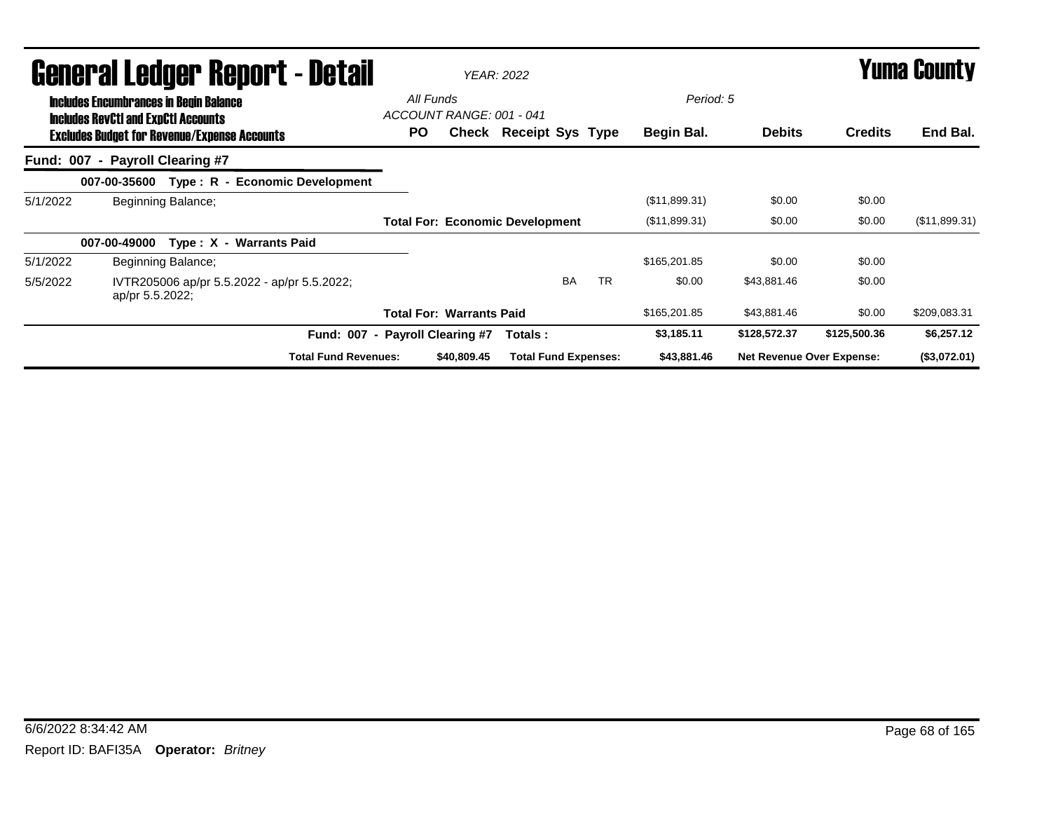|          | <b>General Ledger Report - Detail</b>                                                       | <b>YEAR: 2022</b>                     |             |                                        |           |           |               |                                  | <b>Yuma County</b> |               |  |
|----------|---------------------------------------------------------------------------------------------|---------------------------------------|-------------|----------------------------------------|-----------|-----------|---------------|----------------------------------|--------------------|---------------|--|
|          | <b>Includes Encumbrances in Begin Balance</b><br><b>Includes RevCtI and ExpCtI Accounts</b> | All Funds<br>ACCOUNT RANGE: 001 - 041 |             |                                        |           |           | Period: 5     |                                  |                    |               |  |
|          | <b>Excludes Budget for Revenue/Expense Accounts</b>                                         | PO.                                   |             | Check Receipt Sys Type                 |           |           | Begin Bal.    | <b>Debits</b>                    | <b>Credits</b>     | End Bal.      |  |
|          | Fund: 007 - Payroll Clearing #7                                                             |                                       |             |                                        |           |           |               |                                  |                    |               |  |
|          | Type: R - Economic Development<br>007-00-35600                                              |                                       |             |                                        |           |           |               |                                  |                    |               |  |
| 5/1/2022 | Beginning Balance;                                                                          |                                       |             |                                        |           |           | (\$11,899.31) | \$0.00                           | \$0.00             |               |  |
|          |                                                                                             |                                       |             | <b>Total For: Economic Development</b> |           |           | (\$11,899.31) | \$0.00                           | \$0.00             | (\$11,899.31) |  |
|          | Type: X - Warrants Paid<br>007-00-49000                                                     |                                       |             |                                        |           |           |               |                                  |                    |               |  |
| 5/1/2022 | Beginning Balance;                                                                          |                                       |             |                                        |           |           | \$165,201.85  | \$0.00                           | \$0.00             |               |  |
| 5/5/2022 | IVTR205006 ap/pr 5.5.2022 - ap/pr 5.5.2022;<br>ap/pr 5.5.2022;                              |                                       |             |                                        | <b>BA</b> | <b>TR</b> | \$0.00        | \$43,881.46                      | \$0.00             |               |  |
|          |                                                                                             | <b>Total For: Warrants Paid</b>       |             |                                        |           |           | \$165,201.85  | \$43,881.46                      | \$0.00             | \$209,083.31  |  |
|          |                                                                                             | Fund: 007 - Payroll Clearing #7       |             | Totals :                               |           |           | \$3,185.11    | \$128,572.37                     | \$125,500.36       | \$6,257.12    |  |
|          | <b>Total Fund Revenues:</b>                                                                 |                                       | \$40,809.45 | <b>Total Fund Expenses:</b>            |           |           | \$43,881.46   | <b>Net Revenue Over Expense:</b> |                    | (\$3,072.01)  |  |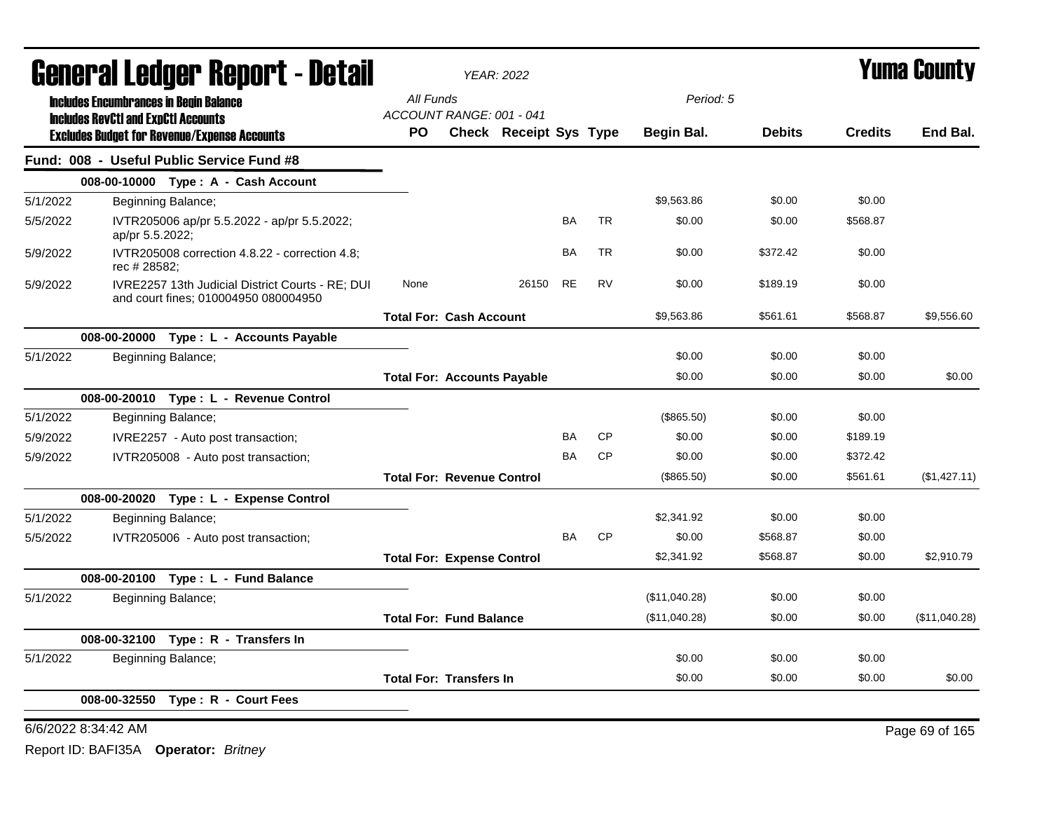|          | <b>General Ledger Report - Detail</b>         |                                                                                          |                                    | <b>YEAR: 2022</b>      |           |           |               | <b>Yuma County</b> |                |                |  |
|----------|-----------------------------------------------|------------------------------------------------------------------------------------------|------------------------------------|------------------------|-----------|-----------|---------------|--------------------|----------------|----------------|--|
|          | <b>Includes Encumbrances in Begin Balance</b> |                                                                                          | All Funds                          |                        |           |           | Period: 5     |                    |                |                |  |
|          | <b>Includes RevCtI and ExpCtI Accounts</b>    |                                                                                          | ACCOUNT RANGE: 001 - 041           |                        |           |           |               |                    |                | End Bal.       |  |
|          |                                               | <b>Excludes Budget for Revenue/Expense Accounts</b>                                      | PO.                                | Check Receipt Sys Type |           |           | Begin Bal.    | <b>Debits</b>      | <b>Credits</b> |                |  |
|          |                                               | Fund: 008 - Useful Public Service Fund #8                                                |                                    |                        |           |           |               |                    |                |                |  |
|          |                                               | 008-00-10000 Type: A - Cash Account                                                      |                                    |                        |           |           |               |                    |                |                |  |
| 5/1/2022 |                                               | Beginning Balance;                                                                       |                                    |                        |           |           | \$9,563.86    | \$0.00             | \$0.00         |                |  |
| 5/5/2022 | ap/pr 5.5.2022;                               | IVTR205006 ap/pr 5.5.2022 - ap/pr 5.5.2022;                                              |                                    |                        | BA        | <b>TR</b> | \$0.00        | \$0.00             | \$568.87       |                |  |
| 5/9/2022 | rec # 28582;                                  | IVTR205008 correction 4.8.22 - correction 4.8;                                           |                                    |                        | <b>BA</b> | <b>TR</b> | \$0.00        | \$372.42           | \$0.00         |                |  |
| 5/9/2022 |                                               | IVRE2257 13th Judicial District Courts - RE; DUI<br>and court fines; 010004950 080004950 | None                               | 26150                  | <b>RE</b> | <b>RV</b> | \$0.00        | \$189.19           | \$0.00         |                |  |
|          |                                               |                                                                                          | <b>Total For: Cash Account</b>     |                        |           |           | \$9,563.86    | \$561.61           | \$568.87       | \$9,556.60     |  |
|          |                                               | 008-00-20000 Type : L - Accounts Payable                                                 |                                    |                        |           |           |               |                    |                |                |  |
| 5/1/2022 |                                               | Beginning Balance;                                                                       |                                    |                        |           |           | \$0.00        | \$0.00             | \$0.00         |                |  |
|          |                                               |                                                                                          | <b>Total For: Accounts Payable</b> |                        |           |           | \$0.00        | \$0.00             | \$0.00         | \$0.00         |  |
|          |                                               | 008-00-20010 Type: L - Revenue Control                                                   |                                    |                        |           |           |               |                    |                |                |  |
| 5/1/2022 |                                               | Beginning Balance;                                                                       |                                    |                        |           |           | (\$865.50)    | \$0.00             | \$0.00         |                |  |
| 5/9/2022 |                                               | IVRE2257 - Auto post transaction;                                                        |                                    |                        | BA        | <b>CP</b> | \$0.00        | \$0.00             | \$189.19       |                |  |
| 5/9/2022 |                                               | IVTR205008 - Auto post transaction;                                                      |                                    |                        | <b>BA</b> | <b>CP</b> | \$0.00        | \$0.00             | \$372.42       |                |  |
|          |                                               |                                                                                          | <b>Total For: Revenue Control</b>  |                        |           |           | (\$865.50)    | \$0.00             | \$561.61       | (\$1,427.11)   |  |
|          |                                               | 008-00-20020 Type: L - Expense Control                                                   |                                    |                        |           |           |               |                    |                |                |  |
| 5/1/2022 |                                               | Beginning Balance;                                                                       |                                    |                        |           |           | \$2,341.92    | \$0.00             | \$0.00         |                |  |
| 5/5/2022 |                                               | IVTR205006 - Auto post transaction;                                                      |                                    |                        | <b>BA</b> | <b>CP</b> | \$0.00        | \$568.87           | \$0.00         |                |  |
|          |                                               |                                                                                          | <b>Total For: Expense Control</b>  |                        |           |           | \$2,341.92    | \$568.87           | \$0.00         | \$2,910.79     |  |
|          |                                               | 008-00-20100 Type: L - Fund Balance                                                      |                                    |                        |           |           |               |                    |                |                |  |
| 5/1/2022 |                                               | Beginning Balance;                                                                       |                                    |                        |           |           | (\$11,040.28) | \$0.00             | \$0.00         |                |  |
|          |                                               |                                                                                          | <b>Total For: Fund Balance</b>     |                        |           |           | (\$11,040.28) | \$0.00             | \$0.00         | (\$11,040.28)  |  |
|          |                                               | 008-00-32100 Type: R - Transfers In                                                      |                                    |                        |           |           |               |                    |                |                |  |
| 5/1/2022 |                                               | Beginning Balance;                                                                       |                                    |                        |           |           | \$0.00        | \$0.00             | \$0.00         |                |  |
|          |                                               |                                                                                          | <b>Total For: Transfers In</b>     |                        |           |           | \$0.00        | \$0.00             | \$0.00         | \$0.00         |  |
|          | 008-00-32550                                  | Type: R - Court Fees                                                                     |                                    |                        |           |           |               |                    |                |                |  |
|          | 6/6/2022 8:34:42 AM                           |                                                                                          |                                    |                        |           |           |               |                    |                | Page 69 of 165 |  |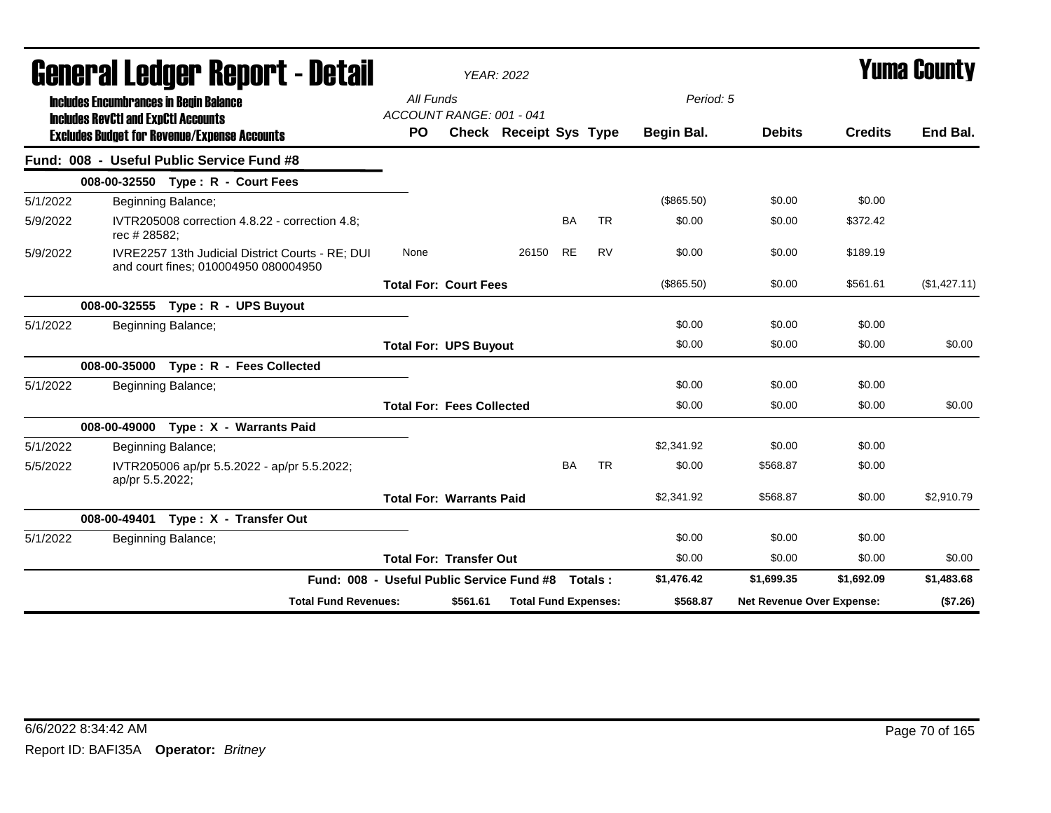|          | General Ledger Report - Detail                                                                                                                     |                                       |                                                  |                                                    |          | <b>YEAR: 2022</b>             |           |           | <b>Yuma County</b>      |                           |                |              |
|----------|----------------------------------------------------------------------------------------------------------------------------------------------------|---------------------------------------|--------------------------------------------------|----------------------------------------------------|----------|-------------------------------|-----------|-----------|-------------------------|---------------------------|----------------|--------------|
|          | <b>Includes Encumbrances in Begin Balance</b><br><b>Includes RevCtI and ExpCtI Accounts</b><br><b>Excludes Budget for Revenue/Expense Accounts</b> |                                       |                                                  | All Funds<br>ACCOUNT RANGE: 001 - 041<br><b>PO</b> |          | <b>Check Receipt Sys Type</b> |           |           | Period: 5<br>Begin Bal. | <b>Debits</b>             | <b>Credits</b> | End Bal.     |
|          | Fund: 008 - Useful Public Service Fund #8                                                                                                          |                                       |                                                  |                                                    |          |                               |           |           |                         |                           |                |              |
|          |                                                                                                                                                    | 008-00-32550 Type: R - Court Fees     |                                                  |                                                    |          |                               |           |           |                         |                           |                |              |
| 5/1/2022 |                                                                                                                                                    | Beginning Balance;                    |                                                  |                                                    |          |                               |           |           | (\$865.50)              | \$0.00                    | \$0.00         |              |
| 5/9/2022 | rec # 28582;                                                                                                                                       |                                       | IVTR205008 correction 4.8.22 - correction 4.8:   |                                                    |          |                               | <b>BA</b> | <b>TR</b> | \$0.00                  | \$0.00                    | \$372.42       |              |
| 5/9/2022 |                                                                                                                                                    | and court fines; 010004950 080004950  | IVRE2257 13th Judicial District Courts - RE; DUI | None                                               |          | 26150 RE                      |           | <b>RV</b> | \$0.00                  | \$0.00                    | \$189.19       |              |
|          |                                                                                                                                                    |                                       |                                                  | <b>Total For: Court Fees</b>                       |          |                               |           |           | (\$865.50)              | \$0.00                    | \$561.61       | (\$1,427.11) |
|          |                                                                                                                                                    | 008-00-32555 Type: R - UPS Buyout     |                                                  |                                                    |          |                               |           |           |                         |                           |                |              |
| 5/1/2022 |                                                                                                                                                    | Beginning Balance;                    |                                                  |                                                    |          |                               |           |           | \$0.00                  | \$0.00                    | \$0.00         |              |
|          |                                                                                                                                                    |                                       |                                                  | <b>Total For: UPS Buyout</b>                       |          |                               |           |           | \$0.00                  | \$0.00                    | \$0.00         | \$0.00       |
|          |                                                                                                                                                    | 008-00-35000 Type: R - Fees Collected |                                                  |                                                    |          |                               |           |           |                         |                           |                |              |
| 5/1/2022 |                                                                                                                                                    | Beginning Balance;                    |                                                  |                                                    |          |                               |           |           | \$0.00                  | \$0.00                    | \$0.00         |              |
|          |                                                                                                                                                    |                                       |                                                  | <b>Total For: Fees Collected</b>                   |          |                               |           |           | \$0.00                  | \$0.00                    | \$0.00         | \$0.00       |
|          |                                                                                                                                                    | 008-00-49000 Type: X - Warrants Paid  |                                                  |                                                    |          |                               |           |           |                         |                           |                |              |
| 5/1/2022 |                                                                                                                                                    | Beginning Balance;                    |                                                  |                                                    |          |                               |           |           | \$2,341.92              | \$0.00                    | \$0.00         |              |
| 5/5/2022 | ap/pr 5.5.2022;                                                                                                                                    |                                       | IVTR205006 ap/pr 5.5.2022 - ap/pr 5.5.2022;      |                                                    |          |                               | <b>BA</b> | <b>TR</b> | \$0.00                  | \$568.87                  | \$0.00         |              |
|          |                                                                                                                                                    |                                       |                                                  | <b>Total For: Warrants Paid</b>                    |          |                               |           |           | \$2,341.92              | \$568.87                  | \$0.00         | \$2,910.79   |
|          |                                                                                                                                                    | 008-00-49401 Type: X - Transfer Out   |                                                  |                                                    |          |                               |           |           |                         |                           |                |              |
| 5/1/2022 |                                                                                                                                                    | Beginning Balance;                    |                                                  |                                                    |          |                               |           |           | \$0.00                  | \$0.00                    | \$0.00         |              |
|          |                                                                                                                                                    |                                       |                                                  | <b>Total For: Transfer Out</b>                     |          |                               |           |           | \$0.00                  | \$0.00                    | \$0.00         | \$0.00       |
|          |                                                                                                                                                    |                                       | Fund: 008 - Useful Public Service Fund #8        |                                                    |          |                               |           | Totals:   | \$1,476.42              | \$1,699.35                | \$1,692.09     | \$1,483.68   |
|          |                                                                                                                                                    |                                       | <b>Total Fund Revenues:</b>                      |                                                    | \$561.61 | <b>Total Fund Expenses:</b>   |           |           | \$568.87                | Net Revenue Over Expense: |                | (\$7.26)     |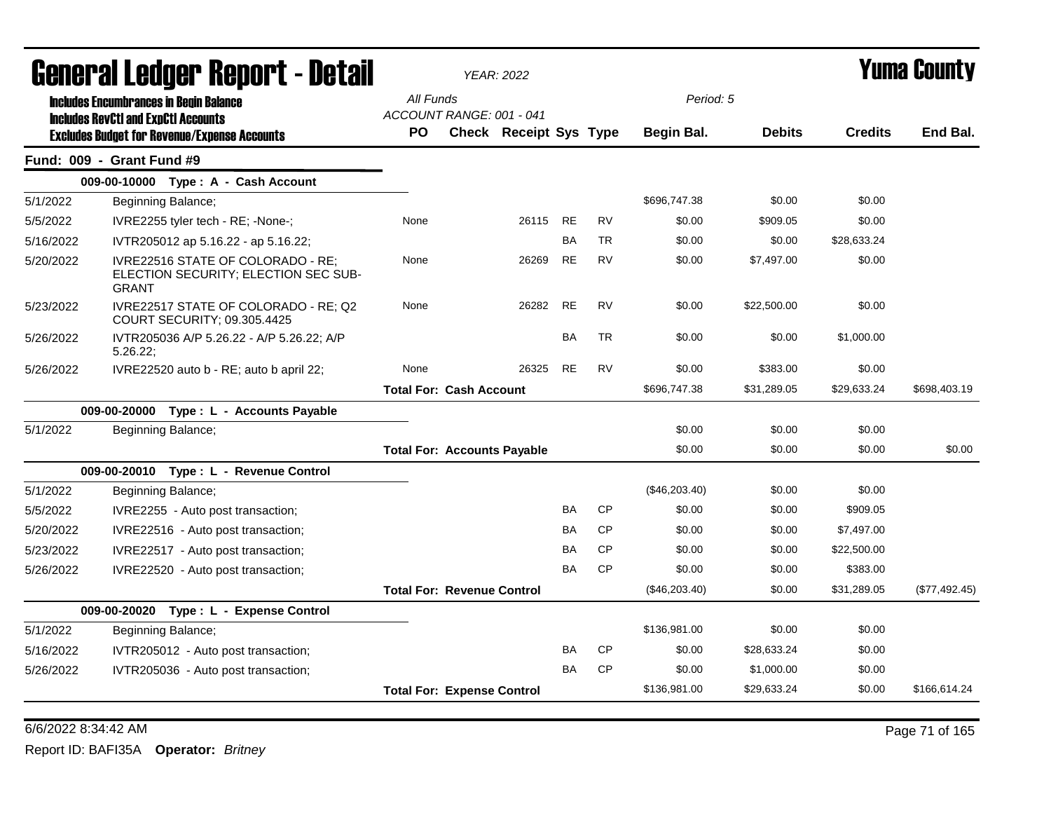|           | General Ledger Report - Detail                                                            |                                    | <b>YEAR: 2022</b>             |           |           |               |               |                | <b>Yuma County</b> |
|-----------|-------------------------------------------------------------------------------------------|------------------------------------|-------------------------------|-----------|-----------|---------------|---------------|----------------|--------------------|
|           | <b>Includes Encumbrances in Begin Balance</b>                                             | All Funds                          |                               |           |           | Period: 5     |               |                |                    |
|           | <b>Includes RevCtI and ExpCtI Accounts</b>                                                | ACCOUNT RANGE: 001 - 041           |                               |           |           |               |               |                |                    |
|           | <b>Excludes Budget for Revenue/Expense Accounts</b>                                       | <b>PO</b>                          | <b>Check Receipt Sys Type</b> |           |           | Begin Bal.    | <b>Debits</b> | <b>Credits</b> | End Bal.           |
|           | <b>Fund: 009 - Grant Fund #9</b>                                                          |                                    |                               |           |           |               |               |                |                    |
|           | 009-00-10000 Type: A - Cash Account                                                       |                                    |                               |           |           |               |               |                |                    |
| 5/1/2022  | Beginning Balance;                                                                        |                                    |                               |           |           | \$696,747.38  | \$0.00        | \$0.00         |                    |
| 5/5/2022  | IVRE2255 tyler tech - RE; -None-;                                                         | None                               | 26115                         | <b>RE</b> | <b>RV</b> | \$0.00        | \$909.05      | \$0.00         |                    |
| 5/16/2022 | IVTR205012 ap 5.16.22 - ap 5.16.22;                                                       |                                    |                               | BA        | <b>TR</b> | \$0.00        | \$0.00        | \$28,633.24    |                    |
| 5/20/2022 | IVRE22516 STATE OF COLORADO - RE:<br>ELECTION SECURITY; ELECTION SEC SUB-<br><b>GRANT</b> | None                               | 26269                         | <b>RE</b> | <b>RV</b> | \$0.00        | \$7,497.00    | \$0.00         |                    |
| 5/23/2022 | IVRE22517 STATE OF COLORADO - RE; Q2<br>COURT SECURITY; 09.305.4425                       | None                               | 26282                         | <b>RE</b> | <b>RV</b> | \$0.00        | \$22,500.00   | \$0.00         |                    |
| 5/26/2022 | IVTR205036 A/P 5.26.22 - A/P 5.26.22; A/P<br>5.26.22;                                     |                                    |                               | BA        | <b>TR</b> | \$0.00        | \$0.00        | \$1,000.00     |                    |
| 5/26/2022 | IVRE22520 auto b - RE; auto b april 22;                                                   | None                               | 26325                         | <b>RE</b> | <b>RV</b> | \$0.00        | \$383.00      | \$0.00         |                    |
|           |                                                                                           | <b>Total For: Cash Account</b>     |                               |           |           | \$696,747.38  | \$31,289.05   | \$29,633.24    | \$698,403.19       |
|           | 009-00-20000 Type: L - Accounts Payable                                                   |                                    |                               |           |           |               |               |                |                    |
| 5/1/2022  | Beginning Balance;                                                                        |                                    |                               |           |           | \$0.00        | \$0.00        | \$0.00         |                    |
|           |                                                                                           | <b>Total For: Accounts Payable</b> |                               |           |           | \$0.00        | \$0.00        | \$0.00         | \$0.00             |
|           | 009-00-20010 Type: L - Revenue Control                                                    |                                    |                               |           |           |               |               |                |                    |
| 5/1/2022  | Beginning Balance;                                                                        |                                    |                               |           |           | (\$46,203.40) | \$0.00        | \$0.00         |                    |
| 5/5/2022  | IVRE2255 - Auto post transaction;                                                         |                                    |                               | <b>BA</b> | <b>CP</b> | \$0.00        | \$0.00        | \$909.05       |                    |
| 5/20/2022 | IVRE22516 - Auto post transaction;                                                        |                                    |                               | BA        | <b>CP</b> | \$0.00        | \$0.00        | \$7,497.00     |                    |
| 5/23/2022 | IVRE22517 - Auto post transaction;                                                        |                                    |                               | BA        | <b>CP</b> | \$0.00        | \$0.00        | \$22,500.00    |                    |
| 5/26/2022 | IVRE22520 - Auto post transaction;                                                        |                                    |                               | BA        | <b>CP</b> | \$0.00        | \$0.00        | \$383.00       |                    |
|           |                                                                                           | <b>Total For: Revenue Control</b>  |                               |           |           | (\$46,203.40) | \$0.00        | \$31,289.05    | (\$77,492.45)      |
|           | 009-00-20020 Type: L - Expense Control                                                    |                                    |                               |           |           |               |               |                |                    |
| 5/1/2022  | Beginning Balance;                                                                        |                                    |                               |           |           | \$136,981.00  | \$0.00        | \$0.00         |                    |
| 5/16/2022 | IVTR205012 - Auto post transaction;                                                       |                                    |                               | BA        | <b>CP</b> | \$0.00        | \$28,633.24   | \$0.00         |                    |
| 5/26/2022 | IVTR205036 - Auto post transaction;                                                       |                                    |                               | BA        | <b>CP</b> | \$0.00        | \$1,000.00    | \$0.00         |                    |
|           |                                                                                           | <b>Total For: Expense Control</b>  |                               |           |           | \$136,981.00  | \$29,633.24   | \$0.00         | \$166,614.24       |
|           |                                                                                           |                                    |                               |           |           |               |               |                |                    |

6/6/2022 8:34:42 AM Page 71 of 165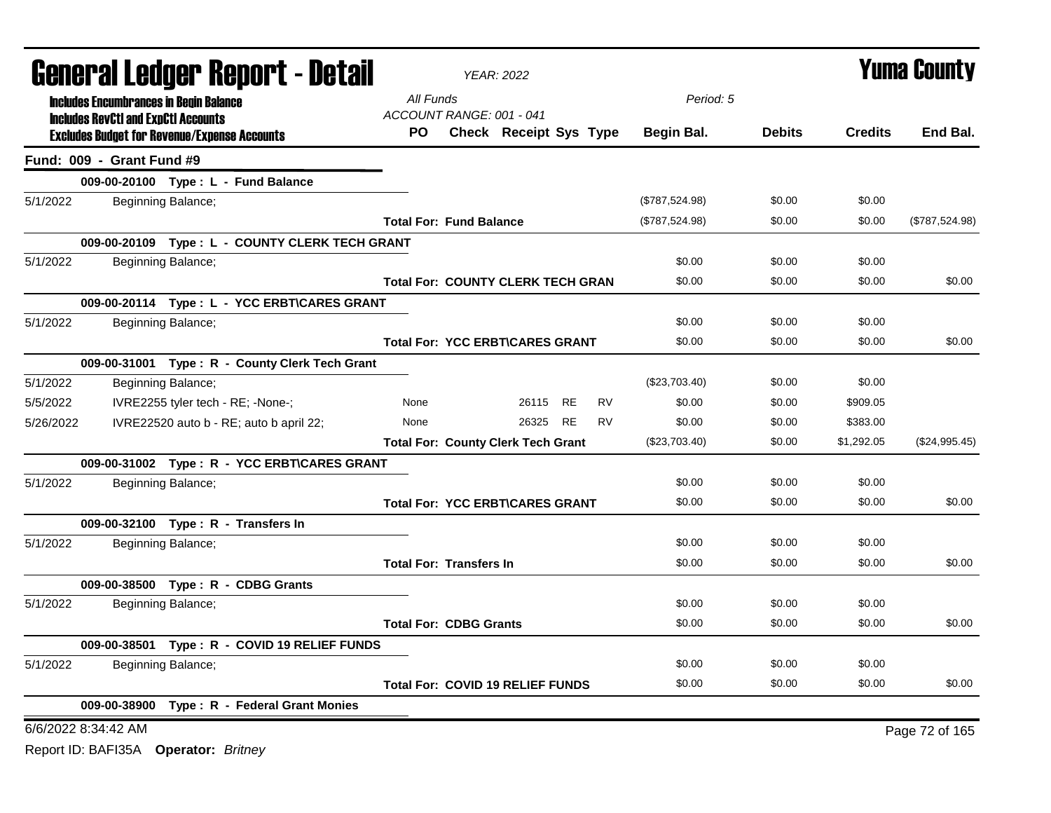|                     | <b>General Ledger Report - Detail</b>                                                             |                                 | <b>YEAR: 2022</b>                         | <b>Yuma County</b>     |                |               |                |                |
|---------------------|---------------------------------------------------------------------------------------------------|---------------------------------|-------------------------------------------|------------------------|----------------|---------------|----------------|----------------|
|                     | <b>Includes Encumbrances in Begin Balance</b>                                                     | All Funds                       |                                           |                        | Period: 5      |               |                |                |
|                     | <b>Includes RevCtI and ExpCtI Accounts</b><br><b>Excludes Budget for Revenue/Expense Accounts</b> | ACCOUNT RANGE: 001 - 041<br>PO. | Check Receipt Sys Type                    |                        | Begin Bal.     | <b>Debits</b> | <b>Credits</b> | End Bal.       |
|                     | Fund: 009 - Grant Fund #9                                                                         |                                 |                                           |                        |                |               |                |                |
|                     | 009-00-20100 Type: L - Fund Balance                                                               |                                 |                                           |                        |                |               |                |                |
| 5/1/2022            | Beginning Balance;                                                                                |                                 |                                           |                        | (\$787,524.98) | \$0.00        | \$0.00         |                |
|                     |                                                                                                   | <b>Total For: Fund Balance</b>  |                                           |                        | (\$787,524.98) | \$0.00        | \$0.00         | (\$787,524.98) |
|                     | 009-00-20109 Type: L - COUNTY CLERK TECH GRANT                                                    |                                 |                                           |                        |                |               |                |                |
| 5/1/2022            | Beginning Balance;                                                                                |                                 |                                           |                        | \$0.00         | \$0.00        | \$0.00         |                |
|                     |                                                                                                   |                                 | <b>Total For: COUNTY CLERK TECH GRAN</b>  |                        | \$0.00         | \$0.00        | \$0.00         | \$0.00         |
|                     | 009-00-20114 Type: L - YCC ERBT\CARES GRANT                                                       |                                 |                                           |                        |                |               |                |                |
| 5/1/2022            | Beginning Balance;                                                                                |                                 |                                           |                        | \$0.00         | \$0.00        | \$0.00         |                |
|                     |                                                                                                   |                                 | <b>Total For: YCC ERBT\CARES GRANT</b>    |                        | \$0.00         | \$0.00        | \$0.00         | \$0.00         |
|                     | 009-00-31001 Type: R - County Clerk Tech Grant                                                    |                                 |                                           |                        |                |               |                |                |
| 5/1/2022            | Beginning Balance;                                                                                |                                 |                                           |                        | (\$23,703.40)  | \$0.00        | \$0.00         |                |
| 5/5/2022            | IVRE2255 tyler tech - RE; -None-;                                                                 | None                            | 26115                                     | <b>RE</b><br><b>RV</b> | \$0.00         | \$0.00        | \$909.05       |                |
| 5/26/2022           | IVRE22520 auto b - RE; auto b april 22;                                                           | None                            | 26325                                     | <b>RE</b><br><b>RV</b> | \$0.00         | \$0.00        | \$383.00       |                |
|                     |                                                                                                   |                                 | <b>Total For: County Clerk Tech Grant</b> |                        | (\$23,703.40)  | \$0.00        | \$1,292.05     | (\$24,995.45)  |
|                     | 009-00-31002 Type: R - YCC ERBT\CARES GRANT                                                       |                                 |                                           |                        |                |               |                |                |
| 5/1/2022            | Beginning Balance;                                                                                |                                 |                                           |                        | \$0.00         | \$0.00        | \$0.00         |                |
|                     |                                                                                                   |                                 | <b>Total For: YCC ERBT\CARES GRANT</b>    |                        | \$0.00         | \$0.00        | \$0.00         | \$0.00         |
|                     | 009-00-32100 Type: R - Transfers In                                                               |                                 |                                           |                        |                |               |                |                |
| 5/1/2022            | Beginning Balance;                                                                                |                                 |                                           |                        | \$0.00         | \$0.00        | \$0.00         |                |
|                     |                                                                                                   | <b>Total For: Transfers In</b>  |                                           |                        | \$0.00         | \$0.00        | \$0.00         | \$0.00         |
|                     | 009-00-38500 Type: R - CDBG Grants                                                                |                                 |                                           |                        |                |               |                |                |
| 5/1/2022            | Beginning Balance;                                                                                |                                 |                                           |                        | \$0.00         | \$0.00        | \$0.00         |                |
|                     |                                                                                                   | <b>Total For: CDBG Grants</b>   |                                           |                        | \$0.00         | \$0.00        | \$0.00         | \$0.00         |
|                     | 009-00-38501 Type: R - COVID 19 RELIEF FUNDS                                                      |                                 |                                           |                        |                |               |                |                |
| 5/1/2022            | Beginning Balance;                                                                                |                                 |                                           |                        | \$0.00         | \$0.00        | \$0.00         |                |
|                     |                                                                                                   |                                 | <b>Total For: COVID 19 RELIEF FUNDS</b>   |                        | \$0.00         | \$0.00        | \$0.00         | \$0.00         |
|                     | 009-00-38900 Type: R - Federal Grant Monies                                                       |                                 |                                           |                        |                |               |                |                |
| 6/6/2022 8:34:42 AM |                                                                                                   |                                 |                                           |                        |                |               |                | Page 72 of 165 |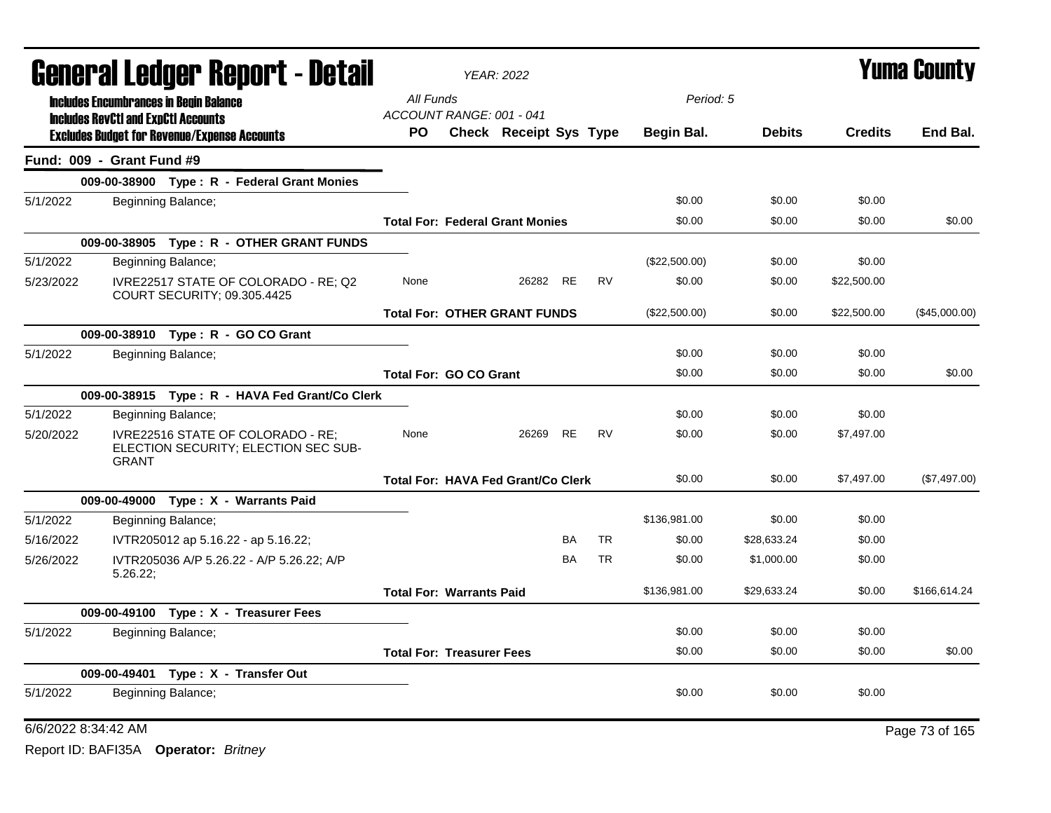|           | <b>General Ledger Report - Detail</b>      |                                                                           |                                       | <b>YEAR: 2022</b>                         |           |           |               | <b>Yuma County</b> |                |                |
|-----------|--------------------------------------------|---------------------------------------------------------------------------|---------------------------------------|-------------------------------------------|-----------|-----------|---------------|--------------------|----------------|----------------|
|           |                                            | <b>Includes Encumbrances in Begin Balance</b>                             | All Funds<br>ACCOUNT RANGE: 001 - 041 |                                           |           |           | Period: 5     |                    |                |                |
|           | <b>Includes RevCtI and ExpCtI Accounts</b> | <b>Excludes Budget for Revenue/Expense Accounts</b>                       | PO.                                   | <b>Check Receipt Sys Type</b>             |           |           | Begin Bal.    | <b>Debits</b>      | <b>Credits</b> | End Bal.       |
|           | Fund: 009 - Grant Fund #9                  |                                                                           |                                       |                                           |           |           |               |                    |                |                |
|           |                                            | 009-00-38900 Type: R - Federal Grant Monies                               |                                       |                                           |           |           |               |                    |                |                |
| 5/1/2022  |                                            | Beginning Balance;                                                        |                                       |                                           |           |           | \$0.00        | \$0.00             | \$0.00         |                |
|           |                                            |                                                                           |                                       | <b>Total For: Federal Grant Monies</b>    |           |           | \$0.00        | \$0.00             | \$0.00         | \$0.00         |
|           |                                            | 009-00-38905 Type: R - OTHER GRANT FUNDS                                  |                                       |                                           |           |           |               |                    |                |                |
| 5/1/2022  |                                            | Beginning Balance;                                                        |                                       |                                           |           |           | (\$22,500.00) | \$0.00             | \$0.00         |                |
| 5/23/2022 |                                            | IVRE22517 STATE OF COLORADO - RE; Q2<br>COURT SECURITY; 09.305.4425       | None                                  | 26282                                     | <b>RE</b> | <b>RV</b> | \$0.00        | \$0.00             | \$22,500.00    |                |
|           |                                            |                                                                           |                                       | <b>Total For: OTHER GRANT FUNDS</b>       |           |           | (\$22,500.00) | \$0.00             | \$22,500.00    | (\$45,000.00)  |
|           |                                            | 009-00-38910 Type: R - GO CO Grant                                        |                                       |                                           |           |           |               |                    |                |                |
| 5/1/2022  |                                            | Beginning Balance;                                                        |                                       |                                           |           |           | \$0.00        | \$0.00             | \$0.00         |                |
|           |                                            |                                                                           | <b>Total For: GO CO Grant</b>         |                                           |           |           | \$0.00        | \$0.00             | \$0.00         | \$0.00         |
|           |                                            | 009-00-38915 Type: R - HAVA Fed Grant/Co Clerk                            |                                       |                                           |           |           |               |                    |                |                |
| 5/1/2022  |                                            | Beginning Balance;                                                        |                                       |                                           |           |           | \$0.00        | \$0.00             | \$0.00         |                |
| 5/20/2022 | <b>GRANT</b>                               | IVRE22516 STATE OF COLORADO - RE;<br>ELECTION SECURITY; ELECTION SEC SUB- | None                                  | 26269                                     | <b>RE</b> | <b>RV</b> | \$0.00        | \$0.00             | \$7,497.00     |                |
|           |                                            |                                                                           |                                       | <b>Total For: HAVA Fed Grant/Co Clerk</b> |           |           | \$0.00        | \$0.00             | \$7,497.00     | (\$7,497.00)   |
|           |                                            | 009-00-49000 Type: X - Warrants Paid                                      |                                       |                                           |           |           |               |                    |                |                |
| 5/1/2022  |                                            | Beginning Balance;                                                        |                                       |                                           |           |           | \$136,981.00  | \$0.00             | \$0.00         |                |
| 5/16/2022 |                                            | IVTR205012 ap 5.16.22 - ap 5.16.22;                                       |                                       |                                           | <b>BA</b> | <b>TR</b> | \$0.00        | \$28,633.24        | \$0.00         |                |
| 5/26/2022 | 5.26.22;                                   | IVTR205036 A/P 5.26.22 - A/P 5.26.22; A/P                                 |                                       |                                           | BA        | <b>TR</b> | \$0.00        | \$1,000.00         | \$0.00         |                |
|           |                                            |                                                                           | <b>Total For: Warrants Paid</b>       |                                           |           |           | \$136,981.00  | \$29,633.24        | \$0.00         | \$166.614.24   |
|           |                                            | 009-00-49100 Type: X - Treasurer Fees                                     |                                       |                                           |           |           |               |                    |                |                |
| 5/1/2022  |                                            | Beginning Balance;                                                        |                                       |                                           |           |           | \$0.00        | \$0.00             | \$0.00         |                |
|           |                                            |                                                                           | <b>Total For: Treasurer Fees</b>      |                                           |           |           | \$0.00        | \$0.00             | \$0.00         | \$0.00         |
|           |                                            | 009-00-49401 Type: X - Transfer Out                                       |                                       |                                           |           |           |               |                    |                |                |
| 5/1/2022  |                                            | Beginning Balance;                                                        |                                       |                                           |           |           | \$0.00        | \$0.00             | \$0.00         |                |
|           | 6/6/2022 8:34:42 AM                        |                                                                           |                                       |                                           |           |           |               |                    |                | Page 73 of 165 |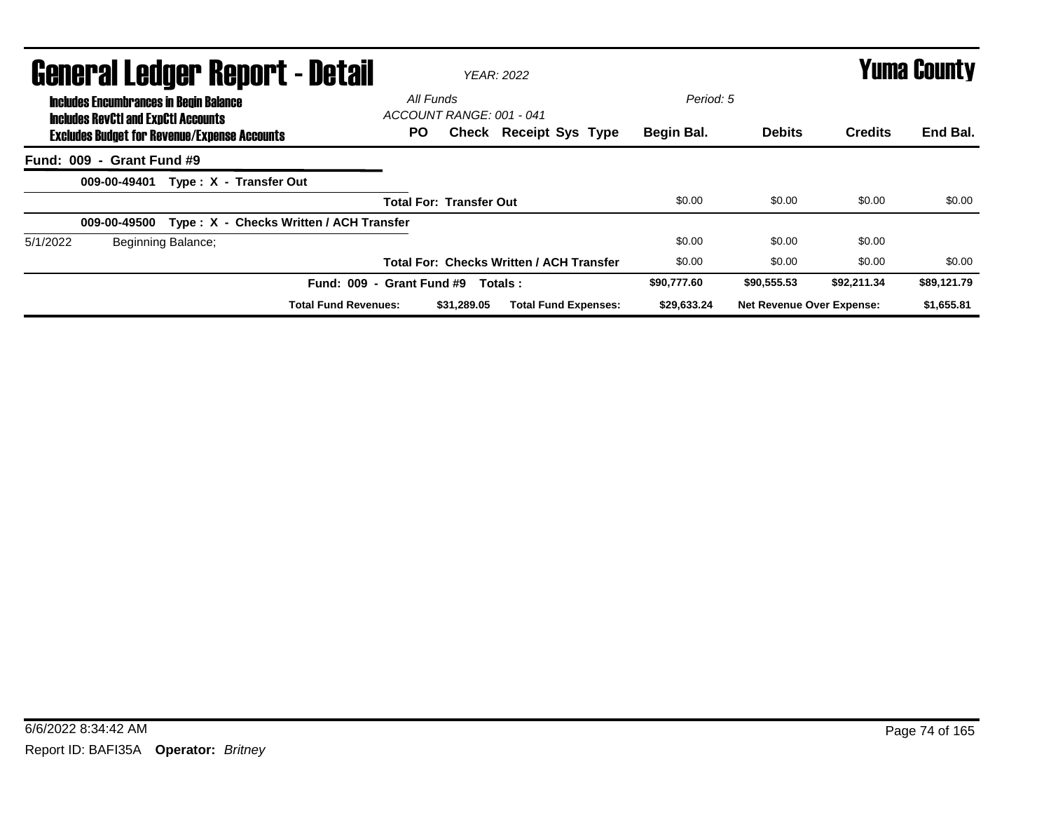| <b>General Ledger Report - Detail</b>                                                             |                                       | YFAR: 2022                                      |             | <b>Yuma County</b>               |                |             |  |
|---------------------------------------------------------------------------------------------------|---------------------------------------|-------------------------------------------------|-------------|----------------------------------|----------------|-------------|--|
| <b>Includes Encumbrances in Begin Balance</b>                                                     | All Funds<br>ACCOUNT RANGE: 001 - 041 |                                                 | Period: 5   |                                  |                |             |  |
| <b>Includes RevCtI and ExpCtI Accounts</b><br><b>Excludes Budget for Revenue/Expense Accounts</b> | PO.                                   | <b>Check Receipt Sys Type</b>                   | Begin Bal.  | <b>Debits</b>                    | <b>Credits</b> | End Bal.    |  |
| Fund: 009 - Grant Fund #9                                                                         |                                       |                                                 |             |                                  |                |             |  |
| Type: X - Transfer Out<br>009-00-49401                                                            |                                       |                                                 |             |                                  |                |             |  |
|                                                                                                   | <b>Total For: Transfer Out</b>        |                                                 | \$0.00      | \$0.00                           | \$0.00         | \$0.00      |  |
| Type: X - Checks Written / ACH Transfer<br>009-00-49500                                           |                                       |                                                 |             |                                  |                |             |  |
| 5/1/2022<br>Beginning Balance;                                                                    |                                       |                                                 | \$0.00      | \$0.00                           | \$0.00         |             |  |
|                                                                                                   |                                       | <b>Total For: Checks Written / ACH Transfer</b> | \$0.00      | \$0.00                           | \$0.00         | \$0.00      |  |
|                                                                                                   | Fund: 009 - Grant Fund #9             | Totals:                                         | \$90,777.60 | \$90,555.53                      | \$92,211.34    | \$89,121.79 |  |
| <b>Total Fund Revenues:</b>                                                                       | \$31.289.05                           | <b>Total Fund Expenses:</b>                     | \$29,633.24 | <b>Net Revenue Over Expense:</b> |                | \$1,655.81  |  |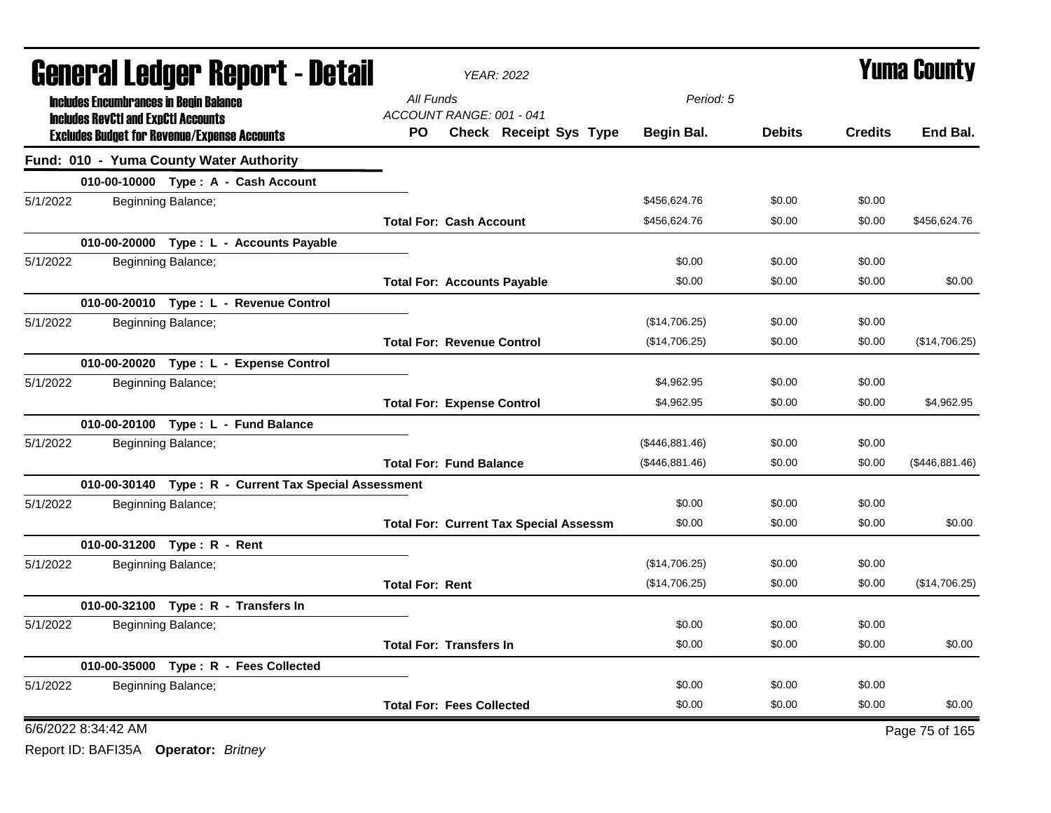| <b>General Ledger Report - Detail</b>                                                          | <b>YEAR: 2022</b>                                         |                | <b>Yuma County</b> |                |                |
|------------------------------------------------------------------------------------------------|-----------------------------------------------------------|----------------|--------------------|----------------|----------------|
| <b>Includes Encumbrances in Begin Balance</b>                                                  | All Funds                                                 | Period: 5      |                    |                |                |
| <b>Includes RevCtI and ExpCtI Accounts</b>                                                     | ACCOUNT RANGE: 001 - 041<br>Check Receipt Sys Type<br>PO. | Begin Bal.     | <b>Debits</b>      | <b>Credits</b> | End Bal.       |
| <b>Excludes Budget for Revenue/Expense Accounts</b><br>Fund: 010 - Yuma County Water Authority |                                                           |                |                    |                |                |
| 010-00-10000 Type: A - Cash Account                                                            |                                                           |                |                    |                |                |
| 5/1/2022<br>Beginning Balance;                                                                 |                                                           | \$456,624.76   | \$0.00             | \$0.00         |                |
|                                                                                                | <b>Total For: Cash Account</b>                            | \$456,624.76   | \$0.00             | \$0.00         | \$456,624.76   |
| 010-00-20000 Type : L - Accounts Payable                                                       |                                                           |                |                    |                |                |
| 5/1/2022<br>Beginning Balance;                                                                 |                                                           | \$0.00         | \$0.00             | \$0.00         |                |
|                                                                                                | <b>Total For: Accounts Payable</b>                        | \$0.00         | \$0.00             | \$0.00         | \$0.00         |
| 010-00-20010 Type: L - Revenue Control                                                         |                                                           |                |                    |                |                |
| 5/1/2022<br>Beginning Balance;                                                                 |                                                           | (\$14,706.25)  | \$0.00             | \$0.00         |                |
|                                                                                                | <b>Total For: Revenue Control</b>                         | (\$14,706.25)  | \$0.00             | \$0.00         | (\$14,706.25)  |
| 010-00-20020 Type: L - Expense Control                                                         |                                                           |                |                    |                |                |
| 5/1/2022<br>Beginning Balance;                                                                 |                                                           | \$4,962.95     | \$0.00             | \$0.00         |                |
|                                                                                                | <b>Total For: Expense Control</b>                         | \$4,962.95     | \$0.00             | \$0.00         | \$4,962.95     |
| 010-00-20100 Type: L - Fund Balance                                                            |                                                           |                |                    |                |                |
| 5/1/2022<br>Beginning Balance;                                                                 |                                                           | (\$446,881.46) | \$0.00             | \$0.00         |                |
|                                                                                                | <b>Total For: Fund Balance</b>                            | (\$446,881.46) | \$0.00             | \$0.00         | (\$446,881.46) |
| 010-00-30140 Type: R - Current Tax Special Assessment                                          |                                                           |                |                    |                |                |
| 5/1/2022<br>Beginning Balance;                                                                 |                                                           | \$0.00         | \$0.00             | \$0.00         |                |
|                                                                                                | <b>Total For: Current Tax Special Assessm</b>             | \$0.00         | \$0.00             | \$0.00         | \$0.00         |
| 010-00-31200 Type: R - Rent                                                                    |                                                           |                |                    |                |                |
| 5/1/2022<br>Beginning Balance;                                                                 |                                                           | (\$14,706.25)  | \$0.00             | \$0.00         |                |
|                                                                                                | <b>Total For: Rent</b>                                    | (\$14,706.25)  | \$0.00             | \$0.00         | (\$14,706.25)  |
| 010-00-32100 Type: R - Transfers In                                                            |                                                           |                |                    |                |                |
| 5/1/2022<br>Beginning Balance;                                                                 |                                                           | \$0.00         | \$0.00             | \$0.00         |                |
|                                                                                                | <b>Total For: Transfers In</b>                            | \$0.00         | \$0.00             | \$0.00         | \$0.00         |
| 010-00-35000 Type: R - Fees Collected                                                          |                                                           |                |                    |                |                |
| 5/1/2022<br>Beginning Balance;                                                                 |                                                           | \$0.00         | \$0.00             | \$0.00         |                |
|                                                                                                | <b>Total For: Fees Collected</b>                          | \$0.00         | \$0.00             | \$0.00         | \$0.00         |
| 6/6/2022 8:34:42 AM                                                                            |                                                           |                |                    |                | Page 75 of 165 |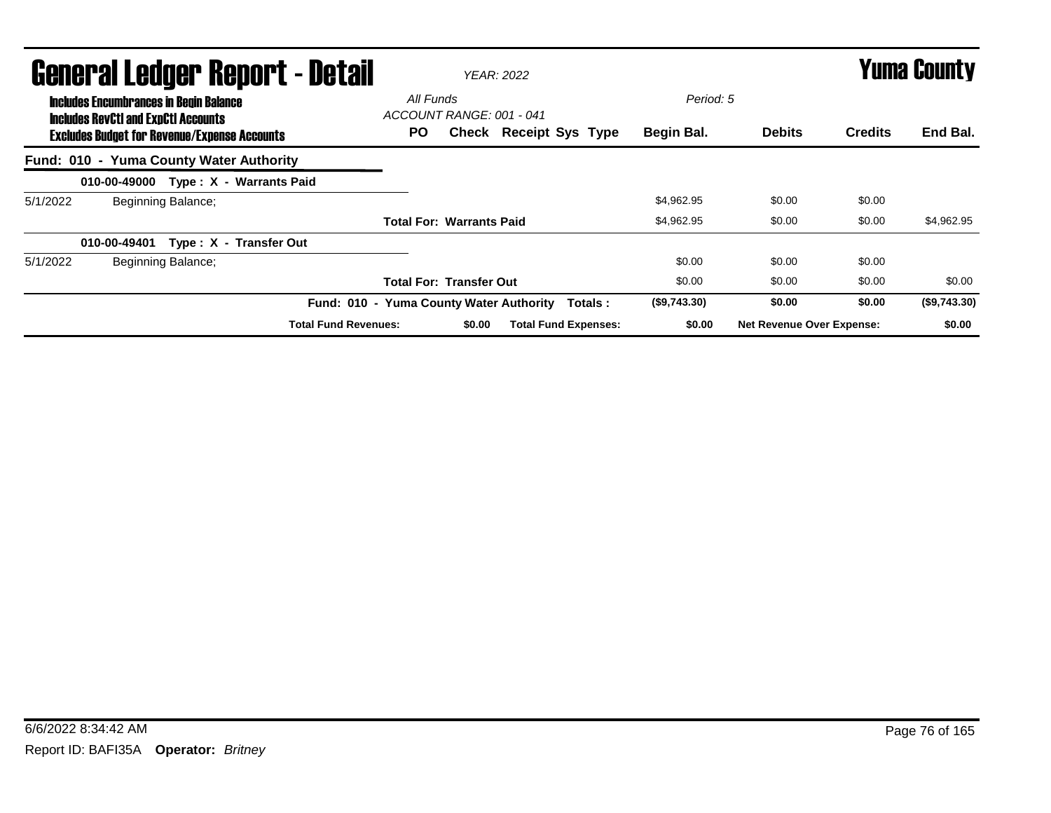|          | <b>General Ledger Report - Detail</b><br><b>Includes Encumbrances in Begin Balance</b>            |                    |                                         |                                              |        | <b>YEAR: 2022</b>           |                         | <b>Yuma County</b>               |                |              |
|----------|---------------------------------------------------------------------------------------------------|--------------------|-----------------------------------------|----------------------------------------------|--------|-----------------------------|-------------------------|----------------------------------|----------------|--------------|
|          | <b>Includes RevCtI and ExpCtI Accounts</b><br><b>Excludes Budget for Revenue/Expense Accounts</b> |                    |                                         | All Funds<br>ACCOUNT RANGE: 001 - 041<br>PO. |        | Check Receipt Sys Type      | Period: 5<br>Begin Bal. | <b>Debits</b>                    | <b>Credits</b> | End Bal.     |
|          | Fund: 010 - Yuma County Water Authority                                                           |                    |                                         |                                              |        |                             |                         |                                  |                |              |
|          |                                                                                                   |                    | 010-00-49000 Type: X - Warrants Paid    |                                              |        |                             |                         |                                  |                |              |
| 5/1/2022 |                                                                                                   | Beginning Balance; |                                         |                                              |        |                             | \$4,962.95              | \$0.00                           | \$0.00         |              |
|          |                                                                                                   |                    |                                         | <b>Total For: Warrants Paid</b>              |        |                             | \$4,962.95              | \$0.00                           | \$0.00         | \$4,962.95   |
|          | 010-00-49401                                                                                      |                    | Type: X - Transfer Out                  |                                              |        |                             |                         |                                  |                |              |
| 5/1/2022 |                                                                                                   | Beginning Balance; |                                         |                                              |        |                             | \$0.00                  | \$0.00                           | \$0.00         |              |
|          |                                                                                                   |                    |                                         | <b>Total For: Transfer Out</b>               |        |                             | \$0.00                  | \$0.00                           | \$0.00         | \$0.00       |
|          |                                                                                                   |                    | Fund: 010 - Yuma County Water Authority |                                              |        | Totals:                     | (\$9,743.30)            | \$0.00                           | \$0.00         | (\$9,743.30) |
|          |                                                                                                   |                    | <b>Total Fund Revenues:</b>             |                                              | \$0.00 | <b>Total Fund Expenses:</b> | \$0.00                  | <b>Net Revenue Over Expense:</b> |                | \$0.00       |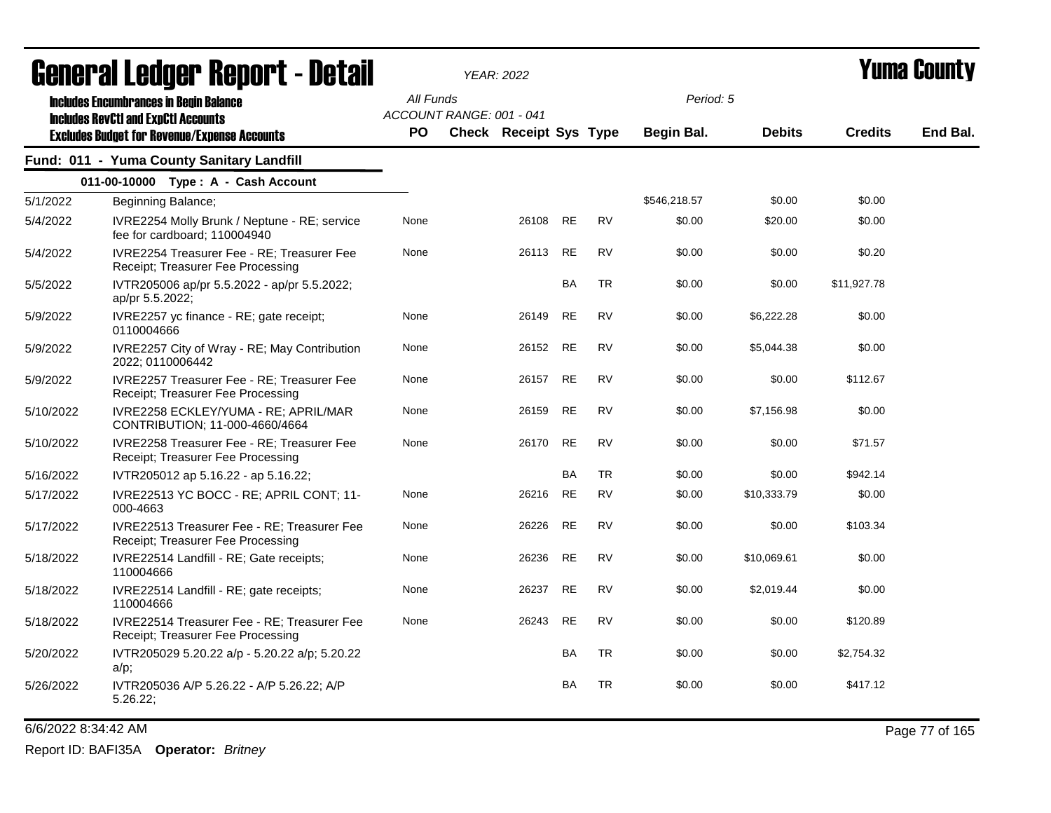| General Ledger Report - Detail |                                                                                                   |           | <b>YEAR: 2022</b>             |           |           | Yuma Countv       |               |                |          |
|--------------------------------|---------------------------------------------------------------------------------------------------|-----------|-------------------------------|-----------|-----------|-------------------|---------------|----------------|----------|
|                                | <b>Includes Encumbrances in Begin Balance</b>                                                     | All Funds | ACCOUNT RANGE: 001 - 041      |           |           | Period: 5         |               |                |          |
|                                | <b>Includes RevCtI and ExpCtI Accounts</b><br><b>Excludes Budget for Revenue/Expense Accounts</b> | PO        | <b>Check Receipt Sys Type</b> |           |           | <b>Begin Bal.</b> | <b>Debits</b> | <b>Credits</b> | End Bal. |
|                                | Fund: 011 - Yuma County Sanitary Landfill                                                         |           |                               |           |           |                   |               |                |          |
|                                | 011-00-10000 Type: A - Cash Account                                                               |           |                               |           |           |                   |               |                |          |
| 5/1/2022                       | Beginning Balance;                                                                                |           |                               |           |           | \$546,218.57      | \$0.00        | \$0.00         |          |
| 5/4/2022                       | IVRE2254 Molly Brunk / Neptune - RE; service<br>fee for cardboard; 110004940                      | None      | 26108                         | <b>RE</b> | <b>RV</b> | \$0.00            | \$20.00       | \$0.00         |          |
| 5/4/2022                       | IVRE2254 Treasurer Fee - RE; Treasurer Fee<br>Receipt; Treasurer Fee Processing                   | None      | 26113                         | <b>RE</b> | <b>RV</b> | \$0.00            | \$0.00        | \$0.20         |          |
| 5/5/2022                       | IVTR205006 ap/pr 5.5.2022 - ap/pr 5.5.2022;<br>ap/pr 5.5.2022;                                    |           |                               | <b>BA</b> | <b>TR</b> | \$0.00            | \$0.00        | \$11,927.78    |          |
| 5/9/2022                       | IVRE2257 yc finance - RE; gate receipt;<br>0110004666                                             | None      | 26149                         | <b>RE</b> | <b>RV</b> | \$0.00            | \$6,222.28    | \$0.00         |          |
| 5/9/2022                       | IVRE2257 City of Wray - RE; May Contribution<br>2022; 0110006442                                  | None      | 26152                         | RE        | <b>RV</b> | \$0.00            | \$5,044.38    | \$0.00         |          |
| 5/9/2022                       | IVRE2257 Treasurer Fee - RE; Treasurer Fee<br>Receipt; Treasurer Fee Processing                   | None      | 26157                         | <b>RE</b> | <b>RV</b> | \$0.00            | \$0.00        | \$112.67       |          |
| 5/10/2022                      | IVRE2258 ECKLEY/YUMA - RE; APRIL/MAR<br>CONTRIBUTION; 11-000-4660/4664                            | None      | 26159                         | <b>RE</b> | <b>RV</b> | \$0.00            | \$7,156.98    | \$0.00         |          |
| 5/10/2022                      | IVRE2258 Treasurer Fee - RE; Treasurer Fee<br>Receipt; Treasurer Fee Processing                   | None      | 26170                         | <b>RE</b> | <b>RV</b> | \$0.00            | \$0.00        | \$71.57        |          |
| 5/16/2022                      | IVTR205012 ap 5.16.22 - ap 5.16.22;                                                               |           |                               | <b>BA</b> | <b>TR</b> | \$0.00            | \$0.00        | \$942.14       |          |
| 5/17/2022                      | IVRE22513 YC BOCC - RE; APRIL CONT; 11-<br>000-4663                                               | None      | 26216                         | <b>RE</b> | <b>RV</b> | \$0.00            | \$10,333.79   | \$0.00         |          |
| 5/17/2022                      | IVRE22513 Treasurer Fee - RE; Treasurer Fee<br>Receipt; Treasurer Fee Processing                  | None      | 26226                         | <b>RE</b> | <b>RV</b> | \$0.00            | \$0.00        | \$103.34       |          |
| 5/18/2022                      | IVRE22514 Landfill - RE; Gate receipts;<br>110004666                                              | None      | 26236                         | <b>RE</b> | <b>RV</b> | \$0.00            | \$10,069.61   | \$0.00         |          |
| 5/18/2022                      | IVRE22514 Landfill - RE; gate receipts;<br>110004666                                              | None      | 26237                         | <b>RE</b> | <b>RV</b> | \$0.00            | \$2,019.44    | \$0.00         |          |
| 5/18/2022                      | IVRE22514 Treasurer Fee - RE; Treasurer Fee<br>Receipt; Treasurer Fee Processing                  | None      | 26243                         | <b>RE</b> | <b>RV</b> | \$0.00            | \$0.00        | \$120.89       |          |
| 5/20/2022                      | IVTR205029 5.20.22 a/p - 5.20.22 a/p; 5.20.22<br>$a/p$ ;                                          |           |                               | BA        | <b>TR</b> | \$0.00            | \$0.00        | \$2,754.32     |          |
| 5/26/2022                      | IVTR205036 A/P 5.26.22 - A/P 5.26.22; A/P<br>5.26.22;                                             |           |                               | <b>BA</b> | <b>TR</b> | \$0.00            | \$0.00        | \$417.12       |          |

6/6/2022 8:34:42 AM Page 77 of 165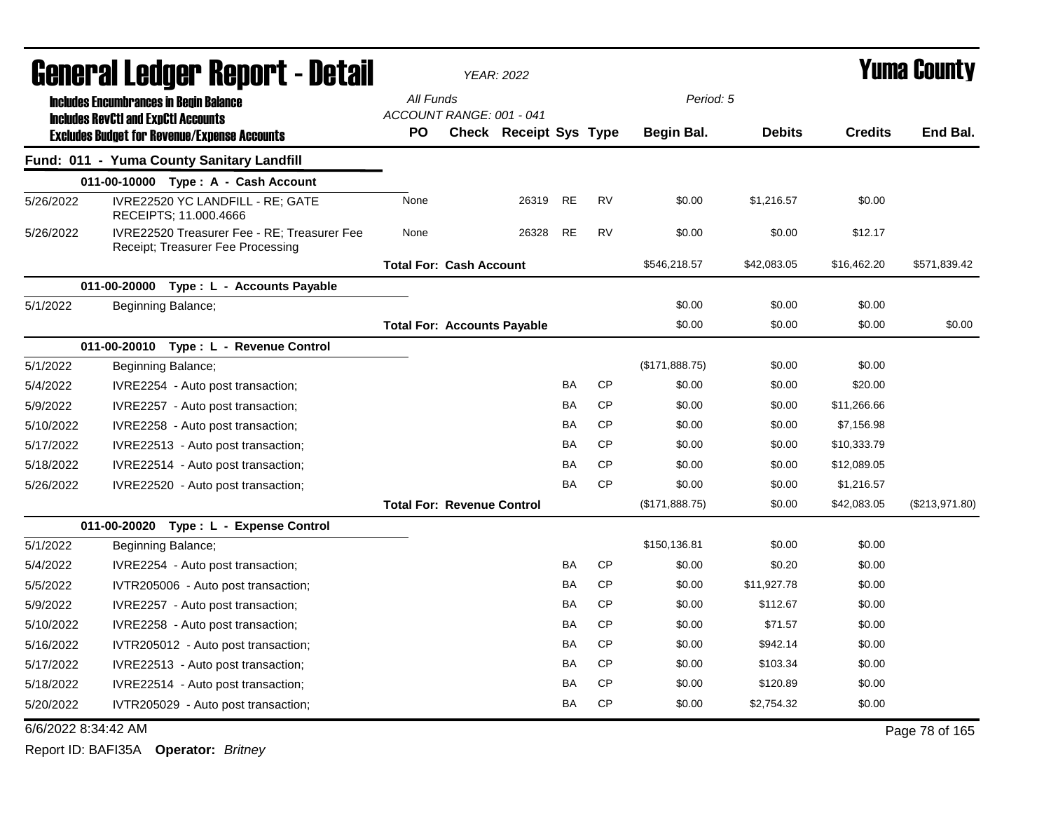|                     | General Ledger Report - Detail                                                   |                                    | <b>YEAR: 2022</b>      |           |           |                |               | Yuma Countv    |                |
|---------------------|----------------------------------------------------------------------------------|------------------------------------|------------------------|-----------|-----------|----------------|---------------|----------------|----------------|
|                     | <b>Includes Encumbrances in Begin Balance</b>                                    | All Funds                          |                        |           |           | Period: 5      |               |                |                |
|                     | <b>Includes RevCtI and ExpCtI Accounts</b>                                       | ACCOUNT RANGE: 001 - 041           |                        |           |           |                |               |                |                |
|                     | <b>Excludes Budget for Revenue/Expense Accounts</b>                              | PO                                 | Check Receipt Sys Type |           |           | Begin Bal.     | <b>Debits</b> | <b>Credits</b> | End Bal.       |
|                     | Fund: 011 - Yuma County Sanitary Landfill                                        |                                    |                        |           |           |                |               |                |                |
|                     | 011-00-10000 Type: A - Cash Account                                              |                                    |                        |           |           |                |               |                |                |
| 5/26/2022           | IVRE22520 YC LANDFILL - RE; GATE<br>RECEIPTS; 11.000.4666                        | None                               | 26319                  | <b>RE</b> | <b>RV</b> | \$0.00         | \$1,216.57    | \$0.00         |                |
| 5/26/2022           | IVRE22520 Treasurer Fee - RE; Treasurer Fee<br>Receipt; Treasurer Fee Processing | None                               | 26328                  | <b>RE</b> | RV        | \$0.00         | \$0.00        | \$12.17        |                |
|                     |                                                                                  | <b>Total For: Cash Account</b>     |                        |           |           | \$546,218.57   | \$42,083.05   | \$16,462.20    | \$571,839.42   |
|                     | 011-00-20000<br>Type : L - Accounts Payable                                      |                                    |                        |           |           |                |               |                |                |
| 5/1/2022            | Beginning Balance;                                                               |                                    |                        |           |           | \$0.00         | \$0.00        | \$0.00         |                |
|                     |                                                                                  | <b>Total For: Accounts Payable</b> |                        |           |           | \$0.00         | \$0.00        | \$0.00         | \$0.00         |
|                     | 011-00-20010 Type: L - Revenue Control                                           |                                    |                        |           |           |                |               |                |                |
| 5/1/2022            | Beginning Balance;                                                               |                                    |                        |           |           | (\$171,888.75) | \$0.00        | \$0.00         |                |
| 5/4/2022            | IVRE2254 - Auto post transaction;                                                |                                    |                        | <b>BA</b> | <b>CP</b> | \$0.00         | \$0.00        | \$20.00        |                |
| 5/9/2022            | IVRE2257 - Auto post transaction;                                                |                                    |                        | BA        | <b>CP</b> | \$0.00         | \$0.00        | \$11,266.66    |                |
| 5/10/2022           | IVRE2258 - Auto post transaction;                                                |                                    |                        | BA        | CP        | \$0.00         | \$0.00        | \$7,156.98     |                |
| 5/17/2022           | IVRE22513 - Auto post transaction;                                               |                                    |                        | <b>BA</b> | <b>CP</b> | \$0.00         | \$0.00        | \$10,333.79    |                |
| 5/18/2022           | IVRE22514 - Auto post transaction;                                               |                                    |                        | <b>BA</b> | <b>CP</b> | \$0.00         | \$0.00        | \$12,089.05    |                |
| 5/26/2022           | IVRE22520 - Auto post transaction;                                               |                                    |                        | <b>BA</b> | <b>CP</b> | \$0.00         | \$0.00        | \$1,216.57     |                |
|                     |                                                                                  | <b>Total For: Revenue Control</b>  |                        |           |           | (\$171,888.75) | \$0.00        | \$42,083.05    | (\$213,971.80) |
|                     | 011-00-20020 Type: L - Expense Control                                           |                                    |                        |           |           |                |               |                |                |
| 5/1/2022            | Beginning Balance;                                                               |                                    |                        |           |           | \$150,136.81   | \$0.00        | \$0.00         |                |
| 5/4/2022            | IVRE2254 - Auto post transaction;                                                |                                    |                        | <b>BA</b> | <b>CP</b> | \$0.00         | \$0.20        | \$0.00         |                |
| 5/5/2022            | IVTR205006 - Auto post transaction;                                              |                                    |                        | <b>BA</b> | <b>CP</b> | \$0.00         | \$11,927.78   | \$0.00         |                |
| 5/9/2022            | IVRE2257 - Auto post transaction;                                                |                                    |                        | <b>BA</b> | CP        | \$0.00         | \$112.67      | \$0.00         |                |
| 5/10/2022           | IVRE2258 - Auto post transaction;                                                |                                    |                        | BA        | <b>CP</b> | \$0.00         | \$71.57       | \$0.00         |                |
| 5/16/2022           | IVTR205012 - Auto post transaction;                                              |                                    |                        | <b>BA</b> | CP        | \$0.00         | \$942.14      | \$0.00         |                |
| 5/17/2022           | IVRE22513 - Auto post transaction;                                               |                                    |                        | <b>BA</b> | <b>CP</b> | \$0.00         | \$103.34      | \$0.00         |                |
| 5/18/2022           | IVRE22514 - Auto post transaction;                                               |                                    |                        | BA        | <b>CP</b> | \$0.00         | \$120.89      | \$0.00         |                |
| 5/20/2022           | IVTR205029 - Auto post transaction;                                              |                                    |                        | <b>BA</b> | <b>CP</b> | \$0.00         | \$2,754.32    | \$0.00         |                |
| 6/6/2022 8:34:42 AM |                                                                                  |                                    |                        |           |           |                |               |                | Page 78 of 165 |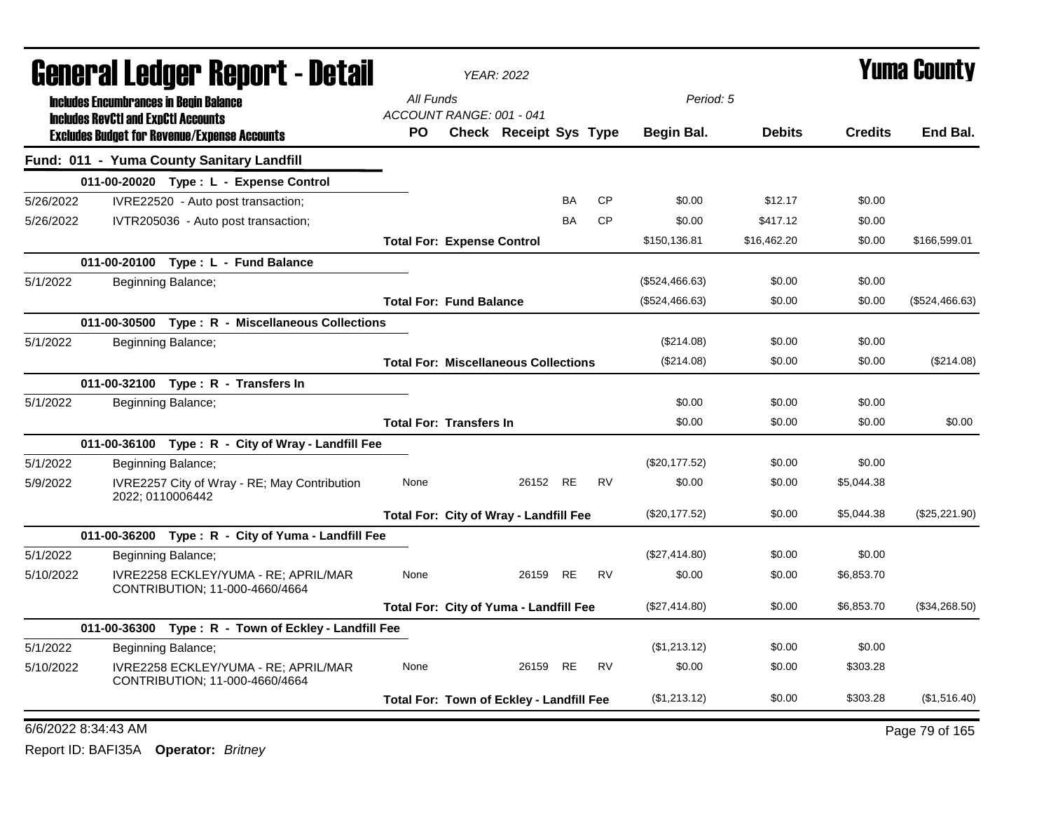| <b>aguri'ai Leuyei' Kepoi'l - Delaii</b> |                                            |                                                                        | <b>YEAR: 2022</b>                     |                                               |           |           |                |               | T UIIIA VUUIILY |                |
|------------------------------------------|--------------------------------------------|------------------------------------------------------------------------|---------------------------------------|-----------------------------------------------|-----------|-----------|----------------|---------------|-----------------|----------------|
|                                          |                                            | <b>Includes Encumbrances in Begin Balance</b>                          | All Funds<br>ACCOUNT RANGE: 001 - 041 |                                               |           |           | Period: 5      |               |                 |                |
|                                          | <b>Includes RevCtI and ExpCtI Accounts</b> | <b>Excludes Budget for Revenue/Expense Accounts</b>                    | <b>PO</b>                             | <b>Check Receipt Sys Type</b>                 |           |           | Begin Bal.     | <b>Debits</b> | <b>Credits</b>  | End Bal.       |
|                                          |                                            | Fund: 011 - Yuma County Sanitary Landfill                              |                                       |                                               |           |           |                |               |                 |                |
|                                          |                                            | 011-00-20020 Type: L - Expense Control                                 |                                       |                                               |           |           |                |               |                 |                |
| 5/26/2022                                |                                            | IVRE22520 - Auto post transaction;                                     |                                       |                                               | <b>BA</b> | <b>CP</b> | \$0.00         | \$12.17       | \$0.00          |                |
| 5/26/2022                                |                                            | IVTR205036 - Auto post transaction;                                    |                                       |                                               | <b>BA</b> | <b>CP</b> | \$0.00         | \$417.12      | \$0.00          |                |
|                                          |                                            |                                                                        | <b>Total For: Expense Control</b>     |                                               |           |           | \$150,136.81   | \$16,462.20   | \$0.00          | \$166,599.01   |
|                                          |                                            | 011-00-20100 Type: L - Fund Balance                                    |                                       |                                               |           |           |                |               |                 |                |
| 5/1/2022                                 |                                            | Beginning Balance;                                                     |                                       |                                               |           |           | (\$524,466.63) | \$0.00        | \$0.00          |                |
|                                          |                                            |                                                                        | <b>Total For: Fund Balance</b>        |                                               |           |           | (\$524,466.63) | \$0.00        | \$0.00          | (\$524,466.63) |
|                                          |                                            | 011-00-30500 Type: R - Miscellaneous Collections                       |                                       |                                               |           |           |                |               |                 |                |
| 5/1/2022                                 |                                            | Beginning Balance;                                                     |                                       |                                               |           |           | (\$214.08)     | \$0.00        | \$0.00          |                |
|                                          |                                            |                                                                        |                                       | <b>Total For: Miscellaneous Collections</b>   |           |           | (\$214.08)     | \$0.00        | \$0.00          | (\$214.08)     |
|                                          |                                            | 011-00-32100 Type: R - Transfers In                                    |                                       |                                               |           |           |                |               |                 |                |
| 5/1/2022                                 |                                            | Beginning Balance;                                                     |                                       |                                               |           |           | \$0.00         | \$0.00        | \$0.00          |                |
|                                          |                                            |                                                                        | <b>Total For: Transfers In</b>        |                                               |           |           | \$0.00         | \$0.00        | \$0.00          | \$0.00         |
|                                          |                                            | 011-00-36100 Type: R - City of Wray - Landfill Fee                     |                                       |                                               |           |           |                |               |                 |                |
| 5/1/2022                                 |                                            | Beginning Balance;                                                     |                                       |                                               |           |           | (\$20,177.52)  | \$0.00        | \$0.00          |                |
| 5/9/2022                                 |                                            | IVRE2257 City of Wray - RE; May Contribution<br>2022; 0110006442       | None                                  | 26152 RE                                      |           | <b>RV</b> | \$0.00         | \$0.00        | \$5,044.38      |                |
|                                          |                                            |                                                                        |                                       | Total For: City of Wray - Landfill Fee        |           |           | (\$20,177.52)  | \$0.00        | \$5,044.38      | (\$25,221.90)  |
|                                          |                                            | 011-00-36200 Type: R - City of Yuma - Landfill Fee                     |                                       |                                               |           |           |                |               |                 |                |
| 5/1/2022                                 |                                            | Beginning Balance;                                                     |                                       |                                               |           |           | (\$27,414.80)  | \$0.00        | \$0.00          |                |
| 5/10/2022                                |                                            | IVRE2258 ECKLEY/YUMA - RE; APRIL/MAR<br>CONTRIBUTION; 11-000-4660/4664 | None                                  | 26159 RE                                      |           | <b>RV</b> | \$0.00         | \$0.00        | \$6,853.70      |                |
|                                          |                                            |                                                                        |                                       | <b>Total For: City of Yuma - Landfill Fee</b> |           |           | (\$27,414.80)  | \$0.00        | \$6,853.70      | (\$34,268.50)  |
|                                          |                                            | 011-00-36300 Type: R - Town of Eckley - Landfill Fee                   |                                       |                                               |           |           |                |               |                 |                |
| 5/1/2022                                 |                                            | Beginning Balance;                                                     |                                       |                                               |           |           | (\$1,213.12)   | \$0.00        | \$0.00          |                |
| 5/10/2022                                |                                            | IVRE2258 ECKLEY/YUMA - RE; APRIL/MAR<br>CONTRIBUTION; 11-000-4660/4664 | None                                  | 26159 RE                                      |           | RV        | \$0.00         | \$0.00        | \$303.28        |                |
|                                          |                                            |                                                                        |                                       | Total For: Town of Eckley - Landfill Fee      |           |           | (\$1,213.12)   | \$0.00        | \$303.28        | (\$1,516.40)   |
| 6/6/2022 8:34:43 AM                      |                                            |                                                                        |                                       |                                               |           |           |                |               |                 | Page 79 of 165 |

## General Ledger Report - Detail *YEAR: 2022* Yuma County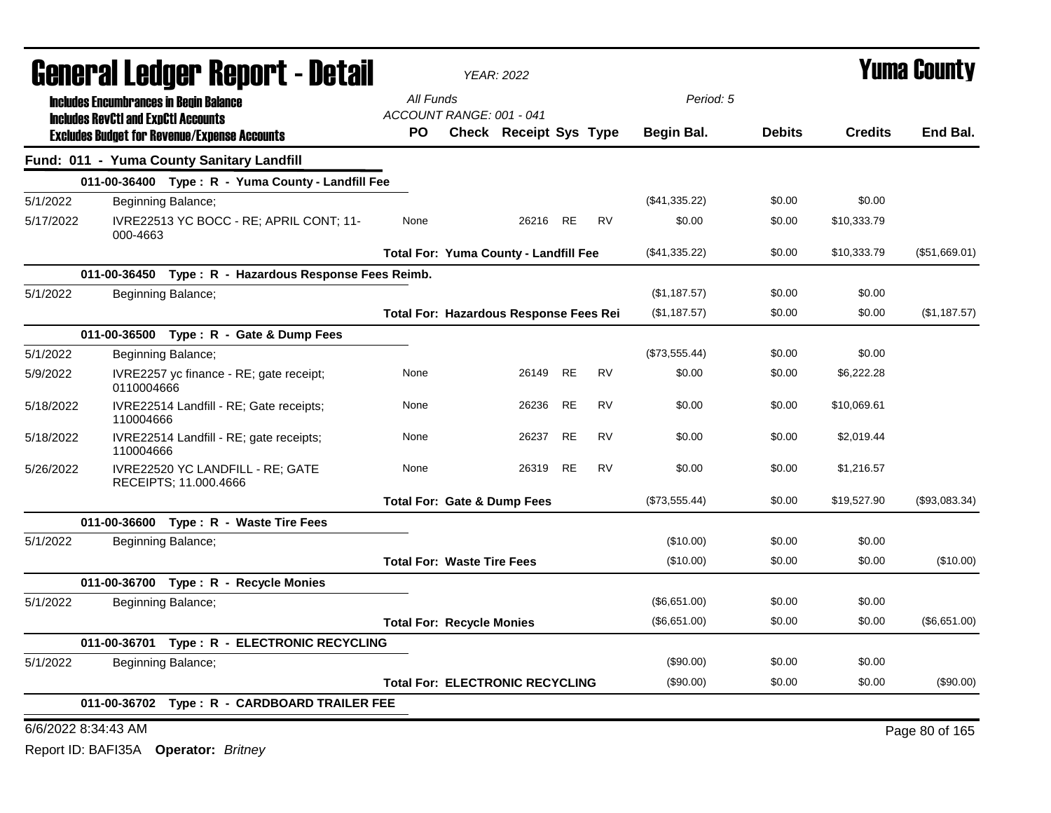| <b>General Ledger Report - Detail</b> |                                            | <b>YEAR: 2022</b>                                         |                                        |                                               |           |           | Yuma County       |               |                |                |
|---------------------------------------|--------------------------------------------|-----------------------------------------------------------|----------------------------------------|-----------------------------------------------|-----------|-----------|-------------------|---------------|----------------|----------------|
|                                       |                                            | <b>Includes Encumbrances in Begin Balance</b>             | All Funds                              |                                               |           |           | Period: 5         |               |                |                |
|                                       | <b>Includes RevCtI and ExpCtI Accounts</b> |                                                           | ACCOUNT RANGE: 001 - 041               |                                               |           |           |                   |               |                |                |
|                                       |                                            | <b>Excludes Budget for Revenue/Expense Accounts</b>       | PO.                                    | <b>Check Receipt Sys Type</b>                 |           |           | <b>Begin Bal.</b> | <b>Debits</b> | <b>Credits</b> | End Bal.       |
|                                       |                                            | Fund: 011 - Yuma County Sanitary Landfill                 |                                        |                                               |           |           |                   |               |                |                |
|                                       |                                            | 011-00-36400 Type: R - Yuma County - Landfill Fee         |                                        |                                               |           |           |                   |               |                |                |
| 5/1/2022                              |                                            | Beginning Balance;                                        |                                        |                                               |           |           | (\$41,335.22)     | \$0.00        | \$0.00         |                |
| 5/17/2022                             | 000-4663                                   | IVRE22513 YC BOCC - RE; APRIL CONT; 11-                   | None                                   | 26216                                         | RE        | <b>RV</b> | \$0.00            | \$0.00        | \$10,333.79    |                |
|                                       |                                            |                                                           |                                        | <b>Total For: Yuma County - Landfill Fee</b>  |           |           | (\$41,335.22)     | \$0.00        | \$10,333.79    | (\$51,669.01)  |
|                                       |                                            | 011-00-36450 Type: R - Hazardous Response Fees Reimb.     |                                        |                                               |           |           |                   |               |                |                |
| 5/1/2022                              |                                            | Beginning Balance;                                        |                                        |                                               |           |           | (\$1,187.57)      | \$0.00        | \$0.00         |                |
|                                       |                                            |                                                           |                                        | <b>Total For: Hazardous Response Fees Rei</b> |           |           | (\$1,187.57)      | \$0.00        | \$0.00         | (\$1,187.57)   |
|                                       |                                            | 011-00-36500 Type: R - Gate & Dump Fees                   |                                        |                                               |           |           |                   |               |                |                |
| 5/1/2022                              |                                            | Beginning Balance;                                        |                                        |                                               |           |           | (\$73,555.44)     | \$0.00        | \$0.00         |                |
| 5/9/2022                              | 0110004666                                 | IVRE2257 yc finance - RE; gate receipt;                   | None                                   | 26149                                         | <b>RE</b> | <b>RV</b> | \$0.00            | \$0.00        | \$6,222.28     |                |
| 5/18/2022                             | 110004666                                  | IVRE22514 Landfill - RE; Gate receipts;                   | None                                   | 26236                                         | RE        | RV        | \$0.00            | \$0.00        | \$10,069.61    |                |
| 5/18/2022                             | 110004666                                  | IVRE22514 Landfill - RE; gate receipts;                   | None                                   | 26237                                         | RE        | RV        | \$0.00            | \$0.00        | \$2,019.44     |                |
| 5/26/2022                             |                                            | IVRE22520 YC LANDFILL - RE; GATE<br>RECEIPTS; 11.000.4666 | None                                   | 26319                                         | RE        | <b>RV</b> | \$0.00            | \$0.00        | \$1,216.57     |                |
|                                       |                                            |                                                           | <b>Total For: Gate &amp; Dump Fees</b> |                                               |           |           | (\$73,555.44)     | \$0.00        | \$19,527.90    | (\$93,083.34)  |
|                                       |                                            | 011-00-36600 Type: R - Waste Tire Fees                    |                                        |                                               |           |           |                   |               |                |                |
| 5/1/2022                              |                                            | Beginning Balance;                                        |                                        |                                               |           |           | (\$10.00)         | \$0.00        | \$0.00         |                |
|                                       |                                            |                                                           | <b>Total For: Waste Tire Fees</b>      |                                               |           |           | (\$10.00)         | \$0.00        | \$0.00         | (\$10.00)      |
|                                       |                                            | 011-00-36700 Type: R - Recycle Monies                     |                                        |                                               |           |           |                   |               |                |                |
| 5/1/2022                              |                                            | Beginning Balance;                                        |                                        |                                               |           |           | (\$6,651.00)      | \$0.00        | \$0.00         |                |
|                                       |                                            |                                                           | <b>Total For: Recycle Monies</b>       |                                               |           |           | (\$6,651.00)      | \$0.00        | \$0.00         | (\$6,651.00)   |
|                                       |                                            | 011-00-36701 Type: R - ELECTRONIC RECYCLING               |                                        |                                               |           |           |                   |               |                |                |
| 5/1/2022                              |                                            | Beginning Balance;                                        |                                        |                                               |           |           | (\$90.00)         | \$0.00        | \$0.00         |                |
|                                       |                                            |                                                           | <b>Total For: ELECTRONIC RECYCLING</b> |                                               |           |           | $(\$90.00)$       | \$0.00        | \$0.00         | (\$90.00)      |
|                                       |                                            | 011-00-36702 Type: R - CARDBOARD TRAILER FEE              |                                        |                                               |           |           |                   |               |                |                |
| 6/6/2022 8:34:43 AM                   |                                            |                                                           |                                        |                                               |           |           |                   |               |                | Page 80 of 165 |
|                                       |                                            |                                                           |                                        |                                               |           |           |                   |               |                |                |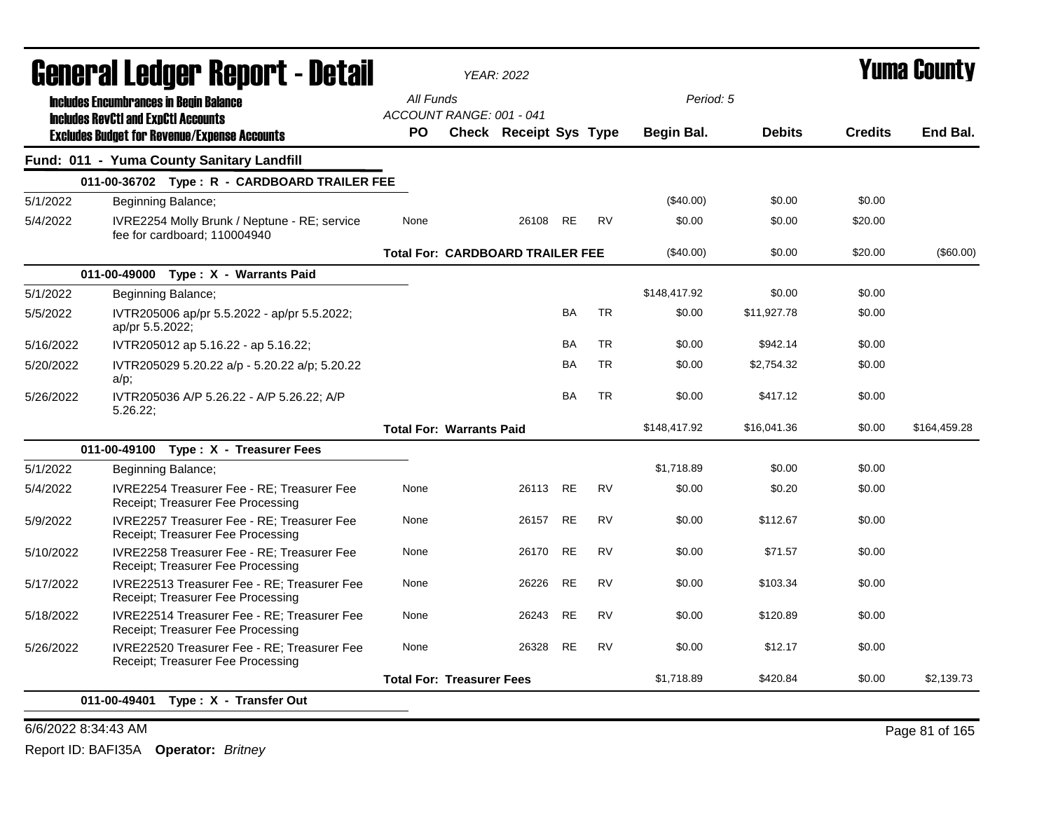|           |                                                                                                   | <b>YEAR: 2022</b>                     |                                         |           |           |              |               | <b>Yuma County</b> |              |
|-----------|---------------------------------------------------------------------------------------------------|---------------------------------------|-----------------------------------------|-----------|-----------|--------------|---------------|--------------------|--------------|
|           | General Ledger Report - Detail<br><b>Includes Encumbrances in Begin Balance</b>                   | All Funds<br>ACCOUNT RANGE: 001 - 041 |                                         |           |           | Period: 5    |               |                    |              |
|           | <b>Includes RevCtI and ExpCtI Accounts</b><br><b>Excludes Budget for Revenue/Expense Accounts</b> | <b>PO</b>                             | Check Receipt Sys Type                  |           |           | Begin Bal.   | <b>Debits</b> | <b>Credits</b>     | End Bal.     |
|           | Fund: 011 - Yuma County Sanitary Landfill                                                         |                                       |                                         |           |           |              |               |                    |              |
|           | 011-00-36702 Type: R - CARDBOARD TRAILER FEE                                                      |                                       |                                         |           |           |              |               |                    |              |
| 5/1/2022  | Beginning Balance;                                                                                |                                       |                                         |           |           | $(\$40.00)$  | \$0.00        | \$0.00             |              |
| 5/4/2022  | IVRE2254 Molly Brunk / Neptune - RE; service<br>fee for cardboard; 110004940                      | None                                  | 26108                                   | <b>RE</b> | <b>RV</b> | \$0.00       | \$0.00        | \$20.00            |              |
|           |                                                                                                   |                                       | <b>Total For: CARDBOARD TRAILER FEE</b> |           |           | (\$40.00)    | \$0.00        | \$20.00            | (\$60.00)    |
|           | 011-00-49000 Type: X - Warrants Paid                                                              |                                       |                                         |           |           |              |               |                    |              |
| 5/1/2022  | Beginning Balance;                                                                                |                                       |                                         |           |           | \$148,417.92 | \$0.00        | \$0.00             |              |
| 5/5/2022  | IVTR205006 ap/pr 5.5.2022 - ap/pr 5.5.2022;<br>ap/pr 5.5.2022;                                    |                                       |                                         | BA        | <b>TR</b> | \$0.00       | \$11,927.78   | \$0.00             |              |
| 5/16/2022 | IVTR205012 ap 5.16.22 - ap 5.16.22;                                                               |                                       |                                         | BA        | <b>TR</b> | \$0.00       | \$942.14      | \$0.00             |              |
| 5/20/2022 | IVTR205029 5.20.22 a/p - 5.20.22 a/p; 5.20.22<br>a/p;                                             |                                       |                                         | BA        | <b>TR</b> | \$0.00       | \$2,754.32    | \$0.00             |              |
| 5/26/2022 | IVTR205036 A/P 5.26.22 - A/P 5.26.22; A/P<br>5.26.22                                              |                                       |                                         | <b>BA</b> | <b>TR</b> | \$0.00       | \$417.12      | \$0.00             |              |
|           |                                                                                                   | <b>Total For: Warrants Paid</b>       |                                         |           |           | \$148,417.92 | \$16,041.36   | \$0.00             | \$164,459.28 |
|           | 011-00-49100 Type: X - Treasurer Fees                                                             |                                       |                                         |           |           |              |               |                    |              |
| 5/1/2022  | Beginning Balance;                                                                                |                                       |                                         |           |           | \$1,718.89   | \$0.00        | \$0.00             |              |
| 5/4/2022  | IVRE2254 Treasurer Fee - RE; Treasurer Fee<br>Receipt; Treasurer Fee Processing                   | None                                  | 26113                                   | <b>RE</b> | <b>RV</b> | \$0.00       | \$0.20        | \$0.00             |              |
| 5/9/2022  | IVRE2257 Treasurer Fee - RE; Treasurer Fee<br>Receipt; Treasurer Fee Processing                   | None                                  | 26157                                   | <b>RE</b> | <b>RV</b> | \$0.00       | \$112.67      | \$0.00             |              |
| 5/10/2022 | IVRE2258 Treasurer Fee - RE; Treasurer Fee<br>Receipt; Treasurer Fee Processing                   | None                                  | 26170                                   | <b>RE</b> | <b>RV</b> | \$0.00       | \$71.57       | \$0.00             |              |
| 5/17/2022 | IVRE22513 Treasurer Fee - RE; Treasurer Fee<br>Receipt; Treasurer Fee Processing                  | None                                  | 26226                                   | <b>RE</b> | <b>RV</b> | \$0.00       | \$103.34      | \$0.00             |              |
| 5/18/2022 | IVRE22514 Treasurer Fee - RE; Treasurer Fee<br>Receipt; Treasurer Fee Processing                  | None                                  | 26243                                   | <b>RE</b> | <b>RV</b> | \$0.00       | \$120.89      | \$0.00             |              |
| 5/26/2022 | IVRE22520 Treasurer Fee - RE; Treasurer Fee<br>Receipt; Treasurer Fee Processing                  | None                                  | 26328                                   | <b>RE</b> | <b>RV</b> | \$0.00       | \$12.17       | \$0.00             |              |
|           |                                                                                                   | <b>Total For: Treasurer Fees</b>      |                                         |           |           | \$1,718.89   | \$420.84      | \$0.00             | \$2,139.73   |
|           | 011-00-49401<br>Type: X - Transfer Out                                                            |                                       |                                         |           |           |              |               |                    |              |

### 6/6/2022 8:34:43 AM Page 81 of 165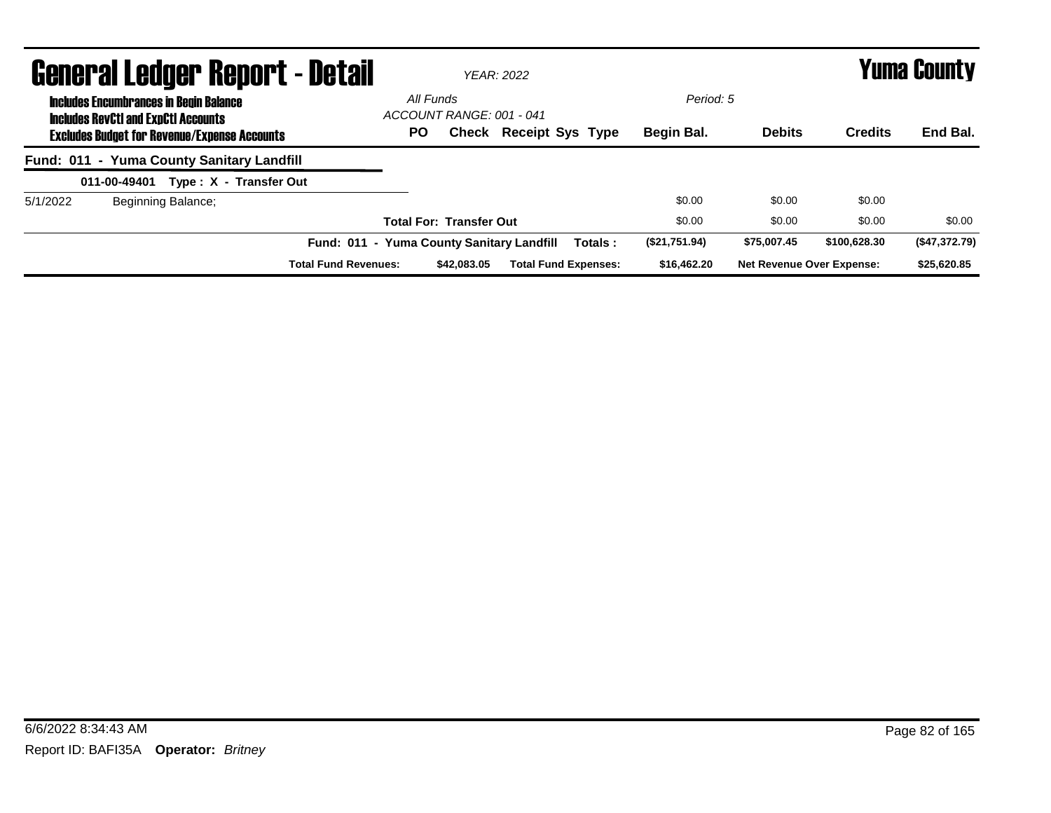|          | <b>General Ledger Report - Detail</b>                                                       |                                           |                                       | YFAR: 2022                    |               |                                  |                | Yuma County   |
|----------|---------------------------------------------------------------------------------------------|-------------------------------------------|---------------------------------------|-------------------------------|---------------|----------------------------------|----------------|---------------|
|          | <b>Includes Encumbrances in Begin Balance</b><br><b>Includes RevCtI and ExpCtI Accounts</b> |                                           | All Funds<br>ACCOUNT RANGE: 001 - 041 |                               | Period: 5     |                                  |                |               |
|          | <b>Excludes Budget for Revenue/Expense Accounts</b>                                         | <b>PO</b>                                 |                                       | <b>Check Receipt Sys Type</b> | Begin Bal.    | <b>Debits</b>                    | <b>Credits</b> | End Bal.      |
|          | Fund: 011 - Yuma County Sanitary Landfill                                                   |                                           |                                       |                               |               |                                  |                |               |
|          | Type: X - Transfer Out<br>011-00-49401                                                      |                                           |                                       |                               |               |                                  |                |               |
| 5/1/2022 | Beginning Balance;                                                                          |                                           |                                       |                               | \$0.00        | \$0.00                           | \$0.00         |               |
|          |                                                                                             |                                           | <b>Total For: Transfer Out</b>        |                               | \$0.00        | \$0.00                           | \$0.00         | \$0.00        |
|          |                                                                                             | Fund: 011 - Yuma County Sanitary Landfill |                                       | Totals:                       | (\$21,751.94) | \$75,007.45                      | \$100,628,30   | (\$47,372.79) |
|          |                                                                                             | <b>Total Fund Revenues:</b>               | \$42,083,05                           | <b>Total Fund Expenses:</b>   | \$16,462.20   | <b>Net Revenue Over Expense:</b> |                | \$25,620.85   |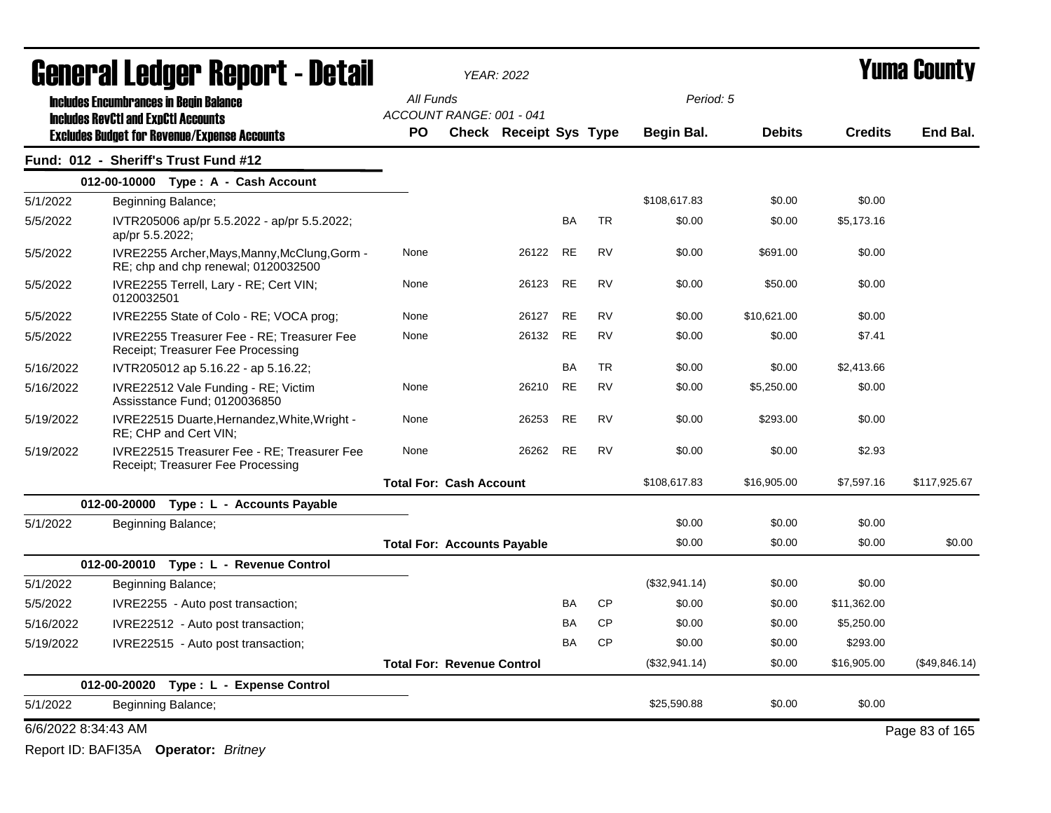|                                        | General Ledger Report - Detail                                                       |                                    | <b>YEAR: 2022</b>             |           |           | Yuma County   |               |                |                |
|----------------------------------------|--------------------------------------------------------------------------------------|------------------------------------|-------------------------------|-----------|-----------|---------------|---------------|----------------|----------------|
|                                        | <b>Includes Encumbrances in Begin Balance</b>                                        | All Funds                          |                               |           |           | Period: 5     |               |                |                |
|                                        | <b>Includes RevCtI and ExpCtI Accounts</b>                                           | ACCOUNT RANGE: 001 - 041           |                               |           |           |               |               |                |                |
|                                        | <b>Excludes Budget for Revenue/Expense Accounts</b>                                  | <b>PO</b>                          | <b>Check Receipt Sys Type</b> |           |           | Begin Bal.    | <b>Debits</b> | <b>Credits</b> | End Bal.       |
|                                        | Fund: 012 - Sheriff's Trust Fund #12                                                 |                                    |                               |           |           |               |               |                |                |
|                                        | 012-00-10000 Type: A - Cash Account                                                  |                                    |                               |           |           |               |               |                |                |
| 5/1/2022                               | Beginning Balance;                                                                   |                                    |                               |           |           | \$108,617.83  | \$0.00        | \$0.00         |                |
| 5/5/2022                               | IVTR205006 ap/pr 5.5.2022 - ap/pr 5.5.2022;<br>ap/pr 5.5.2022;                       |                                    |                               | BA        | <b>TR</b> | \$0.00        | \$0.00        | \$5.173.16     |                |
| 5/5/2022                               | IVRE2255 Archer, Mays, Manny, McClung, Gorm -<br>RE; chp and chp renewal; 0120032500 | None                               | 26122                         | <b>RE</b> | <b>RV</b> | \$0.00        | \$691.00      | \$0.00         |                |
| 5/5/2022                               | IVRE2255 Terrell, Lary - RE; Cert VIN;<br>0120032501                                 | None                               | 26123                         | <b>RE</b> | <b>RV</b> | \$0.00        | \$50.00       | \$0.00         |                |
| 5/5/2022                               | IVRE2255 State of Colo - RE; VOCA prog;                                              | None                               | 26127                         | <b>RE</b> | <b>RV</b> | \$0.00        | \$10.621.00   | \$0.00         |                |
| 5/5/2022                               | IVRE2255 Treasurer Fee - RE; Treasurer Fee<br>Receipt; Treasurer Fee Processing      | None                               | 26132                         | <b>RE</b> | <b>RV</b> | \$0.00        | \$0.00        | \$7.41         |                |
| 5/16/2022                              | IVTR205012 ap 5.16.22 - ap 5.16.22;                                                  |                                    |                               | BA        | <b>TR</b> | \$0.00        | \$0.00        | \$2,413.66     |                |
| 5/16/2022                              | IVRE22512 Vale Funding - RE; Victim<br>Assisstance Fund; 0120036850                  | None                               | 26210                         | <b>RE</b> | <b>RV</b> | \$0.00        | \$5,250.00    | \$0.00         |                |
| 5/19/2022                              | IVRE22515 Duarte, Hernandez, White, Wright -<br>RE; CHP and Cert VIN;                | None                               | 26253                         | <b>RE</b> | <b>RV</b> | \$0.00        | \$293.00      | \$0.00         |                |
| 5/19/2022                              | IVRE22515 Treasurer Fee - RE; Treasurer Fee<br>Receipt; Treasurer Fee Processing     | None                               | 26262                         | <b>RE</b> | <b>RV</b> | \$0.00        | \$0.00        | \$2.93         |                |
|                                        |                                                                                      | <b>Total For: Cash Account</b>     |                               |           |           | \$108,617.83  | \$16,905.00   | \$7,597.16     | \$117,925.67   |
|                                        | 012-00-20000 Type: L - Accounts Payable                                              |                                    |                               |           |           |               |               |                |                |
| 5/1/2022                               | Beginning Balance;                                                                   |                                    |                               |           |           | \$0.00        | \$0.00        | \$0.00         |                |
|                                        |                                                                                      | <b>Total For: Accounts Payable</b> |                               |           |           | \$0.00        | \$0.00        | \$0.00         | \$0.00         |
|                                        | 012-00-20010 Type: L - Revenue Control                                               |                                    |                               |           |           |               |               |                |                |
| 5/1/2022                               | Beginning Balance;                                                                   |                                    |                               |           |           | (\$32,941.14) | \$0.00        | \$0.00         |                |
| 5/5/2022                               | IVRE2255 - Auto post transaction;                                                    |                                    |                               | <b>BA</b> | <b>CP</b> | \$0.00        | \$0.00        | \$11,362.00    |                |
| 5/16/2022                              | IVRE22512 - Auto post transaction;                                                   |                                    |                               | BA        | <b>CP</b> | \$0.00        | \$0.00        | \$5,250.00     |                |
| 5/19/2022                              | IVRE22515 - Auto post transaction;                                                   |                                    |                               | <b>BA</b> | <b>CP</b> | \$0.00        | \$0.00        | \$293.00       |                |
|                                        |                                                                                      | <b>Total For: Revenue Control</b>  |                               |           |           | (\$32,941.14) | \$0.00        | \$16,905.00    | (\$49,846.14)  |
| 012-00-20020 Type: L - Expense Control |                                                                                      |                                    |                               |           |           |               |               |                |                |
| 5/1/2022<br>Beginning Balance;         |                                                                                      |                                    |                               |           |           | \$25,590.88   | \$0.00        | \$0.00         |                |
| 6/6/2022 8:34:43 AM                    |                                                                                      |                                    |                               |           |           |               |               |                | Page 83 of 165 |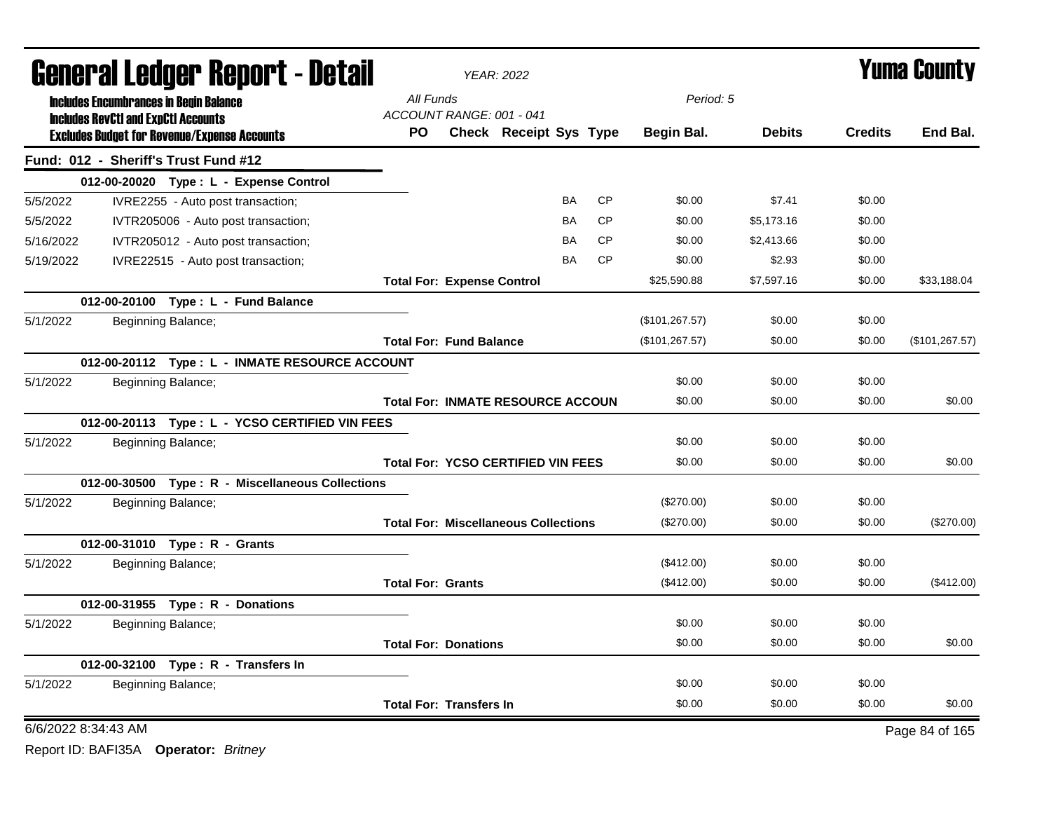|           | <b>General Ledger Report - Detail</b>         |                                                     |                                             | <b>YEAR: 2022</b>      |           |           |                 | Yuma County   |                |                 |  |
|-----------|-----------------------------------------------|-----------------------------------------------------|---------------------------------------------|------------------------|-----------|-----------|-----------------|---------------|----------------|-----------------|--|
|           | <b>Includes Encumbrances in Begin Balance</b> |                                                     | All Funds                                   |                        |           |           | Period: 5       |               |                |                 |  |
|           | <b>Includes RevCtI and ExpCtI Accounts</b>    | <b>Excludes Budget for Revenue/Expense Accounts</b> | ACCOUNT RANGE: 001 - 041<br>PO.             | Check Receipt Sys Type |           |           | Begin Bal.      | <b>Debits</b> | <b>Credits</b> | End Bal.        |  |
|           |                                               | Fund: 012 - Sheriff's Trust Fund #12                |                                             |                        |           |           |                 |               |                |                 |  |
|           |                                               | 012-00-20020 Type: L - Expense Control              |                                             |                        |           |           |                 |               |                |                 |  |
| 5/5/2022  |                                               | IVRE2255 - Auto post transaction;                   |                                             |                        | <b>BA</b> | CP        | \$0.00          | \$7.41        | \$0.00         |                 |  |
| 5/5/2022  |                                               | IVTR205006 - Auto post transaction;                 |                                             |                        | BA        | <b>CP</b> | \$0.00          | \$5,173.16    | \$0.00         |                 |  |
| 5/16/2022 |                                               | IVTR205012 - Auto post transaction;                 |                                             |                        | BA        | <b>CP</b> | \$0.00          | \$2,413.66    | \$0.00         |                 |  |
| 5/19/2022 |                                               | IVRE22515 - Auto post transaction;                  |                                             |                        | BA        | <b>CP</b> | \$0.00          | \$2.93        | \$0.00         |                 |  |
|           |                                               |                                                     | <b>Total For: Expense Control</b>           |                        |           |           | \$25,590.88     | \$7,597.16    | \$0.00         | \$33,188.04     |  |
|           |                                               | 012-00-20100 Type: L - Fund Balance                 |                                             |                        |           |           |                 |               |                |                 |  |
| 5/1/2022  |                                               | Beginning Balance;                                  |                                             |                        |           |           | (\$101, 267.57) | \$0.00        | \$0.00         |                 |  |
|           |                                               |                                                     | <b>Total For: Fund Balance</b>              |                        |           |           | (\$101, 267.57) | \$0.00        | \$0.00         | (\$101, 267.57) |  |
|           |                                               | 012-00-20112 Type: L - INMATE RESOURCE ACCOUNT      |                                             |                        |           |           |                 |               |                |                 |  |
| 5/1/2022  |                                               | Beginning Balance;                                  |                                             |                        |           |           | \$0.00          | \$0.00        | \$0.00         |                 |  |
|           |                                               |                                                     | <b>Total For: INMATE RESOURCE ACCOUN</b>    |                        |           |           | \$0.00          | \$0.00        | \$0.00         | \$0.00          |  |
|           |                                               | 012-00-20113 Type: L - YCSO CERTIFIED VIN FEES      |                                             |                        |           |           |                 |               |                |                 |  |
| 5/1/2022  |                                               | Beginning Balance;                                  |                                             |                        |           |           | \$0.00          | \$0.00        | \$0.00         |                 |  |
|           |                                               |                                                     | <b>Total For: YCSO CERTIFIED VIN FEES</b>   |                        |           |           | \$0.00          | \$0.00        | \$0.00         | \$0.00          |  |
|           |                                               | 012-00-30500 Type: R - Miscellaneous Collections    |                                             |                        |           |           |                 |               |                |                 |  |
| 5/1/2022  |                                               | Beginning Balance;                                  |                                             |                        |           |           | (\$270.00)      | \$0.00        | \$0.00         |                 |  |
|           |                                               |                                                     | <b>Total For: Miscellaneous Collections</b> |                        |           |           | $(\$270.00)$    | \$0.00        | \$0.00         | (\$270.00)      |  |
|           |                                               | 012-00-31010 Type: R - Grants                       |                                             |                        |           |           |                 |               |                |                 |  |
| 5/1/2022  |                                               | Beginning Balance;                                  |                                             |                        |           |           | (\$412.00)      | \$0.00        | \$0.00         |                 |  |
|           |                                               |                                                     | <b>Total For: Grants</b>                    |                        |           |           | (\$412.00)      | \$0.00        | \$0.00         | (\$412.00)      |  |
|           |                                               | 012-00-31955 Type: R - Donations                    |                                             |                        |           |           |                 |               |                |                 |  |
| 5/1/2022  |                                               | Beginning Balance;                                  |                                             |                        |           |           | \$0.00          | \$0.00        | \$0.00         |                 |  |
|           |                                               |                                                     | <b>Total For: Donations</b>                 |                        |           |           | \$0.00          | \$0.00        | \$0.00         | \$0.00          |  |
|           |                                               | 012-00-32100 Type: R - Transfers In                 |                                             |                        |           |           |                 |               |                |                 |  |
| 5/1/2022  |                                               | Beginning Balance;                                  |                                             |                        |           |           | \$0.00          | \$0.00        | \$0.00         |                 |  |
|           |                                               |                                                     | <b>Total For: Transfers In</b>              |                        |           |           | \$0.00          | \$0.00        | \$0.00         | \$0.00          |  |
|           | 6/6/2022 8:34:43 AM                           |                                                     |                                             |                        |           |           |                 |               |                | Page 84 of 165  |  |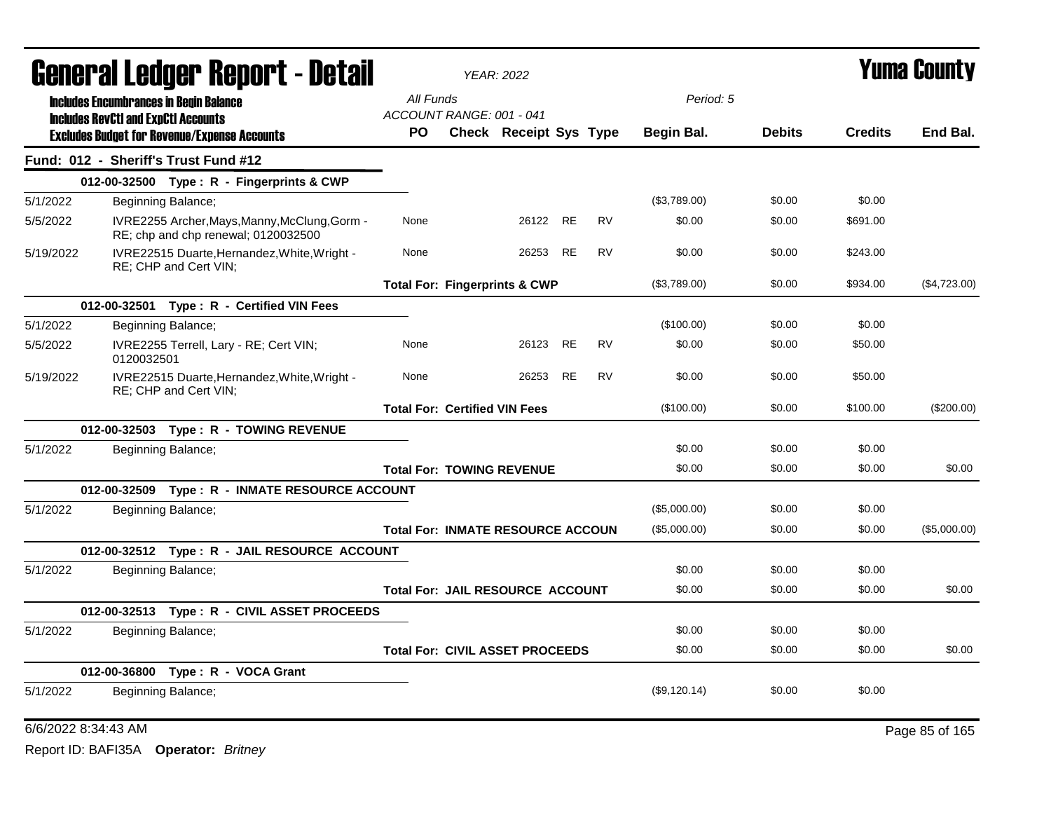|           |                                                                                             | <b>General Ledger Report - Detail</b>                                                |                                          | <b>YEAR: 2022</b>      |           |           |                   |               |                | <b>Yuma County</b> |
|-----------|---------------------------------------------------------------------------------------------|--------------------------------------------------------------------------------------|------------------------------------------|------------------------|-----------|-----------|-------------------|---------------|----------------|--------------------|
|           | <b>Includes Encumbrances in Begin Balance</b><br><b>Includes RevCtI and ExpCtI Accounts</b> |                                                                                      | All Funds<br>ACCOUNT RANGE: 001 - 041    |                        |           |           | Period: 5         |               |                |                    |
|           |                                                                                             | <b>Excludes Budget for Revenue/Expense Accounts</b>                                  | PO.                                      | Check Receipt Sys Type |           |           | <b>Begin Bal.</b> | <b>Debits</b> | <b>Credits</b> | End Bal.           |
|           |                                                                                             | Fund: 012 - Sheriff's Trust Fund #12                                                 |                                          |                        |           |           |                   |               |                |                    |
|           |                                                                                             | 012-00-32500 Type: R - Fingerprints & CWP                                            |                                          |                        |           |           |                   |               |                |                    |
| 5/1/2022  |                                                                                             | Beginning Balance;                                                                   |                                          |                        |           |           | (\$3,789.00)      | \$0.00        | \$0.00         |                    |
| 5/5/2022  |                                                                                             | IVRE2255 Archer, Mays, Manny, McClung, Gorm -<br>RE; chp and chp renewal; 0120032500 | None                                     | 26122                  | <b>RE</b> | <b>RV</b> | \$0.00            | \$0.00        | \$691.00       |                    |
| 5/19/2022 |                                                                                             | IVRE22515 Duarte, Hernandez, White, Wright -<br>RE; CHP and Cert VIN;                | None                                     | 26253                  | <b>RE</b> | <b>RV</b> | \$0.00            | \$0.00        | \$243.00       |                    |
|           |                                                                                             |                                                                                      | <b>Total For: Fingerprints &amp; CWP</b> |                        |           |           | (\$3,789.00)      | \$0.00        | \$934.00       | (\$4,723.00)       |
|           |                                                                                             | 012-00-32501 Type: R - Certified VIN Fees                                            |                                          |                        |           |           |                   |               |                |                    |
| 5/1/2022  |                                                                                             | Beginning Balance;                                                                   |                                          |                        |           |           | (\$100.00)        | \$0.00        | \$0.00         |                    |
| 5/5/2022  | 0120032501                                                                                  | IVRE2255 Terrell, Lary - RE; Cert VIN;                                               | None                                     | 26123                  | <b>RE</b> | <b>RV</b> | \$0.00            | \$0.00        | \$50.00        |                    |
| 5/19/2022 |                                                                                             | IVRE22515 Duarte, Hernandez, White, Wright -<br>RE; CHP and Cert VIN;                | None                                     | 26253                  | RE        | <b>RV</b> | \$0.00            | \$0.00        | \$50.00        |                    |
|           |                                                                                             |                                                                                      | <b>Total For: Certified VIN Fees</b>     |                        |           |           | (\$100.00)        | \$0.00        | \$100.00       | $(\$200.00)$       |
|           |                                                                                             | 012-00-32503 Type: R - TOWING REVENUE                                                |                                          |                        |           |           |                   |               |                |                    |
| 5/1/2022  |                                                                                             | Beginning Balance;                                                                   |                                          |                        |           |           | \$0.00            | \$0.00        | \$0.00         |                    |
|           |                                                                                             |                                                                                      | <b>Total For: TOWING REVENUE</b>         |                        |           |           | \$0.00            | \$0.00        | \$0.00         | \$0.00             |
|           |                                                                                             | 012-00-32509 Type: R - INMATE RESOURCE ACCOUNT                                       |                                          |                        |           |           |                   |               |                |                    |
| 5/1/2022  |                                                                                             | Beginning Balance;                                                                   |                                          |                        |           |           | (\$5,000.00)      | \$0.00        | \$0.00         |                    |
|           |                                                                                             |                                                                                      | <b>Total For: INMATE RESOURCE ACCOUN</b> |                        |           |           | (\$5,000.00)      | \$0.00        | \$0.00         | (\$5,000.00)       |
|           |                                                                                             | 012-00-32512 Type: R - JAIL RESOURCE ACCOUNT                                         |                                          |                        |           |           |                   |               |                |                    |
| 5/1/2022  |                                                                                             | Beginning Balance;                                                                   |                                          |                        |           |           | \$0.00            | \$0.00        | \$0.00         |                    |
|           |                                                                                             |                                                                                      | <b>Total For: JAIL RESOURCE ACCOUNT</b>  |                        |           |           | \$0.00            | \$0.00        | \$0.00         | \$0.00             |
|           |                                                                                             | 012-00-32513 Type: R - CIVIL ASSET PROCEEDS                                          |                                          |                        |           |           |                   |               |                |                    |
| 5/1/2022  |                                                                                             | Beginning Balance;                                                                   |                                          |                        |           |           | \$0.00            | \$0.00        | \$0.00         |                    |
|           |                                                                                             |                                                                                      | <b>Total For: CIVIL ASSET PROCEEDS</b>   |                        |           |           | \$0.00            | \$0.00        | \$0.00         | \$0.00             |
|           |                                                                                             | 012-00-36800 Type: R - VOCA Grant                                                    |                                          |                        |           |           |                   |               |                |                    |
| 5/1/2022  |                                                                                             | Beginning Balance;                                                                   |                                          |                        |           |           | (\$9,120.14)      | \$0.00        | \$0.00         |                    |

## 6/6/2022 8:34:43 AM Page 85 of 165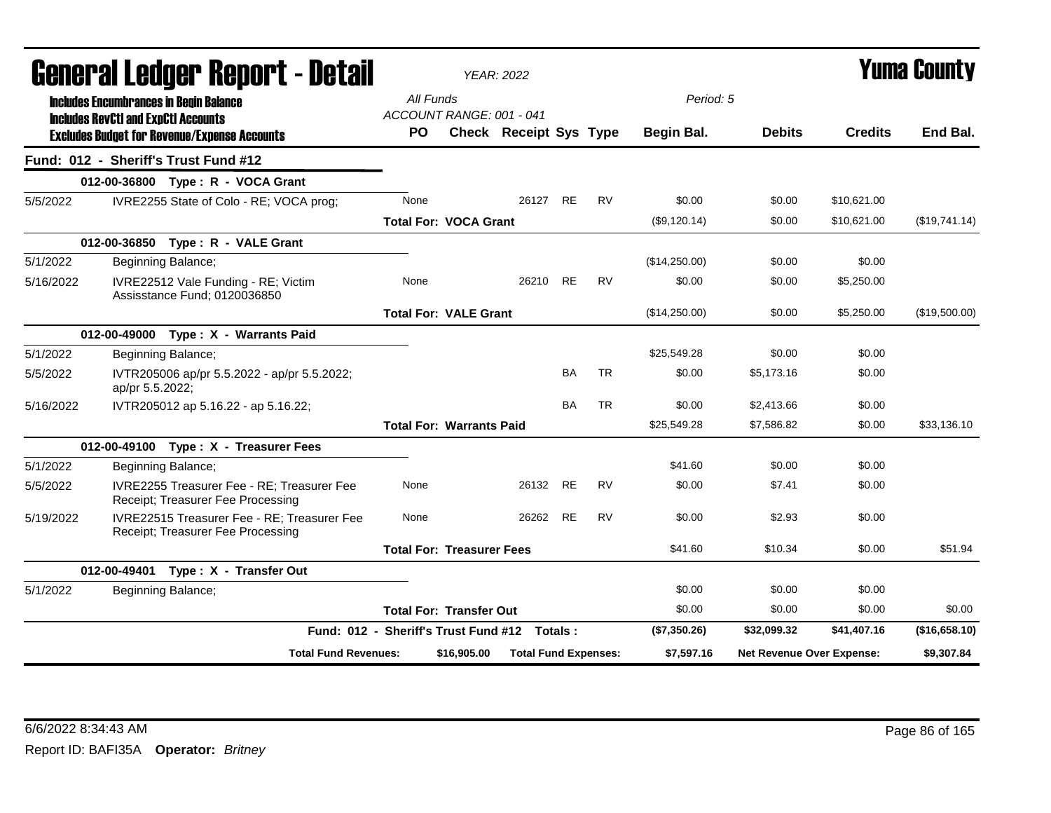|           | General Ledger Report - Detail                                                              |                                              |             | <b>YEAR: 2022</b>             |           |           |               |                                  |                | Yuma County   |
|-----------|---------------------------------------------------------------------------------------------|----------------------------------------------|-------------|-------------------------------|-----------|-----------|---------------|----------------------------------|----------------|---------------|
|           | <b>Includes Encumbrances in Begin Balance</b><br><b>Includes RevCtI and ExpCtI Accounts</b> | All Funds<br>ACCOUNT RANGE: 001 - 041        |             |                               |           |           | Period: 5     |                                  |                |               |
|           | <b>Excludes Budget for Revenue/Expense Accounts</b>                                         | <b>PO</b>                                    |             | <b>Check Receipt Sys Type</b> |           |           | Begin Bal.    | <b>Debits</b>                    | <b>Credits</b> | End Bal.      |
|           | Fund: 012 - Sheriff's Trust Fund #12                                                        |                                              |             |                               |           |           |               |                                  |                |               |
|           | 012-00-36800 Type: R - VOCA Grant                                                           |                                              |             |                               |           |           |               |                                  |                |               |
| 5/5/2022  | IVRE2255 State of Colo - RE; VOCA prog;                                                     | None                                         |             | 26127                         | <b>RE</b> | <b>RV</b> | \$0.00        | \$0.00                           | \$10,621.00    |               |
|           |                                                                                             | <b>Total For: VOCA Grant</b>                 |             |                               |           |           | (S9, 120.14)  | \$0.00                           | \$10,621.00    | (\$19,741.14) |
|           | 012-00-36850 Type: R - VALE Grant                                                           |                                              |             |                               |           |           |               |                                  |                |               |
| 5/1/2022  | Beginning Balance;                                                                          |                                              |             |                               |           |           | (\$14,250.00) | \$0.00                           | \$0.00         |               |
| 5/16/2022 | IVRE22512 Vale Funding - RE; Victim<br>Assisstance Fund; 0120036850                         | None                                         |             | 26210                         | <b>RE</b> | <b>RV</b> | \$0.00        | \$0.00                           | \$5,250.00     |               |
|           |                                                                                             | <b>Total For: VALE Grant</b>                 |             |                               |           |           | (\$14,250.00) | \$0.00                           | \$5,250.00     | (\$19,500.00) |
|           | 012-00-49000 Type: X - Warrants Paid                                                        |                                              |             |                               |           |           |               |                                  |                |               |
| 5/1/2022  | Beginning Balance;                                                                          |                                              |             |                               |           |           | \$25,549.28   | \$0.00                           | \$0.00         |               |
| 5/5/2022  | IVTR205006 ap/pr 5.5.2022 - ap/pr 5.5.2022;<br>ap/pr 5.5.2022;                              |                                              |             |                               | <b>BA</b> | <b>TR</b> | \$0.00        | \$5,173.16                       | \$0.00         |               |
| 5/16/2022 | IVTR205012 ap 5.16.22 - ap 5.16.22;                                                         |                                              |             |                               | BA        | <b>TR</b> | \$0.00        | \$2,413.66                       | \$0.00         |               |
|           |                                                                                             | <b>Total For: Warrants Paid</b>              |             |                               |           |           | \$25,549.28   | \$7,586.82                       | \$0.00         | \$33,136.10   |
|           | 012-00-49100 Type: X - Treasurer Fees                                                       |                                              |             |                               |           |           |               |                                  |                |               |
| 5/1/2022  | Beginning Balance;                                                                          |                                              |             |                               |           |           | \$41.60       | \$0.00                           | \$0.00         |               |
| 5/5/2022  | IVRE2255 Treasurer Fee - RE; Treasurer Fee<br>Receipt; Treasurer Fee Processing             | None                                         |             | 26132                         | <b>RE</b> | <b>RV</b> | \$0.00        | \$7.41                           | \$0.00         |               |
| 5/19/2022 | IVRE22515 Treasurer Fee - RE; Treasurer Fee<br>Receipt; Treasurer Fee Processing            | None                                         |             | 26262                         | <b>RE</b> | <b>RV</b> | \$0.00        | \$2.93                           | \$0.00         |               |
|           |                                                                                             | <b>Total For: Treasurer Fees</b>             |             |                               |           |           | \$41.60       | \$10.34                          | \$0.00         | \$51.94       |
|           | 012-00-49401 Type: X - Transfer Out                                                         |                                              |             |                               |           |           |               |                                  |                |               |
| 5/1/2022  | Beginning Balance;                                                                          |                                              |             |                               |           |           | \$0.00        | \$0.00                           | \$0.00         |               |
|           |                                                                                             | <b>Total For: Transfer Out</b>               |             |                               |           |           | \$0.00        | \$0.00                           | \$0.00         | \$0.00        |
|           |                                                                                             | Fund: 012 - Sheriff's Trust Fund #12 Totals: |             |                               |           |           | (\$7,350.26)  | \$32,099.32                      | \$41,407.16    | (\$16,658.10) |
|           | <b>Total Fund Revenues:</b>                                                                 |                                              | \$16,905.00 | <b>Total Fund Expenses:</b>   |           |           | \$7,597.16    | <b>Net Revenue Over Expense:</b> |                | \$9,307.84    |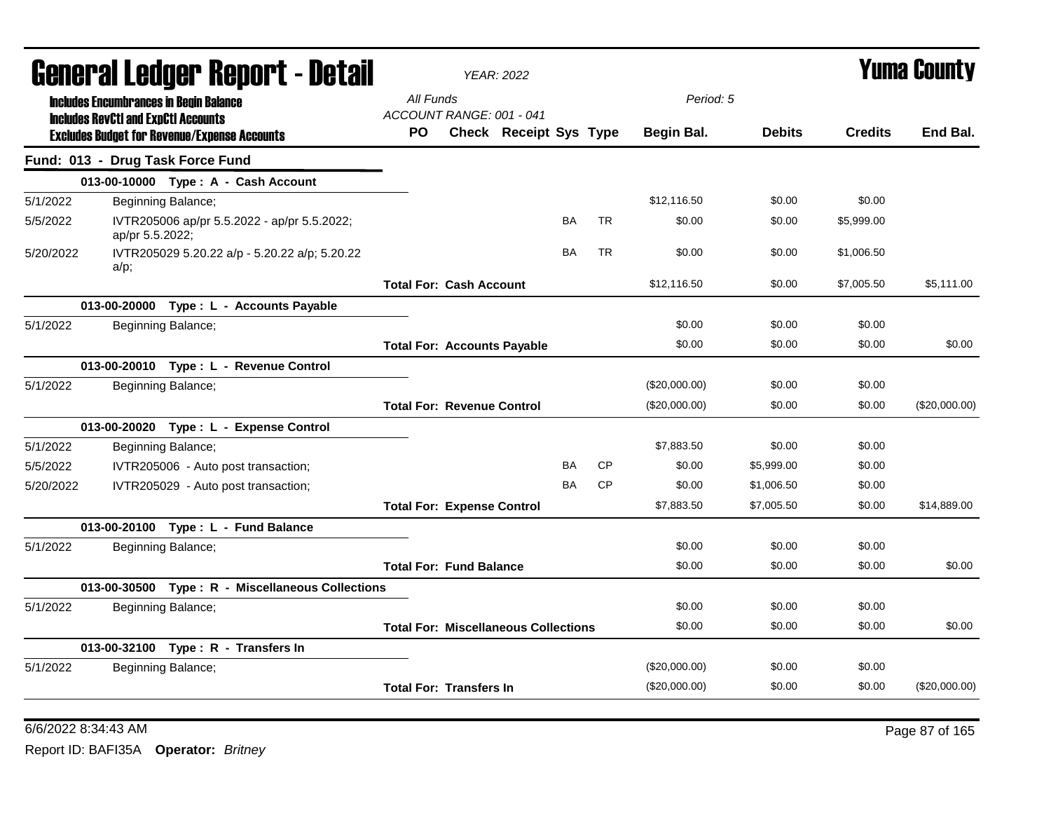|           |                                                                                             | General Ledger Report - Detail                      |           |                                   | <b>YEAR: 2022</b>                           |           |           |               |               |                | <b>Yuma County</b> |
|-----------|---------------------------------------------------------------------------------------------|-----------------------------------------------------|-----------|-----------------------------------|---------------------------------------------|-----------|-----------|---------------|---------------|----------------|--------------------|
|           | <b>Includes Encumbrances in Begin Balance</b><br><b>Includes RevCtI and ExpCtI Accounts</b> |                                                     | All Funds | ACCOUNT RANGE: 001 - 041          |                                             |           |           | Period: 5     |               |                |                    |
|           |                                                                                             | <b>Excludes Budget for Revenue/Expense Accounts</b> | PO.       |                                   | <b>Check Receipt Sys Type</b>               |           |           | Begin Bal.    | <b>Debits</b> | <b>Credits</b> | End Bal.           |
|           |                                                                                             | Fund: 013 - Drug Task Force Fund                    |           |                                   |                                             |           |           |               |               |                |                    |
|           |                                                                                             | 013-00-10000 Type: A - Cash Account                 |           |                                   |                                             |           |           |               |               |                |                    |
| 5/1/2022  |                                                                                             | Beginning Balance;                                  |           |                                   |                                             |           |           | \$12.116.50   | \$0.00        | \$0.00         |                    |
| 5/5/2022  | ap/pr 5.5.2022;                                                                             | IVTR205006 ap/pr 5.5.2022 - ap/pr 5.5.2022;         |           |                                   |                                             | <b>BA</b> | <b>TR</b> | \$0.00        | \$0.00        | \$5,999.00     |                    |
| 5/20/2022 | $a/p$ ;                                                                                     | IVTR205029 5.20.22 a/p - 5.20.22 a/p; 5.20.22       |           |                                   |                                             | <b>BA</b> | <b>TR</b> | \$0.00        | \$0.00        | \$1,006.50     |                    |
|           |                                                                                             |                                                     |           | <b>Total For: Cash Account</b>    |                                             |           |           | \$12,116.50   | \$0.00        | \$7,005.50     | \$5,111.00         |
|           |                                                                                             | 013-00-20000 Type : L - Accounts Payable            |           |                                   |                                             |           |           |               |               |                |                    |
| 5/1/2022  |                                                                                             | Beginning Balance;                                  |           |                                   |                                             |           |           | \$0.00        | \$0.00        | \$0.00         |                    |
|           |                                                                                             |                                                     |           |                                   | <b>Total For: Accounts Payable</b>          |           |           | \$0.00        | \$0.00        | \$0.00         | \$0.00             |
|           |                                                                                             | 013-00-20010 Type: L - Revenue Control              |           |                                   |                                             |           |           |               |               |                |                    |
| 5/1/2022  |                                                                                             | Beginning Balance;                                  |           |                                   |                                             |           |           | (\$20,000.00) | \$0.00        | \$0.00         |                    |
|           |                                                                                             |                                                     |           | <b>Total For: Revenue Control</b> |                                             |           |           | (\$20,000.00) | \$0.00        | \$0.00         | (\$20,000.00)      |
|           |                                                                                             | 013-00-20020 Type: L - Expense Control              |           |                                   |                                             |           |           |               |               |                |                    |
| 5/1/2022  |                                                                                             | Beginning Balance;                                  |           |                                   |                                             |           |           | \$7,883.50    | \$0.00        | \$0.00         |                    |
| 5/5/2022  |                                                                                             | IVTR205006 - Auto post transaction;                 |           |                                   |                                             | <b>BA</b> | <b>CP</b> | \$0.00        | \$5,999.00    | \$0.00         |                    |
| 5/20/2022 |                                                                                             | IVTR205029 - Auto post transaction;                 |           |                                   |                                             | <b>BA</b> | <b>CP</b> | \$0.00        | \$1,006.50    | \$0.00         |                    |
|           |                                                                                             |                                                     |           | <b>Total For: Expense Control</b> |                                             |           |           | \$7,883.50    | \$7,005.50    | \$0.00         | \$14,889.00        |
|           |                                                                                             | 013-00-20100 Type: L - Fund Balance                 |           |                                   |                                             |           |           |               |               |                |                    |
| 5/1/2022  |                                                                                             | Beginning Balance;                                  |           |                                   |                                             |           |           | \$0.00        | \$0.00        | \$0.00         |                    |
|           |                                                                                             |                                                     |           | <b>Total For: Fund Balance</b>    |                                             |           |           | \$0.00        | \$0.00        | \$0.00         | \$0.00             |
|           |                                                                                             | 013-00-30500 Type: R - Miscellaneous Collections    |           |                                   |                                             |           |           |               |               |                |                    |
| 5/1/2022  |                                                                                             | Beginning Balance;                                  |           |                                   |                                             |           |           | \$0.00        | \$0.00        | \$0.00         |                    |
|           |                                                                                             |                                                     |           |                                   | <b>Total For: Miscellaneous Collections</b> |           |           | \$0.00        | \$0.00        | \$0.00         | \$0.00             |
|           |                                                                                             | 013-00-32100 Type: R - Transfers In                 |           |                                   |                                             |           |           |               |               |                |                    |
| 5/1/2022  |                                                                                             | Beginning Balance;                                  |           |                                   |                                             |           |           | (\$20,000.00) | \$0.00        | \$0.00         |                    |
|           |                                                                                             |                                                     |           | <b>Total For: Transfers In</b>    |                                             |           |           | (\$20,000.00) | \$0.00        | \$0.00         | (\$20,000.00)      |
|           |                                                                                             |                                                     |           |                                   |                                             |           |           |               |               |                |                    |

6/6/2022 8:34:43 AM Page 87 of 165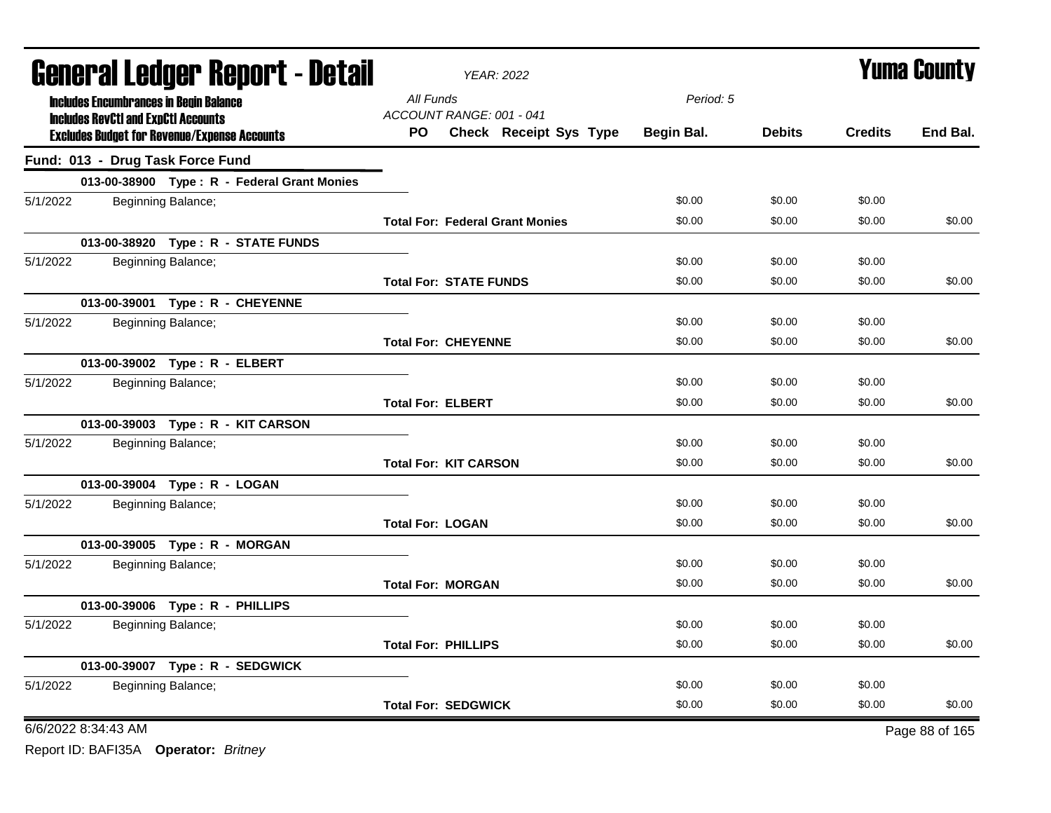|          |                                            | <b>General Ledger Report - Detail</b>               |                               | YEAR: 2022                                                |            |               |                | <b>Yuma County</b> |
|----------|--------------------------------------------|-----------------------------------------------------|-------------------------------|-----------------------------------------------------------|------------|---------------|----------------|--------------------|
|          |                                            | <b>Includes Encumbrances in Begin Balance</b>       | All Funds                     |                                                           | Period: 5  |               |                |                    |
|          | <b>Includes RevCtI and ExpCtI Accounts</b> | <b>Excludes Budget for Revenue/Expense Accounts</b> | <b>PO</b>                     | ACCOUNT RANGE: 001 - 041<br><b>Check Receipt Sys Type</b> | Begin Bal. | <b>Debits</b> | <b>Credits</b> | End Bal.           |
|          |                                            | Fund: 013 - Drug Task Force Fund                    |                               |                                                           |            |               |                |                    |
|          |                                            | 013-00-38900 Type: R - Federal Grant Monies         |                               |                                                           |            |               |                |                    |
| 5/1/2022 |                                            | Beginning Balance;                                  |                               |                                                           | \$0.00     | \$0.00        | \$0.00         |                    |
|          |                                            |                                                     |                               | <b>Total For: Federal Grant Monies</b>                    | \$0.00     | \$0.00        | \$0.00         | \$0.00             |
|          |                                            | 013-00-38920 Type: R - STATE FUNDS                  |                               |                                                           |            |               |                |                    |
| 5/1/2022 |                                            | Beginning Balance;                                  |                               |                                                           | \$0.00     | \$0.00        | \$0.00         |                    |
|          |                                            |                                                     | <b>Total For: STATE FUNDS</b> |                                                           | \$0.00     | \$0.00        | \$0.00         | \$0.00             |
|          |                                            | 013-00-39001 Type: R - CHEYENNE                     |                               |                                                           |            |               |                |                    |
| 5/1/2022 |                                            | Beginning Balance;                                  |                               |                                                           | \$0.00     | \$0.00        | \$0.00         |                    |
|          |                                            |                                                     | <b>Total For: CHEYENNE</b>    |                                                           | \$0.00     | \$0.00        | \$0.00         | \$0.00             |
|          |                                            | 013-00-39002 Type: R - ELBERT                       |                               |                                                           |            |               |                |                    |
| 5/1/2022 |                                            | Beginning Balance;                                  |                               |                                                           | \$0.00     | \$0.00        | \$0.00         |                    |
|          |                                            |                                                     | <b>Total For: ELBERT</b>      |                                                           | \$0.00     | \$0.00        | \$0.00         | \$0.00             |
|          |                                            | 013-00-39003 Type: R - KIT CARSON                   |                               |                                                           |            |               |                |                    |
| 5/1/2022 |                                            | Beginning Balance;                                  |                               |                                                           | \$0.00     | \$0.00        | \$0.00         |                    |
|          |                                            |                                                     | <b>Total For: KIT CARSON</b>  |                                                           | \$0.00     | \$0.00        | \$0.00         | \$0.00             |
|          |                                            | 013-00-39004 Type: R - LOGAN                        |                               |                                                           |            |               |                |                    |
| 5/1/2022 |                                            | Beginning Balance;                                  |                               |                                                           | \$0.00     | \$0.00        | \$0.00         |                    |
|          |                                            |                                                     | <b>Total For: LOGAN</b>       |                                                           | \$0.00     | \$0.00        | \$0.00         | \$0.00             |
|          |                                            | 013-00-39005 Type: R - MORGAN                       |                               |                                                           |            |               |                |                    |
| 5/1/2022 |                                            | Beginning Balance;                                  |                               |                                                           | \$0.00     | \$0.00        | \$0.00         |                    |
|          |                                            |                                                     | <b>Total For: MORGAN</b>      |                                                           | \$0.00     | \$0.00        | \$0.00         | \$0.00             |
|          |                                            | 013-00-39006 Type: R - PHILLIPS                     |                               |                                                           |            |               |                |                    |
| 5/1/2022 |                                            | Beginning Balance;                                  |                               |                                                           | \$0.00     | \$0.00        | \$0.00         |                    |
|          |                                            |                                                     | <b>Total For: PHILLIPS</b>    |                                                           | \$0.00     | \$0.00        | \$0.00         | \$0.00             |
|          |                                            | 013-00-39007 Type: R - SEDGWICK                     |                               |                                                           |            |               |                |                    |
| 5/1/2022 |                                            | Beginning Balance;                                  |                               |                                                           | \$0.00     | \$0.00        | \$0.00         |                    |
|          |                                            |                                                     | <b>Total For: SEDGWICK</b>    |                                                           | \$0.00     | \$0.00        | \$0.00         | \$0.00             |
|          | 6/6/2022 8:34:43 AM                        |                                                     |                               |                                                           |            |               |                | Page 88 of 165     |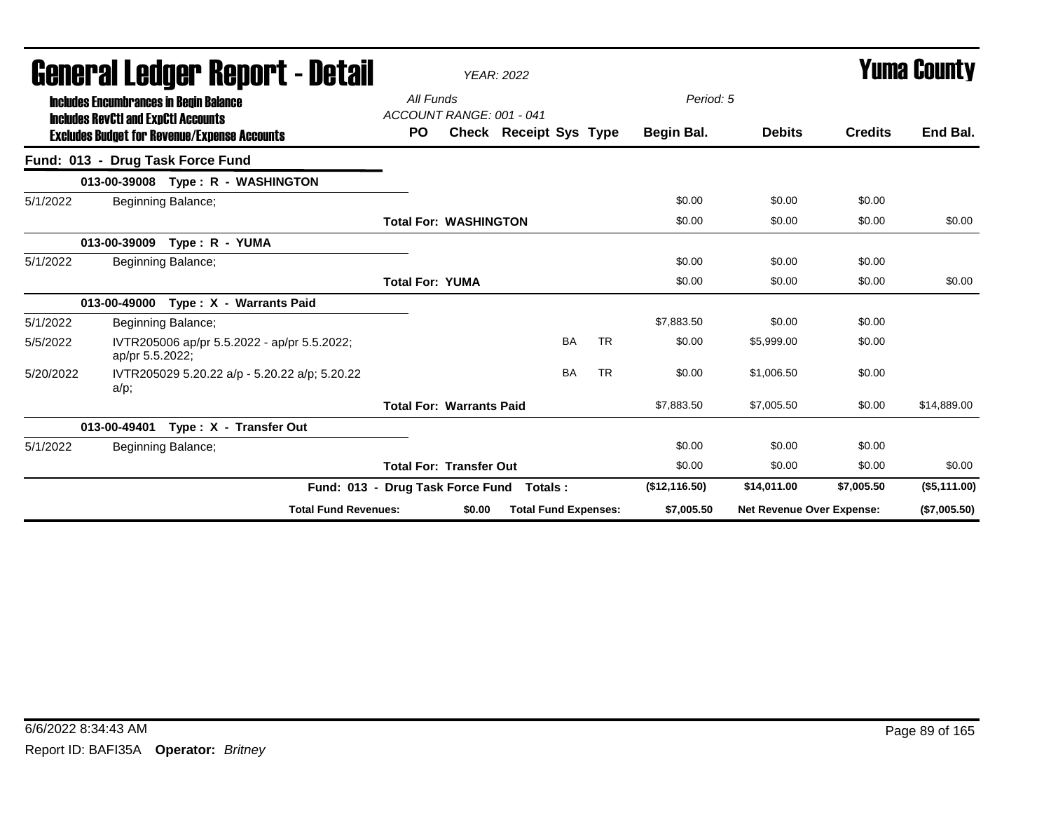|           | General Ledger Report - Detail                                                              |                                       |        | <b>YEAR: 2022</b>           |           |           |               |                                  |                | Yuma Countv  |
|-----------|---------------------------------------------------------------------------------------------|---------------------------------------|--------|-----------------------------|-----------|-----------|---------------|----------------------------------|----------------|--------------|
|           | <b>Includes Encumbrances in Begin Balance</b><br><b>Includes RevCtI and ExpCtI Accounts</b> | All Funds<br>ACCOUNT RANGE: 001 - 041 |        |                             |           |           | Period: 5     |                                  |                |              |
|           | <b>Excludes Budget for Revenue/Expense Accounts</b>                                         | <b>PO</b>                             |        | Check Receipt Sys Type      |           |           | Begin Bal.    | <b>Debits</b>                    | <b>Credits</b> | End Bal.     |
|           | Fund: 013 - Drug Task Force Fund                                                            |                                       |        |                             |           |           |               |                                  |                |              |
|           | 013-00-39008 Type: R - WASHINGTON                                                           |                                       |        |                             |           |           |               |                                  |                |              |
| 5/1/2022  | Beginning Balance;                                                                          |                                       |        |                             |           |           | \$0.00        | \$0.00                           | \$0.00         |              |
|           |                                                                                             | <b>Total For: WASHINGTON</b>          |        |                             |           |           | \$0.00        | \$0.00                           | \$0.00         | \$0.00       |
|           | 013-00-39009<br>Type: R - YUMA                                                              |                                       |        |                             |           |           |               |                                  |                |              |
| 5/1/2022  | Beginning Balance;                                                                          |                                       |        |                             |           |           | \$0.00        | \$0.00                           | \$0.00         |              |
|           |                                                                                             | <b>Total For: YUMA</b>                |        |                             |           |           | \$0.00        | \$0.00                           | \$0.00         | \$0.00       |
|           | Type: X - Warrants Paid<br>013-00-49000                                                     |                                       |        |                             |           |           |               |                                  |                |              |
| 5/1/2022  | Beginning Balance;                                                                          |                                       |        |                             |           |           | \$7,883.50    | \$0.00                           | \$0.00         |              |
| 5/5/2022  | IVTR205006 ap/pr 5.5.2022 - ap/pr 5.5.2022;<br>ap/pr 5.5.2022;                              |                                       |        |                             | <b>BA</b> | <b>TR</b> | \$0.00        | \$5,999.00                       | \$0.00         |              |
| 5/20/2022 | IVTR205029 5.20.22 a/p - 5.20.22 a/p; 5.20.22<br>$a/p$ ;                                    |                                       |        |                             | <b>BA</b> | <b>TR</b> | \$0.00        | \$1,006.50                       | \$0.00         |              |
|           |                                                                                             | <b>Total For: Warrants Paid</b>       |        |                             |           |           | \$7,883.50    | \$7,005.50                       | \$0.00         | \$14,889.00  |
|           | Type: X - Transfer Out<br>013-00-49401                                                      |                                       |        |                             |           |           |               |                                  |                |              |
| 5/1/2022  | Beginning Balance;                                                                          |                                       |        |                             |           |           | \$0.00        | \$0.00                           | \$0.00         |              |
|           |                                                                                             | <b>Total For: Transfer Out</b>        |        |                             |           |           | \$0.00        | \$0.00                           | \$0.00         | \$0.00       |
|           |                                                                                             | Fund: 013 - Drug Task Force Fund      |        | Totals :                    |           |           | (\$12,116.50) | \$14,011.00                      | \$7,005.50     | (\$5,111.00) |
|           | <b>Total Fund Revenues:</b>                                                                 |                                       | \$0.00 | <b>Total Fund Expenses:</b> |           |           | \$7,005.50    | <b>Net Revenue Over Expense:</b> |                | (\$7,005.50) |

#### 6/6/2022 8:34:43 AM Page 89 of 165 Report ID: BAFI35A **Operator:** *Britney*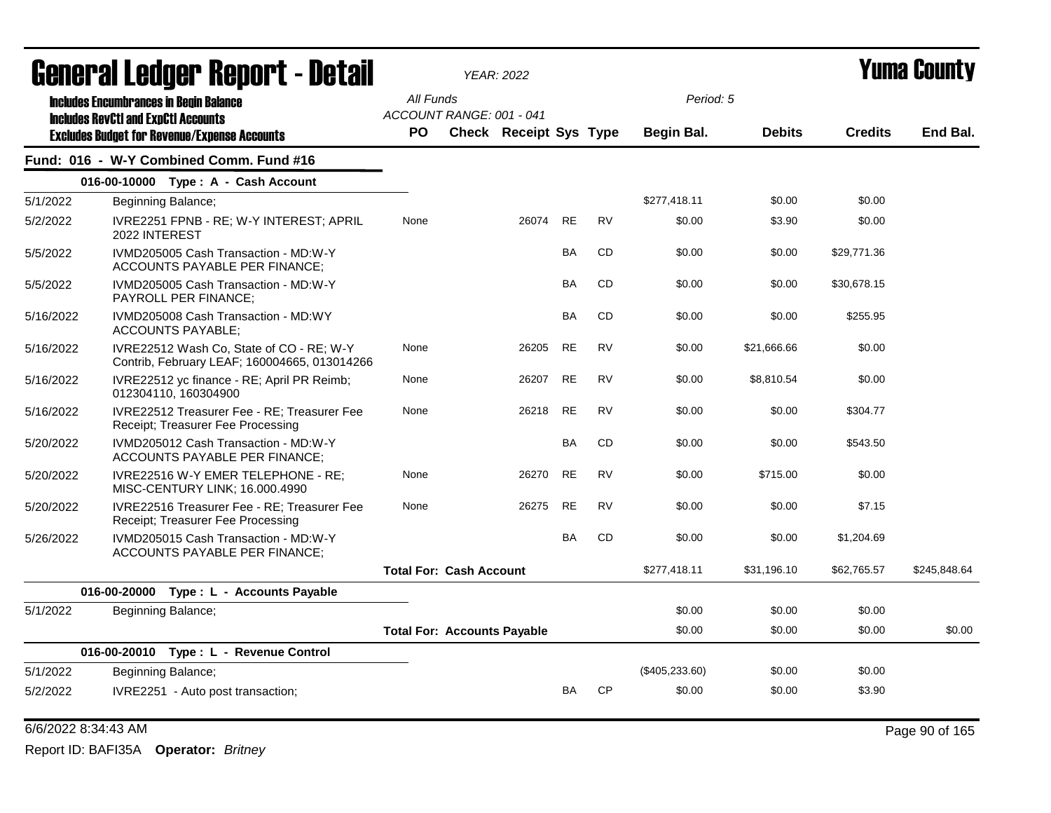|           | General Ledger Report - Detail                                                                    |                                       | <b>YEAR: 2022</b>             |           |           |                  |               |                | Yuma County  |
|-----------|---------------------------------------------------------------------------------------------------|---------------------------------------|-------------------------------|-----------|-----------|------------------|---------------|----------------|--------------|
|           | <b>Includes Encumbrances in Begin Balance</b>                                                     | All Funds<br>ACCOUNT RANGE: 001 - 041 |                               |           |           | Period: 5        |               |                |              |
|           | <b>Includes RevCtI and ExpCtI Accounts</b><br><b>Excludes Budget for Revenue/Expense Accounts</b> | <b>PO</b>                             | <b>Check Receipt Sys Type</b> |           |           | Begin Bal.       | <b>Debits</b> | <b>Credits</b> | End Bal.     |
|           | Fund: 016 - W-Y Combined Comm. Fund #16                                                           |                                       |                               |           |           |                  |               |                |              |
|           | 016-00-10000 Type: A - Cash Account                                                               |                                       |                               |           |           |                  |               |                |              |
| 5/1/2022  | Beginning Balance;                                                                                |                                       |                               |           |           | \$277,418.11     | \$0.00        | \$0.00         |              |
| 5/2/2022  | IVRE2251 FPNB - RE; W-Y INTEREST; APRIL<br>2022 INTEREST                                          | None                                  | 26074                         | <b>RE</b> | <b>RV</b> | \$0.00           | \$3.90        | \$0.00         |              |
| 5/5/2022  | IVMD205005 Cash Transaction - MD:W-Y<br>ACCOUNTS PAYABLE PER FINANCE;                             |                                       |                               | BA        | CD        | \$0.00           | \$0.00        | \$29,771.36    |              |
| 5/5/2022  | IVMD205005 Cash Transaction - MD:W-Y<br>PAYROLL PER FINANCE;                                      |                                       |                               | BA        | <b>CD</b> | \$0.00           | \$0.00        | \$30,678.15    |              |
| 5/16/2022 | IVMD205008 Cash Transaction - MD:WY<br><b>ACCOUNTS PAYABLE:</b>                                   |                                       |                               | <b>BA</b> | <b>CD</b> | \$0.00           | \$0.00        | \$255.95       |              |
| 5/16/2022 | IVRE22512 Wash Co, State of CO - RE; W-Y<br>Contrib, February LEAF; 160004665, 013014266          | None                                  | 26205                         | <b>RE</b> | <b>RV</b> | \$0.00           | \$21,666.66   | \$0.00         |              |
| 5/16/2022 | IVRE22512 yc finance - RE; April PR Reimb;<br>012304110, 160304900                                | None                                  | 26207                         | <b>RE</b> | <b>RV</b> | \$0.00           | \$8,810.54    | \$0.00         |              |
| 5/16/2022 | <b>IVRE22512 Treasurer Fee - RE: Treasurer Fee</b><br>Receipt; Treasurer Fee Processing           | None                                  | 26218                         | <b>RE</b> | <b>RV</b> | \$0.00           | \$0.00        | \$304.77       |              |
| 5/20/2022 | IVMD205012 Cash Transaction - MD:W-Y<br>ACCOUNTS PAYABLE PER FINANCE;                             |                                       |                               | BA        | <b>CD</b> | \$0.00           | \$0.00        | \$543.50       |              |
| 5/20/2022 | IVRE22516 W-Y EMER TELEPHONE - RE:<br>MISC-CENTURY LINK; 16.000.4990                              | None                                  | 26270                         | <b>RE</b> | <b>RV</b> | \$0.00           | \$715.00      | \$0.00         |              |
| 5/20/2022 | IVRE22516 Treasurer Fee - RE; Treasurer Fee<br>Receipt; Treasurer Fee Processing                  | None                                  | 26275                         | <b>RE</b> | <b>RV</b> | \$0.00           | \$0.00        | \$7.15         |              |
| 5/26/2022 | IVMD205015 Cash Transaction - MD:W-Y<br>ACCOUNTS PAYABLE PER FINANCE;                             |                                       |                               | <b>BA</b> | <b>CD</b> | \$0.00           | \$0.00        | \$1,204.69     |              |
|           |                                                                                                   | <b>Total For: Cash Account</b>        |                               |           |           | \$277,418.11     | \$31,196.10   | \$62,765.57    | \$245,848.64 |
|           | 016-00-20000 Type : L - Accounts Payable                                                          |                                       |                               |           |           |                  |               |                |              |
| 5/1/2022  | Beginning Balance;                                                                                |                                       |                               |           |           | \$0.00           | \$0.00        | \$0.00         |              |
|           |                                                                                                   | <b>Total For: Accounts Payable</b>    |                               |           |           | \$0.00           | \$0.00        | \$0.00         | \$0.00       |
|           | 016-00-20010 Type: L - Revenue Control                                                            |                                       |                               |           |           |                  |               |                |              |
| 5/1/2022  | Beginning Balance;                                                                                |                                       |                               |           |           | $(\$405,233.60)$ | \$0.00        | \$0.00         |              |
| 5/2/2022  | IVRE2251 - Auto post transaction;                                                                 |                                       |                               | <b>BA</b> | <b>CP</b> | \$0.00           | \$0.00        | \$3.90         |              |

### 6/6/2022 8:34:43 AM Page 90 of 165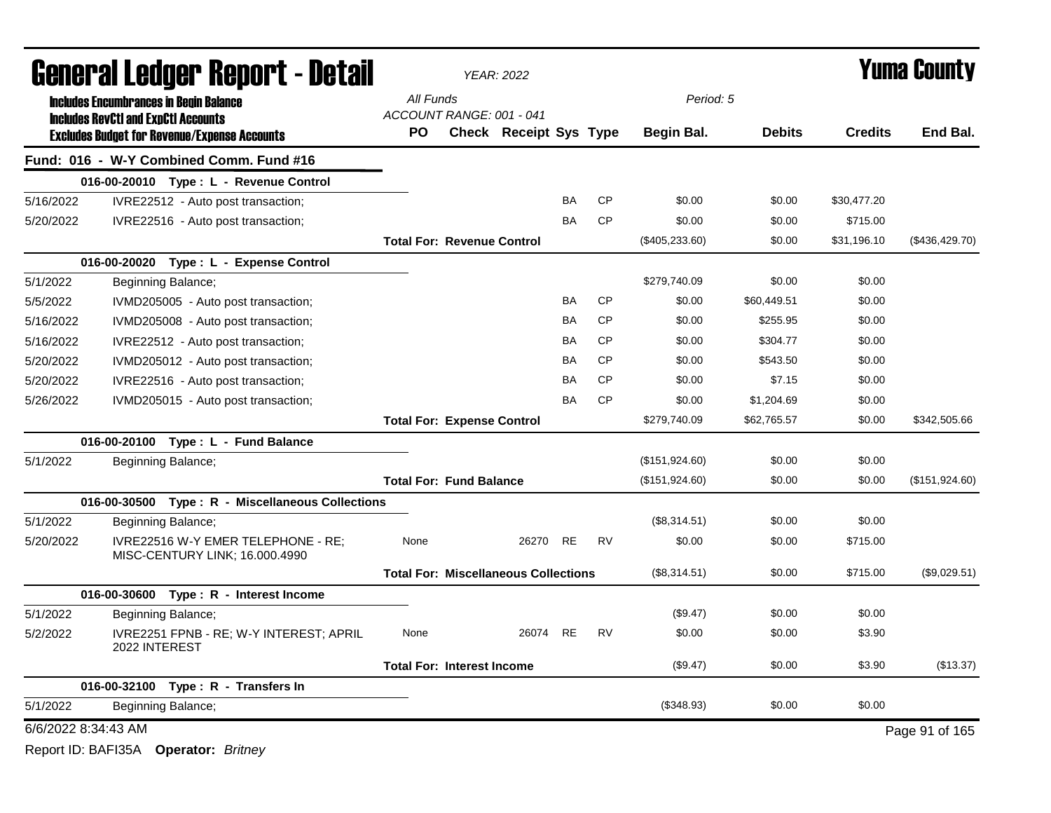|                     |                                               | General Ledger Report - Detail                                       |                                             | <b>YEAR: 2022</b>             |           |           |                  |               |                | Yuma Countv     |
|---------------------|-----------------------------------------------|----------------------------------------------------------------------|---------------------------------------------|-------------------------------|-----------|-----------|------------------|---------------|----------------|-----------------|
|                     | <b>Includes Encumbrances in Begin Balance</b> |                                                                      | All Funds                                   |                               |           |           | Period: 5        |               |                |                 |
|                     | <b>Includes RevCtI and ExpCtI Accounts</b>    | <b>Excludes Budget for Revenue/Expense Accounts</b>                  | ACCOUNT RANGE: 001 - 041<br>PO.             | <b>Check Receipt Sys Type</b> |           |           | Begin Bal.       | <b>Debits</b> | <b>Credits</b> | End Bal.        |
|                     |                                               | Fund: 016 - W-Y Combined Comm. Fund #16                              |                                             |                               |           |           |                  |               |                |                 |
|                     |                                               | 016-00-20010 Type: L - Revenue Control                               |                                             |                               |           |           |                  |               |                |                 |
| 5/16/2022           |                                               | IVRE22512 - Auto post transaction;                                   |                                             |                               | <b>BA</b> | <b>CP</b> | \$0.00           | \$0.00        | \$30,477.20    |                 |
| 5/20/2022           |                                               | IVRE22516 - Auto post transaction;                                   |                                             |                               | <b>BA</b> | <b>CP</b> | \$0.00           | \$0.00        | \$715.00       |                 |
|                     |                                               |                                                                      | <b>Total For: Revenue Control</b>           |                               |           |           | $(\$405,233.60)$ | \$0.00        | \$31,196.10    | (\$436, 429.70) |
|                     |                                               | 016-00-20020 Type: L - Expense Control                               |                                             |                               |           |           |                  |               |                |                 |
| 5/1/2022            | Beginning Balance;                            |                                                                      |                                             |                               |           |           | \$279,740.09     | \$0.00        | \$0.00         |                 |
| 5/5/2022            |                                               | IVMD205005 - Auto post transaction;                                  |                                             |                               | <b>BA</b> | <b>CP</b> | \$0.00           | \$60,449.51   | \$0.00         |                 |
| 5/16/2022           |                                               | IVMD205008 - Auto post transaction;                                  |                                             |                               | BA        | <b>CP</b> | \$0.00           | \$255.95      | \$0.00         |                 |
| 5/16/2022           |                                               | IVRE22512 - Auto post transaction;                                   |                                             |                               | BA        | <b>CP</b> | \$0.00           | \$304.77      | \$0.00         |                 |
| 5/20/2022           |                                               | IVMD205012 - Auto post transaction;                                  |                                             |                               | <b>BA</b> | <b>CP</b> | \$0.00           | \$543.50      | \$0.00         |                 |
| 5/20/2022           |                                               | IVRE22516 - Auto post transaction;                                   |                                             |                               | <b>BA</b> | <b>CP</b> | \$0.00           | \$7.15        | \$0.00         |                 |
| 5/26/2022           |                                               | IVMD205015 - Auto post transaction;                                  |                                             |                               | <b>BA</b> | <b>CP</b> | \$0.00           | \$1,204.69    | \$0.00         |                 |
|                     |                                               |                                                                      | <b>Total For: Expense Control</b>           |                               |           |           | \$279,740.09     | \$62,765.57   | \$0.00         | \$342,505.66    |
|                     |                                               | 016-00-20100 Type: L - Fund Balance                                  |                                             |                               |           |           |                  |               |                |                 |
| 5/1/2022            | Beginning Balance;                            |                                                                      |                                             |                               |           |           | (\$151,924.60)   | \$0.00        | \$0.00         |                 |
|                     |                                               |                                                                      | <b>Total For: Fund Balance</b>              |                               |           |           | (\$151,924.60)   | \$0.00        | \$0.00         | (\$151,924.60)  |
|                     |                                               | 016-00-30500 Type: R - Miscellaneous Collections                     |                                             |                               |           |           |                  |               |                |                 |
| 5/1/2022            | Beginning Balance;                            |                                                                      |                                             |                               |           |           | (\$8,314.51)     | \$0.00        | \$0.00         |                 |
| 5/20/2022           |                                               | IVRE22516 W-Y EMER TELEPHONE - RE;<br>MISC-CENTURY LINK; 16.000.4990 | None                                        | 26270                         | <b>RE</b> | <b>RV</b> | \$0.00           | \$0.00        | \$715.00       |                 |
|                     |                                               |                                                                      | <b>Total For: Miscellaneous Collections</b> |                               |           |           | (\$8,314.51)     | \$0.00        | \$715.00       | (\$9,029.51)    |
|                     |                                               | 016-00-30600 Type: R - Interest Income                               |                                             |                               |           |           |                  |               |                |                 |
| 5/1/2022            | Beginning Balance;                            |                                                                      |                                             |                               |           |           | (\$9.47)         | \$0.00        | \$0.00         |                 |
| 5/2/2022            | 2022 INTEREST                                 | IVRE2251 FPNB - RE; W-Y INTEREST; APRIL                              | None                                        | 26074 RE                      |           | <b>RV</b> | \$0.00           | \$0.00        | \$3.90         |                 |
|                     |                                               |                                                                      | <b>Total For: Interest Income</b>           |                               |           |           | (\$9.47)         | \$0.00        | \$3.90         | (\$13.37)       |
|                     |                                               | 016-00-32100 Type: R - Transfers In                                  |                                             |                               |           |           |                  |               |                |                 |
| 5/1/2022            | Beginning Balance;                            |                                                                      |                                             |                               |           |           | (\$348.93)       | \$0.00        | \$0.00         |                 |
| 6/6/2022 8:34:43 AM |                                               |                                                                      |                                             |                               |           |           |                  |               |                | Page 91 of 165  |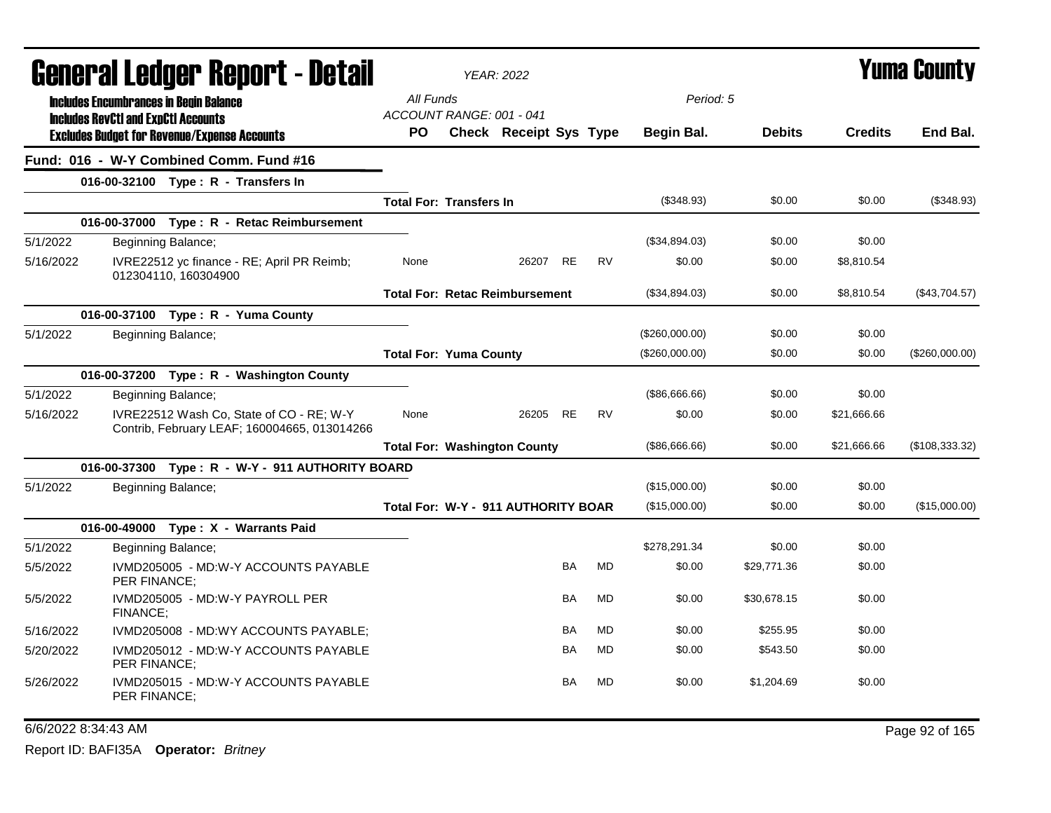|           |                                                                                             | General Ledger Report - Detail                                                           |                                       | <b>YEAR: 2022</b>                     |           |           |                   |               |                | <b>Yuma County</b> |
|-----------|---------------------------------------------------------------------------------------------|------------------------------------------------------------------------------------------|---------------------------------------|---------------------------------------|-----------|-----------|-------------------|---------------|----------------|--------------------|
|           | <b>Includes Encumbrances in Begin Balance</b><br><b>Includes RevCtI and ExpCtI Accounts</b> |                                                                                          | All Funds<br>ACCOUNT RANGE: 001 - 041 |                                       |           |           | Period: 5         |               |                |                    |
|           |                                                                                             | <b>Excludes Budget for Revenue/Expense Accounts</b>                                      | <b>PO</b>                             | Check Receipt Sys Type                |           |           | <b>Begin Bal.</b> | <b>Debits</b> | <b>Credits</b> | End Bal.           |
|           |                                                                                             | Fund: 016 - W-Y Combined Comm. Fund #16                                                  |                                       |                                       |           |           |                   |               |                |                    |
|           |                                                                                             | 016-00-32100 Type: R - Transfers In                                                      |                                       |                                       |           |           |                   |               |                |                    |
|           |                                                                                             |                                                                                          | <b>Total For: Transfers In</b>        |                                       |           |           | (\$348.93)        | \$0.00        | \$0.00         | (\$348.93)         |
|           |                                                                                             | 016-00-37000 Type: R - Retac Reimbursement                                               |                                       |                                       |           |           |                   |               |                |                    |
| 5/1/2022  |                                                                                             | Beginning Balance;                                                                       |                                       |                                       |           |           | (\$34,894.03)     | \$0.00        | \$0.00         |                    |
| 5/16/2022 |                                                                                             | IVRE22512 yc finance - RE; April PR Reimb;<br>012304110, 160304900                       | None                                  | 26207 RE                              |           | <b>RV</b> | \$0.00            | \$0.00        | \$8,810.54     |                    |
|           |                                                                                             |                                                                                          |                                       | <b>Total For: Retac Reimbursement</b> |           |           | (\$34,894.03)     | \$0.00        | \$8,810.54     | (\$43,704.57)      |
|           |                                                                                             | 016-00-37100 Type: R - Yuma County                                                       |                                       |                                       |           |           |                   |               |                |                    |
| 5/1/2022  |                                                                                             | Beginning Balance;                                                                       |                                       |                                       |           |           | (\$260,000.00)    | \$0.00        | \$0.00         |                    |
|           |                                                                                             |                                                                                          | <b>Total For: Yuma County</b>         |                                       |           |           | (\$260,000.00)    | \$0.00        | \$0.00         | (\$260,000.00)     |
|           |                                                                                             | 016-00-37200 Type: R - Washington County                                                 |                                       |                                       |           |           |                   |               |                |                    |
| 5/1/2022  |                                                                                             | Beginning Balance;                                                                       |                                       |                                       |           |           | (\$86,666.66)     | \$0.00        | \$0.00         |                    |
| 5/16/2022 |                                                                                             | IVRE22512 Wash Co, State of CO - RE; W-Y<br>Contrib, February LEAF; 160004665, 013014266 | None                                  | 26205                                 | <b>RE</b> | <b>RV</b> | \$0.00            | \$0.00        | \$21,666.66    |                    |
|           |                                                                                             |                                                                                          |                                       | <b>Total For: Washington County</b>   |           |           | (\$86,666.66)     | \$0.00        | \$21,666.66    | (\$108,333.32)     |
|           |                                                                                             | 016-00-37300 Type: R - W-Y - 911 AUTHORITY BOARD                                         |                                       |                                       |           |           |                   |               |                |                    |
| 5/1/2022  |                                                                                             | Beginning Balance;                                                                       |                                       |                                       |           |           | (\$15,000.00)     | \$0.00        | \$0.00         |                    |
|           |                                                                                             |                                                                                          |                                       | Total For: W-Y - 911 AUTHORITY BOAR   |           |           | (\$15,000.00)     | \$0.00        | \$0.00         | (\$15,000.00)      |
|           |                                                                                             | 016-00-49000 Type: X - Warrants Paid                                                     |                                       |                                       |           |           |                   |               |                |                    |
| 5/1/2022  |                                                                                             | Beginning Balance;                                                                       |                                       |                                       |           |           | \$278,291.34      | \$0.00        | \$0.00         |                    |
| 5/5/2022  | PER FINANCE:                                                                                | IVMD205005 - MD:W-Y ACCOUNTS PAYABLE                                                     |                                       |                                       | <b>BA</b> | <b>MD</b> | \$0.00            | \$29,771.36   | \$0.00         |                    |
| 5/5/2022  | FINANCE;                                                                                    | IVMD205005 - MD:W-Y PAYROLL PER                                                          |                                       |                                       | <b>BA</b> | <b>MD</b> | \$0.00            | \$30,678.15   | \$0.00         |                    |
| 5/16/2022 |                                                                                             | IVMD205008 - MD:WY ACCOUNTS PAYABLE;                                                     |                                       |                                       | BA        | <b>MD</b> | \$0.00            | \$255.95      | \$0.00         |                    |
| 5/20/2022 | <b>PER FINANCE:</b>                                                                         | IVMD205012 - MD:W-Y ACCOUNTS PAYABLE                                                     |                                       |                                       | <b>BA</b> | <b>MD</b> | \$0.00            | \$543.50      | \$0.00         |                    |
| 5/26/2022 | <b>PER FINANCE:</b>                                                                         | IVMD205015 - MD:W-Y ACCOUNTS PAYABLE                                                     |                                       |                                       | <b>BA</b> | MD        | \$0.00            | \$1,204.69    | \$0.00         |                    |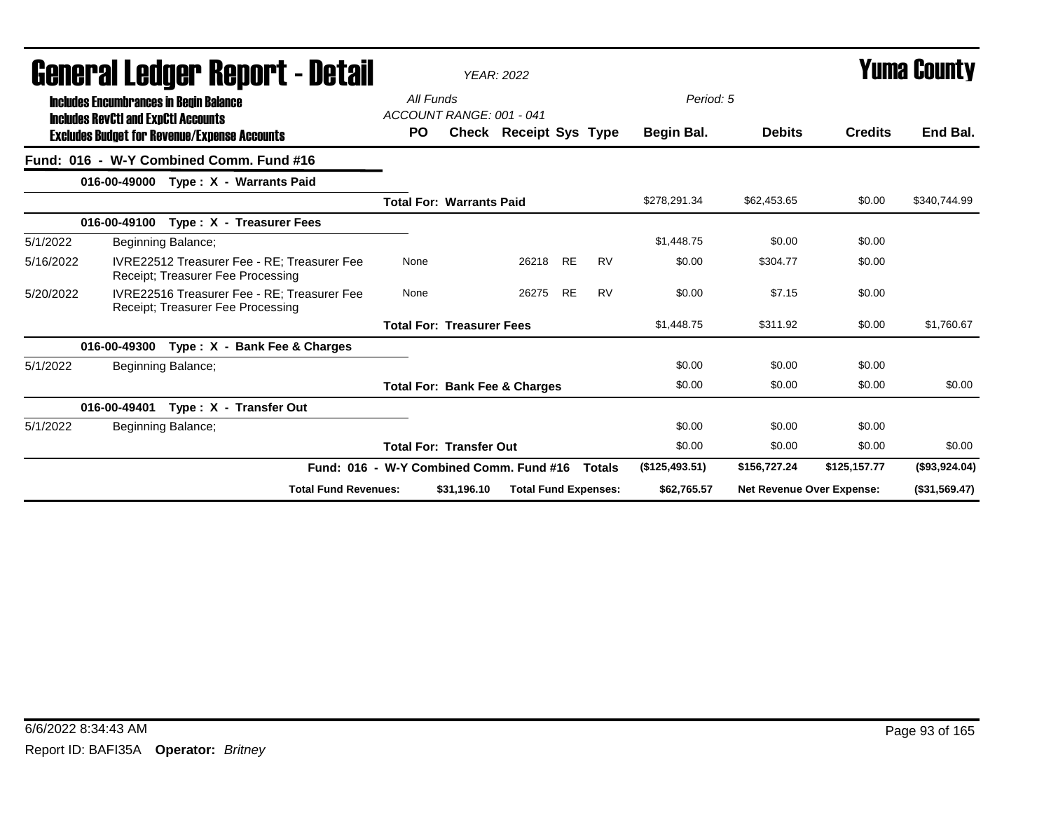|           | General Ledger Report - Detail                                                              |                                         |                                  | <b>YEAR: 2022</b>                        |           |               |                |                                  |                | <b>Yuma County</b> |
|-----------|---------------------------------------------------------------------------------------------|-----------------------------------------|----------------------------------|------------------------------------------|-----------|---------------|----------------|----------------------------------|----------------|--------------------|
|           | <b>Includes Encumbrances in Begin Balance</b><br><b>Includes RevCtI and ExpCtI Accounts</b> | All Funds                               | ACCOUNT RANGE: 001 - 041         |                                          |           |               | Period: 5      |                                  |                |                    |
|           | <b>Excludes Budget for Revenue/Expense Accounts</b>                                         | PO.                                     |                                  | <b>Check Receipt Sys Type</b>            |           |               | Begin Bal.     | <b>Debits</b>                    | <b>Credits</b> | End Bal.           |
|           | Fund: 016 - W-Y Combined Comm. Fund #16                                                     |                                         |                                  |                                          |           |               |                |                                  |                |                    |
|           | Type: X - Warrants Paid<br>016-00-49000                                                     |                                         |                                  |                                          |           |               |                |                                  |                |                    |
|           |                                                                                             |                                         | <b>Total For: Warrants Paid</b>  |                                          |           |               | \$278,291.34   | \$62,453.65                      | \$0.00         | \$340,744.99       |
|           | 016-00-49100<br>Type: X - Treasurer Fees                                                    |                                         |                                  |                                          |           |               |                |                                  |                |                    |
| 5/1/2022  | Beginning Balance;                                                                          |                                         |                                  |                                          |           |               | \$1,448.75     | \$0.00                           | \$0.00         |                    |
| 5/16/2022 | <b>IVRE22512 Treasurer Fee - RE: Treasurer Fee</b><br>Receipt; Treasurer Fee Processing     | None                                    |                                  | 26218                                    | <b>RE</b> | <b>RV</b>     | \$0.00         | \$304.77                         | \$0.00         |                    |
| 5/20/2022 | IVRE22516 Treasurer Fee - RE: Treasurer Fee<br>Receipt; Treasurer Fee Processing            | None                                    |                                  | 26275                                    | <b>RE</b> | <b>RV</b>     | \$0.00         | \$7.15                           | \$0.00         |                    |
|           |                                                                                             |                                         | <b>Total For: Treasurer Fees</b> |                                          |           |               | \$1,448.75     | \$311.92                         | \$0.00         | \$1,760.67         |
|           | Type : X - Bank Fee & Charges<br>016-00-49300                                               |                                         |                                  |                                          |           |               |                |                                  |                |                    |
| 5/1/2022  | Beginning Balance;                                                                          |                                         |                                  |                                          |           |               | \$0.00         | \$0.00                           | \$0.00         |                    |
|           |                                                                                             |                                         |                                  | <b>Total For: Bank Fee &amp; Charges</b> |           |               | \$0.00         | \$0.00                           | \$0.00         | \$0.00             |
|           | 016-00-49401<br>Type: X - Transfer Out                                                      |                                         |                                  |                                          |           |               |                |                                  |                |                    |
| 5/1/2022  | Beginning Balance;                                                                          |                                         |                                  |                                          |           |               | \$0.00         | \$0.00                           | \$0.00         |                    |
|           |                                                                                             |                                         | <b>Total For: Transfer Out</b>   |                                          |           |               | \$0.00         | \$0.00                           | \$0.00         | \$0.00             |
|           |                                                                                             | Fund: 016 - W-Y Combined Comm. Fund #16 |                                  |                                          |           | <b>Totals</b> | (\$125,493.51) | \$156,727.24                     | \$125,157.77   | (\$93,924.04)      |
|           | <b>Total Fund Revenues:</b>                                                                 |                                         | \$31.196.10                      | <b>Total Fund Expenses:</b>              |           |               | \$62,765.57    | <b>Net Revenue Over Expense:</b> |                | (\$31,569.47)      |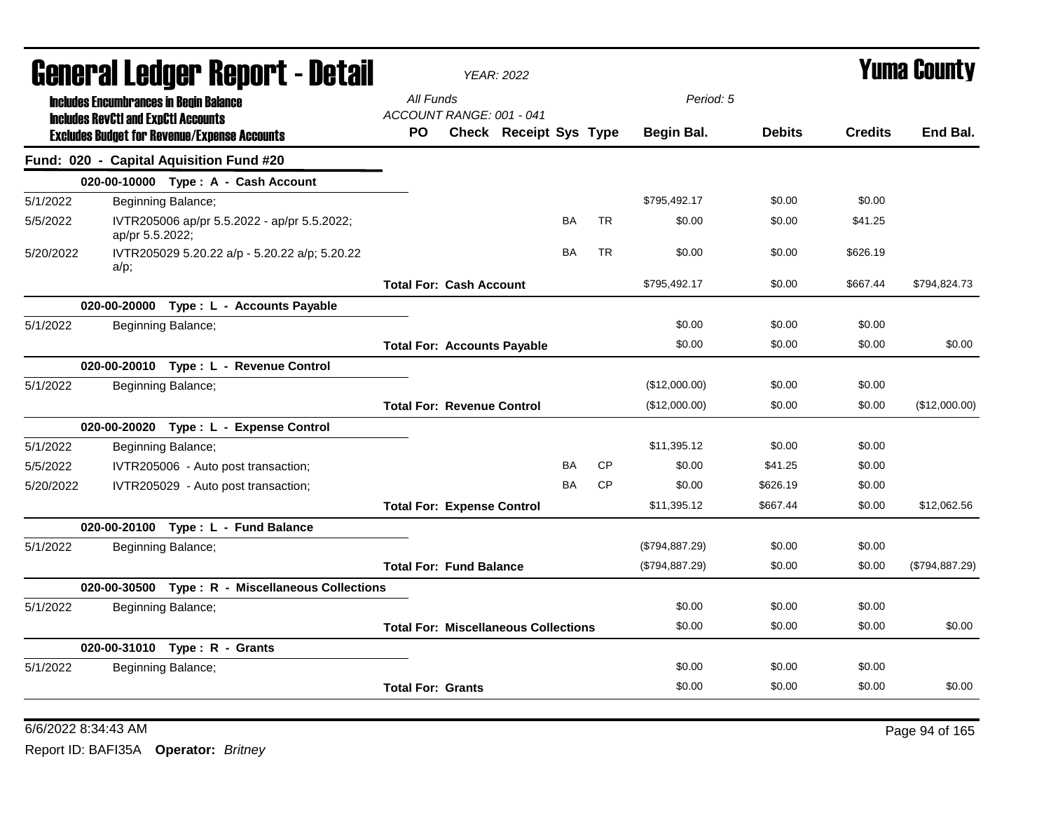|           |                                                                                             |                    | General Ledger Report - Detail                   |                                             | <b>YEAR: 2022</b>             |           |           |                |               |                | <b>Yuma County</b> |
|-----------|---------------------------------------------------------------------------------------------|--------------------|--------------------------------------------------|---------------------------------------------|-------------------------------|-----------|-----------|----------------|---------------|----------------|--------------------|
|           | <b>Includes Encumbrances in Begin Balance</b><br><b>Includes RevCtI and ExpCtI Accounts</b> |                    |                                                  | All Funds<br>ACCOUNT RANGE: 001 - 041       |                               |           |           | Period: 5      |               |                |                    |
|           | <b>Excludes Budget for Revenue/Expense Accounts</b>                                         |                    |                                                  | <b>PO</b>                                   | <b>Check Receipt Sys Type</b> |           |           | Begin Bal.     | <b>Debits</b> | <b>Credits</b> | End Bal.           |
|           | Fund: 020 - Capital Aquisition Fund #20                                                     |                    |                                                  |                                             |                               |           |           |                |               |                |                    |
|           |                                                                                             |                    | 020-00-10000 Type: A - Cash Account              |                                             |                               |           |           |                |               |                |                    |
| 5/1/2022  |                                                                                             | Beginning Balance; |                                                  |                                             |                               |           |           | \$795,492.17   | \$0.00        | \$0.00         |                    |
| 5/5/2022  | ap/pr 5.5.2022;                                                                             |                    | IVTR205006 ap/pr 5.5.2022 - ap/pr 5.5.2022;      |                                             |                               | <b>BA</b> | <b>TR</b> | \$0.00         | \$0.00        | \$41.25        |                    |
| 5/20/2022 | a/p;                                                                                        |                    | IVTR205029 5.20.22 a/p - 5.20.22 a/p; 5.20.22    |                                             |                               | <b>BA</b> | <b>TR</b> | \$0.00         | \$0.00        | \$626.19       |                    |
|           |                                                                                             |                    |                                                  | <b>Total For: Cash Account</b>              |                               |           |           | \$795,492.17   | \$0.00        | \$667.44       | \$794,824.73       |
|           |                                                                                             |                    | 020-00-20000 Type: L - Accounts Payable          |                                             |                               |           |           |                |               |                |                    |
| 5/1/2022  |                                                                                             | Beginning Balance; |                                                  |                                             |                               |           |           | \$0.00         | \$0.00        | \$0.00         |                    |
|           |                                                                                             |                    |                                                  | <b>Total For: Accounts Payable</b>          |                               |           |           | \$0.00         | \$0.00        | \$0.00         | \$0.00             |
|           |                                                                                             |                    | 020-00-20010 Type: L - Revenue Control           |                                             |                               |           |           |                |               |                |                    |
| 5/1/2022  |                                                                                             | Beginning Balance; |                                                  |                                             |                               |           |           | (\$12,000.00)  | \$0.00        | \$0.00         |                    |
|           |                                                                                             |                    |                                                  | <b>Total For: Revenue Control</b>           |                               |           |           | (\$12,000.00)  | \$0.00        | \$0.00         | (\$12,000.00)      |
|           |                                                                                             |                    | 020-00-20020 Type: L - Expense Control           |                                             |                               |           |           |                |               |                |                    |
| 5/1/2022  |                                                                                             | Beginning Balance; |                                                  |                                             |                               |           |           | \$11.395.12    | \$0.00        | \$0.00         |                    |
| 5/5/2022  |                                                                                             |                    | IVTR205006 - Auto post transaction;              |                                             |                               | <b>BA</b> | <b>CP</b> | \$0.00         | \$41.25       | \$0.00         |                    |
| 5/20/2022 |                                                                                             |                    | IVTR205029 - Auto post transaction;              |                                             |                               | <b>BA</b> | <b>CP</b> | \$0.00         | \$626.19      | \$0.00         |                    |
|           |                                                                                             |                    |                                                  | <b>Total For: Expense Control</b>           |                               |           |           | \$11,395.12    | \$667.44      | \$0.00         | \$12,062.56        |
|           |                                                                                             |                    | 020-00-20100 Type: L - Fund Balance              |                                             |                               |           |           |                |               |                |                    |
| 5/1/2022  |                                                                                             | Beginning Balance; |                                                  |                                             |                               |           |           | (\$794,887.29) | \$0.00        | \$0.00         |                    |
|           |                                                                                             |                    |                                                  | <b>Total For: Fund Balance</b>              |                               |           |           | (\$794,887.29) | \$0.00        | \$0.00         | (\$794,887.29)     |
|           |                                                                                             |                    | 020-00-30500 Type: R - Miscellaneous Collections |                                             |                               |           |           |                |               |                |                    |
| 5/1/2022  |                                                                                             | Beginning Balance; |                                                  |                                             |                               |           |           | \$0.00         | \$0.00        | \$0.00         |                    |
|           |                                                                                             |                    |                                                  | <b>Total For: Miscellaneous Collections</b> |                               |           |           | \$0.00         | \$0.00        | \$0.00         | \$0.00             |
|           | 020-00-31010 Type: R - Grants                                                               |                    |                                                  |                                             |                               |           |           |                |               |                |                    |
| 5/1/2022  |                                                                                             | Beginning Balance; |                                                  |                                             |                               |           |           | \$0.00         | \$0.00        | \$0.00         |                    |
|           |                                                                                             |                    |                                                  | <b>Total For: Grants</b>                    |                               |           |           | \$0.00         | \$0.00        | \$0.00         | \$0.00             |
|           |                                                                                             |                    |                                                  |                                             |                               |           |           |                |               |                |                    |

6/6/2022 8:34:43 AM Page 94 of 165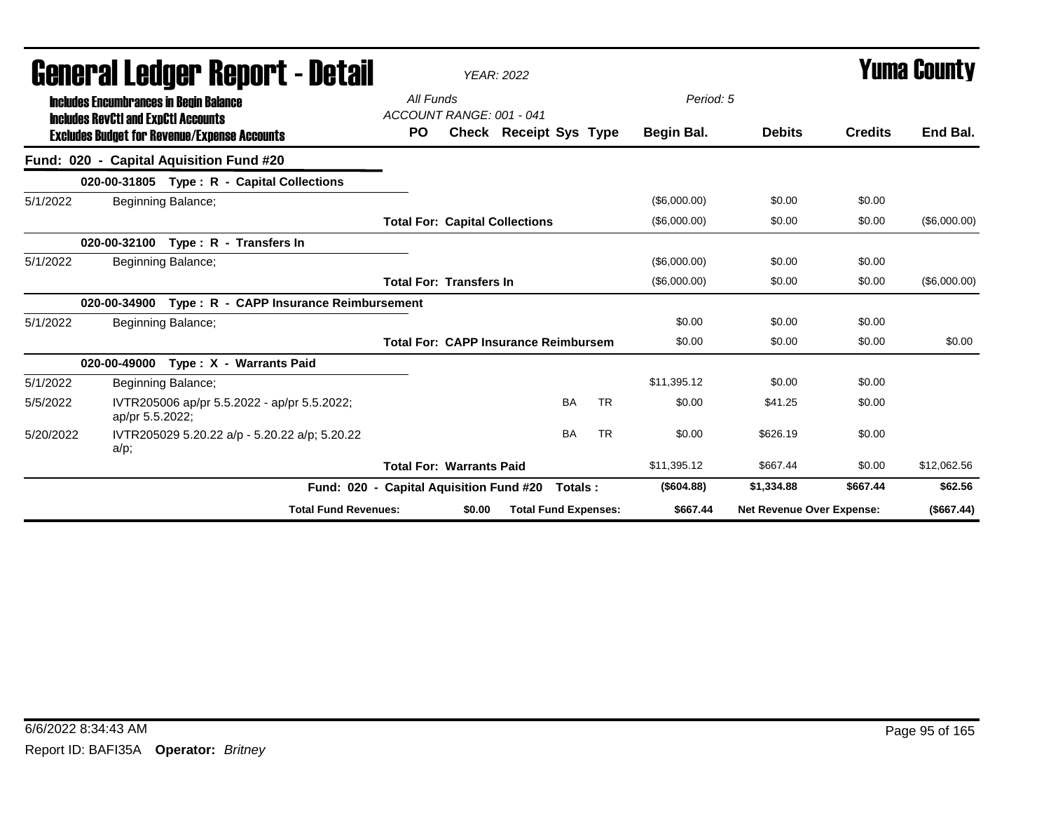|           |                                                                                             | General Ledger Report - Detail                      |                                         |        | <b>YEAR: 2022</b>                           |           |              |                                  |                | <b>Yuma County</b> |
|-----------|---------------------------------------------------------------------------------------------|-----------------------------------------------------|-----------------------------------------|--------|---------------------------------------------|-----------|--------------|----------------------------------|----------------|--------------------|
|           | <b>Includes Encumbrances in Begin Balance</b><br><b>Includes RevCtI and ExpCtI Accounts</b> |                                                     | All Funds<br>ACCOUNT RANGE: 001 - 041   |        |                                             |           | Period: 5    |                                  |                |                    |
|           |                                                                                             | <b>Excludes Budget for Revenue/Expense Accounts</b> | <b>PO</b>                               |        | Check Receipt Sys Type                      |           | Begin Bal.   | <b>Debits</b>                    | <b>Credits</b> | End Bal.           |
|           |                                                                                             | Fund: 020 - Capital Aquisition Fund #20             |                                         |        |                                             |           |              |                                  |                |                    |
|           |                                                                                             | 020-00-31805 Type: R - Capital Collections          |                                         |        |                                             |           |              |                                  |                |                    |
| 5/1/2022  |                                                                                             | Beginning Balance;                                  |                                         |        |                                             |           | (\$6,000.00) | \$0.00                           | \$0.00         |                    |
|           |                                                                                             |                                                     |                                         |        | <b>Total For: Capital Collections</b>       |           | (\$6,000.00) | \$0.00                           | \$0.00         | (\$6,000.00)       |
|           | 020-00-32100                                                                                | Type: R - Transfers In                              |                                         |        |                                             |           |              |                                  |                |                    |
| 5/1/2022  |                                                                                             | Beginning Balance;                                  |                                         |        |                                             |           | (\$6,000.00) | \$0.00                           | \$0.00         |                    |
|           |                                                                                             |                                                     | <b>Total For: Transfers In</b>          |        |                                             |           | (\$6,000.00) | \$0.00                           | \$0.00         | (\$6,000.00)       |
|           | 020-00-34900                                                                                | Type: R - CAPP Insurance Reimbursement              |                                         |        |                                             |           |              |                                  |                |                    |
| 5/1/2022  |                                                                                             | Beginning Balance;                                  |                                         |        |                                             |           | \$0.00       | \$0.00                           | \$0.00         |                    |
|           |                                                                                             |                                                     |                                         |        | <b>Total For: CAPP Insurance Reimbursem</b> |           | \$0.00       | \$0.00                           | \$0.00         | \$0.00             |
|           | 020-00-49000                                                                                | Type: X - Warrants Paid                             |                                         |        |                                             |           |              |                                  |                |                    |
| 5/1/2022  |                                                                                             | Beginning Balance;                                  |                                         |        |                                             |           | \$11.395.12  | \$0.00                           | \$0.00         |                    |
| 5/5/2022  | ap/pr 5.5.2022;                                                                             | IVTR205006 ap/pr 5.5.2022 - ap/pr 5.5.2022;         |                                         |        | <b>BA</b>                                   | <b>TR</b> | \$0.00       | \$41.25                          | \$0.00         |                    |
| 5/20/2022 | $a/p$ ;                                                                                     | IVTR205029 5.20.22 a/p - 5.20.22 a/p; 5.20.22       |                                         |        | <b>BA</b>                                   | <b>TR</b> | \$0.00       | \$626.19                         | \$0.00         |                    |
|           |                                                                                             |                                                     | <b>Total For: Warrants Paid</b>         |        |                                             |           | \$11,395.12  | \$667.44                         | \$0.00         | \$12,062.56        |
|           |                                                                                             |                                                     | Fund: 020 - Capital Aquisition Fund #20 |        | Totals:                                     |           | (\$604.88)   | \$1,334.88                       | \$667.44       | \$62.56            |
|           |                                                                                             | <b>Total Fund Revenues:</b>                         |                                         | \$0.00 | <b>Total Fund Expenses:</b>                 |           | \$667.44     | <b>Net Revenue Over Expense:</b> |                | (\$667.44)         |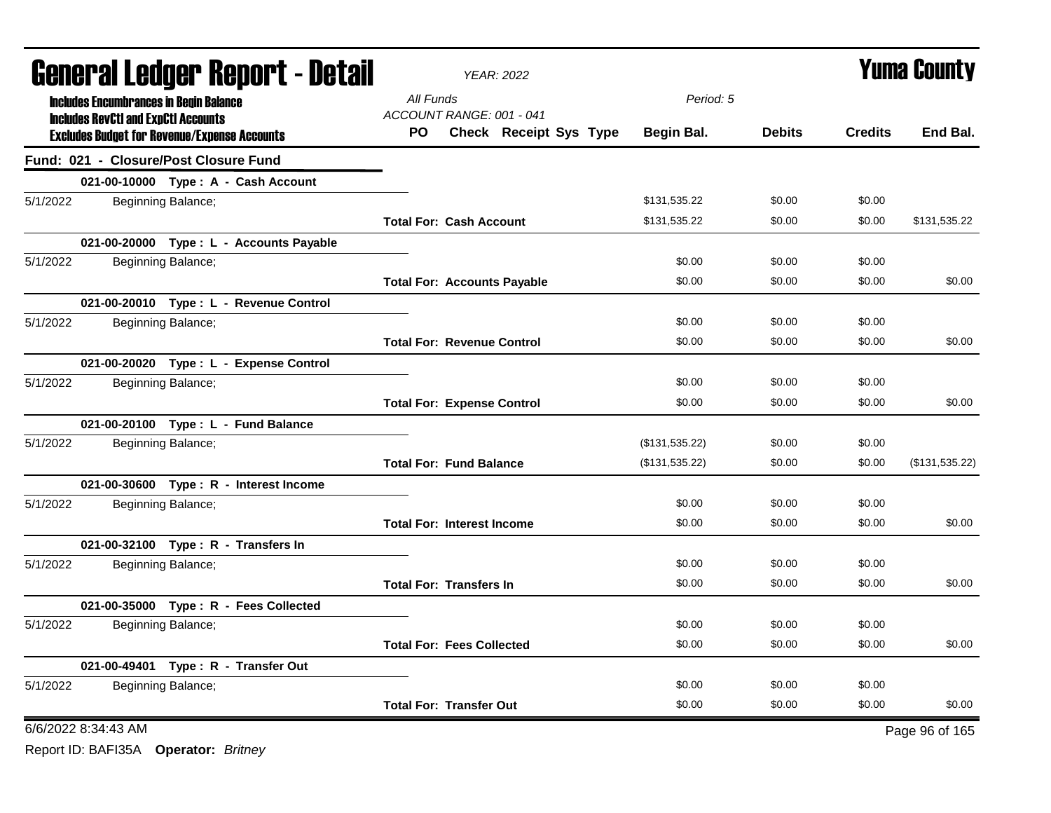| <b>General Ledger Report - Detail</b>                                                             | <b>YEAR: 2022</b>                                                      |                |               |                | <b>Yuma County</b> |
|---------------------------------------------------------------------------------------------------|------------------------------------------------------------------------|----------------|---------------|----------------|--------------------|
| <b>Includes Encumbrances in Begin Balance</b>                                                     | All Funds                                                              | Period: 5      |               |                |                    |
| <b>Includes RevCtI and ExpCtI Accounts</b><br><b>Excludes Budget for Revenue/Expense Accounts</b> | ACCOUNT RANGE: 001 - 041<br><b>Check Receipt Sys Type</b><br><b>PO</b> | Begin Bal.     | <b>Debits</b> | <b>Credits</b> | End Bal.           |
| Fund: 021 - Closure/Post Closure Fund                                                             |                                                                        |                |               |                |                    |
| 021-00-10000 Type: A - Cash Account                                                               |                                                                        |                |               |                |                    |
| 5/1/2022<br>Beginning Balance;                                                                    |                                                                        | \$131,535.22   | \$0.00        | \$0.00         |                    |
|                                                                                                   | <b>Total For: Cash Account</b>                                         | \$131,535.22   | \$0.00        | \$0.00         | \$131,535.22       |
| 021-00-20000 Type : L - Accounts Payable                                                          |                                                                        |                |               |                |                    |
| 5/1/2022<br>Beginning Balance;                                                                    |                                                                        | \$0.00         | \$0.00        | \$0.00         |                    |
|                                                                                                   | <b>Total For: Accounts Payable</b>                                     | \$0.00         | \$0.00        | \$0.00         | \$0.00             |
| 021-00-20010 Type: L - Revenue Control                                                            |                                                                        |                |               |                |                    |
| 5/1/2022<br>Beginning Balance;                                                                    |                                                                        | \$0.00         | \$0.00        | \$0.00         |                    |
|                                                                                                   | <b>Total For: Revenue Control</b>                                      | \$0.00         | \$0.00        | \$0.00         | \$0.00             |
| 021-00-20020 Type: L - Expense Control                                                            |                                                                        |                |               |                |                    |
| 5/1/2022<br>Beginning Balance;                                                                    |                                                                        | \$0.00         | \$0.00        | \$0.00         |                    |
|                                                                                                   | <b>Total For: Expense Control</b>                                      | \$0.00         | \$0.00        | \$0.00         | \$0.00             |
| 021-00-20100 Type: L - Fund Balance                                                               |                                                                        |                |               |                |                    |
| 5/1/2022<br>Beginning Balance;                                                                    |                                                                        | (\$131,535.22) | \$0.00        | \$0.00         |                    |
|                                                                                                   | <b>Total For: Fund Balance</b>                                         | (\$131,535.22) | \$0.00        | \$0.00         | (\$131,535.22)     |
| 021-00-30600 Type: R - Interest Income                                                            |                                                                        |                |               |                |                    |
| 5/1/2022<br>Beginning Balance;                                                                    |                                                                        | \$0.00         | \$0.00        | \$0.00         |                    |
|                                                                                                   | <b>Total For: Interest Income</b>                                      | \$0.00         | \$0.00        | \$0.00         | \$0.00             |
| 021-00-32100 Type: R - Transfers In                                                               |                                                                        |                |               |                |                    |
| 5/1/2022<br>Beginning Balance;                                                                    |                                                                        | \$0.00         | \$0.00        | \$0.00         |                    |
|                                                                                                   | <b>Total For: Transfers In</b>                                         | \$0.00         | \$0.00        | \$0.00         | \$0.00             |
| 021-00-35000 Type: R - Fees Collected                                                             |                                                                        |                |               |                |                    |
| 5/1/2022<br>Beginning Balance;                                                                    |                                                                        | \$0.00         | \$0.00        | \$0.00         |                    |
|                                                                                                   | <b>Total For: Fees Collected</b>                                       | \$0.00         | \$0.00        | \$0.00         | \$0.00             |
| 021-00-49401 Type: R - Transfer Out                                                               |                                                                        |                |               |                |                    |
| 5/1/2022<br>Beginning Balance;                                                                    |                                                                        | \$0.00         | \$0.00        | \$0.00         |                    |
|                                                                                                   | <b>Total For: Transfer Out</b>                                         | \$0.00         | \$0.00        | \$0.00         | \$0.00             |
| 6/6/2022 8:34:43 AM                                                                               |                                                                        |                |               |                | Page 96 of 165     |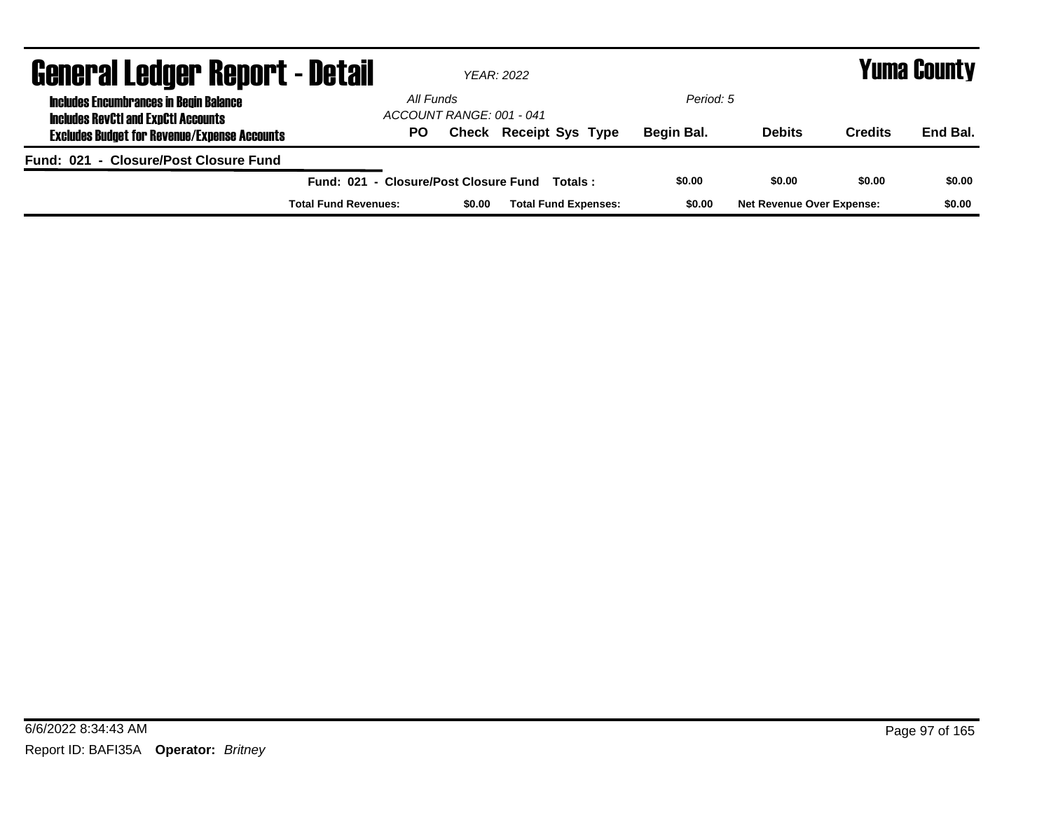| <b>General Ledger Report - Detail</b>                                                       |                                       | YEAR: 2022               |                               |            |                                  | <b>Yuma County</b> |          |  |
|---------------------------------------------------------------------------------------------|---------------------------------------|--------------------------|-------------------------------|------------|----------------------------------|--------------------|----------|--|
| <b>Includes Encumbrances in Begin Balance</b><br><b>Includes RevCtI and ExpCtI Accounts</b> | All Funds                             | ACCOUNT RANGE: 001 - 041 |                               | Period: 5  |                                  |                    |          |  |
| <b>Excludes Budget for Revenue/Expense Accounts</b>                                         | PO.                                   |                          | <b>Check Receipt Sys Type</b> | Begin Bal. | <b>Debits</b>                    | <b>Credits</b>     | End Bal. |  |
| Fund: 021 - Closure/Post Closure Fund                                                       |                                       |                          |                               |            |                                  |                    |          |  |
|                                                                                             | Fund: 021 - Closure/Post Closure Fund |                          | Totals :                      | \$0.00     | \$0.00                           | \$0.00             | \$0.00   |  |
|                                                                                             | <b>Total Fund Revenues:</b>           | \$0.00                   | <b>Total Fund Expenses:</b>   | \$0.00     | <b>Net Revenue Over Expense:</b> |                    | \$0.00   |  |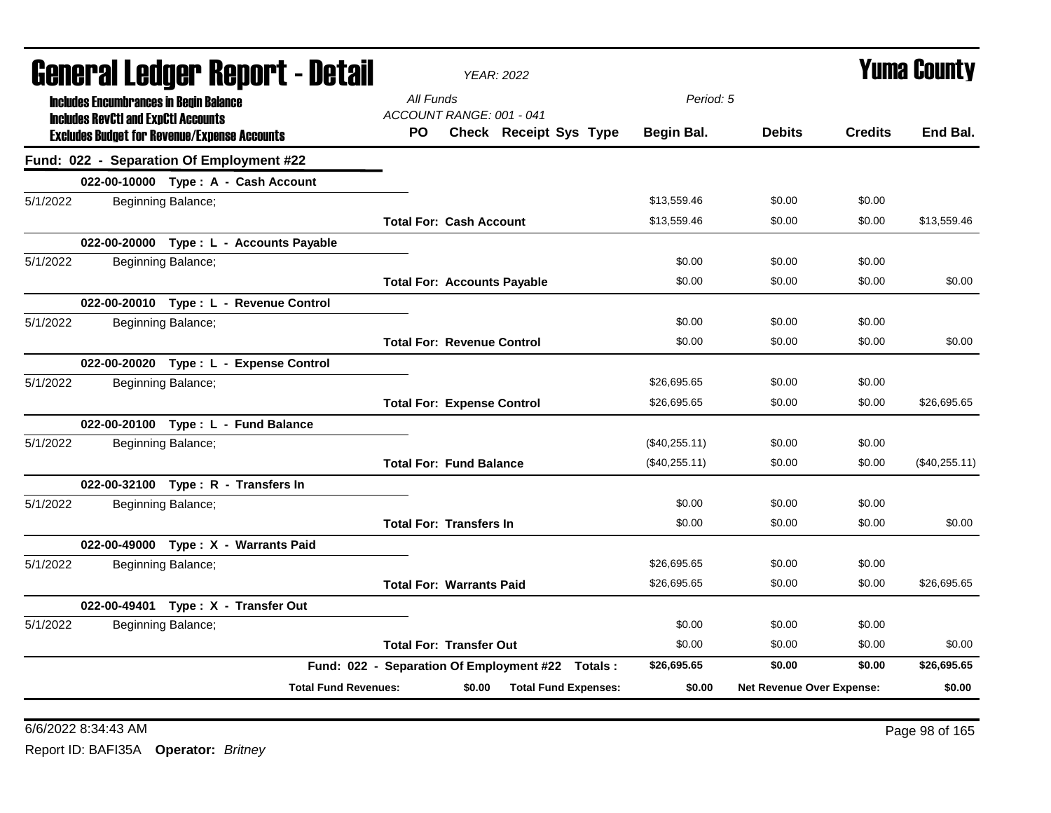| <b>YEAR: 2022</b>                     | Yuma County                                                                                                  |               |                |                           |
|---------------------------------------|--------------------------------------------------------------------------------------------------------------|---------------|----------------|---------------------------|
| All Funds                             |                                                                                                              |               |                |                           |
| PO.<br>Check Receipt Sys Type         | Begin Bal.                                                                                                   | <b>Debits</b> | <b>Credits</b> | End Bal.                  |
|                                       |                                                                                                              |               |                |                           |
|                                       |                                                                                                              |               |                |                           |
|                                       | \$13.559.46                                                                                                  | \$0.00        | \$0.00         |                           |
| <b>Total For: Cash Account</b>        | \$13,559.46                                                                                                  | \$0.00        | \$0.00         | \$13,559.46               |
|                                       |                                                                                                              |               |                |                           |
|                                       | \$0.00                                                                                                       | \$0.00        | \$0.00         |                           |
| <b>Total For: Accounts Payable</b>    | \$0.00                                                                                                       | \$0.00        | \$0.00         | \$0.00                    |
|                                       |                                                                                                              |               |                |                           |
|                                       | \$0.00                                                                                                       | \$0.00        | \$0.00         |                           |
| <b>Total For: Revenue Control</b>     | \$0.00                                                                                                       | \$0.00        | \$0.00         | \$0.00                    |
|                                       |                                                                                                              |               |                |                           |
|                                       | \$26,695.65                                                                                                  | \$0.00        | \$0.00         |                           |
| <b>Total For: Expense Control</b>     | \$26,695.65                                                                                                  | \$0.00        | \$0.00         | \$26,695.65               |
|                                       |                                                                                                              |               |                |                           |
|                                       | (\$40,255.11)                                                                                                | \$0.00        | \$0.00         |                           |
| <b>Total For: Fund Balance</b>        | (\$40,255.11)                                                                                                | \$0.00        | \$0.00         | (\$40,255.11)             |
|                                       |                                                                                                              |               |                |                           |
|                                       | \$0.00                                                                                                       | \$0.00        | \$0.00         |                           |
| <b>Total For: Transfers In</b>        | \$0.00                                                                                                       | \$0.00        | \$0.00         | \$0.00                    |
|                                       |                                                                                                              |               |                |                           |
|                                       | \$26,695.65                                                                                                  | \$0.00        | \$0.00         |                           |
| <b>Total For: Warrants Paid</b>       | \$26,695.65                                                                                                  | \$0.00        | \$0.00         | \$26,695.65               |
|                                       |                                                                                                              |               |                |                           |
|                                       | \$0.00                                                                                                       | \$0.00        | \$0.00         |                           |
| <b>Total For: Transfer Out</b>        | \$0.00                                                                                                       | \$0.00        | \$0.00         | \$0.00                    |
|                                       | \$26,695.65                                                                                                  | \$0.00        | \$0.00         | \$26,695.65               |
| <b>Total Fund Expenses:</b><br>\$0.00 | \$0.00                                                                                                       |               |                | \$0.00                    |
| General Ledger Report - Detail        | ACCOUNT RANGE: 001 - 041<br>Fund: 022 - Separation Of Employment #22 Totals :<br><b>Total Fund Revenues:</b> |               | Period: 5      | Net Revenue Over Expense: |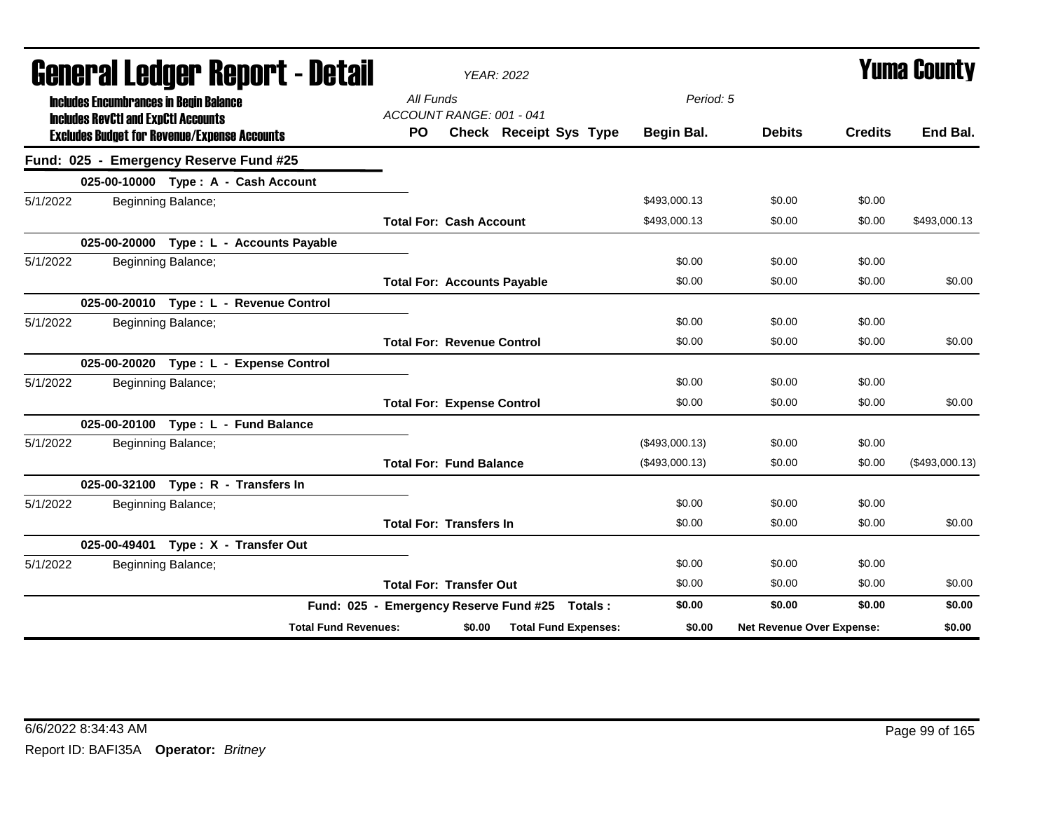| General Ledger Report - Detail                                                              |                             |                                              | <b>YEAR: 2022</b> |                                                |                         |                           | Yuma County    |                |
|---------------------------------------------------------------------------------------------|-----------------------------|----------------------------------------------|-------------------|------------------------------------------------|-------------------------|---------------------------|----------------|----------------|
| <b>Includes Encumbrances in Begin Balance</b><br><b>Includes RevCtI and ExpCtI Accounts</b> |                             | All Funds<br>ACCOUNT RANGE: 001 - 041<br>PO. |                   | Check Receipt Sys Type                         | Period: 5<br>Begin Bal. | <b>Debits</b>             | <b>Credits</b> | End Bal.       |
| <b>Excludes Budget for Revenue/Expense Accounts</b>                                         |                             |                                              |                   |                                                |                         |                           |                |                |
| Fund: 025 - Emergency Reserve Fund #25                                                      |                             |                                              |                   |                                                |                         |                           |                |                |
| 025-00-10000 Type: A - Cash Account                                                         |                             |                                              |                   |                                                |                         |                           |                |                |
| 5/1/2022<br>Beginning Balance;                                                              |                             |                                              |                   |                                                | \$493,000.13            | \$0.00                    | \$0.00         |                |
|                                                                                             |                             | <b>Total For: Cash Account</b>               |                   |                                                | \$493,000.13            | \$0.00                    | \$0.00         | \$493,000.13   |
| 025-00-20000 Type: L - Accounts Payable                                                     |                             |                                              |                   |                                                |                         |                           |                |                |
| 5/1/2022<br>Beginning Balance;                                                              |                             |                                              |                   |                                                | \$0.00                  | \$0.00                    | \$0.00         |                |
|                                                                                             |                             | <b>Total For: Accounts Payable</b>           |                   |                                                | \$0.00                  | \$0.00                    | \$0.00         | \$0.00         |
| 025-00-20010 Type: L - Revenue Control                                                      |                             |                                              |                   |                                                |                         |                           |                |                |
| 5/1/2022<br>Beginning Balance;                                                              |                             |                                              |                   |                                                | \$0.00                  | \$0.00                    | \$0.00         |                |
|                                                                                             |                             | <b>Total For: Revenue Control</b>            |                   |                                                | \$0.00                  | \$0.00                    | \$0.00         | \$0.00         |
| 025-00-20020 Type: L - Expense Control                                                      |                             |                                              |                   |                                                |                         |                           |                |                |
| 5/1/2022<br>Beginning Balance;                                                              |                             |                                              |                   |                                                | \$0.00                  | \$0.00                    | \$0.00         |                |
|                                                                                             |                             | <b>Total For: Expense Control</b>            |                   |                                                | \$0.00                  | \$0.00                    | \$0.00         | \$0.00         |
| 025-00-20100 Type: L - Fund Balance                                                         |                             |                                              |                   |                                                |                         |                           |                |                |
| Beginning Balance;<br>5/1/2022                                                              |                             |                                              |                   |                                                | (\$493,000.13)          | \$0.00                    | \$0.00         |                |
|                                                                                             |                             | <b>Total For: Fund Balance</b>               |                   |                                                | (\$493,000.13)          | \$0.00                    | \$0.00         | (\$493,000.13) |
| 025-00-32100 Type: R - Transfers In                                                         |                             |                                              |                   |                                                |                         |                           |                |                |
| 5/1/2022<br>Beginning Balance;                                                              |                             |                                              |                   |                                                | \$0.00                  | \$0.00                    | \$0.00         |                |
|                                                                                             |                             | <b>Total For: Transfers In</b>               |                   |                                                | \$0.00                  | \$0.00                    | \$0.00         | \$0.00         |
| 025-00-49401 Type: X - Transfer Out                                                         |                             |                                              |                   |                                                |                         |                           |                |                |
| 5/1/2022<br>Beginning Balance;                                                              |                             |                                              |                   |                                                | \$0.00                  | \$0.00                    | \$0.00         |                |
|                                                                                             |                             | <b>Total For: Transfer Out</b>               |                   |                                                | \$0.00                  | \$0.00                    | \$0.00         | \$0.00         |
|                                                                                             |                             |                                              |                   | Fund: 025 - Emergency Reserve Fund #25 Totals: | \$0.00                  | \$0.00                    | \$0.00         | \$0.00         |
|                                                                                             | <b>Total Fund Revenues:</b> |                                              | \$0.00            | <b>Total Fund Expenses:</b>                    | \$0.00                  | Net Revenue Over Expense: |                | \$0.00         |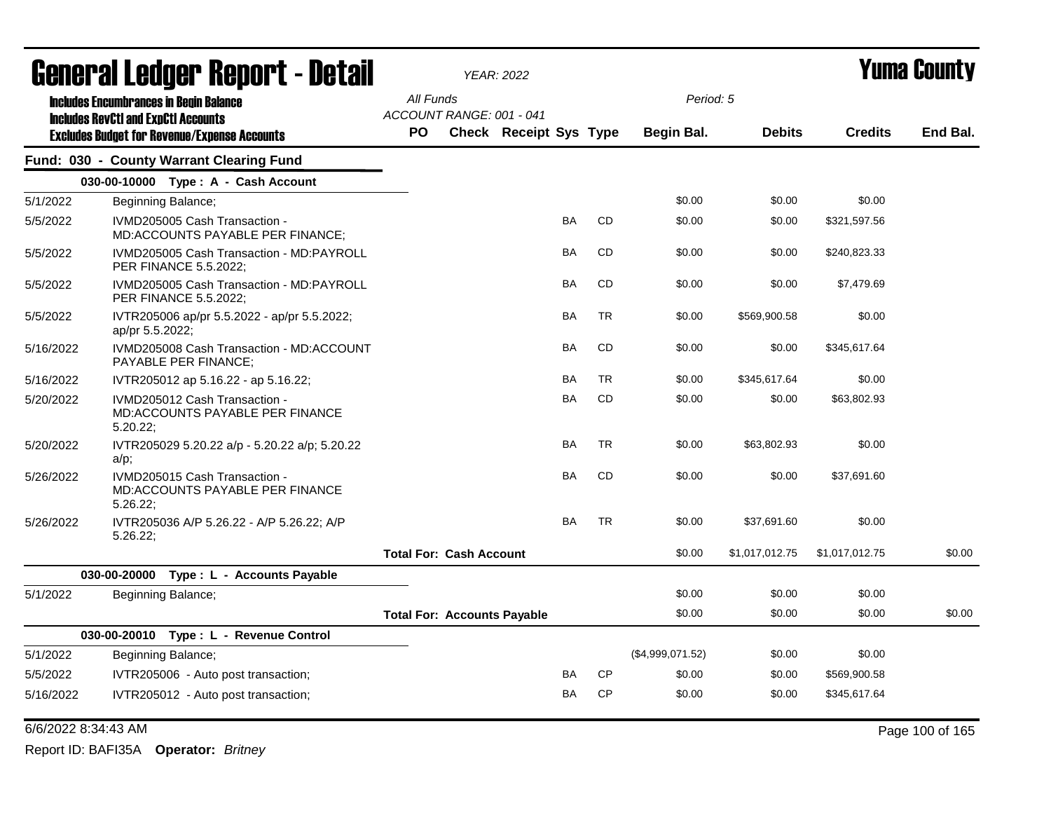|           | <b>General Ledger Report - Detail</b>                                                       |                                    |                                | <b>YEAR: 2022</b>             |           |           |                  | <b>Yuma County</b> |                |          |  |
|-----------|---------------------------------------------------------------------------------------------|------------------------------------|--------------------------------|-------------------------------|-----------|-----------|------------------|--------------------|----------------|----------|--|
|           | <b>Includes Encumbrances in Begin Balance</b><br><b>Includes RevCtI and ExpCtI Accounts</b> | All Funds                          | ACCOUNT RANGE: 001 - 041       |                               |           |           | Period: 5        |                    |                |          |  |
|           | <b>Excludes Budget for Revenue/Expense Accounts</b>                                         | <b>PO</b>                          |                                | <b>Check Receipt Sys Type</b> |           |           | Begin Bal.       | <b>Debits</b>      | <b>Credits</b> | End Bal. |  |
|           | Fund: 030 - County Warrant Clearing Fund                                                    |                                    |                                |                               |           |           |                  |                    |                |          |  |
|           | 030-00-10000 Type: A - Cash Account                                                         |                                    |                                |                               |           |           |                  |                    |                |          |  |
| 5/1/2022  | Beginning Balance;                                                                          |                                    |                                |                               |           |           | \$0.00           | \$0.00             | \$0.00         |          |  |
| 5/5/2022  | IVMD205005 Cash Transaction -<br>MD:ACCOUNTS PAYABLE PER FINANCE;                           |                                    |                                |                               | BA        | CD        | \$0.00           | \$0.00             | \$321,597.56   |          |  |
| 5/5/2022  | IVMD205005 Cash Transaction - MD:PAYROLL<br>PER FINANCE 5.5.2022;                           |                                    |                                |                               | <b>BA</b> | CD        | \$0.00           | \$0.00             | \$240,823.33   |          |  |
| 5/5/2022  | IVMD205005 Cash Transaction - MD:PAYROLL<br>PER FINANCE 5.5.2022;                           |                                    |                                |                               | <b>BA</b> | <b>CD</b> | \$0.00           | \$0.00             | \$7,479.69     |          |  |
| 5/5/2022  | IVTR205006 ap/pr 5.5.2022 - ap/pr 5.5.2022;<br>ap/pr 5.5.2022;                              |                                    |                                |                               | <b>BA</b> | <b>TR</b> | \$0.00           | \$569,900.58       | \$0.00         |          |  |
| 5/16/2022 | IVMD205008 Cash Transaction - MD:ACCOUNT<br>PAYABLE PER FINANCE;                            |                                    |                                |                               | BA        | <b>CD</b> | \$0.00           | \$0.00             | \$345,617.64   |          |  |
| 5/16/2022 | IVTR205012 ap 5.16.22 - ap 5.16.22;                                                         |                                    |                                |                               | BA        | <b>TR</b> | \$0.00           | \$345,617.64       | \$0.00         |          |  |
| 5/20/2022 | IVMD205012 Cash Transaction -<br><b>MD:ACCOUNTS PAYABLE PER FINANCE</b><br>5.20.22          |                                    |                                |                               | BA        | <b>CD</b> | \$0.00           | \$0.00             | \$63,802.93    |          |  |
| 5/20/2022 | IVTR205029 5.20.22 a/p - 5.20.22 a/p; 5.20.22<br>a/p;                                       |                                    |                                |                               | <b>BA</b> | <b>TR</b> | \$0.00           | \$63,802.93        | \$0.00         |          |  |
| 5/26/2022 | IVMD205015 Cash Transaction -<br>MD:ACCOUNTS PAYABLE PER FINANCE<br>$5.26.22$ ;             |                                    |                                |                               | <b>BA</b> | <b>CD</b> | \$0.00           | \$0.00             | \$37,691.60    |          |  |
| 5/26/2022 | IVTR205036 A/P 5.26.22 - A/P 5.26.22; A/P<br>5.26.22;                                       |                                    |                                |                               | <b>BA</b> | <b>TR</b> | \$0.00           | \$37,691.60        | \$0.00         |          |  |
|           |                                                                                             |                                    | <b>Total For: Cash Account</b> |                               |           |           | \$0.00           | \$1,017,012.75     | \$1,017,012.75 | \$0.00   |  |
|           | 030-00-20000 Type: L - Accounts Payable                                                     |                                    |                                |                               |           |           |                  |                    |                |          |  |
| 5/1/2022  | Beginning Balance;                                                                          |                                    |                                |                               |           |           | \$0.00           | \$0.00             | \$0.00         |          |  |
|           |                                                                                             | <b>Total For: Accounts Payable</b> |                                |                               |           |           | \$0.00           | \$0.00             | \$0.00         | \$0.00   |  |
|           | 030-00-20010 Type: L - Revenue Control                                                      |                                    |                                |                               |           |           |                  |                    |                |          |  |
| 5/1/2022  | Beginning Balance;                                                                          |                                    |                                |                               |           |           | (\$4,999,071.52) | \$0.00             | \$0.00         |          |  |
| 5/5/2022  | IVTR205006 - Auto post transaction;                                                         |                                    |                                |                               | BA        | <b>CP</b> | \$0.00           | \$0.00             | \$569,900.58   |          |  |
| 5/16/2022 | IVTR205012 - Auto post transaction;                                                         |                                    |                                |                               | BA        | <b>CP</b> | \$0.00           | \$0.00             | \$345,617.64   |          |  |

6/6/2022 8:34:43 AM Page 100 of 165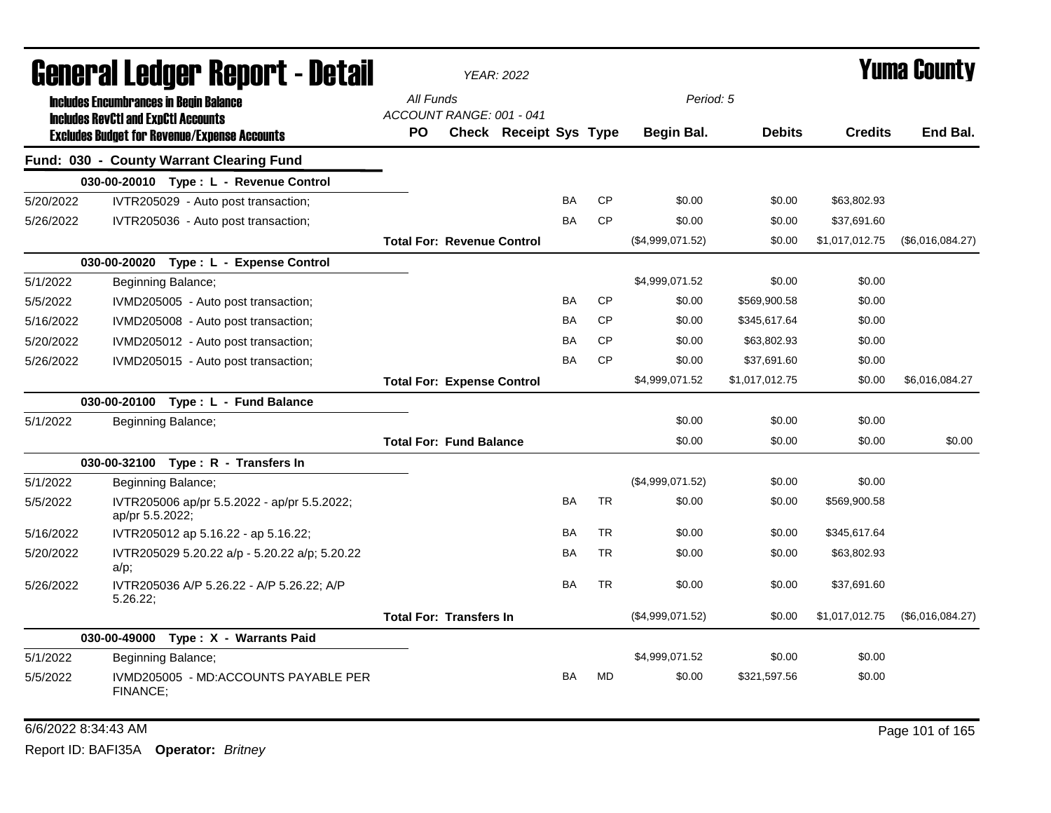| General Ledger Report - Detail |                                                                                             |           |                                   | <b>YEAR: 2022</b>             |           |           |                  |                | Yuma Countv    |                  |
|--------------------------------|---------------------------------------------------------------------------------------------|-----------|-----------------------------------|-------------------------------|-----------|-----------|------------------|----------------|----------------|------------------|
|                                | <b>Includes Encumbrances in Begin Balance</b><br><b>Includes RevCtI and ExpCtI Accounts</b> | All Funds | ACCOUNT RANGE: 001 - 041          |                               |           |           | Period: 5        |                |                |                  |
|                                | <b>Excludes Budget for Revenue/Expense Accounts</b>                                         | PO.       |                                   | <b>Check Receipt Sys Type</b> |           |           | Begin Bal.       | <b>Debits</b>  | <b>Credits</b> | End Bal.         |
|                                | Fund: 030 - County Warrant Clearing Fund                                                    |           |                                   |                               |           |           |                  |                |                |                  |
|                                | 030-00-20010 Type: L - Revenue Control                                                      |           |                                   |                               |           |           |                  |                |                |                  |
| 5/20/2022                      | IVTR205029 - Auto post transaction;                                                         |           |                                   |                               | BA        | CP        | \$0.00           | \$0.00         | \$63,802.93    |                  |
| 5/26/2022                      | IVTR205036 - Auto post transaction;                                                         |           |                                   |                               | <b>BA</b> | <b>CP</b> | \$0.00           | \$0.00         | \$37,691.60    |                  |
|                                |                                                                                             |           | <b>Total For: Revenue Control</b> |                               |           |           | (\$4,999,071.52) | \$0.00         | \$1,017,012.75 | (\$6,016,084.27) |
|                                | 030-00-20020 Type: L - Expense Control                                                      |           |                                   |                               |           |           |                  |                |                |                  |
| 5/1/2022                       | Beginning Balance;                                                                          |           |                                   |                               |           |           | \$4,999,071.52   | \$0.00         | \$0.00         |                  |
| 5/5/2022                       | IVMD205005 - Auto post transaction;                                                         |           |                                   |                               | BA        | <b>CP</b> | \$0.00           | \$569,900.58   | \$0.00         |                  |
| 5/16/2022                      | IVMD205008 - Auto post transaction;                                                         |           |                                   |                               | BA        | <b>CP</b> | \$0.00           | \$345,617.64   | \$0.00         |                  |
| 5/20/2022                      | IVMD205012 - Auto post transaction;                                                         |           |                                   |                               | BA        | <b>CP</b> | \$0.00           | \$63,802.93    | \$0.00         |                  |
| 5/26/2022                      | IVMD205015 - Auto post transaction;                                                         |           |                                   |                               | <b>BA</b> | <b>CP</b> | \$0.00           | \$37,691.60    | \$0.00         |                  |
|                                |                                                                                             |           | <b>Total For: Expense Control</b> |                               |           |           | \$4,999,071.52   | \$1,017,012.75 | \$0.00         | \$6,016,084.27   |
|                                | 030-00-20100 Type: L - Fund Balance                                                         |           |                                   |                               |           |           |                  |                |                |                  |
| 5/1/2022                       | Beginning Balance;                                                                          |           |                                   |                               |           |           | \$0.00           | \$0.00         | \$0.00         |                  |
|                                |                                                                                             |           | <b>Total For: Fund Balance</b>    |                               |           |           | \$0.00           | \$0.00         | \$0.00         | \$0.00           |
|                                | 030-00-32100 Type: R - Transfers In                                                         |           |                                   |                               |           |           |                  |                |                |                  |
| 5/1/2022                       | Beginning Balance;                                                                          |           |                                   |                               |           |           | (\$4,999,071.52) | \$0.00         | \$0.00         |                  |
| 5/5/2022                       | IVTR205006 ap/pr 5.5.2022 - ap/pr 5.5.2022;<br>ap/pr 5.5.2022;                              |           |                                   |                               | BA        | <b>TR</b> | \$0.00           | \$0.00         | \$569,900.58   |                  |
| 5/16/2022                      | IVTR205012 ap 5.16.22 - ap 5.16.22;                                                         |           |                                   |                               | BA        | <b>TR</b> | \$0.00           | \$0.00         | \$345,617.64   |                  |
| 5/20/2022                      | IVTR205029 5.20.22 a/p - 5.20.22 a/p; 5.20.22<br>$a/p$ ;                                    |           |                                   |                               | BA        | <b>TR</b> | \$0.00           | \$0.00         | \$63,802.93    |                  |
| 5/26/2022                      | IVTR205036 A/P 5.26.22 - A/P 5.26.22; A/P<br>5.26.22;                                       |           |                                   |                               | <b>BA</b> | <b>TR</b> | \$0.00           | \$0.00         | \$37,691.60    |                  |
|                                |                                                                                             |           | <b>Total For: Transfers In</b>    |                               |           |           | (\$4,999,071.52) | \$0.00         | \$1,017,012.75 | (\$6,016,084.27) |
|                                | 030-00-49000 Type: X - Warrants Paid                                                        |           |                                   |                               |           |           |                  |                |                |                  |
| 5/1/2022                       | Beginning Balance;                                                                          |           |                                   |                               |           |           | \$4,999,071.52   | \$0.00         | \$0.00         |                  |
| 5/5/2022                       | IVMD205005 - MD:ACCOUNTS PAYABLE PER<br>FINANCE:                                            |           |                                   |                               | BA        | <b>MD</b> | \$0.00           | \$321,597.56   | \$0.00         |                  |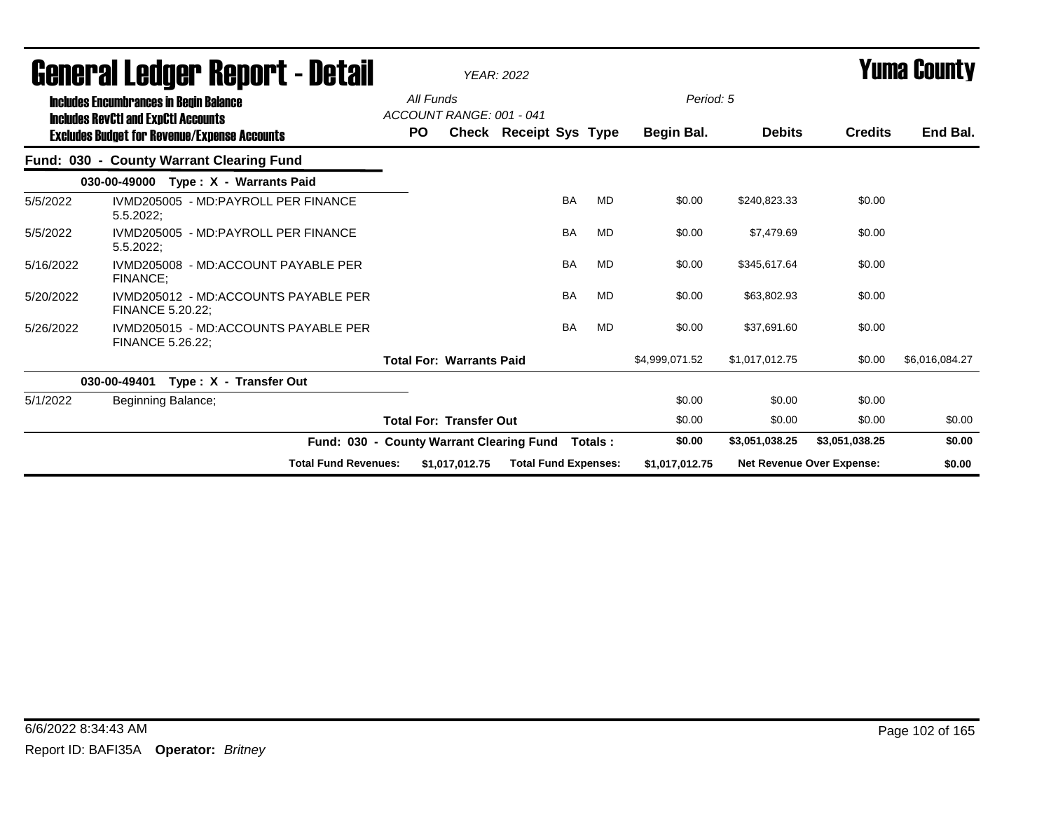| Generai Leuger Keport - Detail |                                                                                                                                                    |           |                                          | <b>YEAR: 2022</b>           |           |           |                         |                |                                  | Tunia Gounty   |
|--------------------------------|----------------------------------------------------------------------------------------------------------------------------------------------------|-----------|------------------------------------------|-----------------------------|-----------|-----------|-------------------------|----------------|----------------------------------|----------------|
|                                | <b>Includes Encumbrances in Begin Balance</b><br><b>Includes RevCtI and ExpCtI Accounts</b><br><b>Excludes Budget for Revenue/Expense Accounts</b> | <b>PO</b> | All Funds<br>ACCOUNT RANGE: 001 - 041    | Check Receipt Sys Type      |           |           | Period: 5<br>Begin Bal. | <b>Debits</b>  | <b>Credits</b>                   | End Bal.       |
|                                | Fund: 030 - County Warrant Clearing Fund                                                                                                           |           |                                          |                             |           |           |                         |                |                                  |                |
|                                | Type: X - Warrants Paid<br>030-00-49000                                                                                                            |           |                                          |                             |           |           |                         |                |                                  |                |
| 5/5/2022                       | IVMD205005 - MD:PAYROLL PER FINANCE<br>$5.5.2022$ ;                                                                                                |           |                                          |                             | <b>BA</b> | <b>MD</b> | \$0.00                  | \$240,823.33   | \$0.00                           |                |
| 5/5/2022                       | IVMD205005 - MD:PAYROLL PER FINANCE<br>5.5.2022;                                                                                                   |           |                                          |                             | <b>BA</b> | MD        | \$0.00                  | \$7,479.69     | \$0.00                           |                |
| 5/16/2022                      | IVMD205008 - MD:ACCOUNT PAYABLE PER<br><b>FINANCE:</b>                                                                                             |           |                                          |                             | <b>BA</b> | MD        | \$0.00                  | \$345,617.64   | \$0.00                           |                |
| 5/20/2022                      | IVMD205012 - MD:ACCOUNTS PAYABLE PER<br>FINANCE 5.20.22;                                                                                           |           |                                          |                             | <b>BA</b> | MD        | \$0.00                  | \$63,802.93    | \$0.00                           |                |
| 5/26/2022                      | IVMD205015 - MD:ACCOUNTS PAYABLE PER<br>FINANCE 5.26.22;                                                                                           |           |                                          |                             | <b>BA</b> | MD        | \$0.00                  | \$37,691.60    | \$0.00                           |                |
|                                |                                                                                                                                                    |           | <b>Total For: Warrants Paid</b>          |                             |           |           | \$4,999,071.52          | \$1,017,012.75 | \$0.00                           | \$6,016,084.27 |
|                                | Type: X - Transfer Out<br>030-00-49401                                                                                                             |           |                                          |                             |           |           |                         |                |                                  |                |
| 5/1/2022                       | Beginning Balance;                                                                                                                                 |           |                                          |                             |           |           | \$0.00                  | \$0.00         | \$0.00                           |                |
|                                |                                                                                                                                                    |           | <b>Total For: Transfer Out</b>           |                             |           |           | \$0.00                  | \$0.00         | \$0.00                           | \$0.00         |
|                                |                                                                                                                                                    |           | Fund: 030 - County Warrant Clearing Fund |                             |           | Totals :  | \$0.00                  | \$3,051,038.25 | \$3,051,038.25                   | \$0.00         |
|                                | <b>Total Fund Revenues:</b>                                                                                                                        |           | \$1,017,012.75                           | <b>Total Fund Expenses:</b> |           |           | \$1,017,012.75          |                | <b>Net Revenue Over Expense:</b> | \$0.00         |

# General Ledger Report - Detail *YEAR: 2022* Yuma County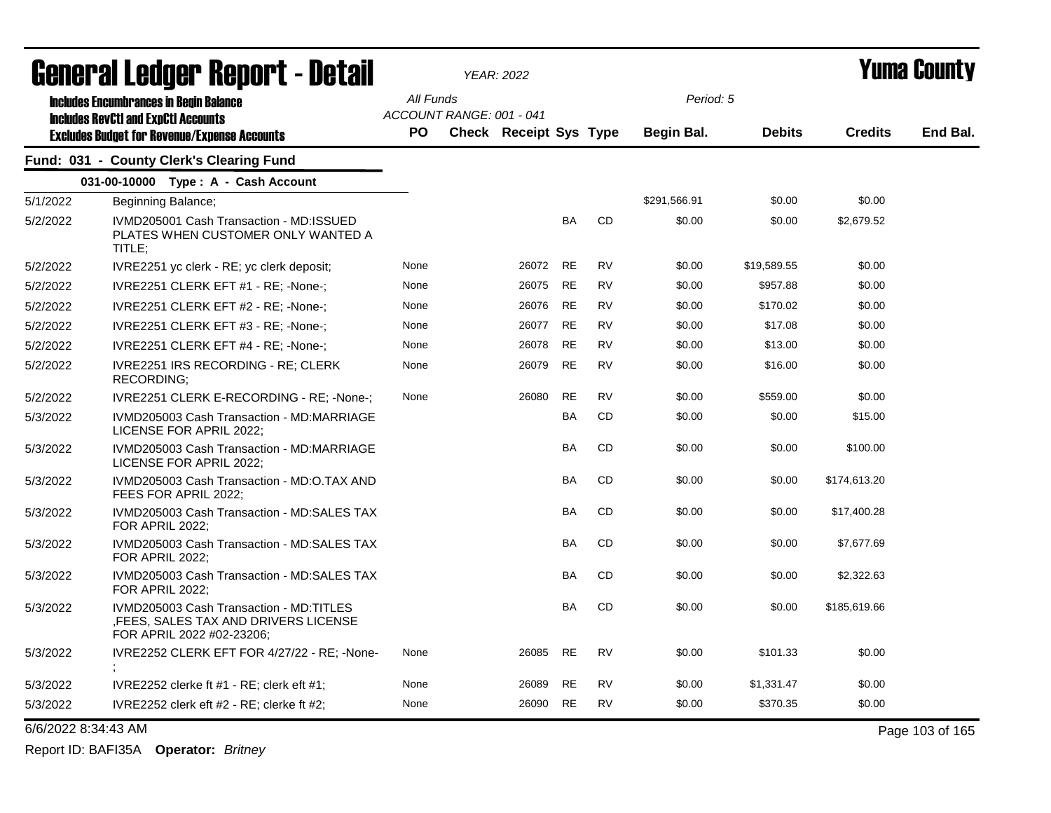| <b>General Ledger Report - Detail</b> |                                                                                                               |           |                          | <b>YEAR: 2022</b>      |           |           | <b>Yuma County</b> |               |                |          |
|---------------------------------------|---------------------------------------------------------------------------------------------------------------|-----------|--------------------------|------------------------|-----------|-----------|--------------------|---------------|----------------|----------|
|                                       | <b>Includes Encumbrances in Begin Balance</b>                                                                 | All Funds |                          |                        |           |           | Period: 5          |               |                |          |
|                                       | <b>Includes RevCtI and ExpCtI Accounts</b><br><b>Excludes Budget for Revenue/Expense Accounts</b>             | <b>PO</b> | ACCOUNT RANGE: 001 - 041 | Check Receipt Sys Type |           |           | Begin Bal.         | <b>Debits</b> | <b>Credits</b> | End Bal. |
|                                       | Fund: 031 - County Clerk's Clearing Fund                                                                      |           |                          |                        |           |           |                    |               |                |          |
|                                       | 031-00-10000 Type: A - Cash Account                                                                           |           |                          |                        |           |           |                    |               |                |          |
| 5/1/2022                              | Beginning Balance;                                                                                            |           |                          |                        |           |           | \$291,566.91       | \$0.00        | \$0.00         |          |
| 5/2/2022                              | IVMD205001 Cash Transaction - MD: ISSUED<br>PLATES WHEN CUSTOMER ONLY WANTED A<br>TITLE:                      |           |                          |                        | <b>BA</b> | <b>CD</b> | \$0.00             | \$0.00        | \$2,679.52     |          |
| 5/2/2022                              | IVRE2251 yc clerk - RE; yc clerk deposit;                                                                     | None      |                          | 26072                  | RE        | RV        | \$0.00             | \$19,589.55   | \$0.00         |          |
| 5/2/2022                              | IVRE2251 CLERK EFT #1 - RE; -None-;                                                                           | None      |                          | 26075                  | RE        | <b>RV</b> | \$0.00             | \$957.88      | \$0.00         |          |
| 5/2/2022                              | IVRE2251 CLERK EFT #2 - RE; -None-;                                                                           | None      |                          | 26076                  | RE        | <b>RV</b> | \$0.00             | \$170.02      | \$0.00         |          |
| 5/2/2022                              | IVRE2251 CLERK EFT #3 - RE; -None-;                                                                           | None      |                          | 26077                  | <b>RE</b> | <b>RV</b> | \$0.00             | \$17.08       | \$0.00         |          |
| 5/2/2022                              | IVRE2251 CLERK EFT #4 - RE; -None-;                                                                           | None      |                          | 26078                  | <b>RE</b> | <b>RV</b> | \$0.00             | \$13.00       | \$0.00         |          |
| 5/2/2022                              | IVRE2251 IRS RECORDING - RE; CLERK<br><b>RECORDING:</b>                                                       | None      |                          | 26079                  | <b>RE</b> | <b>RV</b> | \$0.00             | \$16.00       | \$0.00         |          |
| 5/2/2022                              | IVRE2251 CLERK E-RECORDING - RE: -None-;                                                                      | None      |                          | 26080                  | <b>RE</b> | <b>RV</b> | \$0.00             | \$559.00      | \$0.00         |          |
| 5/3/2022                              | IVMD205003 Cash Transaction - MD:MARRIAGE<br>LICENSE FOR APRIL 2022;                                          |           |                          |                        | <b>BA</b> | <b>CD</b> | \$0.00             | \$0.00        | \$15.00        |          |
| 5/3/2022                              | IVMD205003 Cash Transaction - MD:MARRIAGE<br>LICENSE FOR APRIL 2022;                                          |           |                          |                        | BA        | CD        | \$0.00             | \$0.00        | \$100.00       |          |
| 5/3/2022                              | IVMD205003 Cash Transaction - MD:O.TAX AND<br>FEES FOR APRIL 2022;                                            |           |                          |                        | BA        | <b>CD</b> | \$0.00             | \$0.00        | \$174,613.20   |          |
| 5/3/2022                              | IVMD205003 Cash Transaction - MD:SALES TAX<br>FOR APRIL 2022;                                                 |           |                          |                        | BA        | <b>CD</b> | \$0.00             | \$0.00        | \$17,400.28    |          |
| 5/3/2022                              | IVMD205003 Cash Transaction - MD:SALES TAX<br>FOR APRIL 2022;                                                 |           |                          |                        | BA        | <b>CD</b> | \$0.00             | \$0.00        | \$7,677.69     |          |
| 5/3/2022                              | IVMD205003 Cash Transaction - MD:SALES TAX<br>FOR APRIL 2022;                                                 |           |                          |                        | BA        | <b>CD</b> | \$0.00             | \$0.00        | \$2,322.63     |          |
| 5/3/2022                              | IVMD205003 Cash Transaction - MD:TITLES<br>, FEES, SALES TAX AND DRIVERS LICENSE<br>FOR APRIL 2022 #02-23206; |           |                          |                        | BA        | CD        | \$0.00             | \$0.00        | \$185,619.66   |          |
| 5/3/2022                              | IVRE2252 CLERK EFT FOR 4/27/22 - RE; -None-                                                                   | None      |                          | 26085                  | <b>RE</b> | <b>RV</b> | \$0.00             | \$101.33      | \$0.00         |          |
| 5/3/2022                              | IVRE2252 clerke ft $#1$ - RE; clerk eft $#1$ ;                                                                | None      |                          | 26089                  | <b>RE</b> | <b>RV</b> | \$0.00             | \$1,331.47    | \$0.00         |          |
| 5/3/2022                              | IVRE2252 clerk eft $#2$ - RE; clerke ft $#2$ ;                                                                | None      |                          | 26090                  | <b>RE</b> | <b>RV</b> | \$0.00             | \$370.35      | \$0.00         |          |

6/6/2022 8:34:43 AM Page 103 of 165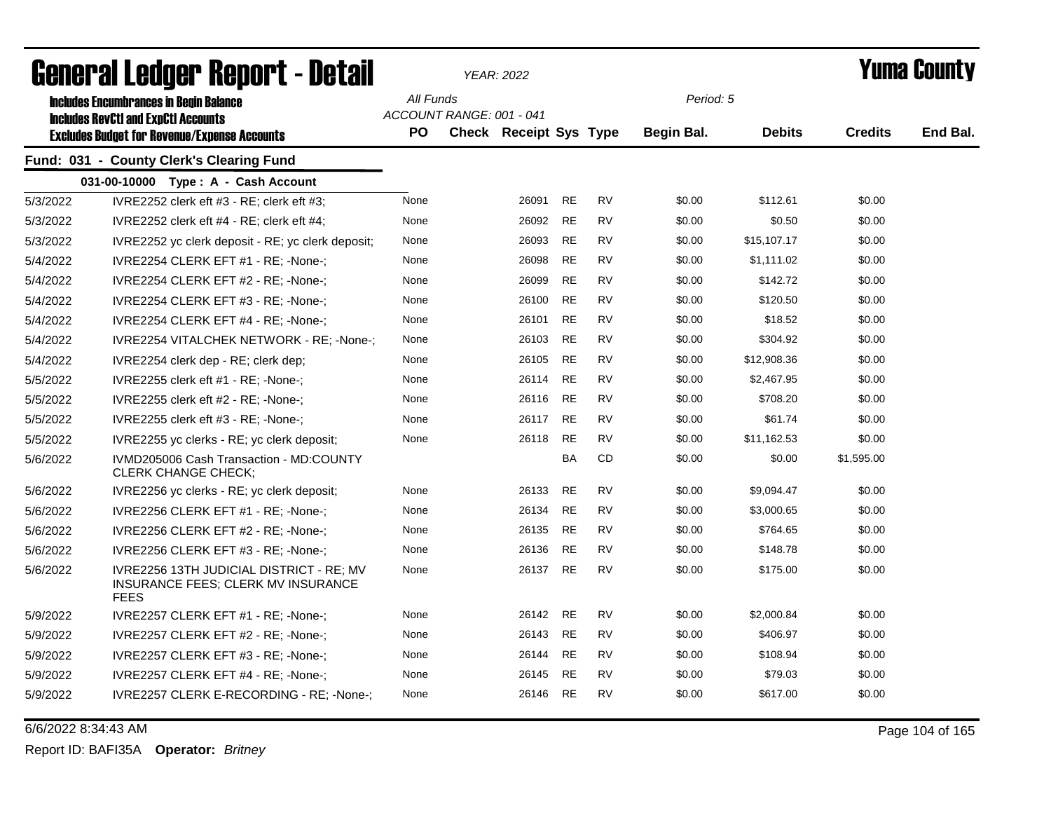| qangi.si fanyai. Kahai.r - Nafsi |                                                                                               |           |                          | YEAR: 2022             |           |           | T UIIIA GUUIILY |               |                |          |
|----------------------------------|-----------------------------------------------------------------------------------------------|-----------|--------------------------|------------------------|-----------|-----------|-----------------|---------------|----------------|----------|
|                                  | <b>Includes Encumbrances in Begin Balance</b><br><b>Includes RevCtI and ExpCtI Accounts</b>   | All Funds | ACCOUNT RANGE: 001 - 041 |                        |           |           | Period: 5       |               |                |          |
|                                  | <b>Excludes Budget for Revenue/Expense Accounts</b>                                           | PO        |                          | Check Receipt Sys Type |           |           | Begin Bal.      | <b>Debits</b> | <b>Credits</b> | End Bal. |
|                                  | Fund: 031 - County Clerk's Clearing Fund                                                      |           |                          |                        |           |           |                 |               |                |          |
|                                  | 031-00-10000 Type: A - Cash Account                                                           |           |                          |                        |           |           |                 |               |                |          |
| 5/3/2022                         | IVRE2252 clerk eft #3 - RE; clerk eft #3;                                                     | None      |                          | 26091                  | <b>RE</b> | <b>RV</b> | \$0.00          | \$112.61      | \$0.00         |          |
| 5/3/2022                         | IVRE2252 clerk eft #4 - RE; clerk eft #4;                                                     | None      |                          | 26092                  | <b>RE</b> | <b>RV</b> | \$0.00          | \$0.50        | \$0.00         |          |
| 5/3/2022                         | IVRE2252 yc clerk deposit - RE; yc clerk deposit;                                             | None      |                          | 26093                  | <b>RE</b> | <b>RV</b> | \$0.00          | \$15,107.17   | \$0.00         |          |
| 5/4/2022                         | IVRE2254 CLERK EFT #1 - RE; -None-;                                                           | None      |                          | 26098                  | <b>RE</b> | <b>RV</b> | \$0.00          | \$1,111.02    | \$0.00         |          |
| 5/4/2022                         | IVRE2254 CLERK EFT #2 - RE; -None-;                                                           | None      |                          | 26099                  | <b>RE</b> | <b>RV</b> | \$0.00          | \$142.72      | \$0.00         |          |
| 5/4/2022                         | IVRE2254 CLERK EFT #3 - RE; -None-;                                                           | None      |                          | 26100                  | <b>RE</b> | <b>RV</b> | \$0.00          | \$120.50      | \$0.00         |          |
| 5/4/2022                         | IVRE2254 CLERK EFT #4 - RE; -None-;                                                           | None      |                          | 26101                  | <b>RE</b> | <b>RV</b> | \$0.00          | \$18.52       | \$0.00         |          |
| 5/4/2022                         | IVRE2254 VITALCHEK NETWORK - RE; -None-;                                                      | None      |                          | 26103                  | <b>RE</b> | <b>RV</b> | \$0.00          | \$304.92      | \$0.00         |          |
| 5/4/2022                         | IVRE2254 clerk dep - RE; clerk dep;                                                           | None      |                          | 26105                  | <b>RE</b> | <b>RV</b> | \$0.00          | \$12,908.36   | \$0.00         |          |
| 5/5/2022                         | IVRE2255 clerk eft #1 - RE; -None-;                                                           | None      |                          | 26114                  | <b>RE</b> | <b>RV</b> | \$0.00          | \$2,467.95    | \$0.00         |          |
| 5/5/2022                         | IVRE2255 clerk eft #2 - RE; -None-;                                                           | None      |                          | 26116                  | RE        | <b>RV</b> | \$0.00          | \$708.20      | \$0.00         |          |
| 5/5/2022                         | IVRE2255 clerk eft #3 - RE; -None-;                                                           | None      |                          | 26117                  | <b>RE</b> | <b>RV</b> | \$0.00          | \$61.74       | \$0.00         |          |
| 5/5/2022                         | IVRE2255 yc clerks - RE; yc clerk deposit;                                                    | None      |                          | 26118                  | RE        | <b>RV</b> | \$0.00          | \$11,162.53   | \$0.00         |          |
| 5/6/2022                         | IVMD205006 Cash Transaction - MD:COUNTY<br><b>CLERK CHANGE CHECK:</b>                         |           |                          |                        | BA        | CD        | \$0.00          | \$0.00        | \$1,595.00     |          |
| 5/6/2022                         | IVRE2256 yc clerks - RE; yc clerk deposit;                                                    | None      |                          | 26133                  | <b>RE</b> | <b>RV</b> | \$0.00          | \$9,094.47    | \$0.00         |          |
| 5/6/2022                         | IVRE2256 CLERK EFT #1 - RE; -None-;                                                           | None      |                          | 26134                  | <b>RE</b> | <b>RV</b> | \$0.00          | \$3,000.65    | \$0.00         |          |
| 5/6/2022                         | IVRE2256 CLERK EFT #2 - RE; -None-;                                                           | None      |                          | 26135                  | <b>RE</b> | <b>RV</b> | \$0.00          | \$764.65      | \$0.00         |          |
| 5/6/2022                         | IVRE2256 CLERK EFT #3 - RE; -None-;                                                           | None      |                          | 26136                  | <b>RE</b> | <b>RV</b> | \$0.00          | \$148.78      | \$0.00         |          |
| 5/6/2022                         | IVRE2256 13TH JUDICIAL DISTRICT - RE; MV<br>INSURANCE FEES; CLERK MV INSURANCE<br><b>FEES</b> | None      |                          | 26137                  | <b>RE</b> | <b>RV</b> | \$0.00          | \$175.00      | \$0.00         |          |
| 5/9/2022                         | IVRE2257 CLERK EFT #1 - RE; -None-;                                                           | None      |                          | 26142                  | RE        | RV        | \$0.00          | \$2,000.84    | \$0.00         |          |
| 5/9/2022                         | IVRE2257 CLERK EFT #2 - RE; -None-;                                                           | None      |                          | 26143                  | RE        | RV        | \$0.00          | \$406.97      | \$0.00         |          |
| 5/9/2022                         | IVRE2257 CLERK EFT #3 - RE; -None-;                                                           | None      |                          | 26144                  | <b>RE</b> | <b>RV</b> | \$0.00          | \$108.94      | \$0.00         |          |
| 5/9/2022                         | IVRE2257 CLERK EFT #4 - RE; -None-;                                                           | None      |                          | 26145                  | <b>RE</b> | <b>RV</b> | \$0.00          | \$79.03       | \$0.00         |          |
| 5/9/2022                         | IVRE2257 CLERK E-RECORDING - RE; -None-;                                                      | None      |                          | 26146                  | <b>RE</b> | <b>RV</b> | \$0.00          | \$617.00      | \$0.00         |          |

## General Ledger Report - Detail *YEAR: 2022* Yuma County

6/6/2022 8:34:43 AM Page 104 of 165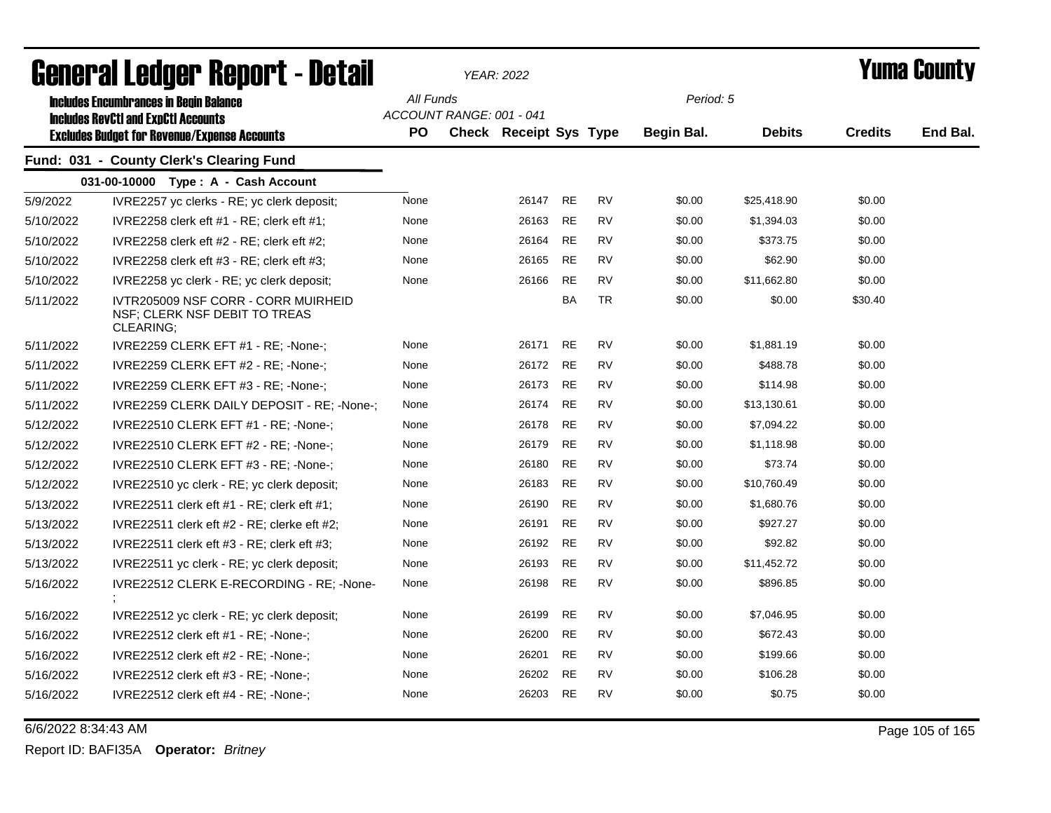| agugi.gi faringi. ughal. ( - nafqil |                                                                                             |                        |                          | YEAR: 2022                    |           |           | T UIIIA GUUIILY |               |                |          |
|-------------------------------------|---------------------------------------------------------------------------------------------|------------------------|--------------------------|-------------------------------|-----------|-----------|-----------------|---------------|----------------|----------|
|                                     | <b>Includes Encumbrances in Begin Balance</b><br><b>Includes RevCtI and ExpCtI Accounts</b> | All Funds<br><b>PO</b> | ACCOUNT RANGE: 001 - 041 |                               |           |           | Period: 5       | <b>Debits</b> | <b>Credits</b> | End Bal. |
|                                     | <b>Excludes Budget for Revenue/Expense Accounts</b>                                         |                        |                          | <b>Check Receipt Sys Type</b> |           |           | Begin Bal.      |               |                |          |
|                                     | Fund: 031 - County Clerk's Clearing Fund                                                    |                        |                          |                               |           |           |                 |               |                |          |
|                                     | 031-00-10000 Type: A - Cash Account                                                         |                        |                          |                               |           |           |                 |               |                |          |
| 5/9/2022                            | IVRE2257 yc clerks - RE; yc clerk deposit;                                                  | None                   |                          | 26147                         | RE        | RV        | \$0.00          | \$25,418.90   | \$0.00         |          |
| 5/10/2022                           | IVRE2258 clerk eft $#1$ - RE; clerk eft $#1$ ;                                              | None                   |                          | 26163                         | RE        | RV        | \$0.00          | \$1,394.03    | \$0.00         |          |
| 5/10/2022                           | IVRE2258 clerk eft $#2$ - RE; clerk eft $#2$ ;                                              | None                   |                          | 26164                         | <b>RE</b> | <b>RV</b> | \$0.00          | \$373.75      | \$0.00         |          |
| 5/10/2022                           | IVRE2258 clerk eft $#3$ - RE; clerk eft $#3$ ;                                              | None                   |                          | 26165                         | <b>RE</b> | <b>RV</b> | \$0.00          | \$62.90       | \$0.00         |          |
| 5/10/2022                           | IVRE2258 yc clerk - RE; yc clerk deposit;                                                   | None                   |                          | 26166                         | <b>RE</b> | <b>RV</b> | \$0.00          | \$11,662.80   | \$0.00         |          |
| 5/11/2022                           | IVTR205009 NSF CORR - CORR MUIRHEID<br>NSF; CLERK NSF DEBIT TO TREAS<br>CLEARING;           |                        |                          |                               | BA        | <b>TR</b> | \$0.00          | \$0.00        | \$30.40        |          |
| 5/11/2022                           | IVRE2259 CLERK EFT #1 - RE; -None-;                                                         | None                   |                          | 26171                         | <b>RE</b> | <b>RV</b> | \$0.00          | \$1,881.19    | \$0.00         |          |
| 5/11/2022                           | IVRE2259 CLERK EFT #2 - RE; -None-;                                                         | None                   |                          | 26172                         | <b>RE</b> | <b>RV</b> | \$0.00          | \$488.78      | \$0.00         |          |
| 5/11/2022                           | IVRE2259 CLERK EFT #3 - RE; -None-;                                                         | None                   |                          | 26173                         | <b>RE</b> | <b>RV</b> | \$0.00          | \$114.98      | \$0.00         |          |
| 5/11/2022                           | IVRE2259 CLERK DAILY DEPOSIT - RE: -None-:                                                  | None                   |                          | 26174                         | RE        | <b>RV</b> | \$0.00          | \$13,130.61   | \$0.00         |          |
| 5/12/2022                           | IVRE22510 CLERK EFT #1 - RE; -None-;                                                        | None                   |                          | 26178                         | <b>RE</b> | <b>RV</b> | \$0.00          | \$7,094.22    | \$0.00         |          |
| 5/12/2022                           | IVRE22510 CLERK EFT #2 - RE; -None-;                                                        | None                   |                          | 26179                         | <b>RE</b> | <b>RV</b> | \$0.00          | \$1,118.98    | \$0.00         |          |
| 5/12/2022                           | IVRE22510 CLERK EFT #3 - RE; -None-;                                                        | None                   |                          | 26180                         | <b>RE</b> | <b>RV</b> | \$0.00          | \$73.74       | \$0.00         |          |
| 5/12/2022                           | IVRE22510 yc clerk - RE; yc clerk deposit;                                                  | None                   |                          | 26183                         | <b>RE</b> | <b>RV</b> | \$0.00          | \$10,760.49   | \$0.00         |          |
| 5/13/2022                           | IVRE22511 clerk eft $#1$ - RE; clerk eft $#1$ ;                                             | None                   |                          | 26190                         | RE        | <b>RV</b> | \$0.00          | \$1,680.76    | \$0.00         |          |
| 5/13/2022                           | IVRE22511 clerk eft $#2$ - RE; clerke eft $#2$ ;                                            | None                   |                          | 26191                         | <b>RE</b> | <b>RV</b> | \$0.00          | \$927.27      | \$0.00         |          |
| 5/13/2022                           | IVRE22511 clerk eft #3 - RE; clerk eft #3;                                                  | None                   |                          | 26192                         | <b>RE</b> | <b>RV</b> | \$0.00          | \$92.82       | \$0.00         |          |
| 5/13/2022                           | IVRE22511 yc clerk - RE; yc clerk deposit;                                                  | None                   |                          | 26193                         | RE        | RV        | \$0.00          | \$11,452.72   | \$0.00         |          |
| 5/16/2022                           | IVRE22512 CLERK E-RECORDING - RE; -None-                                                    | None                   |                          | 26198                         | <b>RE</b> | RV        | \$0.00          | \$896.85      | \$0.00         |          |
| 5/16/2022                           | IVRE22512 yc clerk - RE; yc clerk deposit;                                                  | None                   |                          | 26199                         | RE        | <b>RV</b> | \$0.00          | \$7,046.95    | \$0.00         |          |
| 5/16/2022                           | $IVRE22512$ clerk eft $#1$ - RE; -None-;                                                    | None                   |                          | 26200                         | <b>RE</b> | <b>RV</b> | \$0.00          | \$672.43      | \$0.00         |          |
| 5/16/2022                           | IVRE22512 clerk eft #2 - RE; -None-;                                                        | None                   |                          | 26201                         | <b>RE</b> | <b>RV</b> | \$0.00          | \$199.66      | \$0.00         |          |
| 5/16/2022                           | IVRE22512 clerk eft #3 - RE; -None-;                                                        | None                   |                          | 26202                         | <b>RE</b> | <b>RV</b> | \$0.00          | \$106.28      | \$0.00         |          |
| 5/16/2022                           | IVRE22512 clerk eft #4 - RE; -None-;                                                        | None                   |                          | 26203                         | <b>RE</b> | <b>RV</b> | \$0.00          | \$0.75        | \$0.00         |          |

General Ledger Report - Detail *YEAR: 2022* Yuma County

6/6/2022 8:34:43 AM Page 105 of 165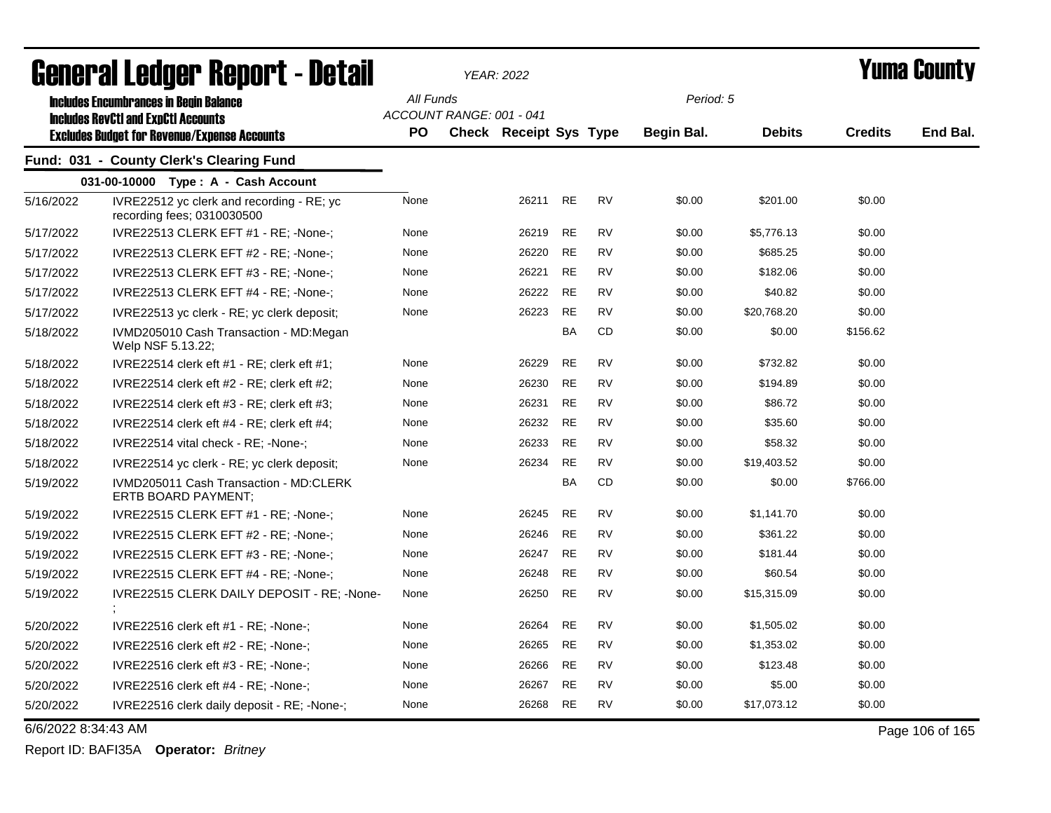| <b>General Ledger Report - Detail</b> |                                                                           |           |                          | <b>YEAR: 2022</b>             |           |           | Yuma County |               |                |                 |
|---------------------------------------|---------------------------------------------------------------------------|-----------|--------------------------|-------------------------------|-----------|-----------|-------------|---------------|----------------|-----------------|
|                                       | <b>Includes Encumbrances in Begin Balance</b>                             | All Funds |                          |                               |           |           | Period: 5   |               |                |                 |
|                                       | <b>Includes RevCtI and ExpCtI Accounts</b>                                |           | ACCOUNT RANGE: 001 - 041 |                               |           |           |             |               |                |                 |
|                                       | <b>Excludes Budget for Revenue/Expense Accounts</b>                       | <b>PO</b> |                          | <b>Check Receipt Sys Type</b> |           |           | Begin Bal.  | <b>Debits</b> | <b>Credits</b> | End Bal.        |
|                                       | Fund: 031 - County Clerk's Clearing Fund                                  |           |                          |                               |           |           |             |               |                |                 |
|                                       | 031-00-10000 Type: A - Cash Account                                       |           |                          |                               |           |           |             |               |                |                 |
| 5/16/2022                             | IVRE22512 yc clerk and recording $-$ RE; yc<br>recording fees; 0310030500 | None      |                          | 26211                         | <b>RE</b> | <b>RV</b> | \$0.00      | \$201.00      | \$0.00         |                 |
| 5/17/2022                             | IVRE22513 CLERK EFT #1 - RE; -None-;                                      | None      |                          | 26219                         | RE        | <b>RV</b> | \$0.00      | \$5,776.13    | \$0.00         |                 |
| 5/17/2022                             | IVRE22513 CLERK EFT #2 - RE; -None-;                                      | None      |                          | 26220                         | <b>RE</b> | <b>RV</b> | \$0.00      | \$685.25      | \$0.00         |                 |
| 5/17/2022                             | IVRE22513 CLERK EFT #3 - RE; -None-;                                      | None      |                          | 26221                         | <b>RE</b> | <b>RV</b> | \$0.00      | \$182.06      | \$0.00         |                 |
| 5/17/2022                             | IVRE22513 CLERK EFT #4 - RE; -None-;                                      | None      |                          | 26222                         | RE        | RV        | \$0.00      | \$40.82       | \$0.00         |                 |
| 5/17/2022                             | IVRE22513 yc clerk - RE; yc clerk deposit;                                | None      |                          | 26223                         | <b>RE</b> | <b>RV</b> | \$0.00      | \$20,768.20   | \$0.00         |                 |
| 5/18/2022                             | IVMD205010 Cash Transaction - MD:Megan<br>Welp NSF 5.13.22;               |           |                          |                               | <b>BA</b> | <b>CD</b> | \$0.00      | \$0.00        | \$156.62       |                 |
| 5/18/2022                             | IVRE22514 clerk eft $#1$ - RE; clerk eft $#1$ ;                           | None      |                          | 26229                         | <b>RE</b> | <b>RV</b> | \$0.00      | \$732.82      | \$0.00         |                 |
| 5/18/2022                             | IVRE22514 clerk eft $#2$ - RE; clerk eft $#2$ ;                           | None      |                          | 26230                         | RE        | RV        | \$0.00      | \$194.89      | \$0.00         |                 |
| 5/18/2022                             | IVRE22514 clerk eft $#3$ - RE; clerk eft $#3$ ;                           | None      |                          | 26231                         | <b>RE</b> | <b>RV</b> | \$0.00      | \$86.72       | \$0.00         |                 |
| 5/18/2022                             | IVRE22514 clerk eft $#4$ - RE; clerk eft $#4$ ;                           | None      |                          | 26232                         | <b>RE</b> | <b>RV</b> | \$0.00      | \$35.60       | \$0.00         |                 |
| 5/18/2022                             | IVRE22514 vital check - RE; -None-;                                       | None      |                          | 26233                         | <b>RE</b> | <b>RV</b> | \$0.00      | \$58.32       | \$0.00         |                 |
| 5/18/2022                             | IVRE22514 yc clerk - RE; yc clerk deposit;                                | None      |                          | 26234                         | <b>RE</b> | <b>RV</b> | \$0.00      | \$19,403.52   | \$0.00         |                 |
| 5/19/2022                             | IVMD205011 Cash Transaction - MD:CLERK<br>ERTB BOARD PAYMENT:             |           |                          |                               | <b>BA</b> | <b>CD</b> | \$0.00      | \$0.00        | \$766.00       |                 |
| 5/19/2022                             | IVRE22515 CLERK EFT #1 - RE; -None-;                                      | None      |                          | 26245                         | <b>RE</b> | <b>RV</b> | \$0.00      | \$1,141.70    | \$0.00         |                 |
| 5/19/2022                             | IVRE22515 CLERK EFT #2 - RE; -None-;                                      | None      |                          | 26246                         | RE        | RV        | \$0.00      | \$361.22      | \$0.00         |                 |
| 5/19/2022                             | IVRE22515 CLERK EFT #3 - RE; -None-;                                      | None      |                          | 26247                         | <b>RE</b> | <b>RV</b> | \$0.00      | \$181.44      | \$0.00         |                 |
| 5/19/2022                             | IVRE22515 CLERK EFT #4 - RE; -None-;                                      | None      |                          | 26248                         | RE        | <b>RV</b> | \$0.00      | \$60.54       | \$0.00         |                 |
| 5/19/2022                             | IVRE22515 CLERK DAILY DEPOSIT - RE; -None-                                | None      |                          | 26250                         | RE        | RV        | \$0.00      | \$15,315.09   | \$0.00         |                 |
| 5/20/2022                             | IVRE22516 clerk eft #1 - RE; -None-;                                      | None      |                          | 26264                         | RE        | <b>RV</b> | \$0.00      | \$1,505.02    | \$0.00         |                 |
| 5/20/2022                             | IVRE22516 clerk eft $#2$ - RE; -None-;                                    | None      |                          | 26265                         | <b>RE</b> | <b>RV</b> | \$0.00      | \$1,353.02    | \$0.00         |                 |
| 5/20/2022                             | IVRE22516 clerk eft $#3$ - RE; -None-;                                    | None      |                          | 26266                         | <b>RE</b> | <b>RV</b> | \$0.00      | \$123.48      | \$0.00         |                 |
| 5/20/2022                             | IVRE22516 clerk eft $#4$ - RE; -None-;                                    | None      |                          | 26267                         | <b>RE</b> | <b>RV</b> | \$0.00      | \$5.00        | \$0.00         |                 |
| 5/20/2022                             | IVRE22516 clerk daily deposit - RE; -None-;                               | None      |                          | 26268                         | <b>RE</b> | <b>RV</b> | \$0.00      | \$17,073.12   | \$0.00         |                 |
| 6/6/2022 8:34:43 AM                   |                                                                           |           |                          |                               |           |           |             |               |                | Page 106 of 165 |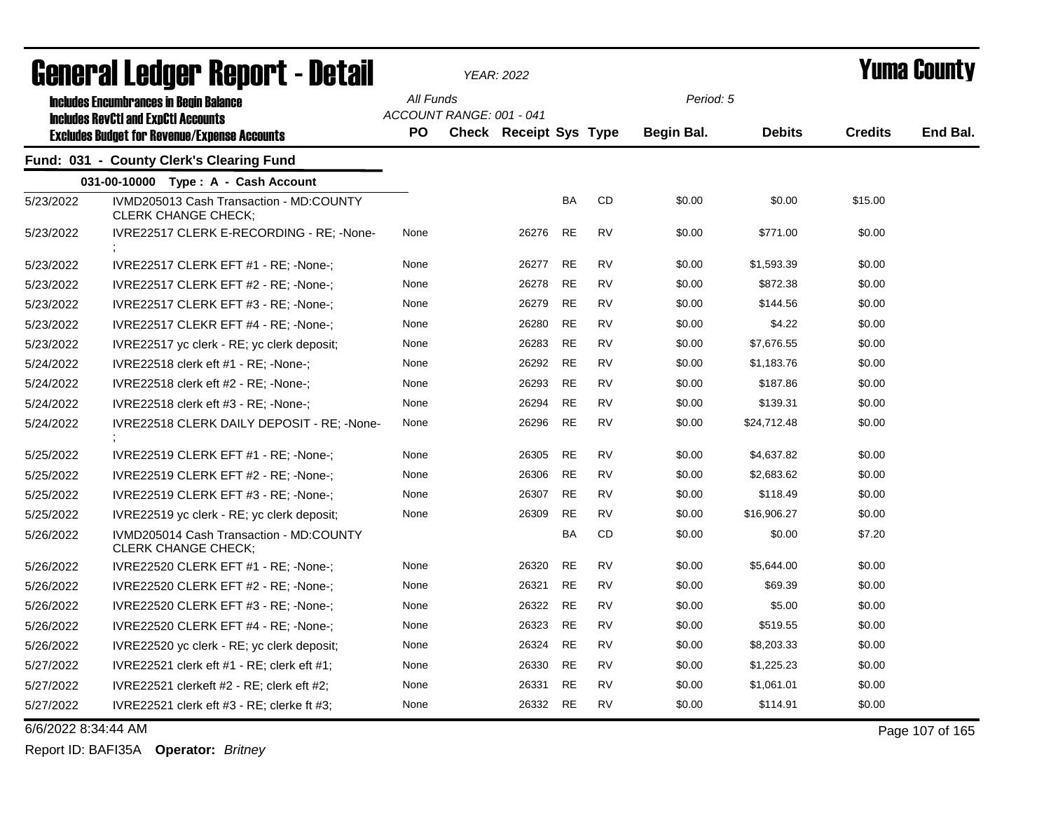| General Ledger Report - Detail |                                                                       |           |                          | YEAR: 2022                    |           | Yuma Countv |            |               |                |                 |
|--------------------------------|-----------------------------------------------------------------------|-----------|--------------------------|-------------------------------|-----------|-------------|------------|---------------|----------------|-----------------|
|                                | <b>Includes Encumbrances in Begin Balance</b>                         | All Funds |                          |                               |           |             | Period: 5  |               |                |                 |
|                                | <b>Includes RevCtI and ExpCtI Accounts</b>                            |           | ACCOUNT RANGE: 001 - 041 |                               |           |             |            |               |                |                 |
|                                | <b>Excludes Budget for Revenue/Expense Accounts</b>                   | <b>PO</b> |                          | <b>Check Receipt Sys Type</b> |           |             | Begin Bal. | <b>Debits</b> | <b>Credits</b> | End Bal.        |
|                                | Fund: 031 - County Clerk's Clearing Fund                              |           |                          |                               |           |             |            |               |                |                 |
|                                | 031-00-10000 Type: A - Cash Account                                   |           |                          |                               |           |             |            |               |                |                 |
| 5/23/2022                      | IVMD205013 Cash Transaction - MD:COUNTY<br><b>CLERK CHANGE CHECK:</b> |           |                          |                               | <b>BA</b> | <b>CD</b>   | \$0.00     | \$0.00        | \$15.00        |                 |
| 5/23/2022                      | IVRE22517 CLERK E-RECORDING - RE; -None-                              | None      |                          | 26276                         | <b>RE</b> | <b>RV</b>   | \$0.00     | \$771.00      | \$0.00         |                 |
| 5/23/2022                      | IVRE22517 CLERK EFT #1 - RE; -None-;                                  | None      |                          | 26277                         | <b>RE</b> | <b>RV</b>   | \$0.00     | \$1,593.39    | \$0.00         |                 |
| 5/23/2022                      | IVRE22517 CLERK EFT #2 - RE; -None-;                                  | None      |                          | 26278                         | <b>RE</b> | <b>RV</b>   | \$0.00     | \$872.38      | \$0.00         |                 |
| 5/23/2022                      | IVRE22517 CLERK EFT #3 - RE; -None-;                                  | None      |                          | 26279                         | <b>RE</b> | <b>RV</b>   | \$0.00     | \$144.56      | \$0.00         |                 |
| 5/23/2022                      | IVRE22517 CLEKR EFT #4 - RE; -None-;                                  | None      |                          | 26280                         | <b>RE</b> | <b>RV</b>   | \$0.00     | \$4.22        | \$0.00         |                 |
| 5/23/2022                      | IVRE22517 yc clerk - RE; yc clerk deposit;                            | None      |                          | 26283                         | <b>RE</b> | <b>RV</b>   | \$0.00     | \$7,676.55    | \$0.00         |                 |
| 5/24/2022                      | IVRE22518 clerk eft $#1$ - RE; -None-;                                | None      |                          | 26292                         | <b>RE</b> | <b>RV</b>   | \$0.00     | \$1,183.76    | \$0.00         |                 |
| 5/24/2022                      | IVRE22518 clerk eft $#2$ - RE; -None-;                                | None      |                          | 26293                         | <b>RE</b> | <b>RV</b>   | \$0.00     | \$187.86      | \$0.00         |                 |
| 5/24/2022                      | IVRE22518 clerk eft #3 - RE; -None-;                                  | None      |                          | 26294                         | <b>RE</b> | <b>RV</b>   | \$0.00     | \$139.31      | \$0.00         |                 |
| 5/24/2022                      | IVRE22518 CLERK DAILY DEPOSIT - RE; -None-                            | None      |                          | 26296                         | <b>RE</b> | <b>RV</b>   | \$0.00     | \$24,712.48   | \$0.00         |                 |
| 5/25/2022                      | IVRE22519 CLERK EFT #1 - RE; -None-;                                  | None      |                          | 26305                         | <b>RE</b> | <b>RV</b>   | \$0.00     | \$4,637.82    | \$0.00         |                 |
| 5/25/2022                      | IVRE22519 CLERK EFT #2 - RE; -None-;                                  | None      |                          | 26306                         | <b>RE</b> | <b>RV</b>   | \$0.00     | \$2,683.62    | \$0.00         |                 |
| 5/25/2022                      | IVRE22519 CLERK EFT #3 - RE; -None-;                                  | None      |                          | 26307                         | RE        | <b>RV</b>   | \$0.00     | \$118.49      | \$0.00         |                 |
| 5/25/2022                      | IVRE22519 yc clerk - RE; yc clerk deposit;                            | None      |                          | 26309                         | <b>RE</b> | <b>RV</b>   | \$0.00     | \$16,906.27   | \$0.00         |                 |
| 5/26/2022                      | IVMD205014 Cash Transaction - MD:COUNTY<br><b>CLERK CHANGE CHECK;</b> |           |                          |                               | <b>BA</b> | CD          | \$0.00     | \$0.00        | \$7.20         |                 |
| 5/26/2022                      | IVRE22520 CLERK EFT #1 - RE; -None-;                                  | None      |                          | 26320                         | <b>RE</b> | <b>RV</b>   | \$0.00     | \$5,644.00    | \$0.00         |                 |
| 5/26/2022                      | IVRE22520 CLERK EFT #2 - RE; -None-;                                  | None      |                          | 26321                         | <b>RE</b> | <b>RV</b>   | \$0.00     | \$69.39       | \$0.00         |                 |
| 5/26/2022                      | IVRE22520 CLERK EFT #3 - RE; -None-;                                  | None      |                          | 26322                         | <b>RE</b> | <b>RV</b>   | \$0.00     | \$5.00        | \$0.00         |                 |
| 5/26/2022                      | IVRE22520 CLERK EFT #4 - RE; -None-;                                  | None      |                          | 26323                         | <b>RE</b> | <b>RV</b>   | \$0.00     | \$519.55      | \$0.00         |                 |
| 5/26/2022                      | IVRE22520 yc clerk - RE; yc clerk deposit;                            | None      |                          | 26324                         | <b>RE</b> | <b>RV</b>   | \$0.00     | \$8,203.33    | \$0.00         |                 |
| 5/27/2022                      | IVRE22521 clerk eft $#1$ - RE; clerk eft $#1$ ;                       | None      |                          | 26330                         | <b>RE</b> | <b>RV</b>   | \$0.00     | \$1,225.23    | \$0.00         |                 |
| 5/27/2022                      | IVRE22521 clerkeft $#2$ - RE; clerk eft $#2$ ;                        | None      |                          | 26331                         | <b>RE</b> | <b>RV</b>   | \$0.00     | \$1,061.01    | \$0.00         |                 |
| 5/27/2022                      | IVRE22521 clerk eft #3 - RE; clerke ft #3;                            | None      |                          | 26332                         | <b>RE</b> | <b>RV</b>   | \$0.00     | \$114.91      | \$0.00         |                 |
| 6/6/2022 8:34:44 AM            |                                                                       |           |                          |                               |           |             |            |               |                | Page 107 of 165 |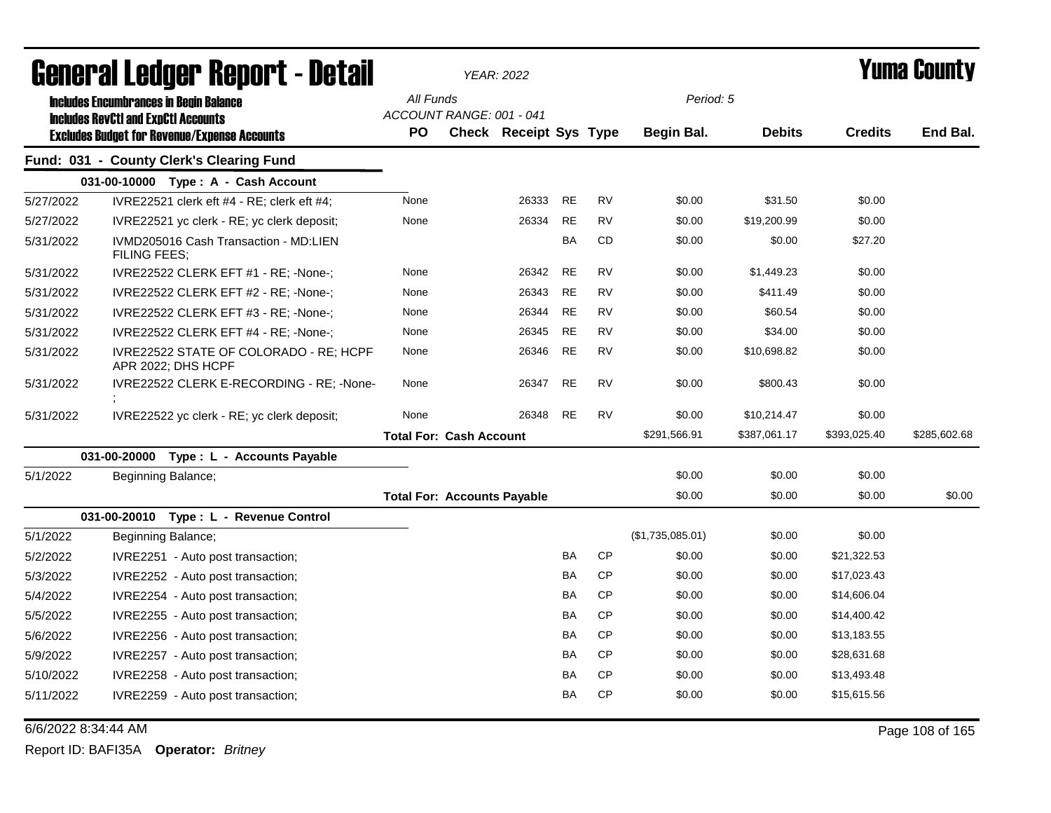| General Ledger Report - Detail |                                                              |                                    | <b>YEAR: 2022</b>      |           |           |                  |               | Yuma County    |              |
|--------------------------------|--------------------------------------------------------------|------------------------------------|------------------------|-----------|-----------|------------------|---------------|----------------|--------------|
|                                | <b>Includes Encumbrances in Begin Balance</b>                | All Funds                          |                        |           |           | Period: 5        |               |                |              |
|                                | <b>Includes RevCtI and ExpCtI Accounts</b>                   | ACCOUNT RANGE: 001 - 041           |                        |           |           |                  |               |                |              |
|                                | <b>Excludes Budget for Revenue/Expense Accounts</b>          | <b>PO</b>                          | Check Receipt Sys Type |           |           | Begin Bal.       | <b>Debits</b> | <b>Credits</b> | End Bal.     |
|                                | Fund: 031 - County Clerk's Clearing Fund                     |                                    |                        |           |           |                  |               |                |              |
|                                | 031-00-10000 Type: A - Cash Account                          |                                    |                        |           |           |                  |               |                |              |
| 5/27/2022                      | IVRE22521 clerk eft #4 - RE; clerk eft #4;                   | None                               | 26333                  | <b>RE</b> | <b>RV</b> | \$0.00           | \$31.50       | \$0.00         |              |
| 5/27/2022                      | IVRE22521 yc clerk - RE; yc clerk deposit;                   | None                               | 26334                  | <b>RE</b> | <b>RV</b> | \$0.00           | \$19,200.99   | \$0.00         |              |
| 5/31/2022                      | IVMD205016 Cash Transaction - MD:LIEN<br><b>FILING FEES:</b> |                                    |                        | BA        | CD        | \$0.00           | \$0.00        | \$27.20        |              |
| 5/31/2022                      | IVRE22522 CLERK EFT #1 - RE; -None-;                         | None                               | 26342                  | <b>RE</b> | <b>RV</b> | \$0.00           | \$1,449.23    | \$0.00         |              |
| 5/31/2022                      | IVRE22522 CLERK EFT #2 - RE; -None-;                         | None                               | 26343                  | <b>RE</b> | <b>RV</b> | \$0.00           | \$411.49      | \$0.00         |              |
| 5/31/2022                      | IVRE22522 CLERK EFT #3 - RE; -None-;                         | None                               | 26344                  | <b>RE</b> | <b>RV</b> | \$0.00           | \$60.54       | \$0.00         |              |
| 5/31/2022                      | IVRE22522 CLERK EFT #4 - RE; -None-;                         | None                               | 26345                  | <b>RE</b> | <b>RV</b> | \$0.00           | \$34.00       | \$0.00         |              |
| 5/31/2022                      | IVRE22522 STATE OF COLORADO - RE; HCPF<br>APR 2022; DHS HCPF | None                               | 26346                  | <b>RE</b> | <b>RV</b> | \$0.00           | \$10,698.82   | \$0.00         |              |
| 5/31/2022                      | IVRE22522 CLERK E-RECORDING - RE; -None-                     | None                               | 26347                  | <b>RE</b> | RV        | \$0.00           | \$800.43      | \$0.00         |              |
| 5/31/2022                      | IVRE22522 yc clerk - RE; yc clerk deposit;                   | None                               | 26348                  | <b>RE</b> | <b>RV</b> | \$0.00           | \$10,214.47   | \$0.00         |              |
|                                |                                                              | <b>Total For: Cash Account</b>     |                        |           |           | \$291,566.91     | \$387,061.17  | \$393,025.40   | \$285,602.68 |
|                                | 031-00-20000<br>Type : L - Accounts Payable                  |                                    |                        |           |           |                  |               |                |              |
| 5/1/2022                       | Beginning Balance;                                           |                                    |                        |           |           | \$0.00           | \$0.00        | \$0.00         |              |
|                                |                                                              | <b>Total For: Accounts Payable</b> |                        |           |           | \$0.00           | \$0.00        | \$0.00         | \$0.00       |
|                                | 031-00-20010 Type: L - Revenue Control                       |                                    |                        |           |           |                  |               |                |              |
| 5/1/2022                       | Beginning Balance;                                           |                                    |                        |           |           | (\$1,735,085.01) | \$0.00        | \$0.00         |              |
| 5/2/2022                       | IVRE2251 - Auto post transaction;                            |                                    |                        | BA        | <b>CP</b> | \$0.00           | \$0.00        | \$21,322.53    |              |
| 5/3/2022                       | IVRE2252 - Auto post transaction;                            |                                    |                        | BA        | <b>CP</b> | \$0.00           | \$0.00        | \$17,023.43    |              |
| 5/4/2022                       | IVRE2254 - Auto post transaction;                            |                                    |                        | BA        | <b>CP</b> | \$0.00           | \$0.00        | \$14,606.04    |              |
| 5/5/2022                       | IVRE2255 - Auto post transaction;                            |                                    |                        | BA        | <b>CP</b> | \$0.00           | \$0.00        | \$14,400.42    |              |
| 5/6/2022                       | IVRE2256 - Auto post transaction;                            |                                    |                        | BA        | <b>CP</b> | \$0.00           | \$0.00        | \$13,183.55    |              |
| 5/9/2022                       | IVRE2257 - Auto post transaction;                            |                                    |                        | BA        | <b>CP</b> | \$0.00           | \$0.00        | \$28,631.68    |              |
| 5/10/2022                      | IVRE2258 - Auto post transaction;                            |                                    |                        | BA        | <b>CP</b> | \$0.00           | \$0.00        | \$13,493.48    |              |
| 5/11/2022                      | IVRE2259 - Auto post transaction;                            |                                    |                        | <b>BA</b> | <b>CP</b> | \$0.00           | \$0.00        | \$15,615.56    |              |

6/6/2022 8:34:44 AM Page 108 of 165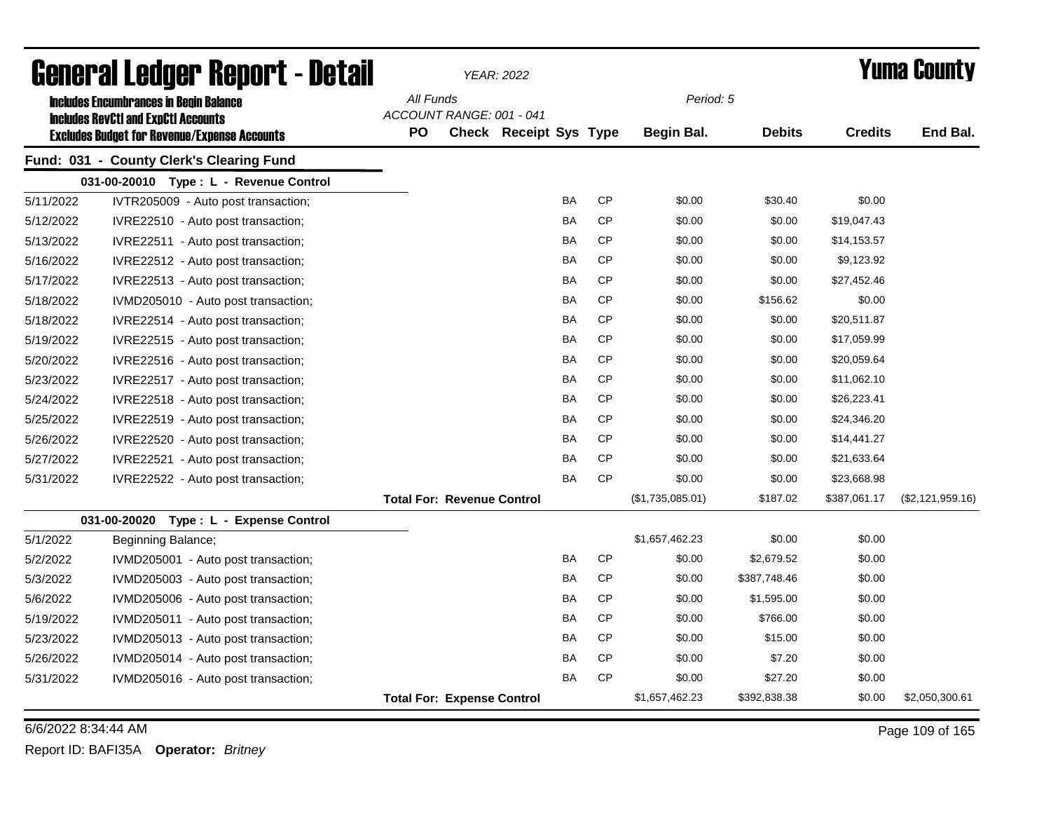|           | General Ledger Report - Detail                                                                    |                                       | <b>YEAR: 2022</b>             |           |                  |               |                | Yuma County      |
|-----------|---------------------------------------------------------------------------------------------------|---------------------------------------|-------------------------------|-----------|------------------|---------------|----------------|------------------|
|           | <b>Includes Encumbrances in Begin Balance</b>                                                     | All Funds<br>ACCOUNT RANGE: 001 - 041 |                               |           | Period: 5        |               |                |                  |
|           | <b>Includes RevCtI and ExpCtI Accounts</b><br><b>Excludes Budget for Revenue/Expense Accounts</b> | PO                                    | <b>Check Receipt Sys Type</b> |           | Begin Bal.       | <b>Debits</b> | <b>Credits</b> | End Bal.         |
|           | Fund: 031 - County Clerk's Clearing Fund                                                          |                                       |                               |           |                  |               |                |                  |
|           | 031-00-20010 Type: L - Revenue Control                                                            |                                       |                               |           |                  |               |                |                  |
| 5/11/2022 | IVTR205009 - Auto post transaction;                                                               |                                       | <b>BA</b>                     | <b>CP</b> | \$0.00           | \$30.40       | \$0.00         |                  |
| 5/12/2022 | IVRE22510 - Auto post transaction;                                                                |                                       | BA                            | <b>CP</b> | \$0.00           | \$0.00        | \$19,047.43    |                  |
| 5/13/2022 | IVRE22511 - Auto post transaction;                                                                |                                       | BA                            | <b>CP</b> | \$0.00           | \$0.00        | \$14,153.57    |                  |
| 5/16/2022 | IVRE22512 - Auto post transaction;                                                                |                                       | BA                            | <b>CP</b> | \$0.00           | \$0.00        | \$9,123.92     |                  |
| 5/17/2022 | IVRE22513 - Auto post transaction;                                                                |                                       | BA                            | <b>CP</b> | \$0.00           | \$0.00        | \$27,452.46    |                  |
| 5/18/2022 | IVMD205010 - Auto post transaction;                                                               |                                       | BA                            | <b>CP</b> | \$0.00           | \$156.62      | \$0.00         |                  |
| 5/18/2022 | IVRE22514 - Auto post transaction;                                                                |                                       | BA                            | <b>CP</b> | \$0.00           | \$0.00        | \$20,511.87    |                  |
| 5/19/2022 | IVRE22515 - Auto post transaction;                                                                |                                       | BA                            | <b>CP</b> | \$0.00           | \$0.00        | \$17,059.99    |                  |
| 5/20/2022 | IVRE22516 - Auto post transaction;                                                                |                                       | BA                            | <b>CP</b> | \$0.00           | \$0.00        | \$20,059.64    |                  |
| 5/23/2022 | IVRE22517 - Auto post transaction;                                                                |                                       | BA                            | <b>CP</b> | \$0.00           | \$0.00        | \$11,062.10    |                  |
| 5/24/2022 | IVRE22518 - Auto post transaction;                                                                |                                       | BA                            | <b>CP</b> | \$0.00           | \$0.00        | \$26,223.41    |                  |
| 5/25/2022 | IVRE22519 - Auto post transaction;                                                                |                                       | BA                            | <b>CP</b> | \$0.00           | \$0.00        | \$24,346.20    |                  |
| 5/26/2022 | IVRE22520 - Auto post transaction;                                                                |                                       | BA                            | <b>CP</b> | \$0.00           | \$0.00        | \$14,441.27    |                  |
| 5/27/2022 | IVRE22521 - Auto post transaction;                                                                |                                       | BA                            | <b>CP</b> | \$0.00           | \$0.00        | \$21,633.64    |                  |
| 5/31/2022 | IVRE22522 - Auto post transaction;                                                                |                                       | BA                            | <b>CP</b> | \$0.00           | \$0.00        | \$23,668.98    |                  |
|           |                                                                                                   | <b>Total For: Revenue Control</b>     |                               |           | (\$1,735,085.01) | \$187.02      | \$387,061.17   | (\$2,121,959.16) |
|           | 031-00-20020 Type: L - Expense Control                                                            |                                       |                               |           |                  |               |                |                  |
| 5/1/2022  | Beginning Balance;                                                                                |                                       |                               |           | \$1,657,462.23   | \$0.00        | \$0.00         |                  |
| 5/2/2022  | IVMD205001 - Auto post transaction;                                                               |                                       | <b>BA</b>                     | <b>CP</b> | \$0.00           | \$2,679.52    | \$0.00         |                  |
| 5/3/2022  | IVMD205003 - Auto post transaction;                                                               |                                       | <b>BA</b>                     | <b>CP</b> | \$0.00           | \$387,748.46  | \$0.00         |                  |
| 5/6/2022  | IVMD205006 - Auto post transaction;                                                               |                                       | <b>BA</b>                     | <b>CP</b> | \$0.00           | \$1,595.00    | \$0.00         |                  |
| 5/19/2022 | IVMD205011 - Auto post transaction;                                                               |                                       | <b>BA</b>                     | <b>CP</b> | \$0.00           | \$766.00      | \$0.00         |                  |
| 5/23/2022 | IVMD205013 - Auto post transaction;                                                               |                                       | BA                            | <b>CP</b> | \$0.00           | \$15.00       | \$0.00         |                  |
| 5/26/2022 | IVMD205014 - Auto post transaction;                                                               |                                       | BA                            | <b>CP</b> | \$0.00           | \$7.20        | \$0.00         |                  |
| 5/31/2022 | IVMD205016 - Auto post transaction;                                                               |                                       | BA                            | <b>CP</b> | \$0.00           | \$27.20       | \$0.00         |                  |
|           |                                                                                                   | <b>Total For: Expense Control</b>     |                               |           | \$1,657,462.23   | \$392,838.38  | \$0.00         | \$2,050,300.61   |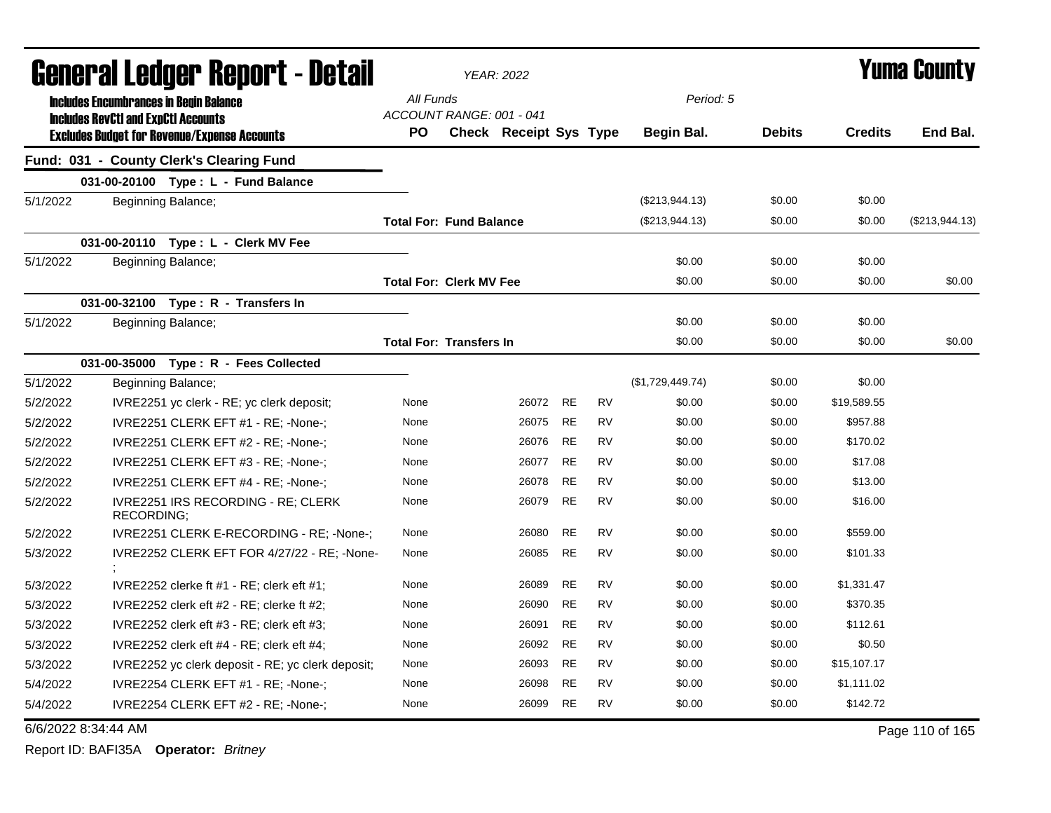|                     |                    | <b>General Ledger Report - Detail</b>                                                             |                                       | YEAR: 2022             |           |           |                  |               |                | <b>Yuma County</b> |
|---------------------|--------------------|---------------------------------------------------------------------------------------------------|---------------------------------------|------------------------|-----------|-----------|------------------|---------------|----------------|--------------------|
|                     |                    | <b>Includes Encumbrances in Begin Balance</b>                                                     | All Funds                             |                        |           |           | Period: 5        |               |                |                    |
|                     |                    | <b>Includes RevCtI and ExpCtI Accounts</b><br><b>Excludes Budget for Revenue/Expense Accounts</b> | ACCOUNT RANGE: 001 - 041<br><b>PO</b> | Check Receipt Sys Type |           |           | Begin Bal.       | <b>Debits</b> | <b>Credits</b> | End Bal.           |
|                     |                    | Fund: 031 - County Clerk's Clearing Fund                                                          |                                       |                        |           |           |                  |               |                |                    |
|                     |                    | 031-00-20100 Type: L - Fund Balance                                                               |                                       |                        |           |           |                  |               |                |                    |
| 5/1/2022            | Beginning Balance; |                                                                                                   |                                       |                        |           |           | (\$213,944.13)   | \$0.00        | \$0.00         |                    |
|                     |                    |                                                                                                   | <b>Total For: Fund Balance</b>        |                        |           |           | (\$213,944.13)   | \$0.00        | \$0.00         | (\$213,944.13)     |
|                     |                    | 031-00-20110 Type: L - Clerk MV Fee                                                               |                                       |                        |           |           |                  |               |                |                    |
| 5/1/2022            | Beginning Balance; |                                                                                                   |                                       |                        |           |           | \$0.00           | \$0.00        | \$0.00         |                    |
|                     |                    |                                                                                                   | <b>Total For: Clerk MV Fee</b>        |                        |           |           | \$0.00           | \$0.00        | \$0.00         | \$0.00             |
|                     |                    | 031-00-32100 Type: R - Transfers In                                                               |                                       |                        |           |           |                  |               |                |                    |
| 5/1/2022            | Beginning Balance; |                                                                                                   |                                       |                        |           |           | \$0.00           | \$0.00        | \$0.00         |                    |
|                     |                    |                                                                                                   | <b>Total For: Transfers In</b>        |                        |           |           | \$0.00           | \$0.00        | \$0.00         | \$0.00             |
|                     |                    | 031-00-35000 Type: R - Fees Collected                                                             |                                       |                        |           |           |                  |               |                |                    |
| 5/1/2022            | Beginning Balance; |                                                                                                   |                                       |                        |           |           | (\$1,729,449.74) | \$0.00        | \$0.00         |                    |
| 5/2/2022            |                    | IVRE2251 yc clerk - RE; yc clerk deposit;                                                         | None                                  | 26072                  | <b>RE</b> | <b>RV</b> | \$0.00           | \$0.00        | \$19,589.55    |                    |
| 5/2/2022            |                    | IVRE2251 CLERK EFT #1 - RE; -None-;                                                               | None                                  | 26075                  | <b>RE</b> | <b>RV</b> | \$0.00           | \$0.00        | \$957.88       |                    |
| 5/2/2022            |                    | IVRE2251 CLERK EFT #2 - RE; -None-;                                                               | None                                  | 26076                  | <b>RE</b> | <b>RV</b> | \$0.00           | \$0.00        | \$170.02       |                    |
| 5/2/2022            |                    | IVRE2251 CLERK EFT #3 - RE; -None-;                                                               | None                                  | 26077                  | <b>RE</b> | <b>RV</b> | \$0.00           | \$0.00        | \$17.08        |                    |
| 5/2/2022            |                    | IVRE2251 CLERK EFT #4 - RE; -None-;                                                               | None                                  | 26078                  | <b>RE</b> | <b>RV</b> | \$0.00           | \$0.00        | \$13.00        |                    |
| 5/2/2022            | <b>RECORDING;</b>  | IVRE2251 IRS RECORDING - RE; CLERK                                                                | None                                  | 26079                  | <b>RE</b> | <b>RV</b> | \$0.00           | \$0.00        | \$16.00        |                    |
| 5/2/2022            |                    | IVRE2251 CLERK E-RECORDING - RE; -None-;                                                          | None                                  | 26080                  | <b>RE</b> | <b>RV</b> | \$0.00           | \$0.00        | \$559.00       |                    |
| 5/3/2022            |                    | IVRE2252 CLERK EFT FOR 4/27/22 - RE; -None-                                                       | None                                  | 26085                  | <b>RE</b> | <b>RV</b> | \$0.00           | \$0.00        | \$101.33       |                    |
| 5/3/2022            |                    | IVRE2252 clerke ft $#1$ - RE; clerk eft $#1$ ;                                                    | None                                  | 26089                  | <b>RE</b> | <b>RV</b> | \$0.00           | \$0.00        | \$1,331.47     |                    |
| 5/3/2022            |                    | IVRE2252 clerk eft #2 - RE; clerke ft #2;                                                         | None                                  | 26090                  | <b>RE</b> | <b>RV</b> | \$0.00           | \$0.00        | \$370.35       |                    |
| 5/3/2022            |                    | IVRE2252 clerk eft $#3$ - RE; clerk eft $#3$ ;                                                    | None                                  | 26091                  | <b>RE</b> | <b>RV</b> | \$0.00           | \$0.00        | \$112.61       |                    |
| 5/3/2022            |                    | IVRE2252 clerk eft #4 - RE; clerk eft #4;                                                         | None                                  | 26092                  | RE        | RV        | \$0.00           | \$0.00        | \$0.50         |                    |
| 5/3/2022            |                    | IVRE2252 yc clerk deposit - RE; yc clerk deposit;                                                 | None                                  | 26093                  | <b>RE</b> | <b>RV</b> | \$0.00           | \$0.00        | \$15,107.17    |                    |
| 5/4/2022            |                    | IVRE2254 CLERK EFT #1 - RE; -None-;                                                               | None                                  | 26098                  | <b>RE</b> | <b>RV</b> | \$0.00           | \$0.00        | \$1,111.02     |                    |
| 5/4/2022            |                    | IVRE2254 CLERK EFT #2 - RE; -None-;                                                               | None                                  | 26099                  | <b>RE</b> | <b>RV</b> | \$0.00           | \$0.00        | \$142.72       |                    |
| 6/6/2022 8:34:44 AM |                    |                                                                                                   |                                       |                        |           |           |                  |               |                | Page 110 of 165    |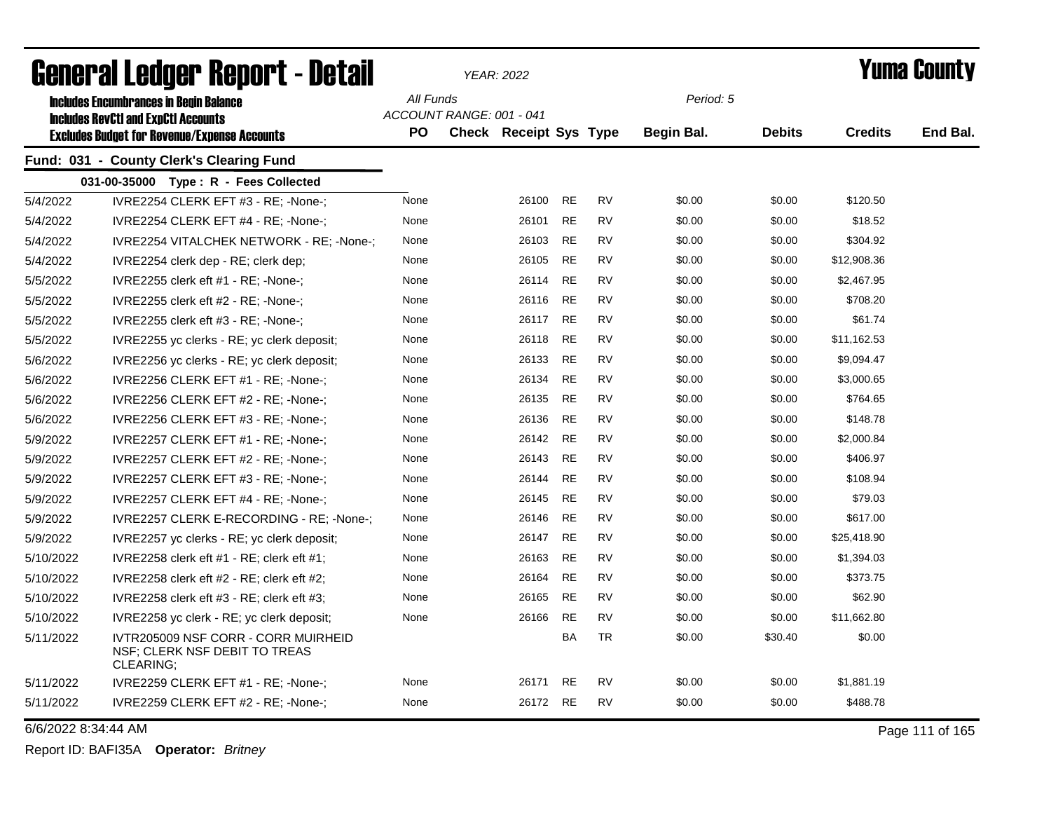|           | Generai Leuger Keport - Detail                                                              |           |                          | YEAR: 2022                    |           |           |            |               |                | Y UIII'd GUUIILY |
|-----------|---------------------------------------------------------------------------------------------|-----------|--------------------------|-------------------------------|-----------|-----------|------------|---------------|----------------|------------------|
|           | <b>Includes Encumbrances in Begin Balance</b><br><b>Includes RevCtI and ExpCtI Accounts</b> | All Funds | ACCOUNT RANGE: 001 - 041 |                               |           |           | Period: 5  |               |                |                  |
|           | <b>Excludes Budget for Revenue/Expense Accounts</b>                                         | <b>PO</b> |                          | <b>Check Receipt Sys Type</b> |           |           | Begin Bal. | <b>Debits</b> | <b>Credits</b> | End Bal.         |
|           | Fund: 031 - County Clerk's Clearing Fund                                                    |           |                          |                               |           |           |            |               |                |                  |
|           | 031-00-35000 Type: R - Fees Collected                                                       |           |                          |                               |           |           |            |               |                |                  |
| 5/4/2022  | IVRE2254 CLERK EFT #3 - RE; -None-;                                                         | None      |                          | 26100                         | <b>RE</b> | <b>RV</b> | \$0.00     | \$0.00        | \$120.50       |                  |
| 5/4/2022  | IVRE2254 CLERK EFT #4 - RE; -None-;                                                         | None      |                          | 26101                         | <b>RE</b> | RV        | \$0.00     | \$0.00        | \$18.52        |                  |
| 5/4/2022  | IVRE2254 VITALCHEK NETWORK - RE; -None-;                                                    | None      |                          | 26103                         | <b>RE</b> | <b>RV</b> | \$0.00     | \$0.00        | \$304.92       |                  |
| 5/4/2022  | IVRE2254 clerk dep - RE; clerk dep;                                                         | None      |                          | 26105                         | <b>RE</b> | <b>RV</b> | \$0.00     | \$0.00        | \$12,908.36    |                  |
| 5/5/2022  | IVRE2255 clerk eft #1 - RE; -None-;                                                         | None      |                          | 26114                         | <b>RE</b> | <b>RV</b> | \$0.00     | \$0.00        | \$2,467.95     |                  |
| 5/5/2022  | IVRE2255 clerk eft #2 - RE; -None-;                                                         | None      |                          | 26116                         | <b>RE</b> | <b>RV</b> | \$0.00     | \$0.00        | \$708.20       |                  |
| 5/5/2022  | IVRE2255 clerk eft #3 - RE; -None-;                                                         | None      |                          | 26117                         | <b>RE</b> | <b>RV</b> | \$0.00     | \$0.00        | \$61.74        |                  |
| 5/5/2022  | IVRE2255 yc clerks - RE; yc clerk deposit;                                                  | None      |                          | 26118                         | <b>RE</b> | <b>RV</b> | \$0.00     | \$0.00        | \$11,162.53    |                  |
| 5/6/2022  | IVRE2256 yc clerks - RE; yc clerk deposit;                                                  | None      |                          | 26133                         | <b>RE</b> | <b>RV</b> | \$0.00     | \$0.00        | \$9,094.47     |                  |
| 5/6/2022  | IVRE2256 CLERK EFT #1 - RE; -None-;                                                         | None      |                          | 26134                         | <b>RE</b> | <b>RV</b> | \$0.00     | \$0.00        | \$3,000.65     |                  |
| 5/6/2022  | IVRE2256 CLERK EFT #2 - RE; -None-;                                                         | None      |                          | 26135                         | <b>RE</b> | <b>RV</b> | \$0.00     | \$0.00        | \$764.65       |                  |
| 5/6/2022  | IVRE2256 CLERK EFT #3 - RE; -None-;                                                         | None      |                          | 26136                         | <b>RE</b> | <b>RV</b> | \$0.00     | \$0.00        | \$148.78       |                  |
| 5/9/2022  | IVRE2257 CLERK EFT #1 - RE; -None-;                                                         | None      |                          | 26142                         | <b>RE</b> | <b>RV</b> | \$0.00     | \$0.00        | \$2,000.84     |                  |
| 5/9/2022  | IVRE2257 CLERK EFT #2 - RE; -None-;                                                         | None      |                          | 26143                         | <b>RE</b> | <b>RV</b> | \$0.00     | \$0.00        | \$406.97       |                  |
| 5/9/2022  | IVRE2257 CLERK EFT #3 - RE; -None-;                                                         | None      |                          | 26144                         | <b>RE</b> | <b>RV</b> | \$0.00     | \$0.00        | \$108.94       |                  |
| 5/9/2022  | IVRE2257 CLERK EFT #4 - RE; -None-;                                                         | None      |                          | 26145                         | <b>RE</b> | <b>RV</b> | \$0.00     | \$0.00        | \$79.03        |                  |
| 5/9/2022  | IVRE2257 CLERK E-RECORDING - RE; -None-;                                                    | None      |                          | 26146                         | <b>RE</b> | RV        | \$0.00     | \$0.00        | \$617.00       |                  |
| 5/9/2022  | IVRE2257 yc clerks - RE; yc clerk deposit;                                                  | None      |                          | 26147                         | <b>RE</b> | <b>RV</b> | \$0.00     | \$0.00        | \$25,418.90    |                  |
| 5/10/2022 | IVRE2258 clerk eft #1 - RE; clerk eft #1;                                                   | None      |                          | 26163                         | RE        | <b>RV</b> | \$0.00     | \$0.00        | \$1,394.03     |                  |
| 5/10/2022 | IVRE2258 clerk eft $#2$ - RE; clerk eft $#2$ ;                                              | None      |                          | 26164                         | RE        | <b>RV</b> | \$0.00     | \$0.00        | \$373.75       |                  |
| 5/10/2022 | IVRE2258 clerk eft $#3$ - RE; clerk eft $#3$ ;                                              | None      |                          | 26165                         | <b>RE</b> | <b>RV</b> | \$0.00     | \$0.00        | \$62.90        |                  |
| 5/10/2022 | IVRE2258 yc clerk - RE; yc clerk deposit;                                                   | None      |                          | 26166                         | <b>RE</b> | <b>RV</b> | \$0.00     | \$0.00        | \$11,662.80    |                  |
| 5/11/2022 | IVTR205009 NSF CORR - CORR MUIRHEID<br>NSF; CLERK NSF DEBIT TO TREAS<br>CLEARING;           |           |                          |                               | BA        | <b>TR</b> | \$0.00     | \$30.40       | \$0.00         |                  |
| 5/11/2022 | IVRE2259 CLERK EFT #1 - RE; -None-;                                                         | None      |                          | 26171                         | RE        | RV        | \$0.00     | \$0.00        | \$1,881.19     |                  |
| 5/11/2022 | IVRE2259 CLERK EFT #2 - RE; -None-;                                                         | None      |                          | 26172 RE                      |           | <b>RV</b> | \$0.00     | \$0.00        | \$488.78       |                  |

6/6/2022 8:34:44 AM Page 111 of 165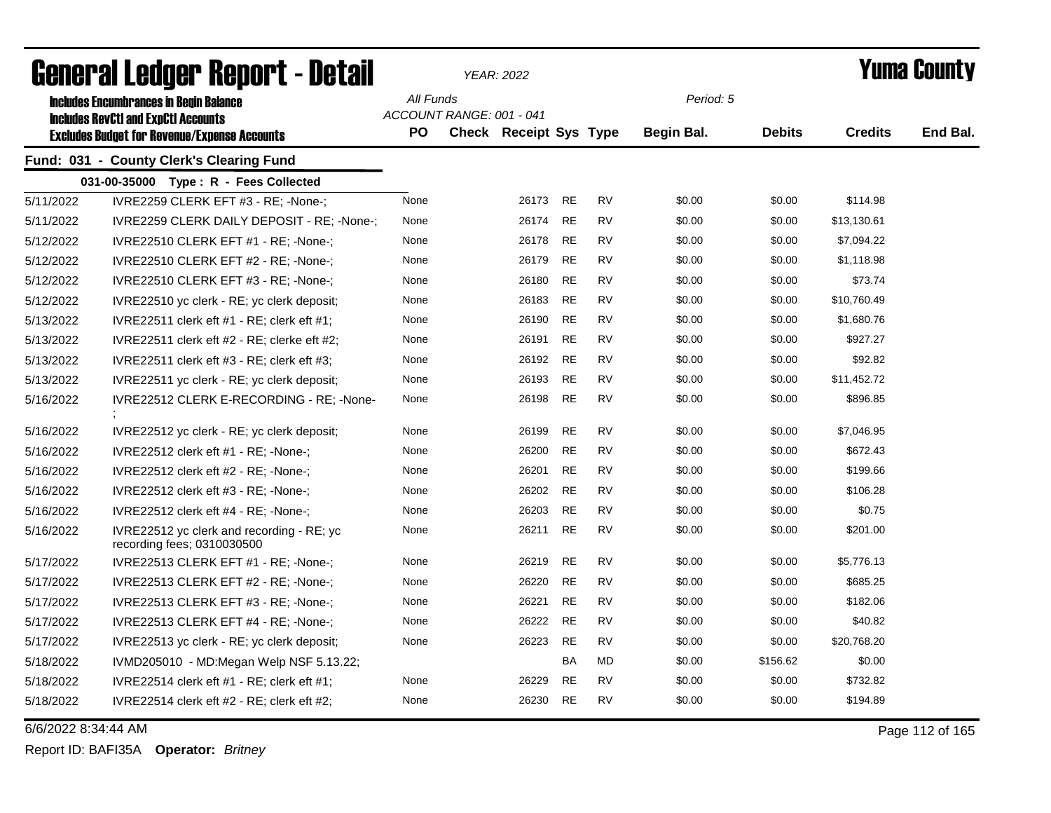|                     | ariigi.si fanñai. Nahni.  - Datsii                                                          |           | YEAR: 2022               |       |           |           |            |               |                | T UIIIA GUUIILY |
|---------------------|---------------------------------------------------------------------------------------------|-----------|--------------------------|-------|-----------|-----------|------------|---------------|----------------|-----------------|
|                     | <b>Includes Encumbrances in Begin Balance</b><br><b>Includes RevCtI and ExpCtI Accounts</b> | All Funds | ACCOUNT RANGE: 001 - 041 |       |           |           | Period: 5  |               |                |                 |
|                     | <b>Excludes Budget for Revenue/Expense Accounts</b>                                         | PO.       | Check Receipt Sys Type   |       |           |           | Begin Bal. | <b>Debits</b> | <b>Credits</b> | End Bal.        |
|                     | Fund: 031 - County Clerk's Clearing Fund                                                    |           |                          |       |           |           |            |               |                |                 |
|                     | 031-00-35000 Type: R - Fees Collected                                                       |           |                          |       |           |           |            |               |                |                 |
| 5/11/2022           | IVRE2259 CLERK EFT #3 - RE; -None-;                                                         | None      |                          | 26173 | <b>RE</b> | <b>RV</b> | \$0.00     | \$0.00        | \$114.98       |                 |
| 5/11/2022           | IVRE2259 CLERK DAILY DEPOSIT - RE; -None-;                                                  | None      |                          | 26174 | <b>RE</b> | <b>RV</b> | \$0.00     | \$0.00        | \$13,130.61    |                 |
| 5/12/2022           | IVRE22510 CLERK EFT #1 - RE; -None-;                                                        | None      |                          | 26178 | <b>RE</b> | <b>RV</b> | \$0.00     | \$0.00        | \$7,094.22     |                 |
| 5/12/2022           | IVRE22510 CLERK EFT #2 - RE; -None-;                                                        | None      |                          | 26179 | <b>RE</b> | <b>RV</b> | \$0.00     | \$0.00        | \$1,118.98     |                 |
| 5/12/2022           | IVRE22510 CLERK EFT #3 - RE; -None-;                                                        | None      |                          | 26180 | RE        | <b>RV</b> | \$0.00     | \$0.00        | \$73.74        |                 |
| 5/12/2022           | IVRE22510 yc clerk - RE; yc clerk deposit;                                                  | None      |                          | 26183 | <b>RE</b> | <b>RV</b> | \$0.00     | \$0.00        | \$10,760.49    |                 |
| 5/13/2022           | IVRE22511 clerk eft $#1$ - RE; clerk eft $#1$ ;                                             | None      |                          | 26190 | <b>RE</b> | <b>RV</b> | \$0.00     | \$0.00        | \$1,680.76     |                 |
| 5/13/2022           | IVRE22511 clerk eft $#2$ - RE; clerke eft $#2$ ;                                            | None      |                          | 26191 | <b>RE</b> | <b>RV</b> | \$0.00     | \$0.00        | \$927.27       |                 |
| 5/13/2022           | IVRE22511 clerk eft $#3$ - RE; clerk eft $#3$ ;                                             | None      |                          | 26192 | <b>RE</b> | <b>RV</b> | \$0.00     | \$0.00        | \$92.82        |                 |
| 5/13/2022           | IVRE22511 yc clerk - RE; yc clerk deposit;                                                  | None      |                          | 26193 | <b>RE</b> | <b>RV</b> | \$0.00     | \$0.00        | \$11,452.72    |                 |
| 5/16/2022           | IVRE22512 CLERK E-RECORDING - RE; -None-                                                    | None      |                          | 26198 | <b>RE</b> | <b>RV</b> | \$0.00     | \$0.00        | \$896.85       |                 |
| 5/16/2022           | IVRE22512 yc clerk - RE; yc clerk deposit;                                                  | None      |                          | 26199 | <b>RE</b> | <b>RV</b> | \$0.00     | \$0.00        | \$7,046.95     |                 |
| 5/16/2022           | IVRE22512 clerk eft #1 - RE; -None-;                                                        | None      |                          | 26200 | <b>RE</b> | <b>RV</b> | \$0.00     | \$0.00        | \$672.43       |                 |
| 5/16/2022           | IVRE22512 clerk eft $#2$ - RE; -None-;                                                      | None      |                          | 26201 | <b>RE</b> | <b>RV</b> | \$0.00     | \$0.00        | \$199.66       |                 |
| 5/16/2022           | IVRE22512 clerk eft $#3$ - RE; -None-;                                                      | None      |                          | 26202 | <b>RE</b> | <b>RV</b> | \$0.00     | \$0.00        | \$106.28       |                 |
| 5/16/2022           | IVRE22512 clerk eft $#4$ - RE; -None-;                                                      | None      |                          | 26203 | <b>RE</b> | <b>RV</b> | \$0.00     | \$0.00        | \$0.75         |                 |
| 5/16/2022           | IVRE22512 yc clerk and recording - RE; yc<br>recording fees; 0310030500                     | None      |                          | 26211 | <b>RE</b> | <b>RV</b> | \$0.00     | \$0.00        | \$201.00       |                 |
| 5/17/2022           | IVRE22513 CLERK EFT #1 - RE; -None-;                                                        | None      |                          | 26219 | RE        | <b>RV</b> | \$0.00     | \$0.00        | \$5,776.13     |                 |
| 5/17/2022           | IVRE22513 CLERK EFT #2 - RE; -None-;                                                        | None      |                          | 26220 | <b>RE</b> | <b>RV</b> | \$0.00     | \$0.00        | \$685.25       |                 |
| 5/17/2022           | IVRE22513 CLERK EFT #3 - RE; -None-;                                                        | None      |                          | 26221 | <b>RE</b> | <b>RV</b> | \$0.00     | \$0.00        | \$182.06       |                 |
| 5/17/2022           | IVRE22513 CLERK EFT $#4$ - RE; -None-;                                                      | None      |                          | 26222 | <b>RE</b> | <b>RV</b> | \$0.00     | \$0.00        | \$40.82        |                 |
| 5/17/2022           | IVRE22513 yc clerk - RE; yc clerk deposit;                                                  | None      |                          | 26223 | <b>RE</b> | <b>RV</b> | \$0.00     | \$0.00        | \$20,768.20    |                 |
| 5/18/2022           | IVMD205010 - MD:Megan Welp NSF 5.13.22;                                                     |           |                          |       | BA        | MD        | \$0.00     | \$156.62      | \$0.00         |                 |
| 5/18/2022           | IVRE22514 clerk eft #1 - RE; clerk eft #1;                                                  | None      |                          | 26229 | <b>RE</b> | <b>RV</b> | \$0.00     | \$0.00        | \$732.82       |                 |
| 5/18/2022           | IVRE22514 clerk eft #2 - RE; clerk eft #2;                                                  | None      |                          | 26230 | <b>RE</b> | RV        | \$0.00     | \$0.00        | \$194.89       |                 |
| 6/6/2022 8:34:44 AM |                                                                                             |           |                          |       |           |           |            |               |                | Page 112 of 165 |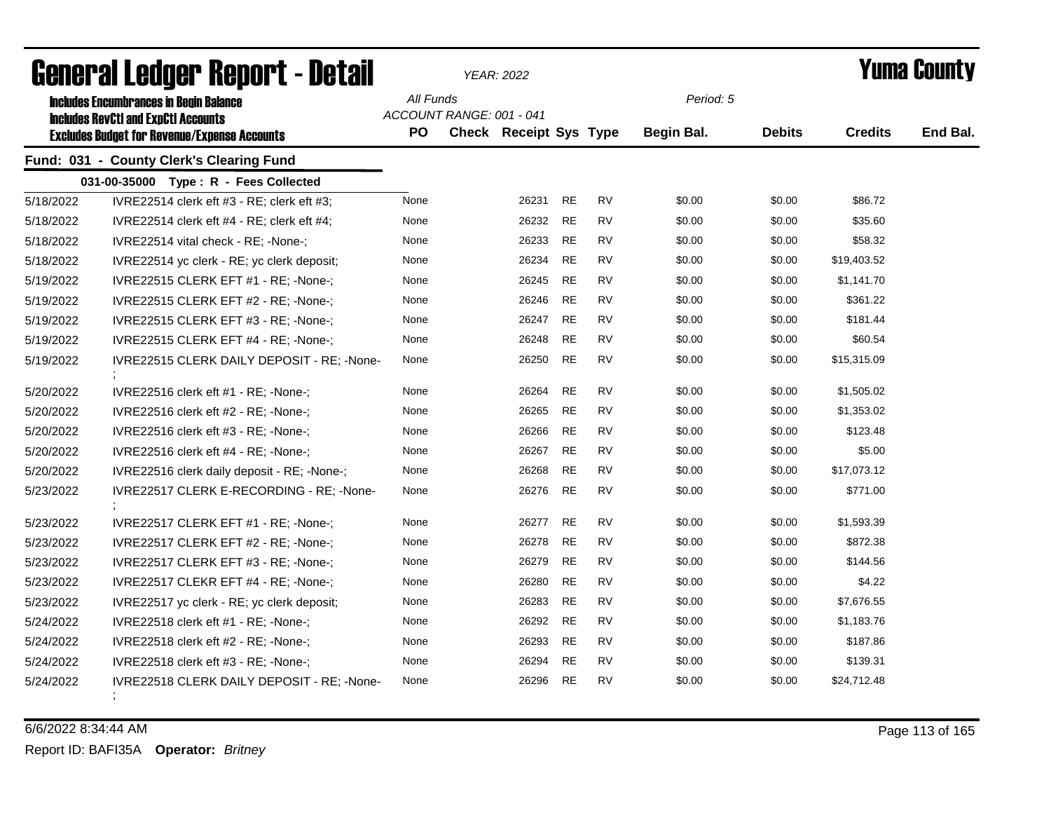|           | agiigi.gi fanñai. Urinn. ( - natsii                                                                                                                |                  |                          | YEAR: 2022             |           |           |                                |               |                | I UIIIA VUUIILY |
|-----------|----------------------------------------------------------------------------------------------------------------------------------------------------|------------------|--------------------------|------------------------|-----------|-----------|--------------------------------|---------------|----------------|-----------------|
|           | <b>Includes Encumbrances in Begin Balance</b><br><b>Includes RevCtI and ExpCtI Accounts</b><br><b>Excludes Budget for Revenue/Expense Accounts</b> | All Funds<br>PO. | ACCOUNT RANGE: 001 - 041 | Check Receipt Sys Type |           |           | Period: 5<br><b>Begin Bal.</b> | <b>Debits</b> | <b>Credits</b> | End Bal.        |
|           | Fund: 031 - County Clerk's Clearing Fund                                                                                                           |                  |                          |                        |           |           |                                |               |                |                 |
|           | 031-00-35000 Type: R - Fees Collected                                                                                                              |                  |                          |                        |           |           |                                |               |                |                 |
| 5/18/2022 | IVRE22514 clerk eft #3 - RE; clerk eft #3;                                                                                                         | None             |                          | 26231                  | <b>RE</b> | <b>RV</b> | \$0.00                         | \$0.00        | \$86.72        |                 |
| 5/18/2022 | IVRE22514 clerk eft #4 - RE; clerk eft #4;                                                                                                         | None             |                          | 26232                  | <b>RE</b> | RV        | \$0.00                         | \$0.00        | \$35.60        |                 |
| 5/18/2022 | IVRE22514 vital check - RE; -None-;                                                                                                                | None             |                          | 26233                  | <b>RE</b> | RV        | \$0.00                         | \$0.00        | \$58.32        |                 |
| 5/18/2022 | IVRE22514 yc clerk - RE; yc clerk deposit;                                                                                                         | None             |                          | 26234                  | <b>RE</b> | <b>RV</b> | \$0.00                         | \$0.00        | \$19,403.52    |                 |
| 5/19/2022 | IVRE22515 CLERK EFT #1 - RE; -None-;                                                                                                               | None             |                          | 26245                  | RE        | RV        | \$0.00                         | \$0.00        | \$1,141.70     |                 |
| 5/19/2022 | IVRE22515 CLERK EFT #2 - RE; -None-;                                                                                                               | None             |                          | 26246                  | <b>RE</b> | RV        | \$0.00                         | \$0.00        | \$361.22       |                 |
| 5/19/2022 | IVRE22515 CLERK EFT #3 - RE; -None-;                                                                                                               | None             |                          | 26247                  | <b>RE</b> | <b>RV</b> | \$0.00                         | \$0.00        | \$181.44       |                 |
| 5/19/2022 | IVRE22515 CLERK EFT #4 - RE; -None-;                                                                                                               | None             |                          | 26248                  | <b>RE</b> | <b>RV</b> | \$0.00                         | \$0.00        | \$60.54        |                 |
| 5/19/2022 | IVRE22515 CLERK DAILY DEPOSIT - RE; -None-                                                                                                         | None             |                          | 26250                  | <b>RE</b> | <b>RV</b> | \$0.00                         | \$0.00        | \$15,315.09    |                 |
| 5/20/2022 | IVRE22516 clerk eft #1 - RE; -None-;                                                                                                               | None             |                          | 26264                  | RE        | RV        | \$0.00                         | \$0.00        | \$1,505.02     |                 |
| 5/20/2022 | IVRE22516 clerk eft #2 - RE; -None-;                                                                                                               | None             |                          | 26265                  | RE        | RV        | \$0.00                         | \$0.00        | \$1,353.02     |                 |
| 5/20/2022 | IVRE22516 clerk eft #3 - RE; -None-;                                                                                                               | None             |                          | 26266                  | <b>RE</b> | RV        | \$0.00                         | \$0.00        | \$123.48       |                 |
| 5/20/2022 | IVRE22516 clerk eft #4 - RE; -None-;                                                                                                               | None             |                          | 26267                  | <b>RE</b> | <b>RV</b> | \$0.00                         | \$0.00        | \$5.00         |                 |
| 5/20/2022 | IVRE22516 clerk daily deposit - RE; -None-;                                                                                                        | None             |                          | 26268                  | RE        | RV        | \$0.00                         | \$0.00        | \$17,073.12    |                 |
| 5/23/2022 | IVRE22517 CLERK E-RECORDING - RE; -None-                                                                                                           | None             |                          | 26276                  | <b>RE</b> | <b>RV</b> | \$0.00                         | \$0.00        | \$771.00       |                 |
| 5/23/2022 | IVRE22517 CLERK EFT #1 - RE; -None-;                                                                                                               | None             |                          | 26277                  | <b>RE</b> | <b>RV</b> | \$0.00                         | \$0.00        | \$1,593.39     |                 |
| 5/23/2022 | IVRE22517 CLERK EFT #2 - RE; -None-;                                                                                                               | None             |                          | 26278                  | <b>RE</b> | <b>RV</b> | \$0.00                         | \$0.00        | \$872.38       |                 |
| 5/23/2022 | IVRE22517 CLERK EFT #3 - RE; -None-;                                                                                                               | None             |                          | 26279                  | <b>RE</b> | <b>RV</b> | \$0.00                         | \$0.00        | \$144.56       |                 |
| 5/23/2022 | IVRE22517 CLEKR EFT #4 - RE; -None-;                                                                                                               | None             |                          | 26280                  | <b>RE</b> | RV        | \$0.00                         | \$0.00        | \$4.22         |                 |
| 5/23/2022 | IVRE22517 yc clerk - RE; yc clerk deposit;                                                                                                         | None             |                          | 26283                  | <b>RE</b> | RV        | \$0.00                         | \$0.00        | \$7,676.55     |                 |
| 5/24/2022 | IVRE22518 clerk eft #1 - RE; -None-;                                                                                                               | None             |                          | 26292                  | <b>RE</b> | <b>RV</b> | \$0.00                         | \$0.00        | \$1,183.76     |                 |
| 5/24/2022 | IVRE22518 clerk eft #2 - RE; -None-;                                                                                                               | None             |                          | 26293                  | RE        | RV        | \$0.00                         | \$0.00        | \$187.86       |                 |
| 5/24/2022 | IVRE22518 clerk eft #3 - RE; -None-;                                                                                                               | None             |                          | 26294                  | <b>RE</b> | RV        | \$0.00                         | \$0.00        | \$139.31       |                 |
| 5/24/2022 | IVRE22518 CLERK DAILY DEPOSIT - RE; -None-                                                                                                         | None             |                          | 26296                  | <b>RE</b> | <b>RV</b> | \$0.00                         | \$0.00        | \$24,712.48    |                 |

6/6/2022 8:34:44 AM Page 113 of 165 Report ID: BAFI35A **Operator:** *Britney*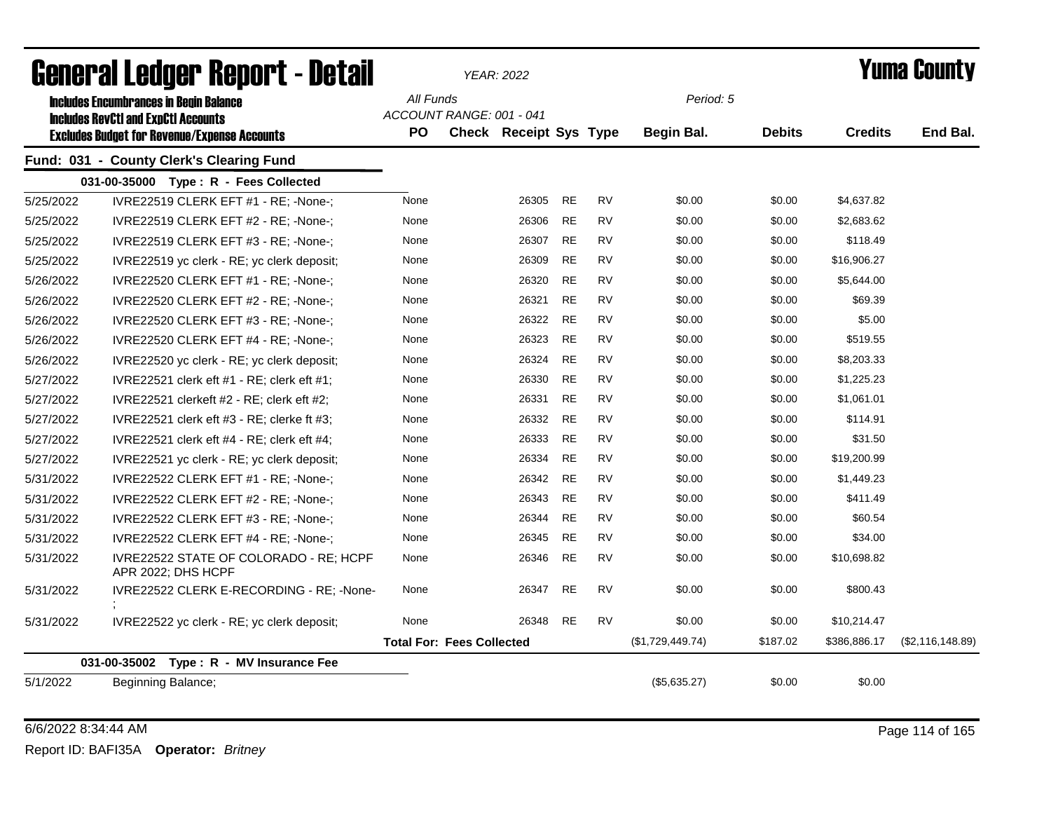|           | General Ledger Report - Detail                               |           |                                  | <b>YEAR: 2022</b>             |           |           |                  |               |                | Yuma Countv      |
|-----------|--------------------------------------------------------------|-----------|----------------------------------|-------------------------------|-----------|-----------|------------------|---------------|----------------|------------------|
|           | <b>Includes Encumbrances in Begin Balance</b>                | All Funds |                                  |                               |           |           | Period: 5        |               |                |                  |
|           | <b>Includes RevCtI and ExpCtI Accounts</b>                   |           | ACCOUNT RANGE: 001 - 041         |                               |           |           |                  |               |                |                  |
|           | <b>Excludes Budget for Revenue/Expense Accounts</b>          | <b>PO</b> |                                  | <b>Check Receipt Sys Type</b> |           |           | Begin Bal.       | <b>Debits</b> | <b>Credits</b> | End Bal.         |
|           | Fund: 031 - County Clerk's Clearing Fund                     |           |                                  |                               |           |           |                  |               |                |                  |
|           | 031-00-35000 Type: R - Fees Collected                        |           |                                  |                               |           |           |                  |               |                |                  |
| 5/25/2022 | IVRE22519 CLERK EFT #1 - RE; -None-;                         | None      |                                  | 26305                         | <b>RE</b> | <b>RV</b> | \$0.00           | \$0.00        | \$4,637.82     |                  |
| 5/25/2022 | IVRE22519 CLERK EFT #2 - RE; -None-;                         | None      |                                  | 26306                         | <b>RE</b> | <b>RV</b> | \$0.00           | \$0.00        | \$2,683.62     |                  |
| 5/25/2022 | IVRE22519 CLERK EFT #3 - RE; -None-;                         | None      |                                  | 26307                         | <b>RE</b> | <b>RV</b> | \$0.00           | \$0.00        | \$118.49       |                  |
| 5/25/2022 | IVRE22519 yc clerk - RE; yc clerk deposit;                   | None      |                                  | 26309                         | <b>RE</b> | <b>RV</b> | \$0.00           | \$0.00        | \$16,906.27    |                  |
| 5/26/2022 | IVRE22520 CLERK EFT #1 - RE; -None-;                         | None      |                                  | 26320                         | <b>RE</b> | <b>RV</b> | \$0.00           | \$0.00        | \$5,644.00     |                  |
| 5/26/2022 | IVRE22520 CLERK EFT #2 - RE; -None-;                         | None      |                                  | 26321                         | <b>RE</b> | <b>RV</b> | \$0.00           | \$0.00        | \$69.39        |                  |
| 5/26/2022 | IVRE22520 CLERK EFT #3 - RE; -None-;                         | None      |                                  | 26322                         | <b>RE</b> | <b>RV</b> | \$0.00           | \$0.00        | \$5.00         |                  |
| 5/26/2022 | IVRE22520 CLERK EFT #4 - RE; -None-;                         | None      |                                  | 26323                         | <b>RE</b> | <b>RV</b> | \$0.00           | \$0.00        | \$519.55       |                  |
| 5/26/2022 | IVRE22520 yc clerk - RE; yc clerk deposit;                   | None      |                                  | 26324                         | <b>RE</b> | <b>RV</b> | \$0.00           | \$0.00        | \$8,203.33     |                  |
| 5/27/2022 | IVRE22521 clerk eft $#1$ - RE; clerk eft $#1$ ;              | None      |                                  | 26330                         | RE        | <b>RV</b> | \$0.00           | \$0.00        | \$1,225.23     |                  |
| 5/27/2022 | IVRE22521 clerkeft $#2$ - RE; clerk eft $#2$ ;               | None      |                                  | 26331                         | <b>RE</b> | <b>RV</b> | \$0.00           | \$0.00        | \$1,061.01     |                  |
| 5/27/2022 | IVRE22521 clerk eft $#3$ - RE; clerke ft $#3$ ;              | None      |                                  | 26332                         | <b>RE</b> | <b>RV</b> | \$0.00           | \$0.00        | \$114.91       |                  |
| 5/27/2022 | IVRE22521 clerk eft $#4$ - RE; clerk eft $#4$ ;              | None      |                                  | 26333                         | RE        | <b>RV</b> | \$0.00           | \$0.00        | \$31.50        |                  |
| 5/27/2022 | IVRE22521 yc clerk - RE; yc clerk deposit;                   | None      |                                  | 26334                         | <b>RE</b> | <b>RV</b> | \$0.00           | \$0.00        | \$19,200.99    |                  |
| 5/31/2022 | IVRE22522 CLERK EFT #1 - RE; -None-;                         | None      |                                  | 26342                         | <b>RE</b> | <b>RV</b> | \$0.00           | \$0.00        | \$1,449.23     |                  |
| 5/31/2022 | IVRE22522 CLERK EFT #2 - RE; -None-;                         | None      |                                  | 26343                         | <b>RE</b> | <b>RV</b> | \$0.00           | \$0.00        | \$411.49       |                  |
| 5/31/2022 | IVRE22522 CLERK EFT #3 - RE; -None-;                         | None      |                                  | 26344                         | <b>RE</b> | <b>RV</b> | \$0.00           | \$0.00        | \$60.54        |                  |
| 5/31/2022 | IVRE22522 CLERK EFT #4 - RE; -None-;                         | None      |                                  | 26345                         | <b>RE</b> | <b>RV</b> | \$0.00           | \$0.00        | \$34.00        |                  |
| 5/31/2022 | IVRE22522 STATE OF COLORADO - RE; HCPF<br>APR 2022; DHS HCPF | None      |                                  | 26346                         | <b>RE</b> | <b>RV</b> | \$0.00           | \$0.00        | \$10,698.82    |                  |
| 5/31/2022 | IVRE22522 CLERK E-RECORDING - RE: -None-                     | None      |                                  | 26347                         | RE        | RV        | \$0.00           | \$0.00        | \$800.43       |                  |
| 5/31/2022 | IVRE22522 yc clerk - RE; yc clerk deposit;                   | None      |                                  | 26348                         | RE        | RV        | \$0.00           | \$0.00        | \$10,214.47    |                  |
|           |                                                              |           | <b>Total For: Fees Collected</b> |                               |           |           | (\$1,729,449.74) | \$187.02      | \$386,886.17   | (\$2,116,148.89) |
|           | 031-00-35002 Type: R - MV Insurance Fee                      |           |                                  |                               |           |           |                  |               |                |                  |
| 5/1/2022  | Beginning Balance;                                           |           |                                  |                               |           |           | (\$5,635.27)     | \$0.00        | \$0.00         |                  |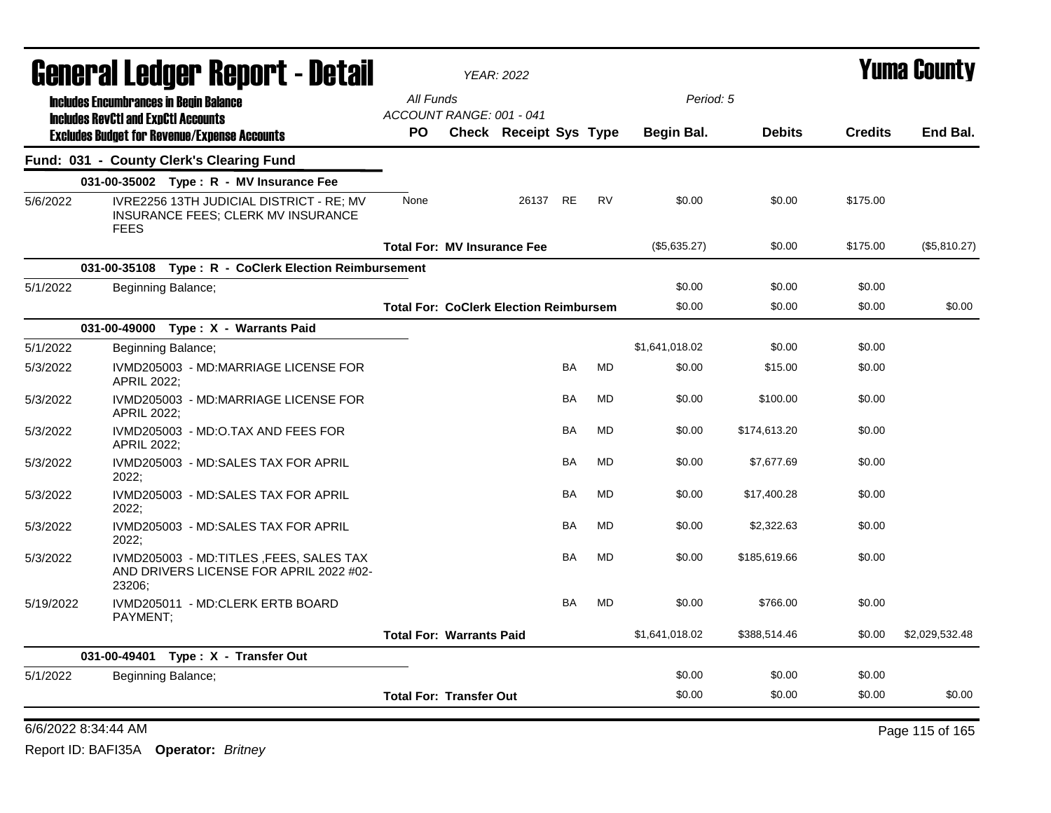|           | <b>General Ledger Report - Detail</b>                                                         |                                               | <b>YEAR: 2022</b>             |           |           |                |               |                | <b>Yuma County</b> |
|-----------|-----------------------------------------------------------------------------------------------|-----------------------------------------------|-------------------------------|-----------|-----------|----------------|---------------|----------------|--------------------|
|           | <b>Includes Encumbrances in Begin Balance</b><br><b>Includes RevCtI and ExpCtI Accounts</b>   | All Funds<br>ACCOUNT RANGE: 001 - 041         |                               |           |           | Period: 5      |               |                |                    |
|           | <b>Excludes Budget for Revenue/Expense Accounts</b>                                           | PO.                                           | <b>Check Receipt Sys Type</b> |           |           | Begin Bal.     | <b>Debits</b> | <b>Credits</b> | End Bal.           |
|           | Fund: 031 - County Clerk's Clearing Fund                                                      |                                               |                               |           |           |                |               |                |                    |
|           | 031-00-35002 Type: R - MV Insurance Fee                                                       |                                               |                               |           |           |                |               |                |                    |
| 5/6/2022  | IVRE2256 13TH JUDICIAL DISTRICT - RE; MV<br>INSURANCE FEES; CLERK MV INSURANCE<br><b>FEES</b> | None                                          | 26137 RE                      |           | <b>RV</b> | \$0.00         | \$0.00        | \$175.00       |                    |
|           |                                                                                               | <b>Total For: MV Insurance Fee</b>            |                               |           |           | (\$5,635.27)   | \$0.00        | \$175.00       | (\$5,810.27)       |
|           | 031-00-35108 Type: R - CoClerk Election Reimbursement                                         |                                               |                               |           |           |                |               |                |                    |
| 5/1/2022  | Beginning Balance;                                                                            |                                               |                               |           |           | \$0.00         | \$0.00        | \$0.00         |                    |
|           |                                                                                               | <b>Total For: CoClerk Election Reimbursem</b> |                               |           |           | \$0.00         | \$0.00        | \$0.00         | \$0.00             |
|           | 031-00-49000 Type: X - Warrants Paid                                                          |                                               |                               |           |           |                |               |                |                    |
| 5/1/2022  | Beginning Balance;                                                                            |                                               |                               |           |           | \$1,641,018.02 | \$0.00        | \$0.00         |                    |
| 5/3/2022  | IVMD205003 - MD:MARRIAGE LICENSE FOR<br><b>APRIL 2022;</b>                                    |                                               |                               | <b>BA</b> | MD        | \$0.00         | \$15.00       | \$0.00         |                    |
| 5/3/2022  | IVMD205003 - MD:MARRIAGE LICENSE FOR<br><b>APRIL 2022:</b>                                    |                                               |                               | <b>BA</b> | <b>MD</b> | \$0.00         | \$100.00      | \$0.00         |                    |
| 5/3/2022  | IVMD205003 - MD:O.TAX AND FEES FOR<br><b>APRIL 2022:</b>                                      |                                               |                               | BA        | <b>MD</b> | \$0.00         | \$174,613.20  | \$0.00         |                    |
| 5/3/2022  | IVMD205003 - MD:SALES TAX FOR APRIL<br>2022;                                                  |                                               |                               | BA        | <b>MD</b> | \$0.00         | \$7,677.69    | \$0.00         |                    |
| 5/3/2022  | IVMD205003 - MD:SALES TAX FOR APRIL<br>2022:                                                  |                                               |                               | <b>BA</b> | <b>MD</b> | \$0.00         | \$17,400.28   | \$0.00         |                    |
| 5/3/2022  | IVMD205003 - MD:SALES TAX FOR APRIL<br>2022;                                                  |                                               |                               | BA        | <b>MD</b> | \$0.00         | \$2,322.63    | \$0.00         |                    |
| 5/3/2022  | IVMD205003 - MD:TITLES , FEES, SALES TAX<br>AND DRIVERS LICENSE FOR APRIL 2022 #02-<br>23206; |                                               |                               | <b>BA</b> | <b>MD</b> | \$0.00         | \$185,619.66  | \$0.00         |                    |
| 5/19/2022 | IVMD205011 - MD:CLERK ERTB BOARD<br>PAYMENT;                                                  |                                               |                               | <b>BA</b> | <b>MD</b> | \$0.00         | \$766.00      | \$0.00         |                    |
|           |                                                                                               | <b>Total For: Warrants Paid</b>               |                               |           |           | \$1,641,018.02 | \$388,514.46  | \$0.00         | \$2,029,532.48     |
|           | 031-00-49401 Type: X - Transfer Out                                                           |                                               |                               |           |           |                |               |                |                    |
| 5/1/2022  | Beginning Balance;                                                                            |                                               |                               |           |           | \$0.00         | \$0.00        | \$0.00         |                    |
|           |                                                                                               | <b>Total For: Transfer Out</b>                |                               |           |           | \$0.00         | \$0.00        | \$0.00         | \$0.00             |

6/6/2022 8:34:44 AM Page 115 of 165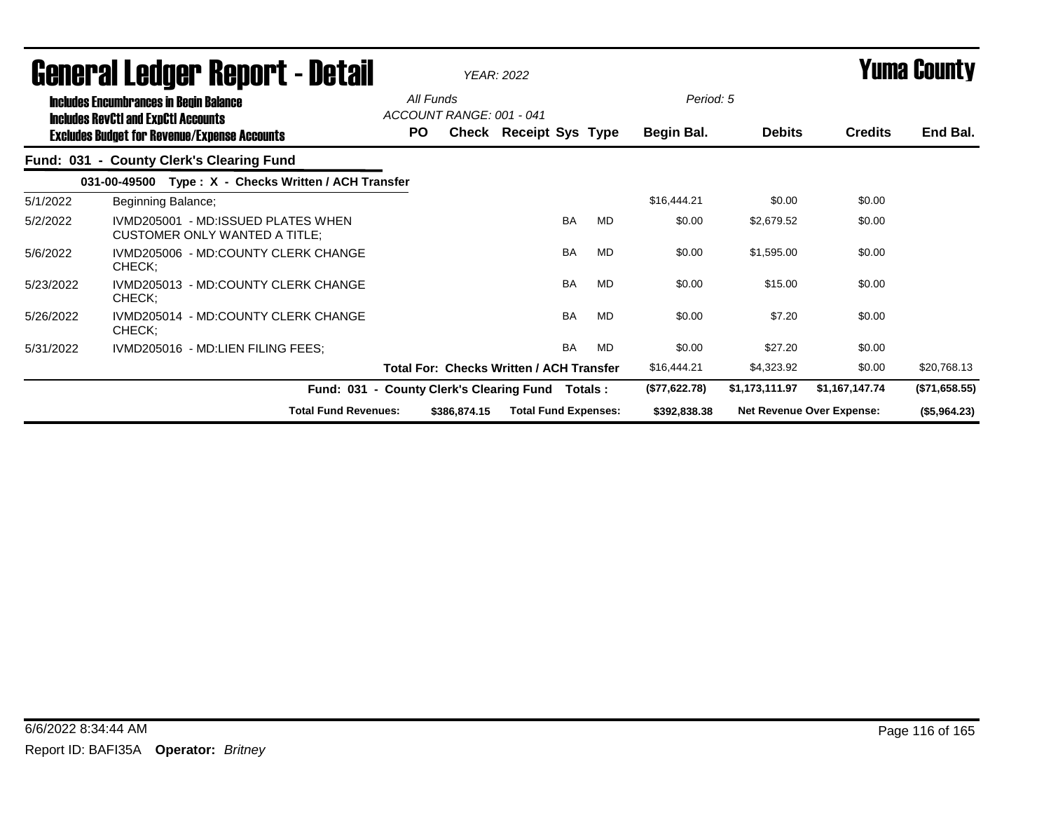|           | <b>General Ledger Report - Detail</b>                                                       | <b>YEAR: 2022</b> |                          |                                                 |           |           |               |                | Yuma County               |               |
|-----------|---------------------------------------------------------------------------------------------|-------------------|--------------------------|-------------------------------------------------|-----------|-----------|---------------|----------------|---------------------------|---------------|
|           | <b>Includes Encumbrances in Begin Balance</b><br><b>Includes RevCtI and ExpCtI Accounts</b> | All Funds         | ACCOUNT RANGE: 001 - 041 |                                                 |           |           | Period: 5     |                |                           |               |
|           | <b>Excludes Budget for Revenue/Expense Accounts</b>                                         | PO.               |                          | Check Receipt Sys Type                          |           |           | Begin Bal.    | <b>Debits</b>  | <b>Credits</b>            | End Bal.      |
|           | Fund: 031 - County Clerk's Clearing Fund                                                    |                   |                          |                                                 |           |           |               |                |                           |               |
|           | Type: X - Checks Written / ACH Transfer<br>031-00-49500                                     |                   |                          |                                                 |           |           |               |                |                           |               |
| 5/1/2022  | Beginning Balance;                                                                          |                   |                          |                                                 |           |           | \$16,444.21   | \$0.00         | \$0.00                    |               |
| 5/2/2022  | IVMD205001 - MD:ISSUED PLATES WHEN<br><b>CUSTOMER ONLY WANTED A TITLE:</b>                  |                   |                          |                                                 | <b>BA</b> | <b>MD</b> | \$0.00        | \$2,679.52     | \$0.00                    |               |
| 5/6/2022  | IVMD205006 - MD:COUNTY CLERK CHANGE<br>CHECK;                                               |                   |                          |                                                 | <b>BA</b> | MD        | \$0.00        | \$1,595.00     | \$0.00                    |               |
| 5/23/2022 | IVMD205013 - MD:COUNTY CLERK CHANGE<br>CHECK;                                               |                   |                          |                                                 | <b>BA</b> | <b>MD</b> | \$0.00        | \$15.00        | \$0.00                    |               |
| 5/26/2022 | IVMD205014 - MD:COUNTY CLERK CHANGE<br>CHECK:                                               |                   |                          |                                                 | <b>BA</b> | <b>MD</b> | \$0.00        | \$7.20         | \$0.00                    |               |
| 5/31/2022 | IVMD205016 - MD:LIEN FILING FEES;                                                           |                   |                          |                                                 | <b>BA</b> | MD        | \$0.00        | \$27.20        | \$0.00                    |               |
|           |                                                                                             |                   |                          | <b>Total For: Checks Written / ACH Transfer</b> |           |           | \$16,444.21   | \$4,323.92     | \$0.00                    | \$20,768.13   |
|           | Fund: 031 - County Clerk's Clearing Fund                                                    |                   |                          |                                                 |           | Totals :  | (\$77,622.78) | \$1,173,111.97 | \$1,167,147.74            | (\$71,658.55) |
|           | <b>Total Fund Revenues:</b>                                                                 |                   | \$386,874.15             | <b>Total Fund Expenses:</b>                     |           |           | \$392,838.38  |                | Net Revenue Over Expense: | (\$5,964.23)  |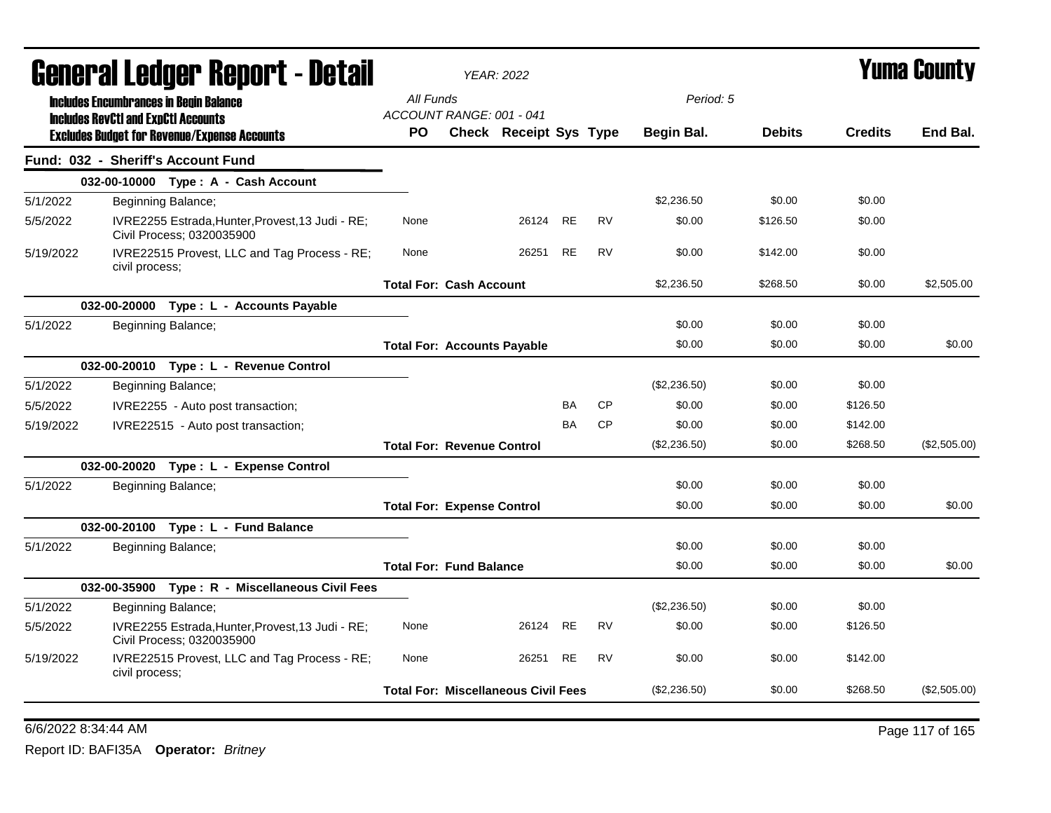| All Funds<br>Period: 5<br><b>Includes Encumbrances in Begin Balance</b><br>ACCOUNT RANGE: 001 - 041<br><b>Includes RevCtI and ExpCtI Accounts</b><br>End Bal.<br><b>PO</b><br><b>Check Receipt Sys Type</b><br>Begin Bal.<br><b>Debits</b><br><b>Credits</b><br><b>Excludes Budget for Revenue/Expense Accounts</b><br>Fund: 032 - Sheriff's Account Fund<br>032-00-10000 Type: A - Cash Account<br>\$2,236.50<br>\$0.00<br>\$0.00<br>5/1/2022<br>Beginning Balance;<br>26124<br><b>RE</b><br><b>RV</b><br>\$0.00<br>\$126.50<br>\$0.00<br>5/5/2022<br>IVRE2255 Estrada, Hunter, Provest, 13 Judi - RE;<br>None<br>Civil Process; 0320035900<br>IVRE22515 Provest, LLC and Tag Process - RE;<br>26251<br><b>RE</b><br><b>RV</b><br>\$0.00<br>\$0.00<br>5/19/2022<br>None<br>\$142.00<br>civil process;<br>\$2,236.50<br>\$2,505.00<br><b>Total For: Cash Account</b><br>\$268.50<br>\$0.00<br>032-00-20000 Type : L - Accounts Payable<br>\$0.00<br>\$0.00<br>\$0.00<br>5/1/2022<br>Beginning Balance;<br>\$0.00<br>\$0.00<br>\$0.00<br>\$0.00<br><b>Total For: Accounts Payable</b><br>032-00-20010 Type: L - Revenue Control<br>5/1/2022<br>(\$2,236.50)<br>\$0.00<br>Beginning Balance;<br>\$0.00<br><b>CP</b><br>\$0.00<br>5/5/2022<br>IVRE2255 - Auto post transaction;<br><b>BA</b><br>\$0.00<br>\$126.50<br><b>CP</b><br>\$0.00<br><b>BA</b><br>\$0.00<br>\$142.00<br>5/19/2022<br>IVRE22515 - Auto post transaction;<br><b>Total For: Revenue Control</b><br>(\$2,236.50)<br>\$0.00<br>\$268.50<br>(\$2,505.00)<br>032-00-20020 Type: L - Expense Control<br>\$0.00<br>\$0.00<br>\$0.00<br>5/1/2022<br>Beginning Balance;<br>\$0.00<br>\$0.00<br>\$0.00<br>\$0.00<br><b>Total For: Expense Control</b><br>032-00-20100 Type: L - Fund Balance<br>\$0.00<br>\$0.00<br>5/1/2022<br>Beginning Balance;<br>\$0.00<br>\$0.00<br><b>Total For: Fund Balance</b><br>\$0.00<br>\$0.00<br>\$0.00<br>032-00-35900 Type: R - Miscellaneous Civil Fees<br>\$0.00<br>(\$2,236.50)<br>\$0.00<br>5/1/2022<br>Beginning Balance;<br><b>RE</b><br><b>RV</b><br>IVRE2255 Estrada, Hunter, Provest, 13 Judi - RE;<br>\$0.00<br>\$0.00<br>\$126.50<br>5/5/2022<br>None<br>26124<br>Civil Process; 0320035900<br><b>RE</b><br>5/19/2022<br>IVRE22515 Provest, LLC and Tag Process - RE;<br>26251<br><b>RV</b><br>\$0.00<br>\$0.00<br>\$142.00<br>None<br>civil process;<br>(\$2,236.50)<br>\$0.00<br>\$268.50<br>(\$2,505.00)<br><b>Total For: Miscellaneous Civil Fees</b> |  | <b>General Ledger Report - Detail</b> |  | <b>YEAR: 2022</b> |  |  | <b>Yuma County</b> |
|----------------------------------------------------------------------------------------------------------------------------------------------------------------------------------------------------------------------------------------------------------------------------------------------------------------------------------------------------------------------------------------------------------------------------------------------------------------------------------------------------------------------------------------------------------------------------------------------------------------------------------------------------------------------------------------------------------------------------------------------------------------------------------------------------------------------------------------------------------------------------------------------------------------------------------------------------------------------------------------------------------------------------------------------------------------------------------------------------------------------------------------------------------------------------------------------------------------------------------------------------------------------------------------------------------------------------------------------------------------------------------------------------------------------------------------------------------------------------------------------------------------------------------------------------------------------------------------------------------------------------------------------------------------------------------------------------------------------------------------------------------------------------------------------------------------------------------------------------------------------------------------------------------------------------------------------------------------------------------------------------------------------------------------------------------------------------------------------------------------------------------------------------------------------------------------------------------------------------------------------------------------------------------------------------------------------------------------------------------------------------------------------------------------------------------------------------------------|--|---------------------------------------|--|-------------------|--|--|--------------------|
|                                                                                                                                                                                                                                                                                                                                                                                                                                                                                                                                                                                                                                                                                                                                                                                                                                                                                                                                                                                                                                                                                                                                                                                                                                                                                                                                                                                                                                                                                                                                                                                                                                                                                                                                                                                                                                                                                                                                                                                                                                                                                                                                                                                                                                                                                                                                                                                                                                                                |  |                                       |  |                   |  |  |                    |
|                                                                                                                                                                                                                                                                                                                                                                                                                                                                                                                                                                                                                                                                                                                                                                                                                                                                                                                                                                                                                                                                                                                                                                                                                                                                                                                                                                                                                                                                                                                                                                                                                                                                                                                                                                                                                                                                                                                                                                                                                                                                                                                                                                                                                                                                                                                                                                                                                                                                |  |                                       |  |                   |  |  |                    |
|                                                                                                                                                                                                                                                                                                                                                                                                                                                                                                                                                                                                                                                                                                                                                                                                                                                                                                                                                                                                                                                                                                                                                                                                                                                                                                                                                                                                                                                                                                                                                                                                                                                                                                                                                                                                                                                                                                                                                                                                                                                                                                                                                                                                                                                                                                                                                                                                                                                                |  |                                       |  |                   |  |  |                    |
|                                                                                                                                                                                                                                                                                                                                                                                                                                                                                                                                                                                                                                                                                                                                                                                                                                                                                                                                                                                                                                                                                                                                                                                                                                                                                                                                                                                                                                                                                                                                                                                                                                                                                                                                                                                                                                                                                                                                                                                                                                                                                                                                                                                                                                                                                                                                                                                                                                                                |  |                                       |  |                   |  |  |                    |
|                                                                                                                                                                                                                                                                                                                                                                                                                                                                                                                                                                                                                                                                                                                                                                                                                                                                                                                                                                                                                                                                                                                                                                                                                                                                                                                                                                                                                                                                                                                                                                                                                                                                                                                                                                                                                                                                                                                                                                                                                                                                                                                                                                                                                                                                                                                                                                                                                                                                |  |                                       |  |                   |  |  |                    |
|                                                                                                                                                                                                                                                                                                                                                                                                                                                                                                                                                                                                                                                                                                                                                                                                                                                                                                                                                                                                                                                                                                                                                                                                                                                                                                                                                                                                                                                                                                                                                                                                                                                                                                                                                                                                                                                                                                                                                                                                                                                                                                                                                                                                                                                                                                                                                                                                                                                                |  |                                       |  |                   |  |  |                    |
|                                                                                                                                                                                                                                                                                                                                                                                                                                                                                                                                                                                                                                                                                                                                                                                                                                                                                                                                                                                                                                                                                                                                                                                                                                                                                                                                                                                                                                                                                                                                                                                                                                                                                                                                                                                                                                                                                                                                                                                                                                                                                                                                                                                                                                                                                                                                                                                                                                                                |  |                                       |  |                   |  |  |                    |
|                                                                                                                                                                                                                                                                                                                                                                                                                                                                                                                                                                                                                                                                                                                                                                                                                                                                                                                                                                                                                                                                                                                                                                                                                                                                                                                                                                                                                                                                                                                                                                                                                                                                                                                                                                                                                                                                                                                                                                                                                                                                                                                                                                                                                                                                                                                                                                                                                                                                |  |                                       |  |                   |  |  |                    |
|                                                                                                                                                                                                                                                                                                                                                                                                                                                                                                                                                                                                                                                                                                                                                                                                                                                                                                                                                                                                                                                                                                                                                                                                                                                                                                                                                                                                                                                                                                                                                                                                                                                                                                                                                                                                                                                                                                                                                                                                                                                                                                                                                                                                                                                                                                                                                                                                                                                                |  |                                       |  |                   |  |  |                    |
|                                                                                                                                                                                                                                                                                                                                                                                                                                                                                                                                                                                                                                                                                                                                                                                                                                                                                                                                                                                                                                                                                                                                                                                                                                                                                                                                                                                                                                                                                                                                                                                                                                                                                                                                                                                                                                                                                                                                                                                                                                                                                                                                                                                                                                                                                                                                                                                                                                                                |  |                                       |  |                   |  |  |                    |
|                                                                                                                                                                                                                                                                                                                                                                                                                                                                                                                                                                                                                                                                                                                                                                                                                                                                                                                                                                                                                                                                                                                                                                                                                                                                                                                                                                                                                                                                                                                                                                                                                                                                                                                                                                                                                                                                                                                                                                                                                                                                                                                                                                                                                                                                                                                                                                                                                                                                |  |                                       |  |                   |  |  |                    |
|                                                                                                                                                                                                                                                                                                                                                                                                                                                                                                                                                                                                                                                                                                                                                                                                                                                                                                                                                                                                                                                                                                                                                                                                                                                                                                                                                                                                                                                                                                                                                                                                                                                                                                                                                                                                                                                                                                                                                                                                                                                                                                                                                                                                                                                                                                                                                                                                                                                                |  |                                       |  |                   |  |  |                    |
|                                                                                                                                                                                                                                                                                                                                                                                                                                                                                                                                                                                                                                                                                                                                                                                                                                                                                                                                                                                                                                                                                                                                                                                                                                                                                                                                                                                                                                                                                                                                                                                                                                                                                                                                                                                                                                                                                                                                                                                                                                                                                                                                                                                                                                                                                                                                                                                                                                                                |  |                                       |  |                   |  |  |                    |
|                                                                                                                                                                                                                                                                                                                                                                                                                                                                                                                                                                                                                                                                                                                                                                                                                                                                                                                                                                                                                                                                                                                                                                                                                                                                                                                                                                                                                                                                                                                                                                                                                                                                                                                                                                                                                                                                                                                                                                                                                                                                                                                                                                                                                                                                                                                                                                                                                                                                |  |                                       |  |                   |  |  |                    |
|                                                                                                                                                                                                                                                                                                                                                                                                                                                                                                                                                                                                                                                                                                                                                                                                                                                                                                                                                                                                                                                                                                                                                                                                                                                                                                                                                                                                                                                                                                                                                                                                                                                                                                                                                                                                                                                                                                                                                                                                                                                                                                                                                                                                                                                                                                                                                                                                                                                                |  |                                       |  |                   |  |  |                    |
|                                                                                                                                                                                                                                                                                                                                                                                                                                                                                                                                                                                                                                                                                                                                                                                                                                                                                                                                                                                                                                                                                                                                                                                                                                                                                                                                                                                                                                                                                                                                                                                                                                                                                                                                                                                                                                                                                                                                                                                                                                                                                                                                                                                                                                                                                                                                                                                                                                                                |  |                                       |  |                   |  |  |                    |
|                                                                                                                                                                                                                                                                                                                                                                                                                                                                                                                                                                                                                                                                                                                                                                                                                                                                                                                                                                                                                                                                                                                                                                                                                                                                                                                                                                                                                                                                                                                                                                                                                                                                                                                                                                                                                                                                                                                                                                                                                                                                                                                                                                                                                                                                                                                                                                                                                                                                |  |                                       |  |                   |  |  |                    |
|                                                                                                                                                                                                                                                                                                                                                                                                                                                                                                                                                                                                                                                                                                                                                                                                                                                                                                                                                                                                                                                                                                                                                                                                                                                                                                                                                                                                                                                                                                                                                                                                                                                                                                                                                                                                                                                                                                                                                                                                                                                                                                                                                                                                                                                                                                                                                                                                                                                                |  |                                       |  |                   |  |  |                    |
|                                                                                                                                                                                                                                                                                                                                                                                                                                                                                                                                                                                                                                                                                                                                                                                                                                                                                                                                                                                                                                                                                                                                                                                                                                                                                                                                                                                                                                                                                                                                                                                                                                                                                                                                                                                                                                                                                                                                                                                                                                                                                                                                                                                                                                                                                                                                                                                                                                                                |  |                                       |  |                   |  |  |                    |
|                                                                                                                                                                                                                                                                                                                                                                                                                                                                                                                                                                                                                                                                                                                                                                                                                                                                                                                                                                                                                                                                                                                                                                                                                                                                                                                                                                                                                                                                                                                                                                                                                                                                                                                                                                                                                                                                                                                                                                                                                                                                                                                                                                                                                                                                                                                                                                                                                                                                |  |                                       |  |                   |  |  |                    |
|                                                                                                                                                                                                                                                                                                                                                                                                                                                                                                                                                                                                                                                                                                                                                                                                                                                                                                                                                                                                                                                                                                                                                                                                                                                                                                                                                                                                                                                                                                                                                                                                                                                                                                                                                                                                                                                                                                                                                                                                                                                                                                                                                                                                                                                                                                                                                                                                                                                                |  |                                       |  |                   |  |  |                    |
|                                                                                                                                                                                                                                                                                                                                                                                                                                                                                                                                                                                                                                                                                                                                                                                                                                                                                                                                                                                                                                                                                                                                                                                                                                                                                                                                                                                                                                                                                                                                                                                                                                                                                                                                                                                                                                                                                                                                                                                                                                                                                                                                                                                                                                                                                                                                                                                                                                                                |  |                                       |  |                   |  |  |                    |
|                                                                                                                                                                                                                                                                                                                                                                                                                                                                                                                                                                                                                                                                                                                                                                                                                                                                                                                                                                                                                                                                                                                                                                                                                                                                                                                                                                                                                                                                                                                                                                                                                                                                                                                                                                                                                                                                                                                                                                                                                                                                                                                                                                                                                                                                                                                                                                                                                                                                |  |                                       |  |                   |  |  |                    |
|                                                                                                                                                                                                                                                                                                                                                                                                                                                                                                                                                                                                                                                                                                                                                                                                                                                                                                                                                                                                                                                                                                                                                                                                                                                                                                                                                                                                                                                                                                                                                                                                                                                                                                                                                                                                                                                                                                                                                                                                                                                                                                                                                                                                                                                                                                                                                                                                                                                                |  |                                       |  |                   |  |  |                    |
|                                                                                                                                                                                                                                                                                                                                                                                                                                                                                                                                                                                                                                                                                                                                                                                                                                                                                                                                                                                                                                                                                                                                                                                                                                                                                                                                                                                                                                                                                                                                                                                                                                                                                                                                                                                                                                                                                                                                                                                                                                                                                                                                                                                                                                                                                                                                                                                                                                                                |  |                                       |  |                   |  |  |                    |
|                                                                                                                                                                                                                                                                                                                                                                                                                                                                                                                                                                                                                                                                                                                                                                                                                                                                                                                                                                                                                                                                                                                                                                                                                                                                                                                                                                                                                                                                                                                                                                                                                                                                                                                                                                                                                                                                                                                                                                                                                                                                                                                                                                                                                                                                                                                                                                                                                                                                |  |                                       |  |                   |  |  |                    |
|                                                                                                                                                                                                                                                                                                                                                                                                                                                                                                                                                                                                                                                                                                                                                                                                                                                                                                                                                                                                                                                                                                                                                                                                                                                                                                                                                                                                                                                                                                                                                                                                                                                                                                                                                                                                                                                                                                                                                                                                                                                                                                                                                                                                                                                                                                                                                                                                                                                                |  |                                       |  |                   |  |  |                    |
|                                                                                                                                                                                                                                                                                                                                                                                                                                                                                                                                                                                                                                                                                                                                                                                                                                                                                                                                                                                                                                                                                                                                                                                                                                                                                                                                                                                                                                                                                                                                                                                                                                                                                                                                                                                                                                                                                                                                                                                                                                                                                                                                                                                                                                                                                                                                                                                                                                                                |  |                                       |  |                   |  |  |                    |

6/6/2022 8:34:44 AM Page 117 of 165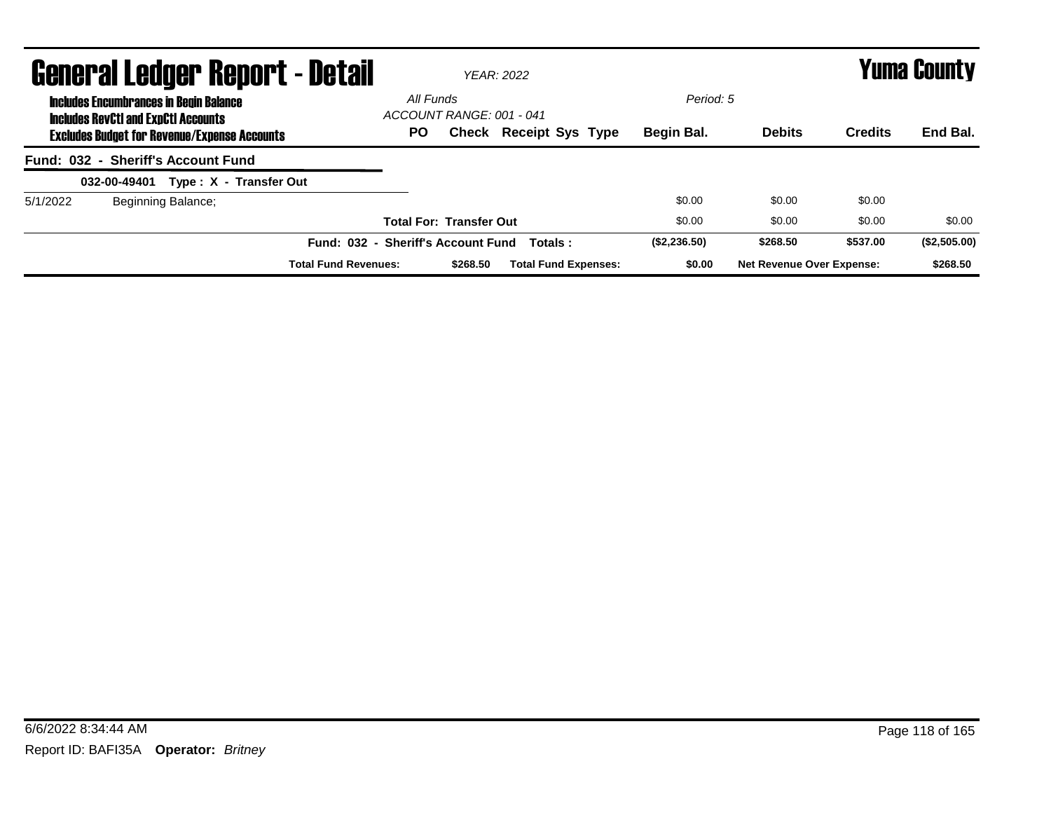|          | <b>General Ledger Report - Detail</b>                                                       |                                    |                                       | YFAR: 2022                    |              |                                  |                | Yuma County  |
|----------|---------------------------------------------------------------------------------------------|------------------------------------|---------------------------------------|-------------------------------|--------------|----------------------------------|----------------|--------------|
|          | <b>Includes Encumbrances in Begin Balance</b><br><b>Includes RevCtI and ExpCtI Accounts</b> |                                    | All Funds<br>ACCOUNT RANGE: 001 - 041 |                               | Period: 5    |                                  |                |              |
|          | <b>Excludes Budget for Revenue/Expense Accounts</b>                                         |                                    | <b>PO</b>                             | <b>Check Receipt Sys Type</b> | Begin Bal.   | <b>Debits</b>                    | <b>Credits</b> | End Bal.     |
|          | Fund: 032 - Sheriff's Account Fund                                                          |                                    |                                       |                               |              |                                  |                |              |
|          | 032-00-49401<br>Type: X - Transfer Out                                                      |                                    |                                       |                               |              |                                  |                |              |
| 5/1/2022 | Beginning Balance;                                                                          |                                    |                                       |                               | \$0.00       | \$0.00                           | \$0.00         |              |
|          |                                                                                             |                                    | <b>Total For: Transfer Out</b>        |                               | \$0.00       | \$0.00                           | \$0.00         | \$0.00       |
|          |                                                                                             | Fund: 032 - Sheriff's Account Fund |                                       | Totals:                       | (\$2,236.50) | \$268.50                         | \$537.00       | (\$2,505.00) |
|          |                                                                                             | <b>Total Fund Revenues:</b>        | \$268.50                              | <b>Total Fund Expenses:</b>   | \$0.00       | <b>Net Revenue Over Expense:</b> |                | \$268.50     |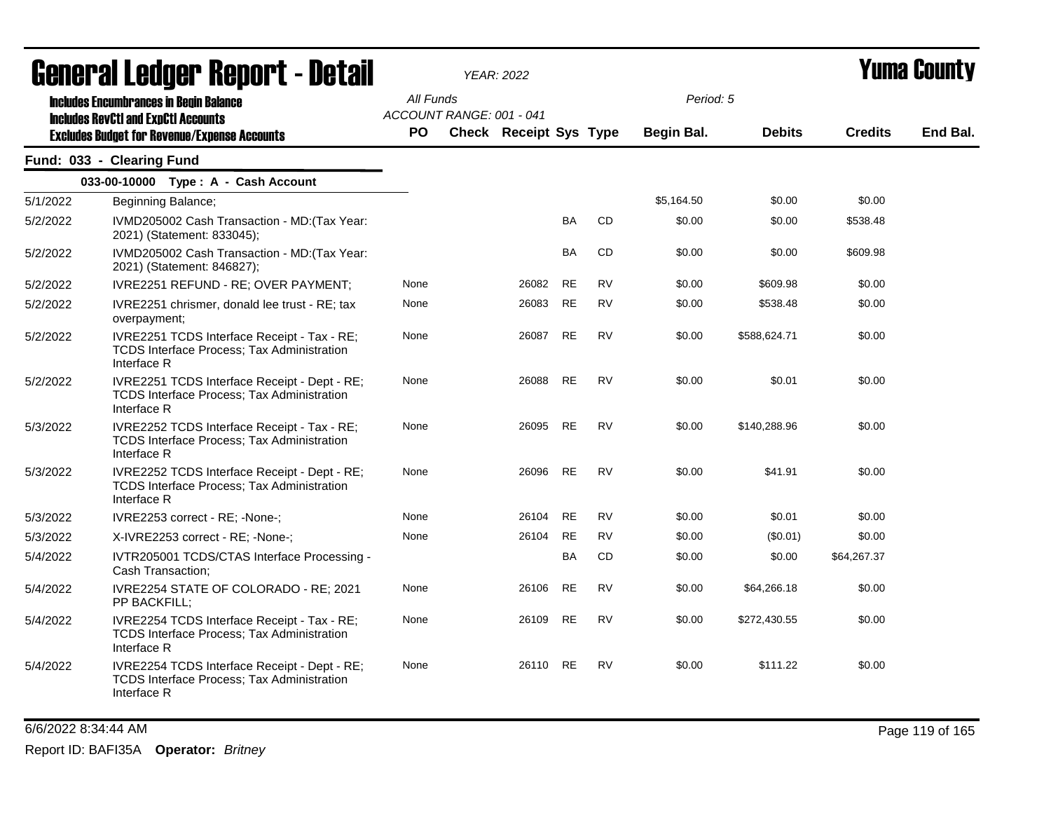|          | <u>ggiigi.si fanñal. Kenni. ( - nafsh</u>                                                                       |           |                          | YEAR: 2022                    |           |           |                   |               |                | Tunia Gounty |
|----------|-----------------------------------------------------------------------------------------------------------------|-----------|--------------------------|-------------------------------|-----------|-----------|-------------------|---------------|----------------|--------------|
|          | <b>Includes Encumbrances in Begin Balance</b><br><b>Includes RevCtI and ExpCtI Accounts</b>                     | All Funds | ACCOUNT RANGE: 001 - 041 |                               |           |           | Period: 5         |               |                |              |
|          | <b>Excludes Budget for Revenue/Expense Accounts</b>                                                             | <b>PO</b> |                          | <b>Check Receipt Sys Type</b> |           |           | <b>Begin Bal.</b> | <b>Debits</b> | <b>Credits</b> | End Bal.     |
|          | Fund: 033 - Clearing Fund                                                                                       |           |                          |                               |           |           |                   |               |                |              |
|          | 033-00-10000 Type: A - Cash Account                                                                             |           |                          |                               |           |           |                   |               |                |              |
| 5/1/2022 | Beginning Balance;                                                                                              |           |                          |                               |           |           | \$5,164.50        | \$0.00        | \$0.00         |              |
| 5/2/2022 | IVMD205002 Cash Transaction - MD: (Tax Year:<br>2021) (Statement: 833045);                                      |           |                          |                               | BA        | <b>CD</b> | \$0.00            | \$0.00        | \$538.48       |              |
| 5/2/2022 | IVMD205002 Cash Transaction - MD: (Tax Year:<br>2021) (Statement: 846827);                                      |           |                          |                               | BA        | CD        | \$0.00            | \$0.00        | \$609.98       |              |
| 5/2/2022 | IVRE2251 REFUND - RE; OVER PAYMENT;                                                                             | None      |                          | 26082                         | RE        | <b>RV</b> | \$0.00            | \$609.98      | \$0.00         |              |
| 5/2/2022 | IVRE2251 chrismer, donald lee trust - RE; tax<br>overpayment;                                                   | None      |                          | 26083                         | <b>RE</b> | <b>RV</b> | \$0.00            | \$538.48      | \$0.00         |              |
| 5/2/2022 | IVRE2251 TCDS Interface Receipt - Tax - RE;<br>TCDS Interface Process; Tax Administration<br>Interface R        | None      |                          | 26087                         | <b>RE</b> | <b>RV</b> | \$0.00            | \$588,624.71  | \$0.00         |              |
| 5/2/2022 | IVRE2251 TCDS Interface Receipt - Dept - RE;<br>TCDS Interface Process; Tax Administration<br>Interface R       | None      |                          | 26088                         | <b>RE</b> | <b>RV</b> | \$0.00            | \$0.01        | \$0.00         |              |
| 5/3/2022 | IVRE2252 TCDS Interface Receipt - Tax - RE;<br><b>TCDS Interface Process; Tax Administration</b><br>Interface R | None      |                          | 26095                         | RE        | <b>RV</b> | \$0.00            | \$140.288.96  | \$0.00         |              |
| 5/3/2022 | IVRE2252 TCDS Interface Receipt - Dept - RE;<br>TCDS Interface Process; Tax Administration<br>Interface R       | None      |                          | 26096                         | <b>RE</b> | <b>RV</b> | \$0.00            | \$41.91       | \$0.00         |              |
| 5/3/2022 | IVRE2253 correct - RE; -None-;                                                                                  | None      |                          | 26104                         | RE        | <b>RV</b> | \$0.00            | \$0.01        | \$0.00         |              |
| 5/3/2022 | X-IVRE2253 correct - RE; -None-;                                                                                | None      |                          | 26104                         | <b>RE</b> | <b>RV</b> | \$0.00            | (\$0.01)      | \$0.00         |              |
| 5/4/2022 | IVTR205001 TCDS/CTAS Interface Processing -<br>Cash Transaction;                                                |           |                          |                               | BA        | CD        | \$0.00            | \$0.00        | \$64,267.37    |              |
| 5/4/2022 | IVRE2254 STATE OF COLORADO - RE; 2021<br>PP BACKFILL;                                                           | None      |                          | 26106                         | RE        | <b>RV</b> | \$0.00            | \$64,266.18   | \$0.00         |              |
| 5/4/2022 | IVRE2254 TCDS Interface Receipt - Tax - RE;<br><b>TCDS Interface Process; Tax Administration</b><br>Interface R | None      |                          | 26109                         | RE        | <b>RV</b> | \$0.00            | \$272,430.55  | \$0.00         |              |
| 5/4/2022 | IVRE2254 TCDS Interface Receipt - Dept - RE;<br>TCDS Interface Process; Tax Administration<br>Interface R       | None      |                          | 26110                         | RE        | <b>RV</b> | \$0.00            | \$111.22      | \$0.00         |              |

6/6/2022 8:34:44 AM Page 119 of 165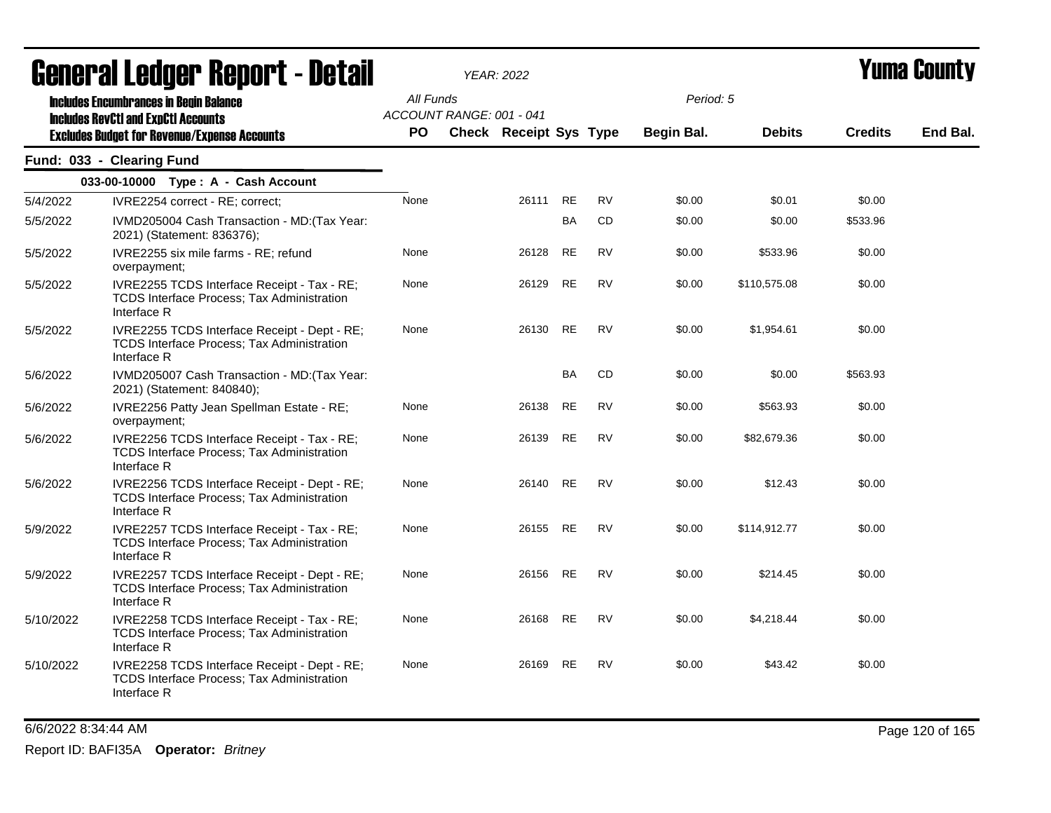|           | General Ledger Report - Detail                                                                                   |           |                          | <b>YEAR: 2022</b>             |           |           |            |               |                | Yuma Countv |
|-----------|------------------------------------------------------------------------------------------------------------------|-----------|--------------------------|-------------------------------|-----------|-----------|------------|---------------|----------------|-------------|
|           | <b>Includes Encumbrances in Begin Balance</b><br><b>Includes RevCtI and ExpCtI Accounts</b>                      | All Funds | ACCOUNT RANGE: 001 - 041 |                               |           |           | Period: 5  |               |                |             |
|           | <b>Excludes Budget for Revenue/Expense Accounts</b>                                                              | <b>PO</b> |                          | <b>Check Receipt Sys Type</b> |           |           | Begin Bal. | <b>Debits</b> | <b>Credits</b> | End Bal.    |
|           | Fund: 033 - Clearing Fund                                                                                        |           |                          |                               |           |           |            |               |                |             |
|           | 033-00-10000 Type: A - Cash Account                                                                              |           |                          |                               |           |           |            |               |                |             |
| 5/4/2022  | IVRE2254 correct - RE; correct;                                                                                  | None      |                          | 26111                         | RE        | <b>RV</b> | \$0.00     | \$0.01        | \$0.00         |             |
| 5/5/2022  | IVMD205004 Cash Transaction - MD: (Tax Year:<br>2021) (Statement: 836376);                                       |           |                          |                               | BA        | <b>CD</b> | \$0.00     | \$0.00        | \$533.96       |             |
| 5/5/2022  | IVRE2255 six mile farms - RE; refund<br>overpayment;                                                             | None      |                          | 26128                         | RE        | <b>RV</b> | \$0.00     | \$533.96      | \$0.00         |             |
| 5/5/2022  | IVRE2255 TCDS Interface Receipt - Tax - RE;<br><b>TCDS Interface Process: Tax Administration</b><br>Interface R  | None      |                          | 26129                         | <b>RE</b> | <b>RV</b> | \$0.00     | \$110,575.08  | \$0.00         |             |
| 5/5/2022  | IVRE2255 TCDS Interface Receipt - Dept - RE;<br>TCDS Interface Process; Tax Administration<br>Interface R        | None      |                          | 26130                         | <b>RE</b> | <b>RV</b> | \$0.00     | \$1,954.61    | \$0.00         |             |
| 5/6/2022  | IVMD205007 Cash Transaction - MD: (Tax Year:<br>2021) (Statement: 840840);                                       |           |                          |                               | <b>BA</b> | CD.       | \$0.00     | \$0.00        | \$563.93       |             |
| 5/6/2022  | IVRE2256 Patty Jean Spellman Estate - RE;<br>overpayment;                                                        | None      |                          | 26138                         | <b>RE</b> | <b>RV</b> | \$0.00     | \$563.93      | \$0.00         |             |
| 5/6/2022  | IVRE2256 TCDS Interface Receipt - Tax - RE;<br>TCDS Interface Process; Tax Administration<br>Interface R         | None      |                          | 26139                         | <b>RE</b> | <b>RV</b> | \$0.00     | \$82,679.36   | \$0.00         |             |
| 5/6/2022  | IVRE2256 TCDS Interface Receipt - Dept - RE;<br>TCDS Interface Process; Tax Administration<br>Interface R        | None      |                          | 26140                         | <b>RE</b> | <b>RV</b> | \$0.00     | \$12.43       | \$0.00         |             |
| 5/9/2022  | IVRE2257 TCDS Interface Receipt - Tax - RE;<br>TCDS Interface Process; Tax Administration<br>Interface R         | None      |                          | 26155                         | <b>RE</b> | <b>RV</b> | \$0.00     | \$114,912.77  | \$0.00         |             |
| 5/9/2022  | IVRE2257 TCDS Interface Receipt - Dept - RE;<br><b>TCDS Interface Process; Tax Administration</b><br>Interface R | None      |                          | 26156                         | RE        | <b>RV</b> | \$0.00     | \$214.45      | \$0.00         |             |
| 5/10/2022 | IVRE2258 TCDS Interface Receipt - Tax - RE;<br>TCDS Interface Process; Tax Administration<br>Interface R         | None      |                          | 26168                         | <b>RE</b> | <b>RV</b> | \$0.00     | \$4,218.44    | \$0.00         |             |
| 5/10/2022 | IVRE2258 TCDS Interface Receipt - Dept - RE;<br><b>TCDS Interface Process; Tax Administration</b><br>Interface R | None      |                          | 26169                         | <b>RE</b> | <b>RV</b> | \$0.00     | \$43.42       | \$0.00         |             |

6/6/2022 8:34:44 AM Page 120 of 165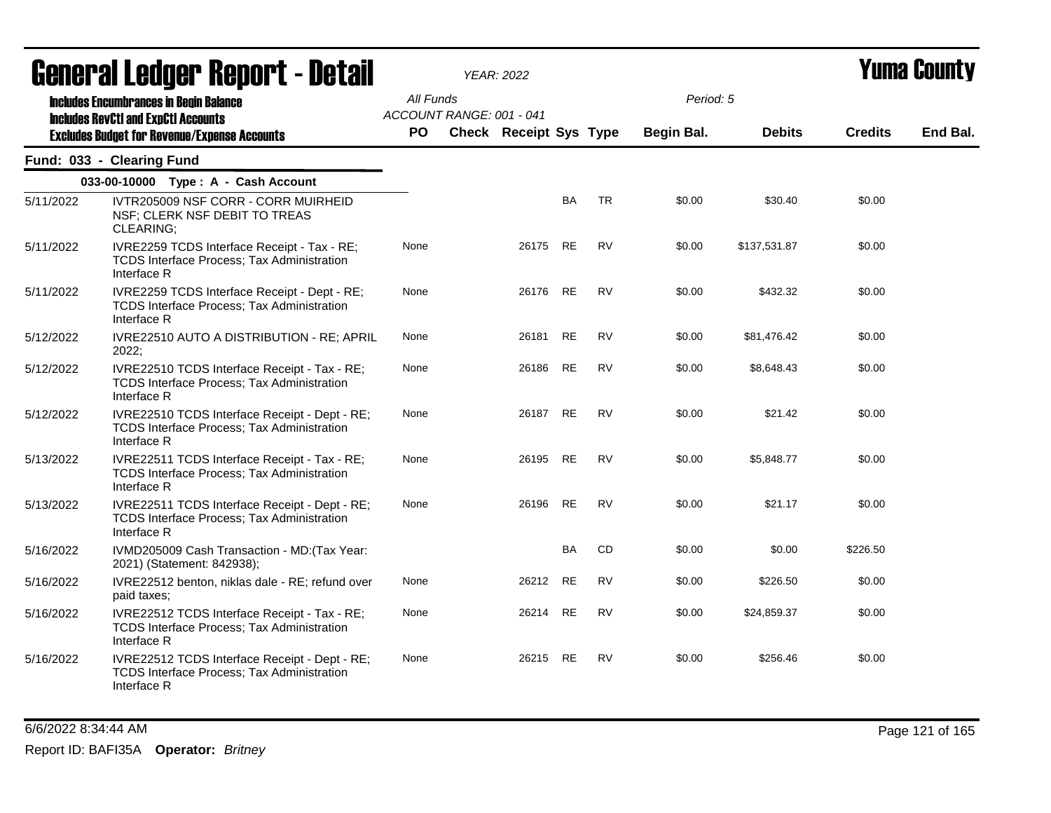|           | General Ledger Report - Detail                                                                                                                     |                        |                          | <b>YEAR: 2022</b>             |           |           |                         |               |                | <b>Yuma County</b> |
|-----------|----------------------------------------------------------------------------------------------------------------------------------------------------|------------------------|--------------------------|-------------------------------|-----------|-----------|-------------------------|---------------|----------------|--------------------|
|           | <b>Includes Encumbrances in Begin Balance</b><br><b>Includes RevCtI and ExpCtI Accounts</b><br><b>Excludes Budget for Revenue/Expense Accounts</b> | All Funds<br><b>PO</b> | ACCOUNT RANGE: 001 - 041 | <b>Check Receipt Sys Type</b> |           |           | Period: 5<br>Begin Bal. | <b>Debits</b> | <b>Credits</b> | End Bal.           |
|           | Fund: 033 - Clearing Fund                                                                                                                          |                        |                          |                               |           |           |                         |               |                |                    |
|           | 033-00-10000 Type: A - Cash Account                                                                                                                |                        |                          |                               |           |           |                         |               |                |                    |
| 5/11/2022 | IVTR205009 NSF CORR - CORR MUIRHEID<br>NSF; CLERK NSF DEBIT TO TREAS<br>CLEARING;                                                                  |                        |                          |                               | <b>BA</b> | <b>TR</b> | \$0.00                  | \$30.40       | \$0.00         |                    |
| 5/11/2022 | IVRE2259 TCDS Interface Receipt - Tax - RE;<br><b>TCDS Interface Process; Tax Administration</b><br>Interface R                                    | None                   |                          | 26175                         | <b>RE</b> | <b>RV</b> | \$0.00                  | \$137,531.87  | \$0.00         |                    |
| 5/11/2022 | IVRE2259 TCDS Interface Receipt - Dept - RE;<br>TCDS Interface Process; Tax Administration<br>Interface R                                          | None                   |                          | 26176                         | <b>RE</b> | <b>RV</b> | \$0.00                  | \$432.32      | \$0.00         |                    |
| 5/12/2022 | IVRE22510 AUTO A DISTRIBUTION - RE; APRIL<br>2022;                                                                                                 | None                   |                          | 26181                         | RE        | <b>RV</b> | \$0.00                  | \$81,476.42   | \$0.00         |                    |
| 5/12/2022 | IVRE22510 TCDS Interface Receipt - Tax - RE;<br>TCDS Interface Process; Tax Administration<br>Interface R                                          | None                   |                          | 26186                         | <b>RE</b> | <b>RV</b> | \$0.00                  | \$8,648.43    | \$0.00         |                    |
| 5/12/2022 | IVRE22510 TCDS Interface Receipt - Dept - RE;<br>TCDS Interface Process; Tax Administration<br>Interface R                                         | None                   |                          | 26187                         | <b>RE</b> | <b>RV</b> | \$0.00                  | \$21.42       | \$0.00         |                    |
| 5/13/2022 | IVRE22511 TCDS Interface Receipt - Tax - RE;<br>TCDS Interface Process; Tax Administration<br>Interface R                                          | None                   |                          | 26195 RE                      |           | <b>RV</b> | \$0.00                  | \$5,848.77    | \$0.00         |                    |
| 5/13/2022 | IVRE22511 TCDS Interface Receipt - Dept - RE;<br><b>TCDS Interface Process; Tax Administration</b><br>Interface R                                  | None                   |                          | 26196                         | RE        | <b>RV</b> | \$0.00                  | \$21.17       | \$0.00         |                    |
| 5/16/2022 | IVMD205009 Cash Transaction - MD: (Tax Year:<br>2021) (Statement: 842938);                                                                         |                        |                          |                               | <b>BA</b> | CD        | \$0.00                  | \$0.00        | \$226.50       |                    |
| 5/16/2022 | IVRE22512 benton, niklas dale - RE; refund over<br>paid taxes;                                                                                     | None                   |                          | 26212                         | <b>RE</b> | <b>RV</b> | \$0.00                  | \$226.50      | \$0.00         |                    |
| 5/16/2022 | IVRE22512 TCDS Interface Receipt - Tax - RE;<br>TCDS Interface Process; Tax Administration<br>Interface R                                          | None                   |                          | 26214 RE                      |           | <b>RV</b> | \$0.00                  | \$24,859.37   | \$0.00         |                    |
| 5/16/2022 | IVRE22512 TCDS Interface Receipt - Dept - RE;<br>TCDS Interface Process; Tax Administration<br>Interface R                                         | None                   |                          | 26215                         | <b>RE</b> | <b>RV</b> | \$0.00                  | \$256.46      | \$0.00         |                    |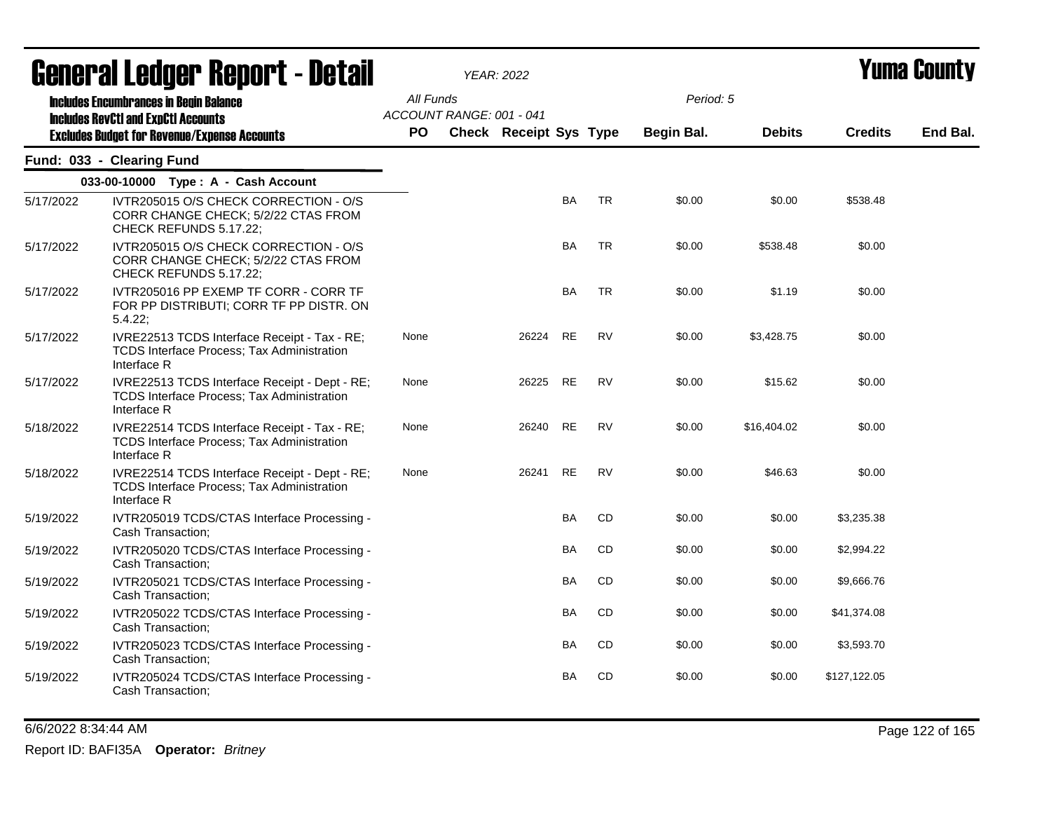|           | General Ledger Report - Detail                                                                                   |           |                          | <b>YEAR: 2022</b>             |           |           |            |               | Yuma Countv    |          |
|-----------|------------------------------------------------------------------------------------------------------------------|-----------|--------------------------|-------------------------------|-----------|-----------|------------|---------------|----------------|----------|
|           | <b>Includes Encumbrances in Begin Balance</b><br><b>Includes RevCtI and ExpCtI Accounts</b>                      | All Funds | ACCOUNT RANGE: 001 - 041 |                               |           |           | Period: 5  |               |                |          |
|           | <b>Excludes Budget for Revenue/Expense Accounts</b>                                                              | <b>PO</b> |                          | <b>Check Receipt Sys Type</b> |           |           | Begin Bal. | <b>Debits</b> | <b>Credits</b> | End Bal. |
|           | Fund: 033 - Clearing Fund                                                                                        |           |                          |                               |           |           |            |               |                |          |
|           | 033-00-10000 Type: A - Cash Account                                                                              |           |                          |                               |           |           |            |               |                |          |
| 5/17/2022 | IVTR205015 O/S CHECK CORRECTION - O/S<br>CORR CHANGE CHECK; 5/2/22 CTAS FROM<br>CHECK REFUNDS 5.17.22;           |           |                          |                               | <b>BA</b> | TR        | \$0.00     | \$0.00        | \$538.48       |          |
| 5/17/2022 | IVTR205015 O/S CHECK CORRECTION - O/S<br>CORR CHANGE CHECK; 5/2/22 CTAS FROM<br>CHECK REFUNDS 5.17.22;           |           |                          |                               | BA        | <b>TR</b> | \$0.00     | \$538.48      | \$0.00         |          |
| 5/17/2022 | IVTR205016 PP EXEMP TF CORR - CORR TF<br>FOR PP DISTRIBUTI; CORR TF PP DISTR. ON<br>5.4.22;                      |           |                          |                               | <b>BA</b> | <b>TR</b> | \$0.00     | \$1.19        | \$0.00         |          |
| 5/17/2022 | IVRE22513 TCDS Interface Receipt - Tax - RE;<br><b>TCDS Interface Process; Tax Administration</b><br>Interface R | None      |                          | 26224                         | <b>RE</b> | <b>RV</b> | \$0.00     | \$3,428.75    | \$0.00         |          |
| 5/17/2022 | IVRE22513 TCDS Interface Receipt - Dept - RE;<br>TCDS Interface Process; Tax Administration<br>Interface R       | None      |                          | 26225                         | <b>RE</b> | <b>RV</b> | \$0.00     | \$15.62       | \$0.00         |          |
| 5/18/2022 | IVRE22514 TCDS Interface Receipt - Tax - RE;<br><b>TCDS Interface Process; Tax Administration</b><br>Interface R | None      |                          | 26240                         | <b>RE</b> | <b>RV</b> | \$0.00     | \$16,404.02   | \$0.00         |          |
| 5/18/2022 | IVRE22514 TCDS Interface Receipt - Dept - RE;<br>TCDS Interface Process; Tax Administration<br>Interface R       | None      |                          | 26241                         | <b>RE</b> | <b>RV</b> | \$0.00     | \$46.63       | \$0.00         |          |
| 5/19/2022 | IVTR205019 TCDS/CTAS Interface Processing -<br>Cash Transaction;                                                 |           |                          |                               | BA        | CD        | \$0.00     | \$0.00        | \$3,235.38     |          |
| 5/19/2022 | IVTR205020 TCDS/CTAS Interface Processing -<br>Cash Transaction;                                                 |           |                          |                               | BA        | CD        | \$0.00     | \$0.00        | \$2,994.22     |          |
| 5/19/2022 | IVTR205021 TCDS/CTAS Interface Processing -<br>Cash Transaction;                                                 |           |                          |                               | BA        | CD        | \$0.00     | \$0.00        | \$9,666.76     |          |
| 5/19/2022 | IVTR205022 TCDS/CTAS Interface Processing -<br>Cash Transaction;                                                 |           |                          |                               | BA        | CD        | \$0.00     | \$0.00        | \$41,374.08    |          |
| 5/19/2022 | IVTR205023 TCDS/CTAS Interface Processing -<br>Cash Transaction;                                                 |           |                          |                               | BA        | CD        | \$0.00     | \$0.00        | \$3,593.70     |          |
| 5/19/2022 | IVTR205024 TCDS/CTAS Interface Processing -<br>Cash Transaction;                                                 |           |                          |                               | BA        | CD        | \$0.00     | \$0.00        | \$127,122.05   |          |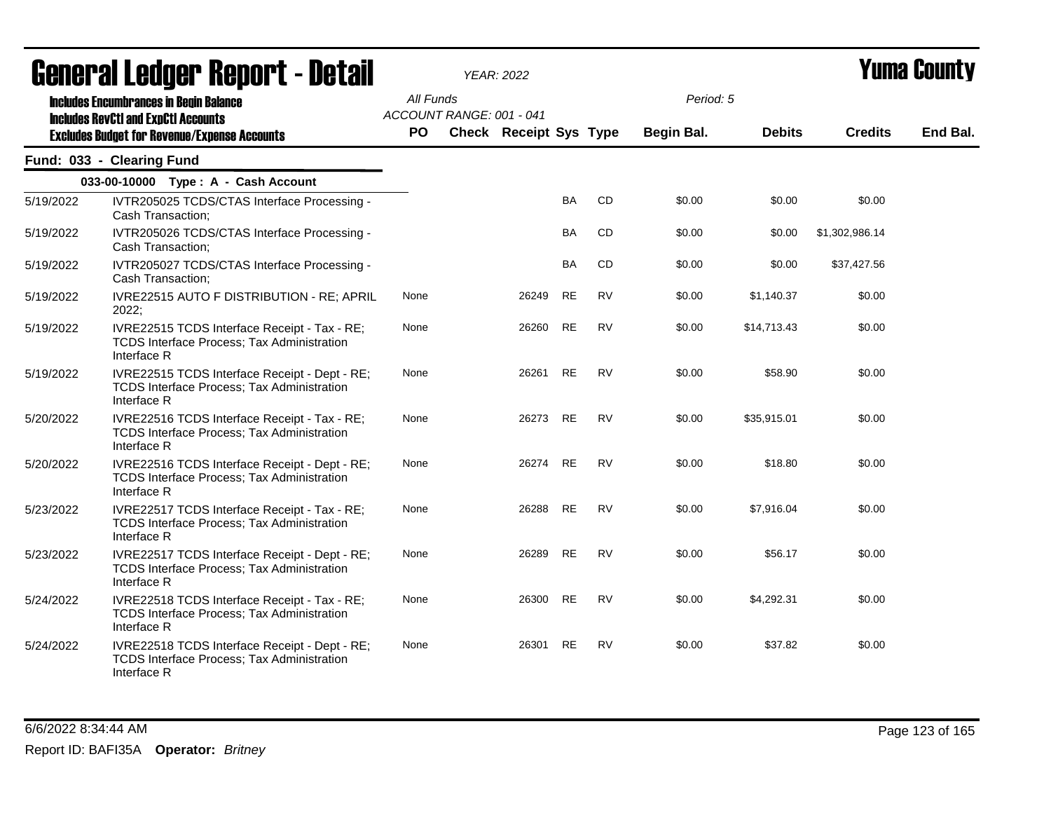|           | ugligi ai Lguygi "Ngµui"l - Dglaii                                                                                                                 |                 |                          | YEAR: 2022             |           |           |                                |               |                | I UIIIU VVUIIL\ |
|-----------|----------------------------------------------------------------------------------------------------------------------------------------------------|-----------------|--------------------------|------------------------|-----------|-----------|--------------------------------|---------------|----------------|-----------------|
|           | <b>Includes Encumbrances in Begin Balance</b><br><b>Includes RevCtI and ExpCtI Accounts</b><br><b>Excludes Budget for Revenue/Expense Accounts</b> | All Funds<br>PO | ACCOUNT RANGE: 001 - 041 | Check Receipt Sys Type |           |           | Period: 5<br><b>Begin Bal.</b> | <b>Debits</b> | <b>Credits</b> | End Bal.        |
|           | Fund: 033 - Clearing Fund                                                                                                                          |                 |                          |                        |           |           |                                |               |                |                 |
|           | 033-00-10000 Type: A - Cash Account                                                                                                                |                 |                          |                        |           |           |                                |               |                |                 |
| 5/19/2022 | IVTR205025 TCDS/CTAS Interface Processing -<br>Cash Transaction;                                                                                   |                 |                          |                        | <b>BA</b> | CD        | \$0.00                         | \$0.00        | \$0.00         |                 |
| 5/19/2022 | IVTR205026 TCDS/CTAS Interface Processing -<br>Cash Transaction;                                                                                   |                 |                          |                        | <b>BA</b> | <b>CD</b> | \$0.00                         | \$0.00        | \$1,302,986.14 |                 |
| 5/19/2022 | IVTR205027 TCDS/CTAS Interface Processing -<br>Cash Transaction;                                                                                   |                 |                          |                        | BA        | CD        | \$0.00                         | \$0.00        | \$37,427.56    |                 |
| 5/19/2022 | IVRE22515 AUTO F DISTRIBUTION - RE; APRIL<br>2022;                                                                                                 | None            |                          | 26249                  | <b>RE</b> | <b>RV</b> | \$0.00                         | \$1,140.37    | \$0.00         |                 |
| 5/19/2022 | IVRE22515 TCDS Interface Receipt - Tax - RE;<br>TCDS Interface Process; Tax Administration<br>Interface R                                          | None            |                          | 26260                  | <b>RE</b> | <b>RV</b> | \$0.00                         | \$14,713.43   | \$0.00         |                 |
| 5/19/2022 | IVRE22515 TCDS Interface Receipt - Dept - RE;<br>TCDS Interface Process; Tax Administration<br>Interface R                                         | None            |                          | 26261                  | <b>RE</b> | <b>RV</b> | \$0.00                         | \$58.90       | \$0.00         |                 |
| 5/20/2022 | IVRE22516 TCDS Interface Receipt - Tax - RE;<br>TCDS Interface Process; Tax Administration<br>Interface R                                          | None            |                          | 26273                  | <b>RE</b> | <b>RV</b> | \$0.00                         | \$35,915.01   | \$0.00         |                 |
| 5/20/2022 | IVRE22516 TCDS Interface Receipt - Dept - RE;<br>TCDS Interface Process; Tax Administration<br>Interface R                                         | None            |                          | 26274                  | <b>RE</b> | <b>RV</b> | \$0.00                         | \$18.80       | \$0.00         |                 |
| 5/23/2022 | IVRE22517 TCDS Interface Receipt - Tax - RE;<br>TCDS Interface Process; Tax Administration<br>Interface R                                          | None            |                          | 26288                  | RE        | <b>RV</b> | \$0.00                         | \$7,916.04    | \$0.00         |                 |
| 5/23/2022 | IVRE22517 TCDS Interface Receipt - Dept - RE;<br><b>TCDS Interface Process; Tax Administration</b><br>Interface R                                  | None            |                          | 26289                  | <b>RE</b> | <b>RV</b> | \$0.00                         | \$56.17       | \$0.00         |                 |
| 5/24/2022 | IVRE22518 TCDS Interface Receipt - Tax - RE;<br><b>TCDS Interface Process; Tax Administration</b><br>Interface R                                   | None            |                          | 26300                  | <b>RE</b> | <b>RV</b> | \$0.00                         | \$4,292.31    | \$0.00         |                 |
| 5/24/2022 | IVRE22518 TCDS Interface Receipt - Dept - RE;<br>TCDS Interface Process; Tax Administration<br>Interface R                                         | None            |                          | 26301                  | <b>RE</b> | <b>RV</b> | \$0.00                         | \$37.82       | \$0.00         |                 |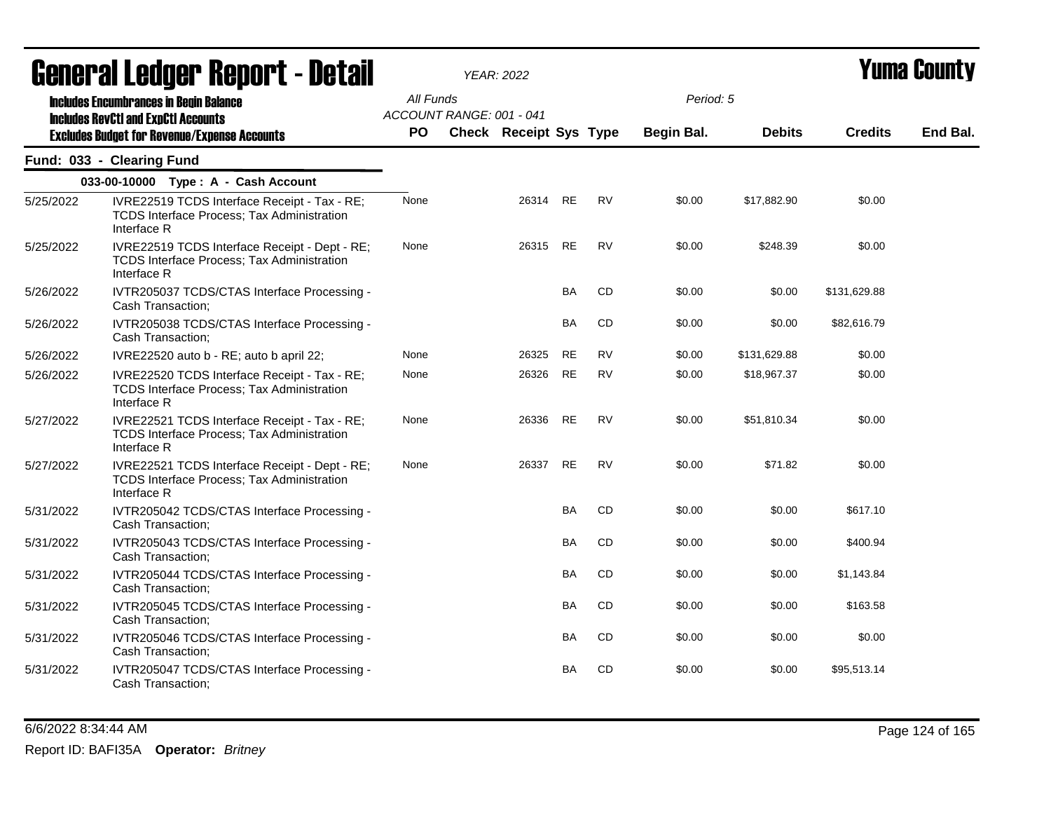|           | agligi ai fanñal. Ughni f - neful                                                                                                                  |                        |                          | YEAR: 2022                    |           |           |                         |               |                | I UIIIU VUUIILY |
|-----------|----------------------------------------------------------------------------------------------------------------------------------------------------|------------------------|--------------------------|-------------------------------|-----------|-----------|-------------------------|---------------|----------------|-----------------|
|           | <b>Includes Encumbrances in Begin Balance</b><br><b>Includes RevCtI and ExpCtI Accounts</b><br><b>Excludes Budget for Revenue/Expense Accounts</b> | All Funds<br><b>PO</b> | ACCOUNT RANGE: 001 - 041 | <b>Check Receipt Sys Type</b> |           |           | Period: 5<br>Begin Bal. | <b>Debits</b> | <b>Credits</b> | End Bal.        |
|           |                                                                                                                                                    |                        |                          |                               |           |           |                         |               |                |                 |
|           | Fund: 033 - Clearing Fund                                                                                                                          |                        |                          |                               |           |           |                         |               |                |                 |
|           | 033-00-10000 Type: A - Cash Account                                                                                                                |                        |                          |                               |           |           |                         |               |                |                 |
| 5/25/2022 | IVRE22519 TCDS Interface Receipt - Tax - RE;<br><b>TCDS Interface Process; Tax Administration</b><br>Interface R                                   | None                   |                          | 26314                         | <b>RE</b> | <b>RV</b> | \$0.00                  | \$17,882.90   | \$0.00         |                 |
| 5/25/2022 | IVRE22519 TCDS Interface Receipt - Dept - RE;<br>TCDS Interface Process; Tax Administration<br>Interface R                                         | None                   |                          | 26315                         | <b>RE</b> | <b>RV</b> | \$0.00                  | \$248.39      | \$0.00         |                 |
| 5/26/2022 | IVTR205037 TCDS/CTAS Interface Processing -<br>Cash Transaction;                                                                                   |                        |                          |                               | <b>BA</b> | CD        | \$0.00                  | \$0.00        | \$131,629.88   |                 |
| 5/26/2022 | IVTR205038 TCDS/CTAS Interface Processing -<br>Cash Transaction;                                                                                   |                        |                          |                               | <b>BA</b> | CD        | \$0.00                  | \$0.00        | \$82,616.79    |                 |
| 5/26/2022 | IVRE22520 auto b - RE; auto b april 22;                                                                                                            | None                   |                          | 26325                         | <b>RE</b> | RV        | \$0.00                  | \$131,629.88  | \$0.00         |                 |
| 5/26/2022 | IVRE22520 TCDS Interface Receipt - Tax - RE;<br><b>TCDS Interface Process; Tax Administration</b><br>Interface R                                   | None                   |                          | 26326                         | <b>RE</b> | <b>RV</b> | \$0.00                  | \$18,967.37   | \$0.00         |                 |
| 5/27/2022 | IVRE22521 TCDS Interface Receipt - Tax - RE;<br>TCDS Interface Process; Tax Administration<br>Interface R                                          | None                   |                          | 26336                         | <b>RE</b> | <b>RV</b> | \$0.00                  | \$51,810.34   | \$0.00         |                 |
| 5/27/2022 | IVRE22521 TCDS Interface Receipt - Dept - RE;<br>TCDS Interface Process; Tax Administration<br>Interface R                                         | None                   |                          | 26337                         | <b>RE</b> | <b>RV</b> | \$0.00                  | \$71.82       | \$0.00         |                 |
| 5/31/2022 | IVTR205042 TCDS/CTAS Interface Processing -<br>Cash Transaction;                                                                                   |                        |                          |                               | <b>BA</b> | CD        | \$0.00                  | \$0.00        | \$617.10       |                 |
| 5/31/2022 | IVTR205043 TCDS/CTAS Interface Processing -<br>Cash Transaction;                                                                                   |                        |                          |                               | BA        | CD        | \$0.00                  | \$0.00        | \$400.94       |                 |
| 5/31/2022 | IVTR205044 TCDS/CTAS Interface Processing -<br>Cash Transaction;                                                                                   |                        |                          |                               | BA        | CD        | \$0.00                  | \$0.00        | \$1,143.84     |                 |
| 5/31/2022 | IVTR205045 TCDS/CTAS Interface Processing -<br>Cash Transaction;                                                                                   |                        |                          |                               | BA        | CD        | \$0.00                  | \$0.00        | \$163.58       |                 |
| 5/31/2022 | IVTR205046 TCDS/CTAS Interface Processing -<br>Cash Transaction;                                                                                   |                        |                          |                               | BA        | CD        | \$0.00                  | \$0.00        | \$0.00         |                 |
| 5/31/2022 | IVTR205047 TCDS/CTAS Interface Processing -<br>Cash Transaction;                                                                                   |                        |                          |                               | <b>BA</b> | CD        | \$0.00                  | \$0.00        | \$95,513.14    |                 |

6/6/2022 8:34:44 AM Page 124 of 165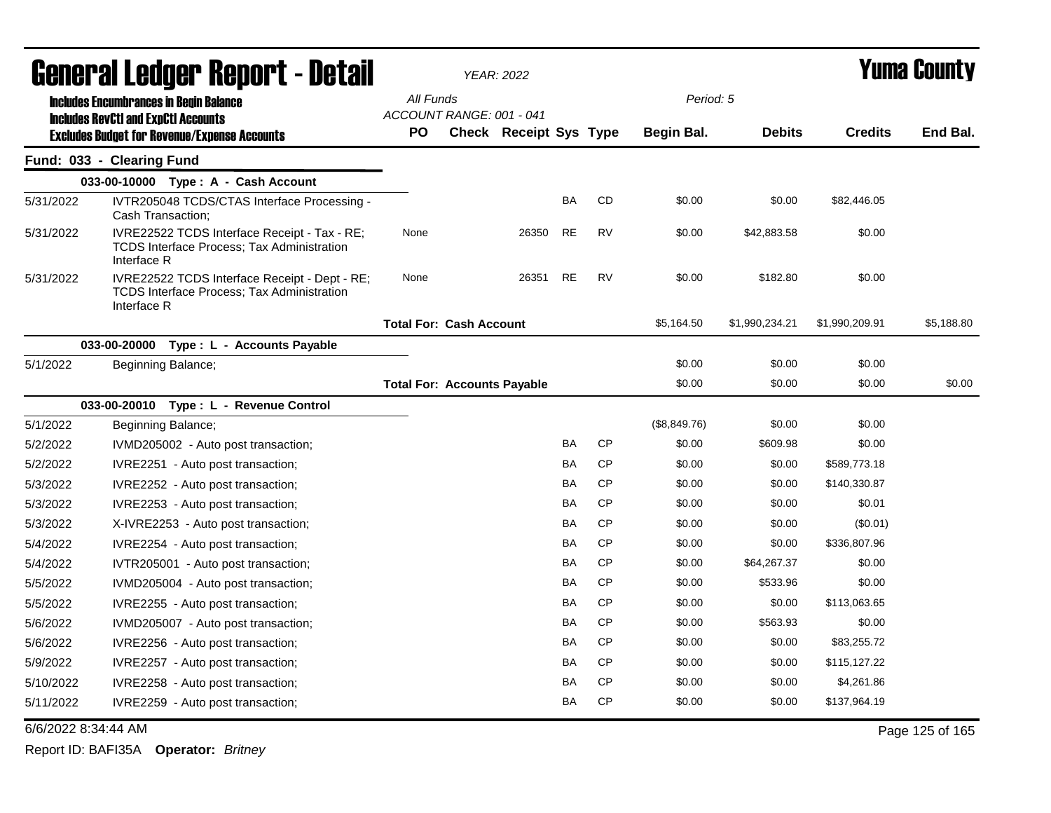|                     | <b>General Ledger Report - Detail</b>                                                                             |                                       | <b>YEAR: 2022</b>             |           |           |              |                |                | <b>Yuma County</b> |
|---------------------|-------------------------------------------------------------------------------------------------------------------|---------------------------------------|-------------------------------|-----------|-----------|--------------|----------------|----------------|--------------------|
|                     | <b>Includes Encumbrances in Begin Balance</b>                                                                     | All Funds                             |                               |           |           | Period: 5    |                |                |                    |
|                     | <b>Includes RevCtI and ExpCtI Accounts</b><br><b>Excludes Budget for Revenue/Expense Accounts</b>                 | ACCOUNT RANGE: 001 - 041<br><b>PO</b> | <b>Check Receipt Sys Type</b> |           |           | Begin Bal.   | <b>Debits</b>  | <b>Credits</b> | End Bal.           |
|                     | Fund: 033 - Clearing Fund                                                                                         |                                       |                               |           |           |              |                |                |                    |
|                     | 033-00-10000 Type: A - Cash Account                                                                               |                                       |                               |           |           |              |                |                |                    |
| 5/31/2022           | IVTR205048 TCDS/CTAS Interface Processing -<br>Cash Transaction;                                                  |                                       |                               | BA        | CD        | \$0.00       | \$0.00         | \$82,446.05    |                    |
| 5/31/2022           | IVRE22522 TCDS Interface Receipt - Tax - RE;<br><b>TCDS Interface Process; Tax Administration</b><br>Interface R  | None                                  | 26350                         | <b>RE</b> | <b>RV</b> | \$0.00       | \$42,883.58    | \$0.00         |                    |
| 5/31/2022           | IVRE22522 TCDS Interface Receipt - Dept - RE;<br><b>TCDS Interface Process; Tax Administration</b><br>Interface R | None                                  | 26351                         | <b>RE</b> | <b>RV</b> | \$0.00       | \$182.80       | \$0.00         |                    |
|                     |                                                                                                                   | <b>Total For: Cash Account</b>        |                               |           |           | \$5,164.50   | \$1,990,234.21 | \$1,990,209.91 | \$5,188.80         |
|                     | 033-00-20000<br>Type : L - Accounts Payable                                                                       |                                       |                               |           |           |              |                |                |                    |
| 5/1/2022            | Beginning Balance;                                                                                                |                                       |                               |           |           | \$0.00       | \$0.00         | \$0.00         |                    |
|                     |                                                                                                                   | <b>Total For: Accounts Payable</b>    |                               |           |           | \$0.00       | \$0.00         | \$0.00         | \$0.00             |
|                     | 033-00-20010 Type: L - Revenue Control                                                                            |                                       |                               |           |           |              |                |                |                    |
| 5/1/2022            | Beginning Balance;                                                                                                |                                       |                               |           |           | (\$8,849.76) | \$0.00         | \$0.00         |                    |
| 5/2/2022            | IVMD205002 - Auto post transaction;                                                                               |                                       |                               | <b>BA</b> | CP        | \$0.00       | \$609.98       | \$0.00         |                    |
| 5/2/2022            | IVRE2251 - Auto post transaction;                                                                                 |                                       |                               | <b>BA</b> | <b>CP</b> | \$0.00       | \$0.00         | \$589,773.18   |                    |
| 5/3/2022            | IVRE2252 - Auto post transaction;                                                                                 |                                       |                               | <b>BA</b> | <b>CP</b> | \$0.00       | \$0.00         | \$140,330.87   |                    |
| 5/3/2022            | IVRE2253 - Auto post transaction;                                                                                 |                                       |                               | <b>BA</b> | CP        | \$0.00       | \$0.00         | \$0.01         |                    |
| 5/3/2022            | X-IVRE2253 - Auto post transaction;                                                                               |                                       |                               | BA        | <b>CP</b> | \$0.00       | \$0.00         | $(\$0.01)$     |                    |
| 5/4/2022            | IVRE2254 - Auto post transaction;                                                                                 |                                       |                               | <b>BA</b> | CP        | \$0.00       | \$0.00         | \$336,807.96   |                    |
| 5/4/2022            | IVTR205001 - Auto post transaction;                                                                               |                                       |                               | <b>BA</b> | CP        | \$0.00       | \$64,267.37    | \$0.00         |                    |
| 5/5/2022            | IVMD205004 - Auto post transaction;                                                                               |                                       |                               | BA        | <b>CP</b> | \$0.00       | \$533.96       | \$0.00         |                    |
| 5/5/2022            | IVRE2255 - Auto post transaction;                                                                                 |                                       |                               | <b>BA</b> | <b>CP</b> | \$0.00       | \$0.00         | \$113,063.65   |                    |
| 5/6/2022            | IVMD205007 - Auto post transaction;                                                                               |                                       |                               | <b>BA</b> | <b>CP</b> | \$0.00       | \$563.93       | \$0.00         |                    |
| 5/6/2022            | IVRE2256 - Auto post transaction;                                                                                 |                                       |                               | BA        | <b>CP</b> | \$0.00       | \$0.00         | \$83,255.72    |                    |
| 5/9/2022            | IVRE2257 - Auto post transaction;                                                                                 |                                       |                               | <b>BA</b> | CP        | \$0.00       | \$0.00         | \$115,127.22   |                    |
| 5/10/2022           | IVRE2258 - Auto post transaction;                                                                                 |                                       |                               | <b>BA</b> | CP        | \$0.00       | \$0.00         | \$4,261.86     |                    |
| 5/11/2022           | IVRE2259 - Auto post transaction;                                                                                 |                                       |                               | BA        | <b>CP</b> | \$0.00       | \$0.00         | \$137,964.19   |                    |
| 6/6/2022 8:34:44 AM |                                                                                                                   |                                       |                               |           |           |              |                |                | Page 125 of 165    |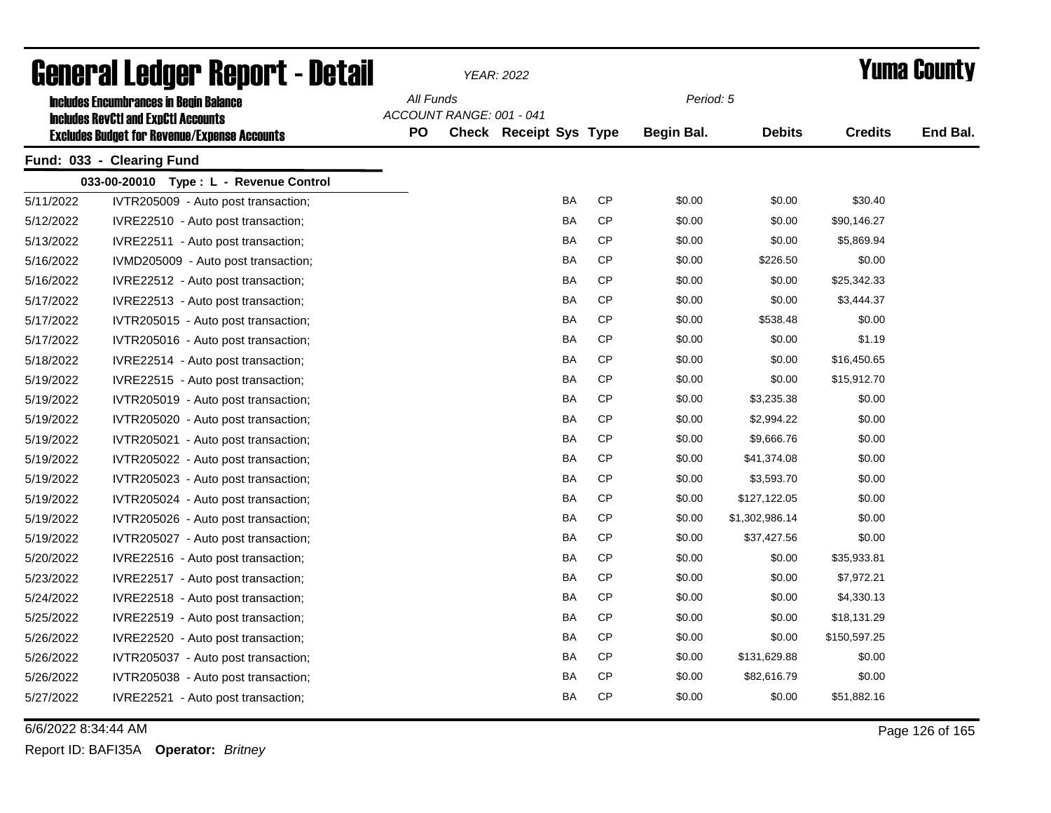| General Ledger Report - Detail |                                                                                             |           |                          | YEAR: 2022                    |           | <b>Yuma County</b> |                |                |          |
|--------------------------------|---------------------------------------------------------------------------------------------|-----------|--------------------------|-------------------------------|-----------|--------------------|----------------|----------------|----------|
|                                | <b>Includes Encumbrances in Begin Balance</b><br><b>Includes RevCtI and ExpCtI Accounts</b> | All Funds | ACCOUNT RANGE: 001 - 041 |                               |           | Period: 5          |                |                |          |
|                                | <b>Excludes Budget for Revenue/Expense Accounts</b>                                         | <b>PO</b> |                          | <b>Check Receipt Sys Type</b> |           | Begin Bal.         | <b>Debits</b>  | <b>Credits</b> | End Bal. |
|                                | Fund: 033 - Clearing Fund                                                                   |           |                          |                               |           |                    |                |                |          |
|                                | 033-00-20010 Type: L - Revenue Control                                                      |           |                          |                               |           |                    |                |                |          |
| 5/11/2022                      | IVTR205009 - Auto post transaction;                                                         |           |                          | BA                            | <b>CP</b> | \$0.00             | \$0.00         | \$30.40        |          |
| 5/12/2022                      | IVRE22510 - Auto post transaction;                                                          |           |                          | <b>BA</b>                     | <b>CP</b> | \$0.00             | \$0.00         | \$90,146.27    |          |
| 5/13/2022                      | IVRE22511 - Auto post transaction;                                                          |           |                          | BA                            | СP        | \$0.00             | \$0.00         | \$5,869.94     |          |
| 5/16/2022                      | IVMD205009 - Auto post transaction;                                                         |           |                          | BA                            | <b>CP</b> | \$0.00             | \$226.50       | \$0.00         |          |
| 5/16/2022                      | IVRE22512 - Auto post transaction;                                                          |           |                          | BA                            | СP        | \$0.00             | \$0.00         | \$25,342.33    |          |
| 5/17/2022                      | IVRE22513 - Auto post transaction;                                                          |           |                          | BA                            | <b>CP</b> | \$0.00             | \$0.00         | \$3,444.37     |          |
| 5/17/2022                      | IVTR205015 - Auto post transaction;                                                         |           |                          | BA                            | <b>CP</b> | \$0.00             | \$538.48       | \$0.00         |          |
| 5/17/2022                      | IVTR205016 - Auto post transaction;                                                         |           |                          | BA                            | <b>CP</b> | \$0.00             | \$0.00         | \$1.19         |          |
| 5/18/2022                      | IVRE22514 - Auto post transaction;                                                          |           |                          | BA                            | <b>CP</b> | \$0.00             | \$0.00         | \$16,450.65    |          |
| 5/19/2022                      | IVRE22515 - Auto post transaction;                                                          |           |                          | BA                            | <b>CP</b> | \$0.00             | \$0.00         | \$15,912.70    |          |
| 5/19/2022                      | IVTR205019 - Auto post transaction;                                                         |           |                          | BA                            | <b>CP</b> | \$0.00             | \$3,235.38     | \$0.00         |          |
| 5/19/2022                      | IVTR205020 - Auto post transaction;                                                         |           |                          | BA                            | <b>CP</b> | \$0.00             | \$2,994.22     | \$0.00         |          |
| 5/19/2022                      | IVTR205021 - Auto post transaction;                                                         |           |                          | BA                            | <b>CP</b> | \$0.00             | \$9,666.76     | \$0.00         |          |
| 5/19/2022                      | IVTR205022 - Auto post transaction;                                                         |           |                          | BA                            | <b>CP</b> | \$0.00             | \$41,374.08    | \$0.00         |          |
| 5/19/2022                      | IVTR205023 - Auto post transaction;                                                         |           |                          | BA                            | CP        | \$0.00             | \$3,593.70     | \$0.00         |          |
| 5/19/2022                      | IVTR205024 - Auto post transaction;                                                         |           |                          | BA                            | CP        | \$0.00             | \$127,122.05   | \$0.00         |          |
| 5/19/2022                      | IVTR205026 - Auto post transaction;                                                         |           |                          | BA                            | CP        | \$0.00             | \$1,302,986.14 | \$0.00         |          |
| 5/19/2022                      | IVTR205027 - Auto post transaction;                                                         |           |                          | BA                            | CP        | \$0.00             | \$37,427.56    | \$0.00         |          |
| 5/20/2022                      | IVRE22516 - Auto post transaction;                                                          |           |                          | BA                            | CP        | \$0.00             | \$0.00         | \$35,933.81    |          |
| 5/23/2022                      | IVRE22517 - Auto post transaction;                                                          |           |                          | BA                            | <b>CP</b> | \$0.00             | \$0.00         | \$7,972.21     |          |
| 5/24/2022                      | IVRE22518 - Auto post transaction;                                                          |           |                          | BA                            | CP        | \$0.00             | \$0.00         | \$4,330.13     |          |
| 5/25/2022                      | IVRE22519 - Auto post transaction;                                                          |           |                          | <b>BA</b>                     | <b>CP</b> | \$0.00             | \$0.00         | \$18,131.29    |          |
| 5/26/2022                      | IVRE22520 - Auto post transaction;                                                          |           |                          | BA                            | <b>CP</b> | \$0.00             | \$0.00         | \$150,597.25   |          |
| 5/26/2022                      | IVTR205037 - Auto post transaction;                                                         |           |                          | BA                            | <b>CP</b> | \$0.00             | \$131,629.88   | \$0.00         |          |
| 5/26/2022                      | IVTR205038 - Auto post transaction;                                                         |           |                          | BA                            | CP        | \$0.00             | \$82,616.79    | \$0.00         |          |
| 5/27/2022                      | IVRE22521 - Auto post transaction;                                                          |           |                          | <b>BA</b>                     | <b>CP</b> | \$0.00             | \$0.00         | \$51,882.16    |          |

6/6/2022 8:34:44 AM Page 126 of 165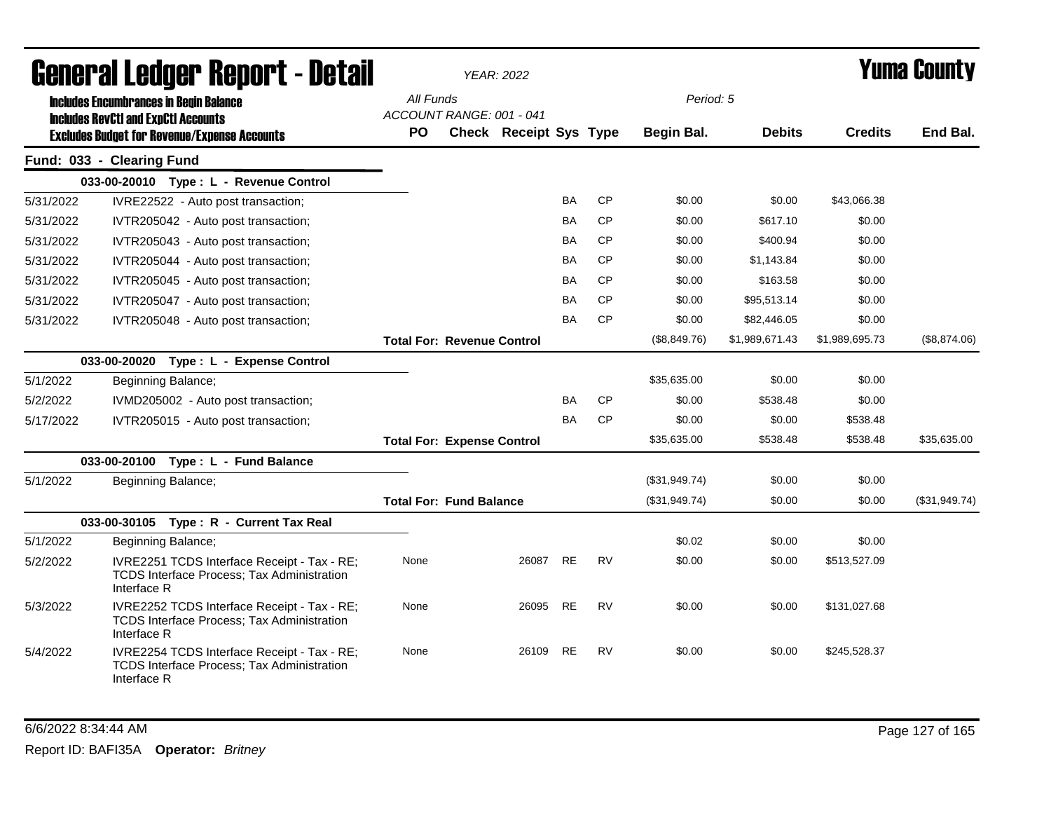| General Ledger Report - Detail |                                                                                                                 | <b>YEAR: 2022</b>                     |  |                               |           |           |               |                |                | Yuma County   |  |
|--------------------------------|-----------------------------------------------------------------------------------------------------------------|---------------------------------------|--|-------------------------------|-----------|-----------|---------------|----------------|----------------|---------------|--|
|                                | <b>Includes Encumbrances in Begin Balance</b>                                                                   | All Funds<br>ACCOUNT RANGE: 001 - 041 |  |                               |           |           | Period: 5     |                |                |               |  |
|                                | <b>Includes RevCtI and ExpCtI Accounts</b><br><b>Excludes Budget for Revenue/Expense Accounts</b>               | <b>PO</b>                             |  | <b>Check Receipt Sys Type</b> |           |           | Begin Bal.    | <b>Debits</b>  | <b>Credits</b> | End Bal.      |  |
|                                | Fund: 033 - Clearing Fund                                                                                       |                                       |  |                               |           |           |               |                |                |               |  |
|                                | 033-00-20010 Type: L - Revenue Control                                                                          |                                       |  |                               |           |           |               |                |                |               |  |
| 5/31/2022                      | IVRE22522 - Auto post transaction;                                                                              |                                       |  |                               | BA        | <b>CP</b> | \$0.00        | \$0.00         | \$43,066.38    |               |  |
| 5/31/2022                      | IVTR205042 - Auto post transaction;                                                                             |                                       |  |                               | BA        | <b>CP</b> | \$0.00        | \$617.10       | \$0.00         |               |  |
| 5/31/2022                      | IVTR205043 - Auto post transaction;                                                                             |                                       |  |                               | BA        | <b>CP</b> | \$0.00        | \$400.94       | \$0.00         |               |  |
| 5/31/2022                      | IVTR205044 - Auto post transaction;                                                                             |                                       |  |                               | BA        | <b>CP</b> | \$0.00        | \$1,143.84     | \$0.00         |               |  |
| 5/31/2022                      | IVTR205045 - Auto post transaction;                                                                             |                                       |  |                               | BA        | <b>CP</b> | \$0.00        | \$163.58       | \$0.00         |               |  |
| 5/31/2022                      | IVTR205047 - Auto post transaction;                                                                             |                                       |  |                               | BA        | <b>CP</b> | \$0.00        | \$95,513.14    | \$0.00         |               |  |
| 5/31/2022                      | IVTR205048 - Auto post transaction;                                                                             |                                       |  |                               | <b>BA</b> | CP        | \$0.00        | \$82,446.05    | \$0.00         |               |  |
|                                |                                                                                                                 | <b>Total For: Revenue Control</b>     |  |                               |           |           | (\$8,849.76)  | \$1,989,671.43 | \$1,989,695.73 | (\$8,874.06)  |  |
|                                | 033-00-20020 Type: L - Expense Control                                                                          |                                       |  |                               |           |           |               |                |                |               |  |
| 5/1/2022                       | Beginning Balance;                                                                                              |                                       |  |                               |           |           | \$35,635.00   | \$0.00         | \$0.00         |               |  |
| 5/2/2022                       | IVMD205002 - Auto post transaction;                                                                             |                                       |  |                               | BA        | <b>CP</b> | \$0.00        | \$538.48       | \$0.00         |               |  |
| 5/17/2022                      | IVTR205015 - Auto post transaction;                                                                             |                                       |  |                               | <b>BA</b> | <b>CP</b> | \$0.00        | \$0.00         | \$538.48       |               |  |
|                                |                                                                                                                 | <b>Total For: Expense Control</b>     |  |                               |           |           | \$35,635.00   | \$538.48       | \$538.48       | \$35,635.00   |  |
|                                | 033-00-20100 Type: L - Fund Balance                                                                             |                                       |  |                               |           |           |               |                |                |               |  |
| 5/1/2022                       | Beginning Balance;                                                                                              |                                       |  |                               |           |           | (\$31,949.74) | \$0.00         | \$0.00         |               |  |
|                                |                                                                                                                 | <b>Total For: Fund Balance</b>        |  |                               |           |           | (\$31,949.74) | \$0.00         | \$0.00         | (\$31,949.74) |  |
|                                | 033-00-30105 Type: R - Current Tax Real                                                                         |                                       |  |                               |           |           |               |                |                |               |  |
| 5/1/2022                       | Beginning Balance;                                                                                              |                                       |  |                               |           |           | \$0.02        | \$0.00         | \$0.00         |               |  |
| 5/2/2022                       | IVRE2251 TCDS Interface Receipt - Tax - RE;<br><b>TCDS Interface Process; Tax Administration</b><br>Interface R | None                                  |  | 26087                         | <b>RE</b> | RV        | \$0.00        | \$0.00         | \$513,527.09   |               |  |
| 5/3/2022                       | IVRE2252 TCDS Interface Receipt - Tax - RE;<br>TCDS Interface Process; Tax Administration<br>Interface R        | None                                  |  | 26095                         | RE        | <b>RV</b> | \$0.00        | \$0.00         | \$131,027.68   |               |  |
| 5/4/2022                       | IVRE2254 TCDS Interface Receipt - Tax - RE;<br>TCDS Interface Process; Tax Administration<br>Interface R        | None                                  |  | 26109                         | RE        | <b>RV</b> | \$0.00        | \$0.00         | \$245,528.37   |               |  |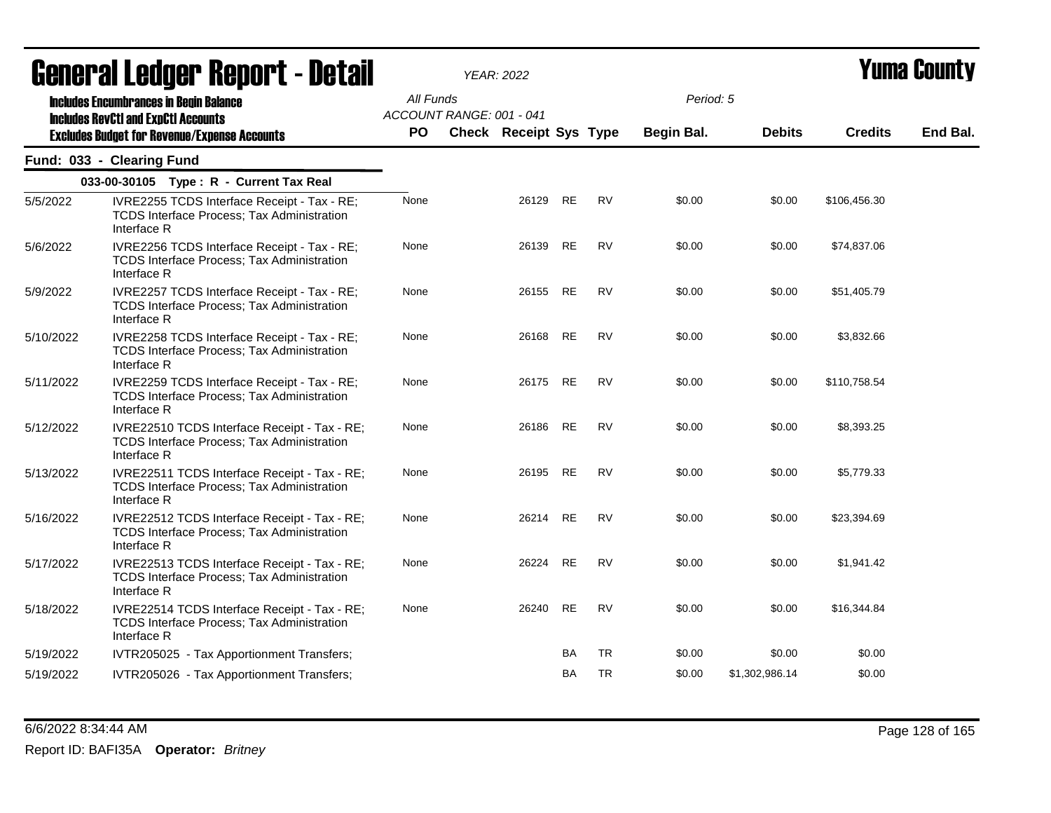| General Ledger Report - Detail |                                                                                                                                                    |                        | <b>YEAR: 2022</b>                                         |           |           | Yuma County             |                |                |          |
|--------------------------------|----------------------------------------------------------------------------------------------------------------------------------------------------|------------------------|-----------------------------------------------------------|-----------|-----------|-------------------------|----------------|----------------|----------|
|                                | <b>Includes Encumbrances in Begin Balance</b><br><b>Includes RevCtI and ExpCtI Accounts</b><br><b>Excludes Budget for Revenue/Expense Accounts</b> | All Funds<br><b>PO</b> | ACCOUNT RANGE: 001 - 041<br><b>Check Receipt Sys Type</b> |           |           | Period: 5<br>Begin Bal. | <b>Debits</b>  | <b>Credits</b> | End Bal. |
|                                | Fund: 033 - Clearing Fund                                                                                                                          |                        |                                                           |           |           |                         |                |                |          |
|                                | 033-00-30105 Type: R - Current Tax Real                                                                                                            |                        |                                                           |           |           |                         |                |                |          |
| 5/5/2022                       | IVRE2255 TCDS Interface Receipt - Tax - RE;<br><b>TCDS Interface Process; Tax Administration</b><br>Interface R                                    | None                   | 26129 RE                                                  |           | <b>RV</b> | \$0.00                  | \$0.00         | \$106,456.30   |          |
| 5/6/2022                       | IVRE2256 TCDS Interface Receipt - Tax - RE;<br><b>TCDS Interface Process; Tax Administration</b><br>Interface R                                    | None                   | 26139                                                     | <b>RE</b> | <b>RV</b> | \$0.00                  | \$0.00         | \$74,837.06    |          |
| 5/9/2022                       | IVRE2257 TCDS Interface Receipt - Tax - RE;<br>TCDS Interface Process; Tax Administration<br>Interface R                                           | None                   | 26155                                                     | RE        | <b>RV</b> | \$0.00                  | \$0.00         | \$51,405.79    |          |
| 5/10/2022                      | IVRE2258 TCDS Interface Receipt - Tax - RE;<br><b>TCDS Interface Process; Tax Administration</b><br>Interface R                                    | None                   | 26168 RE                                                  |           | <b>RV</b> | \$0.00                  | \$0.00         | \$3,832.66     |          |
| 5/11/2022                      | IVRE2259 TCDS Interface Receipt - Tax - RE;<br><b>TCDS Interface Process; Tax Administration</b><br>Interface R                                    | None                   | 26175 RE                                                  |           | <b>RV</b> | \$0.00                  | \$0.00         | \$110,758.54   |          |
| 5/12/2022                      | IVRE22510 TCDS Interface Receipt - Tax - RE;<br>TCDS Interface Process; Tax Administration<br>Interface R                                          | None                   | 26186                                                     | RE        | <b>RV</b> | \$0.00                  | \$0.00         | \$8,393.25     |          |
| 5/13/2022                      | IVRE22511 TCDS Interface Receipt - Tax - RE;<br><b>TCDS Interface Process; Tax Administration</b><br>Interface R                                   | None                   | 26195 RE                                                  |           | <b>RV</b> | \$0.00                  | \$0.00         | \$5,779.33     |          |
| 5/16/2022                      | IVRE22512 TCDS Interface Receipt - Tax - RE;<br>TCDS Interface Process; Tax Administration<br>Interface R                                          | None                   | 26214                                                     | <b>RE</b> | <b>RV</b> | \$0.00                  | \$0.00         | \$23,394.69    |          |
| 5/17/2022                      | IVRE22513 TCDS Interface Receipt - Tax - RE;<br>TCDS Interface Process; Tax Administration<br>Interface R                                          | None                   | 26224                                                     | <b>RE</b> | <b>RV</b> | \$0.00                  | \$0.00         | \$1,941.42     |          |
| 5/18/2022                      | IVRE22514 TCDS Interface Receipt - Tax - RE;<br>TCDS Interface Process; Tax Administration<br>Interface R                                          | None                   | 26240                                                     | <b>RE</b> | <b>RV</b> | \$0.00                  | \$0.00         | \$16,344.84    |          |
| 5/19/2022                      | IVTR205025 - Tax Apportionment Transfers;                                                                                                          |                        |                                                           | BA        | TR        | \$0.00                  | \$0.00         | \$0.00         |          |
| 5/19/2022                      | IVTR205026 - Tax Apportionment Transfers;                                                                                                          |                        |                                                           | BA        | <b>TR</b> | \$0.00                  | \$1,302,986.14 | \$0.00         |          |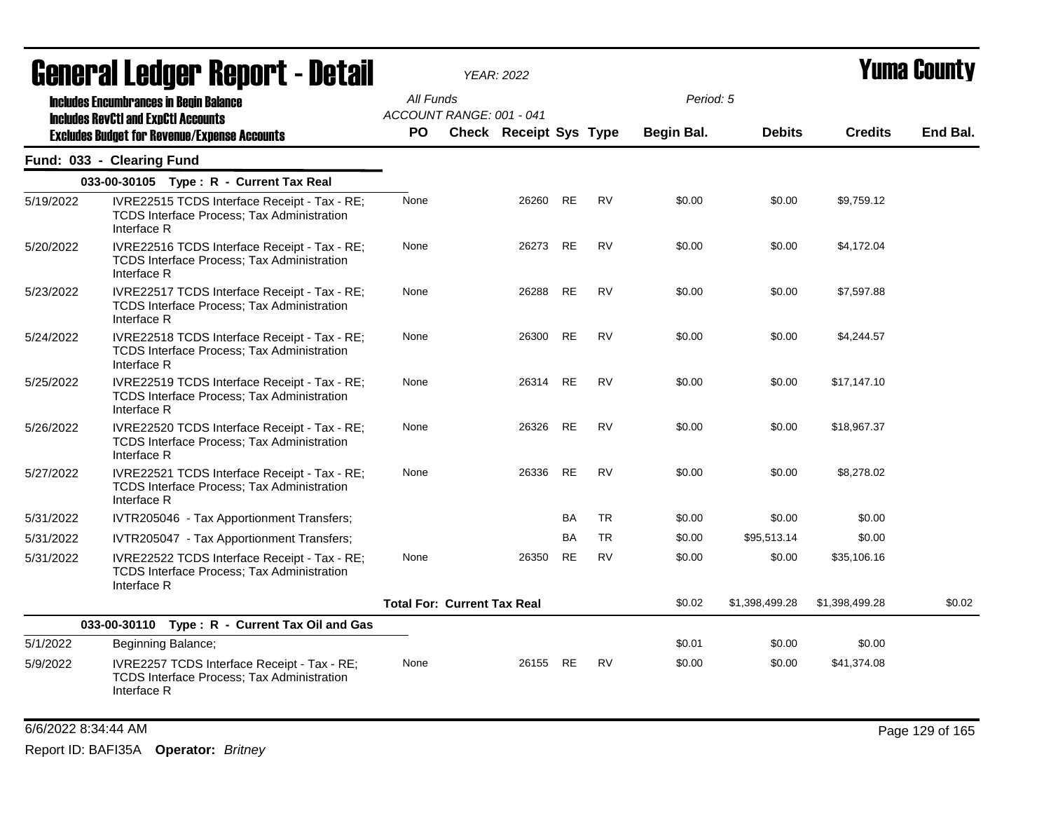|           | Generai Leuger Keport - Detail                                                                                                                     |                  |                                    | <b>YEAR: 2022</b>             |           |           |                         |                |                | <b>Tunia Gounty</b> |
|-----------|----------------------------------------------------------------------------------------------------------------------------------------------------|------------------|------------------------------------|-------------------------------|-----------|-----------|-------------------------|----------------|----------------|---------------------|
|           | <b>Includes Encumbrances in Begin Balance</b><br><b>Includes RevCtI and ExpCtI Accounts</b><br><b>Excludes Budget for Revenue/Expense Accounts</b> | All Funds<br>PO. | ACCOUNT RANGE: 001 - 041           | <b>Check Receipt Sys Type</b> |           |           | Period: 5<br>Begin Bal. | <b>Debits</b>  | <b>Credits</b> | End Bal.            |
|           | Fund: 033 - Clearing Fund                                                                                                                          |                  |                                    |                               |           |           |                         |                |                |                     |
|           | 033-00-30105 Type: R - Current Tax Real                                                                                                            |                  |                                    |                               |           |           |                         |                |                |                     |
| 5/19/2022 | IVRE22515 TCDS Interface Receipt - Tax - RE;<br>TCDS Interface Process; Tax Administration<br>Interface R                                          | None             |                                    | 26260                         | <b>RE</b> | <b>RV</b> | \$0.00                  | \$0.00         | \$9,759.12     |                     |
| 5/20/2022 | IVRE22516 TCDS Interface Receipt - Tax - RE;<br>TCDS Interface Process; Tax Administration<br>Interface R                                          | None             |                                    | 26273                         | <b>RE</b> | <b>RV</b> | \$0.00                  | \$0.00         | \$4,172.04     |                     |
| 5/23/2022 | IVRE22517 TCDS Interface Receipt - Tax - RE;<br>TCDS Interface Process; Tax Administration<br>Interface R                                          | None             |                                    | 26288                         | <b>RE</b> | <b>RV</b> | \$0.00                  | \$0.00         | \$7,597.88     |                     |
| 5/24/2022 | IVRE22518 TCDS Interface Receipt - Tax - RE;<br><b>TCDS Interface Process; Tax Administration</b><br>Interface R                                   | None             |                                    | 26300                         | RE        | <b>RV</b> | \$0.00                  | \$0.00         | \$4,244.57     |                     |
| 5/25/2022 | IVRE22519 TCDS Interface Receipt - Tax - RE;<br>TCDS Interface Process; Tax Administration<br>Interface R                                          | None             |                                    | 26314                         | <b>RE</b> | <b>RV</b> | \$0.00                  | \$0.00         | \$17,147.10    |                     |
| 5/26/2022 | IVRE22520 TCDS Interface Receipt - Tax - RE;<br><b>TCDS Interface Process; Tax Administration</b><br>Interface R                                   | None             |                                    | 26326                         | <b>RE</b> | <b>RV</b> | \$0.00                  | \$0.00         | \$18,967.37    |                     |
| 5/27/2022 | IVRE22521 TCDS Interface Receipt - Tax - RE;<br>TCDS Interface Process; Tax Administration<br>Interface R                                          | None             |                                    | 26336                         | <b>RE</b> | <b>RV</b> | \$0.00                  | \$0.00         | \$8,278.02     |                     |
| 5/31/2022 | IVTR205046 - Tax Apportionment Transfers;                                                                                                          |                  |                                    |                               | BA        | <b>TR</b> | \$0.00                  | \$0.00         | \$0.00         |                     |
| 5/31/2022 | IVTR205047 - Tax Apportionment Transfers;                                                                                                          |                  |                                    |                               | BA        | <b>TR</b> | \$0.00                  | \$95,513.14    | \$0.00         |                     |
| 5/31/2022 | IVRE22522 TCDS Interface Receipt - Tax - RE;<br><b>TCDS Interface Process; Tax Administration</b><br>Interface R                                   | None             |                                    | 26350                         | <b>RE</b> | <b>RV</b> | \$0.00                  | \$0.00         | \$35,106.16    |                     |
|           |                                                                                                                                                    |                  | <b>Total For: Current Tax Real</b> |                               |           |           | \$0.02                  | \$1,398,499.28 | \$1,398,499.28 | \$0.02              |
|           | 033-00-30110 Type: R - Current Tax Oil and Gas                                                                                                     |                  |                                    |                               |           |           |                         |                |                |                     |
| 5/1/2022  | Beginning Balance;                                                                                                                                 |                  |                                    |                               |           |           | \$0.01                  | \$0.00         | \$0.00         |                     |
| 5/9/2022  | IVRE2257 TCDS Interface Receipt - Tax - RE;<br><b>TCDS Interface Process; Tax Administration</b><br>Interface R                                    | None             |                                    | 26155                         | RE        | <b>RV</b> | \$0.00                  | \$0.00         | \$41,374.08    |                     |

6/6/2022 8:34:44 AM Page 129 of 165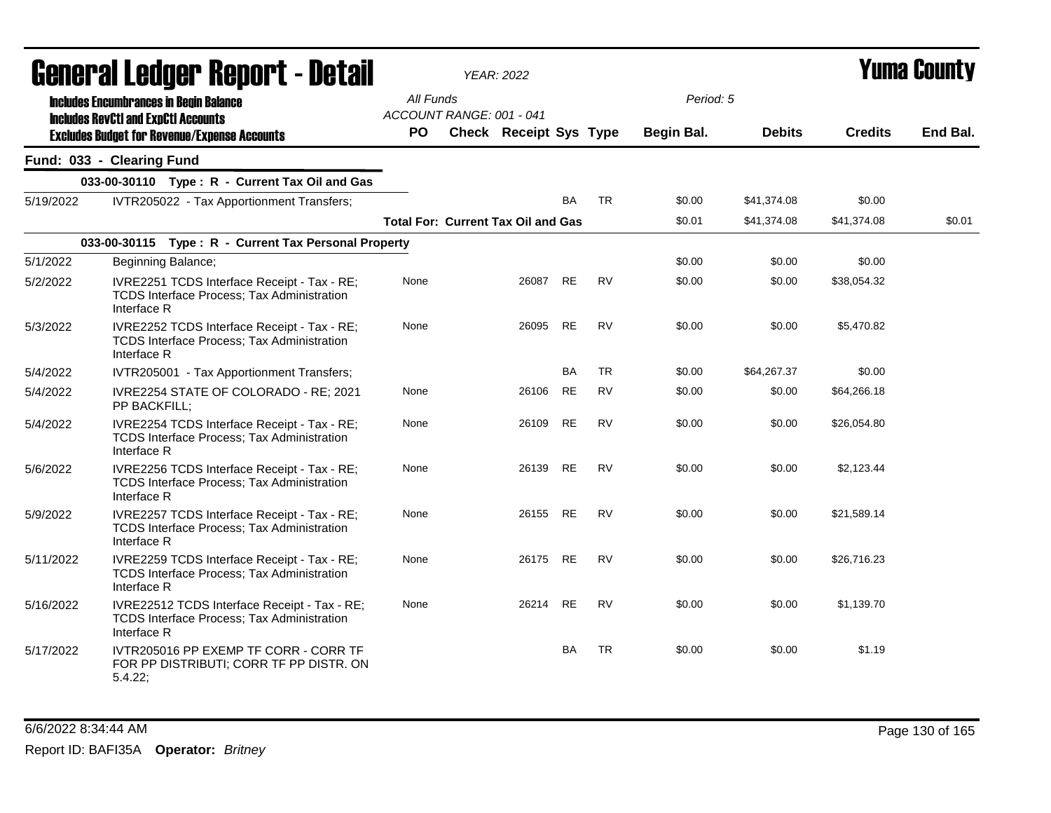|           | General Ledger Report - Detail                                                                                   |           | <b>YEAR: 2022</b>                         |                               |           |           | Yuma Countv      |                            |                       |          |
|-----------|------------------------------------------------------------------------------------------------------------------|-----------|-------------------------------------------|-------------------------------|-----------|-----------|------------------|----------------------------|-----------------------|----------|
|           | <b>Includes Encumbrances in Begin Balance</b><br><b>Includes RevCtI and ExpCtI Accounts</b>                      | All Funds | ACCOUNT RANGE: 001 - 041                  |                               |           |           | Period: 5        |                            |                       |          |
|           | <b>Excludes Budget for Revenue/Expense Accounts</b>                                                              | PO.       |                                           | <b>Check Receipt Sys Type</b> |           |           | Begin Bal.       | <b>Debits</b>              | <b>Credits</b>        | End Bal. |
|           | Fund: 033 - Clearing Fund                                                                                        |           |                                           |                               |           |           |                  |                            |                       |          |
|           | 033-00-30110 Type: R - Current Tax Oil and Gas                                                                   |           |                                           |                               |           |           |                  |                            |                       |          |
| 5/19/2022 | IVTR205022 - Tax Apportionment Transfers;                                                                        |           | <b>Total For: Current Tax Oil and Gas</b> |                               | <b>BA</b> | <b>TR</b> | \$0.00<br>\$0.01 | \$41,374.08<br>\$41,374.08 | \$0.00<br>\$41,374.08 | \$0.01   |
|           | 033-00-30115 Type: R - Current Tax Personal Property                                                             |           |                                           |                               |           |           |                  |                            |                       |          |
| 5/1/2022  | Beginning Balance;                                                                                               |           |                                           |                               |           |           | \$0.00           | \$0.00                     | \$0.00                |          |
| 5/2/2022  | IVRE2251 TCDS Interface Receipt - Tax - RE;<br>TCDS Interface Process; Tax Administration<br>Interface R         | None      |                                           | 26087                         | <b>RE</b> | <b>RV</b> | \$0.00           | \$0.00                     | \$38,054.32           |          |
| 5/3/2022  | IVRE2252 TCDS Interface Receipt - Tax - RE;<br><b>TCDS Interface Process; Tax Administration</b><br>Interface R  | None      |                                           | 26095                         | <b>RE</b> | <b>RV</b> | \$0.00           | \$0.00                     | \$5,470.82            |          |
| 5/4/2022  | IVTR205001 - Tax Apportionment Transfers;                                                                        |           |                                           |                               | <b>BA</b> | <b>TR</b> | \$0.00           | \$64,267.37                | \$0.00                |          |
| 5/4/2022  | IVRE2254 STATE OF COLORADO - RE; 2021<br>PP BACKFILL;                                                            | None      |                                           | 26106                         | RE        | RV        | \$0.00           | \$0.00                     | \$64,266.18           |          |
| 5/4/2022  | IVRE2254 TCDS Interface Receipt - Tax - RE;<br>TCDS Interface Process; Tax Administration<br>Interface R         | None      |                                           | 26109                         | RE        | RV        | \$0.00           | \$0.00                     | \$26,054.80           |          |
| 5/6/2022  | IVRE2256 TCDS Interface Receipt - Tax - RE;<br><b>TCDS Interface Process; Tax Administration</b><br>Interface R  | None      |                                           | 26139                         | <b>RE</b> | <b>RV</b> | \$0.00           | \$0.00                     | \$2,123.44            |          |
| 5/9/2022  | IVRE2257 TCDS Interface Receipt - Tax - RE;<br>TCDS Interface Process; Tax Administration<br>Interface R         | None      |                                           | 26155                         | RE        | <b>RV</b> | \$0.00           | \$0.00                     | \$21,589.14           |          |
| 5/11/2022 | IVRE2259 TCDS Interface Receipt - Tax - RE;<br>TCDS Interface Process; Tax Administration<br>Interface R         | None      |                                           | 26175                         | RE        | RV        | \$0.00           | \$0.00                     | \$26,716.23           |          |
| 5/16/2022 | IVRE22512 TCDS Interface Receipt - Tax - RE;<br><b>TCDS Interface Process; Tax Administration</b><br>Interface R | None      |                                           | 26214                         | <b>RE</b> | <b>RV</b> | \$0.00           | \$0.00                     | \$1.139.70            |          |
| 5/17/2022 | IVTR205016 PP EXEMP TF CORR - CORR TF<br>FOR PP DISTRIBUTI; CORR TF PP DISTR. ON<br>5.4.22;                      |           |                                           |                               | BA        | <b>TR</b> | \$0.00           | \$0.00                     | \$1.19                |          |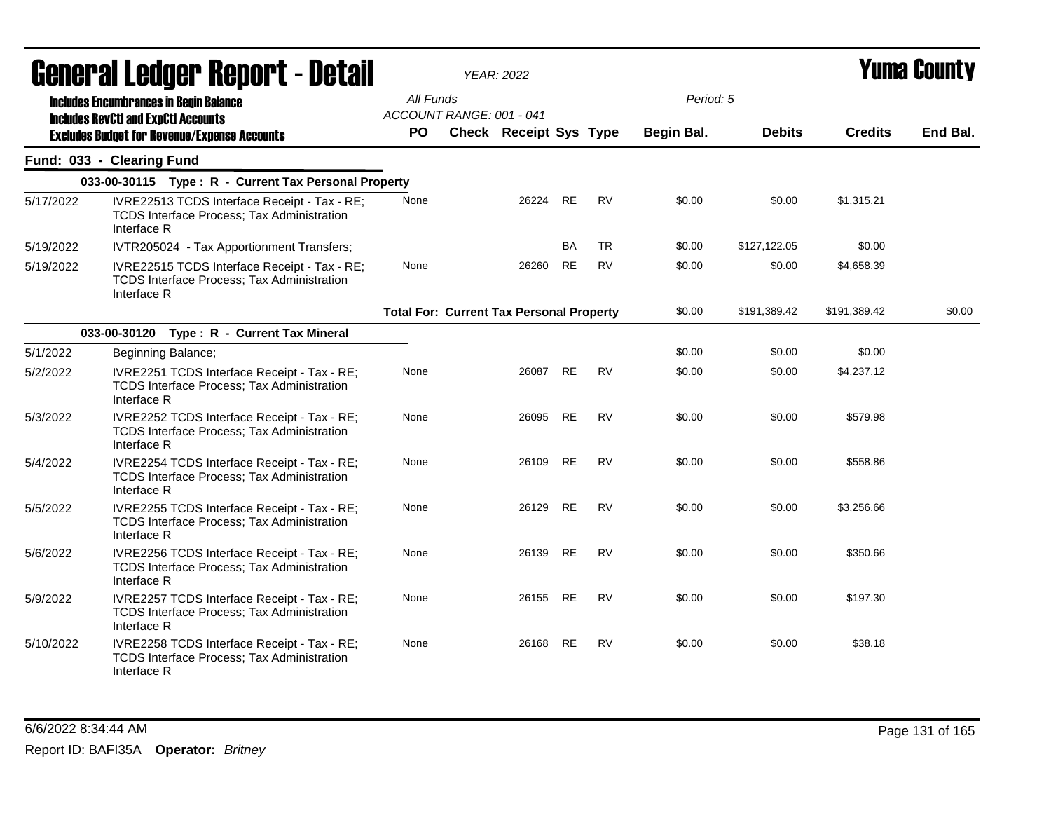|           | <b>General Ledger Report - Detail</b>                                                                            |                                                 | <b>YEAR: 2022</b> |                               |           | Yuma County |            |               |                |          |
|-----------|------------------------------------------------------------------------------------------------------------------|-------------------------------------------------|-------------------|-------------------------------|-----------|-------------|------------|---------------|----------------|----------|
|           | <b>Includes Encumbrances in Begin Balance</b>                                                                    | All Funds<br>ACCOUNT RANGE: 001 - 041           |                   |                               |           |             | Period: 5  |               |                |          |
|           | <b>Includes RevCtI and ExpCtI Accounts</b><br><b>Excludes Budget for Revenue/Expense Accounts</b>                | PO.                                             |                   | <b>Check Receipt Sys Type</b> |           |             | Begin Bal. | <b>Debits</b> | <b>Credits</b> | End Bal. |
|           | Fund: 033 - Clearing Fund                                                                                        |                                                 |                   |                               |           |             |            |               |                |          |
|           | 033-00-30115 Type: R - Current Tax Personal Property                                                             |                                                 |                   |                               |           |             |            |               |                |          |
| 5/17/2022 | IVRE22513 TCDS Interface Receipt - Tax - RE;<br><b>TCDS Interface Process; Tax Administration</b><br>Interface R | None                                            |                   | 26224                         | <b>RE</b> | <b>RV</b>   | \$0.00     | \$0.00        | \$1,315.21     |          |
| 5/19/2022 | IVTR205024 - Tax Apportionment Transfers;                                                                        |                                                 |                   |                               | <b>BA</b> | <b>TR</b>   | \$0.00     | \$127,122.05  | \$0.00         |          |
| 5/19/2022 | IVRE22515 TCDS Interface Receipt - Tax - RE;<br>TCDS Interface Process; Tax Administration<br>Interface R        | None                                            |                   | 26260                         | <b>RE</b> | <b>RV</b>   | \$0.00     | \$0.00        | \$4,658.39     |          |
|           |                                                                                                                  | <b>Total For: Current Tax Personal Property</b> |                   |                               |           |             | \$0.00     | \$191,389.42  | \$191,389.42   | \$0.00   |
|           | 033-00-30120 Type: R - Current Tax Mineral                                                                       |                                                 |                   |                               |           |             |            |               |                |          |
| 5/1/2022  | Beginning Balance;                                                                                               |                                                 |                   |                               |           |             | \$0.00     | \$0.00        | \$0.00         |          |
| 5/2/2022  | IVRE2251 TCDS Interface Receipt - Tax - RE;<br><b>TCDS Interface Process; Tax Administration</b><br>Interface R  | None                                            |                   | 26087                         | <b>RE</b> | <b>RV</b>   | \$0.00     | \$0.00        | \$4,237.12     |          |
| 5/3/2022  | IVRE2252 TCDS Interface Receipt - Tax - RE;<br>TCDS Interface Process; Tax Administration<br>Interface R         | None                                            |                   | 26095                         | <b>RE</b> | <b>RV</b>   | \$0.00     | \$0.00        | \$579.98       |          |
| 5/4/2022  | IVRE2254 TCDS Interface Receipt - Tax - RE;<br>TCDS Interface Process; Tax Administration<br>Interface R         | None                                            |                   | 26109                         | <b>RE</b> | <b>RV</b>   | \$0.00     | \$0.00        | \$558.86       |          |
| 5/5/2022  | IVRE2255 TCDS Interface Receipt - Tax - RE;<br>TCDS Interface Process; Tax Administration<br>Interface R         | None                                            |                   | 26129                         | RE        | RV          | \$0.00     | \$0.00        | \$3,256.66     |          |
| 5/6/2022  | IVRE2256 TCDS Interface Receipt - Tax - RE;<br>TCDS Interface Process; Tax Administration<br>Interface R         | None                                            |                   | 26139                         | RE        | RV          | \$0.00     | \$0.00        | \$350.66       |          |
| 5/9/2022  | IVRE2257 TCDS Interface Receipt - Tax - RE;<br>TCDS Interface Process; Tax Administration<br>Interface R         | None                                            |                   | 26155                         | <b>RE</b> | <b>RV</b>   | \$0.00     | \$0.00        | \$197.30       |          |
| 5/10/2022 | IVRE2258 TCDS Interface Receipt - Tax - RE;<br><b>TCDS Interface Process; Tax Administration</b><br>Interface R  | None                                            |                   | 26168                         | <b>RE</b> | <b>RV</b>   | \$0.00     | \$0.00        | \$38.18        |          |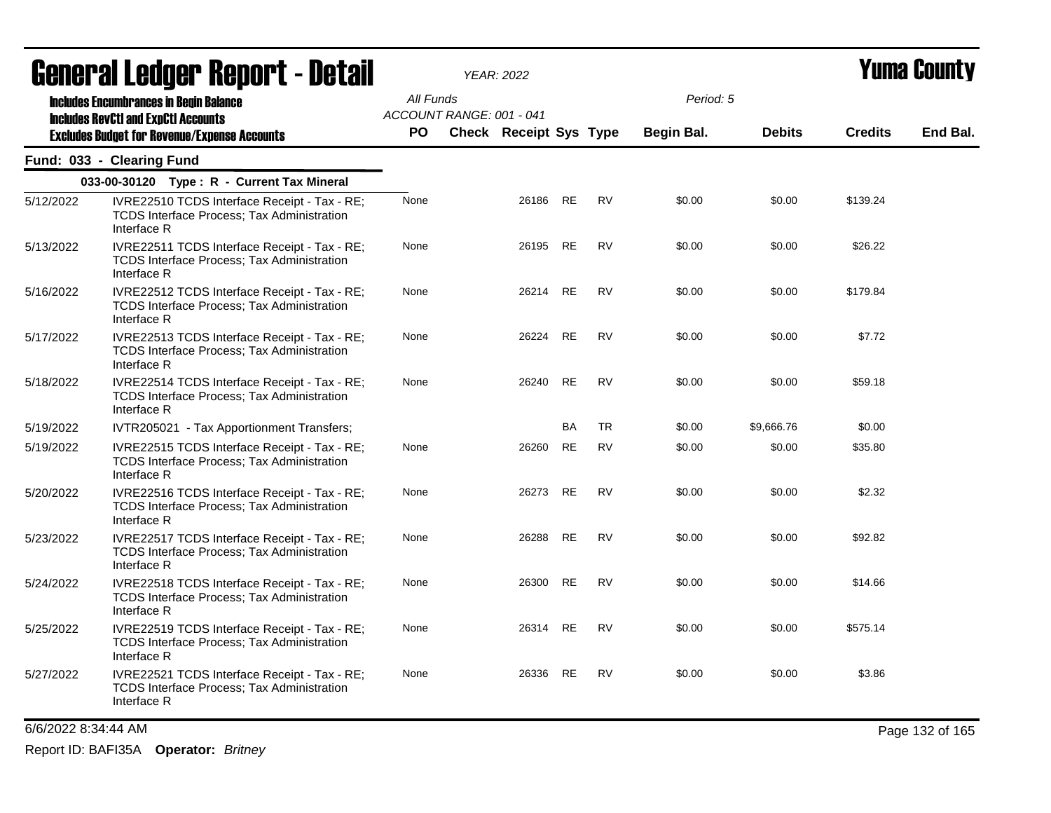|                     | <b>General Ledger Report - Detail</b>                                                                            |           |                          | <b>YEAR: 2022</b>             |           |           | <b>Yuma County</b> |               |                |                 |
|---------------------|------------------------------------------------------------------------------------------------------------------|-----------|--------------------------|-------------------------------|-----------|-----------|--------------------|---------------|----------------|-----------------|
|                     | <b>Includes Encumbrances in Begin Balance</b>                                                                    | All Funds |                          |                               |           |           | Period: 5          |               |                |                 |
|                     | <b>Includes RevCtI and ExpCtI Accounts</b><br><b>Excludes Budget for Revenue/Expense Accounts</b>                | PO.       | ACCOUNT RANGE: 001 - 041 | <b>Check Receipt Sys Type</b> |           |           | Begin Bal.         | <b>Debits</b> | <b>Credits</b> | End Bal.        |
|                     | Fund: 033 - Clearing Fund                                                                                        |           |                          |                               |           |           |                    |               |                |                 |
|                     | 033-00-30120 Type: R - Current Tax Mineral                                                                       |           |                          |                               |           |           |                    |               |                |                 |
| 5/12/2022           | IVRE22510 TCDS Interface Receipt - Tax - RE;<br><b>TCDS Interface Process; Tax Administration</b><br>Interface R | None      |                          | 26186                         | <b>RE</b> | <b>RV</b> | \$0.00             | \$0.00        | \$139.24       |                 |
| 5/13/2022           | IVRE22511 TCDS Interface Receipt - Tax - RE;<br><b>TCDS Interface Process: Tax Administration</b><br>Interface R | None      |                          | 26195                         | <b>RE</b> | <b>RV</b> | \$0.00             | \$0.00        | \$26.22        |                 |
| 5/16/2022           | IVRE22512 TCDS Interface Receipt - Tax - RE;<br><b>TCDS Interface Process; Tax Administration</b><br>Interface R | None      |                          | 26214                         | <b>RE</b> | RV        | \$0.00             | \$0.00        | \$179.84       |                 |
| 5/17/2022           | IVRE22513 TCDS Interface Receipt - Tax - RE;<br><b>TCDS Interface Process; Tax Administration</b><br>Interface R | None      |                          | 26224                         | <b>RE</b> | <b>RV</b> | \$0.00             | \$0.00        | \$7.72         |                 |
| 5/18/2022           | IVRE22514 TCDS Interface Receipt - Tax - RE;<br><b>TCDS Interface Process: Tax Administration</b><br>Interface R | None      |                          | 26240                         | <b>RE</b> | <b>RV</b> | \$0.00             | \$0.00        | \$59.18        |                 |
| 5/19/2022           | IVTR205021 - Tax Apportionment Transfers;                                                                        |           |                          |                               | BA        | <b>TR</b> | \$0.00             | \$9,666.76    | \$0.00         |                 |
| 5/19/2022           | IVRE22515 TCDS Interface Receipt - Tax - RE;<br><b>TCDS Interface Process: Tax Administration</b><br>Interface R | None      |                          | 26260                         | <b>RE</b> | <b>RV</b> | \$0.00             | \$0.00        | \$35.80        |                 |
| 5/20/2022           | IVRE22516 TCDS Interface Receipt - Tax - RE;<br><b>TCDS Interface Process: Tax Administration</b><br>Interface R | None      |                          | 26273                         | <b>RE</b> | RV        | \$0.00             | \$0.00        | \$2.32         |                 |
| 5/23/2022           | IVRE22517 TCDS Interface Receipt - Tax - RE;<br><b>TCDS Interface Process; Tax Administration</b><br>Interface R | None      |                          | 26288                         | <b>RE</b> | <b>RV</b> | \$0.00             | \$0.00        | \$92.82        |                 |
| 5/24/2022           | IVRE22518 TCDS Interface Receipt - Tax - RE;<br>TCDS Interface Process; Tax Administration<br>Interface R        | None      |                          | 26300                         | <b>RE</b> | <b>RV</b> | \$0.00             | \$0.00        | \$14.66        |                 |
| 5/25/2022           | IVRE22519 TCDS Interface Receipt - Tax - RE;<br><b>TCDS Interface Process; Tax Administration</b><br>Interface R | None      |                          | 26314                         | RE        | RV        | \$0.00             | \$0.00        | \$575.14       |                 |
| 5/27/2022           | IVRE22521 TCDS Interface Receipt - Tax - RE;<br><b>TCDS Interface Process; Tax Administration</b><br>Interface R | None      |                          | 26336                         | <b>RE</b> | RV        | \$0.00             | \$0.00        | \$3.86         |                 |
| 6/6/2022 8:34:44 AM |                                                                                                                  |           |                          |                               |           |           |                    |               |                | Page 132 of 165 |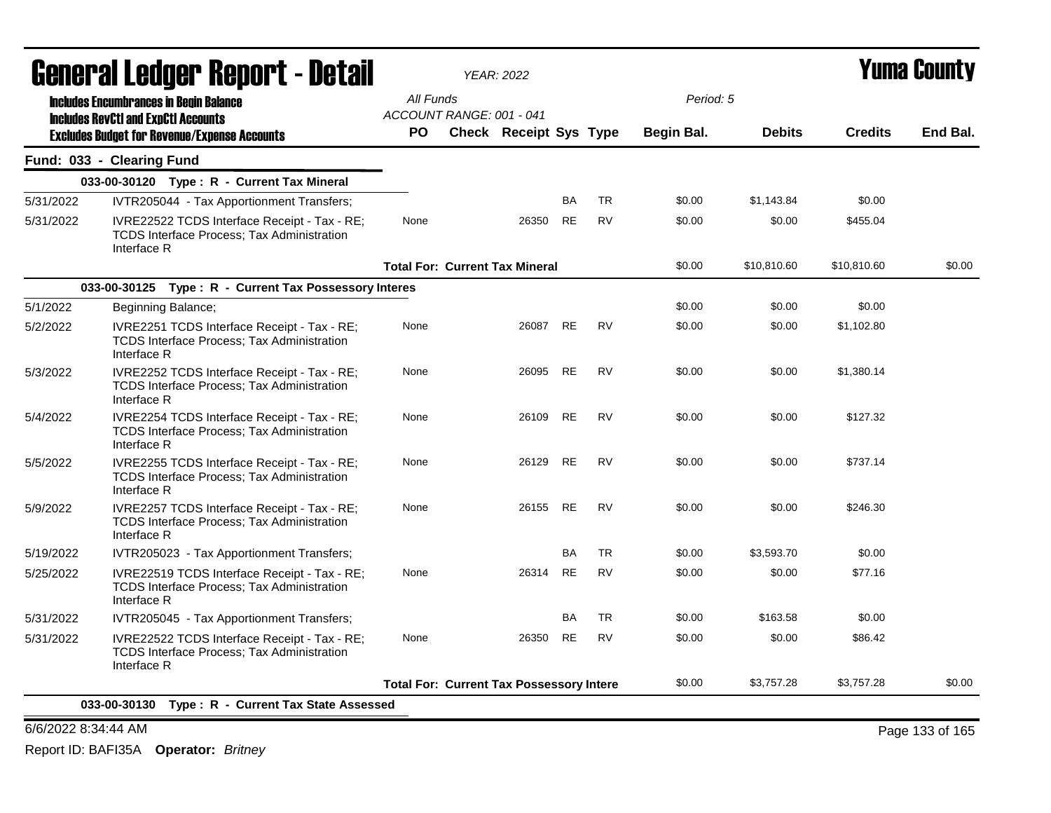| <b>General Ledger Report - Detail</b> |                                                                                                                  | <b>YEAR: 2022</b>                     |                                                 |           |           |            | <b>Yuma County</b> |                |          |
|---------------------------------------|------------------------------------------------------------------------------------------------------------------|---------------------------------------|-------------------------------------------------|-----------|-----------|------------|--------------------|----------------|----------|
|                                       | <b>Includes Encumbrances in Begin Balance</b>                                                                    | All Funds<br>ACCOUNT RANGE: 001 - 041 |                                                 |           |           | Period: 5  |                    |                |          |
|                                       | <b>Includes RevCtI and ExpCtI Accounts</b><br><b>Excludes Budget for Revenue/Expense Accounts</b>                | <b>PO</b>                             | <b>Check Receipt Sys Type</b>                   |           |           | Begin Bal. | <b>Debits</b>      | <b>Credits</b> | End Bal. |
|                                       | Fund: 033 - Clearing Fund                                                                                        |                                       |                                                 |           |           |            |                    |                |          |
|                                       | 033-00-30120 Type: R - Current Tax Mineral                                                                       |                                       |                                                 |           |           |            |                    |                |          |
| 5/31/2022                             | IVTR205044 - Tax Apportionment Transfers;                                                                        |                                       |                                                 | <b>BA</b> | <b>TR</b> | \$0.00     | \$1,143.84         | \$0.00         |          |
| 5/31/2022                             | IVRE22522 TCDS Interface Receipt - Tax - RE;<br><b>TCDS Interface Process: Tax Administration</b><br>Interface R | None                                  | 26350                                           | <b>RE</b> | <b>RV</b> | \$0.00     | \$0.00             | \$455.04       |          |
|                                       |                                                                                                                  |                                       | <b>Total For: Current Tax Mineral</b>           |           |           | \$0.00     | \$10,810.60        | \$10,810.60    | \$0.00   |
|                                       | 033-00-30125 Type: R - Current Tax Possessory Interes                                                            |                                       |                                                 |           |           |            |                    |                |          |
| 5/1/2022                              | Beginning Balance;                                                                                               |                                       |                                                 |           |           | \$0.00     | \$0.00             | \$0.00         |          |
| 5/2/2022                              | IVRE2251 TCDS Interface Receipt - Tax - RE;<br>TCDS Interface Process; Tax Administration<br>Interface R         | None                                  | 26087                                           | <b>RE</b> | <b>RV</b> | \$0.00     | \$0.00             | \$1,102.80     |          |
| 5/3/2022                              | IVRE2252 TCDS Interface Receipt - Tax - RE;<br><b>TCDS Interface Process: Tax Administration</b><br>Interface R  | None                                  | 26095                                           | <b>RE</b> | <b>RV</b> | \$0.00     | \$0.00             | \$1,380.14     |          |
| 5/4/2022                              | IVRE2254 TCDS Interface Receipt - Tax - RE;<br><b>TCDS Interface Process: Tax Administration</b><br>Interface R  | None                                  | 26109                                           | <b>RE</b> | <b>RV</b> | \$0.00     | \$0.00             | \$127.32       |          |
| 5/5/2022                              | IVRE2255 TCDS Interface Receipt - Tax - RE;<br><b>TCDS Interface Process: Tax Administration</b><br>Interface R  | None                                  | 26129                                           | <b>RE</b> | <b>RV</b> | \$0.00     | \$0.00             | \$737.14       |          |
| 5/9/2022                              | IVRE2257 TCDS Interface Receipt - Tax - RE;<br>TCDS Interface Process; Tax Administration<br>Interface R         | None                                  | 26155                                           | <b>RE</b> | <b>RV</b> | \$0.00     | \$0.00             | \$246.30       |          |
| 5/19/2022                             | IVTR205023 - Tax Apportionment Transfers;                                                                        |                                       |                                                 | BA        | <b>TR</b> | \$0.00     | \$3,593.70         | \$0.00         |          |
| 5/25/2022                             | IVRE22519 TCDS Interface Receipt - Tax - RE;<br><b>TCDS Interface Process: Tax Administration</b><br>Interface R | None                                  | 26314                                           | <b>RE</b> | <b>RV</b> | \$0.00     | \$0.00             | \$77.16        |          |
| 5/31/2022                             | IVTR205045 - Tax Apportionment Transfers;                                                                        |                                       |                                                 | BA        | <b>TR</b> | \$0.00     | \$163.58           | \$0.00         |          |
| 5/31/2022                             | IVRE22522 TCDS Interface Receipt - Tax - RE;<br><b>TCDS Interface Process: Tax Administration</b><br>Interface R | None                                  | 26350                                           | <b>RE</b> | <b>RV</b> | \$0.00     | \$0.00             | \$86.42        |          |
|                                       |                                                                                                                  |                                       | <b>Total For: Current Tax Possessory Intere</b> |           |           | \$0.00     | \$3,757.28         | \$3,757.28     | \$0.00   |

6/6/2022 8:34:44 AM Page 133 of 165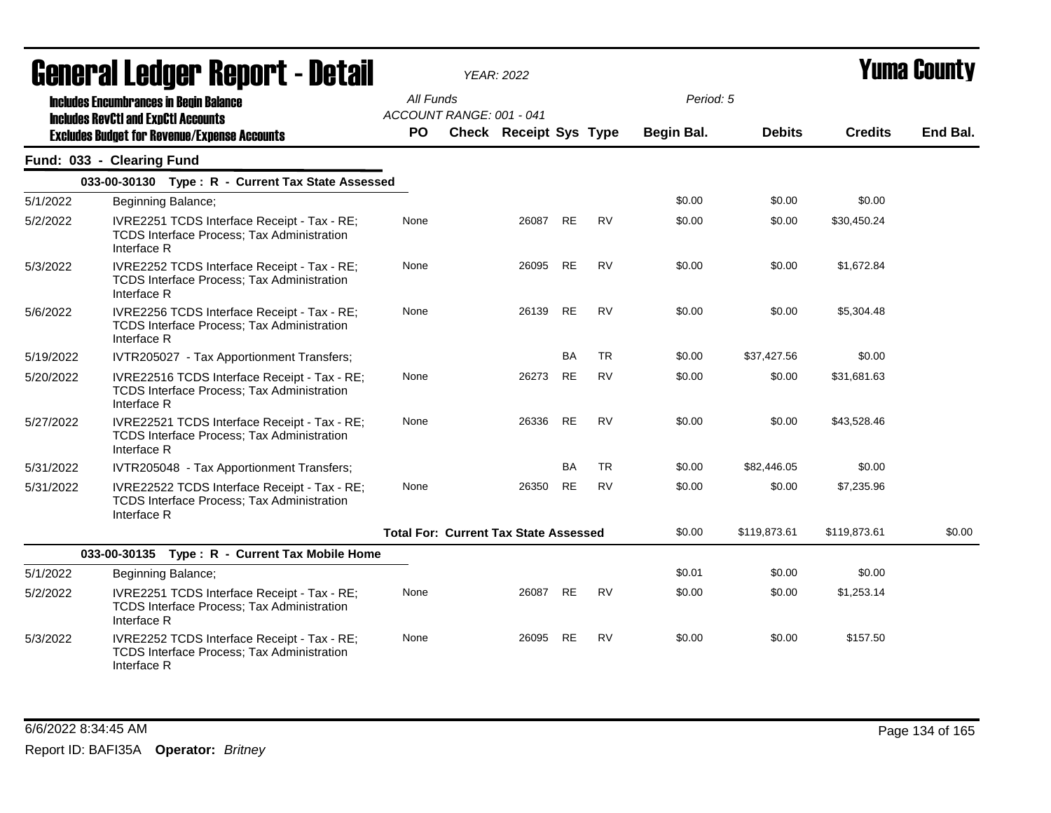| <b>General Ledger Report - Detail</b> |                                                                                                                  |           | <b>YEAR: 2022</b>                            |           |           |                   | <b>Yuma County</b> |                |          |
|---------------------------------------|------------------------------------------------------------------------------------------------------------------|-----------|----------------------------------------------|-----------|-----------|-------------------|--------------------|----------------|----------|
|                                       | <b>Includes Encumbrances in Begin Balance</b><br><b>Includes RevCtI and ExpCtI Accounts</b>                      | All Funds | ACCOUNT RANGE: 001 - 041                     |           |           | Period: 5         |                    |                |          |
|                                       | <b>Excludes Budget for Revenue/Expense Accounts</b>                                                              | <b>PO</b> | <b>Check Receipt Sys Type</b>                |           |           | <b>Begin Bal.</b> | <b>Debits</b>      | <b>Credits</b> | End Bal. |
|                                       | Fund: 033 - Clearing Fund                                                                                        |           |                                              |           |           |                   |                    |                |          |
|                                       | 033-00-30130 Type: R - Current Tax State Assessed                                                                |           |                                              |           |           |                   |                    |                |          |
| 5/1/2022                              | Beginning Balance;                                                                                               |           |                                              |           |           | \$0.00            | \$0.00             | \$0.00         |          |
| 5/2/2022                              | IVRE2251 TCDS Interface Receipt - Tax - RE;<br>TCDS Interface Process; Tax Administration<br>Interface R         | None      | 26087                                        | <b>RE</b> | <b>RV</b> | \$0.00            | \$0.00             | \$30,450.24    |          |
| 5/3/2022                              | IVRE2252 TCDS Interface Receipt - Tax - RE;<br><b>TCDS Interface Process; Tax Administration</b><br>Interface R  | None      | 26095                                        | <b>RE</b> | <b>RV</b> | \$0.00            | \$0.00             | \$1,672.84     |          |
| 5/6/2022                              | IVRE2256 TCDS Interface Receipt - Tax - RE;<br><b>TCDS Interface Process; Tax Administration</b><br>Interface R  | None      | 26139                                        | <b>RE</b> | <b>RV</b> | \$0.00            | \$0.00             | \$5,304.48     |          |
| 5/19/2022                             | IVTR205027 - Tax Apportionment Transfers;                                                                        |           |                                              | BA        | <b>TR</b> | \$0.00            | \$37,427.56        | \$0.00         |          |
| 5/20/2022                             | IVRE22516 TCDS Interface Receipt - Tax - RE;<br><b>TCDS Interface Process; Tax Administration</b><br>Interface R | None      | 26273                                        | RE        | <b>RV</b> | \$0.00            | \$0.00             | \$31,681.63    |          |
| 5/27/2022                             | IVRE22521 TCDS Interface Receipt - Tax - RE;<br><b>TCDS Interface Process; Tax Administration</b><br>Interface R | None      | 26336                                        | <b>RE</b> | <b>RV</b> | \$0.00            | \$0.00             | \$43,528.46    |          |
| 5/31/2022                             | IVTR205048 - Tax Apportionment Transfers;                                                                        |           |                                              | BA        | <b>TR</b> | \$0.00            | \$82,446.05        | \$0.00         |          |
| 5/31/2022                             | IVRE22522 TCDS Interface Receipt - Tax - RE;<br>TCDS Interface Process; Tax Administration<br>Interface R        | None      | 26350                                        | <b>RE</b> | <b>RV</b> | \$0.00            | \$0.00             | \$7,235.96     |          |
|                                       |                                                                                                                  |           | <b>Total For: Current Tax State Assessed</b> |           |           | \$0.00            | \$119,873.61       | \$119,873.61   | \$0.00   |
|                                       | 033-00-30135 Type: R - Current Tax Mobile Home                                                                   |           |                                              |           |           |                   |                    |                |          |
| 5/1/2022                              | Beginning Balance;                                                                                               |           |                                              |           |           | \$0.01            | \$0.00             | \$0.00         |          |
| 5/2/2022                              | IVRE2251 TCDS Interface Receipt - Tax - RE;<br>TCDS Interface Process; Tax Administration<br>Interface R         | None      | 26087                                        | <b>RE</b> | <b>RV</b> | \$0.00            | \$0.00             | \$1,253.14     |          |
| 5/3/2022                              | IVRE2252 TCDS Interface Receipt - Tax - RE;<br><b>TCDS Interface Process: Tax Administration</b><br>Interface R  | None      | 26095                                        | <b>RE</b> | <b>RV</b> | \$0.00            | \$0.00             | \$157.50       |          |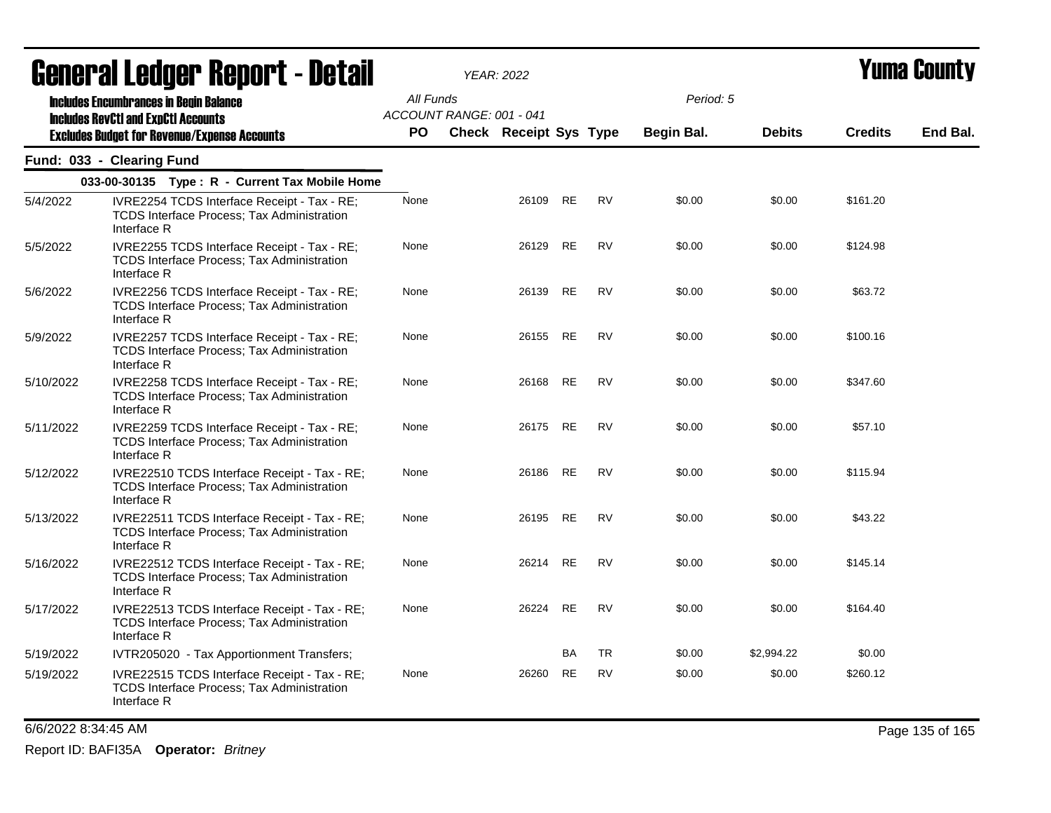| <b>General Ledger Report - Detail</b> |                                                                                                                  | YEAR: 2022 |                          |                               |           |           |                   | <b>Yuma County</b> |                |          |
|---------------------------------------|------------------------------------------------------------------------------------------------------------------|------------|--------------------------|-------------------------------|-----------|-----------|-------------------|--------------------|----------------|----------|
|                                       | <b>Includes Encumbrances in Begin Balance</b><br><b>Includes RevCtI and ExpCtI Accounts</b>                      | All Funds  | ACCOUNT RANGE: 001 - 041 |                               |           |           | Period: 5         |                    |                |          |
|                                       | <b>Excludes Budget for Revenue/Expense Accounts</b>                                                              | PO.        |                          | <b>Check Receipt Sys Type</b> |           |           | <b>Begin Bal.</b> | <b>Debits</b>      | <b>Credits</b> | End Bal. |
|                                       | Fund: 033 - Clearing Fund                                                                                        |            |                          |                               |           |           |                   |                    |                |          |
|                                       | 033-00-30135 Type: R - Current Tax Mobile Home                                                                   |            |                          |                               |           |           |                   |                    |                |          |
| 5/4/2022                              | IVRE2254 TCDS Interface Receipt - Tax - RE;<br><b>TCDS Interface Process: Tax Administration</b><br>Interface R  | None       |                          | 26109                         | RE        | RV        | \$0.00            | \$0.00             | \$161.20       |          |
| 5/5/2022                              | IVRE2255 TCDS Interface Receipt - Tax - RE;<br><b>TCDS Interface Process; Tax Administration</b><br>Interface R  | None       |                          | 26129                         | <b>RE</b> | <b>RV</b> | \$0.00            | \$0.00             | \$124.98       |          |
| 5/6/2022                              | IVRE2256 TCDS Interface Receipt - Tax - RE;<br>TCDS Interface Process; Tax Administration<br>Interface R         | None       |                          | 26139                         | RE        | RV        | \$0.00            | \$0.00             | \$63.72        |          |
| 5/9/2022                              | IVRE2257 TCDS Interface Receipt - Tax - RE;<br>TCDS Interface Process; Tax Administration<br>Interface R         | None       |                          | 26155                         | <b>RE</b> | <b>RV</b> | \$0.00            | \$0.00             | \$100.16       |          |
| 5/10/2022                             | IVRE2258 TCDS Interface Receipt - Tax - RE;<br><b>TCDS Interface Process: Tax Administration</b><br>Interface R  | None       |                          | 26168                         | RE        | <b>RV</b> | \$0.00            | \$0.00             | \$347.60       |          |
| 5/11/2022                             | IVRE2259 TCDS Interface Receipt - Tax - RE;<br><b>TCDS Interface Process: Tax Administration</b><br>Interface R  | None       |                          | 26175                         | RE        | <b>RV</b> | \$0.00            | \$0.00             | \$57.10        |          |
| 5/12/2022                             | IVRE22510 TCDS Interface Receipt - Tax - RE;<br><b>TCDS Interface Process; Tax Administration</b><br>Interface R | None       |                          | 26186                         | <b>RE</b> | <b>RV</b> | \$0.00            | \$0.00             | \$115.94       |          |
| 5/13/2022                             | IVRE22511 TCDS Interface Receipt - Tax - RE;<br>TCDS Interface Process; Tax Administration<br>Interface R        | None       |                          | 26195                         | RE        | RV        | \$0.00            | \$0.00             | \$43.22        |          |
| 5/16/2022                             | IVRE22512 TCDS Interface Receipt - Tax - RE;<br>TCDS Interface Process; Tax Administration<br>Interface R        | None       |                          | 26214                         | RE        | RV        | \$0.00            | \$0.00             | \$145.14       |          |
| 5/17/2022                             | IVRE22513 TCDS Interface Receipt - Tax - RE;<br>TCDS Interface Process; Tax Administration<br>Interface R        | None       |                          | 26224                         | <b>RE</b> | <b>RV</b> | \$0.00            | \$0.00             | \$164.40       |          |
| 5/19/2022                             | IVTR205020 - Tax Apportionment Transfers;                                                                        |            |                          |                               | <b>BA</b> | TR        | \$0.00            | \$2,994.22         | \$0.00         |          |
| 5/19/2022                             | IVRE22515 TCDS Interface Receipt - Tax - RE;<br><b>TCDS Interface Process: Tax Administration</b><br>Interface R | None       |                          | 26260                         | RE        | <b>RV</b> | \$0.00            | \$0.00             | \$260.12       |          |

6/6/2022 8:34:45 AM Page 135 of 165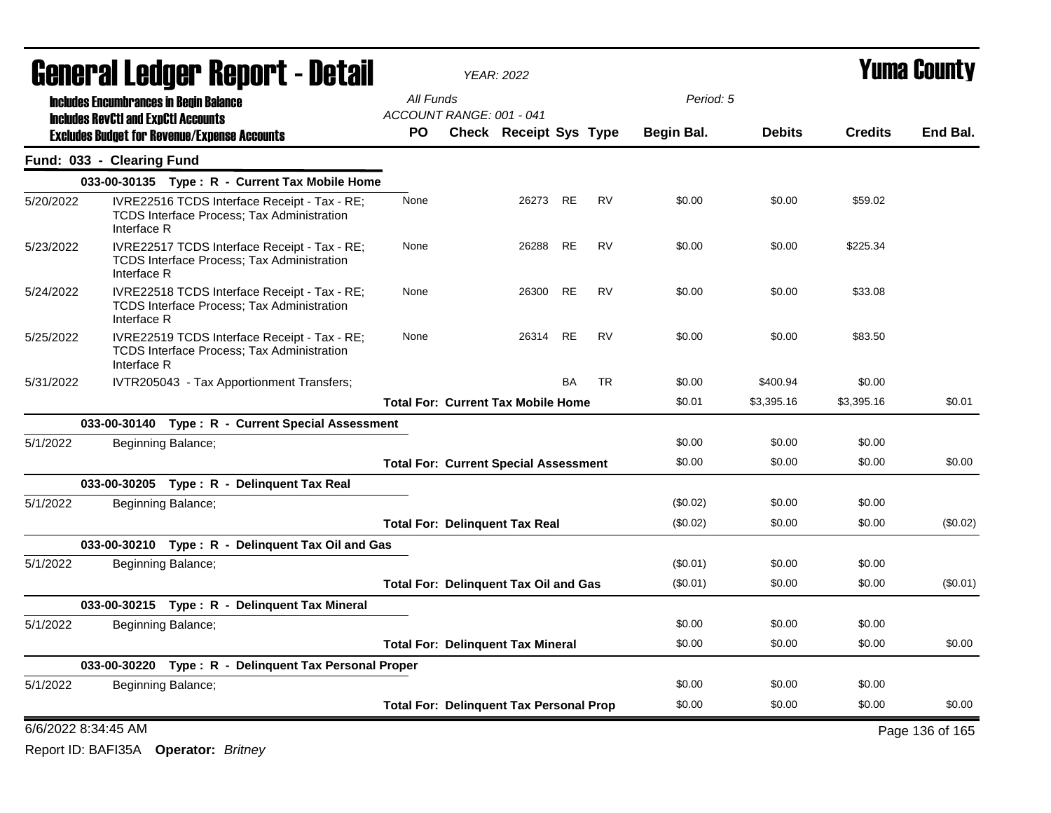| General Ledger Report - Detail |                                               |                                                                                                   |                                                | <b>YEAR: 2022</b>             |           |           |            | <b>Yuma County</b> |                |                 |  |
|--------------------------------|-----------------------------------------------|---------------------------------------------------------------------------------------------------|------------------------------------------------|-------------------------------|-----------|-----------|------------|--------------------|----------------|-----------------|--|
|                                | <b>Includes Encumbrances in Begin Balance</b> |                                                                                                   | All Funds                                      |                               |           |           | Period: 5  |                    |                |                 |  |
|                                | <b>Includes RevCtI and ExpCtI Accounts</b>    |                                                                                                   | ACCOUNT RANGE: 001 - 041                       |                               |           |           |            |                    |                |                 |  |
|                                |                                               | <b>Excludes Budget for Revenue/Expense Accounts</b>                                               | <b>PO</b>                                      | <b>Check Receipt Sys Type</b> |           |           | Begin Bal. | <b>Debits</b>      | <b>Credits</b> | End Bal.        |  |
|                                | Fund: 033 - Clearing Fund                     |                                                                                                   |                                                |                               |           |           |            |                    |                |                 |  |
|                                |                                               | 033-00-30135 Type: R - Current Tax Mobile Home                                                    |                                                |                               |           |           |            |                    |                |                 |  |
| 5/20/2022                      | Interface R                                   | IVRE22516 TCDS Interface Receipt - Tax - RE;<br><b>TCDS Interface Process: Tax Administration</b> | None                                           | 26273 RE                      |           | RV        | \$0.00     | \$0.00             | \$59.02        |                 |  |
| 5/23/2022                      | Interface R                                   | IVRE22517 TCDS Interface Receipt - Tax - RE;<br><b>TCDS Interface Process: Tax Administration</b> | None                                           | 26288                         | <b>RE</b> | <b>RV</b> | \$0.00     | \$0.00             | \$225.34       |                 |  |
| 5/24/2022                      | Interface R                                   | IVRE22518 TCDS Interface Receipt - Tax - RE;<br><b>TCDS Interface Process; Tax Administration</b> | None                                           | 26300                         | RE        | <b>RV</b> | \$0.00     | \$0.00             | \$33.08        |                 |  |
| 5/25/2022                      | Interface R                                   | IVRE22519 TCDS Interface Receipt - Tax - RE;<br><b>TCDS Interface Process: Tax Administration</b> | None                                           | 26314                         | <b>RE</b> | <b>RV</b> | \$0.00     | \$0.00             | \$83.50        |                 |  |
| 5/31/2022                      |                                               | IVTR205043 - Tax Apportionment Transfers;                                                         |                                                |                               | <b>BA</b> | <b>TR</b> | \$0.00     | \$400.94           | \$0.00         |                 |  |
|                                |                                               |                                                                                                   | <b>Total For: Current Tax Mobile Home</b>      |                               |           |           | \$0.01     | \$3,395.16         | \$3,395.16     | \$0.01          |  |
|                                |                                               | 033-00-30140 Type: R - Current Special Assessment                                                 |                                                |                               |           |           |            |                    |                |                 |  |
| 5/1/2022                       |                                               | Beginning Balance;                                                                                |                                                |                               |           |           | \$0.00     | \$0.00             | \$0.00         |                 |  |
|                                |                                               |                                                                                                   | <b>Total For: Current Special Assessment</b>   |                               |           |           | \$0.00     | \$0.00             | \$0.00         | \$0.00          |  |
|                                |                                               | 033-00-30205 Type: R - Delinquent Tax Real                                                        |                                                |                               |           |           |            |                    |                |                 |  |
| 5/1/2022                       |                                               | Beginning Balance;                                                                                |                                                |                               |           |           | (\$0.02)   | \$0.00             | \$0.00         |                 |  |
|                                |                                               |                                                                                                   | <b>Total For: Delinquent Tax Real</b>          |                               |           |           | (\$0.02)   | \$0.00             | \$0.00         | $(\$0.02)$      |  |
|                                |                                               | 033-00-30210 Type: R - Delinquent Tax Oil and Gas                                                 |                                                |                               |           |           |            |                    |                |                 |  |
| 5/1/2022                       |                                               | Beginning Balance;                                                                                |                                                |                               |           |           | (\$0.01)   | \$0.00             | \$0.00         |                 |  |
|                                |                                               |                                                                                                   | <b>Total For: Delinquent Tax Oil and Gas</b>   |                               |           |           | $(\$0.01)$ | \$0.00             | \$0.00         | (\$0.01)        |  |
|                                |                                               | 033-00-30215 Type: R - Delinguent Tax Mineral                                                     |                                                |                               |           |           |            |                    |                |                 |  |
| 5/1/2022                       |                                               | Beginning Balance;                                                                                |                                                |                               |           |           | \$0.00     | \$0.00             | \$0.00         |                 |  |
|                                |                                               |                                                                                                   | <b>Total For: Delinguent Tax Mineral</b>       |                               |           |           | \$0.00     | \$0.00             | \$0.00         | \$0.00          |  |
|                                |                                               | 033-00-30220 Type: R - Delinquent Tax Personal Proper                                             |                                                |                               |           |           |            |                    |                |                 |  |
| 5/1/2022                       |                                               | Beginning Balance;                                                                                |                                                |                               |           |           | \$0.00     | \$0.00             | \$0.00         |                 |  |
|                                |                                               |                                                                                                   | <b>Total For: Delinquent Tax Personal Prop</b> |                               |           |           | \$0.00     | \$0.00             | \$0.00         | \$0.00          |  |
|                                | 6/6/2022 8:34:45 AM                           |                                                                                                   |                                                |                               |           |           |            |                    |                | Page 136 of 165 |  |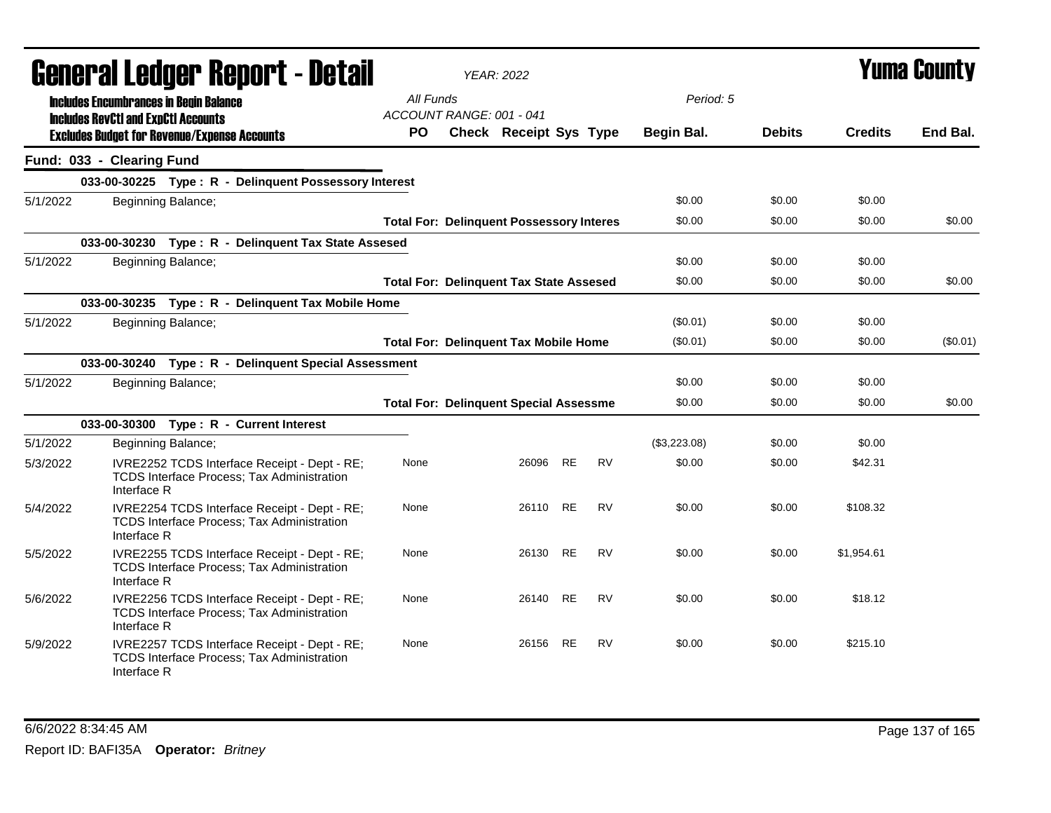|          | <b>General Ledger Report - Detail</b>                                                                     |                                                 | <b>YEAR: 2022</b> |                               |           |           |              |               | Yuma County    |          |
|----------|-----------------------------------------------------------------------------------------------------------|-------------------------------------------------|-------------------|-------------------------------|-----------|-----------|--------------|---------------|----------------|----------|
|          | <b>Includes Encumbrances in Begin Balance</b><br><b>Includes RevCtI and ExpCtI Accounts</b>               | All Funds<br>ACCOUNT RANGE: 001 - 041           |                   |                               |           |           | Period: 5    |               |                |          |
|          | <b>Excludes Budget for Revenue/Expense Accounts</b>                                                       | <b>PO</b>                                       |                   | <b>Check Receipt Sys Type</b> |           |           | Begin Bal.   | <b>Debits</b> | <b>Credits</b> | End Bal. |
|          | Fund: 033 - Clearing Fund                                                                                 |                                                 |                   |                               |           |           |              |               |                |          |
|          | 033-00-30225 Type: R - Delinquent Possessory Interest                                                     |                                                 |                   |                               |           |           |              |               |                |          |
| 5/1/2022 | Beginning Balance;                                                                                        |                                                 |                   |                               |           |           | \$0.00       | \$0.00        | \$0.00         |          |
|          |                                                                                                           | <b>Total For: Delinquent Possessory Interes</b> |                   |                               |           |           | \$0.00       | \$0.00        | \$0.00         | \$0.00   |
|          | 033-00-30230<br>Type: R - Delinguent Tax State Assesed                                                    |                                                 |                   |                               |           |           |              |               |                |          |
| 5/1/2022 | Beginning Balance;                                                                                        |                                                 |                   |                               |           |           | \$0.00       | \$0.00        | \$0.00         |          |
|          |                                                                                                           | <b>Total For: Delinquent Tax State Assesed</b>  |                   |                               |           |           | \$0.00       | \$0.00        | \$0.00         | \$0.00   |
|          | 033-00-30235 Type: R - Delinquent Tax Mobile Home                                                         |                                                 |                   |                               |           |           |              |               |                |          |
| 5/1/2022 | Beginning Balance;                                                                                        |                                                 |                   |                               |           |           | (\$0.01)     | \$0.00        | \$0.00         |          |
|          |                                                                                                           | <b>Total For: Delinquent Tax Mobile Home</b>    |                   |                               |           |           | $(\$0.01)$   | \$0.00        | \$0.00         | (\$0.01) |
|          | 033-00-30240 Type: R - Delinquent Special Assessment                                                      |                                                 |                   |                               |           |           |              |               |                |          |
| 5/1/2022 | Beginning Balance;                                                                                        |                                                 |                   |                               |           |           | \$0.00       | \$0.00        | \$0.00         |          |
|          |                                                                                                           | <b>Total For: Delinquent Special Assessme</b>   |                   |                               |           |           | \$0.00       | \$0.00        | \$0.00         | \$0.00   |
|          | 033-00-30300 Type: R - Current Interest                                                                   |                                                 |                   |                               |           |           |              |               |                |          |
| 5/1/2022 | Beginning Balance;                                                                                        |                                                 |                   |                               |           |           | (\$3,223.08) | \$0.00        | \$0.00         |          |
| 5/3/2022 | IVRE2252 TCDS Interface Receipt - Dept - RE;<br>TCDS Interface Process; Tax Administration<br>Interface R | None                                            |                   | 26096                         | <b>RE</b> | <b>RV</b> | \$0.00       | \$0.00        | \$42.31        |          |
| 5/4/2022 | IVRE2254 TCDS Interface Receipt - Dept - RE;<br>TCDS Interface Process; Tax Administration<br>Interface R | None                                            |                   | 26110 RE                      |           | <b>RV</b> | \$0.00       | \$0.00        | \$108.32       |          |
| 5/5/2022 | IVRE2255 TCDS Interface Receipt - Dept - RE;<br>TCDS Interface Process; Tax Administration<br>Interface R | None                                            |                   | 26130 RE                      |           | <b>RV</b> | \$0.00       | \$0.00        | \$1,954.61     |          |
| 5/6/2022 | IVRE2256 TCDS Interface Receipt - Dept - RE;<br>TCDS Interface Process; Tax Administration<br>Interface R | None                                            |                   | 26140                         | RE        | <b>RV</b> | \$0.00       | \$0.00        | \$18.12        |          |
| 5/9/2022 | IVRE2257 TCDS Interface Receipt - Dept - RE;<br>TCDS Interface Process; Tax Administration<br>Interface R | None                                            |                   | 26156 RE                      |           | <b>RV</b> | \$0.00       | \$0.00        | \$215.10       |          |

### 6/6/2022 8:34:45 AM Page 137 of 165 Report ID: BAFI35A **Operator:** *Britney*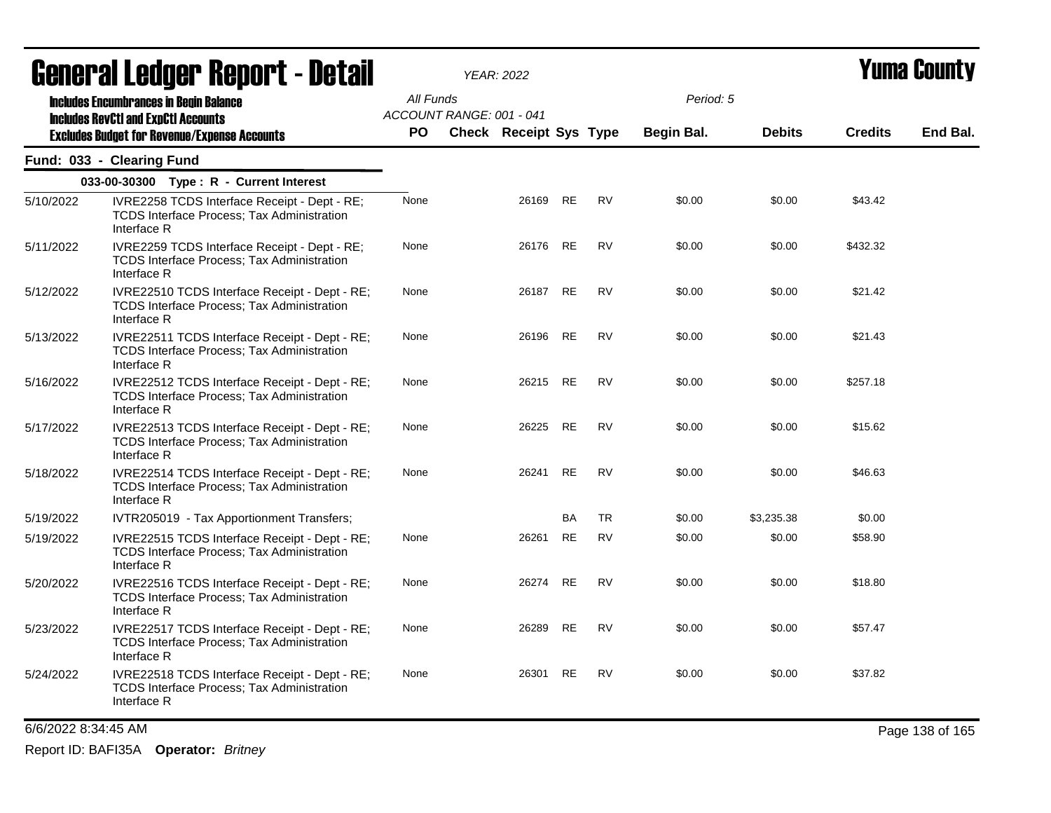| <b>Griigi.ai Fanñai. ughni. 1 - Datsii</b> |                                                                                                                   | <b>YEAR: 2022</b> |                          |                               |           |           |            |               | I UIIIA VUUIILY |          |
|--------------------------------------------|-------------------------------------------------------------------------------------------------------------------|-------------------|--------------------------|-------------------------------|-----------|-----------|------------|---------------|-----------------|----------|
|                                            | <b>Includes Encumbrances in Begin Balance</b><br><b>Includes RevCtI and ExpCtI Accounts</b>                       | All Funds         | ACCOUNT RANGE: 001 - 041 |                               |           |           | Period: 5  |               |                 |          |
|                                            | <b>Excludes Budget for Revenue/Expense Accounts</b>                                                               | PO.               |                          | <b>Check Receipt Sys Type</b> |           |           | Begin Bal. | <b>Debits</b> | <b>Credits</b>  | End Bal. |
|                                            | Fund: 033 - Clearing Fund                                                                                         |                   |                          |                               |           |           |            |               |                 |          |
|                                            | 033-00-30300 Type: R - Current Interest                                                                           |                   |                          |                               |           |           |            |               |                 |          |
| 5/10/2022                                  | IVRE2258 TCDS Interface Receipt - Dept - RE;<br>TCDS Interface Process; Tax Administration<br>Interface R         | None              |                          | 26169                         | RE        | <b>RV</b> | \$0.00     | \$0.00        | \$43.42         |          |
| 5/11/2022                                  | IVRE2259 TCDS Interface Receipt - Dept - RE;<br><b>TCDS Interface Process; Tax Administration</b><br>Interface R  | None              |                          | 26176                         | RE        | <b>RV</b> | \$0.00     | \$0.00        | \$432.32        |          |
| 5/12/2022                                  | IVRE22510 TCDS Interface Receipt - Dept - RE;<br><b>TCDS Interface Process; Tax Administration</b><br>Interface R | None              |                          | 26187                         | <b>RE</b> | RV        | \$0.00     | \$0.00        | \$21.42         |          |
| 5/13/2022                                  | IVRE22511 TCDS Interface Receipt - Dept - RE;<br>TCDS Interface Process; Tax Administration<br>Interface R        | None              |                          | 26196                         | RE        | <b>RV</b> | \$0.00     | \$0.00        | \$21.43         |          |
| 5/16/2022                                  | IVRE22512 TCDS Interface Receipt - Dept - RE;<br>TCDS Interface Process; Tax Administration<br>Interface R        | None              |                          | 26215                         | RE        | RV        | \$0.00     | \$0.00        | \$257.18        |          |
| 5/17/2022                                  | IVRE22513 TCDS Interface Receipt - Dept - RE;<br>TCDS Interface Process; Tax Administration<br>Interface R        | None              |                          | 26225                         | RE        | <b>RV</b> | \$0.00     | \$0.00        | \$15.62         |          |
| 5/18/2022                                  | IVRE22514 TCDS Interface Receipt - Dept - RE;<br>TCDS Interface Process; Tax Administration<br>Interface R        | None              |                          | 26241                         | <b>RE</b> | <b>RV</b> | \$0.00     | \$0.00        | \$46.63         |          |
| 5/19/2022                                  | IVTR205019 - Tax Apportionment Transfers;                                                                         |                   |                          |                               | <b>BA</b> | <b>TR</b> | \$0.00     | \$3,235.38    | \$0.00          |          |
| 5/19/2022                                  | IVRE22515 TCDS Interface Receipt - Dept - RE;<br><b>TCDS Interface Process: Tax Administration</b><br>Interface R | None              |                          | 26261                         | <b>RE</b> | <b>RV</b> | \$0.00     | \$0.00        | \$58.90         |          |
| 5/20/2022                                  | IVRE22516 TCDS Interface Receipt - Dept - RE;<br>TCDS Interface Process; Tax Administration<br>Interface R        | None              |                          | 26274                         | RE        | <b>RV</b> | \$0.00     | \$0.00        | \$18.80         |          |
| 5/23/2022                                  | IVRE22517 TCDS Interface Receipt - Dept - RE;<br>TCDS Interface Process; Tax Administration<br>Interface R        | None              |                          | 26289                         | RE        | <b>RV</b> | \$0.00     | \$0.00        | \$57.47         |          |
| 5/24/2022                                  | IVRE22518 TCDS Interface Receipt - Dept - RE;<br><b>TCDS Interface Process; Tax Administration</b><br>Interface R | None              |                          | 26301                         | RE        | RV        | \$0.00     | \$0.00        | \$37.82         |          |

6/6/2022 8:34:45 AM Page 138 of 165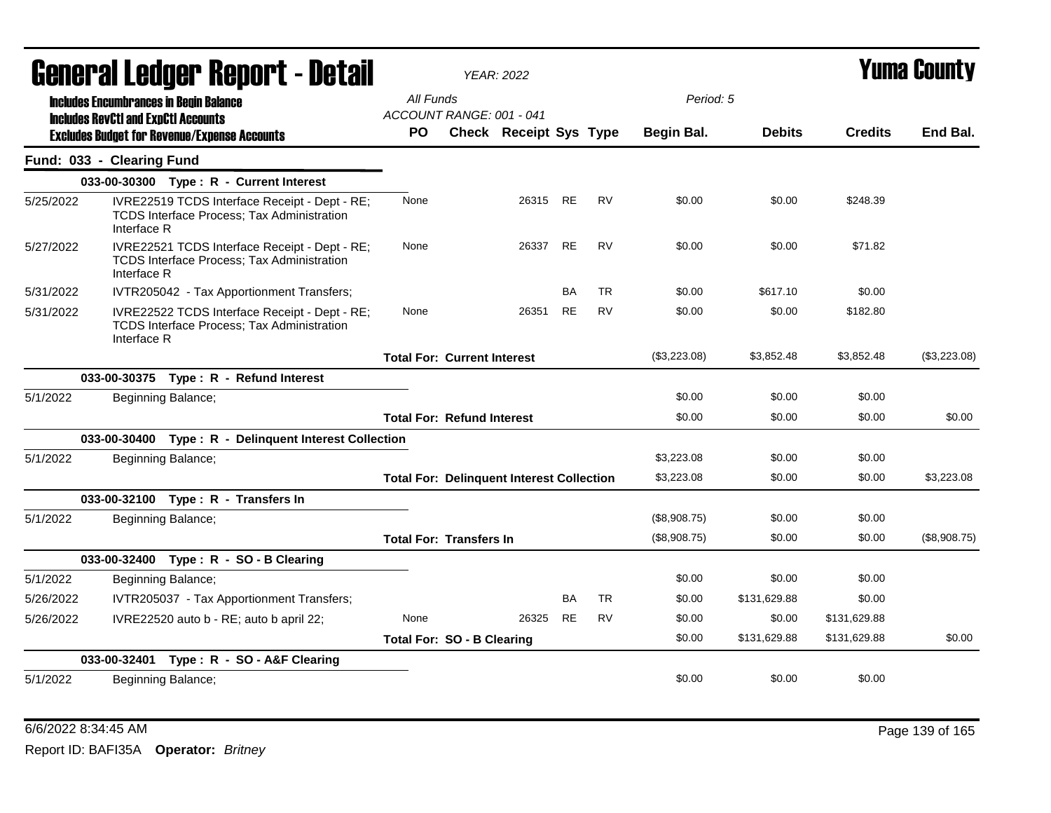| General Ledger Report - Detail |                                            |                                                                                                    |                                       | <b>YEAR: 2022</b>                                |           |           | Yuma Countv  |               |                |              |
|--------------------------------|--------------------------------------------|----------------------------------------------------------------------------------------------------|---------------------------------------|--------------------------------------------------|-----------|-----------|--------------|---------------|----------------|--------------|
|                                |                                            | <b>Includes Encumbrances in Begin Balance</b>                                                      | All Funds<br>ACCOUNT RANGE: 001 - 041 |                                                  |           |           | Period: 5    |               |                |              |
|                                | <b>Includes RevCtI and ExpCtI Accounts</b> | <b>Excludes Budget for Revenue/Expense Accounts</b>                                                | PO.                                   | Check Receipt Sys Type                           |           |           | Begin Bal.   | <b>Debits</b> | <b>Credits</b> | End Bal.     |
|                                | Fund: 033 - Clearing Fund                  |                                                                                                    |                                       |                                                  |           |           |              |               |                |              |
|                                |                                            | 033-00-30300 Type: R - Current Interest                                                            |                                       |                                                  |           |           |              |               |                |              |
| 5/25/2022                      | Interface R                                | IVRE22519 TCDS Interface Receipt - Dept - RE;<br><b>TCDS Interface Process: Tax Administration</b> | None                                  | 26315 RE                                         |           | <b>RV</b> | \$0.00       | \$0.00        | \$248.39       |              |
| 5/27/2022                      | Interface R                                | IVRE22521 TCDS Interface Receipt - Dept - RE;<br><b>TCDS Interface Process; Tax Administration</b> | None                                  | 26337                                            | <b>RE</b> | <b>RV</b> | \$0.00       | \$0.00        | \$71.82        |              |
| 5/31/2022                      |                                            | IVTR205042 - Tax Apportionment Transfers;                                                          |                                       |                                                  | <b>BA</b> | <b>TR</b> | \$0.00       | \$617.10      | \$0.00         |              |
| 5/31/2022                      | Interface R                                | IVRE22522 TCDS Interface Receipt - Dept - RE;<br><b>TCDS Interface Process; Tax Administration</b> | None                                  | 26351                                            | RE        | RV        | \$0.00       | \$0.00        | \$182.80       |              |
|                                |                                            |                                                                                                    | <b>Total For: Current Interest</b>    |                                                  |           |           | (\$3,223.08) | \$3,852.48    | \$3,852.48     | (\$3,223.08) |
|                                |                                            | 033-00-30375 Type: R - Refund Interest                                                             |                                       |                                                  |           |           |              |               |                |              |
| 5/1/2022                       |                                            | Beginning Balance;                                                                                 |                                       |                                                  |           |           | \$0.00       | \$0.00        | \$0.00         |              |
|                                |                                            |                                                                                                    | <b>Total For: Refund Interest</b>     |                                                  |           |           | \$0.00       | \$0.00        | \$0.00         | \$0.00       |
|                                |                                            | 033-00-30400 Type: R - Delinquent Interest Collection                                              |                                       |                                                  |           |           |              |               |                |              |
| 5/1/2022                       |                                            | Beginning Balance;                                                                                 |                                       |                                                  |           |           | \$3,223.08   | \$0.00        | \$0.00         |              |
|                                |                                            |                                                                                                    |                                       | <b>Total For: Delinquent Interest Collection</b> |           |           | \$3,223.08   | \$0.00        | \$0.00         | \$3,223.08   |
|                                |                                            | 033-00-32100 Type: R - Transfers In                                                                |                                       |                                                  |           |           |              |               |                |              |
| 5/1/2022                       |                                            | Beginning Balance;                                                                                 |                                       |                                                  |           |           | (\$8,908.75) | \$0.00        | \$0.00         |              |
|                                |                                            |                                                                                                    | <b>Total For: Transfers In</b>        |                                                  |           |           | (\$8,908.75) | \$0.00        | \$0.00         | (\$8,908.75) |
|                                |                                            | 033-00-32400 Type: R - SO - B Clearing                                                             |                                       |                                                  |           |           |              |               |                |              |
| 5/1/2022                       |                                            | Beginning Balance;                                                                                 |                                       |                                                  |           |           | \$0.00       | \$0.00        | \$0.00         |              |
| 5/26/2022                      |                                            | IVTR205037 - Tax Apportionment Transfers;                                                          |                                       |                                                  | BA        | TR        | \$0.00       | \$131,629.88  | \$0.00         |              |
| 5/26/2022                      |                                            | IVRE22520 auto b - RE; auto b april 22;                                                            | None                                  | 26325                                            | <b>RE</b> | <b>RV</b> | \$0.00       | \$0.00        | \$131,629.88   |              |
|                                |                                            |                                                                                                    | <b>Total For: SO - B Clearing</b>     |                                                  |           |           | \$0.00       | \$131,629.88  | \$131,629.88   | \$0.00       |
|                                |                                            | 033-00-32401 Type: R - SO - A&F Clearing                                                           |                                       |                                                  |           |           |              |               |                |              |
| 5/1/2022                       |                                            | Beginning Balance;                                                                                 |                                       |                                                  |           |           | \$0.00       | \$0.00        | \$0.00         |              |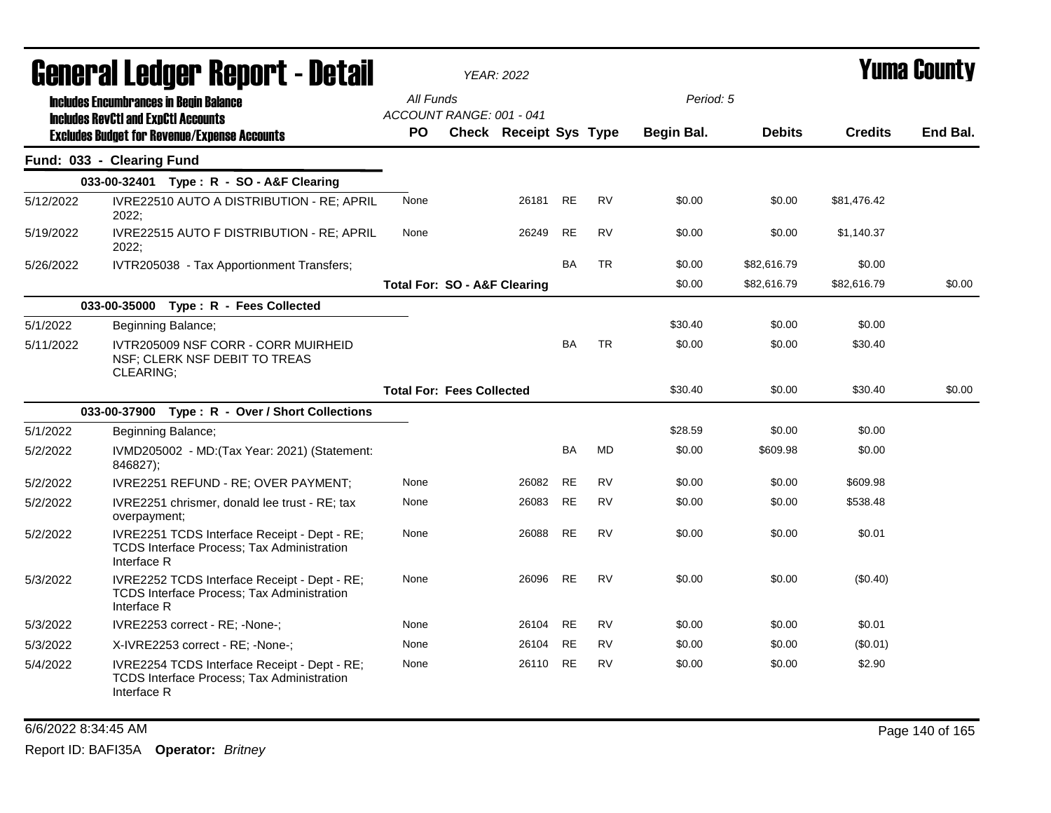|           | General Ledger Report - Detail                                                                                   |           | <b>YEAR: 2022</b>                       |           |           |            |               | <b>Yuma County</b> |          |
|-----------|------------------------------------------------------------------------------------------------------------------|-----------|-----------------------------------------|-----------|-----------|------------|---------------|--------------------|----------|
|           | <b>Includes Encumbrances in Begin Balance</b><br><b>Includes RevCtI and ExpCtI Accounts</b>                      | All Funds | ACCOUNT RANGE: 001 - 041                |           |           | Period: 5  |               |                    |          |
|           | <b>Excludes Budget for Revenue/Expense Accounts</b>                                                              | <b>PO</b> | Check Receipt Sys Type                  |           |           | Begin Bal. | <b>Debits</b> | <b>Credits</b>     | End Bal. |
|           | Fund: 033 - Clearing Fund                                                                                        |           |                                         |           |           |            |               |                    |          |
|           | 033-00-32401 Type: R - SO - A&F Clearing                                                                         |           |                                         |           |           |            |               |                    |          |
| 5/12/2022 | IVRE22510 AUTO A DISTRIBUTION - RE; APRIL<br>2022;                                                               | None      | 26181                                   | <b>RE</b> | <b>RV</b> | \$0.00     | \$0.00        | \$81,476.42        |          |
| 5/19/2022 | IVRE22515 AUTO F DISTRIBUTION - RE; APRIL<br>2022;                                                               | None      | 26249                                   | <b>RE</b> | <b>RV</b> | \$0.00     | \$0.00        | \$1,140.37         |          |
| 5/26/2022 | IVTR205038 - Tax Apportionment Transfers;                                                                        |           |                                         | <b>BA</b> | <b>TR</b> | \$0.00     | \$82,616.79   | \$0.00             |          |
|           |                                                                                                                  |           | <b>Total For: SO - A&amp;F Clearing</b> |           |           | \$0.00     | \$82.616.79   | \$82,616.79        | \$0.00   |
|           | 033-00-35000 Type: R - Fees Collected                                                                            |           |                                         |           |           |            |               |                    |          |
| 5/1/2022  | Beginning Balance;                                                                                               |           |                                         |           |           | \$30.40    | \$0.00        | \$0.00             |          |
| 5/11/2022 | IVTR205009 NSF CORR - CORR MUIRHEID<br>NSF; CLERK NSF DEBIT TO TREAS<br><b>CLEARING:</b>                         |           |                                         | <b>BA</b> | <b>TR</b> | \$0.00     | \$0.00        | \$30.40            |          |
|           |                                                                                                                  |           | <b>Total For: Fees Collected</b>        |           |           | \$30.40    | \$0.00        | \$30.40            | \$0.00   |
|           | 033-00-37900 Type: R - Over / Short Collections                                                                  |           |                                         |           |           |            |               |                    |          |
| 5/1/2022  | Beginning Balance;                                                                                               |           |                                         |           |           | \$28.59    | \$0.00        | \$0.00             |          |
| 5/2/2022  | IVMD205002 - MD: (Tax Year: 2021) (Statement:<br>846827);                                                        |           |                                         | <b>BA</b> | <b>MD</b> | \$0.00     | \$609.98      | \$0.00             |          |
| 5/2/2022  | IVRE2251 REFUND - RE; OVER PAYMENT;                                                                              | None      | 26082                                   | <b>RE</b> | <b>RV</b> | \$0.00     | \$0.00        | \$609.98           |          |
| 5/2/2022  | IVRE2251 chrismer, donald lee trust - RE; tax<br>overpayment;                                                    | None      | 26083                                   | <b>RE</b> | <b>RV</b> | \$0.00     | \$0.00        | \$538.48           |          |
| 5/2/2022  | IVRE2251 TCDS Interface Receipt - Dept - RE;<br><b>TCDS Interface Process; Tax Administration</b><br>Interface R | None      | 26088                                   | <b>RE</b> | <b>RV</b> | \$0.00     | \$0.00        | \$0.01             |          |
| 5/3/2022  | IVRE2252 TCDS Interface Receipt - Dept - RE;<br>TCDS Interface Process; Tax Administration<br>Interface R        | None      | 26096                                   | <b>RE</b> | <b>RV</b> | \$0.00     | \$0.00        | (\$0.40)           |          |
| 5/3/2022  | IVRE2253 correct - RE; -None-;                                                                                   | None      | 26104                                   | <b>RE</b> | <b>RV</b> | \$0.00     | \$0.00        | \$0.01             |          |
| 5/3/2022  | X-IVRE2253 correct - RE; -None-;                                                                                 | None      | 26104                                   | <b>RE</b> | <b>RV</b> | \$0.00     | \$0.00        | $(\$0.01)$         |          |
| 5/4/2022  | IVRE2254 TCDS Interface Receipt - Dept - RE;<br>TCDS Interface Process; Tax Administration<br>Interface R        | None      | 26110                                   | <b>RE</b> | <b>RV</b> | \$0.00     | \$0.00        | \$2.90             |          |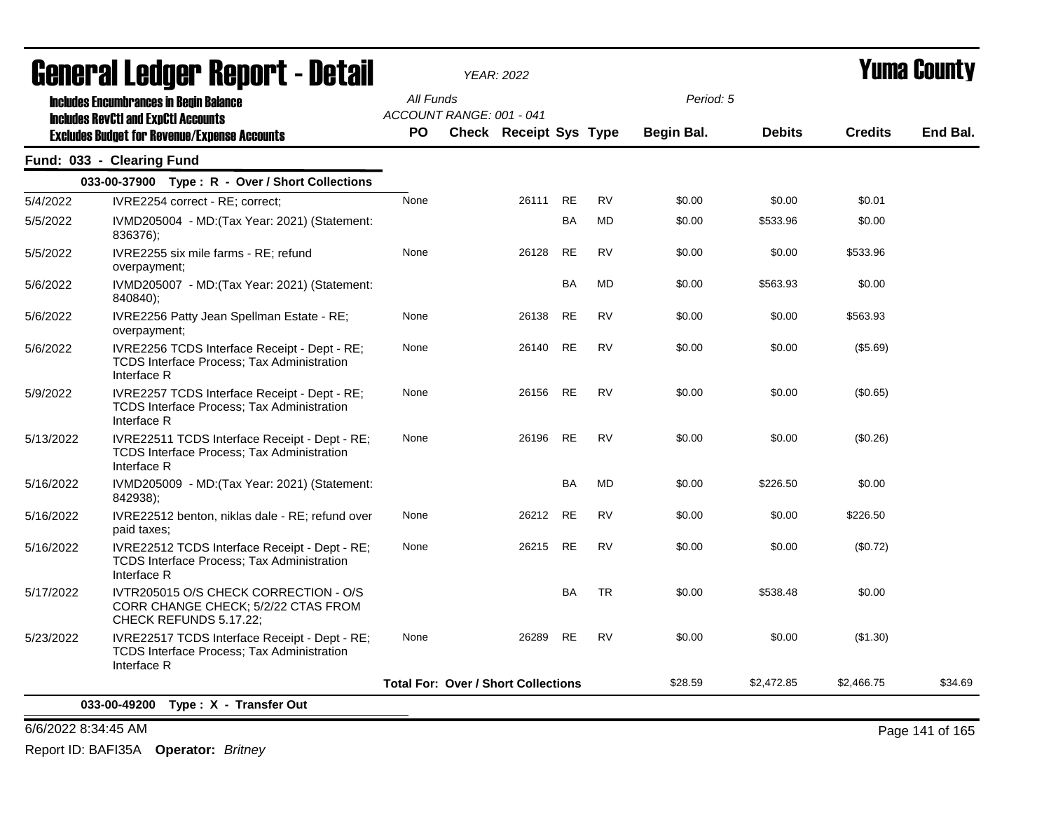| acıici ai leuyei" nepol"l - Detail |                                                                                                                   |           | <i><b>YEAR: 2022</b></i>                   |           |           |            |               |                | I UMA VUUNLY |
|------------------------------------|-------------------------------------------------------------------------------------------------------------------|-----------|--------------------------------------------|-----------|-----------|------------|---------------|----------------|--------------|
|                                    | <b>Includes Encumbrances in Begin Balance</b><br><b>Includes RevCtI and ExpCtI Accounts</b>                       | All Funds | ACCOUNT RANGE: 001 - 041                   |           |           | Period: 5  |               |                |              |
|                                    | <b>Excludes Budget for Revenue/Expense Accounts</b>                                                               | PO.       | <b>Check Receipt Sys Type</b>              |           |           | Begin Bal. | <b>Debits</b> | <b>Credits</b> | End Bal.     |
|                                    | Fund: 033 - Clearing Fund                                                                                         |           |                                            |           |           |            |               |                |              |
|                                    | 033-00-37900 Type: R - Over / Short Collections                                                                   |           |                                            |           |           |            |               |                |              |
| 5/4/2022                           | IVRE2254 correct - RE; correct;                                                                                   | None      | 26111                                      | <b>RE</b> | <b>RV</b> | \$0.00     | \$0.00        | \$0.01         |              |
| 5/5/2022                           | IVMD205004 - MD: (Tax Year: 2021) (Statement:<br>836376);                                                         |           |                                            | BA        | <b>MD</b> | \$0.00     | \$533.96      | \$0.00         |              |
| 5/5/2022                           | IVRE2255 six mile farms - RE; refund<br>overpayment;                                                              | None      | 26128                                      | <b>RE</b> | <b>RV</b> | \$0.00     | \$0.00        | \$533.96       |              |
| 5/6/2022                           | IVMD205007 - MD: (Tax Year: 2021) (Statement:<br>840840);                                                         |           |                                            | BA        | MD        | \$0.00     | \$563.93      | \$0.00         |              |
| 5/6/2022                           | IVRE2256 Patty Jean Spellman Estate - RE;<br>overpayment;                                                         | None      | 26138                                      | RE        | RV        | \$0.00     | \$0.00        | \$563.93       |              |
| 5/6/2022                           | IVRE2256 TCDS Interface Receipt - Dept - RE;<br>TCDS Interface Process; Tax Administration<br>Interface R         | None      | 26140                                      | RE        | <b>RV</b> | \$0.00     | \$0.00        | (\$5.69)       |              |
| 5/9/2022                           | IVRE2257 TCDS Interface Receipt - Dept - RE;<br><b>TCDS Interface Process; Tax Administration</b><br>Interface R  | None      | 26156                                      | <b>RE</b> | <b>RV</b> | \$0.00     | \$0.00        | (\$0.65)       |              |
| 5/13/2022                          | IVRE22511 TCDS Interface Receipt - Dept - RE;<br><b>TCDS Interface Process; Tax Administration</b><br>Interface R | None      | 26196                                      | <b>RE</b> | <b>RV</b> | \$0.00     | \$0.00        | (\$0.26)       |              |
| 5/16/2022                          | IVMD205009 - MD: (Tax Year: 2021) (Statement:<br>842938);                                                         |           |                                            | BA        | MD        | \$0.00     | \$226.50      | \$0.00         |              |
| 5/16/2022                          | IVRE22512 benton, niklas dale - RE; refund over<br>paid taxes;                                                    | None      | 26212                                      | RE        | RV        | \$0.00     | \$0.00        | \$226.50       |              |
| 5/16/2022                          | IVRE22512 TCDS Interface Receipt - Dept - RE;<br><b>TCDS Interface Process; Tax Administration</b><br>Interface R | None      | 26215                                      | <b>RE</b> | <b>RV</b> | \$0.00     | \$0.00        | (\$0.72)       |              |
| 5/17/2022                          | IVTR205015 O/S CHECK CORRECTION - O/S<br>CORR CHANGE CHECK; 5/2/22 CTAS FROM<br>CHECK REFUNDS 5.17.22;            |           |                                            | BA        | <b>TR</b> | \$0.00     | \$538.48      | \$0.00         |              |
| 5/23/2022                          | IVRE22517 TCDS Interface Receipt - Dept - RE;<br>TCDS Interface Process; Tax Administration<br>Interface R        | None      | 26289                                      | RE        | <b>RV</b> | \$0.00     | \$0.00        | (\$1.30)       |              |
|                                    |                                                                                                                   |           | <b>Total For: Over / Short Collections</b> |           |           | \$28.59    | \$2,472.85    | \$2,466.75     | \$34.69      |

6/6/2022 8:34:45 AM Page 141 of 165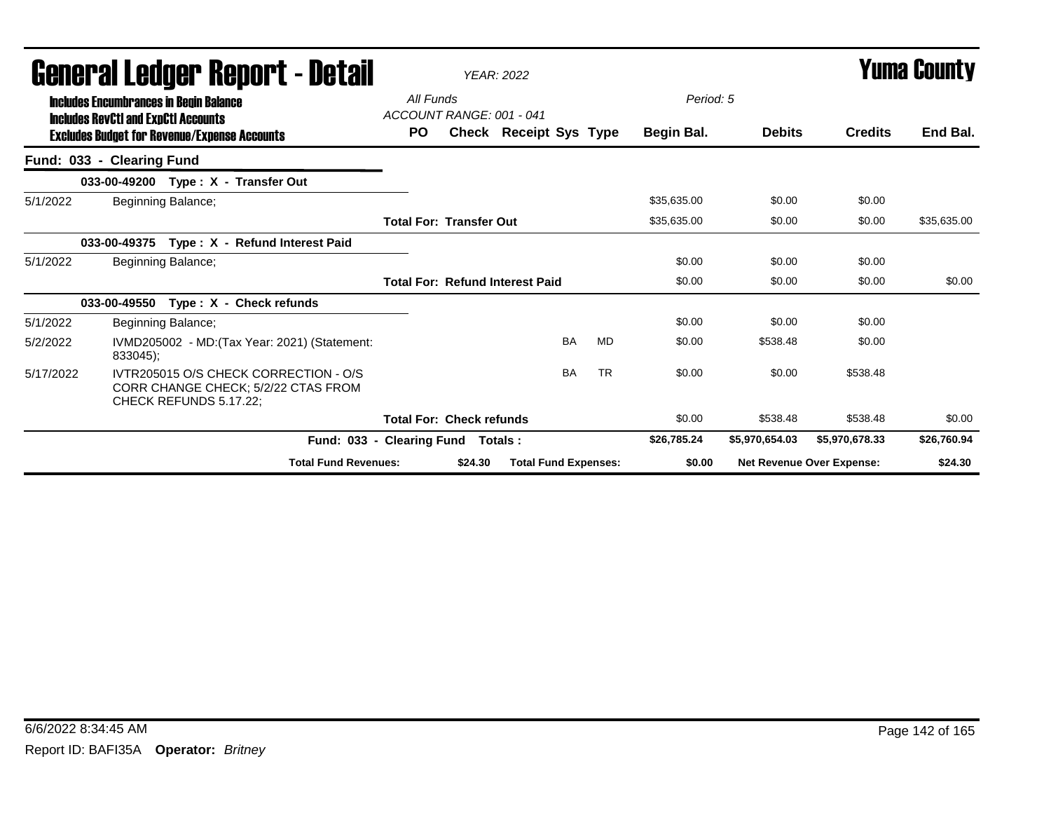|           | Generai Leuger Keport - Detail                                                                         |                                       |         | <b>YEAR: 2022</b>                      |           |             |                | Tunia Gounty                     |             |
|-----------|--------------------------------------------------------------------------------------------------------|---------------------------------------|---------|----------------------------------------|-----------|-------------|----------------|----------------------------------|-------------|
|           | <b>Includes Encumbrances in Begin Balance</b><br><b>Includes RevCtI and ExpCtI Accounts</b>            | All Funds<br>ACCOUNT RANGE: 001 - 041 |         |                                        |           | Period: 5   |                |                                  |             |
|           | <b>Excludes Budget for Revenue/Expense Accounts</b>                                                    | PO.                                   |         | Check Receipt Sys Type                 |           | Begin Bal.  | <b>Debits</b>  | <b>Credits</b>                   | End Bal.    |
|           | Fund: 033 - Clearing Fund                                                                              |                                       |         |                                        |           |             |                |                                  |             |
|           | 033-00-49200 Type: X - Transfer Out                                                                    |                                       |         |                                        |           |             |                |                                  |             |
| 5/1/2022  | Beginning Balance;                                                                                     |                                       |         |                                        |           | \$35,635.00 | \$0.00         | \$0.00                           |             |
|           |                                                                                                        | <b>Total For: Transfer Out</b>        |         |                                        |           | \$35,635.00 | \$0.00         | \$0.00                           | \$35,635.00 |
|           | Type: X - Refund Interest Paid<br>033-00-49375                                                         |                                       |         |                                        |           |             |                |                                  |             |
| 5/1/2022  | Beginning Balance;                                                                                     |                                       |         |                                        |           | \$0.00      | \$0.00         | \$0.00                           |             |
|           |                                                                                                        |                                       |         | <b>Total For: Refund Interest Paid</b> |           | \$0.00      | \$0.00         | \$0.00                           | \$0.00      |
|           | 033-00-49550<br>Type: X - Check refunds                                                                |                                       |         |                                        |           |             |                |                                  |             |
| 5/1/2022  | Beginning Balance;                                                                                     |                                       |         |                                        |           | \$0.00      | \$0.00         | \$0.00                           |             |
| 5/2/2022  | IVMD205002 - MD: (Tax Year: 2021) (Statement:<br>833045);                                              |                                       |         | <b>BA</b>                              | MD        | \$0.00      | \$538.48       | \$0.00                           |             |
| 5/17/2022 | IVTR205015 O/S CHECK CORRECTION - O/S<br>CORR CHANGE CHECK; 5/2/22 CTAS FROM<br>CHECK REFUNDS 5.17.22; |                                       |         | <b>BA</b>                              | <b>TR</b> | \$0.00      | \$0.00         | \$538.48                         |             |
|           |                                                                                                        | <b>Total For: Check refunds</b>       |         |                                        |           | \$0.00      | \$538.48       | \$538.48                         | \$0.00      |
|           |                                                                                                        | Fund: 033 - Clearing Fund Totals:     |         |                                        |           | \$26,785.24 | \$5,970,654.03 | \$5,970,678.33                   | \$26,760.94 |
|           | <b>Total Fund Revenues:</b>                                                                            |                                       | \$24.30 | <b>Total Fund Expenses:</b>            |           | \$0.00      |                | <b>Net Revenue Over Expense:</b> | \$24.30     |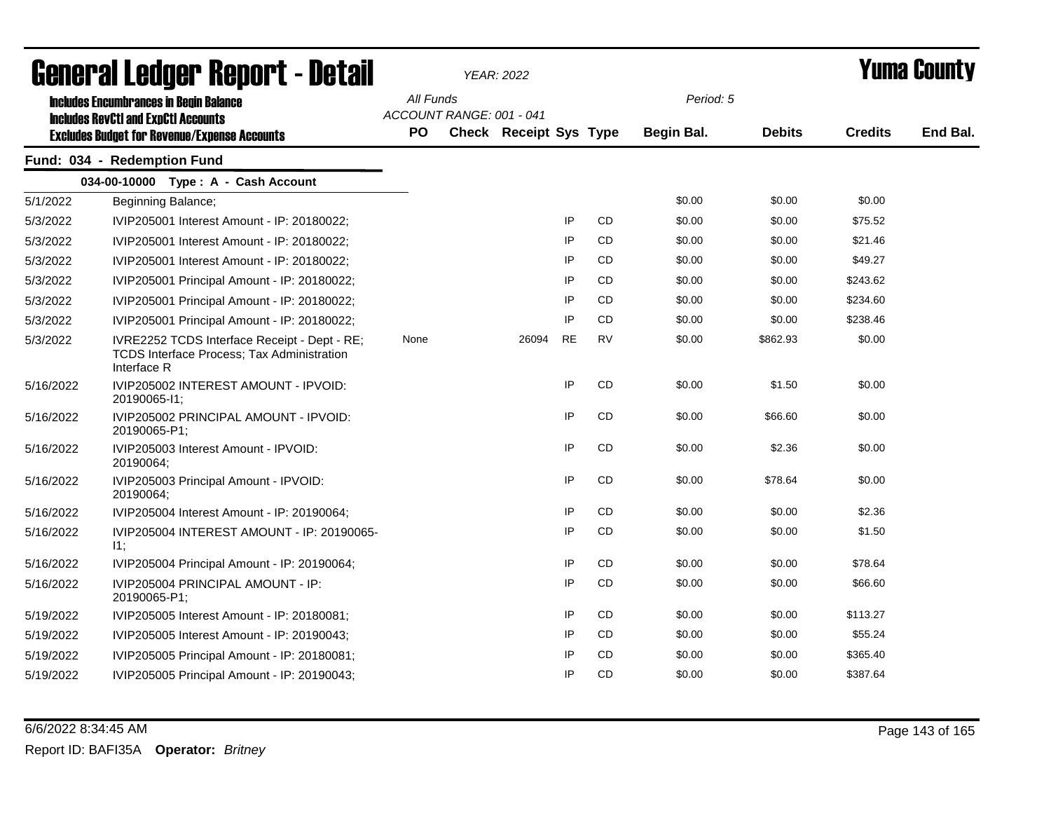|           | General Ledger Report - Detail                                                                                   |                                       | <b>YEAR: 2022</b>      |           |           | <b>Yuma County</b> |               |                |          |
|-----------|------------------------------------------------------------------------------------------------------------------|---------------------------------------|------------------------|-----------|-----------|--------------------|---------------|----------------|----------|
|           | <b>Includes Encumbrances in Begin Balance</b><br><b>Includes RevCtI and ExpCtI Accounts</b>                      | All Funds<br>ACCOUNT RANGE: 001 - 041 |                        |           |           | Period: 5          |               |                |          |
|           | <b>Excludes Budget for Revenue/Expense Accounts</b>                                                              | PO                                    | Check Receipt Sys Type |           |           | Begin Bal.         | <b>Debits</b> | <b>Credits</b> | End Bal. |
|           | Fund: 034 - Redemption Fund                                                                                      |                                       |                        |           |           |                    |               |                |          |
|           | 034-00-10000 Type: A - Cash Account                                                                              |                                       |                        |           |           |                    |               |                |          |
| 5/1/2022  | Beginning Balance;                                                                                               |                                       |                        |           |           | \$0.00             | \$0.00        | \$0.00         |          |
| 5/3/2022  | IVIP205001 Interest Amount - IP: 20180022;                                                                       |                                       |                        | IP        | CD        | \$0.00             | \$0.00        | \$75.52        |          |
| 5/3/2022  | IVIP205001 Interest Amount - IP: 20180022;                                                                       |                                       |                        | IP        | CD        | \$0.00             | \$0.00        | \$21.46        |          |
| 5/3/2022  | IVIP205001 Interest Amount - IP: 20180022;                                                                       |                                       |                        | IP        | CD        | \$0.00             | \$0.00        | \$49.27        |          |
| 5/3/2022  | IVIP205001 Principal Amount - IP: 20180022;                                                                      |                                       |                        | IP        | <b>CD</b> | \$0.00             | \$0.00        | \$243.62       |          |
| 5/3/2022  | IVIP205001 Principal Amount - IP: 20180022;                                                                      |                                       |                        | IP        | <b>CD</b> | \$0.00             | \$0.00        | \$234.60       |          |
| 5/3/2022  | IVIP205001 Principal Amount - IP: 20180022;                                                                      |                                       |                        | IP        | CD.       | \$0.00             | \$0.00        | \$238.46       |          |
| 5/3/2022  | IVRE2252 TCDS Interface Receipt - Dept - RE;<br><b>TCDS Interface Process; Tax Administration</b><br>Interface R | None                                  | 26094                  | <b>RE</b> | <b>RV</b> | \$0.00             | \$862.93      | \$0.00         |          |
| 5/16/2022 | IVIP205002 INTEREST AMOUNT - IPVOID:<br>20190065-11;                                                             |                                       |                        | IP        | <b>CD</b> | \$0.00             | \$1.50        | \$0.00         |          |
| 5/16/2022 | IVIP205002 PRINCIPAL AMOUNT - IPVOID:<br>20190065-P1;                                                            |                                       |                        | IP        | CD        | \$0.00             | \$66.60       | \$0.00         |          |
| 5/16/2022 | IVIP205003 Interest Amount - IPVOID:<br>20190064;                                                                |                                       |                        | IP        | CD        | \$0.00             | \$2.36        | \$0.00         |          |
| 5/16/2022 | IVIP205003 Principal Amount - IPVOID:<br>20190064;                                                               |                                       |                        | IP        | CD        | \$0.00             | \$78.64       | \$0.00         |          |
| 5/16/2022 | IVIP205004 Interest Amount - IP: 20190064;                                                                       |                                       |                        | IP        | CD.       | \$0.00             | \$0.00        | \$2.36         |          |
| 5/16/2022 | IVIP205004 INTEREST AMOUNT - IP: 20190065-<br>11;                                                                |                                       |                        | IP        | CD        | \$0.00             | \$0.00        | \$1.50         |          |
| 5/16/2022 | IVIP205004 Principal Amount - IP: 20190064;                                                                      |                                       |                        | IP        | <b>CD</b> | \$0.00             | \$0.00        | \$78.64        |          |
| 5/16/2022 | IVIP205004 PRINCIPAL AMOUNT - IP:<br>20190065-P1;                                                                |                                       |                        | IP        | CD        | \$0.00             | \$0.00        | \$66.60        |          |
| 5/19/2022 | IVIP205005 Interest Amount - IP: 20180081;                                                                       |                                       |                        | IP        | CD        | \$0.00             | \$0.00        | \$113.27       |          |
| 5/19/2022 | IVIP205005 Interest Amount - IP: 20190043;                                                                       |                                       |                        | IP        | CD        | \$0.00             | \$0.00        | \$55.24        |          |
| 5/19/2022 | IVIP205005 Principal Amount - IP: 20180081;                                                                      |                                       |                        | IP        | CD        | \$0.00             | \$0.00        | \$365.40       |          |
| 5/19/2022 | IVIP205005 Principal Amount - IP: 20190043;                                                                      |                                       |                        | IP        | CD        | \$0.00             | \$0.00        | \$387.64       |          |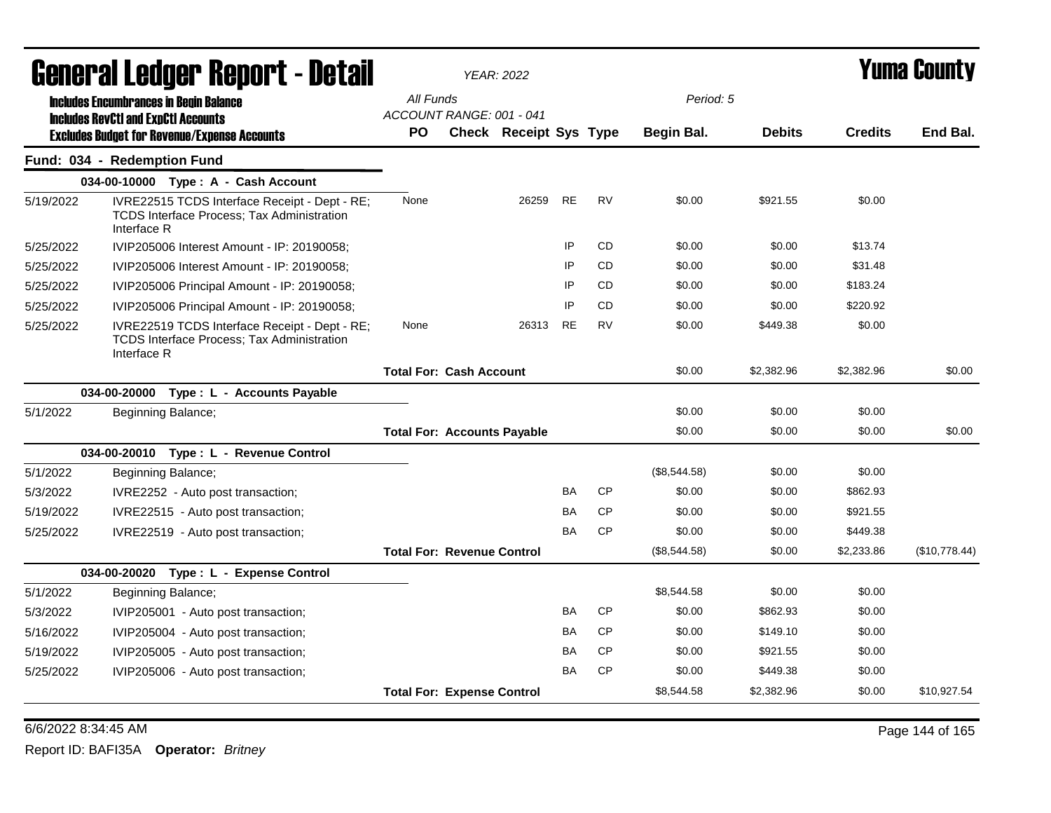| General Ledger Report - Detail |                                                                                                                   |                                       | <b>YEAR: 2022</b>             |           |           | <b>Yuma County</b> |               |                |               |
|--------------------------------|-------------------------------------------------------------------------------------------------------------------|---------------------------------------|-------------------------------|-----------|-----------|--------------------|---------------|----------------|---------------|
|                                | <b>Includes Encumbrances in Begin Balance</b>                                                                     | All Funds                             |                               |           |           | Period: 5          |               |                |               |
|                                | <b>Includes RevCtI and ExpCtI Accounts</b><br><b>Excludes Budget for Revenue/Expense Accounts</b>                 | ACCOUNT RANGE: 001 - 041<br><b>PO</b> | <b>Check Receipt Sys Type</b> |           |           | Begin Bal.         | <b>Debits</b> | <b>Credits</b> | End Bal.      |
|                                | Fund: 034 - Redemption Fund                                                                                       |                                       |                               |           |           |                    |               |                |               |
|                                | 034-00-10000 Type: A - Cash Account                                                                               |                                       |                               |           |           |                    |               |                |               |
| 5/19/2022                      | IVRE22515 TCDS Interface Receipt - Dept - RE;<br><b>TCDS Interface Process: Tax Administration</b><br>Interface R | None                                  | 26259                         | <b>RE</b> | <b>RV</b> | \$0.00             | \$921.55      | \$0.00         |               |
| 5/25/2022                      | IVIP205006 Interest Amount - IP: 20190058;                                                                        |                                       |                               | IP        | <b>CD</b> | \$0.00             | \$0.00        | \$13.74        |               |
| 5/25/2022                      | IVIP205006 Interest Amount - IP: 20190058;                                                                        |                                       |                               | IP        | <b>CD</b> | \$0.00             | \$0.00        | \$31.48        |               |
| 5/25/2022                      | IVIP205006 Principal Amount - IP: 20190058;                                                                       |                                       |                               | IP        | <b>CD</b> | \$0.00             | \$0.00        | \$183.24       |               |
| 5/25/2022                      | IVIP205006 Principal Amount - IP: 20190058;                                                                       |                                       |                               | IP        | <b>CD</b> | \$0.00             | \$0.00        | \$220.92       |               |
| 5/25/2022                      | IVRE22519 TCDS Interface Receipt - Dept - RE;<br>TCDS Interface Process; Tax Administration<br>Interface R        | None                                  | 26313                         | <b>RE</b> | <b>RV</b> | \$0.00             | \$449.38      | \$0.00         |               |
|                                |                                                                                                                   | <b>Total For: Cash Account</b>        |                               |           |           | \$0.00             | \$2,382.96    | \$2,382.96     | \$0.00        |
|                                | 034-00-20000<br>Type : L - Accounts Payable                                                                       |                                       |                               |           |           |                    |               |                |               |
| 5/1/2022                       | Beginning Balance;                                                                                                |                                       |                               |           |           | \$0.00             | \$0.00        | \$0.00         |               |
|                                |                                                                                                                   | <b>Total For: Accounts Payable</b>    |                               |           |           | \$0.00             | \$0.00        | \$0.00         | \$0.00        |
|                                | 034-00-20010 Type: L - Revenue Control                                                                            |                                       |                               |           |           |                    |               |                |               |
| 5/1/2022                       | Beginning Balance;                                                                                                |                                       |                               |           |           | (\$8,544.58)       | \$0.00        | \$0.00         |               |
| 5/3/2022                       | IVRE2252 - Auto post transaction;                                                                                 |                                       |                               | <b>BA</b> | <b>CP</b> | \$0.00             | \$0.00        | \$862.93       |               |
| 5/19/2022                      | IVRE22515 - Auto post transaction;                                                                                |                                       |                               | BA        | <b>CP</b> | \$0.00             | \$0.00        | \$921.55       |               |
| 5/25/2022                      | IVRE22519 - Auto post transaction;                                                                                |                                       |                               | BA        | <b>CP</b> | \$0.00             | \$0.00        | \$449.38       |               |
|                                |                                                                                                                   | <b>Total For: Revenue Control</b>     |                               |           |           | (\$8,544.58)       | \$0.00        | \$2,233.86     | (\$10,778.44) |
|                                | 034-00-20020 Type: L - Expense Control                                                                            |                                       |                               |           |           |                    |               |                |               |
| 5/1/2022                       | Beginning Balance;                                                                                                |                                       |                               |           |           | \$8,544.58         | \$0.00        | \$0.00         |               |
| 5/3/2022                       | IVIP205001 - Auto post transaction;                                                                               |                                       |                               | <b>BA</b> | <b>CP</b> | \$0.00             | \$862.93      | \$0.00         |               |
| 5/16/2022                      | IVIP205004 - Auto post transaction;                                                                               |                                       |                               | BA        | <b>CP</b> | \$0.00             | \$149.10      | \$0.00         |               |
| 5/19/2022                      | IVIP205005 - Auto post transaction;                                                                               |                                       |                               | BA        | <b>CP</b> | \$0.00             | \$921.55      | \$0.00         |               |
| 5/25/2022                      | IVIP205006 - Auto post transaction;                                                                               |                                       |                               | BA        | <b>CP</b> | \$0.00             | \$449.38      | \$0.00         |               |
|                                |                                                                                                                   | <b>Total For: Expense Control</b>     |                               |           |           | \$8.544.58         | \$2,382.96    | \$0.00         | \$10.927.54   |

6/6/2022 8:34:45 AM Page 144 of 165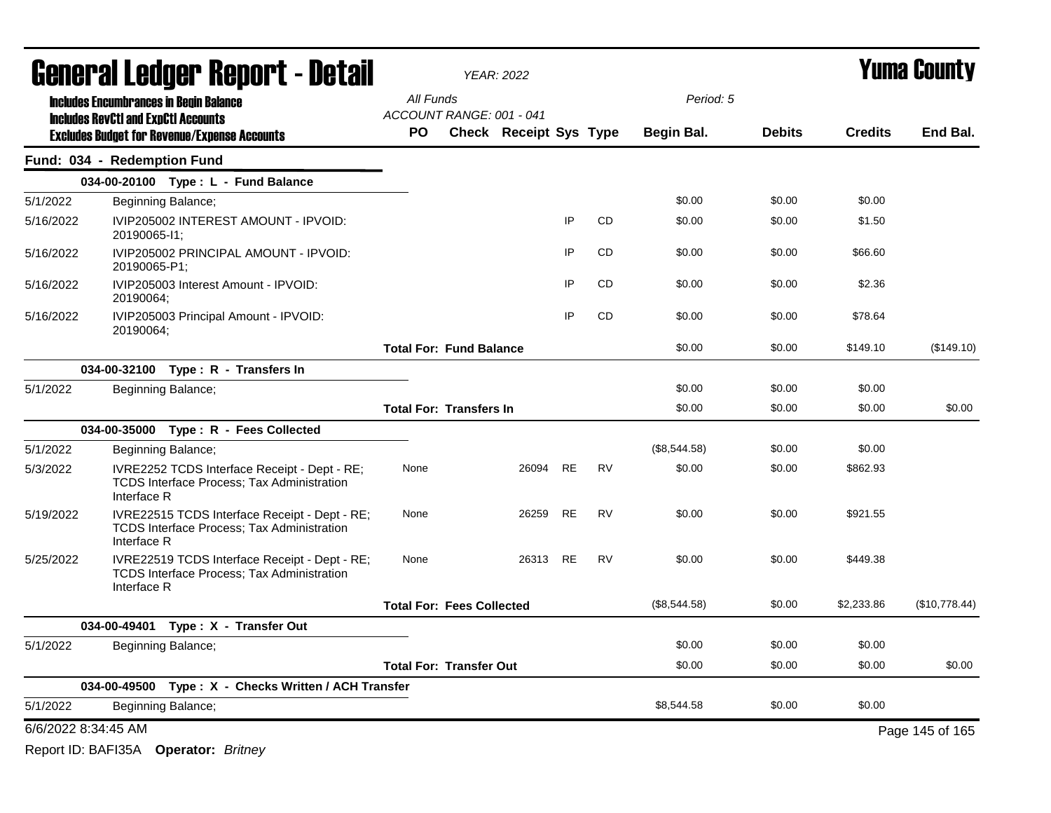|           | General Ledger Report - Detail                                                                                    |                                       | <b>YEAR: 2022</b>             |           |           |              |               | <b>Yuma County</b> |                 |
|-----------|-------------------------------------------------------------------------------------------------------------------|---------------------------------------|-------------------------------|-----------|-----------|--------------|---------------|--------------------|-----------------|
|           | <b>Includes Encumbrances in Begin Balance</b>                                                                     | All Funds                             |                               |           |           | Period: 5    |               |                    |                 |
|           | <b>Includes RevCtI and ExpCtI Accounts</b><br><b>Excludes Budget for Revenue/Expense Accounts</b>                 | ACCOUNT RANGE: 001 - 041<br><b>PO</b> | <b>Check Receipt Sys Type</b> |           |           | Begin Bal.   | <b>Debits</b> | <b>Credits</b>     | End Bal.        |
|           | Fund: 034 - Redemption Fund                                                                                       |                                       |                               |           |           |              |               |                    |                 |
|           | 034-00-20100 Type: L - Fund Balance                                                                               |                                       |                               |           |           |              |               |                    |                 |
| 5/1/2022  | Beginning Balance;                                                                                                |                                       |                               |           |           | \$0.00       | \$0.00        | \$0.00             |                 |
| 5/16/2022 | IVIP205002 INTEREST AMOUNT - IPVOID:<br>20190065-11;                                                              |                                       |                               | IP        | <b>CD</b> | \$0.00       | \$0.00        | \$1.50             |                 |
| 5/16/2022 | IVIP205002 PRINCIPAL AMOUNT - IPVOID:<br>20190065-P1;                                                             |                                       |                               | IP        | <b>CD</b> | \$0.00       | \$0.00        | \$66.60            |                 |
| 5/16/2022 | IVIP205003 Interest Amount - IPVOID:<br>20190064:                                                                 |                                       |                               | ΙP        | CD        | \$0.00       | \$0.00        | \$2.36             |                 |
| 5/16/2022 | IVIP205003 Principal Amount - IPVOID:<br>20190064;                                                                |                                       |                               | IP        | <b>CD</b> | \$0.00       | \$0.00        | \$78.64            |                 |
|           |                                                                                                                   | <b>Total For: Fund Balance</b>        |                               |           |           | \$0.00       | \$0.00        | \$149.10           | (\$149.10)      |
|           | 034-00-32100 Type: R - Transfers In                                                                               |                                       |                               |           |           |              |               |                    |                 |
| 5/1/2022  | Beginning Balance;                                                                                                |                                       |                               |           |           | \$0.00       | \$0.00        | \$0.00             |                 |
|           |                                                                                                                   | <b>Total For: Transfers In</b>        |                               |           |           | \$0.00       | \$0.00        | \$0.00             | \$0.00          |
|           | 034-00-35000 Type: R - Fees Collected                                                                             |                                       |                               |           |           |              |               |                    |                 |
| 5/1/2022  | Beginning Balance;                                                                                                |                                       |                               |           |           | (\$8,544.58) | \$0.00        | \$0.00             |                 |
| 5/3/2022  | IVRE2252 TCDS Interface Receipt - Dept - RE;<br><b>TCDS Interface Process; Tax Administration</b><br>Interface R  | None                                  | 26094                         | <b>RE</b> | <b>RV</b> | \$0.00       | \$0.00        | \$862.93           |                 |
| 5/19/2022 | IVRE22515 TCDS Interface Receipt - Dept - RE;<br><b>TCDS Interface Process; Tax Administration</b><br>Interface R | None                                  | 26259                         | <b>RE</b> | <b>RV</b> | \$0.00       | \$0.00        | \$921.55           |                 |
| 5/25/2022 | IVRE22519 TCDS Interface Receipt - Dept - RE;<br><b>TCDS Interface Process: Tax Administration</b><br>Interface R | None                                  | 26313                         | <b>RE</b> | <b>RV</b> | \$0.00       | \$0.00        | \$449.38           |                 |
|           |                                                                                                                   | <b>Total For: Fees Collected</b>      |                               |           |           | (\$8,544.58) | \$0.00        | \$2,233.86         | (\$10,778.44)   |
|           | 034-00-49401 Type: X - Transfer Out                                                                               |                                       |                               |           |           |              |               |                    |                 |
| 5/1/2022  | Beginning Balance;                                                                                                |                                       |                               |           |           | \$0.00       | \$0.00        | \$0.00             |                 |
|           |                                                                                                                   | <b>Total For: Transfer Out</b>        |                               |           |           | \$0.00       | \$0.00        | \$0.00             | \$0.00          |
|           | 034-00-49500 Type: X - Checks Written / ACH Transfer                                                              |                                       |                               |           |           |              |               |                    |                 |
| 5/1/2022  | Beginning Balance;                                                                                                |                                       |                               |           |           | \$8.544.58   | \$0.00        | \$0.00             |                 |
|           | 6/6/2022 8:34:45 AM                                                                                               |                                       |                               |           |           |              |               |                    | Page 145 of 165 |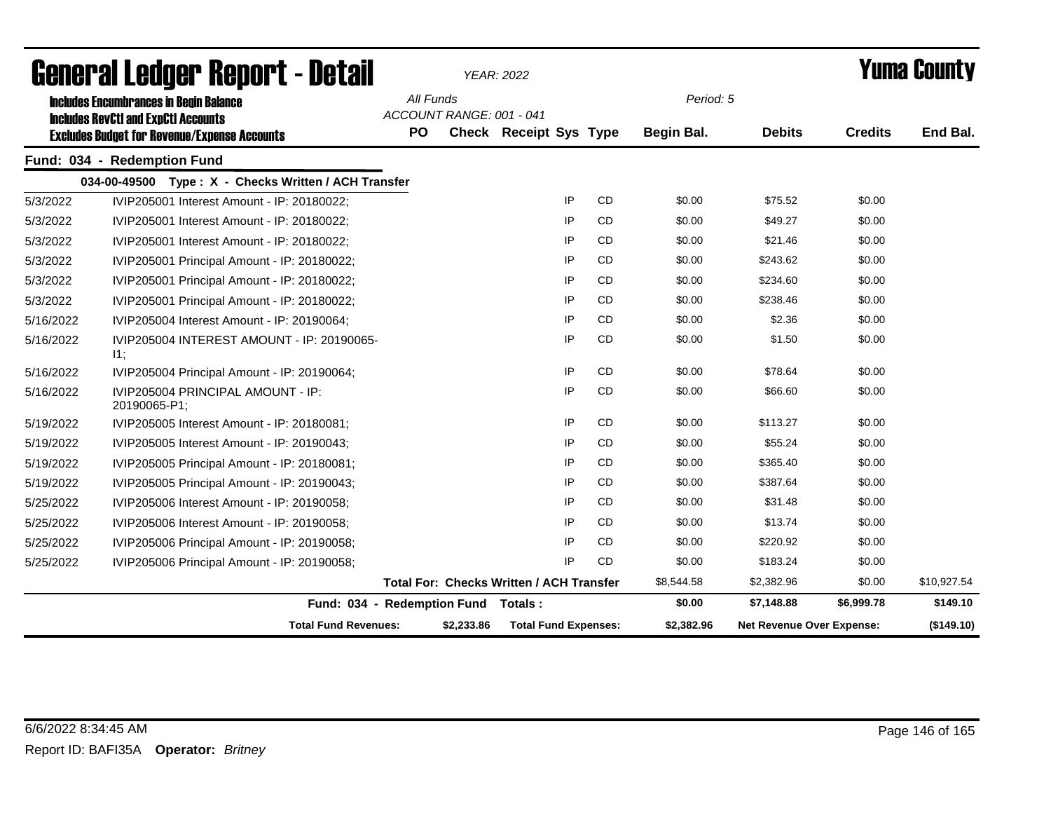|           | <b>General Ledger Report - Detail</b>                                                                                                              |                        |                          | <b>YEAR: 2022</b>                               |           |                         |                           |                | Yuma County |
|-----------|----------------------------------------------------------------------------------------------------------------------------------------------------|------------------------|--------------------------|-------------------------------------------------|-----------|-------------------------|---------------------------|----------------|-------------|
|           | <b>Includes Encumbrances in Begin Balance</b><br><b>Includes RevCtI and ExpCtI Accounts</b><br><b>Excludes Budget for Revenue/Expense Accounts</b> | All Funds<br><b>PO</b> | ACCOUNT RANGE: 001 - 041 | <b>Check Receipt Sys Type</b>                   |           | Period: 5<br>Begin Bal. | <b>Debits</b>             | <b>Credits</b> | End Bal.    |
|           | Fund: 034 - Redemption Fund                                                                                                                        |                        |                          |                                                 |           |                         |                           |                |             |
|           | 034-00-49500 Type: X - Checks Written / ACH Transfer                                                                                               |                        |                          |                                                 |           |                         |                           |                |             |
| 5/3/2022  | IVIP205001 Interest Amount - IP: 20180022;                                                                                                         |                        |                          | IP                                              | <b>CD</b> | \$0.00                  | \$75.52                   | \$0.00         |             |
| 5/3/2022  | IVIP205001 Interest Amount - IP: 20180022:                                                                                                         |                        |                          | IP                                              | <b>CD</b> | \$0.00                  | \$49.27                   | \$0.00         |             |
| 5/3/2022  | IVIP205001 Interest Amount - IP: 20180022;                                                                                                         |                        |                          | IP                                              | <b>CD</b> | \$0.00                  | \$21.46                   | \$0.00         |             |
| 5/3/2022  | IVIP205001 Principal Amount - IP: 20180022;                                                                                                        |                        |                          | IP                                              | CD        | \$0.00                  | \$243.62                  | \$0.00         |             |
| 5/3/2022  | IVIP205001 Principal Amount - IP: 20180022;                                                                                                        |                        |                          | IP                                              | <b>CD</b> | \$0.00                  | \$234.60                  | \$0.00         |             |
| 5/3/2022  | IVIP205001 Principal Amount - IP: 20180022;                                                                                                        |                        |                          | IP                                              | <b>CD</b> | \$0.00                  | \$238.46                  | \$0.00         |             |
| 5/16/2022 | IVIP205004 Interest Amount - IP: 20190064;                                                                                                         |                        |                          | IP                                              | <b>CD</b> | \$0.00                  | \$2.36                    | \$0.00         |             |
| 5/16/2022 | IVIP205004 INTEREST AMOUNT - IP: 20190065-<br>11;                                                                                                  |                        |                          | IP                                              | <b>CD</b> | \$0.00                  | \$1.50                    | \$0.00         |             |
| 5/16/2022 | IVIP205004 Principal Amount - IP: 20190064;                                                                                                        |                        |                          | IP                                              | <b>CD</b> | \$0.00                  | \$78.64                   | \$0.00         |             |
| 5/16/2022 | IVIP205004 PRINCIPAL AMOUNT - IP:<br>20190065-P1;                                                                                                  |                        |                          | IP                                              | <b>CD</b> | \$0.00                  | \$66.60                   | \$0.00         |             |
| 5/19/2022 | IVIP205005 Interest Amount - IP: 20180081;                                                                                                         |                        |                          | IP                                              | <b>CD</b> | \$0.00                  | \$113.27                  | \$0.00         |             |
| 5/19/2022 | IVIP205005 Interest Amount - IP: 20190043;                                                                                                         |                        |                          | IP                                              | <b>CD</b> | \$0.00                  | \$55.24                   | \$0.00         |             |
| 5/19/2022 | IVIP205005 Principal Amount - IP: 20180081;                                                                                                        |                        |                          | IP                                              | CD        | \$0.00                  | \$365.40                  | \$0.00         |             |
| 5/19/2022 | IVIP205005 Principal Amount - IP: 20190043;                                                                                                        |                        |                          | IP                                              | <b>CD</b> | \$0.00                  | \$387.64                  | \$0.00         |             |
| 5/25/2022 | IVIP205006 Interest Amount - IP: 20190058;                                                                                                         |                        |                          | IP                                              | <b>CD</b> | \$0.00                  | \$31.48                   | \$0.00         |             |
| 5/25/2022 | IVIP205006 Interest Amount - IP: 20190058;                                                                                                         |                        |                          | IP                                              | <b>CD</b> | \$0.00                  | \$13.74                   | \$0.00         |             |
| 5/25/2022 | IVIP205006 Principal Amount - IP: 20190058;                                                                                                        |                        |                          | IP                                              | <b>CD</b> | \$0.00                  | \$220.92                  | \$0.00         |             |
| 5/25/2022 | IVIP205006 Principal Amount - IP: 20190058;                                                                                                        |                        |                          | IP                                              | <b>CD</b> | \$0.00                  | \$183.24                  | \$0.00         |             |
|           |                                                                                                                                                    |                        |                          | <b>Total For: Checks Written / ACH Transfer</b> |           | \$8,544.58              | \$2,382.96                | \$0.00         | \$10,927.54 |
|           | Fund: 034 - Redemption Fund Totals:                                                                                                                |                        |                          |                                                 |           | \$0.00                  | \$7,148.88                | \$6,999.78     | \$149.10    |
|           | <b>Total Fund Revenues:</b>                                                                                                                        |                        | \$2,233.86               | <b>Total Fund Expenses:</b>                     |           | \$2,382.96              | Net Revenue Over Expense: |                | (\$149.10)  |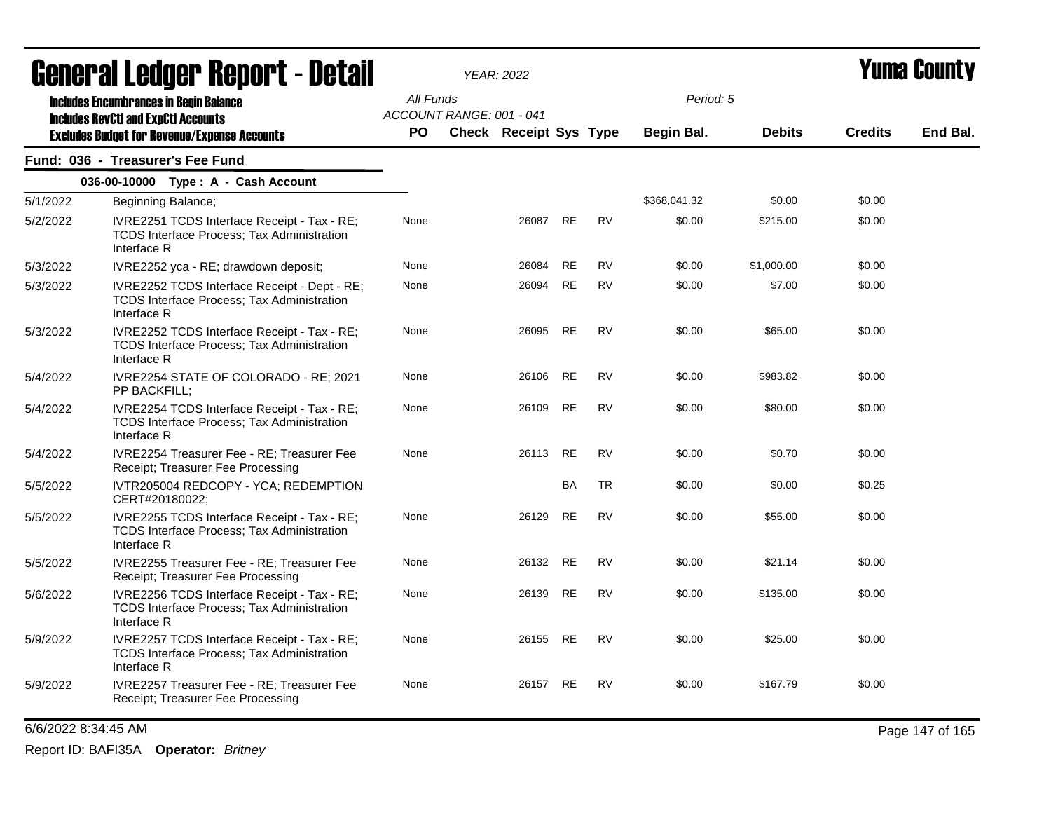| Generai Leuger Keport - Detail |                                                                                                                                                    | YEAR: 2022             |                          |                        |           |           |                         | Y UIII'd GUUIILY |                |          |
|--------------------------------|----------------------------------------------------------------------------------------------------------------------------------------------------|------------------------|--------------------------|------------------------|-----------|-----------|-------------------------|------------------|----------------|----------|
|                                | <b>Includes Encumbrances in Begin Balance</b><br><b>Includes RevCtI and ExpCtI Accounts</b><br><b>Excludes Budget for Revenue/Expense Accounts</b> | All Funds<br><b>PO</b> | ACCOUNT RANGE: 001 - 041 | Check Receipt Sys Type |           |           | Period: 5<br>Begin Bal. | <b>Debits</b>    | <b>Credits</b> | End Bal. |
|                                | Fund: 036 - Treasurer's Fee Fund                                                                                                                   |                        |                          |                        |           |           |                         |                  |                |          |
|                                | 036-00-10000 Type: A - Cash Account                                                                                                                |                        |                          |                        |           |           |                         |                  |                |          |
| 5/1/2022                       | Beginning Balance;                                                                                                                                 |                        |                          |                        |           |           | \$368,041.32            | \$0.00           | \$0.00         |          |
| 5/2/2022                       | IVRE2251 TCDS Interface Receipt - Tax - RE;<br>TCDS Interface Process; Tax Administration<br>Interface R                                           | None                   |                          | 26087                  | <b>RE</b> | <b>RV</b> | \$0.00                  | \$215.00         | \$0.00         |          |
| 5/3/2022                       | IVRE2252 yca - RE; drawdown deposit;                                                                                                               | None                   |                          | 26084                  | <b>RE</b> | <b>RV</b> | \$0.00                  | \$1,000.00       | \$0.00         |          |
| 5/3/2022                       | IVRE2252 TCDS Interface Receipt - Dept - RE;<br><b>TCDS Interface Process; Tax Administration</b><br>Interface R                                   | None                   |                          | 26094                  | <b>RE</b> | <b>RV</b> | \$0.00                  | \$7.00           | \$0.00         |          |
| 5/3/2022                       | IVRE2252 TCDS Interface Receipt - Tax - RE;<br>TCDS Interface Process; Tax Administration<br>Interface R                                           | None                   |                          | 26095                  | <b>RE</b> | <b>RV</b> | \$0.00                  | \$65.00          | \$0.00         |          |
| 5/4/2022                       | IVRE2254 STATE OF COLORADO - RE; 2021<br>PP BACKFILL:                                                                                              | None                   |                          | 26106                  | <b>RE</b> | <b>RV</b> | \$0.00                  | \$983.82         | \$0.00         |          |
| 5/4/2022                       | IVRE2254 TCDS Interface Receipt - Tax - RE;<br>TCDS Interface Process; Tax Administration<br>Interface R                                           | None                   |                          | 26109                  | RE        | <b>RV</b> | \$0.00                  | \$80.00          | \$0.00         |          |
| 5/4/2022                       | <b>IVRE2254 Treasurer Fee - RE: Treasurer Fee</b><br>Receipt; Treasurer Fee Processing                                                             | None                   |                          | 26113 RE               |           | <b>RV</b> | \$0.00                  | \$0.70           | \$0.00         |          |
| 5/5/2022                       | IVTR205004 REDCOPY - YCA; REDEMPTION<br>CERT#20180022;                                                                                             |                        |                          |                        | <b>BA</b> | <b>TR</b> | \$0.00                  | \$0.00           | \$0.25         |          |
| 5/5/2022                       | IVRE2255 TCDS Interface Receipt - Tax - RE;<br>TCDS Interface Process; Tax Administration<br>Interface R                                           | None                   |                          | 26129                  | RE        | <b>RV</b> | \$0.00                  | \$55.00          | \$0.00         |          |
| 5/5/2022                       | IVRE2255 Treasurer Fee - RE; Treasurer Fee<br>Receipt; Treasurer Fee Processing                                                                    | None                   |                          | 26132 RE               |           | <b>RV</b> | \$0.00                  | \$21.14          | \$0.00         |          |
| 5/6/2022                       | IVRE2256 TCDS Interface Receipt - Tax - RE;<br><b>TCDS Interface Process: Tax Administration</b><br>Interface R                                    | None                   |                          | 26139                  | RE        | <b>RV</b> | \$0.00                  | \$135.00         | \$0.00         |          |
| 5/9/2022                       | IVRE2257 TCDS Interface Receipt - Tax - RE;<br>TCDS Interface Process; Tax Administration<br>Interface R                                           | None                   |                          | 26155                  | <b>RE</b> | <b>RV</b> | \$0.00                  | \$25.00          | \$0.00         |          |
| 5/9/2022                       | IVRE2257 Treasurer Fee - RE; Treasurer Fee<br>Receipt; Treasurer Fee Processing                                                                    | None                   |                          | 26157 RE               |           | <b>RV</b> | \$0.00                  | \$167.79         | \$0.00         |          |

6/6/2022 8:34:45 AM Page 147 of 165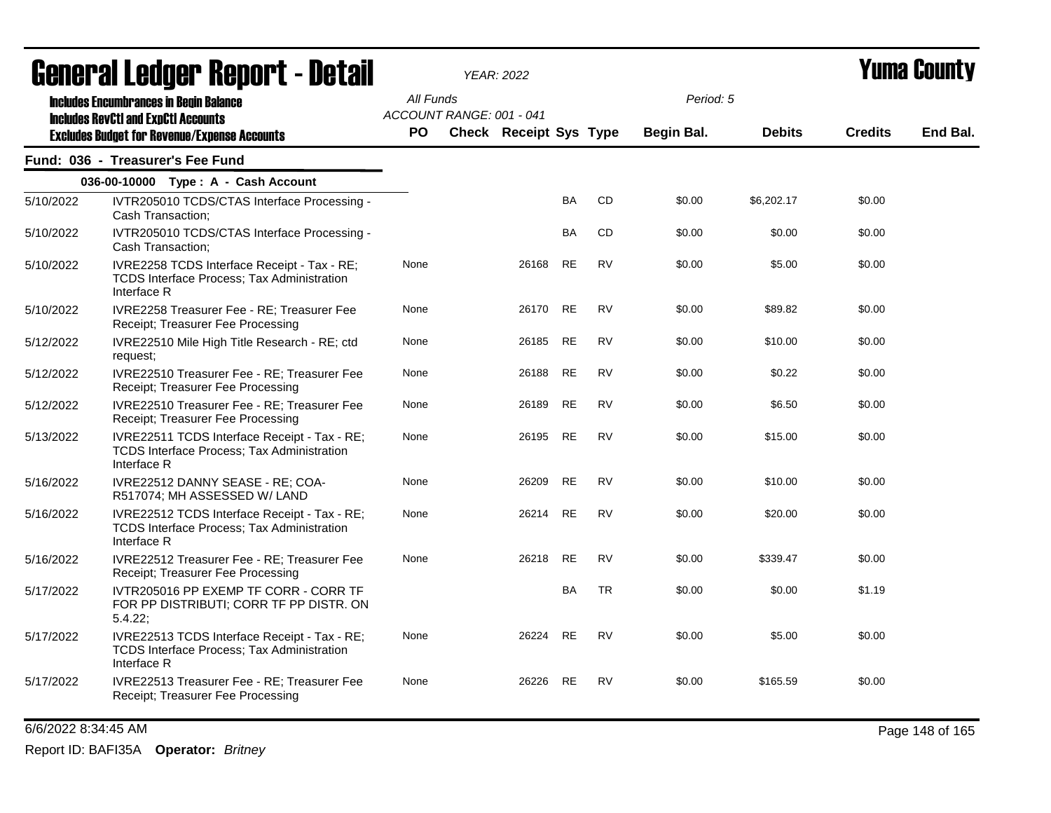| agual ai fanñal. Ughal 1 - Defail |                                                                                                                  |           |                          | YEAR: 2022             |           |           |            |               |                | I UIIIU VUUILLY |
|-----------------------------------|------------------------------------------------------------------------------------------------------------------|-----------|--------------------------|------------------------|-----------|-----------|------------|---------------|----------------|-----------------|
|                                   | <b>Includes Encumbrances in Begin Balance</b><br><b>Includes RevCtI and ExpCtI Accounts</b>                      | All Funds | ACCOUNT RANGE: 001 - 041 |                        |           |           | Period: 5  |               |                |                 |
|                                   | <b>Excludes Budget for Revenue/Expense Accounts</b>                                                              | PO.       |                          | Check Receipt Sys Type |           |           | Begin Bal. | <b>Debits</b> | <b>Credits</b> | End Bal.        |
|                                   | Fund: 036 - Treasurer's Fee Fund                                                                                 |           |                          |                        |           |           |            |               |                |                 |
|                                   | 036-00-10000 Type: A - Cash Account                                                                              |           |                          |                        |           |           |            |               |                |                 |
| 5/10/2022                         | IVTR205010 TCDS/CTAS Interface Processing -<br>Cash Transaction;                                                 |           |                          |                        | <b>BA</b> | CD        | \$0.00     | \$6,202.17    | \$0.00         |                 |
| 5/10/2022                         | IVTR205010 TCDS/CTAS Interface Processing -<br>Cash Transaction;                                                 |           |                          |                        | BA        | CD        | \$0.00     | \$0.00        | \$0.00         |                 |
| 5/10/2022                         | IVRE2258 TCDS Interface Receipt - Tax - RE;<br>TCDS Interface Process; Tax Administration<br>Interface R         | None      |                          | 26168                  | $\sf RE$  | <b>RV</b> | \$0.00     | \$5.00        | \$0.00         |                 |
| 5/10/2022                         | IVRE2258 Treasurer Fee - RE; Treasurer Fee<br>Receipt; Treasurer Fee Processing                                  | None      |                          | 26170                  | <b>RE</b> | <b>RV</b> | \$0.00     | \$89.82       | \$0.00         |                 |
| 5/12/2022                         | IVRE22510 Mile High Title Research - RE; ctd<br>request;                                                         | None      |                          | 26185                  | <b>RE</b> | <b>RV</b> | \$0.00     | \$10.00       | \$0.00         |                 |
| 5/12/2022                         | IVRE22510 Treasurer Fee - RE; Treasurer Fee<br>Receipt; Treasurer Fee Processing                                 | None      |                          | 26188                  | <b>RE</b> | <b>RV</b> | \$0.00     | \$0.22        | \$0.00         |                 |
| 5/12/2022                         | IVRE22510 Treasurer Fee - RE; Treasurer Fee<br>Receipt; Treasurer Fee Processing                                 | None      |                          | 26189                  | <b>RE</b> | <b>RV</b> | \$0.00     | \$6.50        | \$0.00         |                 |
| 5/13/2022                         | IVRE22511 TCDS Interface Receipt - Tax - RE;<br><b>TCDS Interface Process: Tax Administration</b><br>Interface R | None      |                          | 26195                  | <b>RE</b> | <b>RV</b> | \$0.00     | \$15.00       | \$0.00         |                 |
| 5/16/2022                         | IVRE22512 DANNY SEASE - RE; COA-<br>R517074; MH ASSESSED W/ LAND                                                 | None      |                          | 26209                  | <b>RE</b> | <b>RV</b> | \$0.00     | \$10.00       | \$0.00         |                 |
| 5/16/2022                         | IVRE22512 TCDS Interface Receipt - Tax - RE;<br>TCDS Interface Process; Tax Administration<br>Interface R        | None      |                          | 26214                  | <b>RE</b> | <b>RV</b> | \$0.00     | \$20.00       | \$0.00         |                 |
| 5/16/2022                         | IVRE22512 Treasurer Fee - RE; Treasurer Fee<br>Receipt; Treasurer Fee Processing                                 | None      |                          | 26218                  | <b>RE</b> | RV        | \$0.00     | \$339.47      | \$0.00         |                 |
| 5/17/2022                         | IVTR205016 PP EXEMP TF CORR - CORR TF<br>FOR PP DISTRIBUTI; CORR TF PP DISTR. ON<br>5.4.22;                      |           |                          |                        | BA        | <b>TR</b> | \$0.00     | \$0.00        | \$1.19         |                 |
| 5/17/2022                         | IVRE22513 TCDS Interface Receipt - Tax - RE;<br>TCDS Interface Process; Tax Administration<br>Interface R        | None      |                          | 26224                  | <b>RE</b> | <b>RV</b> | \$0.00     | \$5.00        | \$0.00         |                 |
| 5/17/2022                         | IVRE22513 Treasurer Fee - RE; Treasurer Fee<br>Receipt; Treasurer Fee Processing                                 | None      |                          | 26226                  | RE        | RV        | \$0.00     | \$165.59      | \$0.00         |                 |
|                                   |                                                                                                                  |           |                          |                        |           |           |            |               |                |                 |

6/6/2022 8:34:45 AM Page 148 of 165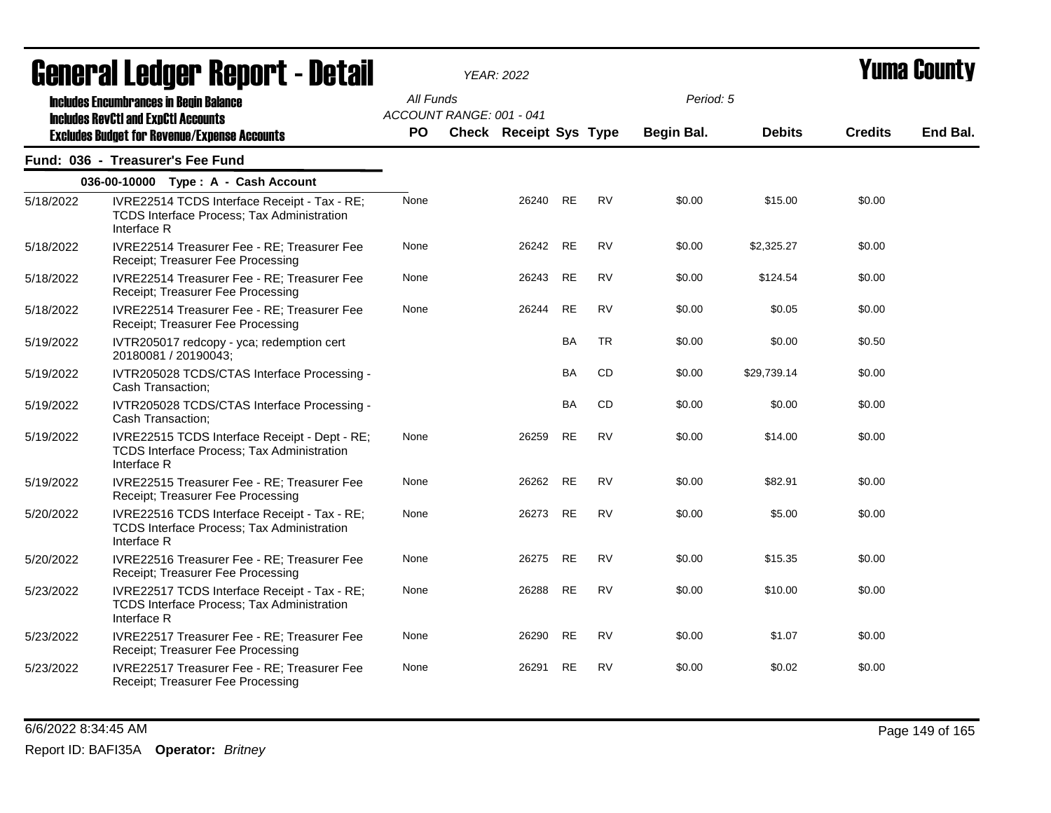|           | <u>ugligi ai lguygi "Ilghni" ( " nglali</u>                                                                       |           |                          | YEAR: 2022                    |           |           |            |               |                | I UMU VVUNT |
|-----------|-------------------------------------------------------------------------------------------------------------------|-----------|--------------------------|-------------------------------|-----------|-----------|------------|---------------|----------------|-------------|
|           | <b>Includes Encumbrances in Begin Balance</b><br><b>Includes RevCtI and ExpCtI Accounts</b>                       | All Funds | ACCOUNT RANGE: 001 - 041 |                               |           |           | Period: 5  |               |                |             |
|           | <b>Excludes Budget for Revenue/Expense Accounts</b>                                                               | PO.       |                          | <b>Check Receipt Sys Type</b> |           |           | Begin Bal. | <b>Debits</b> | <b>Credits</b> | End Bal.    |
|           | Fund: 036 - Treasurer's Fee Fund                                                                                  |           |                          |                               |           |           |            |               |                |             |
|           | 036-00-10000 Type: A - Cash Account                                                                               |           |                          |                               |           |           |            |               |                |             |
| 5/18/2022 | IVRE22514 TCDS Interface Receipt - Tax - RE;<br>TCDS Interface Process; Tax Administration<br>Interface R         | None      |                          | 26240                         | RE        | <b>RV</b> | \$0.00     | \$15.00       | \$0.00         |             |
| 5/18/2022 | IVRE22514 Treasurer Fee - RE; Treasurer Fee<br>Receipt; Treasurer Fee Processing                                  | None      |                          | 26242                         | RE        | <b>RV</b> | \$0.00     | \$2,325.27    | \$0.00         |             |
| 5/18/2022 | IVRE22514 Treasurer Fee - RE; Treasurer Fee<br>Receipt; Treasurer Fee Processing                                  | None      |                          | 26243                         | <b>RE</b> | <b>RV</b> | \$0.00     | \$124.54      | \$0.00         |             |
| 5/18/2022 | IVRE22514 Treasurer Fee - RE; Treasurer Fee<br>Receipt; Treasurer Fee Processing                                  | None      |                          | 26244                         | <b>RE</b> | <b>RV</b> | \$0.00     | \$0.05        | \$0.00         |             |
| 5/19/2022 | IVTR205017 redcopy - yca; redemption cert<br>20180081 / 20190043;                                                 |           |                          |                               | <b>BA</b> | <b>TR</b> | \$0.00     | \$0.00        | \$0.50         |             |
| 5/19/2022 | IVTR205028 TCDS/CTAS Interface Processing -<br>Cash Transaction;                                                  |           |                          |                               | BA        | CD        | \$0.00     | \$29,739.14   | \$0.00         |             |
| 5/19/2022 | IVTR205028 TCDS/CTAS Interface Processing -<br>Cash Transaction;                                                  |           |                          |                               | BA        | CD        | \$0.00     | \$0.00        | \$0.00         |             |
| 5/19/2022 | IVRE22515 TCDS Interface Receipt - Dept - RE;<br><b>TCDS Interface Process; Tax Administration</b><br>Interface R | None      |                          | 26259                         | <b>RE</b> | <b>RV</b> | \$0.00     | \$14.00       | \$0.00         |             |
| 5/19/2022 | IVRE22515 Treasurer Fee - RE; Treasurer Fee<br>Receipt; Treasurer Fee Processing                                  | None      |                          | 26262                         | RE        | <b>RV</b> | \$0.00     | \$82.91       | \$0.00         |             |
| 5/20/2022 | IVRE22516 TCDS Interface Receipt - Tax - RE;<br>TCDS Interface Process; Tax Administration<br>Interface R         | None      |                          | 26273                         | <b>RE</b> | <b>RV</b> | \$0.00     | \$5.00        | \$0.00         |             |
| 5/20/2022 | IVRE22516 Treasurer Fee - RE; Treasurer Fee<br>Receipt; Treasurer Fee Processing                                  | None      |                          | 26275                         | RE        | <b>RV</b> | \$0.00     | \$15.35       | \$0.00         |             |
| 5/23/2022 | IVRE22517 TCDS Interface Receipt - Tax - RE;<br><b>TCDS Interface Process; Tax Administration</b><br>Interface R  | None      |                          | 26288                         | RE        | <b>RV</b> | \$0.00     | \$10.00       | \$0.00         |             |
| 5/23/2022 | IVRE22517 Treasurer Fee - RE; Treasurer Fee<br>Receipt; Treasurer Fee Processing                                  | None      |                          | 26290                         | <b>RE</b> | <b>RV</b> | \$0.00     | \$1.07        | \$0.00         |             |
| 5/23/2022 | IVRE22517 Treasurer Fee - RE; Treasurer Fee<br>Receipt; Treasurer Fee Processing                                  | None      |                          | 26291                         | <b>RE</b> | <b>RV</b> | \$0.00     | \$0.02        | \$0.00         |             |

6/6/2022 8:34:45 AM Page 149 of 165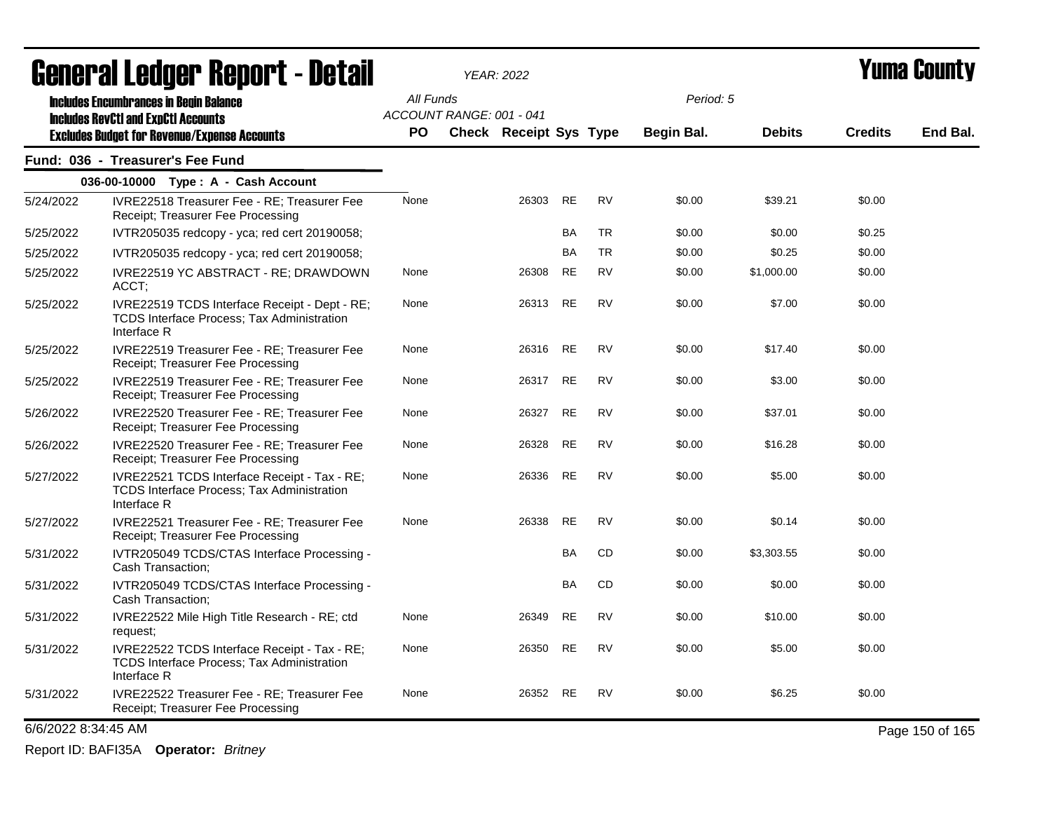|                     | <b>agiigi.gi fanñai. ughni.c. nacqii</b>                                                                          |           |                          | YEAR: 2022                    |           |           |            |               |                | I UIIIA VUUIILY |
|---------------------|-------------------------------------------------------------------------------------------------------------------|-----------|--------------------------|-------------------------------|-----------|-----------|------------|---------------|----------------|-----------------|
|                     | <b>Includes Encumbrances in Begin Balance</b><br><b>Includes RevCtI and ExpCtI Accounts</b>                       | All Funds | ACCOUNT RANGE: 001 - 041 |                               |           |           | Period: 5  |               |                |                 |
|                     | <b>Excludes Budget for Revenue/Expense Accounts</b>                                                               | PO.       |                          | <b>Check Receipt Sys Type</b> |           |           | Begin Bal. | <b>Debits</b> | <b>Credits</b> | End Bal.        |
|                     | Fund: 036 - Treasurer's Fee Fund                                                                                  |           |                          |                               |           |           |            |               |                |                 |
|                     | 036-00-10000 Type: A - Cash Account                                                                               |           |                          |                               |           |           |            |               |                |                 |
| 5/24/2022           | <b>IVRE22518 Treasurer Fee - RE: Treasurer Fee</b><br>Receipt; Treasurer Fee Processing                           | None      |                          | 26303                         | RE        | <b>RV</b> | \$0.00     | \$39.21       | \$0.00         |                 |
| 5/25/2022           | IVTR205035 redcopy - yca; red cert 20190058;                                                                      |           |                          |                               | BA        | <b>TR</b> | \$0.00     | \$0.00        | \$0.25         |                 |
| 5/25/2022           | IVTR205035 redcopy - yca; red cert 20190058;                                                                      |           |                          |                               | <b>BA</b> | <b>TR</b> | \$0.00     | \$0.25        | \$0.00         |                 |
| 5/25/2022           | IVRE22519 YC ABSTRACT - RE; DRAWDOWN<br>ACCT;                                                                     | None      |                          | 26308                         | <b>RE</b> | <b>RV</b> | \$0.00     | \$1,000.00    | \$0.00         |                 |
| 5/25/2022           | IVRE22519 TCDS Interface Receipt - Dept - RE;<br><b>TCDS Interface Process: Tax Administration</b><br>Interface R | None      |                          | 26313 RE                      |           | <b>RV</b> | \$0.00     | \$7.00        | \$0.00         |                 |
| 5/25/2022           | IVRE22519 Treasurer Fee - RE; Treasurer Fee<br>Receipt; Treasurer Fee Processing                                  | None      |                          | 26316 RE                      |           | <b>RV</b> | \$0.00     | \$17.40       | \$0.00         |                 |
| 5/25/2022           | IVRE22519 Treasurer Fee - RE; Treasurer Fee<br>Receipt; Treasurer Fee Processing                                  | None      |                          | 26317 RE                      |           | <b>RV</b> | \$0.00     | \$3.00        | \$0.00         |                 |
| 5/26/2022           | IVRE22520 Treasurer Fee - RE; Treasurer Fee<br>Receipt; Treasurer Fee Processing                                  | None      |                          | 26327                         | <b>RE</b> | <b>RV</b> | \$0.00     | \$37.01       | \$0.00         |                 |
| 5/26/2022           | IVRE22520 Treasurer Fee - RE; Treasurer Fee<br>Receipt; Treasurer Fee Processing                                  | None      |                          | 26328                         | RE        | <b>RV</b> | \$0.00     | \$16.28       | \$0.00         |                 |
| 5/27/2022           | IVRE22521 TCDS Interface Receipt - Tax - RE;<br>TCDS Interface Process; Tax Administration<br>Interface R         | None      |                          | 26336                         | RE        | <b>RV</b> | \$0.00     | \$5.00        | \$0.00         |                 |
| 5/27/2022           | IVRE22521 Treasurer Fee - RE; Treasurer Fee<br>Receipt; Treasurer Fee Processing                                  | None      |                          | 26338                         | <b>RE</b> | <b>RV</b> | \$0.00     | \$0.14        | \$0.00         |                 |
| 5/31/2022           | IVTR205049 TCDS/CTAS Interface Processing -<br>Cash Transaction;                                                  |           |                          |                               | <b>BA</b> | CD        | \$0.00     | \$3,303.55    | \$0.00         |                 |
| 5/31/2022           | IVTR205049 TCDS/CTAS Interface Processing -<br>Cash Transaction;                                                  |           |                          |                               | <b>BA</b> | CD        | \$0.00     | \$0.00        | \$0.00         |                 |
| 5/31/2022           | IVRE22522 Mile High Title Research - RE; ctd<br>request;                                                          | None      |                          | 26349                         | <b>RE</b> | <b>RV</b> | \$0.00     | \$10.00       | \$0.00         |                 |
| 5/31/2022           | IVRE22522 TCDS Interface Receipt - Tax - RE;<br><b>TCDS Interface Process: Tax Administration</b><br>Interface R  | None      |                          | 26350                         | RE        | <b>RV</b> | \$0.00     | \$5.00        | \$0.00         |                 |
| 5/31/2022           | IVRE22522 Treasurer Fee - RE; Treasurer Fee<br>Receipt; Treasurer Fee Processing                                  | None      |                          | 26352                         | RE        | RV        | \$0.00     | \$6.25        | \$0.00         |                 |
| 6/6/2022 8:34:45 AM |                                                                                                                   |           |                          |                               |           |           |            |               |                | Page 150 of 165 |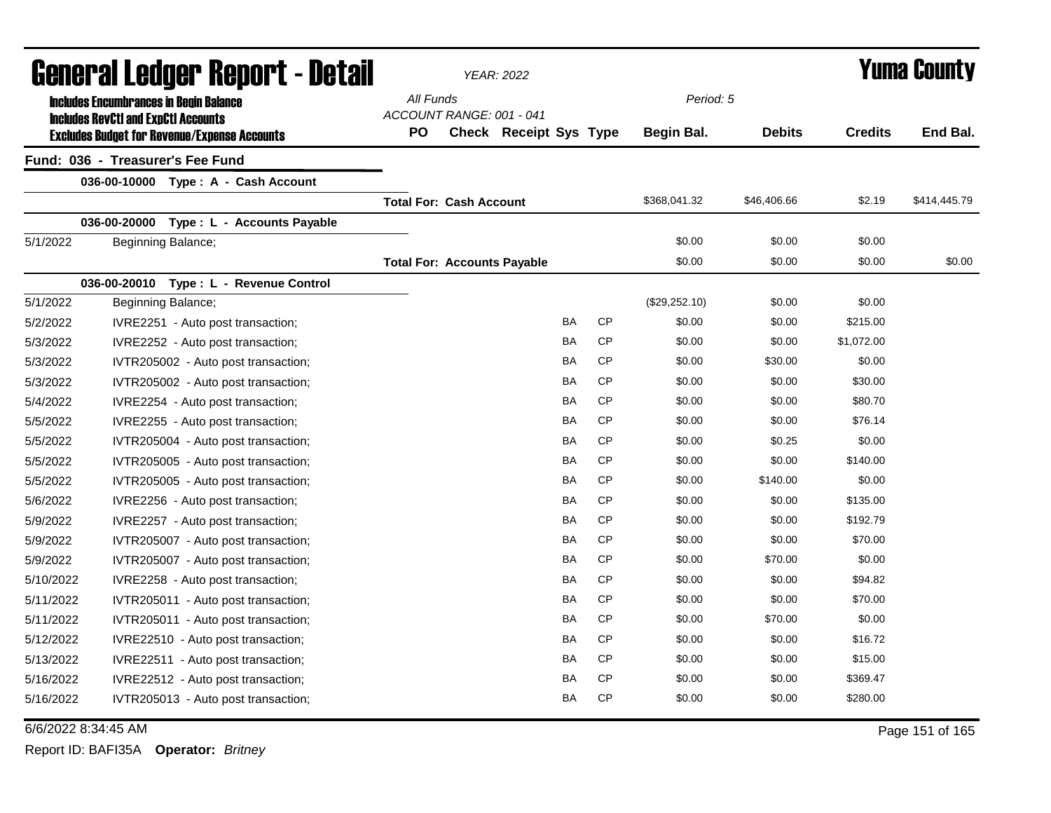| <b>General Ledger Report - Detail</b> |                                                                                             |                                                     |                                       | YEAR: 2022                    |           | <b>Yuma County</b> |               |                |              |
|---------------------------------------|---------------------------------------------------------------------------------------------|-----------------------------------------------------|---------------------------------------|-------------------------------|-----------|--------------------|---------------|----------------|--------------|
|                                       | <b>Includes Encumbrances in Begin Balance</b><br><b>Includes RevCtI and ExpCtI Accounts</b> |                                                     | All Funds<br>ACCOUNT RANGE: 001 - 041 |                               |           | Period: 5          |               |                |              |
|                                       |                                                                                             | <b>Excludes Budget for Revenue/Expense Accounts</b> | PO                                    | <b>Check Receipt Sys Type</b> |           | <b>Begin Bal.</b>  | <b>Debits</b> | <b>Credits</b> | End Bal.     |
|                                       | Fund: 036 - Treasurer's Fee Fund                                                            |                                                     |                                       |                               |           |                    |               |                |              |
|                                       |                                                                                             | 036-00-10000 Type: A - Cash Account                 |                                       |                               |           |                    |               |                |              |
|                                       |                                                                                             |                                                     | <b>Total For: Cash Account</b>        |                               |           | \$368,041.32       | \$46,406.66   | \$2.19         | \$414,445.79 |
|                                       | 036-00-20000                                                                                | Type : L - Accounts Payable                         |                                       |                               |           |                    |               |                |              |
| 5/1/2022                              |                                                                                             | Beginning Balance;                                  |                                       |                               |           | \$0.00             | \$0.00        | \$0.00         |              |
|                                       |                                                                                             |                                                     | <b>Total For: Accounts Payable</b>    |                               |           | \$0.00             | \$0.00        | \$0.00         | \$0.00       |
|                                       |                                                                                             | 036-00-20010 Type: L - Revenue Control              |                                       |                               |           |                    |               |                |              |
| 5/1/2022                              |                                                                                             | Beginning Balance;                                  |                                       |                               |           | (\$29,252.10)      | \$0.00        | \$0.00         |              |
| 5/2/2022                              |                                                                                             | IVRE2251 - Auto post transaction;                   |                                       | BA                            | CP        | \$0.00             | \$0.00        | \$215.00       |              |
| 5/3/2022                              |                                                                                             | IVRE2252 - Auto post transaction;                   |                                       | BA                            | <b>CP</b> | \$0.00             | \$0.00        | \$1,072.00     |              |
| 5/3/2022                              |                                                                                             | IVTR205002 - Auto post transaction;                 |                                       | BA                            | <b>CP</b> | \$0.00             | \$30.00       | \$0.00         |              |
| 5/3/2022                              |                                                                                             | IVTR205002 - Auto post transaction;                 |                                       | BA                            | <b>CP</b> | \$0.00             | \$0.00        | \$30.00        |              |
| 5/4/2022                              |                                                                                             | IVRE2254 - Auto post transaction;                   |                                       | BA                            | <b>CP</b> | \$0.00             | \$0.00        | \$80.70        |              |
| 5/5/2022                              |                                                                                             | IVRE2255 - Auto post transaction;                   |                                       | BA                            | <b>CP</b> | \$0.00             | \$0.00        | \$76.14        |              |
| 5/5/2022                              |                                                                                             | IVTR205004 - Auto post transaction;                 |                                       | BA                            | CP        | \$0.00             | \$0.25        | \$0.00         |              |
| 5/5/2022                              |                                                                                             | IVTR205005 - Auto post transaction;                 |                                       | <b>BA</b>                     | CP        | \$0.00             | \$0.00        | \$140.00       |              |
| 5/5/2022                              |                                                                                             | IVTR205005 - Auto post transaction;                 |                                       | <b>BA</b>                     | <b>CP</b> | \$0.00             | \$140.00      | \$0.00         |              |
| 5/6/2022                              |                                                                                             | IVRE2256 - Auto post transaction;                   |                                       | <b>BA</b>                     | <b>CP</b> | \$0.00             | \$0.00        | \$135.00       |              |
| 5/9/2022                              |                                                                                             | IVRE2257 - Auto post transaction;                   |                                       | BA                            | CP        | \$0.00             | \$0.00        | \$192.79       |              |
| 5/9/2022                              |                                                                                             | IVTR205007 - Auto post transaction;                 |                                       | BA                            | <b>CP</b> | \$0.00             | \$0.00        | \$70.00        |              |
| 5/9/2022                              |                                                                                             | IVTR205007 - Auto post transaction;                 |                                       | BA                            | <b>CP</b> | \$0.00             | \$70.00       | \$0.00         |              |
| 5/10/2022                             |                                                                                             | IVRE2258 - Auto post transaction;                   |                                       | BA                            | <b>CP</b> | \$0.00             | \$0.00        | \$94.82        |              |
| 5/11/2022                             |                                                                                             | IVTR205011 - Auto post transaction;                 |                                       | BA                            | <b>CP</b> | \$0.00             | \$0.00        | \$70.00        |              |
| 5/11/2022                             |                                                                                             | IVTR205011 - Auto post transaction;                 |                                       | BA                            | <b>CP</b> | \$0.00             | \$70.00       | \$0.00         |              |
| 5/12/2022                             |                                                                                             | IVRE22510 - Auto post transaction;                  |                                       | BA                            | <b>CP</b> | \$0.00             | \$0.00        | \$16.72        |              |
| 5/13/2022                             |                                                                                             | IVRE22511 - Auto post transaction;                  |                                       | BA                            | <b>CP</b> | \$0.00             | \$0.00        | \$15.00        |              |
| 5/16/2022                             |                                                                                             | IVRE22512 - Auto post transaction;                  |                                       | BA                            | <b>CP</b> | \$0.00             | \$0.00        | \$369.47       |              |
| 5/16/2022                             |                                                                                             | IVTR205013 - Auto post transaction;                 |                                       | BA                            | <b>CP</b> | \$0.00             | \$0.00        | \$280.00       |              |

6/6/2022 8:34:45 AM Page 151 of 165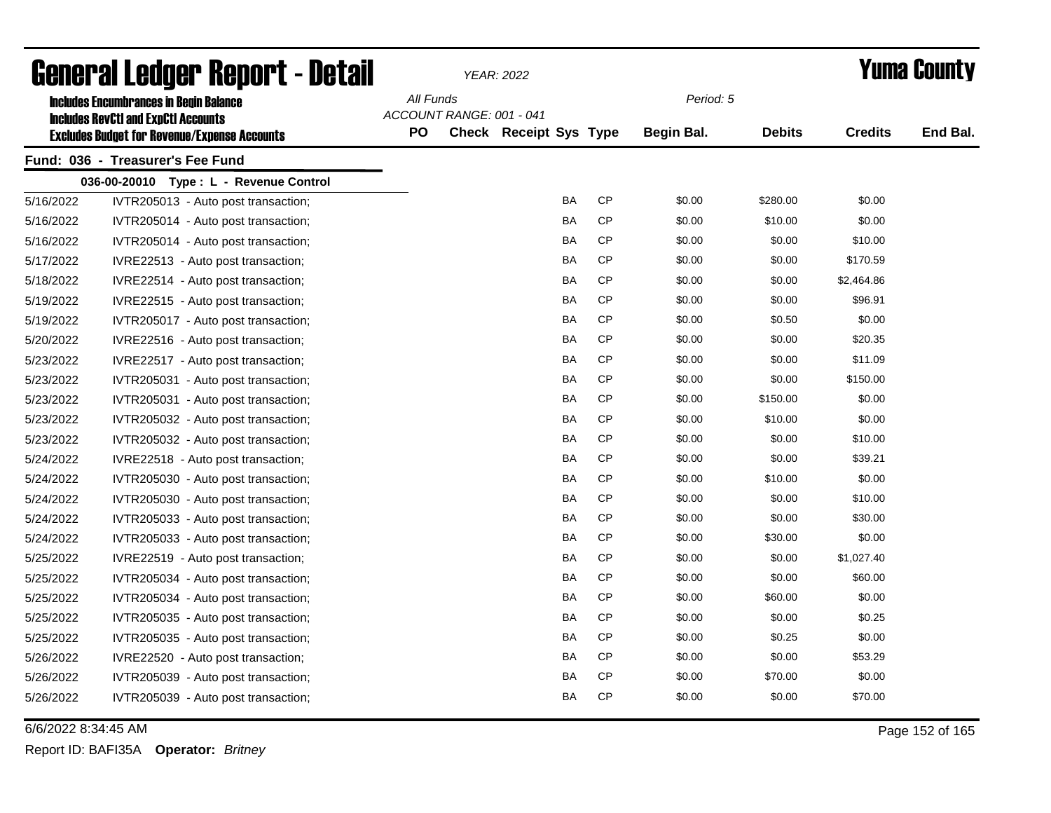| General Ledger Report - Detail |                                                                                             |           |                          | YEAR: 2022                    |           | <b>Yuma County</b> |               |                |          |
|--------------------------------|---------------------------------------------------------------------------------------------|-----------|--------------------------|-------------------------------|-----------|--------------------|---------------|----------------|----------|
|                                | <b>Includes Encumbrances in Begin Balance</b><br><b>Includes RevCtI and ExpCtI Accounts</b> | All Funds | ACCOUNT RANGE: 001 - 041 |                               |           | Period: 5          |               |                |          |
|                                | <b>Excludes Budget for Revenue/Expense Accounts</b>                                         | <b>PO</b> |                          | <b>Check Receipt Sys Type</b> |           | <b>Begin Bal.</b>  | <b>Debits</b> | <b>Credits</b> | End Bal. |
|                                | Fund: 036 - Treasurer's Fee Fund                                                            |           |                          |                               |           |                    |               |                |          |
|                                | 036-00-20010 Type: L - Revenue Control                                                      |           |                          |                               |           |                    |               |                |          |
| 5/16/2022                      | IVTR205013 - Auto post transaction;                                                         |           |                          | BA                            | <b>CP</b> | \$0.00             | \$280.00      | \$0.00         |          |
| 5/16/2022                      | IVTR205014 - Auto post transaction;                                                         |           |                          | BA                            | CP        | \$0.00             | \$10.00       | \$0.00         |          |
| 5/16/2022                      | IVTR205014 - Auto post transaction;                                                         |           |                          | BA                            | СP        | \$0.00             | \$0.00        | \$10.00        |          |
| 5/17/2022                      | IVRE22513 - Auto post transaction;                                                          |           |                          | <b>BA</b>                     | <b>CP</b> | \$0.00             | \$0.00        | \$170.59       |          |
| 5/18/2022                      | IVRE22514 - Auto post transaction;                                                          |           |                          | BA                            | <b>CP</b> | \$0.00             | \$0.00        | \$2,464.86     |          |
| 5/19/2022                      | IVRE22515 - Auto post transaction;                                                          |           |                          | BA                            | <b>CP</b> | \$0.00             | \$0.00        | \$96.91        |          |
| 5/19/2022                      | IVTR205017 - Auto post transaction;                                                         |           |                          | BA                            | <b>CP</b> | \$0.00             | \$0.50        | \$0.00         |          |
| 5/20/2022                      | IVRE22516 - Auto post transaction;                                                          |           |                          | BA                            | <b>CP</b> | \$0.00             | \$0.00        | \$20.35        |          |
| 5/23/2022                      | IVRE22517 - Auto post transaction;                                                          |           |                          | BA                            | <b>CP</b> | \$0.00             | \$0.00        | \$11.09        |          |
| 5/23/2022                      | IVTR205031 - Auto post transaction;                                                         |           |                          | BA                            | <b>CP</b> | \$0.00             | \$0.00        | \$150.00       |          |
| 5/23/2022                      | IVTR205031 - Auto post transaction;                                                         |           |                          | BA                            | <b>CP</b> | \$0.00             | \$150.00      | \$0.00         |          |
| 5/23/2022                      | IVTR205032 - Auto post transaction;                                                         |           |                          | BA                            | <b>CP</b> | \$0.00             | \$10.00       | \$0.00         |          |
| 5/23/2022                      | IVTR205032 - Auto post transaction;                                                         |           |                          | BA                            | <b>CP</b> | \$0.00             | \$0.00        | \$10.00        |          |
| 5/24/2022                      | IVRE22518 - Auto post transaction;                                                          |           |                          | BA                            | <b>CP</b> | \$0.00             | \$0.00        | \$39.21        |          |
| 5/24/2022                      | IVTR205030 - Auto post transaction;                                                         |           |                          | BA                            | <b>CP</b> | \$0.00             | \$10.00       | \$0.00         |          |
| 5/24/2022                      | IVTR205030 - Auto post transaction;                                                         |           |                          | BA                            | <b>CP</b> | \$0.00             | \$0.00        | \$10.00        |          |
| 5/24/2022                      | IVTR205033 - Auto post transaction;                                                         |           |                          | BA                            | <b>CP</b> | \$0.00             | \$0.00        | \$30.00        |          |
| 5/24/2022                      | IVTR205033 - Auto post transaction;                                                         |           |                          | BA                            | <b>CP</b> | \$0.00             | \$30.00       | \$0.00         |          |
| 5/25/2022                      | IVRE22519 - Auto post transaction;                                                          |           |                          | BA                            | <b>CP</b> | \$0.00             | \$0.00        | \$1,027.40     |          |
| 5/25/2022                      | IVTR205034 - Auto post transaction;                                                         |           |                          | BA                            | CP        | \$0.00             | \$0.00        | \$60.00        |          |
| 5/25/2022                      | IVTR205034 - Auto post transaction;                                                         |           |                          | BA                            | <b>CP</b> | \$0.00             | \$60.00       | \$0.00         |          |
| 5/25/2022                      | IVTR205035 - Auto post transaction;                                                         |           |                          | BA                            | <b>CP</b> | \$0.00             | \$0.00        | \$0.25         |          |
| 5/25/2022                      | IVTR205035 - Auto post transaction;                                                         |           |                          | BA                            | CP        | \$0.00             | \$0.25        | \$0.00         |          |
| 5/26/2022                      | IVRE22520 - Auto post transaction;                                                          |           |                          | BA                            | CP        | \$0.00             | \$0.00        | \$53.29        |          |
| 5/26/2022                      | IVTR205039 - Auto post transaction;                                                         |           |                          | BA                            | CP        | \$0.00             | \$70.00       | \$0.00         |          |
| 5/26/2022                      | IVTR205039 - Auto post transaction;                                                         |           |                          | <b>BA</b>                     | <b>CP</b> | \$0.00             | \$0.00        | \$70.00        |          |

6/6/2022 8:34:45 AM Page 152 of 165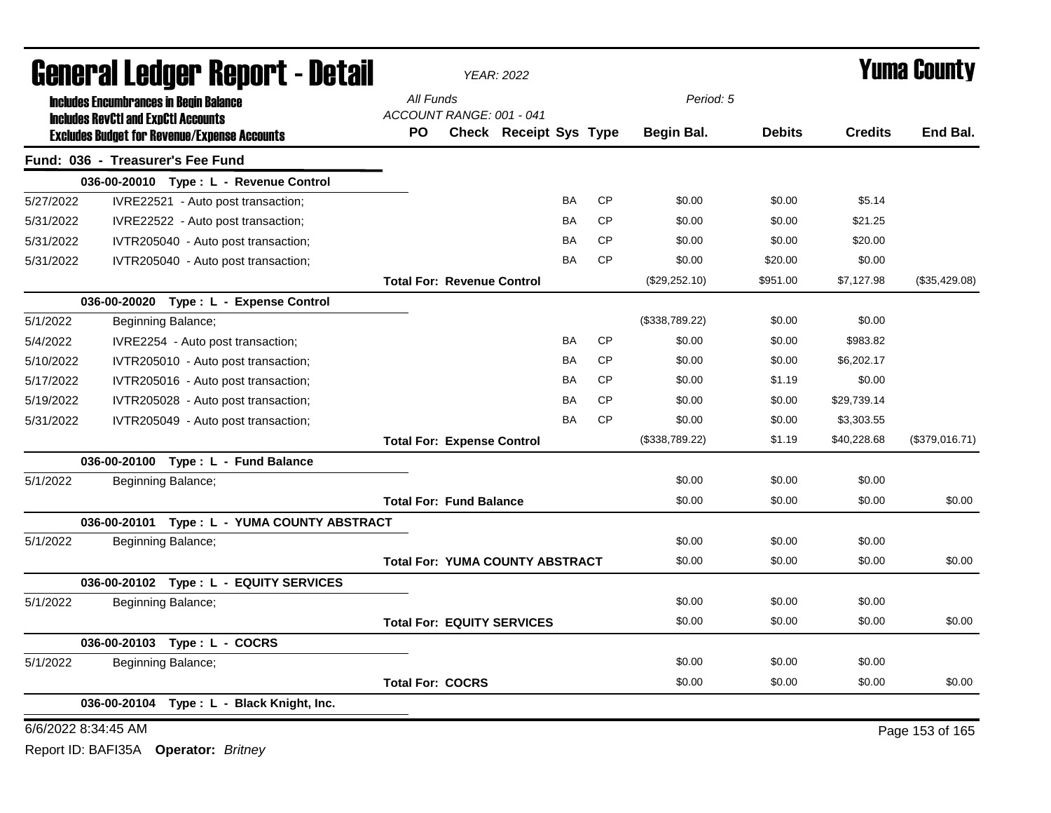| <b>General Ledger Report - Detail</b><br><b>Includes Encumbrances in Begin Balance</b> |                     |                                                                                                   |                                        | <b>YEAR: 2022</b>             |           |           | Yuma County    |               |                |                 |
|----------------------------------------------------------------------------------------|---------------------|---------------------------------------------------------------------------------------------------|----------------------------------------|-------------------------------|-----------|-----------|----------------|---------------|----------------|-----------------|
|                                                                                        |                     |                                                                                                   | All Funds                              |                               |           |           | Period: 5      |               |                |                 |
|                                                                                        |                     | <b>Includes RevCtI and ExpCtI Accounts</b><br><b>Excludes Budget for Revenue/Expense Accounts</b> | ACCOUNT RANGE: 001 - 041<br><b>PO</b>  | <b>Check Receipt Sys Type</b> |           |           | Begin Bal.     | <b>Debits</b> | <b>Credits</b> | End Bal.        |
|                                                                                        |                     | Fund: 036 - Treasurer's Fee Fund                                                                  |                                        |                               |           |           |                |               |                |                 |
|                                                                                        |                     | 036-00-20010 Type: L - Revenue Control                                                            |                                        |                               |           |           |                |               |                |                 |
| 5/27/2022                                                                              |                     | IVRE22521 - Auto post transaction;                                                                |                                        |                               | BA        | <b>CP</b> | \$0.00         | \$0.00        | \$5.14         |                 |
| 5/31/2022                                                                              |                     | IVRE22522 - Auto post transaction;                                                                |                                        |                               | BA        | <b>CP</b> | \$0.00         | \$0.00        | \$21.25        |                 |
| 5/31/2022                                                                              |                     | IVTR205040 - Auto post transaction;                                                               |                                        |                               | BA        | <b>CP</b> | \$0.00         | \$0.00        | \$20.00        |                 |
| 5/31/2022                                                                              |                     | IVTR205040 - Auto post transaction;                                                               |                                        |                               | BA        | <b>CP</b> | \$0.00         | \$20.00       | \$0.00         |                 |
|                                                                                        |                     |                                                                                                   | <b>Total For: Revenue Control</b>      |                               |           |           | (\$29,252.10)  | \$951.00      | \$7,127.98     | (\$35,429.08)   |
|                                                                                        |                     | 036-00-20020 Type: L - Expense Control                                                            |                                        |                               |           |           |                |               |                |                 |
| 5/1/2022                                                                               |                     | Beginning Balance;                                                                                |                                        |                               |           |           | (\$338,789.22) | \$0.00        | \$0.00         |                 |
| 5/4/2022                                                                               |                     | IVRE2254 - Auto post transaction;                                                                 |                                        |                               | <b>BA</b> | <b>CP</b> | \$0.00         | \$0.00        | \$983.82       |                 |
| 5/10/2022                                                                              |                     | IVTR205010 - Auto post transaction;                                                               |                                        |                               | BA        | <b>CP</b> | \$0.00         | \$0.00        | \$6,202.17     |                 |
| 5/17/2022                                                                              |                     | IVTR205016 - Auto post transaction;                                                               |                                        |                               | BA        | <b>CP</b> | \$0.00         | \$1.19        | \$0.00         |                 |
| 5/19/2022                                                                              |                     | IVTR205028 - Auto post transaction;                                                               |                                        |                               | BA        | <b>CP</b> | \$0.00         | \$0.00        | \$29,739.14    |                 |
| 5/31/2022                                                                              |                     | IVTR205049 - Auto post transaction;                                                               |                                        |                               | BA        | <b>CP</b> | \$0.00         | \$0.00        | \$3,303.55     |                 |
|                                                                                        |                     |                                                                                                   | <b>Total For: Expense Control</b>      |                               |           |           | (\$338,789.22) | \$1.19        | \$40,228.68    | (\$379,016.71)  |
|                                                                                        |                     | 036-00-20100 Type: L - Fund Balance                                                               |                                        |                               |           |           |                |               |                |                 |
| 5/1/2022                                                                               |                     | Beginning Balance;                                                                                |                                        |                               |           |           | \$0.00         | \$0.00        | \$0.00         |                 |
|                                                                                        |                     |                                                                                                   | <b>Total For: Fund Balance</b>         |                               |           |           | \$0.00         | \$0.00        | \$0.00         | \$0.00          |
|                                                                                        |                     | 036-00-20101 Type: L - YUMA COUNTY ABSTRACT                                                       |                                        |                               |           |           |                |               |                |                 |
| 5/1/2022                                                                               |                     | Beginning Balance;                                                                                |                                        |                               |           |           | \$0.00         | \$0.00        | \$0.00         |                 |
|                                                                                        |                     |                                                                                                   | <b>Total For: YUMA COUNTY ABSTRACT</b> |                               |           |           | \$0.00         | \$0.00        | \$0.00         | \$0.00          |
|                                                                                        |                     | 036-00-20102 Type: L - EQUITY SERVICES                                                            |                                        |                               |           |           |                |               |                |                 |
| 5/1/2022                                                                               |                     | Beginning Balance;                                                                                |                                        |                               |           |           | \$0.00         | \$0.00        | \$0.00         |                 |
|                                                                                        |                     |                                                                                                   | <b>Total For: EQUITY SERVICES</b>      |                               |           |           | \$0.00         | \$0.00        | \$0.00         | \$0.00          |
|                                                                                        |                     | 036-00-20103 Type: L - COCRS                                                                      |                                        |                               |           |           |                |               |                |                 |
| 5/1/2022                                                                               |                     | Beginning Balance;                                                                                |                                        |                               |           |           | \$0.00         | \$0.00        | \$0.00         |                 |
|                                                                                        |                     |                                                                                                   | <b>Total For: COCRS</b>                |                               |           |           | \$0.00         | \$0.00        | \$0.00         | \$0.00          |
|                                                                                        |                     | 036-00-20104 Type: L - Black Knight, Inc.                                                         |                                        |                               |           |           |                |               |                |                 |
|                                                                                        | 6/6/2022 8:34:45 AM |                                                                                                   |                                        |                               |           |           |                |               |                | Page 153 of 165 |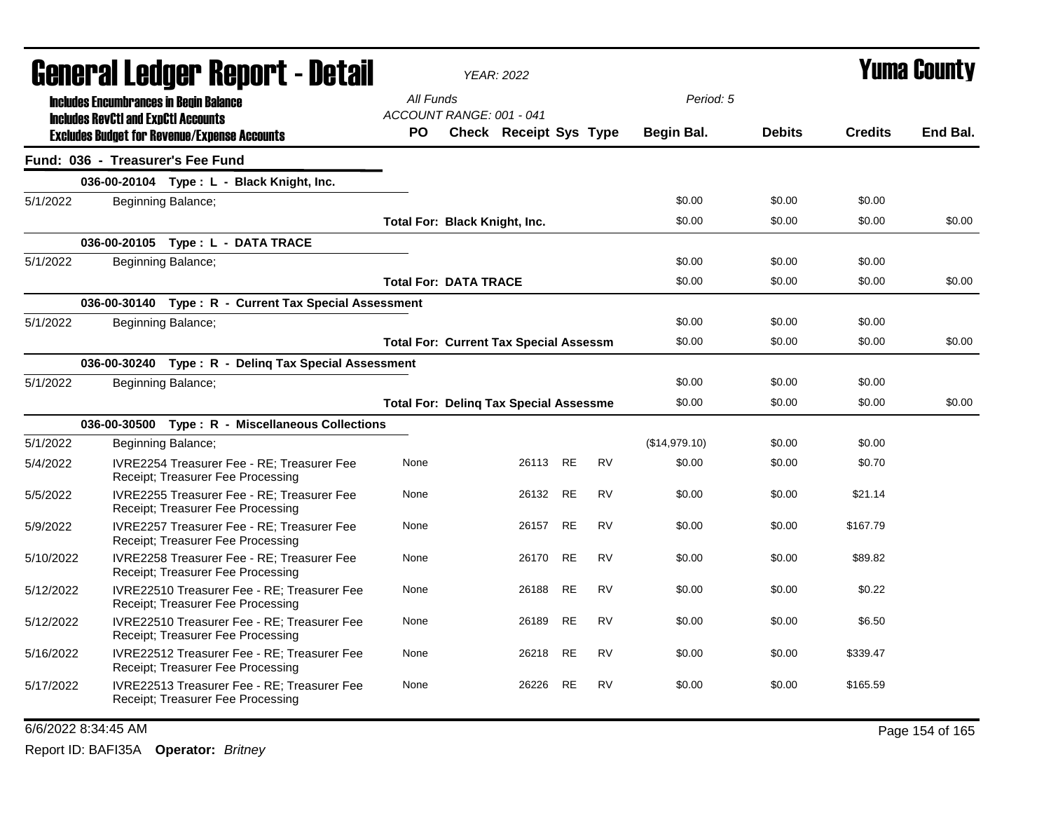|           | General Ledger Report - Detail                                                                    |           | <b>YEAR: 2022</b>                                         |          |           |           |               |               | Yuma Countv    |          |
|-----------|---------------------------------------------------------------------------------------------------|-----------|-----------------------------------------------------------|----------|-----------|-----------|---------------|---------------|----------------|----------|
|           | <b>Includes Encumbrances in Begin Balance</b>                                                     | All Funds |                                                           |          |           |           | Period: 5     |               |                |          |
|           | <b>Includes RevCtI and ExpCtI Accounts</b><br><b>Excludes Budget for Revenue/Expense Accounts</b> | <b>PO</b> | ACCOUNT RANGE: 001 - 041<br><b>Check Receipt Sys Type</b> |          |           |           | Begin Bal.    | <b>Debits</b> | <b>Credits</b> | End Bal. |
|           | Fund: 036 - Treasurer's Fee Fund                                                                  |           |                                                           |          |           |           |               |               |                |          |
|           | 036-00-20104 Type: L - Black Knight, Inc.                                                         |           |                                                           |          |           |           |               |               |                |          |
| 5/1/2022  | Beginning Balance;                                                                                |           |                                                           |          |           |           | \$0.00        | \$0.00        | \$0.00         |          |
|           |                                                                                                   |           | Total For: Black Knight, Inc.                             |          |           |           | \$0.00        | \$0.00        | \$0.00         | \$0.00   |
|           | 036-00-20105 Type: L - DATA TRACE                                                                 |           |                                                           |          |           |           |               |               |                |          |
| 5/1/2022  | Beginning Balance;                                                                                |           |                                                           |          |           |           | \$0.00        | \$0.00        | \$0.00         |          |
|           |                                                                                                   |           | <b>Total For: DATA TRACE</b>                              |          |           |           | \$0.00        | \$0.00        | \$0.00         | \$0.00   |
|           | 036-00-30140 Type: R - Current Tax Special Assessment                                             |           |                                                           |          |           |           |               |               |                |          |
| 5/1/2022  | Beginning Balance;                                                                                |           |                                                           |          |           |           | \$0.00        | \$0.00        | \$0.00         |          |
|           |                                                                                                   |           | <b>Total For: Current Tax Special Assessm</b>             |          |           |           | \$0.00        | \$0.00        | \$0.00         | \$0.00   |
|           | 036-00-30240 Type: R - Deling Tax Special Assessment                                              |           |                                                           |          |           |           |               |               |                |          |
| 5/1/2022  | Beginning Balance;                                                                                |           |                                                           |          |           |           | \$0.00        | \$0.00        | \$0.00         |          |
|           |                                                                                                   |           | <b>Total For: Deling Tax Special Assessme</b>             |          |           |           | \$0.00        | \$0.00        | \$0.00         | \$0.00   |
|           | 036-00-30500 Type: R - Miscellaneous Collections                                                  |           |                                                           |          |           |           |               |               |                |          |
| 5/1/2022  | Beginning Balance;                                                                                |           |                                                           |          |           |           | (\$14,979.10) | \$0.00        | \$0.00         |          |
| 5/4/2022  | IVRE2254 Treasurer Fee - RE; Treasurer Fee<br>Receipt; Treasurer Fee Processing                   | None      |                                                           | 26113 RE |           | <b>RV</b> | \$0.00        | \$0.00        | \$0.70         |          |
| 5/5/2022  | IVRE2255 Treasurer Fee - RE; Treasurer Fee<br>Receipt; Treasurer Fee Processing                   | None      |                                                           | 26132 RE |           | <b>RV</b> | \$0.00        | \$0.00        | \$21.14        |          |
| 5/9/2022  | <b>IVRE2257 Treasurer Fee - RE: Treasurer Fee</b><br>Receipt; Treasurer Fee Processing            | None      |                                                           | 26157    | <b>RE</b> | <b>RV</b> | \$0.00        | \$0.00        | \$167.79       |          |
| 5/10/2022 | IVRE2258 Treasurer Fee - RE; Treasurer Fee<br>Receipt; Treasurer Fee Processing                   | None      |                                                           | 26170    | <b>RE</b> | <b>RV</b> | \$0.00        | \$0.00        | \$89.82        |          |
| 5/12/2022 | IVRE22510 Treasurer Fee - RE; Treasurer Fee<br>Receipt; Treasurer Fee Processing                  | None      |                                                           | 26188    | <b>RE</b> | <b>RV</b> | \$0.00        | \$0.00        | \$0.22         |          |
| 5/12/2022 | IVRE22510 Treasurer Fee - RE; Treasurer Fee<br>Receipt; Treasurer Fee Processing                  | None      |                                                           | 26189    | <b>RE</b> | <b>RV</b> | \$0.00        | \$0.00        | \$6.50         |          |
| 5/16/2022 | IVRE22512 Treasurer Fee - RE; Treasurer Fee<br>Receipt; Treasurer Fee Processing                  | None      |                                                           | 26218    | RE        | <b>RV</b> | \$0.00        | \$0.00        | \$339.47       |          |
| 5/17/2022 | IVRE22513 Treasurer Fee - RE; Treasurer Fee<br>Receipt; Treasurer Fee Processing                  | None      |                                                           | 26226    | <b>RE</b> | <b>RV</b> | \$0.00        | \$0.00        | \$165.59       |          |

### 6/6/2022 8:34:45 AM Page 154 of 165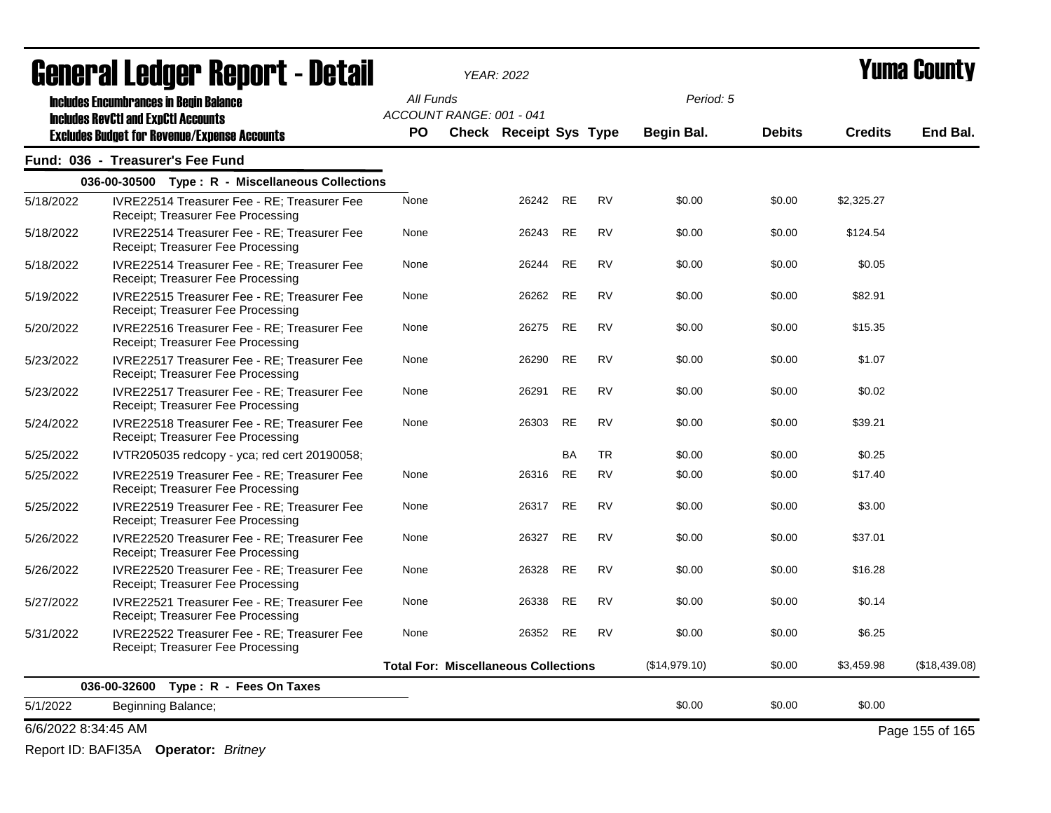|                     | <b>General Ledger Report - Detail</b>                                                             |           |                          | <b>YEAR: 2022</b>                           |           |           |               | Yuma Countv   |                |                 |  |
|---------------------|---------------------------------------------------------------------------------------------------|-----------|--------------------------|---------------------------------------------|-----------|-----------|---------------|---------------|----------------|-----------------|--|
|                     | <b>Includes Encumbrances in Begin Balance</b>                                                     | All Funds |                          |                                             |           |           | Period: 5     |               |                |                 |  |
|                     | <b>Includes RevCtI and ExpCtI Accounts</b><br><b>Excludes Budget for Revenue/Expense Accounts</b> | <b>PO</b> | ACCOUNT RANGE: 001 - 041 | Check Receipt Sys Type                      |           |           | Begin Bal.    | <b>Debits</b> | <b>Credits</b> | End Bal.        |  |
|                     | Fund: 036 - Treasurer's Fee Fund                                                                  |           |                          |                                             |           |           |               |               |                |                 |  |
|                     | 036-00-30500 Type: R - Miscellaneous Collections                                                  |           |                          |                                             |           |           |               |               |                |                 |  |
| 5/18/2022           | <b>IVRE22514 Treasurer Fee - RE: Treasurer Fee</b><br>Receipt; Treasurer Fee Processing           | None      |                          | 26242 RE                                    |           | <b>RV</b> | \$0.00        | \$0.00        | \$2,325.27     |                 |  |
| 5/18/2022           | IVRE22514 Treasurer Fee - RE; Treasurer Fee<br>Receipt; Treasurer Fee Processing                  | None      |                          | 26243                                       | <b>RE</b> | <b>RV</b> | \$0.00        | \$0.00        | \$124.54       |                 |  |
| 5/18/2022           | IVRE22514 Treasurer Fee - RE; Treasurer Fee<br>Receipt; Treasurer Fee Processing                  | None      |                          | 26244                                       | <b>RE</b> | <b>RV</b> | \$0.00        | \$0.00        | \$0.05         |                 |  |
| 5/19/2022           | IVRE22515 Treasurer Fee - RE; Treasurer Fee<br>Receipt; Treasurer Fee Processing                  | None      |                          | 26262                                       | <b>RE</b> | <b>RV</b> | \$0.00        | \$0.00        | \$82.91        |                 |  |
| 5/20/2022           | IVRE22516 Treasurer Fee - RE: Treasurer Fee<br>Receipt; Treasurer Fee Processing                  | None      |                          | 26275                                       | <b>RE</b> | <b>RV</b> | \$0.00        | \$0.00        | \$15.35        |                 |  |
| 5/23/2022           | IVRE22517 Treasurer Fee - RE; Treasurer Fee<br>Receipt; Treasurer Fee Processing                  | None      |                          | 26290                                       | RE        | <b>RV</b> | \$0.00        | \$0.00        | \$1.07         |                 |  |
| 5/23/2022           | <b>IVRE22517 Treasurer Fee - RE: Treasurer Fee</b><br>Receipt; Treasurer Fee Processing           | None      |                          | 26291                                       | <b>RE</b> | <b>RV</b> | \$0.00        | \$0.00        | \$0.02         |                 |  |
| 5/24/2022           | <b>IVRE22518 Treasurer Fee - RE: Treasurer Fee</b><br>Receipt; Treasurer Fee Processing           | None      |                          | 26303                                       | <b>RE</b> | <b>RV</b> | \$0.00        | \$0.00        | \$39.21        |                 |  |
| 5/25/2022           | IVTR205035 redcopy - yca; red cert 20190058;                                                      |           |                          |                                             | <b>BA</b> | <b>TR</b> | \$0.00        | \$0.00        | \$0.25         |                 |  |
| 5/25/2022           | IVRE22519 Treasurer Fee - RE; Treasurer Fee<br>Receipt; Treasurer Fee Processing                  | None      |                          | 26316                                       | <b>RE</b> | <b>RV</b> | \$0.00        | \$0.00        | \$17.40        |                 |  |
| 5/25/2022           | IVRE22519 Treasurer Fee - RE; Treasurer Fee<br>Receipt; Treasurer Fee Processing                  | None      |                          | 26317                                       | RE        | <b>RV</b> | \$0.00        | \$0.00        | \$3.00         |                 |  |
| 5/26/2022           | IVRE22520 Treasurer Fee - RE; Treasurer Fee<br>Receipt; Treasurer Fee Processing                  | None      |                          | 26327                                       | <b>RE</b> | <b>RV</b> | \$0.00        | \$0.00        | \$37.01        |                 |  |
| 5/26/2022           | IVRE22520 Treasurer Fee - RE: Treasurer Fee<br>Receipt; Treasurer Fee Processing                  | None      |                          | 26328                                       | <b>RE</b> | <b>RV</b> | \$0.00        | \$0.00        | \$16.28        |                 |  |
| 5/27/2022           | IVRE22521 Treasurer Fee - RE; Treasurer Fee<br>Receipt; Treasurer Fee Processing                  | None      |                          | 26338                                       | <b>RE</b> | <b>RV</b> | \$0.00        | \$0.00        | \$0.14         |                 |  |
| 5/31/2022           | <b>IVRE22522 Treasurer Fee - RE: Treasurer Fee</b><br>Receipt; Treasurer Fee Processing           | None      |                          | 26352 RE                                    |           | <b>RV</b> | \$0.00        | \$0.00        | \$6.25         |                 |  |
|                     |                                                                                                   |           |                          | <b>Total For: Miscellaneous Collections</b> |           |           | (\$14,979.10) | \$0.00        | \$3,459.98     | (\$18,439.08)   |  |
|                     | 036-00-32600 Type: R - Fees On Taxes                                                              |           |                          |                                             |           |           |               |               |                |                 |  |
| 5/1/2022            | Beginning Balance;                                                                                |           |                          |                                             |           |           | \$0.00        | \$0.00        | \$0.00         |                 |  |
| 6/6/2022 8:34:45 AM |                                                                                                   |           |                          |                                             |           |           |               |               |                | Page 155 of 165 |  |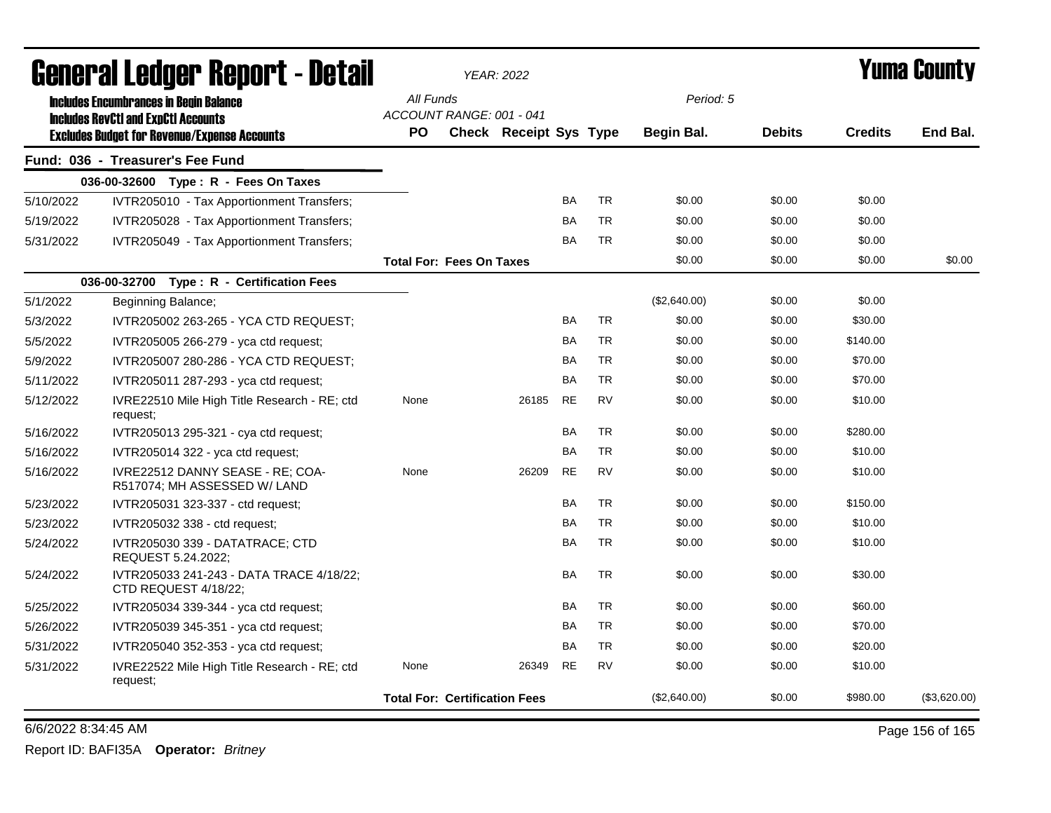| General Ledger Report - Detail |                                                                                                   |           |                                      | <b>YEAR: 2022</b>             |           |           | Yuma Countv  |               |                |              |
|--------------------------------|---------------------------------------------------------------------------------------------------|-----------|--------------------------------------|-------------------------------|-----------|-----------|--------------|---------------|----------------|--------------|
|                                | <b>Includes Encumbrances in Begin Balance</b>                                                     | All Funds |                                      |                               |           |           | Period: 5    |               |                |              |
|                                | <b>Includes RevCtI and ExpCtI Accounts</b><br><b>Excludes Budget for Revenue/Expense Accounts</b> | <b>PO</b> | ACCOUNT RANGE: 001 - 041             | <b>Check Receipt Sys Type</b> |           |           | Begin Bal.   | <b>Debits</b> | <b>Credits</b> | End Bal.     |
|                                | Fund: 036 - Treasurer's Fee Fund                                                                  |           |                                      |                               |           |           |              |               |                |              |
|                                | 036-00-32600 Type: R - Fees On Taxes                                                              |           |                                      |                               |           |           |              |               |                |              |
| 5/10/2022                      | IVTR205010 - Tax Apportionment Transfers;                                                         |           |                                      |                               | <b>BA</b> | <b>TR</b> | \$0.00       | \$0.00        | \$0.00         |              |
| 5/19/2022                      | IVTR205028 - Tax Apportionment Transfers;                                                         |           |                                      |                               | <b>BA</b> | <b>TR</b> | \$0.00       | \$0.00        | \$0.00         |              |
| 5/31/2022                      | IVTR205049 - Tax Apportionment Transfers:                                                         |           |                                      |                               | <b>BA</b> | <b>TR</b> | \$0.00       | \$0.00        | \$0.00         |              |
|                                |                                                                                                   |           | <b>Total For: Fees On Taxes</b>      |                               |           |           | \$0.00       | \$0.00        | \$0.00         | \$0.00       |
|                                | 036-00-32700 Type: R - Certification Fees                                                         |           |                                      |                               |           |           |              |               |                |              |
| 5/1/2022                       | Beginning Balance;                                                                                |           |                                      |                               |           |           | (\$2,640.00) | \$0.00        | \$0.00         |              |
| 5/3/2022                       | IVTR205002 263-265 - YCA CTD REQUEST:                                                             |           |                                      |                               | <b>BA</b> | <b>TR</b> | \$0.00       | \$0.00        | \$30.00        |              |
| 5/5/2022                       | IVTR205005 266-279 - yca ctd request;                                                             |           |                                      |                               | <b>BA</b> | <b>TR</b> | \$0.00       | \$0.00        | \$140.00       |              |
| 5/9/2022                       | IVTR205007 280-286 - YCA CTD REQUEST;                                                             |           |                                      |                               | <b>BA</b> | <b>TR</b> | \$0.00       | \$0.00        | \$70.00        |              |
| 5/11/2022                      | IVTR205011 287-293 - yca ctd request;                                                             |           |                                      |                               | <b>BA</b> | <b>TR</b> | \$0.00       | \$0.00        | \$70.00        |              |
| 5/12/2022                      | IVRE22510 Mile High Title Research - RE; ctd<br>request;                                          | None      |                                      | 26185                         | <b>RE</b> | <b>RV</b> | \$0.00       | \$0.00        | \$10.00        |              |
| 5/16/2022                      | IVTR205013 295-321 - cya ctd request;                                                             |           |                                      |                               | <b>BA</b> | <b>TR</b> | \$0.00       | \$0.00        | \$280.00       |              |
| 5/16/2022                      | $IVTR205014322 - yca$ ctd request;                                                                |           |                                      |                               | <b>BA</b> | <b>TR</b> | \$0.00       | \$0.00        | \$10.00        |              |
| 5/16/2022                      | IVRE22512 DANNY SEASE - RE: COA-<br>R517074; MH ASSESSED W/ LAND                                  | None      |                                      | 26209                         | <b>RE</b> | <b>RV</b> | \$0.00       | \$0.00        | \$10.00        |              |
| 5/23/2022                      | IVTR205031 323-337 - ctd request;                                                                 |           |                                      |                               | <b>BA</b> | <b>TR</b> | \$0.00       | \$0.00        | \$150.00       |              |
| 5/23/2022                      | IVTR205032 338 - ctd request:                                                                     |           |                                      |                               | <b>BA</b> | <b>TR</b> | \$0.00       | \$0.00        | \$10.00        |              |
| 5/24/2022                      | IVTR205030 339 - DATATRACE; CTD<br>REQUEST 5.24.2022;                                             |           |                                      |                               | <b>BA</b> | <b>TR</b> | \$0.00       | \$0.00        | \$10.00        |              |
| 5/24/2022                      | IVTR205033 241-243 - DATA TRACE 4/18/22;<br>CTD REQUEST 4/18/22;                                  |           |                                      |                               | <b>BA</b> | <b>TR</b> | \$0.00       | \$0.00        | \$30.00        |              |
| 5/25/2022                      | IVTR205034 339-344 - yca ctd request;                                                             |           |                                      |                               | <b>BA</b> | <b>TR</b> | \$0.00       | \$0.00        | \$60.00        |              |
| 5/26/2022                      | IVTR205039 345-351 - yca ctd request;                                                             |           |                                      |                               | <b>BA</b> | <b>TR</b> | \$0.00       | \$0.00        | \$70.00        |              |
| 5/31/2022                      | IVTR205040 352-353 - yca ctd request;                                                             |           |                                      |                               | <b>BA</b> | <b>TR</b> | \$0.00       | \$0.00        | \$20.00        |              |
| 5/31/2022                      | IVRE22522 Mile High Title Research - RE; ctd<br>request;                                          | None      |                                      | 26349                         | RE        | <b>RV</b> | \$0.00       | \$0.00        | \$10.00        |              |
|                                |                                                                                                   |           | <b>Total For: Certification Fees</b> |                               |           |           | (\$2,640.00) | \$0.00        | \$980.00       | (\$3,620.00) |

6/6/2022 8:34:45 AM Page 156 of 165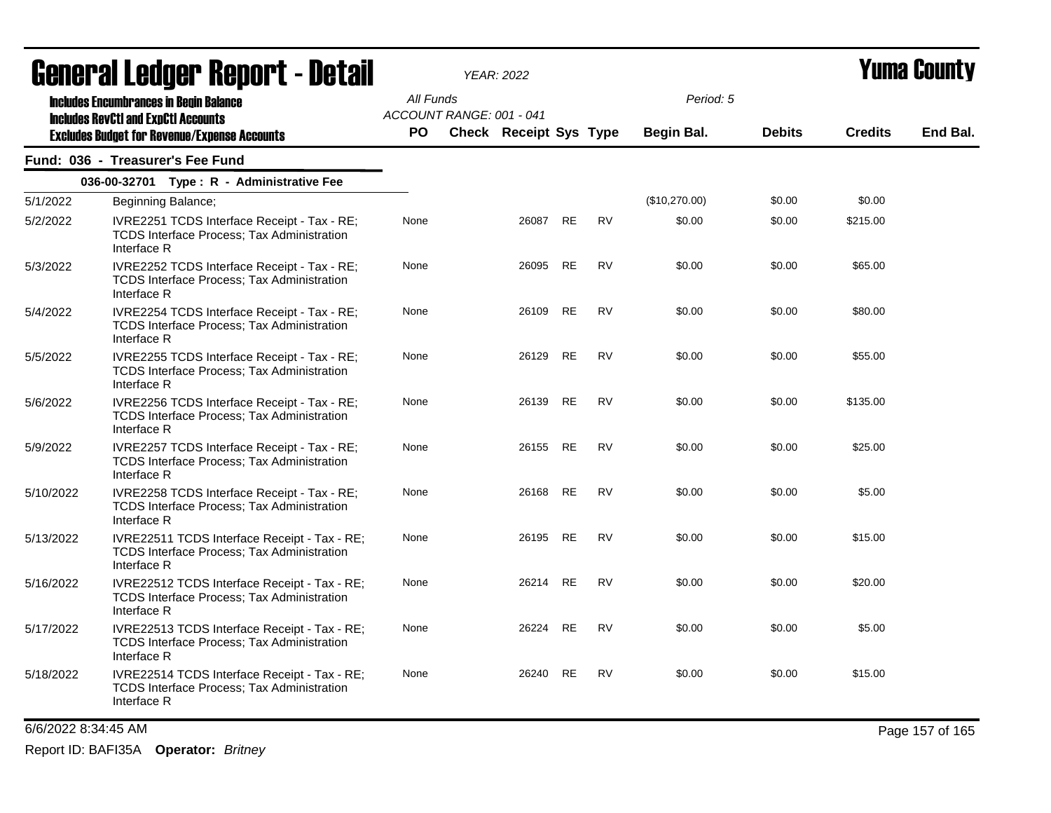| <u>agiigi.si fanñai. Kanni. ( - nafsh</u>                                                                                                          |                                                                                                                 | <b>YEAR: 2022</b>                                                            |  |          |           |           |                                |               | T UIIIA VUUIILY |          |
|----------------------------------------------------------------------------------------------------------------------------------------------------|-----------------------------------------------------------------------------------------------------------------|------------------------------------------------------------------------------|--|----------|-----------|-----------|--------------------------------|---------------|-----------------|----------|
| <b>Includes Encumbrances in Begin Balance</b><br><b>Includes RevCtI and ExpCtI Accounts</b><br><b>Excludes Budget for Revenue/Expense Accounts</b> |                                                                                                                 | All Funds<br>ACCOUNT RANGE: 001 - 041<br><b>PO</b><br>Check Receipt Sys Type |  |          |           |           | Period: 5<br><b>Begin Bal.</b> | <b>Debits</b> | <b>Credits</b>  | End Bal. |
|                                                                                                                                                    | Fund: 036 - Treasurer's Fee Fund                                                                                |                                                                              |  |          |           |           |                                |               |                 |          |
|                                                                                                                                                    | 036-00-32701 Type: R - Administrative Fee                                                                       |                                                                              |  |          |           |           |                                |               |                 |          |
| 5/1/2022                                                                                                                                           | Beginning Balance;                                                                                              |                                                                              |  |          |           |           | (\$10,270.00)                  | \$0.00        | \$0.00          |          |
| 5/2/2022                                                                                                                                           | IVRE2251 TCDS Interface Receipt - Tax - RE;<br>TCDS Interface Process; Tax Administration<br>Interface R        | None                                                                         |  | 26087    | RE        | <b>RV</b> | \$0.00                         | \$0.00        | \$215.00        |          |
| 5/3/2022                                                                                                                                           | IVRE2252 TCDS Interface Receipt - Tax - RE;<br>TCDS Interface Process; Tax Administration<br>Interface R        | None                                                                         |  | 26095    | RE        | RV        | \$0.00                         | \$0.00        | \$65.00         |          |
| 5/4/2022                                                                                                                                           | IVRE2254 TCDS Interface Receipt - Tax - RE;<br>TCDS Interface Process; Tax Administration<br>Interface R        | None                                                                         |  | 26109    | <b>RE</b> | <b>RV</b> | \$0.00                         | \$0.00        | \$80.00         |          |
| 5/5/2022                                                                                                                                           | IVRE2255 TCDS Interface Receipt - Tax - RE;<br>TCDS Interface Process; Tax Administration<br>Interface R        | None                                                                         |  | 26129    | RE        | <b>RV</b> | \$0.00                         | \$0.00        | \$55.00         |          |
| 5/6/2022                                                                                                                                           | IVRE2256 TCDS Interface Receipt - Tax - RE;<br>TCDS Interface Process; Tax Administration<br>Interface R        | None                                                                         |  | 26139    | RE        | <b>RV</b> | \$0.00                         | \$0.00        | \$135.00        |          |
| 5/9/2022                                                                                                                                           | IVRE2257 TCDS Interface Receipt - Tax - RE;<br>TCDS Interface Process; Tax Administration<br>Interface R        | None                                                                         |  | 26155 RE |           | <b>RV</b> | \$0.00                         | \$0.00        | \$25.00         |          |
| 5/10/2022                                                                                                                                          | IVRE2258 TCDS Interface Receipt - Tax - RE;<br><b>TCDS Interface Process; Tax Administration</b><br>Interface R | None                                                                         |  | 26168    | RE        | <b>RV</b> | \$0.00                         | \$0.00        | \$5.00          |          |
| 5/13/2022                                                                                                                                          | IVRE22511 TCDS Interface Receipt - Tax - RE;<br>TCDS Interface Process; Tax Administration<br>Interface R       | None                                                                         |  | 26195    | RE        | <b>RV</b> | \$0.00                         | \$0.00        | \$15.00         |          |
| 5/16/2022                                                                                                                                          | IVRE22512 TCDS Interface Receipt - Tax - RE;<br>TCDS Interface Process; Tax Administration<br>Interface R       | None                                                                         |  | 26214    | RE        | <b>RV</b> | \$0.00                         | \$0.00        | \$20.00         |          |
| 5/17/2022                                                                                                                                          | IVRE22513 TCDS Interface Receipt - Tax - RE;<br>TCDS Interface Process; Tax Administration<br>Interface R       | None                                                                         |  | 26224    | RE        | <b>RV</b> | \$0.00                         | \$0.00        | \$5.00          |          |
| 5/18/2022                                                                                                                                          | IVRE22514 TCDS Interface Receipt - Tax - RE;<br>TCDS Interface Process; Tax Administration<br>Interface R       | None                                                                         |  | 26240    | RE        | <b>RV</b> | \$0.00                         | \$0.00        | \$15.00         |          |

6/6/2022 8:34:45 AM Page 157 of 165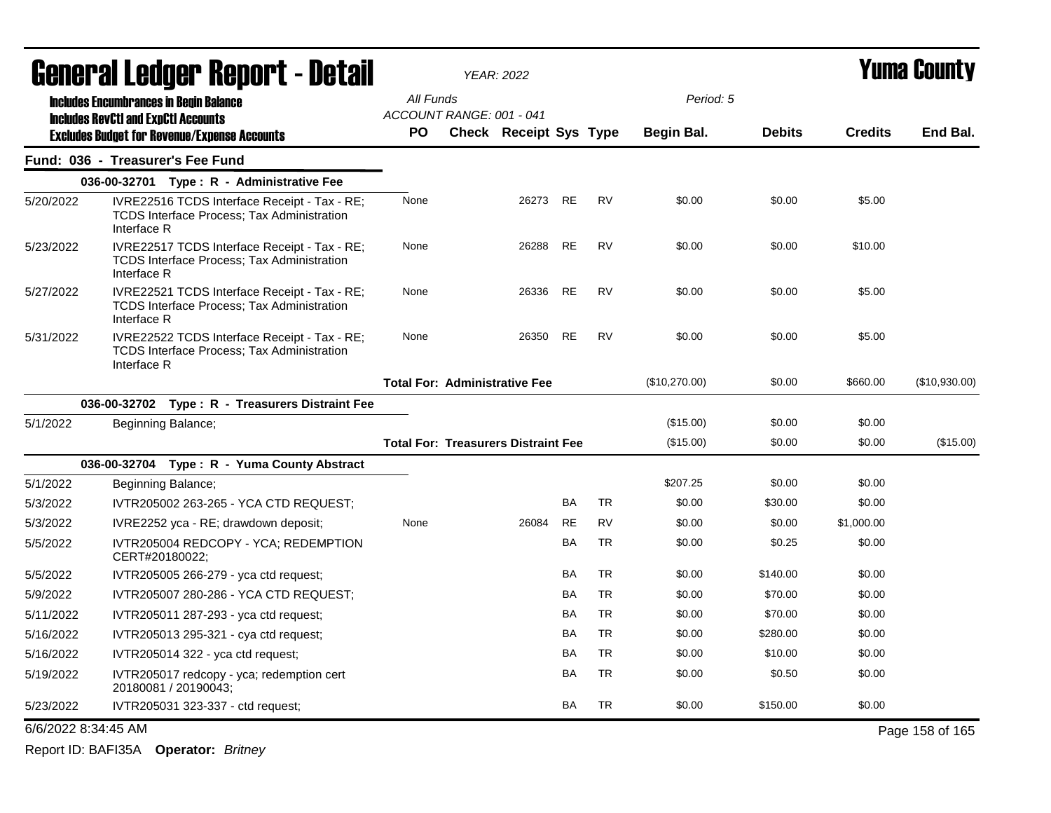|                     | <b>General Ledger Report - Detail</b>                                                                            |                                            | <b>YEAR: 2022</b>             |           | <b>Yuma County</b> |               |               |                |                 |
|---------------------|------------------------------------------------------------------------------------------------------------------|--------------------------------------------|-------------------------------|-----------|--------------------|---------------|---------------|----------------|-----------------|
|                     | <b>Includes Encumbrances in Begin Balance</b>                                                                    | All Funds                                  |                               |           |                    | Period: 5     |               |                |                 |
|                     | <b>Includes RevCtI and ExpCtI Accounts</b>                                                                       | ACCOUNT RANGE: 001 - 041                   |                               |           |                    |               |               |                |                 |
|                     | <b>Excludes Budget for Revenue/Expense Accounts</b>                                                              | <b>PO</b>                                  | <b>Check Receipt Sys Type</b> |           |                    | Begin Bal.    | <b>Debits</b> | <b>Credits</b> | End Bal.        |
|                     | Fund: 036 - Treasurer's Fee Fund                                                                                 |                                            |                               |           |                    |               |               |                |                 |
|                     | 036-00-32701 Type: R - Administrative Fee                                                                        |                                            |                               |           |                    |               |               |                |                 |
| 5/20/2022           | IVRE22516 TCDS Interface Receipt - Tax - RE;<br><b>TCDS Interface Process; Tax Administration</b><br>Interface R | None                                       | 26273                         | <b>RE</b> | <b>RV</b>          | \$0.00        | \$0.00        | \$5.00         |                 |
| 5/23/2022           | IVRE22517 TCDS Interface Receipt - Tax - RE;<br><b>TCDS Interface Process: Tax Administration</b><br>Interface R | None                                       | 26288                         | <b>RE</b> | <b>RV</b>          | \$0.00        | \$0.00        | \$10.00        |                 |
| 5/27/2022           | IVRE22521 TCDS Interface Receipt - Tax - RE;<br>TCDS Interface Process; Tax Administration<br>Interface R        | None                                       | 26336                         | <b>RE</b> | <b>RV</b>          | \$0.00        | \$0.00        | \$5.00         |                 |
| 5/31/2022           | IVRE22522 TCDS Interface Receipt - Tax - RE;<br><b>TCDS Interface Process; Tax Administration</b><br>Interface R | None                                       | 26350                         | <b>RE</b> | <b>RV</b>          | \$0.00        | \$0.00        | \$5.00         |                 |
|                     |                                                                                                                  | <b>Total For: Administrative Fee</b>       |                               |           |                    | (\$10,270.00) | \$0.00        | \$660.00       | (\$10,930.00)   |
|                     | 036-00-32702 Type: R - Treasurers Distraint Fee                                                                  |                                            |                               |           |                    |               |               |                |                 |
| 5/1/2022            | Beginning Balance;                                                                                               |                                            |                               |           |                    | (\$15.00)     | \$0.00        | \$0.00         |                 |
|                     |                                                                                                                  | <b>Total For: Treasurers Distraint Fee</b> |                               |           |                    | (\$15.00)     | \$0.00        | \$0.00         | (\$15.00)       |
|                     | 036-00-32704 Type: R - Yuma County Abstract                                                                      |                                            |                               |           |                    |               |               |                |                 |
| 5/1/2022            | Beginning Balance;                                                                                               |                                            |                               |           |                    | \$207.25      | \$0.00        | \$0.00         |                 |
| 5/3/2022            | IVTR205002 263-265 - YCA CTD REQUEST:                                                                            |                                            |                               | BA        | <b>TR</b>          | \$0.00        | \$30.00       | \$0.00         |                 |
| 5/3/2022            | IVRE2252 yca - RE; drawdown deposit;                                                                             | None                                       | 26084                         | <b>RE</b> | <b>RV</b>          | \$0.00        | \$0.00        | \$1,000.00     |                 |
| 5/5/2022            | IVTR205004 REDCOPY - YCA; REDEMPTION<br>CERT#20180022;                                                           |                                            |                               | <b>BA</b> | <b>TR</b>          | \$0.00        | \$0.25        | \$0.00         |                 |
| 5/5/2022            | IVTR205005 266-279 - yca ctd request;                                                                            |                                            |                               | BA        | <b>TR</b>          | \$0.00        | \$140.00      | \$0.00         |                 |
| 5/9/2022            | IVTR205007 280-286 - YCA CTD REQUEST:                                                                            |                                            |                               | BA        | <b>TR</b>          | \$0.00        | \$70.00       | \$0.00         |                 |
| 5/11/2022           | IVTR205011 287-293 - yca ctd request;                                                                            |                                            |                               | BA        | <b>TR</b>          | \$0.00        | \$70.00       | \$0.00         |                 |
| 5/16/2022           | IVTR205013 295-321 - cya ctd request;                                                                            |                                            |                               | BA        | <b>TR</b>          | \$0.00        | \$280.00      | \$0.00         |                 |
| 5/16/2022           | IVTR205014 322 - yca ctd request;                                                                                |                                            |                               | BA        | <b>TR</b>          | \$0.00        | \$10.00       | \$0.00         |                 |
| 5/19/2022           | IVTR205017 redcopy - yca; redemption cert<br>20180081 / 20190043;                                                |                                            |                               | <b>BA</b> | <b>TR</b>          | \$0.00        | \$0.50        | \$0.00         |                 |
| 5/23/2022           | IVTR205031 323-337 - ctd request;                                                                                |                                            |                               | <b>BA</b> | <b>TR</b>          | \$0.00        | \$150.00      | \$0.00         |                 |
| 6/6/2022 8:34:45 AM |                                                                                                                  |                                            |                               |           |                    |               |               |                | Page 158 of 165 |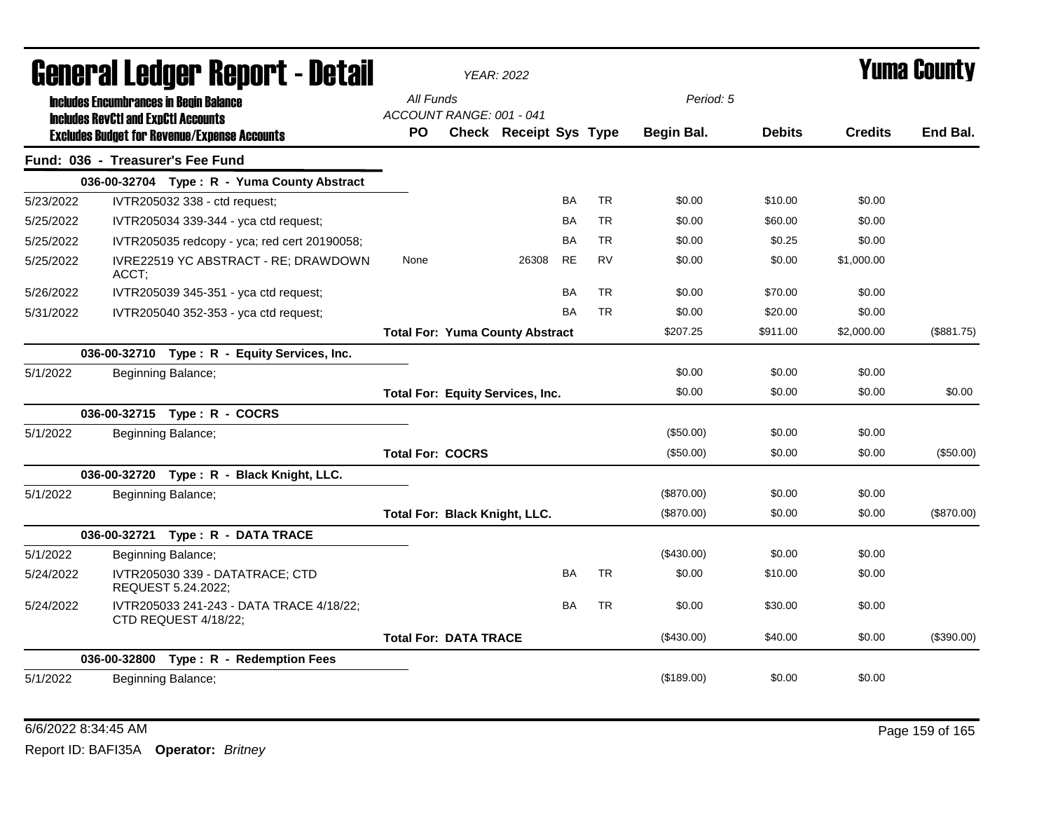|           |       | Generai Leuger Keport - Detail                                                              | <b>YEAR: 2022</b>       |                              |                                         |           |           |                         |               |                | Yuma Gounty |
|-----------|-------|---------------------------------------------------------------------------------------------|-------------------------|------------------------------|-----------------------------------------|-----------|-----------|-------------------------|---------------|----------------|-------------|
|           |       | <b>Includes Encumbrances in Begin Balance</b><br><b>Includes RevCtI and ExpCtI Accounts</b> | All Funds<br><b>PO</b>  | ACCOUNT RANGE: 001 - 041     | <b>Check Receipt Sys Type</b>           |           |           | Period: 5<br>Begin Bal. | <b>Debits</b> | <b>Credits</b> | End Bal.    |
|           |       | <b>Excludes Budget for Revenue/Expense Accounts</b>                                         |                         |                              |                                         |           |           |                         |               |                |             |
|           |       | Fund: 036 - Treasurer's Fee Fund                                                            |                         |                              |                                         |           |           |                         |               |                |             |
|           |       | 036-00-32704 Type: R - Yuma County Abstract                                                 |                         |                              |                                         |           |           |                         |               |                |             |
| 5/23/2022 |       | IVTR205032 338 - ctd request;                                                               |                         |                              |                                         | <b>BA</b> | <b>TR</b> | \$0.00                  | \$10.00       | \$0.00         |             |
| 5/25/2022 |       | IVTR205034 339-344 - yca ctd request;                                                       |                         |                              |                                         | BA        | <b>TR</b> | \$0.00                  | \$60.00       | \$0.00         |             |
| 5/25/2022 |       | IVTR205035 redcopy - yca; red cert 20190058;                                                |                         |                              |                                         | <b>BA</b> | <b>TR</b> | \$0.00                  | \$0.25        | \$0.00         |             |
| 5/25/2022 | ACCT; | IVRE22519 YC ABSTRACT - RE; DRAWDOWN                                                        | None                    |                              | 26308                                   | <b>RE</b> | <b>RV</b> | \$0.00                  | \$0.00        | \$1,000.00     |             |
| 5/26/2022 |       | IVTR205039 345-351 - yca ctd request;                                                       |                         |                              |                                         | BA        | <b>TR</b> | \$0.00                  | \$70.00       | \$0.00         |             |
| 5/31/2022 |       | IVTR205040 352-353 - yca ctd request;                                                       |                         |                              |                                         | <b>BA</b> | <b>TR</b> | \$0.00                  | \$20.00       | \$0.00         |             |
|           |       |                                                                                             |                         |                              | <b>Total For: Yuma County Abstract</b>  |           |           | \$207.25                | \$911.00      | \$2,000.00     | (\$881.75)  |
|           |       | 036-00-32710 Type: R - Equity Services, Inc.                                                |                         |                              |                                         |           |           |                         |               |                |             |
| 5/1/2022  |       | Beginning Balance;                                                                          |                         |                              |                                         |           |           | \$0.00                  | \$0.00        | \$0.00         |             |
|           |       |                                                                                             |                         |                              | <b>Total For: Equity Services, Inc.</b> |           |           | \$0.00                  | \$0.00        | \$0.00         | \$0.00      |
|           |       | 036-00-32715 Type: R - COCRS                                                                |                         |                              |                                         |           |           |                         |               |                |             |
| 5/1/2022  |       | Beginning Balance;                                                                          |                         |                              |                                         |           |           | (\$50.00)               | \$0.00        | \$0.00         |             |
|           |       |                                                                                             | <b>Total For: COCRS</b> |                              |                                         |           |           | (\$50.00)               | \$0.00        | \$0.00         | (\$50.00)   |
|           |       | 036-00-32720 Type: R - Black Knight, LLC.                                                   |                         |                              |                                         |           |           |                         |               |                |             |
| 5/1/2022  |       | Beginning Balance;                                                                          |                         |                              |                                         |           |           | $(\$870.00)$            | \$0.00        | \$0.00         |             |
|           |       |                                                                                             |                         |                              | Total For: Black Knight, LLC.           |           |           | (\$870.00)              | \$0.00        | \$0.00         | (\$870.00)  |
|           |       | 036-00-32721 Type: R - DATA TRACE                                                           |                         |                              |                                         |           |           |                         |               |                |             |
| 5/1/2022  |       | Beginning Balance;                                                                          |                         |                              |                                         |           |           | (\$430.00)              | \$0.00        | \$0.00         |             |
| 5/24/2022 |       | IVTR205030 339 - DATATRACE; CTD<br>REQUEST 5.24.2022;                                       |                         |                              |                                         | <b>BA</b> | <b>TR</b> | \$0.00                  | \$10.00       | \$0.00         |             |
| 5/24/2022 |       | IVTR205033 241-243 - DATA TRACE 4/18/22;<br>CTD REQUEST 4/18/22;                            |                         |                              |                                         | <b>BA</b> | <b>TR</b> | \$0.00                  | \$30.00       | \$0.00         |             |
|           |       |                                                                                             |                         | <b>Total For: DATA TRACE</b> |                                         |           |           | (\$430.00)              | \$40.00       | \$0.00         | (\$390.00)  |
|           |       | 036-00-32800 Type: R - Redemption Fees                                                      |                         |                              |                                         |           |           |                         |               |                |             |
| 5/1/2022  |       | Beginning Balance;                                                                          |                         |                              |                                         |           |           | (\$189.00)              | \$0.00        | \$0.00         |             |

6/6/2022 8:34:45 AM Page 159 of 165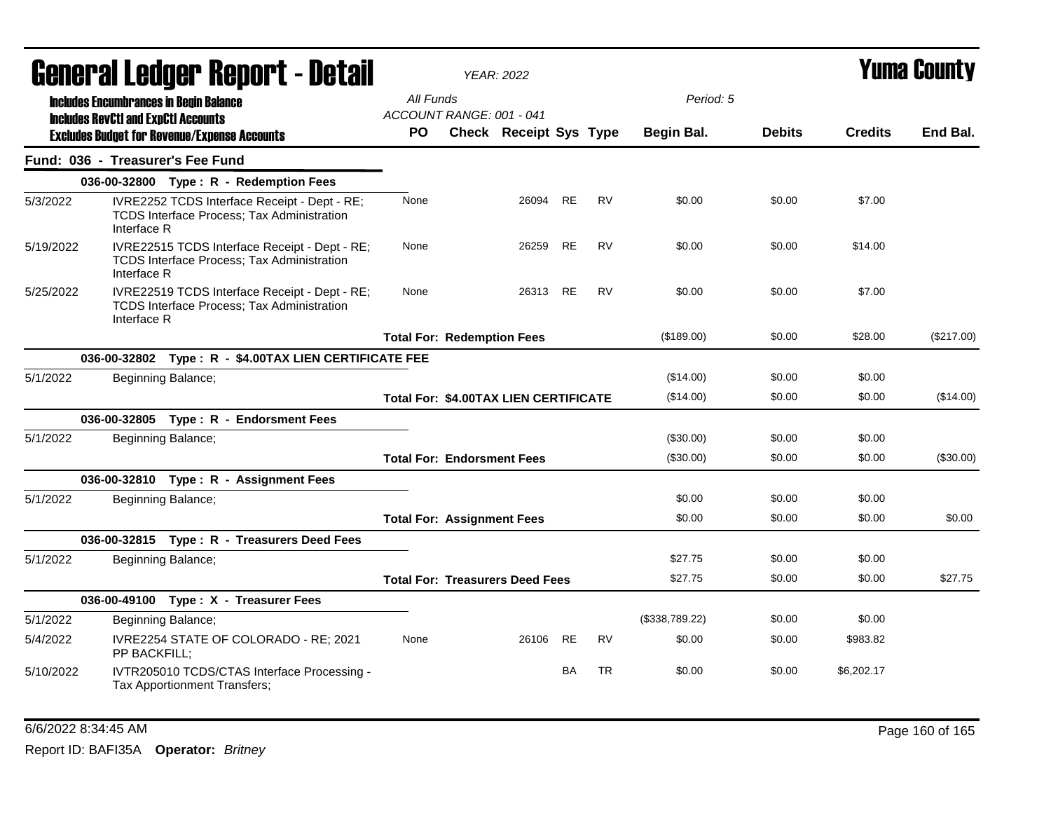|           | General Ledger Report - Detail                                                                    |                              | <b>YEAR: 2022</b>                                                                                  |                                        | Yuma Countv            |           |           |                |               |                |            |
|-----------|---------------------------------------------------------------------------------------------------|------------------------------|----------------------------------------------------------------------------------------------------|----------------------------------------|------------------------|-----------|-----------|----------------|---------------|----------------|------------|
|           | <b>Includes Encumbrances in Begin Balance</b>                                                     |                              |                                                                                                    | All Funds                              |                        |           |           | Period: 5      |               |                |            |
|           | <b>Includes RevCtI and ExpCtI Accounts</b><br><b>Excludes Budget for Revenue/Expense Accounts</b> |                              |                                                                                                    | ACCOUNT RANGE: 001 - 041<br><b>PO</b>  | Check Receipt Sys Type |           |           | Begin Bal.     | <b>Debits</b> | <b>Credits</b> | End Bal.   |
|           | Fund: 036 - Treasurer's Fee Fund                                                                  |                              |                                                                                                    |                                        |                        |           |           |                |               |                |            |
|           |                                                                                                   |                              | 036-00-32800 Type: R - Redemption Fees                                                             |                                        |                        |           |           |                |               |                |            |
| 5/3/2022  | Interface R                                                                                       |                              | IVRE2252 TCDS Interface Receipt - Dept - RE;<br>TCDS Interface Process; Tax Administration         | None                                   | 26094 RE               |           | <b>RV</b> | \$0.00         | \$0.00        | \$7.00         |            |
| 5/19/2022 | Interface R                                                                                       |                              | IVRE22515 TCDS Interface Receipt - Dept - RE;<br><b>TCDS Interface Process; Tax Administration</b> | None                                   | 26259                  | <b>RE</b> | <b>RV</b> | \$0.00         | \$0.00        | \$14.00        |            |
| 5/25/2022 | Interface R                                                                                       |                              | IVRE22519 TCDS Interface Receipt - Dept - RE;<br>TCDS Interface Process; Tax Administration        | None                                   | 26313 RE               |           | <b>RV</b> | \$0.00         | \$0.00        | \$7.00         |            |
|           |                                                                                                   |                              |                                                                                                    | <b>Total For: Redemption Fees</b>      |                        |           |           | (\$189.00)     | \$0.00        | \$28.00        | (\$217.00) |
|           |                                                                                                   |                              | 036-00-32802 Type: R - \$4.00TAX LIEN CERTIFICATE FEE                                              |                                        |                        |           |           |                |               |                |            |
| 5/1/2022  |                                                                                                   | Beginning Balance;           |                                                                                                    |                                        |                        |           |           | (\$14.00)      | \$0.00        | \$0.00         |            |
|           |                                                                                                   |                              |                                                                                                    | Total For: \$4.00TAX LIEN CERTIFICATE  |                        |           |           | (\$14.00)      | \$0.00        | \$0.00         | (\$14.00)  |
|           |                                                                                                   |                              | 036-00-32805 Type: R - Endorsment Fees                                                             |                                        |                        |           |           |                |               |                |            |
| 5/1/2022  |                                                                                                   | Beginning Balance;           |                                                                                                    |                                        |                        |           |           | (\$30.00)      | \$0.00        | \$0.00         |            |
|           |                                                                                                   |                              |                                                                                                    | <b>Total For: Endorsment Fees</b>      |                        |           |           | (\$30.00)      | \$0.00        | \$0.00         | (\$30.00)  |
|           |                                                                                                   |                              | 036-00-32810 Type: R - Assignment Fees                                                             |                                        |                        |           |           |                |               |                |            |
| 5/1/2022  |                                                                                                   | Beginning Balance;           |                                                                                                    |                                        |                        |           |           | \$0.00         | \$0.00        | \$0.00         |            |
|           |                                                                                                   |                              |                                                                                                    | <b>Total For: Assignment Fees</b>      |                        |           |           | \$0.00         | \$0.00        | \$0.00         | \$0.00     |
|           |                                                                                                   |                              | 036-00-32815 Type: R - Treasurers Deed Fees                                                        |                                        |                        |           |           |                |               |                |            |
| 5/1/2022  |                                                                                                   | Beginning Balance;           |                                                                                                    |                                        |                        |           |           | \$27.75        | \$0.00        | \$0.00         |            |
|           |                                                                                                   |                              |                                                                                                    | <b>Total For: Treasurers Deed Fees</b> |                        |           |           | \$27.75        | \$0.00        | \$0.00         | \$27.75    |
|           |                                                                                                   |                              | 036-00-49100 Type: X - Treasurer Fees                                                              |                                        |                        |           |           |                |               |                |            |
| 5/1/2022  |                                                                                                   | Beginning Balance;           |                                                                                                    |                                        |                        |           |           | (\$338,789.22) | \$0.00        | \$0.00         |            |
| 5/4/2022  | PP BACKFILL:                                                                                      |                              | IVRE2254 STATE OF COLORADO - RE; 2021                                                              | None                                   | 26106                  | <b>RE</b> | <b>RV</b> | \$0.00         | \$0.00        | \$983.82       |            |
| 5/10/2022 |                                                                                                   | Tax Apportionment Transfers; | IVTR205010 TCDS/CTAS Interface Processing -                                                        |                                        |                        | BA        | <b>TR</b> | \$0.00         | \$0.00        | \$6,202.17     |            |

6/6/2022 8:34:45 AM Page 160 of 165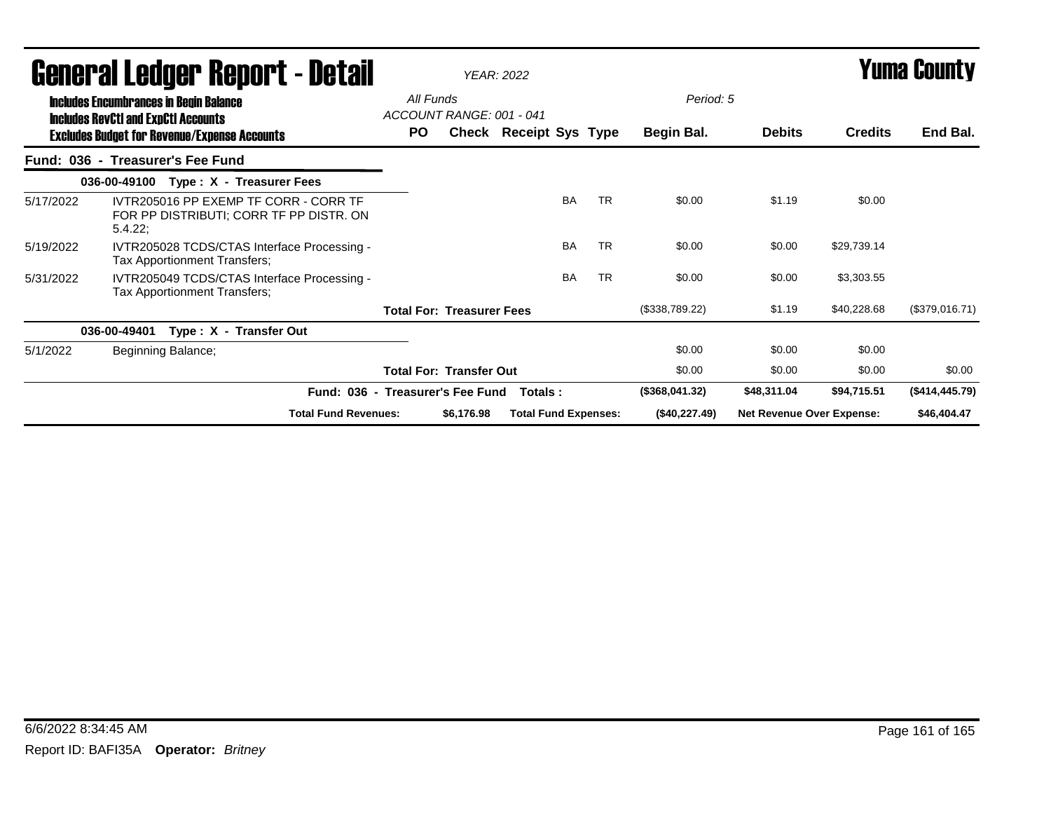|           | <b>General Ledger Report - Detail</b>                                                       | <b>YEAR: 2022</b>                     |                                  |                             |           |           |                |                                  |                | <b>Yuma County</b> |  |
|-----------|---------------------------------------------------------------------------------------------|---------------------------------------|----------------------------------|-----------------------------|-----------|-----------|----------------|----------------------------------|----------------|--------------------|--|
|           | <b>Includes Encumbrances in Begin Balance</b><br><b>Includes RevCtI and ExpCtI Accounts</b> | All Funds<br>ACCOUNT RANGE: 001 - 041 |                                  |                             |           |           | Period: 5      |                                  |                |                    |  |
|           | <b>Excludes Budget for Revenue/Expense Accounts</b>                                         | PO.                                   |                                  | Check Receipt Sys Type      |           |           | Begin Bal.     | <b>Debits</b>                    | <b>Credits</b> | End Bal.           |  |
|           | Fund: 036 - Treasurer's Fee Fund                                                            |                                       |                                  |                             |           |           |                |                                  |                |                    |  |
|           | 036-00-49100 Type: X - Treasurer Fees                                                       |                                       |                                  |                             |           |           |                |                                  |                |                    |  |
| 5/17/2022 | IVTR205016 PP EXEMP TF CORR - CORR TF<br>FOR PP DISTRIBUTI: CORR TF PP DISTR. ON<br>5.4.22; |                                       |                                  |                             | <b>BA</b> | <b>TR</b> | \$0.00         | \$1.19                           | \$0.00         |                    |  |
| 5/19/2022 | IVTR205028 TCDS/CTAS Interface Processing -<br>Tax Apportionment Transfers;                 |                                       |                                  |                             | <b>BA</b> | <b>TR</b> | \$0.00         | \$0.00                           | \$29,739.14    |                    |  |
| 5/31/2022 | IVTR205049 TCDS/CTAS Interface Processing -<br>Tax Apportionment Transfers;                 |                                       |                                  |                             | <b>BA</b> | <b>TR</b> | \$0.00         | \$0.00                           | \$3,303.55     |                    |  |
|           |                                                                                             |                                       | <b>Total For: Treasurer Fees</b> |                             |           |           | (\$338,789.22) | \$1.19                           | \$40,228.68    | (\$379,016.71)     |  |
|           | Type: X - Transfer Out<br>036-00-49401                                                      |                                       |                                  |                             |           |           |                |                                  |                |                    |  |
| 5/1/2022  | Beginning Balance;                                                                          |                                       |                                  |                             |           |           | \$0.00         | \$0.00                           | \$0.00         |                    |  |
|           |                                                                                             |                                       | <b>Total For: Transfer Out</b>   |                             |           |           | \$0.00         | \$0.00                           | \$0.00         | \$0.00             |  |
|           | Fund: 036 - Treasurer's Fee Fund                                                            |                                       |                                  | Totals :                    |           |           | (\$368,041.32) | \$48,311.04                      | \$94,715.51    | (\$414,445.79)     |  |
|           | <b>Total Fund Revenues:</b>                                                                 |                                       | \$6,176.98                       | <b>Total Fund Expenses:</b> |           |           | (\$40,227.49)  | <b>Net Revenue Over Expense:</b> |                | \$46,404.47        |  |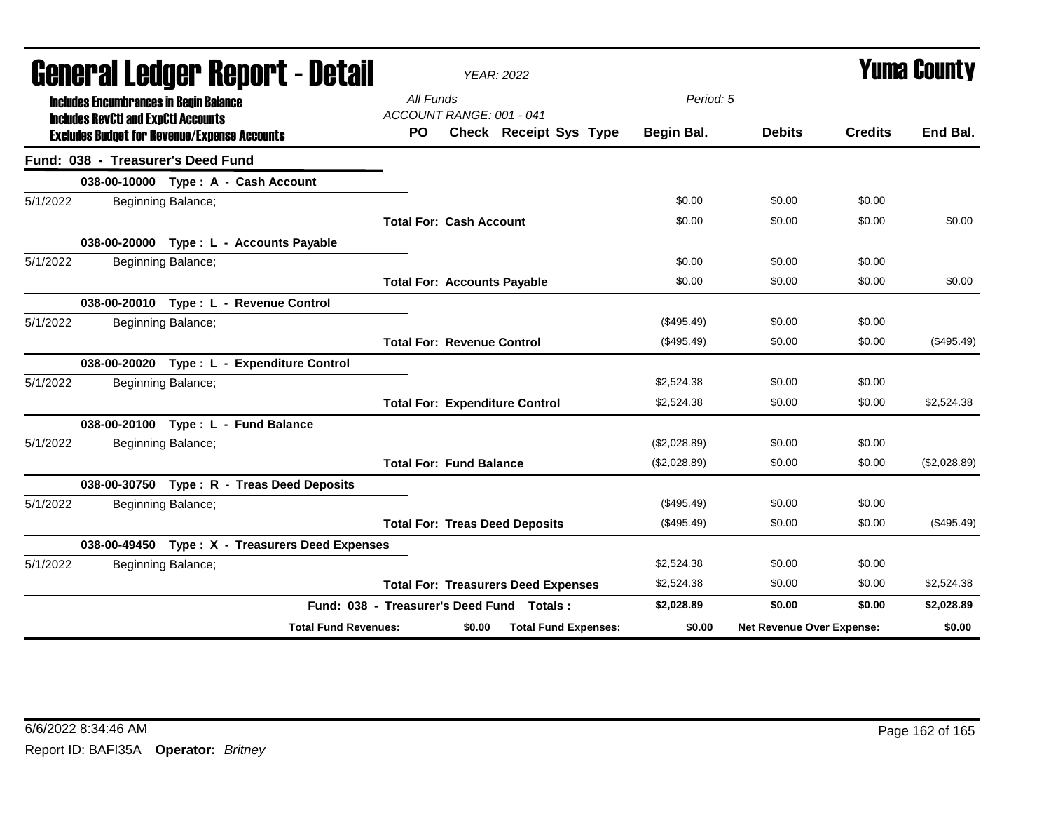|          |                                                                                                                                                    |                                          | General Ledger Report - Detail                  |                                       |        | <b>YEAR: 2022</b>                          |              |                           |                | <b>Yuma County</b> |
|----------|----------------------------------------------------------------------------------------------------------------------------------------------------|------------------------------------------|-------------------------------------------------|---------------------------------------|--------|--------------------------------------------|--------------|---------------------------|----------------|--------------------|
|          | <b>Includes Encumbrances in Begin Balance</b><br><b>Includes RevCtI and ExpCtI Accounts</b><br><b>Excludes Budget for Revenue/Expense Accounts</b> |                                          |                                                 | All Funds<br>ACCOUNT RANGE: 001 - 041 |        |                                            | Period: 5    |                           |                |                    |
|          |                                                                                                                                                    |                                          |                                                 | PO.                                   |        | <b>Check Receipt Sys Type</b>              | Begin Bal.   | <b>Debits</b>             | <b>Credits</b> | End Bal.           |
|          |                                                                                                                                                    | Fund: 038 - Treasurer's Deed Fund        |                                                 |                                       |        |                                            |              |                           |                |                    |
|          |                                                                                                                                                    | 038-00-10000 Type: A - Cash Account      |                                                 |                                       |        |                                            |              |                           |                |                    |
| 5/1/2022 |                                                                                                                                                    | Beginning Balance;                       |                                                 |                                       |        |                                            | \$0.00       | \$0.00                    | \$0.00         |                    |
|          |                                                                                                                                                    |                                          |                                                 | <b>Total For: Cash Account</b>        |        |                                            | \$0.00       | \$0.00                    | \$0.00         | \$0.00             |
|          |                                                                                                                                                    | 038-00-20000 Type : L - Accounts Payable |                                                 |                                       |        |                                            |              |                           |                |                    |
| 5/1/2022 |                                                                                                                                                    | Beginning Balance;                       |                                                 |                                       |        |                                            | \$0.00       | \$0.00                    | \$0.00         |                    |
|          |                                                                                                                                                    |                                          |                                                 | <b>Total For: Accounts Payable</b>    |        |                                            | \$0.00       | \$0.00                    | \$0.00         | \$0.00             |
|          |                                                                                                                                                    | 038-00-20010 Type: L - Revenue Control   |                                                 |                                       |        |                                            |              |                           |                |                    |
| 5/1/2022 |                                                                                                                                                    | Beginning Balance;                       |                                                 |                                       |        |                                            | (\$495.49)   | \$0.00                    | \$0.00         |                    |
|          |                                                                                                                                                    |                                          |                                                 | <b>Total For: Revenue Control</b>     |        |                                            | (\$495.49)   | \$0.00                    | \$0.00         | $(\$495.49)$       |
|          |                                                                                                                                                    |                                          | 038-00-20020 Type: L - Expenditure Control      |                                       |        |                                            |              |                           |                |                    |
| 5/1/2022 |                                                                                                                                                    | Beginning Balance;                       |                                                 |                                       |        |                                            | \$2,524.38   | \$0.00                    | \$0.00         |                    |
|          |                                                                                                                                                    |                                          |                                                 |                                       |        | <b>Total For: Expenditure Control</b>      | \$2,524.38   | \$0.00                    | \$0.00         | \$2,524.38         |
|          |                                                                                                                                                    | 038-00-20100 Type: L - Fund Balance      |                                                 |                                       |        |                                            |              |                           |                |                    |
| 5/1/2022 |                                                                                                                                                    | Beginning Balance;                       |                                                 |                                       |        |                                            | (\$2,028.89) | \$0.00                    | \$0.00         |                    |
|          |                                                                                                                                                    |                                          |                                                 | <b>Total For: Fund Balance</b>        |        |                                            | (\$2,028.89) | \$0.00                    | \$0.00         | (\$2,028.89)       |
|          |                                                                                                                                                    |                                          | 038-00-30750 Type: R - Treas Deed Deposits      |                                       |        |                                            |              |                           |                |                    |
| 5/1/2022 |                                                                                                                                                    | Beginning Balance;                       |                                                 |                                       |        |                                            | (\$495.49)   | \$0.00                    | \$0.00         |                    |
|          |                                                                                                                                                    |                                          |                                                 |                                       |        | <b>Total For: Treas Deed Deposits</b>      | $(\$495.49)$ | \$0.00                    | \$0.00         | (\$495.49)         |
|          |                                                                                                                                                    |                                          | 038-00-49450 Type: X - Treasurers Deed Expenses |                                       |        |                                            |              |                           |                |                    |
| 5/1/2022 |                                                                                                                                                    | Beginning Balance;                       |                                                 |                                       |        |                                            | \$2,524.38   | \$0.00                    | \$0.00         |                    |
|          |                                                                                                                                                    |                                          |                                                 |                                       |        | <b>Total For: Treasurers Deed Expenses</b> | \$2,524.38   | \$0.00                    | \$0.00         | \$2,524.38         |
|          |                                                                                                                                                    |                                          |                                                 |                                       |        | Fund: 038 - Treasurer's Deed Fund Totals:  | \$2,028.89   | \$0.00                    | \$0.00         | \$2,028.89         |
|          |                                                                                                                                                    |                                          | <b>Total Fund Revenues:</b>                     |                                       | \$0.00 | <b>Total Fund Expenses:</b>                | \$0.00       | Net Revenue Over Expense: |                | \$0.00             |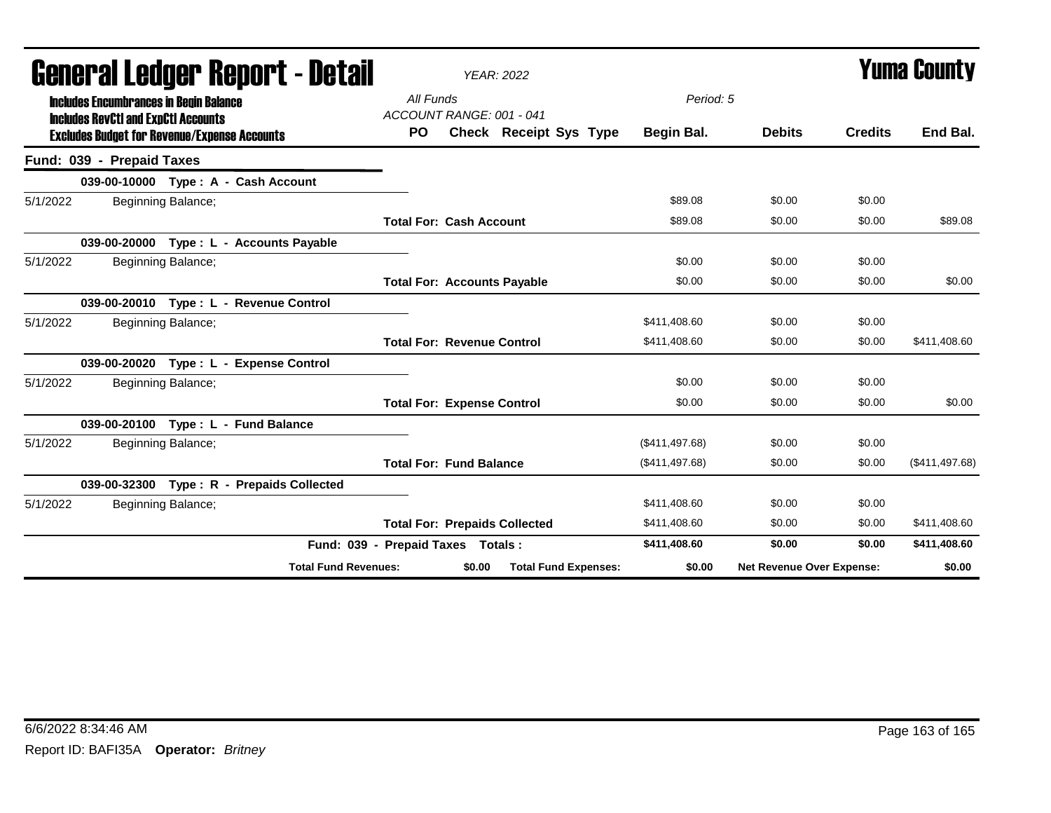|                                                                                             | General Ledger Report - Detail                      |           | <b>YEAR: 2022</b>                     |                |                           |                | <b>Yuma County</b> |
|---------------------------------------------------------------------------------------------|-----------------------------------------------------|-----------|---------------------------------------|----------------|---------------------------|----------------|--------------------|
| <b>Includes Encumbrances in Benin Balance</b><br><b>Includes RevCtI and ExpCtI Accounts</b> |                                                     | All Funds | ACCOUNT RANGE: 001 - 041              | Period: 5      |                           |                |                    |
|                                                                                             | <b>Excludes Budget for Revenue/Expense Accounts</b> | <b>PO</b> | <b>Check Receipt Sys Type</b>         | Begin Bal.     | <b>Debits</b>             | <b>Credits</b> | End Bal.           |
| Fund: 039 - Prepaid Taxes                                                                   |                                                     |           |                                       |                |                           |                |                    |
|                                                                                             | 039-00-10000 Type: A - Cash Account                 |           |                                       |                |                           |                |                    |
| 5/1/2022                                                                                    | Beginning Balance;                                  |           |                                       | \$89.08        | \$0.00                    | \$0.00         |                    |
|                                                                                             |                                                     |           | <b>Total For: Cash Account</b>        | \$89.08        | \$0.00                    | \$0.00         | \$89.08            |
|                                                                                             | 039-00-20000 Type: L - Accounts Payable             |           |                                       |                |                           |                |                    |
| 5/1/2022                                                                                    | Beginning Balance;                                  |           |                                       | \$0.00         | \$0.00                    | \$0.00         |                    |
|                                                                                             |                                                     |           | <b>Total For: Accounts Payable</b>    | \$0.00         | \$0.00                    | \$0.00         | \$0.00             |
|                                                                                             | 039-00-20010 Type: L - Revenue Control              |           |                                       |                |                           |                |                    |
| 5/1/2022                                                                                    | Beginning Balance;                                  |           |                                       | \$411,408.60   | \$0.00                    | \$0.00         |                    |
|                                                                                             |                                                     |           | <b>Total For: Revenue Control</b>     | \$411,408.60   | \$0.00                    | \$0.00         | \$411,408.60       |
|                                                                                             | 039-00-20020 Type: L - Expense Control              |           |                                       |                |                           |                |                    |
| 5/1/2022                                                                                    | Beginning Balance;                                  |           |                                       | \$0.00         | \$0.00                    | \$0.00         |                    |
|                                                                                             |                                                     |           | <b>Total For: Expense Control</b>     | \$0.00         | \$0.00                    | \$0.00         | \$0.00             |
|                                                                                             | 039-00-20100 Type: L - Fund Balance                 |           |                                       |                |                           |                |                    |
| 5/1/2022                                                                                    | Beginning Balance;                                  |           |                                       | (\$411,497.68) | \$0.00                    | \$0.00         |                    |
|                                                                                             |                                                     |           | <b>Total For: Fund Balance</b>        | (\$411,497.68) | \$0.00                    | \$0.00         | (\$411,497.68)     |
| 039-00-32300                                                                                | Type: R - Prepaids Collected                        |           |                                       |                |                           |                |                    |
| 5/1/2022                                                                                    | Beginning Balance;                                  |           |                                       | \$411,408.60   | \$0.00                    | \$0.00         |                    |
|                                                                                             |                                                     |           | <b>Total For: Prepaids Collected</b>  | \$411,408.60   | \$0.00                    | \$0.00         | \$411,408.60       |
|                                                                                             |                                                     |           | Fund: 039 - Prepaid Taxes Totals:     | \$411,408.60   | \$0.00                    | \$0.00         | \$411,408.60       |
|                                                                                             | <b>Total Fund Revenues:</b>                         |           | <b>Total Fund Expenses:</b><br>\$0.00 | \$0.00         | Net Revenue Over Expense: |                | \$0.00             |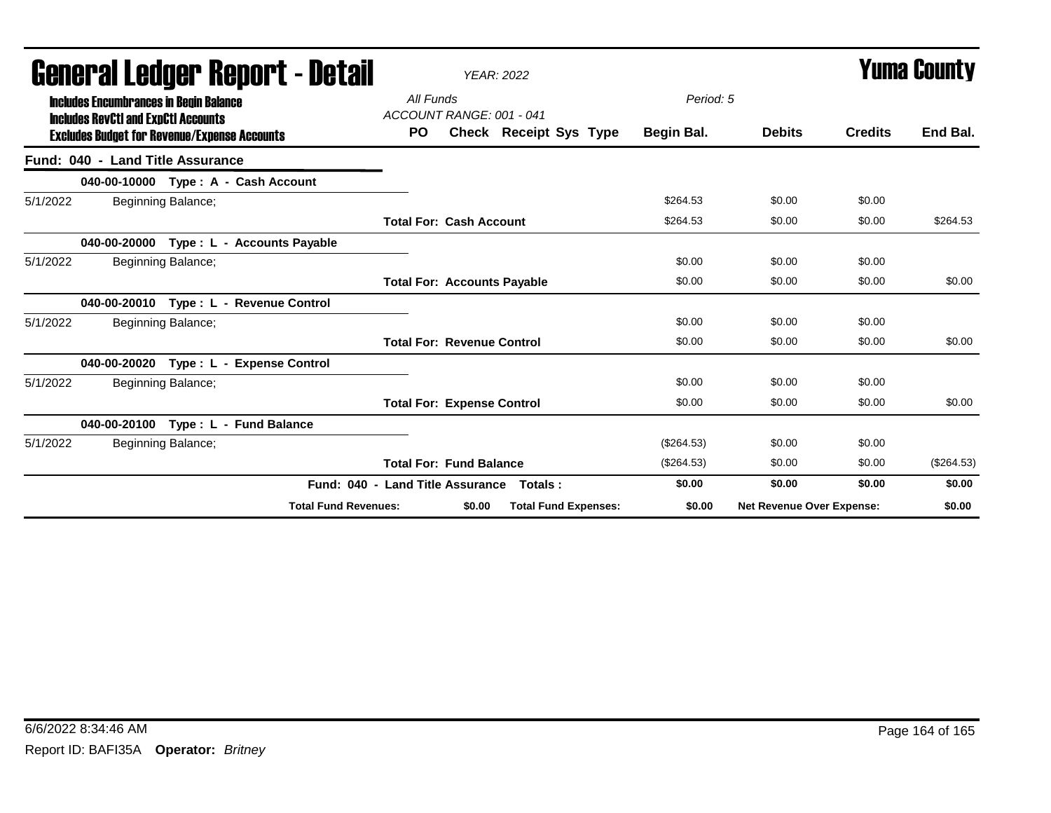|          |                                                                                             |                    | agiigi.,qi fanyai. Kahni. ( - natsii    |                                       |        | <b>YEAR: 2022</b>           |              |                                  | I UIIIA VUUIILY |              |  |
|----------|---------------------------------------------------------------------------------------------|--------------------|-----------------------------------------|---------------------------------------|--------|-----------------------------|--------------|----------------------------------|-----------------|--------------|--|
|          | <b>Includes Encumbrances in Begin Balance</b><br><b>Includes RevCtI and ExpCtI Accounts</b> |                    |                                         | All Funds<br>ACCOUNT RANGE: 001 - 041 |        |                             | Period: 5    |                                  |                 |              |  |
|          | <b>Excludes Budget for Revenue/Expense Accounts</b>                                         |                    |                                         | <b>PO</b>                             |        | Check Receipt Sys Type      | Begin Bal.   | <b>Debits</b>                    | <b>Credits</b>  | End Bal.     |  |
|          | Fund: 040 - Land Title Assurance                                                            |                    |                                         |                                       |        |                             |              |                                  |                 |              |  |
|          |                                                                                             |                    | 040-00-10000 Type: A - Cash Account     |                                       |        |                             |              |                                  |                 |              |  |
| 5/1/2022 |                                                                                             | Beginning Balance; |                                         |                                       |        |                             | \$264.53     | \$0.00                           | \$0.00          |              |  |
|          |                                                                                             |                    |                                         | <b>Total For: Cash Account</b>        |        |                             | \$264.53     | \$0.00                           | \$0.00          | \$264.53     |  |
|          |                                                                                             |                    | 040-00-20000 Type: L - Accounts Payable |                                       |        |                             |              |                                  |                 |              |  |
| 5/1/2022 |                                                                                             | Beginning Balance; |                                         |                                       |        |                             | \$0.00       | \$0.00                           | \$0.00          |              |  |
|          |                                                                                             |                    |                                         | <b>Total For: Accounts Payable</b>    |        |                             | \$0.00       | \$0.00                           | \$0.00          | \$0.00       |  |
|          | 040-00-20010                                                                                |                    | Type: L - Revenue Control               |                                       |        |                             |              |                                  |                 |              |  |
| 5/1/2022 |                                                                                             | Beginning Balance; |                                         |                                       |        |                             | \$0.00       | \$0.00                           | \$0.00          |              |  |
|          |                                                                                             |                    |                                         | <b>Total For: Revenue Control</b>     |        |                             | \$0.00       | \$0.00                           | \$0.00          | \$0.00       |  |
|          |                                                                                             |                    | 040-00-20020 Type: L - Expense Control  |                                       |        |                             |              |                                  |                 |              |  |
| 5/1/2022 |                                                                                             | Beginning Balance; |                                         |                                       |        |                             | \$0.00       | \$0.00                           | \$0.00          |              |  |
|          |                                                                                             |                    |                                         | <b>Total For: Expense Control</b>     |        |                             | \$0.00       | \$0.00                           | \$0.00          | \$0.00       |  |
|          |                                                                                             |                    | 040-00-20100 Type: L - Fund Balance     |                                       |        |                             |              |                                  |                 |              |  |
| 5/1/2022 |                                                                                             | Beginning Balance; |                                         |                                       |        |                             | $(\$264.53)$ | \$0.00                           | \$0.00          |              |  |
|          |                                                                                             |                    |                                         | <b>Total For: Fund Balance</b>        |        |                             | (\$264.53)   | \$0.00                           | \$0.00          | $(\$264.53)$ |  |
|          |                                                                                             |                    | Fund: 040 - Land Title Assurance        |                                       |        | Totals :                    | \$0.00       | \$0.00                           | \$0.00          | \$0.00       |  |
|          |                                                                                             |                    | <b>Total Fund Revenues:</b>             |                                       | \$0.00 | <b>Total Fund Expenses:</b> | \$0.00       | <b>Net Revenue Over Expense:</b> |                 | \$0.00       |  |